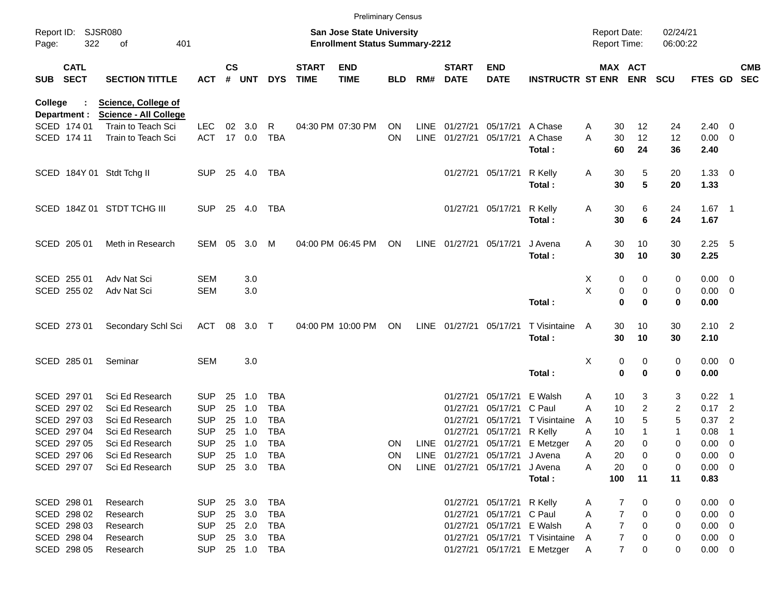|                |                            |                                                            |                          |                    |            |                          |                             |                                                                           | <b>Preliminary Census</b> |             |                             |                                |                                  |                                     |                     |                      |                |                                |                          |
|----------------|----------------------------|------------------------------------------------------------|--------------------------|--------------------|------------|--------------------------|-----------------------------|---------------------------------------------------------------------------|---------------------------|-------------|-----------------------------|--------------------------------|----------------------------------|-------------------------------------|---------------------|----------------------|----------------|--------------------------------|--------------------------|
| Page:          | Report ID: SJSR080<br>322  | 401<br>οf                                                  |                          |                    |            |                          |                             | <b>San Jose State University</b><br><b>Enrollment Status Summary-2212</b> |                           |             |                             |                                |                                  | <b>Report Date:</b><br>Report Time: |                     | 02/24/21<br>06:00:22 |                |                                |                          |
| <b>SUB</b>     | <b>CATL</b><br><b>SECT</b> | <b>SECTION TITTLE</b>                                      | <b>ACT</b>               | $\mathsf{cs}$<br># | <b>UNT</b> | <b>DYS</b>               | <b>START</b><br><b>TIME</b> | <b>END</b><br><b>TIME</b>                                                 | <b>BLD</b>                | RM#         | <b>START</b><br><b>DATE</b> | <b>END</b><br><b>DATE</b>      | <b>INSTRUCTR ST ENR ENR</b>      |                                     | <b>MAX ACT</b>      | <b>SCU</b>           | FTES GD        |                                | <b>CMB</b><br><b>SEC</b> |
| <b>College</b> | Department :               | <b>Science, College of</b><br><b>Science - All College</b> |                          |                    |            |                          |                             |                                                                           |                           |             |                             |                                |                                  |                                     |                     |                      |                |                                |                          |
|                | SCED 174 01                | Train to Teach Sci                                         | LEC.                     | 02                 | 3.0        | R                        |                             | 04:30 PM 07:30 PM                                                         | ON                        | <b>LINE</b> | 01/27/21                    | 05/17/21                       | A Chase                          | Α                                   | 30<br>12            | 24                   | $2.40 \quad 0$ |                                |                          |
|                | SCED 174 11                | Train to Teach Sci                                         | <b>ACT</b>               |                    | 17 0.0     | <b>TBA</b>               |                             |                                                                           | ON                        | <b>LINE</b> | 01/27/21                    | 05/17/21                       | A Chase                          | A                                   | 30<br>12            | 12                   | $0.00 \t 0$    |                                |                          |
|                |                            |                                                            |                          |                    |            |                          |                             |                                                                           |                           |             |                             |                                | Total:                           |                                     | 60<br>24            | 36                   | 2.40           |                                |                          |
|                |                            | SCED 184Y 01 Stdt Tchg II                                  | <b>SUP</b>               |                    | 25 4.0     | TBA                      |                             |                                                                           |                           |             |                             | 01/27/21 05/17/21              | R Kelly                          | A                                   | 30<br>5             | 20                   | $1.33 \ 0$     |                                |                          |
|                |                            |                                                            |                          |                    |            |                          |                             |                                                                           |                           |             |                             |                                | Total:                           |                                     | 5<br>30             | 20                   | 1.33           |                                |                          |
|                |                            | SCED 184Z 01 STDT TCHG III                                 | <b>SUP</b>               | 25                 | 4.0        | TBA                      |                             |                                                                           |                           |             |                             | 01/27/21 05/17/21              | R Kelly                          | A                                   | 30<br>6             | 24                   | $1.67$ 1       |                                |                          |
|                |                            |                                                            |                          |                    |            |                          |                             |                                                                           |                           |             |                             |                                | Total:                           |                                     | 30<br>6             | 24                   | 1.67           |                                |                          |
|                | SCED 205 01                | Meth in Research                                           | SEM                      | 05                 | 3.0        | M                        |                             | 04:00 PM 06:45 PM                                                         | ON                        |             | LINE 01/27/21 05/17/21      |                                | J Avena                          | Α                                   | 30<br>10            | 30                   | $2.25$ 5       |                                |                          |
|                |                            |                                                            |                          |                    |            |                          |                             |                                                                           |                           |             |                             |                                | Total:                           |                                     | 30<br>10            | 30                   | 2.25           |                                |                          |
|                | SCED 255 01                | Adv Nat Sci                                                | <b>SEM</b>               |                    | 3.0        |                          |                             |                                                                           |                           |             |                             |                                |                                  | X                                   | 0<br>0              | 0                    | $0.00 \t 0$    |                                |                          |
|                | SCED 255 02                | Adv Nat Sci                                                | <b>SEM</b>               |                    | 3.0        |                          |                             |                                                                           |                           |             |                             |                                |                                  | X                                   | 0<br>0              | 0                    | $0.00 \t 0$    |                                |                          |
|                |                            |                                                            |                          |                    |            |                          |                             |                                                                           |                           |             |                             |                                | Total:                           |                                     | $\bf{0}$<br>0       | 0                    | 0.00           |                                |                          |
|                | SCED 273 01                | Secondary Schl Sci                                         | <b>ACT</b>               | 08                 | 3.0        | $\top$                   |                             | 04:00 PM 10:00 PM                                                         | ON                        |             | LINE 01/27/21 05/17/21      |                                | T Visintaine                     | A                                   | 30<br>10            | 30                   | $2.10$ 2       |                                |                          |
|                |                            |                                                            |                          |                    |            |                          |                             |                                                                           |                           |             |                             |                                | Total:                           |                                     | 30<br>10            | 30                   | 2.10           |                                |                          |
|                | SCED 285 01                | Seminar                                                    | <b>SEM</b>               |                    | 3.0        |                          |                             |                                                                           |                           |             |                             |                                |                                  | X                                   | 0<br>0              | 0                    | $0.00 \t 0$    |                                |                          |
|                |                            |                                                            |                          |                    |            |                          |                             |                                                                           |                           |             |                             |                                | Total:                           |                                     | $\mathbf 0$<br>0    | 0                    | 0.00           |                                |                          |
|                | SCED 297 01                | Sci Ed Research                                            | SUP.                     | 25                 | 1.0        | <b>TBA</b>               |                             |                                                                           |                           |             | 01/27/21                    | 05/17/21                       | E Walsh                          | Α                                   | 10<br>3             | 3                    | $0.22$ 1       |                                |                          |
|                | SCED 297 02                | Sci Ed Research                                            | <b>SUP</b>               | 25                 | 1.0        | <b>TBA</b>               |                             |                                                                           |                           |             | 01/27/21                    | 05/17/21                       | C Paul                           | A                                   | 2<br>10             | 2                    | $0.17$ 2       |                                |                          |
|                | SCED 297 03                | Sci Ed Research                                            | <b>SUP</b>               | 25                 | 1.0        | <b>TBA</b>               |                             |                                                                           |                           |             | 01/27/21<br>01/27/21        | 05/17/21                       | T Visintaine                     | A                                   | 5<br>10             | 5                    | 0.37           | $\overline{c}$                 |                          |
|                | SCED 297 04<br>SCED 297 05 | Sci Ed Research<br>Sci Ed Research                         | <b>SUP</b><br><b>SUP</b> | 25<br>25           | 1.0<br>1.0 | <b>TBA</b><br><b>TBA</b> |                             |                                                                           |                           |             |                             | 05/17/21                       | R Kelly                          | A                                   | 10<br>20<br>0       | 1<br>0               | 0.08<br>0.00   | -1<br>$\overline{\phantom{0}}$ |                          |
|                | SCED 297 06                | Sci Ed Research                                            | <b>SUP</b>               |                    | 25 1.0     | TBA                      |                             |                                                                           | <b>ON</b>                 |             |                             | LINE 01/27/21 05/17/21 J Avena | LINE 01/27/21 05/17/21 E Metzger | Α                                   | 20<br>0             | 0                    | $0.00 \t 0$    |                                |                          |
|                | SCED 297 07                | Sci Ed Research                                            |                          |                    |            | SUP 25 3.0 TBA           |                             |                                                                           | ON.<br>ON                 |             |                             | LINE 01/27/21 05/17/21         | J Avena                          | A<br>A                              | 20<br>0             | 0                    | $0.00 \t 0$    |                                |                          |
|                |                            |                                                            |                          |                    |            |                          |                             |                                                                           |                           |             |                             |                                | Total:                           | 100                                 | 11                  | 11                   | 0.83           |                                |                          |
|                |                            |                                                            |                          |                    |            |                          |                             |                                                                           |                           |             |                             |                                |                                  |                                     |                     |                      |                |                                |                          |
|                | SCED 298 01                | Research                                                   | <b>SUP</b>               |                    | 25 3.0     | TBA                      |                             |                                                                           |                           |             |                             | 01/27/21 05/17/21 R Kelly      |                                  | A                                   | 7<br>0              | 0                    | $0.00 \t 0$    |                                |                          |
|                | SCED 298 02                | Research                                                   | <b>SUP</b>               |                    | 25 3.0     | TBA                      |                             |                                                                           |                           |             |                             | 01/27/21 05/17/21 C Paul       |                                  | A                                   | 7<br>0              | 0                    | $0.00 \t 0$    |                                |                          |
|                | SCED 298 03                | Research                                                   | <b>SUP</b>               |                    | 25 2.0     | TBA                      |                             |                                                                           |                           |             |                             | 01/27/21 05/17/21 E Walsh      |                                  | A                                   | $\overline{7}$<br>0 | 0                    | $0.00 \t 0$    |                                |                          |
|                | SCED 298 04                | Research                                                   | <b>SUP</b>               |                    | 25 3.0     | TBA                      |                             |                                                                           |                           |             |                             |                                | 01/27/21 05/17/21 T Visintaine   | A                                   | 7<br>0              | 0                    | $0.00 \t 0$    |                                |                          |
|                | SCED 298 05                | Research                                                   | <b>SUP</b>               |                    |            | 25  1.0  TBA             |                             |                                                                           |                           |             |                             |                                | 01/27/21 05/17/21 E Metzger      | A                                   | $\overline{7}$<br>0 | 0                    | $0.00 \t 0$    |                                |                          |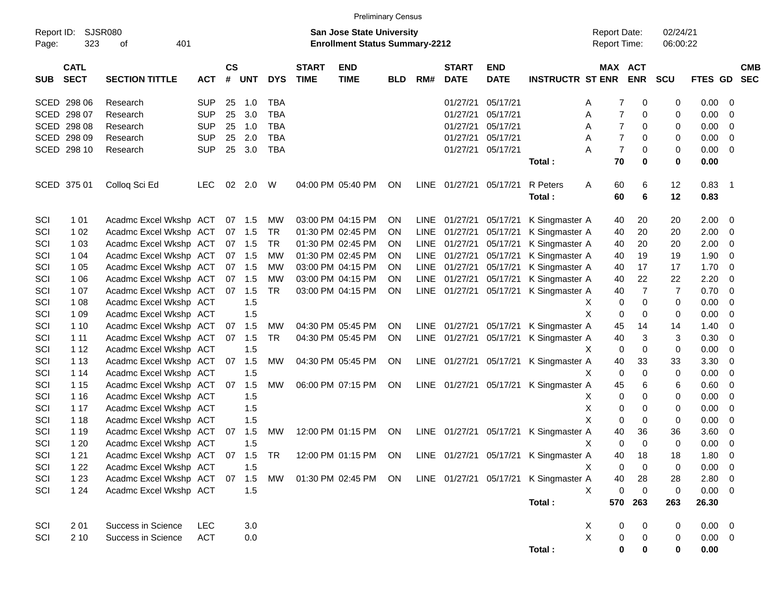|                     |                            |                               |            |                |            |            |                             |                                                                           | <b>Preliminary Census</b> |             |                             |                           |                                                               |                                     |                            |                      |              |                          |
|---------------------|----------------------------|-------------------------------|------------|----------------|------------|------------|-----------------------------|---------------------------------------------------------------------------|---------------------------|-------------|-----------------------------|---------------------------|---------------------------------------------------------------|-------------------------------------|----------------------------|----------------------|--------------|--------------------------|
| Report ID:<br>Page: | 323                        | SJSR080<br>401<br>οf          |            |                |            |            |                             | <b>San Jose State University</b><br><b>Enrollment Status Summary-2212</b> |                           |             |                             |                           |                                                               | <b>Report Date:</b><br>Report Time: |                            | 02/24/21<br>06:00:22 |              |                          |
| <b>SUB</b>          | <b>CATL</b><br><b>SECT</b> | <b>SECTION TITTLE</b>         | <b>ACT</b> | <b>CS</b><br># | <b>UNT</b> | <b>DYS</b> | <b>START</b><br><b>TIME</b> | <b>END</b><br><b>TIME</b>                                                 | <b>BLD</b>                | RM#         | <b>START</b><br><b>DATE</b> | <b>END</b><br><b>DATE</b> | <b>INSTRUCTR ST ENR</b>                                       |                                     | MAX ACT<br><b>ENR</b>      | <b>SCU</b>           | FTES GD      | <b>CMB</b><br><b>SEC</b> |
|                     | SCED 298 06                | Research                      | <b>SUP</b> | 25             | 1.0        | TBA        |                             |                                                                           |                           |             | 01/27/21                    | 05/17/21                  |                                                               | A                                   | 0<br>7                     | 0                    | 0.00         | 0                        |
|                     | SCED 298 07                | Research                      | <b>SUP</b> | 25             | 3.0        | <b>TBA</b> |                             |                                                                           |                           |             | 01/27/21                    | 05/17/21                  |                                                               | A                                   | $\overline{7}$<br>0        | 0                    | 0.00         | 0                        |
|                     | SCED 298 08                | Research                      | <b>SUP</b> | 25             | 1.0        | <b>TBA</b> |                             |                                                                           |                           |             | 01/27/21                    | 05/17/21                  |                                                               | A                                   | $\overline{7}$<br>0        | 0                    | 0.00         | 0                        |
|                     | SCED 298 09                | Research                      | <b>SUP</b> | 25             | 2.0        | <b>TBA</b> |                             |                                                                           |                           |             | 01/27/21                    | 05/17/21                  |                                                               | A                                   | $\overline{7}$<br>0        | 0                    | 0.00         | 0                        |
|                     | SCED 298 10                | Research                      | <b>SUP</b> | 25             | 3.0        | <b>TBA</b> |                             |                                                                           |                           |             | 01/27/21                    | 05/17/21                  |                                                               | Α                                   | $\overline{7}$<br>0        | 0                    | 0.00         | 0                        |
|                     |                            |                               |            |                |            |            |                             |                                                                           |                           |             |                             |                           | Total:                                                        | 70                                  | 0                          | 0                    | 0.00         |                          |
|                     | SCED 375 01                | Colloq Sci Ed                 | <b>LEC</b> | 02             | 2.0        | W          |                             | 04:00 PM 05:40 PM                                                         | ON                        |             | LINE 01/27/21               | 05/17/21                  | R Peters<br>Total:                                            | Α<br>60<br>60                       | 6<br>6                     | 12<br>12             | 0.83<br>0.83 | - 1                      |
| SCI                 | 1 0 1                      | Acadmc Excel Wkshp ACT        |            |                | 07 1.5     | MW         |                             | 03:00 PM 04:15 PM                                                         | ON                        | LINE        | 01/27/21                    | 05/17/21                  | K Singmaster A                                                | 40                                  | 20                         | 20                   | 2.00         | 0                        |
| SCI                 | 1 0 2                      | Acadmc Excel Wkshp ACT        |            |                | 07 1.5     | TR         |                             | 01:30 PM 02:45 PM                                                         | ON                        | <b>LINE</b> | 01/27/21                    | 05/17/21                  | K Singmaster A                                                | 40                                  | 20                         | 20                   | 2.00         | 0                        |
| SCI                 | 1 0 3                      | Acadmc Excel Wkshp ACT        |            |                | 07 1.5     | TR         |                             | 01:30 PM 02:45 PM                                                         | <b>ON</b>                 | <b>LINE</b> | 01/27/21                    | 05/17/21                  | K Singmaster A                                                | 40                                  | 20                         | 20                   | 2.00         | 0                        |
| SCI                 | 1 0 4                      | Acadmc Excel Wkshp ACT        |            |                | 07 1.5     | MW         |                             | 01:30 PM 02:45 PM                                                         | 0N                        | <b>LINE</b> | 01/27/21                    | 05/17/21                  | K Singmaster A                                                | 40                                  | 19                         | 19                   | 1.90         | 0                        |
| SCI                 | 1 0 5                      | Acadmc Excel Wkshp ACT        |            |                | 07 1.5     | MW         |                             | 03:00 PM 04:15 PM                                                         | <b>ON</b>                 | LINE        | 01/27/21                    | 05/17/21                  | K Singmaster A                                                | 40                                  | 17                         | 17                   | 1.70         | 0                        |
| SCI                 | 1 0 6                      | Acadmc Excel Wkshp ACT        |            |                | 07 1.5     | MW         |                             | 03:00 PM 04:15 PM                                                         | 0N                        | <b>LINE</b> | 01/27/21                    | 05/17/21                  | K Singmaster A                                                | 40                                  | 22                         | 22                   | 2.20         | 0                        |
| SCI                 | 1 0 7                      | Acadmc Excel Wkshp ACT        |            |                | 07 1.5     | <b>TR</b>  |                             | 03:00 PM 04:15 PM                                                         | ON                        |             | LINE 01/27/21               | 05/17/21                  | K Singmaster A                                                | 40                                  | $\overline{7}$             | $\overline{7}$       | 0.70         | 0                        |
| SCI                 | 1 0 8                      | Acadmc Excel Wkshp ACT        |            |                | 1.5        |            |                             |                                                                           |                           |             |                             |                           |                                                               | X                                   | 0<br>0                     | 0                    | 0.00         | 0                        |
| SCI                 | 1 0 9                      | Acadmc Excel Wkshp ACT        |            |                | 1.5        |            |                             |                                                                           |                           |             |                             |                           |                                                               | X                                   | 0<br>0                     | 0                    | 0.00         | 0                        |
| SCI                 | 1 10                       | Acadmc Excel Wkshp ACT        |            |                | 07 1.5     | MW         |                             | 04:30 PM 05:45 PM                                                         | <b>ON</b>                 | <b>LINE</b> | 01/27/21                    | 05/17/21                  | K Singmaster A                                                | 45                                  | 14                         | 14                   | 1.40         | 0                        |
| SCI                 | 1 1 1                      | Acadmc Excel Wkshp ACT        |            |                | 07 1.5     | <b>TR</b>  |                             | 04:30 PM 05:45 PM                                                         | ON                        |             | LINE 01/27/21               | 05/17/21                  | K Singmaster A                                                | 40                                  | 3                          | 3                    | 0.30         | 0                        |
| SCI                 | 1 1 2                      | Acadmc Excel Wkshp ACT        |            |                | 1.5        |            |                             |                                                                           |                           |             |                             |                           |                                                               | X                                   | 0<br>0                     | 0                    | 0.00         | 0                        |
| SCI                 | 1 1 3                      | Acadmc Excel Wkshp ACT        |            | 07             | 1.5        | MW         |                             | 04:30 PM 05:45 PM                                                         | <b>ON</b>                 |             |                             |                           | LINE 01/27/21 05/17/21 K Singmaster A                         | 40                                  | 33                         | 33                   | 3.30         | 0                        |
| SCI                 | 1 14                       | Acadmc Excel Wkshp ACT        |            |                | 1.5        |            |                             |                                                                           |                           |             |                             |                           |                                                               | Х                                   | $\mathbf 0$<br>0           | 0                    | 0.00         | 0                        |
| SCI                 | 1 15                       | Acadmc Excel Wkshp ACT        |            |                | 07 1.5     | MW         |                             | 06:00 PM 07:15 PM                                                         | ON                        |             |                             |                           | LINE 01/27/21 05/17/21 K Singmaster A                         | 45                                  | 6                          | 6                    | 0.60         | 0                        |
| SCI                 | 1 1 6                      | Acadmc Excel Wkshp ACT        |            |                | 1.5        |            |                             |                                                                           |                           |             |                             |                           |                                                               | X                                   | 0<br>0                     | 0                    | 0.00         | 0                        |
| SCI                 | 1 1 7                      | Acadmc Excel Wkshp ACT        |            |                | 1.5        |            |                             |                                                                           |                           |             |                             |                           |                                                               | X                                   | 0<br>0                     | 0                    | 0.00         | 0                        |
| SCI                 | 1 1 8                      | Acadmc Excel Wkshp ACT        |            |                | 1.5        |            |                             |                                                                           |                           |             |                             |                           |                                                               | X                                   | 0<br>0                     | 0                    | 0.00         | 0                        |
| SCI                 | 1 1 9                      | Acadmc Excel Wkshp ACT        |            | 07             | 1.5        | MW         |                             | 12:00 PM 01:15 PM                                                         | ON                        |             |                             |                           | LINE 01/27/21 05/17/21 K Singmaster A                         | 40                                  | 36                         | 36                   | 3.60         | 0                        |
| SCI                 | 1 2 0                      | Acadmc Excel Wkshp ACT        |            |                | 1.5        |            |                             |                                                                           |                           |             |                             |                           |                                                               | X                                   | $\mathbf 0$<br>0           | 0                    | 0.00         | 0                        |
| SCI                 | 1 2 1                      | Acadmc Excel Wkshp ACT 07 1.5 |            |                |            |            |                             |                                                                           |                           |             |                             |                           | TR 12:00 PM 01:15 PM ON LINE 01/27/21 05/17/21 K Singmaster A | $40\,$                              | 18                         | 18                   | 1.80 0       |                          |
| SCI                 | 1 2 2                      | Acadmc Excel Wkshp ACT        |            |                | 1.5        |            |                             |                                                                           |                           |             |                             |                           |                                                               | Χ                                   | 0<br>0                     | 0                    | 0.00         | - 0                      |
| SCI                 | 1 2 3                      | Acadmc Excel Wkshp ACT        |            |                | 07 1.5     | <b>MW</b>  |                             | 01:30 PM 02:45 PM ON                                                      |                           |             |                             |                           | LINE 01/27/21 05/17/21 K Singmaster A                         | 40                                  | 28                         | 28                   | 2.80         | - 0                      |
| SCI                 | $124$                      | Acadmc Excel Wkshp ACT        |            |                | 1.5        |            |                             |                                                                           |                           |             |                             |                           |                                                               | X                                   | $\mathbf 0$<br>$\mathbf 0$ | 0                    | $0.00 \t 0$  |                          |
|                     |                            |                               |            |                |            |            |                             |                                                                           |                           |             |                             |                           | Total:                                                        | 570                                 | 263                        | 263                  | 26.30        |                          |
| SCI                 | 201                        | Success in Science            | <b>LEC</b> |                | 3.0        |            |                             |                                                                           |                           |             |                             |                           |                                                               | X                                   | 0<br>0                     | 0                    | $0.00 \t 0$  |                          |
| SCI                 | 2 10                       | Success in Science            | <b>ACT</b> |                | 0.0        |            |                             |                                                                           |                           |             |                             |                           |                                                               | $\mathsf X$                         | $\pmb{0}$<br>0             | 0                    | $0.00 \t 0$  |                          |
|                     |                            |                               |            |                |            |            |                             |                                                                           |                           |             |                             |                           | Total:                                                        |                                     | $\pmb{0}$<br>0             | 0                    | 0.00         |                          |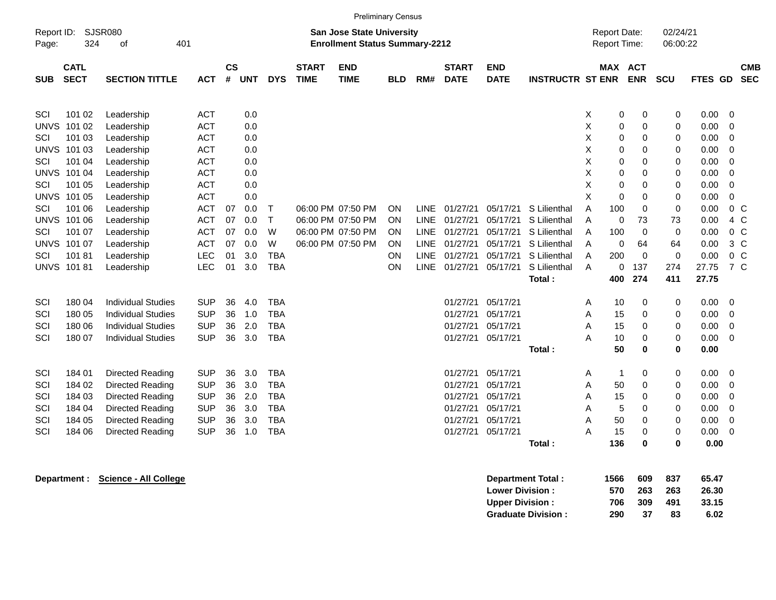|            | <b>Preliminary Census</b>  |                           |            |                             |            |            |                             |                                                                           |            |             |                             |                           |                         |                                     |                          |                      |         |                          |            |
|------------|----------------------------|---------------------------|------------|-----------------------------|------------|------------|-----------------------------|---------------------------------------------------------------------------|------------|-------------|-----------------------------|---------------------------|-------------------------|-------------------------------------|--------------------------|----------------------|---------|--------------------------|------------|
| Page:      | Report ID: SJSR080<br>324  | 401<br>of                 |            |                             |            |            |                             | <b>San Jose State University</b><br><b>Enrollment Status Summary-2212</b> |            |             |                             |                           |                         | <b>Report Date:</b><br>Report Time: |                          | 02/24/21<br>06:00:22 |         |                          |            |
| <b>SUB</b> | <b>CATL</b><br><b>SECT</b> | <b>SECTION TITTLE</b>     | <b>ACT</b> | $\mathsf{cs}$<br>$\pmb{\#}$ | <b>UNT</b> | <b>DYS</b> | <b>START</b><br><b>TIME</b> | <b>END</b><br><b>TIME</b>                                                 | <b>BLD</b> | RM#         | <b>START</b><br><b>DATE</b> | <b>END</b><br><b>DATE</b> | <b>INSTRUCTR ST ENR</b> |                                     | MAX ACT<br><b>ENR</b>    | <b>SCU</b>           | FTES GD | <b>SEC</b>               | <b>CMB</b> |
| SCI        | 101 02                     | Leadership                | <b>ACT</b> |                             | 0.0        |            |                             |                                                                           |            |             |                             |                           |                         | X                                   | $\pmb{0}$<br>$\mathbf 0$ | 0                    | 0.00    | $\overline{\phantom{0}}$ |            |
|            | <b>UNVS 101 02</b>         | Leadership                | <b>ACT</b> |                             | 0.0        |            |                             |                                                                           |            |             |                             |                           |                         | X                                   | 0<br>0                   | 0                    | 0.00    | $\mathbf 0$              |            |
| SCI        | 101 03                     | <b>ACT</b>                |            | 0.0                         |            |            |                             |                                                                           |            |             |                             |                           | X                       | 0<br>$\mathbf 0$                    | 0                        | 0.00                 | 0       |                          |            |
|            | <b>UNVS 101 03</b>         | Leadership                | <b>ACT</b> |                             | 0.0        |            |                             |                                                                           |            |             |                             |                           |                         | X                                   | 0<br>$\mathbf 0$         | 0                    | 0.00    | $\overline{\phantom{0}}$ |            |
| SCI        | 101 04                     | Leadership                | <b>ACT</b> |                             | 0.0        |            |                             |                                                                           |            |             |                             |                           |                         | X                                   | $\Omega$<br>0            | 0                    | 0.00    | $\overline{0}$           |            |
|            | <b>UNVS 101 04</b>         | Leadership                | <b>ACT</b> |                             | 0.0        |            |                             |                                                                           |            |             |                             |                           |                         | X                                   | $\pmb{0}$<br>$\mathbf 0$ | 0                    | 0.00    | $\overline{0}$           |            |
| SCI        | 101 05                     | Leadership                | <b>ACT</b> |                             | 0.0        |            |                             |                                                                           |            |             |                             |                           |                         | Χ                                   | $\pmb{0}$<br>$\mathbf 0$ | 0                    | 0.00    | $\mathbf 0$              |            |
|            | <b>UNVS 101 05</b>         | Leadership                | <b>ACT</b> |                             | 0.0        |            |                             |                                                                           |            |             |                             |                           |                         | X                                   | 0<br>$\mathbf 0$         | 0                    | 0.00    | $\overline{0}$           |            |
| SCI        | 101 06                     | Leadership                | <b>ACT</b> | 07                          | 0.0        | $\top$     |                             | 06:00 PM 07:50 PM                                                         | ON         | <b>LINE</b> | 01/27/21                    | 05/17/21                  | S Lilienthal            | A<br>100                            | $\mathbf 0$              | 0                    | 0.00    | $0\,C$                   |            |
|            | <b>UNVS 101 06</b>         | Leadership                | <b>ACT</b> | 07                          | 0.0        | $\top$     |                             | 06:00 PM 07:50 PM                                                         | ON         | <b>LINE</b> | 01/27/21                    | 05/17/21                  | S Lilienthal            | A                                   | 73<br>$\mathbf 0$        | 73                   | 0.00    | 4 C                      |            |
| SCI        | 101 07                     | Leadership                | <b>ACT</b> | 07                          | 0.0        | W          |                             | 06:00 PM 07:50 PM                                                         | ON         | <b>LINE</b> | 01/27/21                    | 05/17/21                  | S Lilienthal            | A<br>100                            | 0                        | 0                    | 0.00    | $0\,C$                   |            |
|            | <b>UNVS 101 07</b>         | Leadership                | <b>ACT</b> | 07                          | 0.0        | W          |                             | 06:00 PM 07:50 PM                                                         | ΟN         | <b>LINE</b> | 01/27/21                    | 05/17/21                  | S Lilienthal            | A                                   | 0<br>64                  | 64                   | 0.00    | $3\,C$                   |            |
| SCI        | 10181                      | Leadership                | <b>LEC</b> | 01                          | 3.0        | <b>TBA</b> |                             |                                                                           | ON         | <b>LINE</b> | 01/27/21                    | 05/17/21                  | S Lilienthal            | A<br>200                            | $\Omega$                 | $\mathbf 0$          | 0.00    | 0 <sup>o</sup>           |            |
|            | <b>UNVS 101 81</b>         | Leadership                | <b>LEC</b> | 01                          | 3.0        | <b>TBA</b> |                             |                                                                           | ON         | <b>LINE</b> | 01/27/21                    | 05/17/21                  | S Lilienthal            | A                                   | 137<br>0                 | 274                  | 27.75   | 7 C                      |            |
|            |                            |                           |            |                             |            |            |                             |                                                                           |            |             |                             |                           | Total:                  | 400                                 | 274                      | 411                  | 27.75   |                          |            |
| SCI        | 180 04                     | <b>Individual Studies</b> | <b>SUP</b> | 36                          | 4.0        | <b>TBA</b> |                             |                                                                           |            |             | 01/27/21                    | 05/17/21                  |                         | 10<br>Α                             | 0                        | 0                    | 0.00    | $\overline{\mathbf{0}}$  |            |
| SCI        | 180 05                     | <b>Individual Studies</b> | <b>SUP</b> | 36                          | 1.0        | <b>TBA</b> |                             |                                                                           |            |             | 01/27/21                    | 05/17/21                  |                         | A<br>15                             | $\mathbf 0$              | $\mathbf 0$          | 0.00    | $\overline{\mathbf{0}}$  |            |
| SCI        | 180 06                     | <b>Individual Studies</b> | <b>SUP</b> | 36                          | 2.0        | <b>TBA</b> |                             |                                                                           |            |             | 01/27/21                    | 05/17/21                  |                         | A<br>15                             | $\mathbf 0$              | 0                    | 0.00    | $\overline{0}$           |            |
| SCI        | 180 07                     | <b>Individual Studies</b> | <b>SUP</b> | 36                          | 3.0        | <b>TBA</b> |                             |                                                                           |            |             |                             | 01/27/21 05/17/21         |                         | A<br>10                             | 0                        | 0                    | 0.00    | $\overline{0}$           |            |
|            |                            |                           |            |                             |            |            |                             |                                                                           |            |             |                             |                           | Total:                  | 50                                  | 0                        | 0                    | 0.00    |                          |            |
| SCI        | 184 01                     | <b>Directed Reading</b>   | <b>SUP</b> | 36                          | 3.0        | <b>TBA</b> |                             |                                                                           |            |             | 01/27/21                    | 05/17/21                  |                         | Α                                   | $\mathbf{1}$<br>0        | 0                    | 0.00    | $\overline{\phantom{0}}$ |            |
| SCI        | 184 02                     | Directed Reading          | <b>SUP</b> | 36                          | 3.0        | <b>TBA</b> |                             |                                                                           |            |             | 01/27/21                    | 05/17/21                  |                         | Α<br>50                             | $\mathbf 0$              | 0                    | 0.00    | $\overline{0}$           |            |
| SCI        | 184 03                     | Directed Reading          | <b>SUP</b> | 36                          | 2.0        | <b>TBA</b> |                             |                                                                           |            |             | 01/27/21                    | 05/17/21                  |                         | Α<br>15                             | $\mathbf 0$              | 0                    | 0.00    | $\overline{0}$           |            |
| SCI        | 184 04                     | Directed Reading          | <b>SUP</b> | 36                          | 3.0        | <b>TBA</b> |                             |                                                                           |            |             | 01/27/21                    | 05/17/21                  |                         | Α                                   | 5<br>0                   | 0                    | 0.00    | $\overline{\phantom{0}}$ |            |
| SCI        | 184 05                     | <b>Directed Reading</b>   | <b>SUP</b> | 36                          | 3.0        | <b>TBA</b> |                             |                                                                           |            |             | 01/27/21                    | 05/17/21                  |                         | 50<br>A                             | $\mathbf 0$              | $\mathbf 0$          | 0.00    | $\overline{0}$           |            |
| SCI        | 184 06                     | Directed Reading          | <b>SUP</b> | 36                          | 1.0        | <b>TBA</b> |                             |                                                                           |            |             | 01/27/21                    | 05/17/21                  |                         | A<br>15                             | $\mathbf 0$              | $\mathbf 0$          | 0.00    | $\overline{0}$           |            |
|            |                            |                           |            |                             |            |            |                             |                                                                           |            |             |                             |                           | Total:                  | 136                                 | $\bf{0}$                 | $\bf{0}$             | 0.00    |                          |            |
|            |                            |                           |            |                             |            |            |                             |                                                                           |            |             |                             |                           |                         |                                     |                          |                      |         |                          |            |

| Department : | <b>Science - All College</b> | Department Total:         | 1566 | 609 | 837 | 65.47 |
|--------------|------------------------------|---------------------------|------|-----|-----|-------|
|              |                              | <b>Lower Division:</b>    | 570  | 263 | 263 | 26.30 |
|              |                              | <b>Upper Division:</b>    | 706  | 309 | 491 | 33.15 |
|              |                              | <b>Graduate Division:</b> | 290  | 37  | 83  | 6.02  |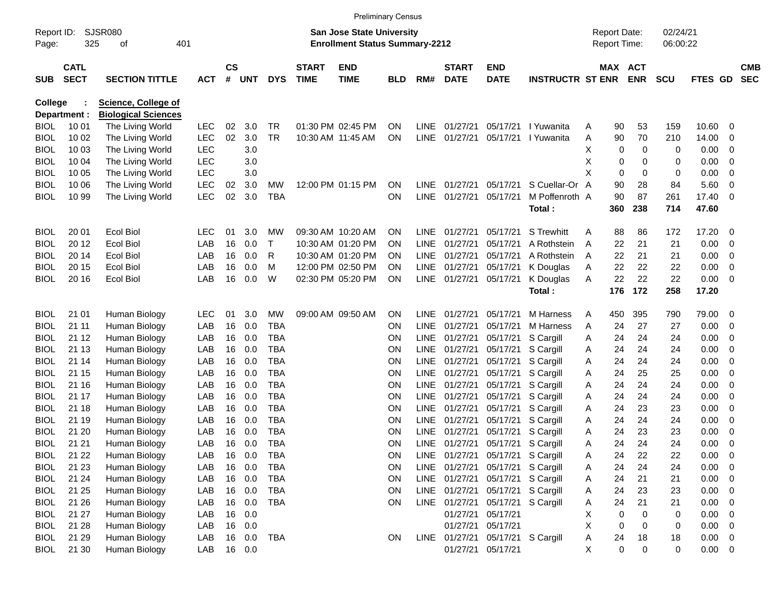|                            |                            |                                |                   |                    |            |                  |                             |                                                                           | <b>Preliminary Census</b> |                |                             |                                  |                         |        |                                     |            |                      |               |                          |                          |
|----------------------------|----------------------------|--------------------------------|-------------------|--------------------|------------|------------------|-----------------------------|---------------------------------------------------------------------------|---------------------------|----------------|-----------------------------|----------------------------------|-------------------------|--------|-------------------------------------|------------|----------------------|---------------|--------------------------|--------------------------|
| Report ID:<br>Page:        | 325                        | <b>SJSR080</b><br>401<br>οf    |                   |                    |            |                  |                             | <b>San Jose State University</b><br><b>Enrollment Status Summary-2212</b> |                           |                |                             |                                  |                         |        | <b>Report Date:</b><br>Report Time: |            | 02/24/21<br>06:00:22 |               |                          |                          |
| <b>SUB</b>                 | <b>CATL</b><br><b>SECT</b> | <b>SECTION TITTLE</b>          | <b>ACT</b>        | $\mathsf{cs}$<br># | <b>UNT</b> | <b>DYS</b>       | <b>START</b><br><b>TIME</b> | <b>END</b><br><b>TIME</b>                                                 | <b>BLD</b>                | RM#            | <b>START</b><br><b>DATE</b> | <b>END</b><br><b>DATE</b>        | <b>INSTRUCTR ST ENR</b> |        | MAX ACT                             | <b>ENR</b> | <b>SCU</b>           | FTES GD       |                          | <b>CMB</b><br><b>SEC</b> |
| <b>College</b>             |                            | <b>Science, College of</b>     |                   |                    |            |                  |                             |                                                                           |                           |                |                             |                                  |                         |        |                                     |            |                      |               |                          |                          |
|                            | Department :               | <b>Biological Sciences</b>     |                   |                    |            |                  |                             |                                                                           |                           |                |                             |                                  |                         |        |                                     |            |                      |               |                          |                          |
| <b>BIOL</b>                | 10 01                      | The Living World               | <b>LEC</b>        | 02                 | 3.0        | TR               |                             | 01:30 PM 02:45 PM                                                         | <b>ON</b>                 | <b>LINE</b>    | 01/27/21                    | 05/17/21                         | I Yuwanita              | Α      | 90                                  | 53         | 159                  | 10.60         | 0                        |                          |
| <b>BIOL</b>                | 10 02                      | The Living World               | <b>LEC</b>        | 02                 | 3.0        | <b>TR</b>        |                             | 10:30 AM 11:45 AM                                                         | ON                        | <b>LINE</b>    | 01/27/21                    | 05/17/21                         | I Yuwanita              | Α      | 90                                  | 70         | 210                  | 14.00         | 0                        |                          |
| <b>BIOL</b>                | 10 03                      | The Living World               | <b>LEC</b>        |                    | 3.0        |                  |                             |                                                                           |                           |                |                             |                                  |                         | х      | 0                                   | 0          | 0                    | 0.00          | 0                        |                          |
| <b>BIOL</b>                | 10 04                      | The Living World               | <b>LEC</b>        |                    | 3.0        |                  |                             |                                                                           |                           |                |                             |                                  |                         | х      | 0                                   | 0          | 0                    | 0.00          | 0                        |                          |
| <b>BIOL</b>                | 10 05                      | The Living World               | <b>LEC</b>        |                    | 3.0        |                  |                             |                                                                           |                           |                |                             |                                  |                         | X      | 0                                   | 0          | 0                    | 0.00          | 0                        |                          |
| <b>BIOL</b>                | 10 06                      | The Living World               | <b>LEC</b>        | 02                 | 3.0        | МW               |                             | 12:00 PM 01:15 PM                                                         | ON                        | <b>LINE</b>    | 01/27/21                    | 05/17/21                         | S Cuellar-Or A          |        | 90                                  | 28         | 84                   | 5.60          | 0                        |                          |
| BIOL                       | 10 99                      | The Living World               | <b>LEC</b>        | 02                 | 3.0        | <b>TBA</b>       |                             |                                                                           | <b>ON</b>                 | <b>LINE</b>    | 01/27/21                    | 05/17/21                         | M Poffenroth A          |        | 90                                  | 87         | 261                  | 17.40         | - 0                      |                          |
|                            |                            |                                |                   |                    |            |                  |                             |                                                                           |                           |                |                             |                                  | Total:                  |        | 360                                 | 238        | 714                  | 47.60         |                          |                          |
| <b>BIOL</b>                | 20 01                      | <b>Ecol Biol</b>               | LEC               | 01                 | 3.0        | МW               |                             | 09:30 AM 10:20 AM                                                         | <b>ON</b>                 | LINE.          | 01/27/21                    | 05/17/21                         | <b>S</b> Trewhitt       | Α      | 88                                  | 86         | 172                  | 17.20         | - 0                      |                          |
| <b>BIOL</b>                | 20 12                      | Ecol Biol                      | LAB               | 16                 | 0.0        | т                |                             | 10:30 AM 01:20 PM                                                         | <b>ON</b>                 | LINE.          | 01/27/21                    | 05/17/21                         | A Rothstein             | A      | 22                                  | 21         | 21                   | 0.00          | 0                        |                          |
| <b>BIOL</b>                | 20 14                      | <b>Ecol Biol</b>               | LAB               | 16                 | 0.0        | R                |                             | 10:30 AM 01:20 PM                                                         | <b>ON</b>                 | <b>LINE</b>    | 01/27/21                    | 05/17/21                         | A Rothstein             | A      | 22                                  | 21         | 21                   | 0.00          | 0                        |                          |
| BIOL                       | 20 15                      | <b>Ecol Biol</b>               | LAB               | 16                 | 0.0        | м                |                             | 12:00 PM 02:50 PM                                                         | <b>ON</b>                 | <b>LINE</b>    | 01/27/21                    | 05/17/21                         | K Douglas               | Α      | 22                                  | 22         | 22                   | 0.00          | 0                        |                          |
| BIOL                       | 20 16                      | <b>Ecol Biol</b>               | LAB               | 16                 | 0.0        | W                |                             | 02:30 PM 05:20 PM                                                         | ON                        |                | LINE 01/27/21               | 05/17/21                         | K Douglas               | A      | 22                                  | 22         | 22                   | 0.00          | - 0                      |                          |
|                            |                            |                                |                   |                    |            |                  |                             |                                                                           |                           |                |                             |                                  | Total:                  |        | 176                                 | 172        | 258                  | 17.20         |                          |                          |
|                            |                            |                                |                   |                    |            |                  |                             |                                                                           |                           |                |                             |                                  |                         |        |                                     |            |                      |               |                          |                          |
| <b>BIOL</b><br><b>BIOL</b> | 21 01<br>21 11             | Human Biology<br>Human Biology | <b>LEC</b><br>LAB | 01<br>16           | 3.0<br>0.0 | МW<br><b>TBA</b> |                             | 09:00 AM 09:50 AM                                                         | ON<br><b>ON</b>           | LINE.<br>LINE. | 01/27/21<br>01/27/21        | 05/17/21<br>05/17/21             | M Harness<br>M Harness  | Α<br>Α | 450<br>24                           | 395<br>27  | 790<br>27            | 79.00<br>0.00 | - 0<br>0                 |                          |
| <b>BIOL</b>                | 21 12                      | Human Biology                  | LAB               | 16                 | 0.0        | <b>TBA</b>       |                             |                                                                           | ON                        | <b>LINE</b>    | 01/27/21                    | 05/17/21                         | S Cargill               | Α      | 24                                  | 24         | 24                   | 0.00          | 0                        |                          |
| <b>BIOL</b>                | 21 13                      | Human Biology                  | LAB               | 16                 | 0.0        | <b>TBA</b>       |                             |                                                                           | ON                        | <b>LINE</b>    | 01/27/21                    | 05/17/21                         | S Cargill               | Α      | 24                                  | 24         | 24                   | 0.00          | 0                        |                          |
| <b>BIOL</b>                | 21 14                      | Human Biology                  | LAB               | 16                 | 0.0        | <b>TBA</b>       |                             |                                                                           | ON                        | <b>LINE</b>    | 01/27/21                    | 05/17/21                         | S Cargill               | Α      | 24                                  | 24         | 24                   | 0.00          | 0                        |                          |
| <b>BIOL</b>                | 21 15                      | Human Biology                  | LAB               | 16                 | 0.0        | <b>TBA</b>       |                             |                                                                           | ON                        | <b>LINE</b>    | 01/27/21                    | 05/17/21                         | S Cargill               | Α      | 24                                  | 25         | 25                   | 0.00          | 0                        |                          |
| <b>BIOL</b>                | 21 16                      | Human Biology                  | LAB               | 16                 | 0.0        | <b>TBA</b>       |                             |                                                                           | ON                        | <b>LINE</b>    | 01/27/21                    | 05/17/21                         | S Cargill               | Α      | 24                                  | 24         | 24                   | 0.00          | 0                        |                          |
| <b>BIOL</b>                | 21 17                      | Human Biology                  | LAB               | 16                 | 0.0        | <b>TBA</b>       |                             |                                                                           | ON                        | <b>LINE</b>    | 01/27/21                    | 05/17/21                         | S Cargill               | Α      | 24                                  | 24         | 24                   | 0.00          | 0                        |                          |
| <b>BIOL</b>                | 21 18                      | Human Biology                  | LAB               | 16                 | 0.0        | <b>TBA</b>       |                             |                                                                           | ON                        | <b>LINE</b>    | 01/27/21                    | 05/17/21                         | S Cargill               | Α      | 24                                  | 23         | 23                   | 0.00          | 0                        |                          |
| <b>BIOL</b>                | 21 19                      | Human Biology                  | LAB               | 16                 | 0.0        | <b>TBA</b>       |                             |                                                                           | ON                        | <b>LINE</b>    | 01/27/21                    | 05/17/21                         | S Cargill               | Α      | 24                                  | 24         | 24                   | 0.00          | 0                        |                          |
| BIOL                       | 21 20                      | Human Biology                  | LAB               | 16                 | 0.0        | <b>TBA</b>       |                             |                                                                           | ON                        | <b>LINE</b>    | 01/27/21                    | 05/17/21                         | S Cargill               | A      | 24                                  | 23         | 23                   | 0.00          | 0                        |                          |
| BIOL                       | 21 21                      | Human Biology                  | LAB               | 16                 | 0.0        | <b>TBA</b>       |                             |                                                                           | <b>ON</b>                 |                | LINE 01/27/21               |                                  | 05/17/21 S Cargill      | A      | 24                                  | 24         | 24                   | 0.00          | 0                        |                          |
| <b>BIOL</b>                | 21 22                      | Human Biology                  | LAB               |                    | 16 0.0     | <b>TBA</b>       |                             |                                                                           | ON                        |                |                             | LINE 01/27/21 05/17/21 S Cargill |                         | A      | 24                                  | 22         | 22                   | 0.00          | $\overline{\mathbf{0}}$  |                          |
| <b>BIOL</b>                | 21 23                      | Human Biology                  | LAB               |                    | 16 0.0     | <b>TBA</b>       |                             |                                                                           | ON                        |                |                             | LINE 01/27/21 05/17/21 S Cargill |                         | A      | 24                                  | 24         | 24                   | 0.00          | $\overline{\phantom{0}}$ |                          |
| <b>BIOL</b>                | 21 24                      | Human Biology                  | LAB               |                    | 16 0.0     | <b>TBA</b>       |                             |                                                                           | ON                        |                |                             | LINE 01/27/21 05/17/21 S Cargill |                         | A      | 24                                  | 21         | 21                   | $0.00 \t 0$   |                          |                          |
| <b>BIOL</b>                | 21 25                      | Human Biology                  | LAB               |                    | 16 0.0     | <b>TBA</b>       |                             |                                                                           | ON                        |                |                             | LINE 01/27/21 05/17/21 S Cargill |                         | A      | 24                                  | 23         | 23                   | $0.00 \t 0$   |                          |                          |
| <b>BIOL</b>                | 21 26                      | Human Biology                  | LAB               |                    | 16 0.0     | <b>TBA</b>       |                             |                                                                           | ON                        |                |                             | LINE 01/27/21 05/17/21 S Cargill |                         | A      | 24                                  | 21         | 21                   | $0.00 \t 0$   |                          |                          |
| <b>BIOL</b>                | 21 27                      | Human Biology                  | LAB               |                    | 16 0.0     |                  |                             |                                                                           |                           |                | 01/27/21                    | 05/17/21                         |                         | X      | $\mathbf 0$                         | $\Omega$   | 0                    | $0.00 \t 0$   |                          |                          |
| <b>BIOL</b>                | 21 28                      | Human Biology                  | LAB               |                    | 16 0.0     |                  |                             |                                                                           |                           |                | 01/27/21                    | 05/17/21                         |                         | Χ      | $\mathbf 0$                         | $\Omega$   | 0                    | $0.00 \t 0$   |                          |                          |
| <b>BIOL</b>                | 21 29                      | Human Biology                  | LAB               |                    | 16 0.0     | TBA              |                             |                                                                           | ON                        |                |                             | LINE 01/27/21 05/17/21 S Cargill |                         | A      | 24                                  | 18         | 18                   | $0.00 \t 0$   |                          |                          |
| <b>BIOL</b>                | 21 30                      | Human Biology                  | LAB               |                    | 16 0.0     |                  |                             |                                                                           |                           |                | 01/27/21                    | 05/17/21                         |                         | X      | $\mathbf 0$                         | 0          | 0                    | $0.00 \t 0$   |                          |                          |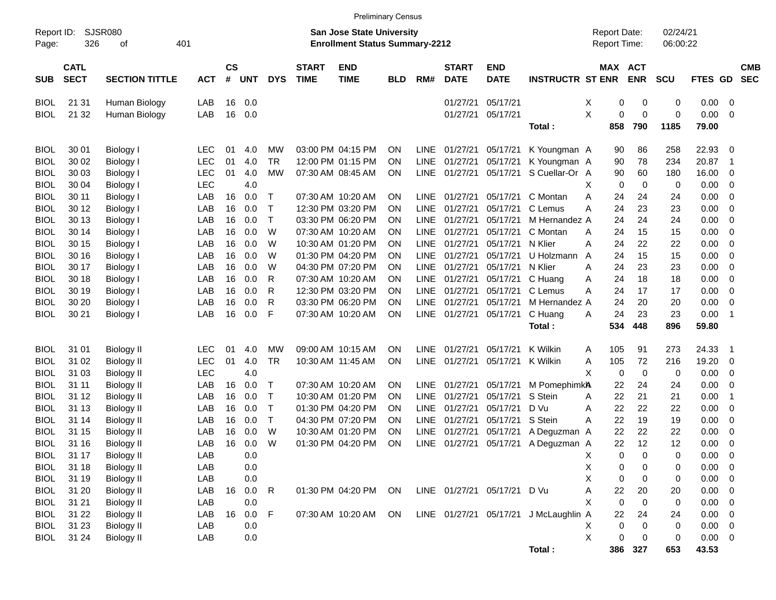|             |                                                                                                                        | <b>Preliminary Census</b> |            |                    |            |              |                             |                           |            |             |                             |                             |                                       |                                     |                       |                            |             |                            |                          |
|-------------|------------------------------------------------------------------------------------------------------------------------|---------------------------|------------|--------------------|------------|--------------|-----------------------------|---------------------------|------------|-------------|-----------------------------|-----------------------------|---------------------------------------|-------------------------------------|-----------------------|----------------------------|-------------|----------------------------|--------------------------|
| Page:       | SJSR080<br><b>San Jose State University</b><br>Report ID:<br>326<br>401<br><b>Enrollment Status Summary-2212</b><br>οf |                           |            |                    |            |              |                             |                           |            |             |                             |                             |                                       | <b>Report Date:</b><br>Report Time: |                       | 02/24/21<br>06:00:22       |             |                            |                          |
| <b>SUB</b>  | <b>CATL</b><br><b>SECT</b>                                                                                             | <b>SECTION TITTLE</b>     | <b>ACT</b> | $\mathsf{cs}$<br># | <b>UNT</b> | <b>DYS</b>   | <b>START</b><br><b>TIME</b> | <b>END</b><br><b>TIME</b> | <b>BLD</b> | RM#         | <b>START</b><br><b>DATE</b> | <b>END</b><br><b>DATE</b>   | <b>INSTRUCTR ST ENR</b>               |                                     | MAX ACT<br><b>ENR</b> | <b>SCU</b>                 | FTES GD     |                            | <b>CMB</b><br><b>SEC</b> |
| <b>BIOL</b> | 21 31                                                                                                                  | Human Biology             | LAB        | 16                 | 0.0        |              |                             |                           |            |             | 01/27/21                    | 05/17/21                    |                                       | X                                   | 0                     | 0<br>0                     | 0.00        | $\overline{0}$             |                          |
| <b>BIOL</b> | 21 32                                                                                                                  | Human Biology             | LAB        | 16                 | 0.0        |              |                             |                           |            |             | 01/27/21                    | 05/17/21                    |                                       | X                                   | 0                     | $\mathbf 0$<br>$\mathbf 0$ | 0.00        | 0                          |                          |
|             |                                                                                                                        |                           |            |                    |            |              |                             |                           |            |             |                             |                             | Total:                                |                                     | 858                   | 790<br>1185                | 79.00       |                            |                          |
| <b>BIOL</b> | 30 01                                                                                                                  | Biology I                 | <b>LEC</b> | 01                 | 4.0        | MW           |                             | 03:00 PM 04:15 PM         | <b>ON</b>  | LINE        | 01/27/21                    | 05/17/21                    | K Youngman A                          |                                     | 90                    | 86<br>258                  | 22.93       | $\overline{0}$             |                          |
| <b>BIOL</b> | 30 02                                                                                                                  | <b>Biology I</b>          | <b>LEC</b> | 01                 | 4.0        | <b>TR</b>    |                             | 12:00 PM 01:15 PM         | <b>ON</b>  | <b>LINE</b> | 01/27/21                    | 05/17/21                    | K Youngman A                          |                                     | 90                    | 78<br>234                  | 20.87       | $\overline{1}$             |                          |
| <b>BIOL</b> | 30 03                                                                                                                  | <b>Biology I</b>          | <b>LEC</b> | 01                 | 4.0        | <b>MW</b>    |                             | 07:30 AM 08:45 AM         | <b>ON</b>  | LINE        | 01/27/21                    | 05/17/21                    | S Cuellar-Or A                        |                                     | 90                    | 60<br>180                  | 16.00       | 0                          |                          |
| <b>BIOL</b> | 30 04                                                                                                                  | Biology I                 | <b>LEC</b> |                    | 4.0        |              |                             |                           |            |             |                             |                             |                                       | X                                   | $\mathbf 0$           | $\mathbf 0$<br>0           | 0.00        | 0                          |                          |
| <b>BIOL</b> | 30 11                                                                                                                  | Biology I                 | LAB        | 16                 | 0.0        | Т            |                             | 07:30 AM 10:20 AM         | <b>ON</b>  | <b>LINE</b> | 01/27/21                    | 05/17/21                    | C Montan                              | Α                                   | 24                    | 24<br>24                   | 0.00        | 0                          |                          |
| <b>BIOL</b> | 30 12                                                                                                                  | Biology I                 | LAB        | 16                 | 0.0        | Т            |                             | 12:30 PM 03:20 PM         | <b>ON</b>  | <b>LINE</b> | 01/27/21                    | 05/17/21                    | C Lemus                               | Α                                   | 24                    | 23<br>23                   | 0.00        | 0                          |                          |
| <b>BIOL</b> | 30 13                                                                                                                  | Biology I                 | LAB        | 16                 | 0.0        | $\mathsf{T}$ |                             | 03:30 PM 06:20 PM         | <b>ON</b>  | <b>LINE</b> | 01/27/21                    | 05/17/21                    | M Hernandez A                         |                                     | 24                    | 24<br>24                   | 0.00        | 0                          |                          |
| <b>BIOL</b> | 30 14                                                                                                                  | Biology I                 | LAB        | 16                 | 0.0        | W            |                             | 07:30 AM 10:20 AM         | <b>ON</b>  | <b>LINE</b> | 01/27/21                    | 05/17/21                    | C Montan                              | A                                   | 24                    | 15<br>15                   | 0.00        | 0                          |                          |
| <b>BIOL</b> | 30 15                                                                                                                  | Biology I                 | LAB        | 16                 | 0.0        | W            |                             | 10:30 AM 01:20 PM         | <b>ON</b>  | <b>LINE</b> | 01/27/21                    | 05/17/21                    | N Klier                               | Α                                   | 24                    | 22<br>22                   | 0.00        | 0                          |                          |
| <b>BIOL</b> | 30 16                                                                                                                  | Biology I                 | LAB        | 16                 | 0.0        | W            |                             | 01:30 PM 04:20 PM         | <b>ON</b>  | <b>LINE</b> | 01/27/21                    | 05/17/21                    | U Holzmann                            | A                                   | 24                    | 15<br>15                   | 0.00        | 0                          |                          |
| <b>BIOL</b> | 30 17                                                                                                                  | Biology I                 | LAB        | 16                 | 0.0        | W            |                             | 04:30 PM 07:20 PM         | <b>ON</b>  | LINE        | 01/27/21                    | 05/17/21                    | N Klier                               | A                                   | 24                    | 23<br>23                   | 0.00        | 0                          |                          |
| <b>BIOL</b> | 30 18                                                                                                                  | Biology I                 | LAB        | 16                 | 0.0        | R            |                             | 07:30 AM 10:20 AM         | <b>ON</b>  | LINE        | 01/27/21                    | 05/17/21                    | C Huang                               | Α                                   | 24                    | 18<br>18                   | 0.00        | 0                          |                          |
| <b>BIOL</b> | 30 19                                                                                                                  | Biology I                 | LAB        | 16                 | 0.0        | R            |                             | 12:30 PM 03:20 PM         | <b>ON</b>  | <b>LINE</b> | 01/27/21                    | 05/17/21                    | C Lemus                               | Α                                   | 24                    | 17<br>17                   | 0.00        | 0                          |                          |
| <b>BIOL</b> | 30 20                                                                                                                  | Biology I                 | LAB        | 16                 | 0.0        | R            |                             | 03:30 PM 06:20 PM         | <b>ON</b>  | <b>LINE</b> | 01/27/21                    | 05/17/21                    | M Hernandez A                         |                                     | 24                    | 20<br>20                   | 0.00        | $\mathbf 0$                |                          |
| <b>BIOL</b> | 30 21                                                                                                                  | Biology I                 | LAB        | 16                 | 0.0        | F            |                             | 07:30 AM 10:20 AM         | <b>ON</b>  | LINE        | 01/27/21                    | 05/17/21                    | C Huang                               | Α                                   | 24                    | 23<br>23                   | 0.00        | $\overline{\phantom{0}}$   |                          |
|             |                                                                                                                        |                           |            |                    |            |              |                             |                           |            |             |                             |                             | Total:                                |                                     | 534                   | 448<br>896                 | 59.80       |                            |                          |
| <b>BIOL</b> | 31 01                                                                                                                  | <b>Biology II</b>         | <b>LEC</b> | 01                 | 4.0        | MW           |                             | 09:00 AM 10:15 AM         | <b>ON</b>  | LINE        | 01/27/21                    | 05/17/21                    | K Wilkin                              | A                                   | 105                   | 91<br>273                  | 24.33       | $\overline{\phantom{0}}$ 1 |                          |
| <b>BIOL</b> | 31 02                                                                                                                  | <b>Biology II</b>         | <b>LEC</b> | 01                 | 4.0        | <b>TR</b>    |                             | 10:30 AM 11:45 AM         | ON         | <b>LINE</b> | 01/27/21                    | 05/17/21                    | K Wilkin                              | A                                   | 105                   | 72<br>216                  | 19.20       | $\overline{0}$             |                          |
| <b>BIOL</b> | 31 03                                                                                                                  | <b>Biology II</b>         | <b>LEC</b> |                    | 4.0        |              |                             |                           |            |             |                             |                             |                                       | X                                   | 0                     | $\mathbf 0$<br>0           | 0.00        | 0                          |                          |
| <b>BIOL</b> | 31 11                                                                                                                  | Biology II                | LAB        | 16                 | 0.0        | Т            |                             | 07:30 AM 10:20 AM         | <b>ON</b>  | <b>LINE</b> | 01/27/21                    | 05/17/21                    | M PomephimkA                          |                                     | 22                    | 24<br>24                   | 0.00        | 0                          |                          |
| <b>BIOL</b> | 31 12                                                                                                                  | Biology II                | LAB        | 16                 | 0.0        | Т            |                             | 10:30 AM 01:20 PM         | <b>ON</b>  | <b>LINE</b> | 01/27/21                    | 05/17/21                    | S Stein                               | A                                   | 22                    | 21<br>21                   | 0.00        | -1                         |                          |
| <b>BIOL</b> | 31 13                                                                                                                  | Biology II                | LAB        | 16                 | 0.0        | Т            |                             | 01:30 PM 04:20 PM         | <b>ON</b>  | <b>LINE</b> | 01/27/21                    | 05/17/21                    | D Vu                                  | Α                                   | 22                    | 22<br>22                   | 0.00        | 0                          |                          |
| <b>BIOL</b> | 31 14                                                                                                                  | Biology II                | LAB        | 16                 | 0.0        | Т            |                             | 04:30 PM 07:20 PM         | <b>ON</b>  | LINE        | 01/27/21                    | 05/17/21                    | S Stein                               | Α                                   | 22                    | 19<br>19                   | 0.00        | 0                          |                          |
| <b>BIOL</b> | 31 15                                                                                                                  | Biology II                | LAB        | 16                 | 0.0        | W            |                             | 10:30 AM 01:20 PM         | ON         | <b>LINE</b> | 01/27/21                    | 05/17/21                    | A Deguzman A                          |                                     | 22                    | 22<br>22                   | 0.00        | 0                          |                          |
| <b>BIOL</b> | 31 16                                                                                                                  | <b>Biology II</b>         | LAB        | 16                 | 0.0        | W            |                             | 01:30 PM 04:20 PM         | ON         | LINE        | 01/27/21                    | 05/17/21                    | A Deguzman A                          |                                     | 22                    | 12<br>12                   | 0.00        | $\mathbf 0$                |                          |
| <b>BIOL</b> | 31 17                                                                                                                  | <b>Biology II</b>         | LAB        |                    | 0.0        |              |                             |                           |            |             |                             |                             |                                       | Χ                                   | 0                     | 0<br>0                     | 0.00        | $\overline{\mathbf{0}}$    |                          |
| <b>BIOL</b> | 31 18                                                                                                                  | <b>Biology II</b>         | LAB        |                    | 0.0        |              |                             |                           |            |             |                             |                             |                                       | X                                   | 0                     | 0<br>0                     | $0.00 \t 0$ |                            |                          |
| <b>BIOL</b> | 31 19                                                                                                                  | <b>Biology II</b>         | LAB        |                    | 0.0        |              |                             |                           |            |             |                             |                             |                                       | X                                   | $\mathbf 0$           | $\mathbf 0$<br>0           | $0.00 \t 0$ |                            |                          |
| <b>BIOL</b> | 31 20                                                                                                                  | <b>Biology II</b>         | LAB        | 16                 | 0.0        | $\mathsf{R}$ |                             | 01:30 PM 04:20 PM         | ON         |             |                             | LINE 01/27/21 05/17/21 D Vu |                                       | А                                   | 22                    | 20<br>20                   | $0.00 \t 0$ |                            |                          |
| <b>BIOL</b> | 31 21                                                                                                                  | <b>Biology II</b>         | LAB        |                    | 0.0        |              |                             |                           |            |             |                             |                             |                                       | X                                   | $\mathbf 0$           | $\mathbf 0$<br>0           | $0.00 \t 0$ |                            |                          |
| <b>BIOL</b> | 31 22                                                                                                                  | <b>Biology II</b>         | LAB        | 16                 | 0.0        | - F          |                             | 07:30 AM 10:20 AM         | ON         |             |                             |                             | LINE 01/27/21 05/17/21 J McLaughlin A |                                     | 22                    | 24<br>24                   | $0.00 \t 0$ |                            |                          |
| <b>BIOL</b> | 31 23                                                                                                                  | <b>Biology II</b>         | LAB        |                    | 0.0        |              |                             |                           |            |             |                             |                             |                                       | Χ                                   | $\mathbf 0$           | $\mathbf 0$<br>0           | $0.00 \t 0$ |                            |                          |
| <b>BIOL</b> | 31 24                                                                                                                  | <b>Biology II</b>         | LAB        |                    | 0.0        |              |                             |                           |            |             |                             |                             |                                       | X                                   | 0                     | $\mathbf 0$<br>$\mathbf 0$ | $0.00 \t 0$ |                            |                          |
|             |                                                                                                                        |                           |            |                    |            |              |                             |                           |            |             |                             |                             | Total:                                |                                     | 386 327               | 653                        | 43.53       |                            |                          |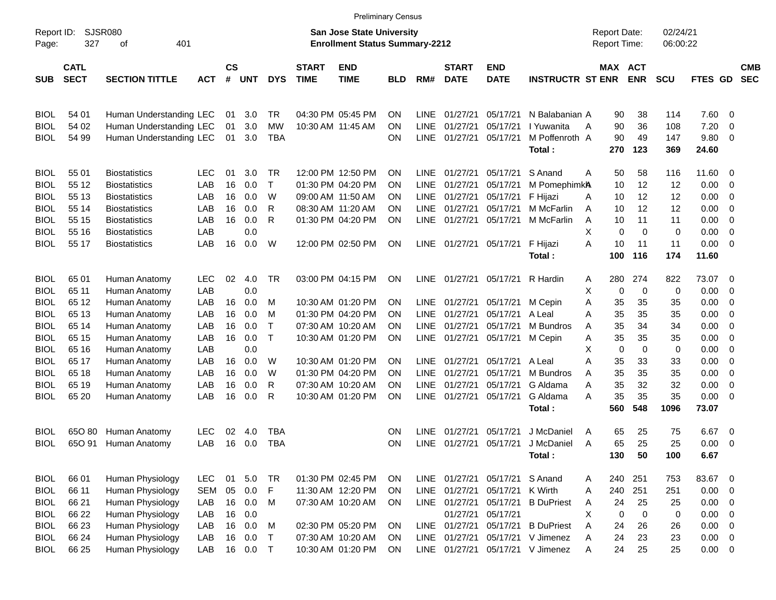|                     |                            |                         |            |                             |            |              |                             | <b>Preliminary Census</b>                                          |            |             |                             |                           |                          |                                     |                       |                      |                |                          |                          |
|---------------------|----------------------------|-------------------------|------------|-----------------------------|------------|--------------|-----------------------------|--------------------------------------------------------------------|------------|-------------|-----------------------------|---------------------------|--------------------------|-------------------------------------|-----------------------|----------------------|----------------|--------------------------|--------------------------|
| Report ID:<br>Page: | 327                        | SJSR080<br>401<br>οf    |            |                             |            |              |                             | San Jose State University<br><b>Enrollment Status Summary-2212</b> |            |             |                             |                           |                          | <b>Report Date:</b><br>Report Time: |                       | 02/24/21<br>06:00:22 |                |                          |                          |
| <b>SUB</b>          | <b>CATL</b><br><b>SECT</b> | <b>SECTION TITTLE</b>   | <b>ACT</b> | $\mathbf{c}\mathbf{s}$<br># | <b>UNT</b> | <b>DYS</b>   | <b>START</b><br><b>TIME</b> | <b>END</b><br><b>TIME</b>                                          | <b>BLD</b> | RM#         | <b>START</b><br><b>DATE</b> | <b>END</b><br><b>DATE</b> | <b>INSTRUCTR ST ENR</b>  |                                     | MAX ACT<br><b>ENR</b> | <b>SCU</b>           | <b>FTES GD</b> |                          | <b>CMB</b><br><b>SEC</b> |
| <b>BIOL</b>         | 54 01                      | Human Understanding LEC |            | 01                          | 3.0        | TR           |                             | 04:30 PM 05:45 PM                                                  | ΟN         | <b>LINE</b> | 01/27/21                    | 05/17/21                  | N Balabanian A           | 90                                  | 38                    | 114                  | 7.60           | - 0                      |                          |
| <b>BIOL</b>         | 54 02                      | Human Understanding LEC |            | 01                          | 3.0        | MW           |                             | 10:30 AM 11:45 AM                                                  | ΟN         | <b>LINE</b> | 01/27/21                    | 05/17/21                  | I Yuwanita               | 90<br>Α                             | 36                    | 108                  | 7.20           | 0                        |                          |
| <b>BIOL</b>         | 54 99                      | Human Understanding LEC |            | 01                          | 3.0        | TBA          |                             |                                                                    | ΟN         | <b>LINE</b> | 01/27/21                    | 05/17/21                  | M Poffenroth A<br>Total: | 90<br>270                           | 49<br>123             | 147<br>369           | 9.80<br>24.60  | - 0                      |                          |
| <b>BIOL</b>         | 55 01                      | Biostatistics           | LEC        | 01                          | 3.0        | TR           |                             | 12:00 PM 12:50 PM                                                  | ΟN         | <b>LINE</b> | 01/27/21                    | 05/17/21                  | S Anand                  | 50<br>Α                             | 58                    | 116                  | 11.60 0        |                          |                          |
| <b>BIOL</b>         | 55 12                      | <b>Biostatistics</b>    | LAB        | 16                          | 0.0        | $\mathsf{T}$ |                             | 01:30 PM 04:20 PM                                                  | ΟN         | <b>LINE</b> | 01/27/21                    | 05/17/21                  | M PomephimkA             | 10                                  | 12                    | 12                   | 0.00           | $\overline{\phantom{0}}$ |                          |
| <b>BIOL</b>         | 55 13                      | <b>Biostatistics</b>    | LAB        | 16                          | 0.0        | W            |                             | 09:00 AM 11:50 AM                                                  | ΟN         | <b>LINE</b> | 01/27/21                    | 05/17/21                  | F Hijazi                 | 10<br>A                             | 12                    | 12                   | 0.00           | $\overline{\mathbf{0}}$  |                          |
| <b>BIOL</b>         | 55 14                      | <b>Biostatistics</b>    | LAB        | 16                          | 0.0        | R            |                             | 08:30 AM 11:20 AM                                                  | ΟN         | <b>LINE</b> | 01/27/21                    | 05/17/21                  | M McFarlin               | 10<br>Α                             | 12                    | 12                   | 0.00           | $\overline{\mathbf{0}}$  |                          |
| <b>BIOL</b>         | 55 15                      | <b>Biostatistics</b>    | LAB        | 16                          | 0.0        | R            |                             | 01:30 PM 04:20 PM                                                  | ΟN         | <b>LINE</b> | 01/27/21                    | 05/17/21                  | M McFarlin               | Α<br>10                             | 11                    | 11                   | 0.00           | $\overline{\mathbf{0}}$  |                          |
| <b>BIOL</b>         | 55 16                      | <b>Biostatistics</b>    | LAB        |                             | 0.0        |              |                             |                                                                    |            |             |                             |                           |                          | X                                   | 0<br>0                | 0                    | 0.00           | $\overline{\mathbf{0}}$  |                          |
| <b>BIOL</b>         | 55 17                      | <b>Biostatistics</b>    | LAB        | 16                          | 0.0        | W            |                             | 12:00 PM 02:50 PM                                                  | ON         | LINE        |                             | 01/27/21 05/17/21         | F Hijazi                 | A<br>10                             | 11                    | 11                   | 0.00           | $\overline{\phantom{0}}$ |                          |
|                     |                            |                         |            |                             |            |              |                             |                                                                    |            |             |                             |                           | Total:                   | 100                                 | 116                   | 174                  | 11.60          |                          |                          |
| <b>BIOL</b>         | 65 01                      | Human Anatomy           | <b>LEC</b> | 02                          | 4.0        | <b>TR</b>    |                             | 03:00 PM 04:15 PM                                                  | ON         | <b>LINE</b> | 01/27/21                    | 05/17/21                  | R Hardin                 | 280<br>A                            | 274                   | 822                  | 73.07          | - 0                      |                          |
| <b>BIOL</b>         | 65 11                      | Human Anatomy           | LAB        |                             | 0.0        |              |                             |                                                                    |            |             |                             |                           |                          | х                                   | 0<br>0                | 0                    | 0.00           | $\overline{\mathbf{0}}$  |                          |
| <b>BIOL</b>         | 65 12                      | Human Anatomy           | LAB        | 16                          | 0.0        | м            |                             | 10:30 AM 01:20 PM                                                  | ΟN         | <b>LINE</b> | 01/27/21                    | 05/17/21                  | M Cepin                  | Α<br>35                             | 35                    | 35                   | 0.00           | $\overline{\mathbf{0}}$  |                          |
| <b>BIOL</b>         | 65 13                      | Human Anatomy           | LAB        | 16                          | 0.0        | м            |                             | 01:30 PM 04:20 PM                                                  | ΟN         | <b>LINE</b> | 01/27/21                    | 05/17/21                  | A Leal                   | Α<br>35                             | 35                    | 35                   | 0.00           | 0                        |                          |
| <b>BIOL</b>         | 65 14                      | Human Anatomy           | LAB        | 16                          | 0.0        | $\top$       |                             | 07:30 AM 10:20 AM                                                  | ΟN         | LINE.       | 01/27/21                    | 05/17/21                  | M Bundros                | 35<br>A                             | 34                    | 34                   | 0.00           | $\overline{\mathbf{0}}$  |                          |
| <b>BIOL</b>         | 65 15                      | Human Anatomy           | LAB        | 16                          | 0.0        | $\mathsf{T}$ |                             | 10:30 AM 01:20 PM                                                  | ON         | LINE        | 01/27/21                    | 05/17/21 M Cepin          |                          | 35<br>Α                             | 35                    | 35                   | 0.00           | $\overline{\mathbf{0}}$  |                          |
| <b>BIOL</b>         | 65 16                      | Human Anatomy           | LAB        |                             | 0.0        |              |                             |                                                                    |            |             |                             |                           |                          | X<br>$\mathbf 0$                    | $\mathbf 0$           | 0                    | 0.00           | 0                        |                          |
| <b>BIOL</b>         | 65 17                      | Human Anatomy           | LAB        | 16                          | 0.0        | W            |                             | 10:30 AM 01:20 PM                                                  | ON         | <b>LINE</b> | 01/27/21                    | 05/17/21                  | A Leal                   | Α<br>35                             | 33                    | 33                   | 0.00           | $\overline{\mathbf{0}}$  |                          |
| <b>BIOL</b>         | 65 18                      | Human Anatomy           | LAB        | 16                          | 0.0        | W            |                             | 01:30 PM 04:20 PM                                                  | ΟN         | <b>LINE</b> | 01/27/21                    | 05/17/21                  | M Bundros                | 35<br>A                             | 35                    | 35                   | 0.00           | $\overline{\mathbf{0}}$  |                          |
| <b>BIOL</b>         | 65 19                      | Human Anatomy           | LAB        | 16                          | 0.0        | R            |                             | 07:30 AM 10:20 AM                                                  | ΟN         | LINE.       | 01/27/21                    | 05/17/21                  | G Aldama                 | 35<br>Α                             | 32                    | 32                   | 0.00           | $\overline{\mathbf{0}}$  |                          |
| <b>BIOL</b>         | 65 20                      | Human Anatomy           | LAB        | 16                          | 0.0        | R            |                             | 10:30 AM 01:20 PM                                                  | ON         | <b>LINE</b> | 01/27/21                    | 05/17/21                  | G Aldama                 | 35<br>Α                             | 35                    | 35                   | 0.00           | $\overline{\phantom{0}}$ |                          |
|                     |                            |                         |            |                             |            |              |                             |                                                                    |            |             |                             |                           | Total:                   | 560                                 | 548                   | 1096                 | 73.07          |                          |                          |
| BIOL                | 65O 80                     | Human Anatomy           | LEC        | 02                          | 4.0        | TBA          |                             |                                                                    | ΟN         | LINE        | 01/27/21                    | 05/17/21                  | J McDaniel               | 65<br>Α                             | 25                    | 75                   | 6.67           | $\overline{\phantom{0}}$ |                          |
| <b>BIOL</b>         | 650 91                     | Human Anatomy           | LAB        |                             | 16 0.0     | TBA          |                             |                                                                    | ΟN         | <b>LINE</b> | 01/27/21                    | 05/17/21                  | J McDaniel               | 65<br>Α                             | 25                    | 25                   | 0.00           | $\overline{\phantom{0}}$ |                          |
|                     |                            |                         |            |                             |            |              |                             |                                                                    |            |             |                             |                           | Total:                   | 130                                 | 50                    | 100                  | 6.67           |                          |                          |
| <b>BIOL</b>         | 66 01                      | Human Physiology        | <b>LEC</b> | 01                          | 5.0        | TR           |                             | 01:30 PM 02:45 PM                                                  | ON         | LINE        | 01/27/21                    | 05/17/21 S Anand          |                          | 240<br>A                            | 251                   | 753                  | 83.67 0        |                          |                          |
| <b>BIOL</b>         | 66 11                      | Human Physiology        | <b>SEM</b> | 05                          | 0.0        | F            |                             | 11:30 AM 12:20 PM                                                  | ON         | LINE        | 01/27/21                    | 05/17/21 K Wirth          |                          | Α<br>240                            | 251                   | 251                  | $0.00 \t 0$    |                          |                          |
| <b>BIOL</b>         | 66 21                      | Human Physiology        | LAB        | 16                          | 0.0        | M            |                             | 07:30 AM 10:20 AM                                                  | ON         | LINE        | 01/27/21                    | 05/17/21                  | <b>B</b> DuPriest        | 24<br>A                             | 25                    | 25                   | $0.00 \t 0$    |                          |                          |
| <b>BIOL</b>         | 66 22                      | Human Physiology        | LAB        | 16                          | 0.0        |              |                             |                                                                    |            |             | 01/27/21                    | 05/17/21                  |                          | X                                   | $\mathbf 0$<br>0      | 0                    | $0.00 \t 0$    |                          |                          |
| <b>BIOL</b>         | 66 23                      | Human Physiology        | LAB        | 16                          | 0.0        | M            |                             | 02:30 PM 05:20 PM                                                  | ON         | LINE        | 01/27/21                    | 05/17/21                  | <b>B</b> DuPriest        | 24<br>Α                             | 26                    | 26                   | $0.00 \t 0$    |                          |                          |
| <b>BIOL</b>         | 66 24                      | Human Physiology        | LAB        | 16                          | 0.0        | $\top$       |                             | 07:30 AM 10:20 AM                                                  | ON         |             | LINE 01/27/21               |                           | 05/17/21 V Jimenez       | 24<br>Α                             | 23                    | 23                   | $0.00 \t 0$    |                          |                          |
| <b>BIOL</b>         | 66 25                      | Human Physiology        | LAB        |                             | 16  0.0  T |              |                             | 10:30 AM 01:20 PM                                                  | ON         |             | LINE 01/27/21               |                           | 05/17/21 V Jimenez       | 24<br>A                             | 25                    | 25                   | $0.00 \t 0$    |                          |                          |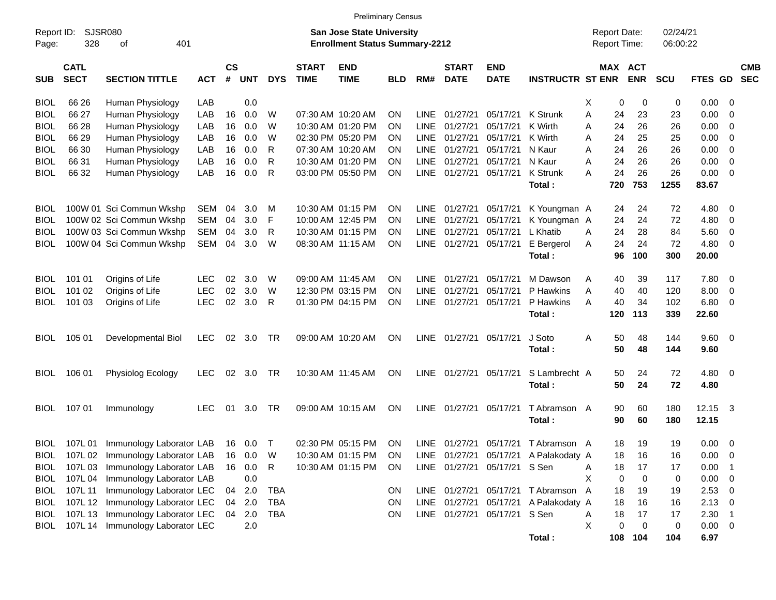|                     |                                                                                                                 |                                  |            |                       |            |              |                             | <b>Preliminary Census</b> |            |             |                             |                              |                                       |               |                                     |                      |                |                          |                          |
|---------------------|-----------------------------------------------------------------------------------------------------------------|----------------------------------|------------|-----------------------|------------|--------------|-----------------------------|---------------------------|------------|-------------|-----------------------------|------------------------------|---------------------------------------|---------------|-------------------------------------|----------------------|----------------|--------------------------|--------------------------|
| Report ID:<br>Page: | <b>SJSR080</b><br><b>San Jose State University</b><br>328<br>401<br><b>Enrollment Status Summary-2212</b><br>оf |                                  |            |                       |            |              |                             |                           |            |             |                             |                              |                                       |               | <b>Report Date:</b><br>Report Time: | 02/24/21<br>06:00:22 |                |                          |                          |
| <b>SUB</b>          | <b>CATL</b><br><b>SECT</b>                                                                                      | <b>SECTION TITTLE</b>            | <b>ACT</b> | $\mathsf{cs}$<br>$\#$ | <b>UNT</b> | <b>DYS</b>   | <b>START</b><br><b>TIME</b> | <b>END</b><br><b>TIME</b> | <b>BLD</b> | RM#         | <b>START</b><br><b>DATE</b> | <b>END</b><br><b>DATE</b>    | <b>INSTRUCTR ST ENR</b>               | MAX ACT       | <b>ENR</b>                          | <b>SCU</b>           | FTES GD        |                          | <b>CMB</b><br><b>SEC</b> |
| <b>BIOL</b>         | 66 26                                                                                                           | Human Physiology                 | LAB        |                       | 0.0        |              |                             |                           |            |             |                             |                              |                                       | Χ<br>0        | 0                                   | 0                    | 0.00           | 0                        |                          |
| <b>BIOL</b>         | 66 27                                                                                                           | Human Physiology                 | LAB        | 16                    | 0.0        | W            | 07:30 AM 10:20 AM           |                           | ΟN         | LINE        | 01/27/21                    | 05/17/21                     | K Strunk                              | 24<br>A       | 23                                  | 23                   | 0.00           | $\mathbf 0$              |                          |
| <b>BIOL</b>         | 66 28                                                                                                           | Human Physiology                 | LAB        | 16                    | 0.0        | W            |                             | 10:30 AM 01:20 PM         | ΟN         | <b>LINE</b> | 01/27/21                    | 05/17/21                     | K Wirth                               | 24<br>Α       | 26                                  | 26                   | 0.00           | 0                        |                          |
| <b>BIOL</b>         | 66 29                                                                                                           | Human Physiology                 | LAB        | 16                    | 0.0        | W            | 02:30 PM 05:20 PM           |                           | ΟN         | <b>LINE</b> | 01/27/21                    | 05/17/21                     | K Wirth                               | 24<br>A       | 25                                  | 25                   | 0.00           | 0                        |                          |
| <b>BIOL</b>         | 66 30                                                                                                           | Human Physiology                 | LAB        | 16                    | 0.0        | R            | 07:30 AM 10:20 AM           |                           | ON         | <b>LINE</b> | 01/27/21                    | 05/17/21                     | N Kaur                                | 24<br>A       | 26                                  | 26                   | 0.00           | $\mathbf 0$              |                          |
| <b>BIOL</b>         | 66 31                                                                                                           | Human Physiology                 | LAB        | 16                    | 0.0        | R            |                             | 10:30 AM 01:20 PM         | ΟN         | <b>LINE</b> | 01/27/21                    | 05/17/21                     | N Kaur                                | 24<br>Α       | 26                                  | 26                   | 0.00           | $\mathbf 0$              |                          |
| <b>BIOL</b>         | 66 32                                                                                                           | Human Physiology                 | LAB        | 16                    | 0.0        | $\mathsf{R}$ |                             | 03:00 PM 05:50 PM         | ON         | <b>LINE</b> | 01/27/21                    | 05/17/21                     | K Strunk                              | 24<br>Α       | 26                                  | 26                   | 0.00           | $\overline{0}$           |                          |
|                     |                                                                                                                 |                                  |            |                       |            |              |                             |                           |            |             |                             |                              | Total:                                | 720           | 753                                 | 1255                 | 83.67          |                          |                          |
| <b>BIOL</b>         |                                                                                                                 | 100W 01 Sci Commun Wkshp         | SEM        | 04                    | 3.0        | M            |                             | 10:30 AM 01:15 PM         | ON         | LINE        | 01/27/21                    | 05/17/21                     | K Youngman A                          | 24            | 24                                  | 72                   | 4.80           | 0                        |                          |
| <b>BIOL</b>         |                                                                                                                 | 100W 02 Sci Commun Wkshp         | <b>SEM</b> | 04                    | 3.0        | F            |                             | 10:00 AM 12:45 PM         | ON         | <b>LINE</b> | 01/27/21                    | 05/17/21                     | K Youngman A                          | 24            | 24                                  | 72                   | 4.80           | 0                        |                          |
| <b>BIOL</b>         |                                                                                                                 | 100W 03 Sci Commun Wkshp         | <b>SEM</b> | 04                    | 3.0        | R            |                             | 10:30 AM 01:15 PM         | ON         | LINE        | 01/27/21                    | 05/17/21                     | L Khatib                              | 24<br>Α       | 28                                  | 84                   | 5.60           | 0                        |                          |
| BIOL                |                                                                                                                 | 100W 04 Sci Commun Wkshp         | <b>SEM</b> | 04                    | 3.0        | W            | 08:30 AM 11:15 AM           |                           | ON         | <b>LINE</b> | 01/27/21                    | 05/17/21                     | E Bergerol                            | 24<br>A       | 24                                  | 72                   | 4.80           | $\mathbf 0$              |                          |
|                     |                                                                                                                 |                                  |            |                       |            |              |                             |                           |            |             |                             |                              | Total:                                | 96            | 100                                 | 300                  | 20.00          |                          |                          |
| <b>BIOL</b>         | 101 01                                                                                                          | Origins of Life                  | <b>LEC</b> | 02                    | 3.0        | W            | 09:00 AM 11:45 AM           |                           | ON         | LINE        | 01/27/21                    | 05/17/21                     | M Dawson                              | Α<br>40       | 39                                  | 117                  | 7.80           | 0                        |                          |
| <b>BIOL</b>         | 101 02                                                                                                          | Origins of Life                  | <b>LEC</b> | 02                    | 3.0        | W            |                             | 12:30 PM 03:15 PM         | ΟN         | <b>LINE</b> | 01/27/21                    | 05/17/21                     | P Hawkins                             | Α<br>40       | 40                                  | 120                  | 8.00           | 0                        |                          |
| <b>BIOL</b>         | 101 03                                                                                                          | Origins of Life                  | <b>LEC</b> | 02                    | 3.0        | R            | 01:30 PM 04:15 PM           |                           | ON         | <b>LINE</b> | 01/27/21                    | 05/17/21                     | P Hawkins                             | 40<br>A       | 34                                  | 102                  | 6.80           | 0                        |                          |
|                     |                                                                                                                 |                                  |            |                       |            |              |                             |                           |            |             |                             |                              | Total:                                | 120           | 113                                 | 339                  | 22.60          |                          |                          |
| <b>BIOL</b>         | 105 01                                                                                                          | Developmental Biol               | <b>LEC</b> | 02                    | 3.0        | <b>TR</b>    | 09:00 AM 10:20 AM           |                           | ΟN         | <b>LINE</b> | 01/27/21 05/17/21           |                              | J Soto<br>Total:                      | 50<br>A<br>50 | 48<br>48                            | 144<br>144           | 9.60<br>9.60   | $\overline{0}$           |                          |
|                     |                                                                                                                 |                                  |            |                       |            |              |                             |                           |            |             |                             |                              |                                       |               |                                     |                      |                |                          |                          |
| <b>BIOL</b>         | 106 01                                                                                                          | Physiolog Ecology                | <b>LEC</b> | 02                    | 3.0        | <b>TR</b>    |                             | 10:30 AM 11:45 AM         | ΟN         | LINE        | 01/27/21 05/17/21           |                              | S Lambrecht A                         | 50            | 24                                  | 72                   | 4.80           | $\overline{0}$           |                          |
|                     |                                                                                                                 |                                  |            |                       |            |              |                             |                           |            |             |                             |                              | Total:                                | 50            | 24                                  | 72                   | 4.80           |                          |                          |
| BIOL                | 107 01                                                                                                          | Immunology                       | <b>LEC</b> | 01                    | 3.0        | <b>TR</b>    | 09:00 AM 10:15 AM           |                           | ΟN         | <b>LINE</b> | 01/27/21                    | 05/17/21                     | T Abramson A<br>Total:                | 90<br>90      | 60<br>60                            | 180<br>180           | 12.15<br>12.15 | -3                       |                          |
| BIOL                |                                                                                                                 | 107L 01 Immunology Laborator LAB |            | 16                    | 0.0        | $\top$       |                             | 02:30 PM 05:15 PM         | <b>ON</b>  | LINE        |                             | 01/27/21 05/17/21            | T Abramson A                          | 18            | 19                                  | 19                   | 0.00           | $\overline{0}$           |                          |
| <b>BIOL</b>         |                                                                                                                 | 107L 02 Immunology Laborator LAB |            | 16                    | 0.0        | W            |                             | 10:30 AM 01:15 PM         | ON         |             |                             |                              | LINE 01/27/21 05/17/21 A Palakodaty A | 18            | 16                                  | 16                   | 0.00           | $\overline{\mathbf{0}}$  |                          |
| <b>BIOL</b>         | 107L 03                                                                                                         | Immunology Laborator LAB         |            | 16                    | 0.0        | $\mathsf{R}$ |                             | 10:30 AM 01:15 PM         | <b>ON</b>  |             |                             | LINE 01/27/21 05/17/21 S Sen |                                       | 18<br>Α       | 17                                  | 17                   | 0.00           | - 1                      |                          |
| <b>BIOL</b>         | 107L 04                                                                                                         | Immunology Laborator LAB         |            |                       | 0.0        |              |                             |                           |            |             |                             |                              |                                       | X<br>0        | 0                                   | 0                    | 0.00           | $\overline{\mathbf{0}}$  |                          |
| <b>BIOL</b>         | 107L 11                                                                                                         | Immunology Laborator LEC         |            |                       | 04 2.0     | <b>TBA</b>   |                             |                           | <b>ON</b>  |             |                             |                              | LINE 01/27/21 05/17/21 TAbramson A    | 18            | 19                                  | 19                   | $2.53 \t 0$    |                          |                          |
| <b>BIOL</b>         |                                                                                                                 | 107L 12 Immunology Laborator LEC |            | 04                    | 2.0        | <b>TBA</b>   |                             |                           | ON         |             |                             |                              | LINE 01/27/21 05/17/21 A Palakodaty A | 18            | 16                                  | 16                   | $2.13 \t 0$    |                          |                          |
| <b>BIOL</b>         |                                                                                                                 | 107L 13 Immunology Laborator LEC |            | 04                    | 2.0        | <b>TBA</b>   |                             |                           | ON         |             |                             | LINE 01/27/21 05/17/21 S Sen |                                       | 18<br>Α       | 17                                  | 17                   | 2.30           | $\overline{\phantom{1}}$ |                          |
| <b>BIOL</b>         |                                                                                                                 | 107L 14 Immunology Laborator LEC |            |                       | 2.0        |              |                             |                           |            |             |                             |                              |                                       | X<br>0        | 0                                   | $\pmb{0}$            | $0.00 \t 0$    |                          |                          |
|                     |                                                                                                                 |                                  |            |                       |            |              |                             |                           |            |             |                             |                              | Total :                               |               | 108 104                             | 104                  | 6.97           |                          |                          |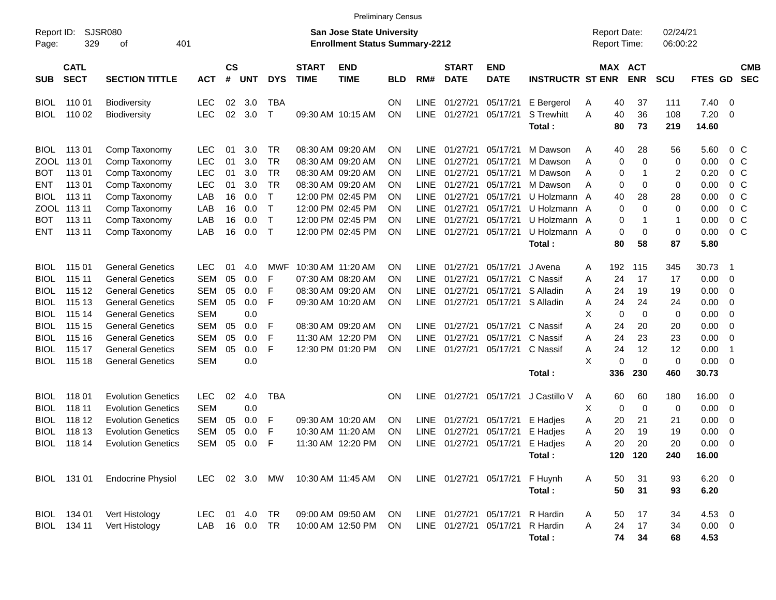|                     |                            |                             |            |                |             |              |                             | <b>Preliminary Census</b>                                                 |            |             |                             |                           |                         |                                     |                          |             |                        |                |                          |
|---------------------|----------------------------|-----------------------------|------------|----------------|-------------|--------------|-----------------------------|---------------------------------------------------------------------------|------------|-------------|-----------------------------|---------------------------|-------------------------|-------------------------------------|--------------------------|-------------|------------------------|----------------|--------------------------|
| Report ID:<br>Page: | 329                        | <b>SJSR080</b><br>401<br>οf |            |                |             |              |                             | <b>San Jose State University</b><br><b>Enrollment Status Summary-2212</b> |            |             |                             |                           |                         | <b>Report Date:</b><br>Report Time: |                          |             | 02/24/21<br>06:00:22   |                |                          |
| <b>SUB</b>          | <b>CATL</b><br><b>SECT</b> | <b>SECTION TITTLE</b>       | <b>ACT</b> | <b>CS</b><br># | <b>UNT</b>  | <b>DYS</b>   | <b>START</b><br><b>TIME</b> | <b>END</b><br><b>TIME</b>                                                 | <b>BLD</b> | RM#         | <b>START</b><br><b>DATE</b> | <b>END</b><br><b>DATE</b> | <b>INSTRUCTR ST ENR</b> | MAX                                 | <b>ACT</b><br><b>ENR</b> | <b>SCU</b>  | FTES GD                |                | <b>CMB</b><br><b>SEC</b> |
| <b>BIOL</b>         | 110 01                     | <b>Biodiversity</b>         | LEC        | 02             | 3.0         | TBA          |                             |                                                                           | ON         | LINE        | 01/27/21                    | 05/17/21                  | E Bergerol              | A                                   | 40                       | 37<br>111   | 7.40                   | 0              |                          |
| <b>BIOL</b>         | 110 02                     | <b>Biodiversity</b>         | <b>LEC</b> | 02             | 3.0         | $\mathsf{T}$ |                             | 09:30 AM 10:15 AM                                                         | ΟN         | <b>LINE</b> | 01/27/21                    | 05/17/21                  | <b>S</b> Trewhitt       | Α                                   | 40                       | 36<br>108   | 7.20                   | $\overline{0}$ |                          |
|                     |                            |                             |            |                |             |              |                             |                                                                           |            |             |                             |                           | Total:                  |                                     | 80                       | 73<br>219   | 14.60                  |                |                          |
| <b>BIOL</b>         | 11301                      | Comp Taxonomy               | LEC        | 01             | 3.0         | TR           |                             | 08:30 AM 09:20 AM                                                         | ON         | <b>LINE</b> | 01/27/21                    | 05/17/21                  | M Dawson                | A                                   | 40                       | 28<br>56    | 5.60                   |                | $0\,$ C                  |
| ZOOL                | 11301                      | Comp Taxonomy               | LEC        | 01             | 3.0         | TR           |                             | 08:30 AM 09:20 AM                                                         | ON         | LINE        | 01/27/21                    | 05/17/21                  | M Dawson                | Α                                   | 0                        | $\mathbf 0$ | 0.00<br>0              |                | 0 <sup>o</sup>           |
| BOT                 | 11301                      | Comp Taxonomy               | LEC        | 01             | 3.0         | <b>TR</b>    |                             | 08:30 AM 09:20 AM                                                         | ΟN         | <b>LINE</b> | 01/27/21                    | 05/17/21                  | M Dawson                | Α                                   | 0                        | -1          | 0.20<br>$\overline{c}$ |                | 0 <sup>o</sup>           |
| ENT                 | 11301                      | Comp Taxonomy               | LEC        | 01             | 3.0         | <b>TR</b>    |                             | 08:30 AM 09:20 AM                                                         | ΟN         | <b>LINE</b> | 01/27/21                    | 05/17/21                  | M Dawson                | Α                                   | 0                        | 0           | 0.00<br>0              |                | 0 <sup>o</sup>           |
| <b>BIOL</b>         | 113 11                     | Comp Taxonomy               | LAB        | 16             | 0.0         | $\mathsf{T}$ |                             | 12:00 PM 02:45 PM                                                         | ΟN         | LINE        | 01/27/21                    | 05/17/21                  | U Holzmann              | A                                   | 40                       | 28<br>28    | 0.00                   |                | 0 <sup>o</sup>           |
| ZOOL                | 113 11                     | Comp Taxonomy               | LAB        | 16             | 0.0         | $\mathsf{T}$ |                             | 12:00 PM 02:45 PM                                                         | ΟN         | LINE        | 01/27/21                    | 05/17/21                  | U Holzmann              | A                                   | 0                        | 0           | 0<br>0.00              |                | 0 <sup>o</sup>           |
| <b>BOT</b>          | 113 11                     | Comp Taxonomy               | LAB        | 16             | 0.0         | $\mathsf{T}$ |                             | 12:00 PM 02:45 PM                                                         | ΟN         | <b>LINE</b> | 01/27/21                    | 05/17/21                  | U Holzmann              | A                                   | 0                        | 1           | 0.00<br>$\mathbf{1}$   |                | 0 <sup>o</sup>           |
| <b>ENT</b>          | 113 11                     | Comp Taxonomy               | LAB        | 16             | 0.0         | $\top$       |                             | 12:00 PM 02:45 PM                                                         | ON         | <b>LINE</b> | 01/27/21                    | 05/17/21                  | U Holzmann A            |                                     | 0                        | 0           | 0.00<br>0              |                | $0\,C$                   |
|                     |                            |                             |            |                |             |              |                             |                                                                           |            |             |                             |                           | Total:                  |                                     | 80                       | 58<br>87    | 5.80                   |                |                          |
| <b>BIOL</b>         | 115 01                     | <b>General Genetics</b>     | <b>LEC</b> | 01             | 4.0         | MWF          | 10:30 AM 11:20 AM           |                                                                           | ON         | <b>LINE</b> | 01/27/21                    | 05/17/21                  | J Avena                 | 192<br>A                            | 115                      | 345         | 30.73                  | -1             |                          |
| <b>BIOL</b>         | 115 11                     | <b>General Genetics</b>     | <b>SEM</b> | 05             | 0.0         | F            |                             | 07:30 AM 08:20 AM                                                         | ΟN         | LINE        | 01/27/21                    | 05/17/21                  | C Nassif                | Α                                   | 24                       | 17<br>17    | 0.00                   | 0              |                          |
| BIOL                | 115 12                     | <b>General Genetics</b>     | <b>SEM</b> | 05             | 0.0         | F            |                             | 08:30 AM 09:20 AM                                                         | ΟN         | LINE        | 01/27/21                    | 05/17/21                  | S Alladin               | Α                                   | 24                       | 19<br>19    | 0.00                   | 0              |                          |
| <b>BIOL</b>         | 115 13                     | <b>General Genetics</b>     | <b>SEM</b> | 05             | 0.0         | F            |                             | 09:30 AM 10:20 AM                                                         | ON         | <b>LINE</b> | 01/27/21                    | 05/17/21                  | S Alladin               | A                                   | 24                       | 24<br>24    | 0.00                   | 0              |                          |
| <b>BIOL</b>         | 115 14                     | <b>General Genetics</b>     | <b>SEM</b> |                | 0.0         |              |                             |                                                                           |            |             |                             |                           |                         | X                                   | 0                        | 0           | 0<br>0.00              | 0              |                          |
| BIOL                | 115 15                     | <b>General Genetics</b>     | <b>SEM</b> | 05             | 0.0         | F            |                             | 08:30 AM 09:20 AM                                                         | ΟN         | LINE        | 01/27/21                    | 05/17/21                  | C Nassif                | Α                                   | 24                       | 20<br>20    | 0.00                   | 0              |                          |
| <b>BIOL</b>         | 115 16                     | <b>General Genetics</b>     | <b>SEM</b> | 05             | 0.0         | F            |                             | 11:30 AM 12:20 PM                                                         | ΟN         | LINE        | 01/27/21                    | 05/17/21                  | C Nassif                | Α                                   | 24                       | 23<br>23    | 0.00                   | 0              |                          |
| <b>BIOL</b>         | 115 17                     | <b>General Genetics</b>     | <b>SEM</b> | 05             | 0.0         | F            |                             | 12:30 PM 01:20 PM                                                         | ON         | LINE        | 01/27/21                    | 05/17/21                  | C Nassif                | Α                                   | 24                       | 12<br>12    | 0.00                   | $\overline{1}$ |                          |
| <b>BIOL</b>         | 115 18                     | <b>General Genetics</b>     | <b>SEM</b> |                | 0.0         |              |                             |                                                                           |            |             |                             |                           |                         | X                                   | 0                        | $\mathbf 0$ | 0<br>0.00              | 0              |                          |
|                     |                            |                             |            |                |             |              |                             |                                                                           |            |             |                             |                           | Total:                  | 336                                 | 230                      | 460         | 30.73                  |                |                          |
| <b>BIOL</b>         | 11801                      | <b>Evolution Genetics</b>   | <b>LEC</b> | 02             | 4.0         | <b>TBA</b>   |                             |                                                                           | ON         | LINE        | 01/27/21                    | 05/17/21                  | J Castillo V            | A                                   | 60                       | 60<br>180   | 16.00                  | 0              |                          |
| <b>BIOL</b>         | 118 11                     | <b>Evolution Genetics</b>   | <b>SEM</b> |                | 0.0         |              |                             |                                                                           |            |             |                             |                           |                         | Χ                                   | 0                        | 0           | 0.00<br>0              | 0              |                          |
| <b>BIOL</b>         | 118 12                     | <b>Evolution Genetics</b>   | <b>SEM</b> | 05             | 0.0         | F            |                             | 09:30 AM 10:20 AM                                                         | ON         | LINE        | 01/27/21                    | 05/17/21                  | E Hadjes                | A                                   | 20                       | 21<br>21    | 0.00                   | 0              |                          |
| <b>BIOL</b>         | 118 13                     | <b>Evolution Genetics</b>   | <b>SEM</b> | 05             | 0.0         | F            |                             | 10:30 AM 11:20 AM                                                         | ON         | LINE        | 01/27/21                    | 05/17/21                  | E Hadjes                | Α                                   | 20                       | 19<br>19    | 0.00                   | 0              |                          |
| <b>BIOL</b>         | 118 14                     | <b>Evolution Genetics</b>   | SEM        | 05             | 0.0         | F            |                             | 11:30 AM 12:20 PM                                                         | ΟN         | <b>LINE</b> | 01/27/21                    | 05/17/21                  | E Hadjes                | A                                   | 20                       | 20<br>20    | 0.00                   | 0              |                          |
|                     |                            |                             |            |                |             |              |                             |                                                                           |            |             |                             |                           | Total:                  |                                     | 120 120                  | 240         | 16.00                  |                |                          |
|                     | BIOL 131 01                | <b>Endocrine Physiol</b>    |            |                |             |              |                             | LEC 02 3.0 MW 10:30 AM 11:45 AM                                           | ON         |             | LINE 01/27/21 05/17/21      |                           | F Huynh                 | A                                   | 50                       | 31<br>93    | $6.20\ 0$              |                |                          |
|                     |                            |                             |            |                |             |              |                             |                                                                           |            |             |                             |                           | Total:                  |                                     | 50                       | 31<br>93    | 6.20                   |                |                          |
|                     | BIOL 134 01                | Vert Histology              | LEC.       |                | 01 4.0      | TR           |                             | 09:00 AM 09:50 AM                                                         | ON.        |             | LINE 01/27/21 05/17/21      |                           | R Hardin                | A                                   | 50                       | 17<br>34    | 4.53 0                 |                |                          |
|                     | BIOL 134 11                | Vert Histology              | LAB        |                | 16  0.0  TR |              |                             | 10:00 AM 12:50 PM                                                         | ON         |             | LINE 01/27/21 05/17/21      |                           | R Hardin                | A                                   | 24                       | 17<br>34    | $0.00 \t 0$            |                |                          |
|                     |                            |                             |            |                |             |              |                             |                                                                           |            |             |                             |                           | Total:                  |                                     | 74                       | 34<br>68    | 4.53                   |                |                          |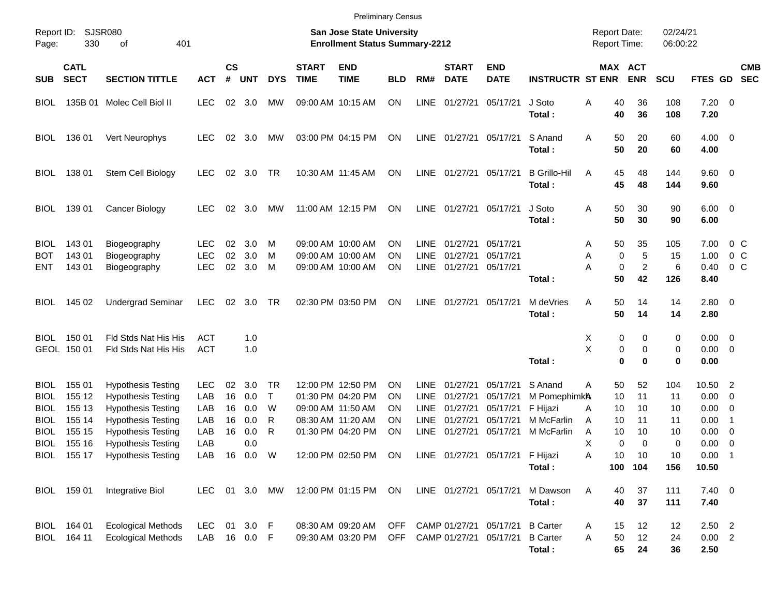|                     |                            |                                                        |                          |                    |            |              |                             | <b>Preliminary Census</b>                                                 |            |                     |                             |                                 |                               |                                            |                       |                            |                            |                                  |                          |
|---------------------|----------------------------|--------------------------------------------------------|--------------------------|--------------------|------------|--------------|-----------------------------|---------------------------------------------------------------------------|------------|---------------------|-----------------------------|---------------------------------|-------------------------------|--------------------------------------------|-----------------------|----------------------------|----------------------------|----------------------------------|--------------------------|
| Report ID:<br>Page: | 330                        | <b>SJSR080</b><br>401<br>оf                            |                          |                    |            |              |                             | <b>San Jose State University</b><br><b>Enrollment Status Summary-2212</b> |            |                     |                             |                                 |                               | <b>Report Date:</b><br><b>Report Time:</b> |                       | 02/24/21<br>06:00:22       |                            |                                  |                          |
| SUB.                | <b>CATL</b><br><b>SECT</b> | <b>SECTION TITTLE</b>                                  | <b>ACT</b>               | $\mathsf{cs}$<br># | <b>UNT</b> | <b>DYS</b>   | <b>START</b><br><b>TIME</b> | <b>END</b><br><b>TIME</b>                                                 | <b>BLD</b> | RM#                 | <b>START</b><br><b>DATE</b> | <b>END</b><br><b>DATE</b>       | <b>INSTRUCTR ST ENR</b>       |                                            | MAX ACT<br><b>ENR</b> | <b>SCU</b>                 | FTES GD                    |                                  | <b>CMB</b><br><b>SEC</b> |
| BIOL                | 135B 01                    | Molec Cell Biol II                                     | <b>LEC</b>               | 02                 | 3.0        | MW           | 09:00 AM 10:15 AM           |                                                                           | <b>ON</b>  | LINE                | 01/27/21                    | 05/17/21                        | J Soto<br>Total:              | Α<br>40<br>40                              | 36<br>36              | 108<br>108                 | $7.20 \ 0$<br>7.20         |                                  |                          |
| <b>BIOL</b>         | 136 01                     | Vert Neurophys                                         | <b>LEC</b>               | 02                 | 3.0        | МW           |                             | 03:00 PM 04:15 PM                                                         | ON         |                     | LINE 01/27/21               | 05/17/21                        | S Anand<br>Total:             | A<br>50<br>50                              | 20<br>20              | 60<br>60                   | $4.00 \ 0$<br>4.00         |                                  |                          |
| BIOL                | 138 01                     | Stem Cell Biology                                      | <b>LEC</b>               | 02                 | 3.0        | TR           |                             | 10:30 AM 11:45 AM                                                         | ON         |                     | LINE 01/27/21               | 05/17/21                        | <b>B</b> Grillo-Hil<br>Total: | A<br>45<br>45                              | 48<br>48              | 144<br>144                 | 9.60 0<br>9.60             |                                  |                          |
| BIOL                | 139 01                     | Cancer Biology                                         | <b>LEC</b>               | 02                 | 3.0        | MW           |                             | 11:00 AM 12:15 PM                                                         | ON         |                     | LINE 01/27/21               | 05/17/21                        | J Soto<br>Total:              | Α<br>50<br>50                              | 30<br>30              | 90<br>90                   | $6.00 \quad 0$<br>6.00     |                                  |                          |
| <b>BIOL</b><br>вот  | 143 01<br>143 01           | Biogeography<br>Biogeography                           | <b>LEC</b><br><b>LEC</b> | 02<br>02           | 3.0<br>3.0 | M<br>M       |                             | 09:00 AM 10:00 AM<br>09:00 AM 10:00 AM                                    | ΟN<br>ΟN   | LINE<br>LINE        | 01/27/21<br>01/27/21        | 05/17/21<br>05/17/21            |                               | 50<br>A<br>Α                               | 35<br>0               | 105<br>5<br>15             | 7.00<br>1.00               | 0 <sup>o</sup><br>0 <sup>o</sup> |                          |
| <b>ENT</b>          | 143 01                     | Biogeography                                           | <b>LEC</b>               | 02                 | 3.0        | M            |                             | 09:00 AM 10:00 AM                                                         | ΟN         | LINE                | 01/27/21                    | 05/17/21                        | Total:                        | Α<br>50                                    | $\pmb{0}$<br>42       | $\overline{c}$<br>6<br>126 | 0.40<br>8.40               | 0 <sup>o</sup>                   |                          |
| BIOL                | 145 02                     | <b>Undergrad Seminar</b>                               | <b>LEC</b>               | 02                 | 3.0        | TR           |                             | 02:30 PM 03:50 PM                                                         | ON         | LINE                | 01/27/21                    | 05/17/21                        | M deVries<br>Total:           | Α<br>50<br>50                              | 14<br>14              | 14<br>14                   | 2.80 0<br>2.80             |                                  |                          |
| BIOL                | 150 01<br>GEOL 150 01      | Fld Stds Nat His His<br>Fld Stds Nat His His           | ACT<br><b>ACT</b>        |                    | 1.0<br>1.0 |              |                             |                                                                           |            |                     |                             |                                 |                               | Х<br>X                                     | 0<br>0                | 0<br>0<br>0<br>0           | $0.00 \t 0$<br>$0.00 \t 0$ |                                  |                          |
|                     |                            |                                                        |                          |                    |            |              |                             |                                                                           |            |                     |                             |                                 | Total :                       |                                            | $\mathbf 0$           | $\bf{0}$<br>0              | 0.00                       |                                  |                          |
| <b>BIOL</b><br>BIOL | 155 01<br>155 12           | <b>Hypothesis Testing</b><br><b>Hypothesis Testing</b> | <b>LEC</b><br>LAB        | 02<br>16           | 3.0<br>0.0 | TR<br>$\top$ |                             | 12:00 PM 12:50 PM<br>01:30 PM 04:20 PM                                    | ΟN<br>ΟN   | <b>LINE</b><br>LINE | 01/27/21<br>01/27/21        | 05/17/21<br>05/17/21            | S Anand<br>M PomephimkA       | 50<br>A<br>10                              | 52<br>11              | 104<br>11                  | 10.50 2<br>0.00            | $\overline{\phantom{0}}$         |                          |
| BIOL                | 155 13                     | <b>Hypothesis Testing</b>                              | LAB                      | 16                 | 0.0        | W            | 09:00 AM 11:50 AM           |                                                                           | ΟN         | LINE                | 01/27/21                    | 05/17/21                        | F Hijazi                      | 10<br>A                                    | 10                    | 10                         | 0.00                       | $\overline{\phantom{0}}$         |                          |
| BIOL                | 155 14                     | <b>Hypothesis Testing</b>                              | LAB                      | 16                 | 0.0        | R            | 08:30 AM 11:20 AM           |                                                                           | ΟN         | LINE                | 01/27/21                    | 05/17/21                        | M McFarlin                    | 10<br>A                                    | 11                    | 11                         | 0.00                       | $\overline{1}$                   |                          |
| BIOL                | 155 15                     | <b>Hypothesis Testing</b>                              | LAB                      | 16                 | 0.0        | R            |                             | 01:30 PM 04:20 PM                                                         | ON         | <b>LINE</b>         | 01/27/21                    | 05/17/21                        | M McFarlin                    | A                                          | 10<br>10              | 10                         | 0.00                       | $\overline{\phantom{0}}$         |                          |
| <b>BIOL</b>         | 155 16                     | <b>Hypothesis Testing</b>                              | LAB                      |                    | 0.0        |              |                             |                                                                           |            |                     |                             |                                 |                               | X                                          | 0                     | $\Omega$<br>0              | 0.00                       | $\overline{\phantom{0}}$         |                          |
|                     |                            | BIOL 155 17 Hypothesis Testing                         | LAB 16 0.0 W             |                    |            |              |                             | 12:00 PM 02:50 PM ON                                                      |            |                     |                             | LINE 01/27/21 05/17/21 F Hijazi |                               | A                                          | 10<br>10              | 10                         | $0.00$ 1                   |                                  |                          |
|                     |                            |                                                        |                          |                    |            |              |                             |                                                                           |            |                     |                             |                                 | Total:                        |                                            | 100 104               | 156                        | 10.50                      |                                  |                          |
|                     | BIOL 159 01                | Integrative Biol                                       | LEC 01 3.0 MW            |                    |            |              |                             | 12:00 PM 01:15 PM ON                                                      |            |                     | LINE 01/27/21 05/17/21      |                                 | M Dawson<br>Total:            | Α<br>40<br>40                              | 37<br>37              | 111<br>111                 | $7.40 \ 0$<br>7.40         |                                  |                          |
|                     | BIOL 164 01                | <b>Ecological Methods</b>                              | <b>LEC</b>               |                    | 01 3.0 F   |              |                             | 08:30 AM 09:20 AM                                                         |            |                     | OFF CAMP 01/27/21 05/17/21  |                                 | <b>B</b> Carter               | A<br>15                                    | 12                    | 12                         | $2.50$ 2                   |                                  |                          |
|                     | BIOL 164 11                | <b>Ecological Methods</b>                              | LAB 16 0.0 F             |                    |            |              |                             | 09:30 AM 03:20 PM                                                         |            |                     | OFF CAMP 01/27/21 05/17/21  |                                 | <b>B</b> Carter               | 50<br>A                                    | 12                    | 24                         | $0.00$ 2                   |                                  |                          |
|                     |                            |                                                        |                          |                    |            |              |                             |                                                                           |            |                     |                             |                                 | Total:                        |                                            | 65<br>24              | 36                         | 2.50                       |                                  |                          |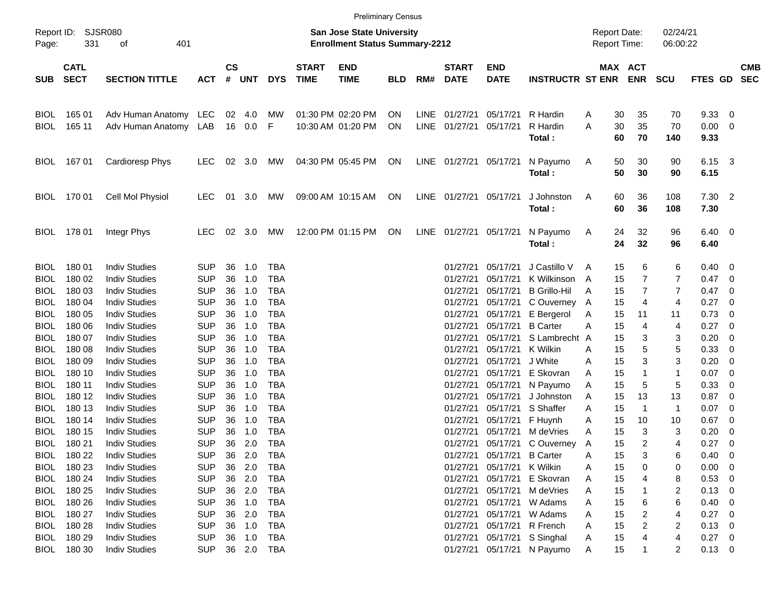|                            |                            | <b>Preliminary Census</b><br><b>San Jose State University</b> |                          |                    |                |                          |                             |                                        |            |      |                             |                           |                                |        |                |                                            |                      |                        |            |                          |
|----------------------------|----------------------------|---------------------------------------------------------------|--------------------------|--------------------|----------------|--------------------------|-----------------------------|----------------------------------------|------------|------|-----------------------------|---------------------------|--------------------------------|--------|----------------|--------------------------------------------|----------------------|------------------------|------------|--------------------------|
| Report ID:<br>Page:        | 331                        | SJSR080<br>401<br>οf                                          |                          |                    |                |                          |                             | <b>Enrollment Status Summary-2212</b>  |            |      |                             |                           |                                |        |                | <b>Report Date:</b><br><b>Report Time:</b> | 02/24/21<br>06:00:22 |                        |            |                          |
| <b>SUB</b>                 | <b>CATL</b><br><b>SECT</b> | <b>SECTION TITTLE</b>                                         | <b>ACT</b>               | $\mathsf{cs}$<br># | <b>UNT</b>     | <b>DYS</b>               | <b>START</b><br><b>TIME</b> | <b>END</b><br><b>TIME</b>              | <b>BLD</b> | RM#  | <b>START</b><br><b>DATE</b> | <b>END</b><br><b>DATE</b> | <b>INSTRUCTR ST ENR</b>        |        |                | MAX ACT<br><b>ENR</b>                      | <b>SCU</b>           | <b>FTES GD</b>         |            | <b>CMB</b><br><b>SEC</b> |
| <b>BIOL</b><br><b>BIOL</b> | 165 01<br>165 11           | Adv Human Anatomy LEC<br>Adv Human Anatomy LAB                |                          | 02                 | 4.0<br>16  0.0 | МW<br>F                  |                             | 01:30 PM 02:20 PM<br>10:30 AM 01:20 PM | ON<br>ON   | LINE | 01/27/21<br>LINE 01/27/21   | 05/17/21<br>05/17/21      | R Hardin<br>R Hardin<br>Total: | A<br>A | 30<br>30<br>60 | 35<br>35<br>70                             | 70<br>70<br>140      | 9.33<br>0.00<br>9.33   | - 0<br>- 0 |                          |
| <b>BIOL</b>                | 167 01                     | <b>Cardioresp Phys</b>                                        | <b>LEC</b>               | 02                 | 3.0            | МW                       |                             | 04:30 PM 05:45 PM                      | ON         |      | LINE 01/27/21 05/17/21      |                           | N Payumo<br>Total:             | A      | 50<br>50       | 30<br>30                                   | 90<br>90             | 6.15 3<br>6.15         |            |                          |
|                            | BIOL 170 01                | Cell Mol Physiol                                              | <b>LEC</b>               | 01                 | 3.0            | МW                       |                             | 09:00 AM 10:15 AM                      | ON         |      | LINE 01/27/21 05/17/21      |                           | J Johnston<br>Total:           | A      | 60<br>60       | 36<br>36                                   | 108<br>108           | $7.30$ 2<br>7.30       |            |                          |
|                            | BIOL 178 01                | Integr Phys                                                   | <b>LEC</b>               |                    | 02 3.0         | МW                       |                             | 12:00 PM 01:15 PM                      | ON         |      | LINE 01/27/21 05/17/21      |                           | N Payumo<br>Total:             | A      | 24<br>24       | 32<br>32                                   | 96<br>96             | $6.40 \quad 0$<br>6.40 |            |                          |
| <b>BIOL</b><br><b>BIOL</b> | 18001<br>180 02            | <b>Indiv Studies</b><br><b>Indiv Studies</b>                  | <b>SUP</b><br><b>SUP</b> | 36<br>36           | 1.0<br>1.0     | TBA<br><b>TBA</b>        |                             |                                        |            |      | 01/27/21<br>01/27/21        | 05/17/21<br>05/17/21      | J Castillo V<br>K Wilkinson    | A<br>A | 15<br>15       | 6<br>$\overline{7}$                        | 6<br>7               | 0.40<br>0.47           | - 0<br>- 0 |                          |
| <b>BIOL</b>                | 180 03                     | <b>Indiv Studies</b>                                          | <b>SUP</b>               | 36                 | 1.0            | <b>TBA</b>               |                             |                                        |            |      | 01/27/21                    | 05/17/21                  | <b>B</b> Grillo-Hil            | A      | 15             | 7                                          | 7                    | 0.47                   | - 0        |                          |
| <b>BIOL</b>                | 180 04                     | <b>Indiv Studies</b>                                          | <b>SUP</b>               | 36                 | 1.0            | <b>TBA</b>               |                             |                                        |            |      | 01/27/21                    | 05/17/21                  | C Ouverney A                   |        | 15             | 4                                          | 4                    | 0.27                   | - 0        |                          |
| <b>BIOL</b>                | 180 05                     | <b>Indiv Studies</b>                                          | <b>SUP</b>               | 36                 | 1.0            | <b>TBA</b>               |                             |                                        |            |      | 01/27/21                    | 05/17/21                  | E Bergerol                     | A      | 15             | 11                                         | 11                   | 0.73                   | - 0        |                          |
| <b>BIOL</b>                | 180 06                     | <b>Indiv Studies</b>                                          | <b>SUP</b>               | 36                 | 1.0            | <b>TBA</b>               |                             |                                        |            |      | 01/27/21                    | 05/17/21                  | <b>B</b> Carter                | A      | 15             | 4                                          | 4                    | 0.27                   | - 0        |                          |
| <b>BIOL</b>                | 180 07                     | <b>Indiv Studies</b>                                          | <b>SUP</b>               | 36                 | 1.0            | <b>TBA</b>               |                             |                                        |            |      | 01/27/21                    | 05/17/21                  | S Lambrecht A                  |        | 15             | 3                                          | 3                    | 0.20                   | 0          |                          |
| <b>BIOL</b>                | 18008                      | <b>Indiv Studies</b>                                          | <b>SUP</b>               | 36                 | 1.0            | <b>TBA</b>               |                             |                                        |            |      | 01/27/21                    | 05/17/21                  | K Wilkin                       | A      | 15             | 5                                          | 5                    | 0.33                   | 0          |                          |
| <b>BIOL</b>                | 180 09                     | <b>Indiv Studies</b>                                          | <b>SUP</b>               | 36                 | 1.0            | <b>TBA</b>               |                             |                                        |            |      | 01/27/21                    | 05/17/21                  | J White                        | A      | 15             | 3                                          | 3                    | 0.20                   | 0          |                          |
| <b>BIOL</b>                | 180 10                     | <b>Indiv Studies</b>                                          | <b>SUP</b>               | 36                 | 1.0            | <b>TBA</b>               |                             |                                        |            |      | 01/27/21                    | 05/17/21                  | E Skovran                      | A      | 15             | -1                                         | 1                    | 0.07                   | - 0        |                          |
| <b>BIOL</b>                | 180 11                     | <b>Indiv Studies</b>                                          | <b>SUP</b>               | 36                 | 1.0            | <b>TBA</b>               |                             |                                        |            |      | 01/27/21                    | 05/17/21                  | N Payumo                       | A      | 15             | 5                                          | 5                    | 0.33                   | 0          |                          |
| <b>BIOL</b>                | 180 12                     | <b>Indiv Studies</b><br><b>Indiv Studies</b>                  | <b>SUP</b>               | 36                 | 1.0            | <b>TBA</b>               |                             |                                        |            |      | 01/27/21                    | 05/17/21                  | J Johnston                     | A      | 15             | 13                                         | 13                   | 0.87                   | 0          |                          |
| <b>BIOL</b>                | 180 13<br>180 14           | <b>Indiv Studies</b>                                          | <b>SUP</b><br><b>SUP</b> | 36<br>36           | 1.0<br>1.0     | <b>TBA</b><br><b>TBA</b> |                             |                                        |            |      | 01/27/21<br>01/27/21        | 05/17/21                  | S Shaffer                      | A      | 15             | $\mathbf 1$                                | $\mathbf{1}$         | 0.07                   | 0<br>0     |                          |
| <b>BIOL</b><br><b>BIOL</b> | 180 15                     | <b>Indiv Studies</b>                                          | <b>SUP</b>               | 36                 | 1.0            | <b>TBA</b>               |                             |                                        |            |      | 01/27/21                    | 05/17/21<br>05/17/21      | F Huynh<br>M deVries           | A<br>A | 15<br>15       | 10<br>3                                    | 10<br>3              | 0.67<br>0.20           | 0          |                          |
| BIOL                       | 180 21                     | <b>Indiv Studies</b>                                          | <b>SUP</b>               | 36                 | 2.0            | TBA                      |                             |                                        |            |      |                             |                           | 01/27/21 05/17/21 C Ouverney   | A      | 15             | $\overline{2}$                             | $\overline{4}$       | 0.27                   | - 0        |                          |
| <b>BIOL</b>                | 180 22                     | <b>Indiv Studies</b>                                          | <b>SUP</b>               | 36                 | 2.0            | <b>TBA</b>               |                             |                                        |            |      |                             | 01/27/21 05/17/21         | <b>B</b> Carter                | Α      | 15             | 3                                          | 6                    | 0.40                   | 0          |                          |
|                            | BIOL 180 23                | <b>Indiv Studies</b>                                          | <b>SUP</b>               | 36                 | 2.0            | <b>TBA</b>               |                             |                                        |            |      | 01/27/21                    | 05/17/21 K Wilkin         |                                | A      | 15             | 0                                          | 0                    | 0.00                   | 0          |                          |
|                            | BIOL 180 24                | <b>Indiv Studies</b>                                          | <b>SUP</b>               | 36                 | 2.0            | TBA                      |                             |                                        |            |      | 01/27/21                    | 05/17/21                  | E Skovran                      | A      | 15             |                                            | 8                    | 0.53                   | - 0        |                          |
| BIOL                       | 180 25                     | <b>Indiv Studies</b>                                          | <b>SUP</b>               | 36                 | 2.0            | TBA                      |                             |                                        |            |      | 01/27/21                    |                           | 05/17/21 M deVries             | A      | 15             |                                            | 2                    | 0.13                   | - 0        |                          |
| <b>BIOL</b>                | 180 26                     | <b>Indiv Studies</b>                                          | <b>SUP</b>               | 36                 | 1.0            | TBA                      |                             |                                        |            |      | 01/27/21                    |                           | 05/17/21 W Adams               | A      | 15             | 6                                          | 6                    | 0.40                   | - 0        |                          |
| <b>BIOL</b>                | 180 27                     | <b>Indiv Studies</b>                                          | <b>SUP</b>               | 36                 | 2.0            | TBA                      |                             |                                        |            |      | 01/27/21                    |                           | 05/17/21 W Adams               | A      | 15             | 2                                          | 4                    | 0.27                   | - 0        |                          |
| BIOL                       | 180 28                     | <b>Indiv Studies</b>                                          | <b>SUP</b>               | 36                 | 1.0            | TBA                      |                             |                                        |            |      | 01/27/21                    |                           | 05/17/21 R French              | A      | 15             | 2                                          | 2                    | 0.13                   | - 0        |                          |
| BIOL                       | 180 29                     | <b>Indiv Studies</b>                                          | <b>SUP</b>               | 36                 | 1.0            | TBA                      |                             |                                        |            |      | 01/27/21                    |                           | 05/17/21 S Singhal             | A      | 15             |                                            | 4                    | $0.27$ 0               |            |                          |
|                            | BIOL 180 30                | <b>Indiv Studies</b>                                          | <b>SUP</b>               |                    | 36 2.0 TBA     |                          |                             |                                        |            |      | 01/27/21                    |                           | 05/17/21 N Payumo              | A      | 15             | 1                                          | 2                    | $0.13 \ 0$             |            |                          |
|                            |                            |                                                               |                          |                    |                |                          |                             |                                        |            |      |                             |                           |                                |        |                |                                            |                      |                        |            |                          |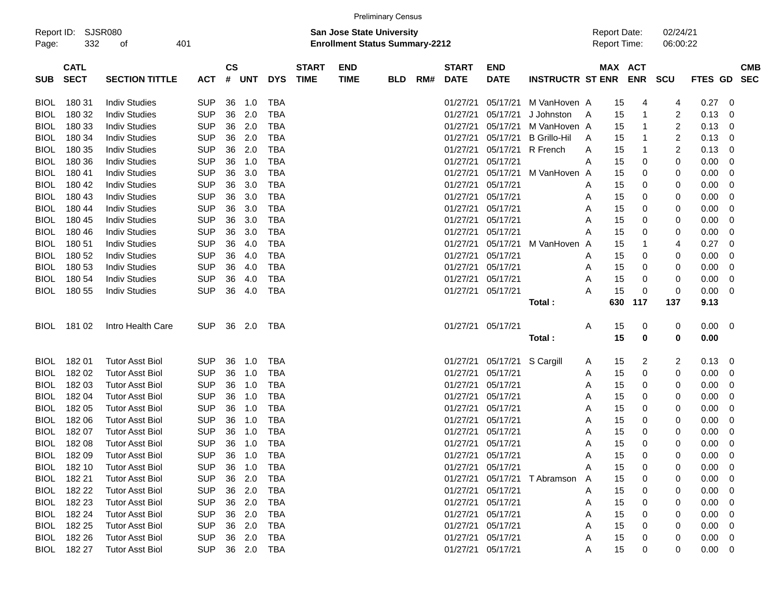| Report ID:<br>Page: | 332                        | SJSR080<br>οf          | 401        |                    |            |            |                             |                           | San Jose State University<br><b>Enrollment Status Summary-2212</b> |     |                             |                           |                         | <b>Report Date:</b><br>Report Time: |                       |              | 02/24/21<br>06:00:22 |             |            |            |
|---------------------|----------------------------|------------------------|------------|--------------------|------------|------------|-----------------------------|---------------------------|--------------------------------------------------------------------|-----|-----------------------------|---------------------------|-------------------------|-------------------------------------|-----------------------|--------------|----------------------|-------------|------------|------------|
| <b>SUB</b>          | <b>CATL</b><br><b>SECT</b> | <b>SECTION TITTLE</b>  | <b>ACT</b> | $\mathsf{cs}$<br># | <b>UNT</b> | <b>DYS</b> | <b>START</b><br><b>TIME</b> | <b>END</b><br><b>TIME</b> | <b>BLD</b>                                                         | RM# | <b>START</b><br><b>DATE</b> | <b>END</b><br><b>DATE</b> | <b>INSTRUCTR ST ENR</b> |                                     | MAX ACT<br><b>ENR</b> |              | <b>SCU</b>           | FTES GD     | <b>SEC</b> | <b>CMB</b> |
| <b>BIOL</b>         | 180 31                     | <b>Indiv Studies</b>   | <b>SUP</b> | 36                 | 1.0        | <b>TBA</b> |                             |                           |                                                                    |     | 01/27/21                    | 05/17/21                  | M VanHoven A            |                                     | 15                    | 4            | 4                    | 0.27        | - 0        |            |
| <b>BIOL</b>         | 180 32                     | <b>Indiv Studies</b>   | <b>SUP</b> | 36                 | 2.0        | <b>TBA</b> |                             |                           |                                                                    |     | 01/27/21                    | 05/17/21                  | J Johnston              | A                                   | 15                    | $\mathbf{1}$ | $\overline{2}$       | 0.13        | 0          |            |
| <b>BIOL</b>         | 180 33                     | <b>Indiv Studies</b>   | <b>SUP</b> | 36                 | 2.0        | <b>TBA</b> |                             |                           |                                                                    |     | 01/27/21                    | 05/17/21                  | M VanHoven A            |                                     | 15                    | 1            | $\overline{2}$       | 0.13        | 0          |            |
| <b>BIOL</b>         | 180 34                     | <b>Indiv Studies</b>   | <b>SUP</b> | 36                 | 2.0        | <b>TBA</b> |                             |                           |                                                                    |     | 01/27/21                    | 05/17/21                  | <b>B</b> Grillo-Hil     | A                                   | 15                    | 1            | $\overline{2}$       | 0.13        | 0          |            |
| <b>BIOL</b>         | 180 35                     | <b>Indiv Studies</b>   | <b>SUP</b> | 36                 | 2.0        | <b>TBA</b> |                             |                           |                                                                    |     | 01/27/21                    | 05/17/21                  | R French                | A                                   | 15                    | 1            | $\overline{2}$       | 0.13        | 0          |            |
| <b>BIOL</b>         | 180 36                     | <b>Indiv Studies</b>   | <b>SUP</b> | 36                 | 1.0        | <b>TBA</b> |                             |                           |                                                                    |     | 01/27/21                    | 05/17/21                  |                         | Α                                   | 15                    | 0            | 0                    | 0.00        | 0          |            |
| <b>BIOL</b>         | 180 41                     | <b>Indiv Studies</b>   | <b>SUP</b> | 36                 | 3.0        | <b>TBA</b> |                             |                           |                                                                    |     | 01/27/21                    | 05/17/21                  | M VanHoven A            |                                     | 15                    | 0            | 0                    | 0.00        | 0          |            |
| <b>BIOL</b>         | 180 42                     | <b>Indiv Studies</b>   | <b>SUP</b> | 36                 | 3.0        | <b>TBA</b> |                             |                           |                                                                    |     | 01/27/21                    | 05/17/21                  |                         | A                                   | 15                    | 0            | 0                    | 0.00        | 0          |            |
| <b>BIOL</b>         | 180 43                     | <b>Indiv Studies</b>   | <b>SUP</b> | 36                 | 3.0        | <b>TBA</b> |                             |                           |                                                                    |     | 01/27/21                    | 05/17/21                  |                         | Α                                   | 15                    | 0            | 0                    | 0.00        | 0          |            |
| <b>BIOL</b>         | 180 44                     | <b>Indiv Studies</b>   | <b>SUP</b> | 36                 | 3.0        | <b>TBA</b> |                             |                           |                                                                    |     | 01/27/21                    | 05/17/21                  |                         | Α                                   | 15                    | 0            | 0                    | 0.00        | 0          |            |
| <b>BIOL</b>         | 180 45                     | <b>Indiv Studies</b>   | <b>SUP</b> | 36                 | 3.0        | <b>TBA</b> |                             |                           |                                                                    |     | 01/27/21                    | 05/17/21                  |                         | Α                                   | 15                    | 0            | 0                    | 0.00        | 0          |            |
| <b>BIOL</b>         | 180 46                     | <b>Indiv Studies</b>   | <b>SUP</b> | 36                 | 3.0        | <b>TBA</b> |                             |                           |                                                                    |     | 01/27/21                    | 05/17/21                  |                         | Α                                   | 15                    | 0            | 0                    | 0.00        | 0          |            |
| <b>BIOL</b>         | 180 51                     | <b>Indiv Studies</b>   | <b>SUP</b> | 36                 | 4.0        | <b>TBA</b> |                             |                           |                                                                    |     | 01/27/21                    | 05/17/21                  | M VanHoven A            |                                     | 15                    | 1            | 4                    | 0.27        | 0          |            |
| <b>BIOL</b>         | 180 52                     | <b>Indiv Studies</b>   | <b>SUP</b> | 36                 | 4.0        | <b>TBA</b> |                             |                           |                                                                    |     | 01/27/21                    | 05/17/21                  |                         | A                                   | 15                    | 0            | 0                    | 0.00        | 0          |            |
| <b>BIOL</b>         | 180 53                     | <b>Indiv Studies</b>   | <b>SUP</b> | 36                 | 4.0        | <b>TBA</b> |                             |                           |                                                                    |     | 01/27/21                    | 05/17/21                  |                         | A                                   | 15                    | 0            | 0                    | 0.00        | 0          |            |
| <b>BIOL</b>         | 180 54                     | <b>Indiv Studies</b>   | <b>SUP</b> | 36                 | 4.0        | <b>TBA</b> |                             |                           |                                                                    |     | 01/27/21                    | 05/17/21                  |                         | Α                                   | 15                    | 0            | 0                    | 0.00        | 0          |            |
| <b>BIOL</b>         | 180 55                     | <b>Indiv Studies</b>   | <b>SUP</b> | 36                 | 4.0        | <b>TBA</b> |                             |                           |                                                                    |     | 01/27/21 05/17/21           |                           |                         | Α                                   | 15                    | 0            | 0                    | 0.00        | 0          |            |
|                     |                            |                        |            |                    |            |            |                             |                           |                                                                    |     |                             |                           | Total:                  |                                     | 117<br>630            |              | 137                  | 9.13        |            |            |
| <b>BIOL</b>         | 181 02                     | Intro Health Care      | <b>SUP</b> | 36                 | 2.0        | TBA        |                             |                           |                                                                    |     | 01/27/21 05/17/21           |                           |                         | Α                                   | 15                    | 0            | 0                    | $0.00 \t 0$ |            |            |
|                     |                            |                        |            |                    |            |            |                             |                           |                                                                    |     |                             |                           | Total:                  |                                     | 15                    | 0            | 0                    | 0.00        |            |            |
| <b>BIOL</b>         | 182 01                     | <b>Tutor Asst Biol</b> | <b>SUP</b> | 36                 | 1.0        | TBA        |                             |                           |                                                                    |     | 01/27/21                    | 05/17/21                  | S Cargill               | A                                   | 15                    | 2            | 2                    | 0.13        | 0          |            |
| <b>BIOL</b>         | 182 02                     | <b>Tutor Asst Biol</b> | <b>SUP</b> | 36                 | 1.0        | <b>TBA</b> |                             |                           |                                                                    |     | 01/27/21                    | 05/17/21                  |                         | A                                   | 15                    | 0            | 0                    | 0.00        | 0          |            |
| <b>BIOL</b>         | 182 03                     | <b>Tutor Asst Biol</b> | <b>SUP</b> | 36                 | 1.0        | <b>TBA</b> |                             |                           |                                                                    |     | 01/27/21                    | 05/17/21                  |                         | A                                   | 15                    | 0            | 0                    | 0.00        | 0          |            |
| <b>BIOL</b>         | 182 04                     | <b>Tutor Asst Biol</b> | <b>SUP</b> | 36                 | 1.0        | <b>TBA</b> |                             |                           |                                                                    |     | 01/27/21                    | 05/17/21                  |                         | A                                   | 15                    | 0            | 0                    | 0.00        | 0          |            |
| <b>BIOL</b>         | 182 05                     | <b>Tutor Asst Biol</b> | <b>SUP</b> | 36                 | 1.0        | <b>TBA</b> |                             |                           |                                                                    |     | 01/27/21                    | 05/17/21                  |                         | A                                   | 15                    | 0            | 0                    | 0.00        | 0          |            |
| <b>BIOL</b>         | 182 06                     | <b>Tutor Asst Biol</b> | <b>SUP</b> | 36                 | 1.0        | <b>TBA</b> |                             |                           |                                                                    |     | 01/27/21                    | 05/17/21                  |                         | A                                   | 15                    | 0            | 0                    | 0.00        | 0          |            |
| <b>BIOL</b>         | 18207                      | <b>Tutor Asst Biol</b> | <b>SUP</b> | 36                 | 1.0        | <b>TBA</b> |                             |                           |                                                                    |     | 01/27/21                    | 05/17/21                  |                         | A                                   | 15                    | 0            | 0                    | 0.00        | 0          |            |
| <b>BIOL</b>         | 182 08                     | <b>Tutor Asst Biol</b> | <b>SUP</b> | 36                 | 1.0        | <b>TBA</b> |                             |                           |                                                                    |     | 01/27/21                    | 05/17/21                  |                         | Α                                   | 15                    | 0            | 0                    | 0.00        | 0          |            |
| <b>BIOL</b>         | 18209                      | <b>Tutor Asst Biol</b> | <b>SUP</b> | 36                 | 1.0        | <b>TBA</b> |                             |                           |                                                                    |     | 01/27/21 05/17/21           |                           |                         | Α                                   | 15                    | 0            | 0                    | 0.00        | 0          |            |
|                     | BIOL 182 10                | <b>Tutor Asst Biol</b> | <b>SUP</b> | 36                 | 1.0        | TBA        |                             |                           |                                                                    |     | 01/27/21 05/17/21           |                           |                         | A                                   | 15                    | 0            | 0                    | $0.00 \t 0$ |            |            |
| BIOL                | 182 21                     | <b>Tutor Asst Biol</b> | <b>SUP</b> |                    | 36 2.0     | <b>TBA</b> |                             |                           |                                                                    |     |                             | 01/27/21 05/17/21         | T Abramson              | A                                   | 15                    | 0            |                      | 0.00        | 0          |            |
| BIOL                | 182 22                     | <b>Tutor Asst Biol</b> | <b>SUP</b> |                    | 36 2.0     | <b>TBA</b> |                             |                           |                                                                    |     |                             | 01/27/21 05/17/21         |                         | A                                   | 15                    | 0            | 0                    | 0.00        | 0          |            |
| BIOL                | 182 23                     | <b>Tutor Asst Biol</b> | <b>SUP</b> |                    | 36 2.0     | TBA        |                             |                           |                                                                    |     |                             | 01/27/21 05/17/21         |                         | A                                   | 15                    | 0            | 0                    | 0.00        | 0          |            |
| <b>BIOL</b>         | 182 24                     | <b>Tutor Asst Biol</b> | <b>SUP</b> |                    | 36 2.0     | TBA        |                             |                           |                                                                    |     |                             | 01/27/21 05/17/21         |                         | Α                                   | 15                    | 0            | 0                    | 0.00        | 0          |            |
| BIOL                | 182 25                     | <b>Tutor Asst Biol</b> | <b>SUP</b> |                    | 36 2.0     | TBA        |                             |                           |                                                                    |     |                             | 01/27/21 05/17/21         |                         | Α                                   | 15                    | 0            | 0                    | 0.00        | 0          |            |
| BIOL                | 182 26                     | <b>Tutor Asst Biol</b> | <b>SUP</b> |                    | 36 2.0     | TBA        |                             |                           |                                                                    |     |                             | 01/27/21 05/17/21         |                         | Α                                   | 15                    | 0            | 0                    | 0.00        | 0          |            |
|                     | BIOL 182 27                | <b>Tutor Asst Biol</b> |            |                    | SUP 36 2.0 | <b>TBA</b> |                             |                           |                                                                    |     |                             | 01/27/21 05/17/21         |                         | Α                                   | 15                    | 0            | 0                    | $0.00 \t 0$ |            |            |

Preliminary Census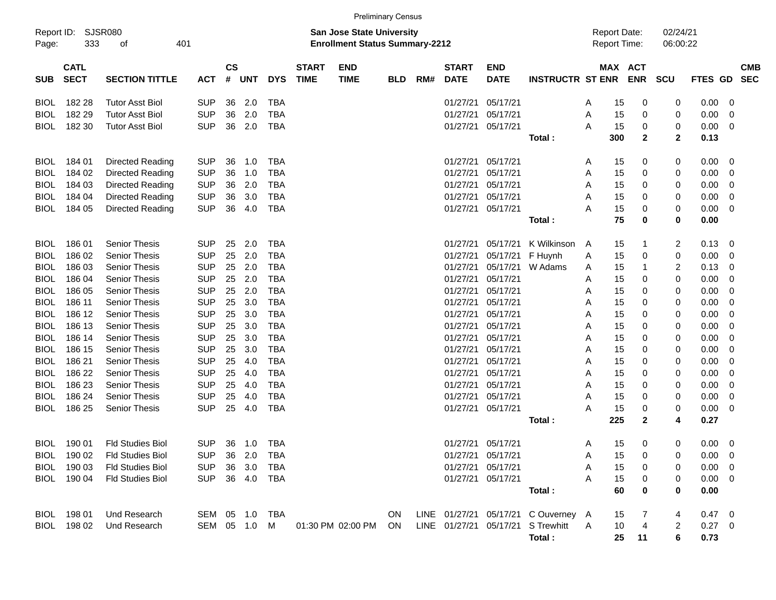|                     |                            |                             |            |                    |                |            |                             | <b>Preliminary Census</b>                                                 |            |     |                             |                           |                                    |   |                                            |              |                         |                |                         |                          |
|---------------------|----------------------------|-----------------------------|------------|--------------------|----------------|------------|-----------------------------|---------------------------------------------------------------------------|------------|-----|-----------------------------|---------------------------|------------------------------------|---|--------------------------------------------|--------------|-------------------------|----------------|-------------------------|--------------------------|
| Report ID:<br>Page: | 333                        | <b>SJSR080</b><br>401<br>of |            |                    |                |            |                             | <b>San Jose State University</b><br><b>Enrollment Status Summary-2212</b> |            |     |                             |                           |                                    |   | <b>Report Date:</b><br><b>Report Time:</b> |              | 02/24/21<br>06:00:22    |                |                         |                          |
| <b>SUB</b>          | <b>CATL</b><br><b>SECT</b> | <b>SECTION TITTLE</b>       | <b>ACT</b> | $\mathsf{cs}$<br># | <b>UNT</b>     | <b>DYS</b> | <b>START</b><br><b>TIME</b> | <b>END</b><br><b>TIME</b>                                                 | <b>BLD</b> | RM# | <b>START</b><br><b>DATE</b> | <b>END</b><br><b>DATE</b> | <b>INSTRUCTR ST ENR</b>            |   | MAX ACT                                    | <b>ENR</b>   | <b>SCU</b>              | <b>FTES GD</b> |                         | <b>CMB</b><br><b>SEC</b> |
| <b>BIOL</b>         | 182 28                     | <b>Tutor Asst Biol</b>      | <b>SUP</b> | 36                 | 2.0            | <b>TBA</b> |                             |                                                                           |            |     | 01/27/21                    | 05/17/21                  |                                    | A | 15                                         | 0            | 0                       | 0.00           | - 0                     |                          |
| <b>BIOL</b>         | 182 29                     | <b>Tutor Asst Biol</b>      | <b>SUP</b> | 36                 | 2.0            | <b>TBA</b> |                             |                                                                           |            |     | 01/27/21                    | 05/17/21                  |                                    | A | 15                                         | 0            | 0                       | 0.00           | 0                       |                          |
| BIOL                | 182 30                     | Tutor Asst Biol             | <b>SUP</b> | 36                 | 2.0            | <b>TBA</b> |                             |                                                                           |            |     | 01/27/21                    | 05/17/21                  |                                    | A | 15                                         | 0            | 0                       | 0.00           | - 0                     |                          |
|                     |                            |                             |            |                    |                |            |                             |                                                                           |            |     |                             |                           | Total:                             |   | 300                                        | $\mathbf{2}$ | $\overline{2}$          | 0.13           |                         |                          |
| <b>BIOL</b>         | 184 01                     | Directed Reading            | <b>SUP</b> | 36                 | 1.0            | <b>TBA</b> |                             |                                                                           |            |     | 01/27/21                    | 05/17/21                  |                                    | A | 15                                         | 0            | 0                       | 0.00           | $\overline{\mathbf{0}}$ |                          |
| <b>BIOL</b>         | 184 02                     | Directed Reading            | <b>SUP</b> | 36                 | 1.0            | <b>TBA</b> |                             |                                                                           |            |     | 01/27/21                    | 05/17/21                  |                                    | A | 15                                         | 0            | 0                       | 0.00           | 0                       |                          |
| <b>BIOL</b>         | 184 03                     | Directed Reading            | <b>SUP</b> | 36                 | 2.0            | <b>TBA</b> |                             |                                                                           |            |     | 01/27/21                    | 05/17/21                  |                                    | A | 15                                         | 0            | 0                       | 0.00           | 0                       |                          |
| <b>BIOL</b>         | 184 04                     | Directed Reading            | <b>SUP</b> | 36                 | 3.0            | <b>TBA</b> |                             |                                                                           |            |     | 01/27/21                    | 05/17/21                  |                                    | A | 15                                         | 0            | 0                       | 0.00           | 0                       |                          |
| BIOL                | 184 05                     | Directed Reading            | <b>SUP</b> | 36                 | 4.0            | <b>TBA</b> |                             |                                                                           |            |     | 01/27/21                    | 05/17/21                  |                                    | A | 15                                         | 0            | 0                       | 0.00           | $\overline{\mathbf{0}}$ |                          |
|                     |                            |                             |            |                    |                |            |                             |                                                                           |            |     |                             |                           | Total :                            |   | 75                                         | 0            | 0                       | 0.00           |                         |                          |
| <b>BIOL</b>         | 186 01                     | <b>Senior Thesis</b>        | <b>SUP</b> | 25                 | 2.0            | <b>TBA</b> |                             |                                                                           |            |     | 01/27/21                    | 05/17/21                  | K Wilkinson                        | A | 15                                         | 1            | 2                       | 0.13           | $\overline{\mathbf{0}}$ |                          |
| BIOL                | 186 02                     | <b>Senior Thesis</b>        | <b>SUP</b> | 25                 | 2.0            | <b>TBA</b> |                             |                                                                           |            |     | 01/27/21                    | 05/17/21                  | F Huynh                            | A | 15                                         | 0            | 0                       | 0.00           | 0                       |                          |
| BIOL                | 186 03                     | <b>Senior Thesis</b>        | <b>SUP</b> | 25                 | 2.0            | <b>TBA</b> |                             |                                                                           |            |     | 01/27/21                    | 05/17/21                  | W Adams                            | A | 15                                         | -1           | $\overline{\mathbf{c}}$ | 0.13           | 0                       |                          |
| BIOL                | 186 04                     | <b>Senior Thesis</b>        | <b>SUP</b> | 25                 | 2.0            | <b>TBA</b> |                             |                                                                           |            |     | 01/27/21                    | 05/17/21                  |                                    | A | 15                                         | 0            | 0                       | 0.00           | 0                       |                          |
| BIOL                | 186 05                     | <b>Senior Thesis</b>        | <b>SUP</b> | 25                 | 2.0            | <b>TBA</b> |                             |                                                                           |            |     | 01/27/21                    | 05/17/21                  |                                    | A | 15                                         | 0            | 0                       | 0.00           | 0                       |                          |
| BIOL                | 186 11                     | <b>Senior Thesis</b>        | <b>SUP</b> | 25                 | 3.0            | <b>TBA</b> |                             |                                                                           |            |     | 01/27/21                    | 05/17/21                  |                                    | A | 15                                         | 0            | 0                       | 0.00           | 0                       |                          |
| BIOL                | 186 12                     | <b>Senior Thesis</b>        | <b>SUP</b> | 25                 | 3.0            | <b>TBA</b> |                             |                                                                           |            |     | 01/27/21                    | 05/17/21                  |                                    | A | 15                                         | 0            | 0                       | 0.00           | 0                       |                          |
| BIOL                | 186 13                     | <b>Senior Thesis</b>        | <b>SUP</b> | 25                 | 3.0            | <b>TBA</b> |                             |                                                                           |            |     | 01/27/21                    | 05/17/21                  |                                    | A | 15                                         | 0            | 0                       | 0.00           | 0                       |                          |
| BIOL                | 186 14                     | <b>Senior Thesis</b>        | <b>SUP</b> | 25                 | 3.0            | <b>TBA</b> |                             |                                                                           |            |     | 01/27/21                    | 05/17/21                  |                                    | A | 15                                         | 0            | 0                       | 0.00           | 0                       |                          |
| BIOL                | 186 15                     | <b>Senior Thesis</b>        | <b>SUP</b> | 25                 | 3.0            | <b>TBA</b> |                             |                                                                           |            |     | 01/27/21                    | 05/17/21                  |                                    | A | 15                                         | 0            | 0                       | 0.00           | 0                       |                          |
| BIOL                | 186 21                     | <b>Senior Thesis</b>        | <b>SUP</b> | 25                 | 4.0            | <b>TBA</b> |                             |                                                                           |            |     | 01/27/21                    | 05/17/21                  |                                    | A | 15                                         | 0            | 0                       | 0.00           | 0                       |                          |
| BIOL                | 186 22                     | <b>Senior Thesis</b>        | <b>SUP</b> | 25                 | 4.0            | <b>TBA</b> |                             |                                                                           |            |     | 01/27/21                    | 05/17/21                  |                                    | A | 15                                         | 0            | 0                       | 0.00           | 0                       |                          |
| <b>BIOL</b>         | 186 23                     | <b>Senior Thesis</b>        | <b>SUP</b> | 25                 | 4.0            | <b>TBA</b> |                             |                                                                           |            |     | 01/27/21                    | 05/17/21                  |                                    | A | 15                                         | 0            | 0                       | 0.00           | 0                       |                          |
| <b>BIOL</b>         | 186 24                     | <b>Senior Thesis</b>        | <b>SUP</b> | 25                 | 4.0            | <b>TBA</b> |                             |                                                                           |            |     | 01/27/21                    | 05/17/21                  |                                    | A | 15                                         | 0            | 0                       | 0.00           | 0                       |                          |
| BIOL                | 186 25                     | <b>Senior Thesis</b>        | <b>SUP</b> | 25                 | 4.0            | <b>TBA</b> |                             |                                                                           |            |     | 01/27/21                    | 05/17/21                  |                                    | A | 15                                         | 0            | 0                       | 0.00           | - 0                     |                          |
|                     |                            |                             |            |                    |                |            |                             |                                                                           |            |     |                             |                           | Total:                             |   | 225                                        | 2            | 4                       | 0.27           |                         |                          |
| <b>BIOL</b>         | 190 01                     | <b>Fld Studies Biol</b>     | <b>SUP</b> |                    | 36 1.0         | TBA        |                             |                                                                           |            |     | 01/27/21 05/17/21           |                           |                                    | A | 15                                         | 0            | 0                       | $0.00 \t 0$    |                         |                          |
|                     | BIOL 190 02                | Fld Studies Biol            | SUP 36 2.0 |                    |                | TBA        |                             |                                                                           |            |     |                             | 01/27/21 05/17/21         |                                    | A | 15                                         | 0            | 0                       | $0.00 \t 0$    |                         |                          |
|                     | BIOL 190 03                | Fld Studies Biol            | <b>SUP</b> |                    | 36 3.0         | TBA        |                             |                                                                           |            |     |                             | 01/27/21 05/17/21         |                                    | Α | 15                                         | 0            | 0                       | $0.00 \t 0$    |                         |                          |
|                     | BIOL 190 04                | Fld Studies Biol            | <b>SUP</b> |                    | 36 4.0         | TBA        |                             |                                                                           |            |     |                             | 01/27/21 05/17/21         |                                    | A | 15                                         | 0            | 0                       | $0.00 \t 0$    |                         |                          |
|                     |                            |                             |            |                    |                |            |                             |                                                                           |            |     |                             |                           | Total:                             |   | 60                                         | 0            | 0                       | 0.00           |                         |                          |
|                     | BIOL 198 01                | Und Research                |            |                    | SEM 05 1.0 TBA |            |                             |                                                                           | ON.        |     |                             |                           | LINE 01/27/21 05/17/21 COuverney A |   | 15                                         | 7            | 4                       | $0.47 \quad 0$ |                         |                          |
|                     | BIOL 198 02                | Und Research                |            |                    | SEM 05 1.0 M   |            |                             | 01:30 PM 02:00 PM                                                         | ON         |     |                             |                           | LINE 01/27/21 05/17/21 S Trewhitt  | A | 10                                         | 4            | 2                       | $0.27$ 0       |                         |                          |
|                     |                            |                             |            |                    |                |            |                             |                                                                           |            |     |                             |                           | Total:                             |   | 25                                         | 11           | 6                       | 0.73           |                         |                          |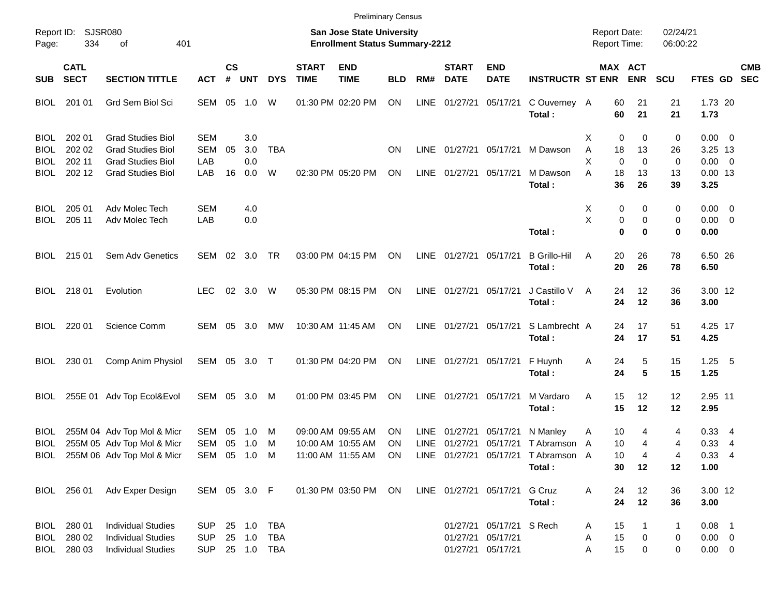|                      |                                           |                                                                                     |                                 |               |                  |                                 |                             |                                                                           | <b>Preliminary Census</b> |             |                             |                                                                    |                                                         |                                     |                         |                      |                                        |            |
|----------------------|-------------------------------------------|-------------------------------------------------------------------------------------|---------------------------------|---------------|------------------|---------------------------------|-----------------------------|---------------------------------------------------------------------------|---------------------------|-------------|-----------------------------|--------------------------------------------------------------------|---------------------------------------------------------|-------------------------------------|-------------------------|----------------------|----------------------------------------|------------|
| Page:                | Report ID: SJSR080<br>334                 | 401<br>of                                                                           |                                 |               |                  |                                 |                             | <b>San Jose State University</b><br><b>Enrollment Status Summary-2212</b> |                           |             |                             |                                                                    |                                                         | <b>Report Date:</b><br>Report Time: |                         | 02/24/21<br>06:00:22 |                                        |            |
| <b>SUB</b>           | <b>CATL</b><br><b>SECT</b>                | <b>SECTION TITTLE</b>                                                               | <b>ACT</b>                      | $\mathsf{cs}$ | # UNT            | <b>DYS</b>                      | <b>START</b><br><b>TIME</b> | <b>END</b><br><b>TIME</b>                                                 | <b>BLD</b>                | RM#         | <b>START</b><br><b>DATE</b> | <b>END</b><br><b>DATE</b>                                          | <b>INSTRUCTR ST ENR</b>                                 | <b>MAX ACT</b>                      | <b>ENR</b>              | <b>SCU</b>           | FTES GD SEC                            | <b>CMB</b> |
|                      | BIOL 201 01                               | Grd Sem Biol Sci                                                                    | SEM 05                          |               | 1.0              | W                               |                             | 01:30 PM 02:20 PM                                                         | ON                        | LINE        | 01/27/21                    | 05/17/21                                                           | C Ouverney A<br>Total:                                  | 60<br>60                            | 21<br>21                | 21<br>21             | 1.73 20<br>1.73                        |            |
| BIOL.<br><b>BIOL</b> | 202 01<br>202 02                          | <b>Grad Studies Biol</b><br><b>Grad Studies Biol</b>                                | <b>SEM</b><br><b>SEM</b>        | 05            | 3.0<br>3.0       | <b>TBA</b>                      |                             |                                                                           | <b>ON</b>                 | LINE        |                             |                                                                    | 01/27/21 05/17/21 M Dawson                              | 0<br>х<br>Α<br>18                   | 0<br>13                 | 0<br>26              | $0.00 \t 0$<br>3.25 13                 |            |
| BIOL<br>BIOL         | 202 11<br>202 12                          | <b>Grad Studies Biol</b><br><b>Grad Studies Biol</b>                                | LAB<br>LAB                      | 16            | 0.0<br>0.0       | W                               |                             | 02:30 PM 05:20 PM                                                         | ON                        | <b>LINE</b> | 01/27/21 05/17/21           |                                                                    | M Dawson                                                | X<br>$\Omega$<br>A<br>18            | $\Omega$<br>13          | 0<br>13              | $0.00 \t 0$<br>$0.00$ 13               |            |
| BIOL.                | 205 01                                    | Adv Molec Tech                                                                      | <b>SEM</b>                      |               | 4.0              |                                 |                             |                                                                           |                           |             |                             |                                                                    | Total:                                                  | 36<br>X<br>0                        | 26<br>0                 | 39<br>0              | 3.25<br>$0.00 \t 0$                    |            |
| BIOL                 | 205 11                                    | Adv Molec Tech                                                                      | LAB                             |               | 0.0              |                                 |                             |                                                                           |                           |             |                             |                                                                    | Total:                                                  | X<br>0<br>$\bf{0}$                  | 0<br>$\bf{0}$           | 0<br>0               | $0.00 \t 0$<br>0.00                    |            |
|                      | BIOL 215 01                               | Sem Adv Genetics                                                                    | SEM 02 3.0                      |               |                  | TR                              |                             | 03:00 PM 04:15 PM                                                         | ON                        |             | LINE 01/27/21 05/17/21      |                                                                    | <b>B</b> Grillo-Hil<br>Total:                           | A<br>20<br>20                       | 26<br>26                | 78<br>78             | 6.50 26<br>6.50                        |            |
|                      | BIOL 218 01                               | Evolution                                                                           | <b>LEC</b>                      |               | 02 3.0           | W                               |                             | 05:30 PM 08:15 PM                                                         | ON                        |             | LINE 01/27/21 05/17/21      |                                                                    | J Castillo V<br>Total:                                  | A<br>24<br>24                       | 12<br>12                | 36<br>36             | 3.00 12<br>3.00                        |            |
|                      | BIOL 220 01                               | Science Comm                                                                        | SEM 05                          |               | 3.0              | МW                              |                             | 10:30 AM 11:45 AM                                                         | ON                        |             | LINE 01/27/21 05/17/21      |                                                                    | S Lambrecht A<br>Total:                                 | 24<br>24                            | 17<br>17                | 51<br>51             | 4.25 17<br>4.25                        |            |
| BIOL                 | 230 01                                    | Comp Anim Physiol                                                                   | SEM 05 3.0 T                    |               |                  |                                 |                             | 01:30 PM 04:20 PM                                                         | ON                        |             |                             | LINE 01/27/21 05/17/21                                             | F Huynh<br>Total:                                       | 24<br>Α<br>24                       | 5<br>5                  | 15<br>15             | $1.25$ 5<br>1.25                       |            |
| BIOL                 |                                           | 255E 01 Adv Top Ecol&Evol                                                           | SEM 05 3.0                      |               |                  | M                               |                             | 01:00 PM 03:45 PM                                                         | ON                        |             | LINE 01/27/21 05/17/21      |                                                                    | M Vardaro<br>Total:                                     | 15<br>A<br>15                       | $12 \overline{ }$<br>12 | 12<br>12             | 2.95 11<br>2.95                        |            |
| <b>BIOL</b><br>BIOL  |                                           | 255M 04 Adv Top Mol & Micr<br>255M 05 Adv Top Mol & Micr                            | SEM<br>SEM                      | 05            | 1.0<br>05 1.0    | M<br>M                          |                             | 09:00 AM 09:55 AM<br>10:00 AM 10:55 AM                                    | ON<br>ΟN                  | <b>LINE</b> | 01/27/21                    |                                                                    | 05/17/21 N Manley<br>LINE 01/27/21 05/17/21 TAbramson A | 10<br>Α<br>10                       | 4<br>4                  | 4<br>4               | 0.334<br>0.334                         |            |
|                      |                                           | BIOL 255M 06 Adv Top Mol & Micr SEM 05 1.0 M                                        |                                 |               |                  |                                 |                             | 11:00 AM 11:55 AM ON                                                      |                           |             |                             |                                                                    | LINE 01/27/21 05/17/21 TAbramson A<br>Total:            | 10<br>30                            | 4<br>12                 | 4<br>12              | $0.33$ 4<br>1.00                       |            |
|                      | BIOL 256 01                               | Adv Exper Design                                                                    | SEM 05 3.0 F                    |               |                  |                                 |                             | 01:30 PM 03:50 PM                                                         | ON                        |             |                             | LINE 01/27/21 05/17/21                                             | G Cruz<br>Total:                                        | 24<br>Α<br>24                       | 12<br>12                | 36<br>36             | 3.00 12<br>3.00                        |            |
|                      | BIOL 280 01<br>BIOL 280 02<br>BIOL 280 03 | <b>Individual Studies</b><br><b>Individual Studies</b><br><b>Individual Studies</b> | <b>SUP</b><br><b>SUP</b><br>SUP |               | 25 1.0<br>25 1.0 | <b>TBA</b><br>TBA<br>25 1.0 TBA |                             |                                                                           |                           |             |                             | 01/27/21 05/17/21 S Rech<br>01/27/21 05/17/21<br>01/27/21 05/17/21 |                                                         | 15<br>A<br>15<br>Α<br>15<br>Α       | 0<br>0                  | 1<br>0<br>0          | $0.08$ 1<br>$0.00 \t 0$<br>$0.00 \t 0$ |            |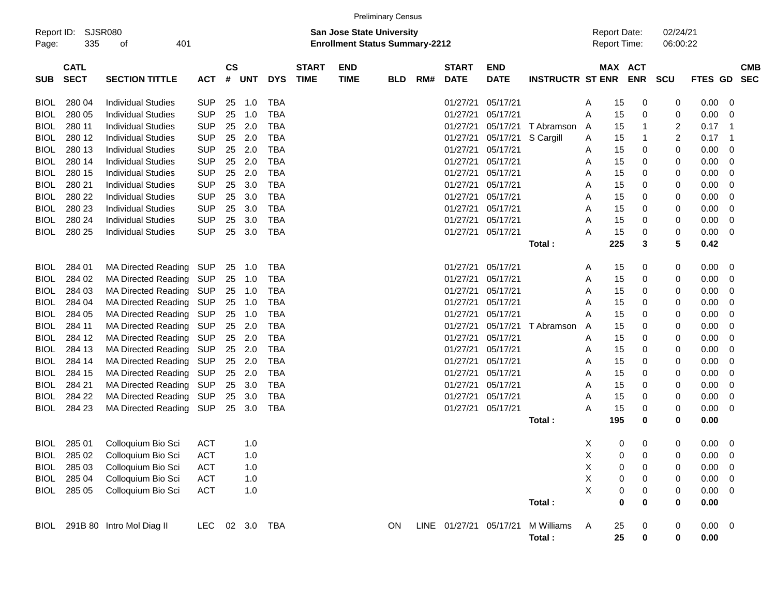|                     |                            |                                |            |                               |     |            |                             |                                                                           | <b>Preliminary Census</b> |     |                             |                           |                         |                                     |                       |             |                      |             |                         |            |
|---------------------|----------------------------|--------------------------------|------------|-------------------------------|-----|------------|-----------------------------|---------------------------------------------------------------------------|---------------------------|-----|-----------------------------|---------------------------|-------------------------|-------------------------------------|-----------------------|-------------|----------------------|-------------|-------------------------|------------|
| Report ID:<br>Page: | 335                        | <b>SJSR080</b><br>401<br>οf    |            |                               |     |            |                             | <b>San Jose State University</b><br><b>Enrollment Status Summary-2212</b> |                           |     |                             |                           |                         | <b>Report Date:</b><br>Report Time: |                       |             | 02/24/21<br>06:00:22 |             |                         |            |
| <b>SUB</b>          | <b>CATL</b><br><b>SECT</b> | <b>SECTION TITTLE</b>          | <b>ACT</b> | $\mathsf{CS}\phantom{0}$<br># | UNT | <b>DYS</b> | <b>START</b><br><b>TIME</b> | <b>END</b><br><b>TIME</b>                                                 | <b>BLD</b>                | RM# | <b>START</b><br><b>DATE</b> | <b>END</b><br><b>DATE</b> | <b>INSTRUCTR ST ENR</b> |                                     | MAX ACT<br><b>ENR</b> |             | <b>SCU</b>           | FTES GD SEC |                         | <b>CMB</b> |
| <b>BIOL</b>         | 280 04                     | <b>Individual Studies</b>      | <b>SUP</b> | 25                            | 1.0 | TBA        |                             |                                                                           |                           |     | 01/27/21                    | 05/17/21                  |                         | A                                   | 15                    | 0           | 0                    | 0.00        | 0                       |            |
| <b>BIOL</b>         | 280 05                     | <b>Individual Studies</b>      | <b>SUP</b> | 25                            | 1.0 | <b>TBA</b> |                             |                                                                           |                           |     | 01/27/21                    | 05/17/21                  |                         | Α                                   | 15                    | 0           | 0                    | 0.00        | 0                       |            |
| <b>BIOL</b>         | 280 11                     | <b>Individual Studies</b>      | <b>SUP</b> | 25                            | 2.0 | <b>TBA</b> |                             |                                                                           |                           |     | 01/27/21                    | 05/17/21                  | T Abramson              | A                                   | 15                    | 1           | $\overline{c}$       | 0.17        | -1                      |            |
| <b>BIOL</b>         | 280 12                     | <b>Individual Studies</b>      | <b>SUP</b> | 25                            | 2.0 | <b>TBA</b> |                             |                                                                           |                           |     | 01/27/21                    | 05/17/21                  | S Cargill               | A                                   | 15                    | 1           | 2                    | 0.17        | - 1                     |            |
| <b>BIOL</b>         | 280 13                     | <b>Individual Studies</b>      | <b>SUP</b> | 25                            | 2.0 | <b>TBA</b> |                             |                                                                           |                           |     | 01/27/21                    | 05/17/21                  |                         | A                                   | 15                    | 0           | 0                    | 0.00        | 0                       |            |
| <b>BIOL</b>         | 280 14                     | <b>Individual Studies</b>      | <b>SUP</b> | 25                            | 2.0 | <b>TBA</b> |                             |                                                                           |                           |     | 01/27/21                    | 05/17/21                  |                         | A                                   | 15                    | 0           | 0                    | 0.00        | 0                       |            |
| <b>BIOL</b>         | 280 15                     | <b>Individual Studies</b>      | <b>SUP</b> | 25                            | 2.0 | <b>TBA</b> |                             |                                                                           |                           |     | 01/27/21                    | 05/17/21                  |                         | A                                   | 15                    | 0           | 0                    | 0.00        | 0                       |            |
| <b>BIOL</b>         | 280 21                     | <b>Individual Studies</b>      | <b>SUP</b> | 25                            | 3.0 | <b>TBA</b> |                             |                                                                           |                           |     | 01/27/21                    | 05/17/21                  |                         | A                                   | 15                    | 0           | 0                    | 0.00        | 0                       |            |
| <b>BIOL</b>         | 280 22                     | <b>Individual Studies</b>      | <b>SUP</b> | 25                            | 3.0 | <b>TBA</b> |                             |                                                                           |                           |     | 01/27/21                    | 05/17/21                  |                         | A                                   | 15                    | 0           | 0                    | 0.00        | 0                       |            |
| <b>BIOL</b>         | 280 23                     | <b>Individual Studies</b>      | <b>SUP</b> | 25                            | 3.0 | <b>TBA</b> |                             |                                                                           |                           |     | 01/27/21                    | 05/17/21                  |                         | A                                   | 15                    | 0           | 0                    | 0.00        | 0                       |            |
| <b>BIOL</b>         | 280 24                     | <b>Individual Studies</b>      | <b>SUP</b> | 25                            | 3.0 | <b>TBA</b> |                             |                                                                           |                           |     | 01/27/21                    | 05/17/21                  |                         | Α                                   | 15                    | 0           | 0                    | 0.00        | 0                       |            |
| <b>BIOL</b>         | 280 25                     | <b>Individual Studies</b>      | <b>SUP</b> | 25                            | 3.0 | <b>TBA</b> |                             |                                                                           |                           |     |                             | 01/27/21 05/17/21         |                         | Α                                   | 15                    | 0           | 0                    | 0.00        | 0                       |            |
|                     |                            |                                |            |                               |     |            |                             |                                                                           |                           |     |                             |                           | Total:                  |                                     | 225                   | 3           | $5\phantom{.0}$      | 0.42        |                         |            |
| <b>BIOL</b>         | 284 01                     | <b>MA Directed Reading</b>     | SUP        | 25                            | 1.0 | TBA        |                             |                                                                           |                           |     | 01/27/21                    | 05/17/21                  |                         | A                                   | 15                    | 0           | 0                    | 0.00        | 0                       |            |
| <b>BIOL</b>         | 284 02                     | <b>MA Directed Reading</b>     | SUP        | 25                            | 1.0 | <b>TBA</b> |                             |                                                                           |                           |     | 01/27/21                    | 05/17/21                  |                         | A                                   | 15                    | 0           | 0                    | 0.00        | 0                       |            |
| <b>BIOL</b>         | 284 03                     | <b>MA Directed Reading</b>     | <b>SUP</b> | 25                            | 1.0 | <b>TBA</b> |                             |                                                                           |                           |     | 01/27/21                    | 05/17/21                  |                         | A                                   | 15                    | 0           | 0                    | 0.00        | 0                       |            |
| <b>BIOL</b>         | 284 04                     | <b>MA Directed Reading</b>     | <b>SUP</b> | 25                            | 1.0 | <b>TBA</b> |                             |                                                                           |                           |     | 01/27/21                    | 05/17/21                  |                         | A                                   | 15                    | 0           | 0                    | 0.00        | 0                       |            |
| <b>BIOL</b>         | 284 05                     | <b>MA Directed Reading</b>     | <b>SUP</b> | 25                            | 1.0 | <b>TBA</b> |                             |                                                                           |                           |     | 01/27/21                    | 05/17/21                  |                         | Α                                   | 15                    | 0           | 0                    | 0.00        | 0                       |            |
| <b>BIOL</b>         | 284 11                     | <b>MA Directed Reading</b>     | <b>SUP</b> | 25                            | 2.0 | <b>TBA</b> |                             |                                                                           |                           |     | 01/27/21                    | 05/17/21                  | T Abramson              | A                                   | 15                    | 0           | 0                    | 0.00        | 0                       |            |
| <b>BIOL</b>         | 284 12                     | <b>MA Directed Reading</b>     | <b>SUP</b> | 25                            | 2.0 | <b>TBA</b> |                             |                                                                           |                           |     | 01/27/21                    | 05/17/21                  |                         | A                                   | 15                    | 0           | 0                    | 0.00        | 0                       |            |
| <b>BIOL</b>         | 284 13                     | <b>MA Directed Reading</b>     | SUP        | 25                            | 2.0 | <b>TBA</b> |                             |                                                                           |                           |     | 01/27/21                    | 05/17/21                  |                         | A                                   | 15                    | 0           | 0                    | 0.00        | 0                       |            |
| <b>BIOL</b>         | 284 14                     | <b>MA Directed Reading</b>     | <b>SUP</b> | 25                            | 2.0 | <b>TBA</b> |                             |                                                                           |                           |     | 01/27/21                    | 05/17/21                  |                         | A                                   | 15                    | 0           | 0                    | 0.00        | 0                       |            |
| <b>BIOL</b>         | 284 15                     | <b>MA Directed Reading</b>     | <b>SUP</b> | 25                            | 2.0 | <b>TBA</b> |                             |                                                                           |                           |     | 01/27/21                    | 05/17/21                  |                         | A                                   | 15                    | 0           | 0                    | 0.00        | 0                       |            |
| <b>BIOL</b>         | 284 21                     | <b>MA Directed Reading</b>     | <b>SUP</b> | 25                            | 3.0 | <b>TBA</b> |                             |                                                                           |                           |     | 01/27/21                    | 05/17/21                  |                         | A                                   | 15                    | 0           | 0                    | 0.00        | 0                       |            |
| <b>BIOL</b>         | 284 22                     | <b>MA Directed Reading</b>     | <b>SUP</b> | 25                            | 3.0 | <b>TBA</b> |                             |                                                                           |                           |     | 01/27/21                    | 05/17/21                  |                         | Α                                   | 15                    | 0           | 0                    | 0.00        | 0                       |            |
| <b>BIOL</b>         | 284 23                     | <b>MA Directed Reading</b>     | SUP        | 25                            | 3.0 | <b>TBA</b> |                             |                                                                           |                           |     | 01/27/21                    | 05/17/21                  |                         | Α                                   | 15                    | 0           | 0                    | 0.00        | 0                       |            |
|                     |                            |                                |            |                               |     |            |                             |                                                                           |                           |     |                             |                           | Total:                  | 195                                 |                       | 0           | $\bf{0}$             | 0.00        |                         |            |
| <b>BIOL</b>         | 285 01                     | Colloquium Bio Sci             | <b>ACT</b> |                               | 1.0 |            |                             |                                                                           |                           |     |                             |                           |                         | X                                   | 0                     | 0           | 0                    | 0.00        | $\overline{0}$          |            |
|                     |                            | BIOL 285 02 Colloquium Bio Sci | ACT        |                               | 1.0 |            |                             |                                                                           |                           |     |                             |                           |                         | $\mathsf X$                         | $\overline{0}$        | $\mathbf 0$ | 0                    | $0.00 \t 0$ |                         |            |
| <b>BIOL</b>         | 285 03                     | Colloquium Bio Sci             | ACT        |                               | 1.0 |            |                             |                                                                           |                           |     |                             |                           |                         | X                                   | 0                     | 0           | 0                    | 0.00        | $\overline{0}$          |            |
| BIOL                | 285 04                     | Colloquium Bio Sci             | <b>ACT</b> |                               | 1.0 |            |                             |                                                                           |                           |     |                             |                           |                         | X                                   | 0                     | 0           | 0                    | 0.00        | $\overline{\mathbf{0}}$ |            |
| BIOL                | 285 05                     | Colloquium Bio Sci             | <b>ACT</b> |                               | 1.0 |            |                             |                                                                           |                           |     |                             |                           |                         | X                                   | 0                     | 0           | 0                    | $0.00 \t 0$ |                         |            |
|                     |                            |                                |            |                               |     |            |                             |                                                                           |                           |     |                             |                           | Total:                  |                                     | $\bf{0}$              | 0           | 0                    | 0.00        |                         |            |
|                     |                            | BIOL 291B 80 Intro Mol Diag II | LEC        |                               |     | 02 3.0 TBA |                             |                                                                           | ON                        |     | LINE 01/27/21 05/17/21      |                           | M Williams              | A                                   | 25                    | 0           | 0                    | $0.00 \t 0$ |                         |            |
|                     |                            |                                |            |                               |     |            |                             |                                                                           |                           |     |                             |                           | Total:                  |                                     | 25                    | 0           | $\mathbf 0$          | 0.00        |                         |            |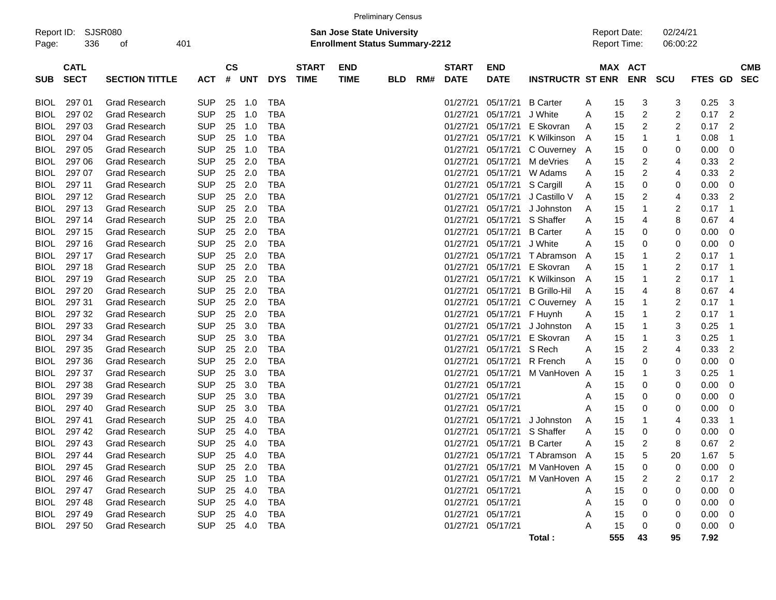|                     |                            |                       |            |                    |            |            |                             |                                                                           | <b>Preliminary Census</b> |     |                             |                           |                         |                                     |                              |                      |                |                          |
|---------------------|----------------------------|-----------------------|------------|--------------------|------------|------------|-----------------------------|---------------------------------------------------------------------------|---------------------------|-----|-----------------------------|---------------------------|-------------------------|-------------------------------------|------------------------------|----------------------|----------------|--------------------------|
| Report ID:<br>Page: | 336                        | SJSR080<br>οf         | 401        |                    |            |            |                             | <b>San Jose State University</b><br><b>Enrollment Status Summary-2212</b> |                           |     |                             |                           |                         | <b>Report Date:</b><br>Report Time: |                              | 02/24/21<br>06:00:22 |                |                          |
| <b>SUB</b>          | <b>CATL</b><br><b>SECT</b> | <b>SECTION TITTLE</b> | <b>ACT</b> | $\mathsf{cs}$<br># | <b>UNT</b> | <b>DYS</b> | <b>START</b><br><b>TIME</b> | <b>END</b><br><b>TIME</b>                                                 | <b>BLD</b>                | RM# | <b>START</b><br><b>DATE</b> | <b>END</b><br><b>DATE</b> | <b>INSTRUCTR ST ENR</b> |                                     | <b>MAX ACT</b><br><b>ENR</b> | <b>SCU</b>           | <b>FTES GD</b> | <b>CMB</b><br><b>SEC</b> |
| <b>BIOL</b>         | 297 01                     | <b>Grad Research</b>  | <b>SUP</b> | 25                 | 1.0        | <b>TBA</b> |                             |                                                                           |                           |     | 01/27/21                    | 05/17/21                  | <b>B</b> Carter         | A<br>15                             | 3                            | 3                    | 0.25           | 3                        |
| <b>BIOL</b>         | 297 02                     | <b>Grad Research</b>  | <b>SUP</b> | 25                 | 1.0        | <b>TBA</b> |                             |                                                                           |                           |     | 01/27/21                    | 05/17/21                  | J White                 | 15<br>A                             | 2                            | 2                    | 0.17           | $\overline{2}$           |
| <b>BIOL</b>         | 297 03                     | <b>Grad Research</b>  | <b>SUP</b> | 25                 | 1.0        | <b>TBA</b> |                             |                                                                           |                           |     | 01/27/21                    | 05/17/21                  | E Skovran               | 15<br>A                             | 2                            | 2                    | 0.17           | $\overline{2}$           |
| <b>BIOL</b>         | 297 04                     | <b>Grad Research</b>  | <b>SUP</b> | 25                 | 1.0        | <b>TBA</b> |                             |                                                                           |                           |     | 01/27/21                    | 05/17/21                  | K Wilkinson             | 15<br>A                             | 1                            | 1                    | 0.08           | -1                       |
| <b>BIOL</b>         | 297 05                     | <b>Grad Research</b>  | <b>SUP</b> | 25                 | 1.0        | <b>TBA</b> |                             |                                                                           |                           |     | 01/27/21                    | 05/17/21                  | C Ouverney              | 15<br>A                             | 0                            | 0                    | 0.00           | 0                        |
| <b>BIOL</b>         | 297 06                     | <b>Grad Research</b>  | <b>SUP</b> | 25                 | 2.0        | <b>TBA</b> |                             |                                                                           |                           |     | 01/27/21                    | 05/17/21                  | M deVries               | 15<br>Α                             | 2                            | 4                    | 0.33           | $\overline{2}$           |
| <b>BIOL</b>         | 297 07                     | <b>Grad Research</b>  | <b>SUP</b> | 25                 | 2.0        | <b>TBA</b> |                             |                                                                           |                           |     | 01/27/21                    | 05/17/21                  | W Adams                 | 15<br>A                             | 2                            | 4                    | 0.33           | $\overline{2}$           |
| <b>BIOL</b>         | 297 11                     | <b>Grad Research</b>  | <b>SUP</b> | 25                 | 2.0        | <b>TBA</b> |                             |                                                                           |                           |     | 01/27/21                    | 05/17/21                  | S Cargill               | 15<br>A                             | 0                            | 0                    | 0.00           | 0                        |
| <b>BIOL</b>         | 297 12                     | <b>Grad Research</b>  | <b>SUP</b> | 25                 | 2.0        | <b>TBA</b> |                             |                                                                           |                           |     | 01/27/21                    | 05/17/21                  | J Castillo V            | 15<br>A                             | 2                            | 4                    | 0.33           | 2                        |
| <b>BIOL</b>         | 297 13                     | <b>Grad Research</b>  | <b>SUP</b> | 25                 | 2.0        | <b>TBA</b> |                             |                                                                           |                           |     | 01/27/21                    | 05/17/21                  | J Johnston              | 15<br>A                             | 1                            | 2                    | 0.17           | -1                       |
| <b>BIOL</b>         | 297 14                     | <b>Grad Research</b>  | <b>SUP</b> | 25                 | 2.0        | <b>TBA</b> |                             |                                                                           |                           |     | 01/27/21                    | 05/17/21                  | S Shaffer               | 15<br>A                             | 4                            | 8                    | 0.67           | 4                        |
| <b>BIOL</b>         | 297 15                     | <b>Grad Research</b>  | <b>SUP</b> | 25                 | 2.0        | <b>TBA</b> |                             |                                                                           |                           |     | 01/27/21                    | 05/17/21                  | <b>B</b> Carter         | 15<br>A                             | 0                            | 0                    | 0.00           | 0                        |
| <b>BIOL</b>         | 297 16                     | <b>Grad Research</b>  | <b>SUP</b> | 25                 | 2.0        | <b>TBA</b> |                             |                                                                           |                           |     | 01/27/21                    | 05/17/21                  | J White                 | 15<br>Α                             | 0                            | 0                    | 0.00           | 0                        |
| <b>BIOL</b>         | 297 17                     | <b>Grad Research</b>  | <b>SUP</b> | 25                 | 2.0        | <b>TBA</b> |                             |                                                                           |                           |     | 01/27/21                    | 05/17/21                  | T Abramson              | 15<br>A                             |                              | 2                    | 0.17           | - 1                      |
| <b>BIOL</b>         | 297 18                     | <b>Grad Research</b>  | <b>SUP</b> | 25                 | 2.0        | <b>TBA</b> |                             |                                                                           |                           |     | 01/27/21                    | 05/17/21                  | E Skovran               | 15<br>A                             |                              | 2                    | 0.17           | - 1                      |
| <b>BIOL</b>         | 297 19                     | <b>Grad Research</b>  | <b>SUP</b> | 25                 | 2.0        | <b>TBA</b> |                             |                                                                           |                           |     | 01/27/21                    | 05/17/21                  | K Wilkinson             | 15<br>A                             |                              | 2                    | 0.17           | - 1                      |
| <b>BIOL</b>         | 297 20                     | <b>Grad Research</b>  | <b>SUP</b> | 25                 | 2.0        | <b>TBA</b> |                             |                                                                           |                           |     | 01/27/21                    | 05/17/21                  | <b>B</b> Grillo-Hil     | 15<br>A                             | 4                            | 8                    | 0.67           | -4                       |
| <b>BIOL</b>         | 297 31                     | <b>Grad Research</b>  | <b>SUP</b> | 25                 | 2.0        | <b>TBA</b> |                             |                                                                           |                           |     | 01/27/21                    | 05/17/21                  | C Ouverney              | 15<br>A                             | -1                           | 2                    | 0.17           | - 1                      |
| <b>BIOL</b>         | 297 32                     | <b>Grad Research</b>  | <b>SUP</b> | 25                 | 2.0        | <b>TBA</b> |                             |                                                                           |                           |     | 01/27/21                    | 05/17/21                  | F Huynh                 | 15<br>A                             |                              | 2                    | 0.17           | - 1                      |
| <b>BIOL</b>         | 297 33                     | <b>Grad Research</b>  | <b>SUP</b> | 25                 | 3.0        | <b>TBA</b> |                             |                                                                           |                           |     | 01/27/21                    | 05/17/21                  | J Johnston              | 15<br>A                             |                              | 3                    | 0.25           | -1                       |
| <b>BIOL</b>         | 297 34                     | <b>Grad Research</b>  | <b>SUP</b> | 25                 | 3.0        | <b>TBA</b> |                             |                                                                           |                           |     | 01/27/21                    | 05/17/21                  | E Skovran               | 15<br>A                             | 1                            | 3                    | 0.25           | -1                       |
| <b>BIOL</b>         | 297 35                     | <b>Grad Research</b>  | <b>SUP</b> | 25                 | 2.0        | <b>TBA</b> |                             |                                                                           |                           |     | 01/27/21                    | 05/17/21                  | S Rech                  | 15<br>A                             | 2                            | 4                    | 0.33           | $\overline{2}$           |
| <b>BIOL</b>         | 297 36                     | <b>Grad Research</b>  | <b>SUP</b> | 25                 | 2.0        | <b>TBA</b> |                             |                                                                           |                           |     | 01/27/21                    | 05/17/21                  | R French                | 15<br>Α                             | 0                            | 0                    | 0.00           | 0                        |
| <b>BIOL</b>         | 297 37                     | <b>Grad Research</b>  | <b>SUP</b> | 25                 | 3.0        | <b>TBA</b> |                             |                                                                           |                           |     | 01/27/21                    | 05/17/21                  | M VanHoven              | 15<br>A                             | 1                            | 3                    | 0.25           | -1                       |
| <b>BIOL</b>         | 297 38                     | <b>Grad Research</b>  | <b>SUP</b> | 25                 | 3.0        | <b>TBA</b> |                             |                                                                           |                           |     | 01/27/21                    | 05/17/21                  |                         | 15<br>A                             | 0                            | 0                    | 0.00           | 0                        |
| <b>BIOL</b>         | 297 39                     | <b>Grad Research</b>  | <b>SUP</b> | 25                 | 3.0        | <b>TBA</b> |                             |                                                                           |                           |     | 01/27/21                    | 05/17/21                  |                         | 15<br>Α                             | 0                            | 0                    | 0.00           | 0                        |
| <b>BIOL</b>         | 297 40                     | <b>Grad Research</b>  | <b>SUP</b> | 25                 | 3.0        | <b>TBA</b> |                             |                                                                           |                           |     | 01/27/21                    | 05/17/21                  |                         | 15<br>Α                             | 0                            | 0                    | 0.00           | 0                        |
| <b>BIOL</b>         | 297 41                     | <b>Grad Research</b>  | <b>SUP</b> | 25                 | 4.0        | <b>TBA</b> |                             |                                                                           |                           |     | 01/27/21                    | 05/17/21                  | J Johnston              | 15<br>A                             | -1                           | 4                    | 0.33           | -1                       |
| <b>BIOL</b>         | 297 42                     | <b>Grad Research</b>  | <b>SUP</b> | 25                 | 4.0        | <b>TBA</b> |                             |                                                                           |                           |     | 01/27/21                    | 05/17/21                  | S Shaffer               | 15<br>A                             | 0                            | 0                    | 0.00           | 0                        |
| BIOL                | 297 43                     | <b>Grad Research</b>  | <b>SUP</b> | 25                 | 4.0        | <b>TBA</b> |                             |                                                                           |                           |     | 01/27/21                    | 05/17/21                  | <b>B</b> Carter         | 15<br>A                             | 2                            | 8                    | 0.67           | $\overline{2}$           |
|                     | BIOL 297 44                | <b>Grad Research</b>  | <b>SUP</b> | 25                 | 4.0        | <b>TBA</b> |                             |                                                                           |                           |     |                             | 01/27/21 05/17/21         | T Abramson A            | 15                                  | 5                            | 20                   | 1.67           | 5                        |
| BIOL                | 297 45                     | <b>Grad Research</b>  | <b>SUP</b> |                    | 25 2.0     | TBA        |                             |                                                                           |                           |     | 01/27/21                    | 05/17/21                  | M VanHoven A            | 15                                  | 0                            | 0                    | 0.00           | - 0                      |
| BIOL                | 297 46                     | <b>Grad Research</b>  | <b>SUP</b> |                    | 25 1.0     | TBA        |                             |                                                                           |                           |     |                             | 01/27/21 05/17/21         | M VanHoven A            | 15                                  | 2                            | 2                    | $0.17$ 2       |                          |
| BIOL                | 297 47                     | <b>Grad Research</b>  | <b>SUP</b> | 25                 | 4.0        | TBA        |                             |                                                                           |                           |     |                             | 01/27/21 05/17/21         |                         | 15<br>A                             | 0                            | 0                    | 0.00           | 0                        |
| BIOL                | 297 48                     | <b>Grad Research</b>  | <b>SUP</b> | 25                 | 4.0        | TBA        |                             |                                                                           |                           |     |                             | 01/27/21 05/17/21         |                         | 15<br>A                             | 0                            | 0                    | 0.00           | -0                       |
| BIOL                | 297 49                     | <b>Grad Research</b>  | <b>SUP</b> |                    | 25 4.0     | TBA        |                             |                                                                           |                           |     |                             | 01/27/21 05/17/21         |                         | 15<br>Α                             |                              | 0                    | 0.00           | - 0                      |
| BIOL                | 297 50                     | <b>Grad Research</b>  | <b>SUP</b> |                    | 25 4.0     | TBA        |                             |                                                                           |                           |     |                             | 01/27/21 05/17/21         |                         | 15<br>Α                             | 0                            | 0                    | $0.00 \t 0$    |                          |

**Total : 555 43 95 7.92**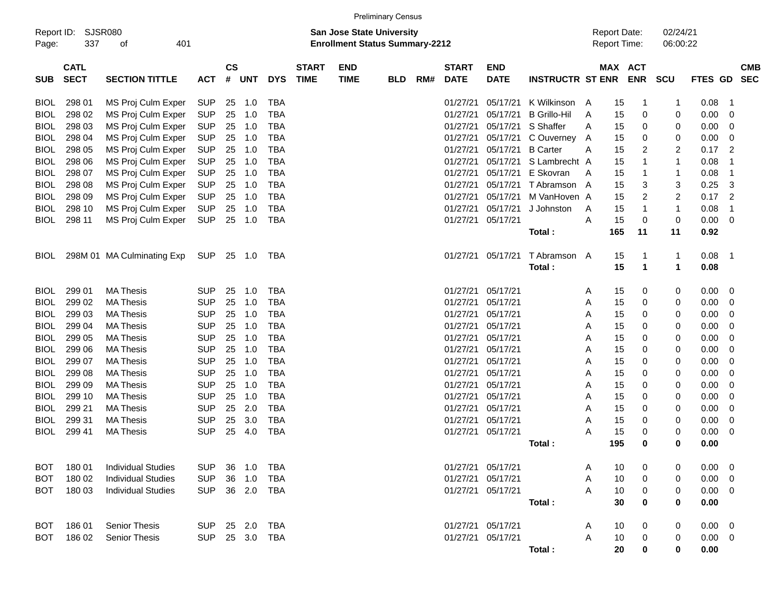|             |             |                            |            |               |            |            |                                  |                                       | <b>Preliminary Census</b> |     |              |                   |                         |                     |          |                     |                |                |                          |            |
|-------------|-------------|----------------------------|------------|---------------|------------|------------|----------------------------------|---------------------------------------|---------------------------|-----|--------------|-------------------|-------------------------|---------------------|----------|---------------------|----------------|----------------|--------------------------|------------|
| Report ID:  |             | <b>SJSR080</b>             |            |               |            |            | <b>San Jose State University</b> |                                       |                           |     |              |                   |                         | <b>Report Date:</b> | 02/24/21 |                     |                |                |                          |            |
| Page:       | 337         | 401<br>оf                  |            |               |            |            |                                  | <b>Enrollment Status Summary-2212</b> |                           |     |              |                   |                         |                     |          | <b>Report Time:</b> | 06:00:22       |                |                          |            |
|             |             |                            |            |               |            |            |                                  |                                       |                           |     |              |                   |                         |                     |          |                     |                |                |                          |            |
|             | <b>CATL</b> |                            |            | $\mathsf{cs}$ |            |            | <b>START</b>                     | <b>END</b>                            |                           |     | <b>START</b> | <b>END</b>        |                         |                     |          | <b>MAX ACT</b>      |                |                |                          | <b>CMB</b> |
| <b>SUB</b>  | <b>SECT</b> | <b>SECTION TITTLE</b>      | <b>ACT</b> | #             | <b>UNT</b> | <b>DYS</b> | <b>TIME</b>                      | <b>TIME</b>                           | <b>BLD</b>                | RM# | <b>DATE</b>  | <b>DATE</b>       | <b>INSTRUCTR ST ENR</b> |                     |          | <b>ENR</b>          | <b>SCU</b>     | <b>FTES GD</b> |                          | <b>SEC</b> |
| <b>BIOL</b> | 298 01      | MS Proj Culm Exper         | <b>SUP</b> | 25            | 1.0        | <b>TBA</b> |                                  |                                       |                           |     | 01/27/21     | 05/17/21          | K Wilkinson             |                     | 15       | 1                   | $\mathbf 1$    | 0.08           | -1                       |            |
| <b>BIOL</b> | 298 02      | MS Proj Culm Exper         | <b>SUP</b> | 25            | 1.0        | <b>TBA</b> |                                  |                                       |                           |     | 01/27/21     | 05/17/21          | <b>B</b> Grillo-Hil     | A<br>A              | 15       | 0                   | 0              | 0.00           | 0                        |            |
| <b>BIOL</b> | 298 03      | MS Proj Culm Exper         | <b>SUP</b> | 25            | 1.0        | <b>TBA</b> |                                  |                                       |                           |     | 01/27/21     | 05/17/21          | S Shaffer               | A                   | 15       | 0                   | 0              | 0.00           | 0                        |            |
| <b>BIOL</b> | 298 04      | MS Proj Culm Exper         | <b>SUP</b> | 25            | 1.0        | <b>TBA</b> |                                  |                                       |                           |     | 01/27/21     | 05/17/21          | C Ouverney              | A                   | 15       | 0                   | 0              | 0.00           | 0                        |            |
| <b>BIOL</b> | 298 05      | MS Proj Culm Exper         | <b>SUP</b> | 25            | 1.0        | <b>TBA</b> |                                  |                                       |                           |     | 01/27/21     | 05/17/21          | <b>B</b> Carter         | Α                   | 15       | 2                   | $\overline{c}$ | 0.17           | $\overline{2}$           |            |
| <b>BIOL</b> | 298 06      | MS Proj Culm Exper         | <b>SUP</b> | 25            | 1.0        | <b>TBA</b> |                                  |                                       |                           |     | 01/27/21     | 05/17/21          | S Lambrecht A           |                     | 15       | 1                   | $\mathbf{1}$   | 0.08           | 1                        |            |
| <b>BIOL</b> | 298 07      | MS Proj Culm Exper         | <b>SUP</b> | 25            | 1.0        | <b>TBA</b> |                                  |                                       |                           |     | 01/27/21     | 05/17/21          | E Skovran               | A                   | 15       | 1                   | $\mathbf 1$    | 0.08           | $\mathbf 1$              |            |
| <b>BIOL</b> | 298 08      | MS Proj Culm Exper         | <b>SUP</b> | 25            | 1.0        | <b>TBA</b> |                                  |                                       |                           |     | 01/27/21     | 05/17/21          | T Abramson A            |                     | 15       | 3                   | 3              | 0.25           | 3                        |            |
| <b>BIOL</b> | 298 09      | MS Proj Culm Exper         | <b>SUP</b> | 25            | 1.0        | <b>TBA</b> |                                  |                                       |                           |     | 01/27/21     | 05/17/21          | M VanHoven A            |                     | 15       | 2                   | $\overline{c}$ | 0.17           | $\overline{2}$           |            |
| <b>BIOL</b> | 298 10      |                            |            |               | 1.0        | <b>TBA</b> |                                  |                                       |                           |     | 01/27/21     | 05/17/21          | J Johnston              |                     | 15       | 1                   | $\mathbf{1}$   | 0.08           | $\mathbf 1$              |            |
|             |             | MS Proj Culm Exper         | <b>SUP</b> | 25            |            |            |                                  |                                       |                           |     |              |                   |                         | A                   |          | 0                   |                |                |                          |            |
| <b>BIOL</b> | 298 11      | MS Proj Culm Exper         | <b>SUP</b> | 25            | 1.0        | <b>TBA</b> |                                  |                                       |                           |     | 01/27/21     | 05/17/21          |                         | Α                   | 15       |                     | $\mathbf 0$    | 0.00           | $\overline{\mathbf{0}}$  |            |
|             |             |                            |            |               |            |            |                                  |                                       |                           |     |              |                   | Total:                  |                     | 165      | 11                  | 11             | 0.92           |                          |            |
| <b>BIOL</b> |             | 298M 01 MA Culminating Exp | SUP        |               | 25 1.0     | TBA        |                                  |                                       |                           |     | 01/27/21     | 05/17/21          | T Abramson A            |                     | 15       | 1                   | $\mathbf 1$    | 0.08           | $\overline{\phantom{1}}$ |            |
|             |             |                            |            |               |            |            |                                  |                                       |                           |     |              |                   | Total:                  |                     | 15       | $\mathbf 1$         | $\mathbf{1}$   | 0.08           |                          |            |
|             |             |                            |            |               |            |            |                                  |                                       |                           |     |              |                   |                         |                     |          |                     |                |                |                          |            |
| <b>BIOL</b> | 299 01      | <b>MA Thesis</b>           | SUP        | 25            | 1.0        | <b>TBA</b> |                                  |                                       |                           |     | 01/27/21     | 05/17/21          |                         | Α                   | 15       | 0                   | 0              | 0.00           | $\overline{\phantom{0}}$ |            |
| <b>BIOL</b> | 299 02      | <b>MA Thesis</b>           | <b>SUP</b> | 25            | 1.0        | <b>TBA</b> |                                  |                                       |                           |     | 01/27/21     | 05/17/21          |                         | Α                   | 15       | 0                   | 0              | 0.00           | 0                        |            |
| <b>BIOL</b> | 299 03      | <b>MA Thesis</b>           | <b>SUP</b> | 25            | 1.0        | <b>TBA</b> |                                  |                                       |                           |     | 01/27/21     | 05/17/21          |                         | Α                   | 15       | 0                   | 0              | 0.00           | 0                        |            |
| <b>BIOL</b> | 299 04      | <b>MA Thesis</b>           | <b>SUP</b> | 25            | 1.0        | <b>TBA</b> |                                  |                                       |                           |     | 01/27/21     | 05/17/21          |                         | Α                   | 15       | 0                   | 0              | 0.00           | 0                        |            |
| <b>BIOL</b> | 299 05      | <b>MA Thesis</b>           | <b>SUP</b> | 25            | 1.0        | <b>TBA</b> |                                  |                                       |                           |     | 01/27/21     | 05/17/21          |                         | Α                   | 15       | 0                   | 0              | 0.00           | 0                        |            |
| <b>BIOL</b> | 299 06      | <b>MA Thesis</b>           | <b>SUP</b> | 25            | 1.0        | <b>TBA</b> |                                  |                                       |                           |     | 01/27/21     | 05/17/21          |                         | Α                   | 15       | 0                   | 0              | 0.00           | 0                        |            |
| <b>BIOL</b> | 299 07      | <b>MA Thesis</b>           | <b>SUP</b> | 25            | 1.0        | <b>TBA</b> |                                  |                                       |                           |     | 01/27/21     | 05/17/21          |                         | Α                   | 15       | 0                   | 0              | 0.00           | 0                        |            |
| <b>BIOL</b> | 299 08      | <b>MA Thesis</b>           | <b>SUP</b> | 25            | 1.0        | <b>TBA</b> |                                  |                                       |                           |     | 01/27/21     | 05/17/21          |                         | Α                   | 15       | 0                   | 0              | 0.00           | 0                        |            |
| <b>BIOL</b> | 299 09      | <b>MA Thesis</b>           | <b>SUP</b> |               | 1.0        | <b>TBA</b> |                                  |                                       |                           |     | 01/27/21     | 05/17/21          |                         |                     | 15       | 0                   |                | 0.00           | 0                        |            |
|             |             |                            |            | 25            |            |            |                                  |                                       |                           |     |              | 05/17/21          |                         | Α                   |          |                     | 0              |                |                          |            |
| <b>BIOL</b> | 299 10      | <b>MA Thesis</b>           | <b>SUP</b> | 25            | 1.0        | <b>TBA</b> |                                  |                                       |                           |     | 01/27/21     |                   |                         | Α                   | 15       | 0                   | 0              | 0.00           | 0                        |            |
| <b>BIOL</b> | 299 21      | <b>MA Thesis</b>           | <b>SUP</b> | 25            | 2.0        | <b>TBA</b> |                                  |                                       |                           |     | 01/27/21     | 05/17/21          |                         | Α                   | 15       | 0                   | 0              | 0.00           | 0                        |            |
| <b>BIOL</b> | 299 31      | <b>MA Thesis</b>           | <b>SUP</b> | 25            | 3.0        | <b>TBA</b> |                                  |                                       |                           |     | 01/27/21     | 05/17/21          |                         | A                   | 15       | 0                   | 0              | 0.00           | 0                        |            |
| <b>BIOL</b> | 299 41      | <b>MA Thesis</b>           | <b>SUP</b> | 25            | 4.0        | <b>TBA</b> |                                  |                                       |                           |     | 01/27/21     | 05/17/21          |                         | Α                   | 15       | 0                   | 0              | 0.00           | 0                        |            |
|             |             |                            |            |               |            |            |                                  |                                       |                           |     |              |                   | Total:                  |                     | 195      | 0                   | 0              | 0.00           |                          |            |
| <b>BOT</b>  | 180 01      | <b>Individual Studies</b>  | <b>SUP</b> | 36            | 1.0        | TBA        |                                  |                                       |                           |     |              | 01/27/21 05/17/21 |                         |                     | 10       |                     | 0              | 0.00           | - 0                      |            |
|             |             |                            |            |               |            |            |                                  |                                       |                           |     |              |                   |                         | Α                   |          | 0                   |                |                |                          |            |
| <b>BOT</b>  | 180 02      | <b>Individual Studies</b>  | <b>SUP</b> | 36            | 1.0        | TBA        |                                  |                                       |                           |     |              | 01/27/21 05/17/21 |                         | Α                   | 10       | 0                   | 0              | $0.00 \t 0$    |                          |            |
| <b>BOT</b>  | 180 03      | <b>Individual Studies</b>  | <b>SUP</b> |               | 36 2.0     | TBA        |                                  |                                       |                           |     |              | 01/27/21 05/17/21 |                         | А                   | 10       | 0                   | 0              | $0.00 \t 0$    |                          |            |
|             |             |                            |            |               |            |            |                                  |                                       |                           |     |              |                   | Total:                  |                     | 30       | 0                   | 0              | 0.00           |                          |            |
| <b>BOT</b>  | 186 01      | Senior Thesis              | <b>SUP</b> |               | 25 2.0     | TBA        |                                  |                                       |                           |     |              | 01/27/21 05/17/21 |                         | A                   | 10       | 0                   | 0              | $0.00 \t 0$    |                          |            |
| <b>BOT</b>  | 186 02      | Senior Thesis              | <b>SUP</b> |               | 25 3.0     | TBA        |                                  |                                       |                           |     |              | 01/27/21 05/17/21 |                         | A                   | 10       | 0                   | 0              | $0.00 \t 0$    |                          |            |
|             |             |                            |            |               |            |            |                                  |                                       |                           |     |              |                   | Total:                  |                     | 20       | 0                   | 0              | 0.00           |                          |            |
|             |             |                            |            |               |            |            |                                  |                                       |                           |     |              |                   |                         |                     |          |                     |                |                |                          |            |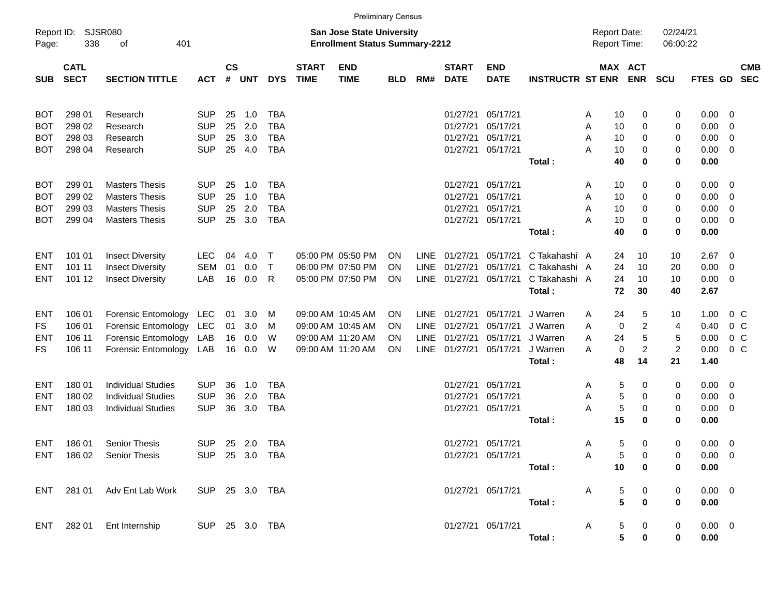|                     |                            |                             |                |                    |            |              |                             | <b>Preliminary Census</b>                                                 |            |             |                             |                           |                         |                                     |                 |                |                      |             |                         |            |
|---------------------|----------------------------|-----------------------------|----------------|--------------------|------------|--------------|-----------------------------|---------------------------------------------------------------------------|------------|-------------|-----------------------------|---------------------------|-------------------------|-------------------------------------|-----------------|----------------|----------------------|-------------|-------------------------|------------|
| Report ID:<br>Page: | 338                        | SJSR080<br>401<br>оf        |                |                    |            |              |                             | <b>San Jose State University</b><br><b>Enrollment Status Summary-2212</b> |            |             |                             |                           |                         | <b>Report Date:</b><br>Report Time: |                 |                | 02/24/21<br>06:00:22 |             |                         |            |
| <b>SUB</b>          | <b>CATL</b><br><b>SECT</b> | <b>SECTION TITTLE</b>       | <b>ACT</b>     | $\mathsf{cs}$<br># | <b>UNT</b> | <b>DYS</b>   | <b>START</b><br><b>TIME</b> | <b>END</b><br><b>TIME</b>                                                 | <b>BLD</b> | RM#         | <b>START</b><br><b>DATE</b> | <b>END</b><br><b>DATE</b> | <b>INSTRUCTR ST ENR</b> |                                     | MAX ACT         | <b>ENR</b>     | <b>SCU</b>           | FTES GD SEC |                         | <b>CMB</b> |
| <b>BOT</b>          | 298 01                     | Research                    | <b>SUP</b>     | 25                 | 1.0        | <b>TBA</b>   |                             |                                                                           |            |             | 01/27/21                    | 05/17/21                  |                         | A                                   | 10              | 0              | 0                    | 0.00        | $\overline{\mathbf{0}}$ |            |
| <b>BOT</b>          | 298 02                     | Research                    | <b>SUP</b>     | 25                 | 2.0        | <b>TBA</b>   |                             |                                                                           |            |             | 01/27/21                    | 05/17/21                  |                         | A                                   | 10              | 0              | 0                    | 0.00        | $\overline{0}$          |            |
| BOT                 | 298 03                     | Research                    | <b>SUP</b>     | 25                 | 3.0        | <b>TBA</b>   |                             |                                                                           |            |             | 01/27/21                    | 05/17/21                  |                         | Α                                   | 10              | 0              | 0                    | 0.00        | $\overline{0}$          |            |
| BOT                 | 298 04                     | Research                    | <b>SUP</b>     | 25                 | 4.0        | <b>TBA</b>   |                             |                                                                           |            |             | 01/27/21                    | 05/17/21                  |                         | А                                   | 10              | 0              | 0                    | 0.00        | $\overline{0}$          |            |
|                     |                            |                             |                |                    |            |              |                             |                                                                           |            |             |                             |                           | Total:                  |                                     | 40              | $\bf{0}$       | 0                    | 0.00        |                         |            |
| BOT                 | 299 01                     | <b>Masters Thesis</b>       | <b>SUP</b>     | 25                 | 1.0        | <b>TBA</b>   |                             |                                                                           |            |             | 01/27/21                    | 05/17/21                  |                         | A                                   | 10              | 0              | 0                    | 0.00        | $\overline{\mathbf{0}}$ |            |
| <b>BOT</b>          | 299 02                     | <b>Masters Thesis</b>       | <b>SUP</b>     | 25                 | 1.0        | <b>TBA</b>   |                             |                                                                           |            |             | 01/27/21                    | 05/17/21                  |                         | A                                   | 10              | 0              | 0                    | 0.00        | $\overline{0}$          |            |
| BOT                 | 299 03                     | <b>Masters Thesis</b>       | <b>SUP</b>     | 25                 | 2.0        | <b>TBA</b>   |                             |                                                                           |            |             | 01/27/21                    | 05/17/21                  |                         | Α                                   | 10              | 0              | 0                    | 0.00        | $\overline{0}$          |            |
| BOT                 | 299 04                     | <b>Masters Thesis</b>       | <b>SUP</b>     | 25                 | 3.0        | <b>TBA</b>   |                             |                                                                           |            |             | 01/27/21                    | 05/17/21                  |                         | А                                   | 10              | 0              | 0                    | 0.00        | $\overline{0}$          |            |
|                     |                            |                             |                |                    |            |              |                             |                                                                           |            |             |                             |                           | Total:                  |                                     | 40              | $\bf{0}$       | 0                    | 0.00        |                         |            |
| ENT                 | 101 01                     | <b>Insect Diversity</b>     | <b>LEC</b>     | 04                 | 4.0        | $\mathsf{T}$ |                             | 05:00 PM 05:50 PM                                                         | <b>ON</b>  |             | LINE 01/27/21               | 05/17/21                  | C Takahashi A           |                                     | 24              | 10             | 10                   | 2.67        | - 0                     |            |
| ENT                 | 101 11                     | <b>Insect Diversity</b>     | <b>SEM</b>     | 01                 | 0.0        | $\mathsf{T}$ |                             | 06:00 PM 07:50 PM                                                         | <b>ON</b>  | <b>LINE</b> | 01/27/21                    | 05/17/21                  | C Takahashi A           |                                     | 24              | 10             | 20                   | 0.00        | $\overline{0}$          |            |
| ENT                 | 101 12                     | <b>Insect Diversity</b>     | LAB            | 16                 | 0.0        | R            |                             | 05:00 PM 07:50 PM                                                         | ON         |             | LINE 01/27/21               | 05/17/21                  | C Takahashi A           |                                     | 24              | 10             | 10                   | 0.00        | $\overline{0}$          |            |
|                     |                            |                             |                |                    |            |              |                             |                                                                           |            |             |                             |                           | Total:                  |                                     | 72              | 30             | 40                   | 2.67        |                         |            |
| ENT                 | 106 01                     | Forensic Entomology         | LEC            | 01                 | 3.0        | M            |                             | 09:00 AM 10:45 AM                                                         | <b>ON</b>  |             | LINE 01/27/21               | 05/17/21                  | J Warren                | A                                   | 24              | 5              | 10                   | 1.00        | $0\,C$                  |            |
| FS                  | 106 01                     | <b>Forensic Entomology</b>  | LEC            | 01                 | 3.0        | M            |                             | 09:00 AM 10:45 AM                                                         | <b>ON</b>  |             | LINE 01/27/21               | 05/17/21                  | J Warren                | A                                   | 0               | $\overline{2}$ | 4                    | 0.40        | $0\,C$                  |            |
| ENT                 | 106 11                     | Forensic Entomology         | LAB            | 16                 | 0.0        | W            |                             | 09:00 AM 11:20 AM                                                         | <b>ON</b>  | LINE        | 01/27/21                    | 05/17/21                  | J Warren                | Α                                   | 24              | $\sqrt{5}$     | 5                    | 0.00        | 0 <sup>C</sup>          |            |
| FS                  | 106 11                     | Forensic Entomology LAB     |                | 16                 | 0.0        | W            |                             | 09:00 AM 11:20 AM                                                         | ON         |             | LINE 01/27/21               | 05/17/21                  | J Warren                | A                                   | $\mathbf 0$     | $\overline{c}$ | $\overline{c}$       | 0.00        | 0 <sup>C</sup>          |            |
|                     |                            |                             |                |                    |            |              |                             |                                                                           |            |             |                             |                           | Total:                  |                                     | 48              | 14             | 21                   | 1.40        |                         |            |
| ENT                 | 180 01                     | <b>Individual Studies</b>   | <b>SUP</b>     | 36                 | 1.0        | <b>TBA</b>   |                             |                                                                           |            |             | 01/27/21                    | 05/17/21                  |                         | A                                   | 5               | 0              | 0                    | 0.00        | $\overline{\mathbf{0}}$ |            |
| ENT                 | 180 02                     | <b>Individual Studies</b>   | <b>SUP</b>     | 36                 | 2.0        | <b>TBA</b>   |                             |                                                                           |            |             | 01/27/21                    | 05/17/21                  |                         | A                                   | 5               | 0              | 0                    | 0.00        | $\overline{0}$          |            |
| ENT                 | 180 03                     | <b>Individual Studies</b>   | <b>SUP</b>     | 36                 | 3.0        | <b>TBA</b>   |                             |                                                                           |            |             | 01/27/21                    | 05/17/21                  |                         | A                                   | 5               | 0              | 0                    | 0.00        | $\overline{0}$          |            |
|                     |                            |                             |                |                    |            |              |                             |                                                                           |            |             |                             |                           | Total:                  |                                     | 15              | $\bf{0}$       | 0                    | 0.00        |                         |            |
| ENT.                | 186 01                     | <b>Senior Thesis</b>        | <b>SUP</b>     |                    | 25 2.0     | TBA          |                             |                                                                           |            |             | 01/27/21 05/17/21           |                           |                         | A                                   | 5               | 0              | 0                    | 0.00        | $\overline{0}$          |            |
|                     |                            | ENT 186 02 Senior Thesis    | SUP 25 3.0 TBA |                    |            |              |                             |                                                                           |            |             |                             | 01/27/21 05/17/21         |                         | $\overline{A}$                      | 5 <sub>5</sub>  | $\mathbf 0$    | 0                    | $0.00 \t 0$ |                         |            |
|                     |                            |                             |                |                    |            |              |                             |                                                                           |            |             |                             |                           | Total :                 |                                     | 10              | 0              | 0                    | 0.00        |                         |            |
|                     |                            | ENT 281 01 Adv Ent Lab Work | SUP 25 3.0 TBA |                    |            |              |                             |                                                                           |            |             |                             | 01/27/21 05/17/21         |                         | A                                   | 5               | 0              | 0                    | $0.00 \t 0$ |                         |            |
|                     |                            |                             |                |                    |            |              |                             |                                                                           |            |             |                             |                           | Total:                  |                                     | $5\phantom{.0}$ | $\mathbf 0$    | 0                    | 0.00        |                         |            |
|                     |                            | ENT 282 01 Ent Internship   | SUP 25 3.0 TBA |                    |            |              |                             |                                                                           |            |             |                             | 01/27/21 05/17/21         |                         | A                                   | 5               | $\overline{0}$ | 0                    | $0.00 \t 0$ |                         |            |
|                     |                            |                             |                |                    |            |              |                             |                                                                           |            |             |                             |                           | Total:                  |                                     | 5 <sub>5</sub>  | $\mathbf 0$    | 0                    | 0.00        |                         |            |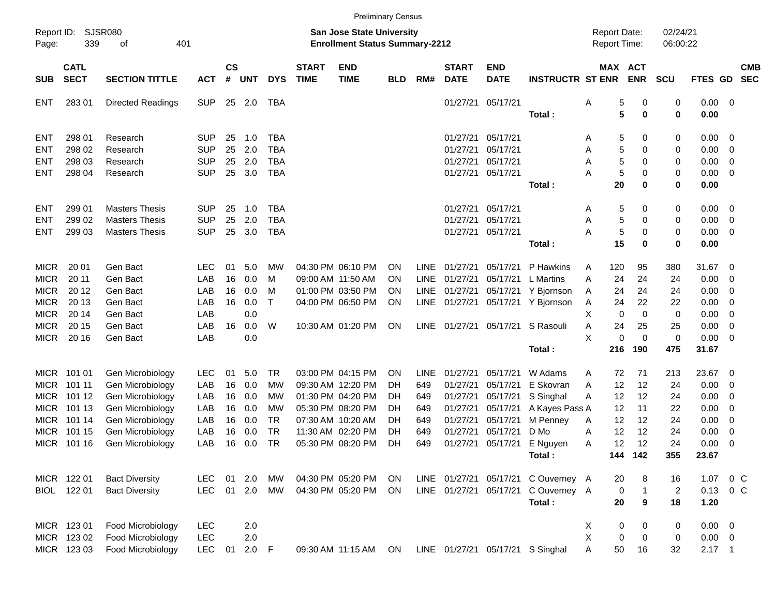| <b>SJSR080</b><br>02/24/21<br>Report ID:<br>San Jose State University<br><b>Report Date:</b><br>339<br>401<br><b>Enrollment Status Summary-2212</b><br>Report Time:<br>06:00:22<br>Page:<br>οf<br><b>CS</b><br><b>START</b><br>MAX ACT<br><b>CATL</b><br><b>START</b><br><b>END</b><br><b>END</b><br><b>CMB</b><br><b>SECT</b><br>$\#$<br><b>DYS</b><br><b>TIME</b><br><b>INSTRUCTR ST ENR</b><br><b>ENR</b><br><b>SECTION TITTLE</b><br><b>UNT</b><br><b>TIME</b><br>RM#<br><b>DATE</b><br><b>DATE</b><br><b>SCU</b><br>FTES GD<br><b>SEC</b><br><b>SUB</b><br><b>ACT</b><br><b>BLD</b><br><b>SUP</b><br>01/27/21<br>05/17/21<br>5<br>0<br>0.00<br><b>ENT</b><br>28301<br><b>Directed Readings</b><br>25<br>2.0<br>TBA<br>Α<br>0<br>$\overline{\phantom{0}}$<br>5<br>$\pmb{0}$<br>Total:<br>0<br>0.00<br>298 01<br><b>SUP</b><br>25<br>1.0<br><b>TBA</b><br>01/27/21<br>05/17/21<br>5<br>0<br>0<br>0.00<br><b>ENT</b><br>Research<br>$\overline{\mathbf{0}}$<br>A<br><b>SUP</b><br>25<br>2.0<br><b>TBA</b><br>5<br><b>ENT</b><br>298 02<br>01/27/21<br>05/17/21<br>0.00<br>$\overline{0}$<br>Research<br>A<br>0<br>0<br>2.0<br>298 03<br><b>SUP</b><br>25<br><b>TBA</b><br>01/27/21<br>05/17/21<br>5<br>0.00<br>$\overline{0}$<br><b>ENT</b><br>Research<br>A<br>0<br>0<br><b>SUP</b><br>3.0<br>5<br><b>ENT</b><br>298 04<br>25<br><b>TBA</b><br>01/27/21<br>05/17/21<br>A<br>0<br>0<br>0.00<br>0<br>Research<br>20<br>0<br>0<br>0.00<br>Total:<br>299 01<br><b>SUP</b><br>25<br><b>TBA</b><br>01/27/21<br>05/17/21<br>5<br>0<br>0.00<br><b>ENT</b><br><b>Masters Thesis</b><br>1.0<br>0<br>$\overline{\mathbf{0}}$<br>A<br><b>SUP</b><br>25<br>2.0<br>05/17/21<br>5<br>299 02<br><b>TBA</b><br>01/27/21<br>0<br>0<br>0.00<br>$\overline{0}$<br><b>ENT</b><br><b>Masters Thesis</b><br>A<br><b>SUP</b><br>3.0<br>5<br><b>ENT</b><br>299 03<br>25<br><b>TBA</b><br>01/27/21<br>05/17/21<br>Α<br>0<br>0.00<br>$\overline{\mathbf{0}}$<br><b>Masters Thesis</b><br>0<br>15<br>$\bf{0}$<br>0<br>0.00<br>Total:<br><b>MICR</b><br>20 01<br>Gen Bact<br><b>LEC</b><br>01<br>5.0<br>04:30 PM 06:10 PM<br>LINE<br>01/27/21<br>P Hawkins<br>120<br>31.67<br>MW<br><b>ON</b><br>05/17/21<br>95<br>380<br>- 0<br>A<br><b>MICR</b><br>20 11<br>Gen Bact<br>LAB<br>16<br>0.0<br><b>LINE</b><br>01/27/21<br>05/17/21<br>A<br>24<br>24<br>0.00<br>м<br>09:00 AM 11:50 AM<br><b>ON</b><br>L Martins<br>24<br>- 0<br><b>MICR</b><br>16<br>20 12<br>LAB<br>0.0<br>01:00 PM 03:50 PM<br><b>LINE</b><br>01/27/21<br>24<br>24<br>0.00<br>Gen Bact<br>м<br>ON<br>05/17/21<br>Y Bjornson<br>24<br>- 0<br>A<br><b>MICR</b><br>20 13<br>16<br>LAB<br>0.0<br>$\top$<br>04:00 PM 06:50 PM<br><b>LINE</b><br>01/27/21<br>05/17/21<br>24<br>22<br>22<br>0.00<br>0<br>Gen Bact<br>ON<br>Y Bjornson<br>Α<br><b>MICR</b><br>X<br>20 14<br>LAB<br>0.0<br>$\mathbf 0$<br>$\mathbf 0$<br>0<br>0.00<br>0<br>Gen Bact<br><b>MICR</b><br>20 15<br>LAB<br>16<br>0.0<br>W<br>ON<br>LINE<br>01/27/21<br>S Rasouli<br>A<br>24<br>25<br>25<br>0.00<br>$\overline{0}$<br>Gen Bact<br>10:30 AM 01:20 PM<br>05/17/21<br><b>MICR</b><br>20 16<br>X<br>$\mathbf 0$<br>$\mathbf 0$<br>0.00<br>LAB<br>0.0<br>0<br>$\overline{\mathbf{0}}$<br>Gen Bact<br>190<br>475<br>31.67<br>216<br>Total:<br><b>MICR</b><br>101 01<br><b>TR</b><br>03:00 PM 04:15 PM<br>01/27/21<br>71<br>23.67<br>Gen Microbiology<br><b>LEC</b><br>01<br>5.0<br><b>ON</b><br><b>LINE</b><br>05/17/21<br>W Adams<br>72<br>213<br>- 0<br>A<br>12<br>0.00<br><b>MICR</b><br>LAB<br>16<br>0.0<br>01/27/21<br>E Skovran<br>12<br>24<br>101 11<br>Gen Microbiology<br>МW<br>09:30 AM 12:20 PM<br>649<br>05/17/21<br>A<br>- 0<br>DH<br><b>MICR</b><br>101 12<br>LAB<br>16<br>01:30 PM 04:20 PM<br>01/27/21<br>05/17/21<br>12<br>12<br>0.00<br>Gen Microbiology<br>0.0<br>МW<br>S Singhal<br>24<br>- 0<br>DH<br>649<br>A<br><b>MICR</b><br>101 13<br>LAB<br>16<br>05:30 PM 08:20 PM<br>01/27/21<br>05/17/21<br>11<br>0.00<br>Gen Microbiology<br>0.0<br>МW<br>DH<br>A Kayes Pass A<br>12<br>22<br>- 0<br>649<br><b>MICR</b><br>101 14<br>LAB<br>16<br><b>TR</b><br>01/27/21<br>05/17/21<br>12<br>12<br>0.00<br>Gen Microbiology<br>0.0<br>07:30 AM 10:20 AM<br>M Penney<br>24<br>- 0<br>DH<br>649<br>A<br>12<br><b>MICR</b><br>101 15<br>LAB<br>16<br><b>TR</b><br>01/27/21<br>05/17/21<br>D Mo<br>12<br>24<br>0.00<br>$\mathbf 0$<br>Gen Microbiology<br>0.0<br>11:30 AM 02:20 PM<br>DH<br>649<br>Α<br><b>TR</b><br>12<br><b>MICR</b><br>LAB<br>16<br>05:30 PM 08:20 PM<br><b>DH</b><br>01/27/21<br>E Nguyen<br>12<br>24<br>0.00<br>$\overline{0}$<br>101 16<br>Gen Microbiology<br>0.0<br>649<br>05/17/21<br>A<br>144 142<br>355<br>23.67<br>Total:<br>MICR 122 01<br>04:30 PM 05:20 PM<br><b>LEC</b><br>01<br>2.0<br>MW<br>ON<br>LINE 01/27/21<br>05/17/21<br>C Ouverney A<br>8<br>1.07<br>$0\,$ C<br><b>Bact Diversity</b><br>20<br>16<br>BIOL 122 01<br><b>LEC</b><br>$01 \quad 2.0$<br>04:30 PM 05:20 PM<br>LINE 01/27/21<br>05/17/21<br>C Ouverney A<br>$0.13 \quad 0 \quad C$<br><b>Bact Diversity</b><br>MW<br><b>ON</b><br>0<br>$\mathbf{1}$<br>$\overline{2}$<br>Total:<br>20<br>9<br>18<br>1.20<br>MICR 123 01<br>X<br>Food Microbiology<br><b>LEC</b><br>2.0<br>0<br>$0.00 \t 0$<br>0<br>0<br>X<br>Food Microbiology<br><b>LEC</b><br>MICR 123 02<br>2.0<br>0<br>0<br>$0.00 \t 0$<br>0<br>MICR 123 03<br>LINE 01/27/21 05/17/21 S Singhal<br>09:30 AM 11:15 AM<br>$2.17$ 1 |  |                   |            |    |     |             |  | <b>Preliminary Census</b> |    |  |  |  |  |   |    |    |    |  |  |
|------------------------------------------------------------------------------------------------------------------------------------------------------------------------------------------------------------------------------------------------------------------------------------------------------------------------------------------------------------------------------------------------------------------------------------------------------------------------------------------------------------------------------------------------------------------------------------------------------------------------------------------------------------------------------------------------------------------------------------------------------------------------------------------------------------------------------------------------------------------------------------------------------------------------------------------------------------------------------------------------------------------------------------------------------------------------------------------------------------------------------------------------------------------------------------------------------------------------------------------------------------------------------------------------------------------------------------------------------------------------------------------------------------------------------------------------------------------------------------------------------------------------------------------------------------------------------------------------------------------------------------------------------------------------------------------------------------------------------------------------------------------------------------------------------------------------------------------------------------------------------------------------------------------------------------------------------------------------------------------------------------------------------------------------------------------------------------------------------------------------------------------------------------------------------------------------------------------------------------------------------------------------------------------------------------------------------------------------------------------------------------------------------------------------------------------------------------------------------------------------------------------------------------------------------------------------------------------------------------------------------------------------------------------------------------------------------------------------------------------------------------------------------------------------------------------------------------------------------------------------------------------------------------------------------------------------------------------------------------------------------------------------------------------------------------------------------------------------------------------------------------------------------------------------------------------------------------------------------------------------------------------------------------------------------------------------------------------------------------------------------------------------------------------------------------------------------------------------------------------------------------------------------------------------------------------------------------------------------------------------------------------------------------------------------------------------------------------------------------------------------------------------------------------------------------------------------------------------------------------------------------------------------------------------------------------------------------------------------------------------------------------------------------------------------------------------------------------------------------------------------------------------------------------------------------------------------------------------------------------------------------------------------------------------------------------------------------------------------------------------------------------------------------------------------------------------------------------------------------------------------------------------------------------------------------------------------------------------------------------------------------------------------------------------------------------------------------------------------------------------------------------------------------------------------------------------------------------------------------------------------------------------------------------------------------------------------------------------------------------------------------------------------------------------------------------------------------------------------------------------------------------------------------------------------------------------------------------------------------------------------------------------------------------------------------------------------------------------------------------------------------------------------|--|-------------------|------------|----|-----|-------------|--|---------------------------|----|--|--|--|--|---|----|----|----|--|--|
|                                                                                                                                                                                                                                                                                                                                                                                                                                                                                                                                                                                                                                                                                                                                                                                                                                                                                                                                                                                                                                                                                                                                                                                                                                                                                                                                                                                                                                                                                                                                                                                                                                                                                                                                                                                                                                                                                                                                                                                                                                                                                                                                                                                                                                                                                                                                                                                                                                                                                                                                                                                                                                                                                                                                                                                                                                                                                                                                                                                                                                                                                                                                                                                                                                                                                                                                                                                                                                                                                                                                                                                                                                                                                                                                                                                                                                                                                                                                                                                                                                                                                                                                                                                                                                                                                                                                                                                                                                                                                                                                                                                                                                                                                                                                                                                                                                                                                                                                                                                                                                                                                                                                                                                                                                                                                                                                                                                                      |  |                   |            |    |     |             |  |                           |    |  |  |  |  |   |    |    |    |  |  |
|                                                                                                                                                                                                                                                                                                                                                                                                                                                                                                                                                                                                                                                                                                                                                                                                                                                                                                                                                                                                                                                                                                                                                                                                                                                                                                                                                                                                                                                                                                                                                                                                                                                                                                                                                                                                                                                                                                                                                                                                                                                                                                                                                                                                                                                                                                                                                                                                                                                                                                                                                                                                                                                                                                                                                                                                                                                                                                                                                                                                                                                                                                                                                                                                                                                                                                                                                                                                                                                                                                                                                                                                                                                                                                                                                                                                                                                                                                                                                                                                                                                                                                                                                                                                                                                                                                                                                                                                                                                                                                                                                                                                                                                                                                                                                                                                                                                                                                                                                                                                                                                                                                                                                                                                                                                                                                                                                                                                      |  |                   |            |    |     |             |  |                           |    |  |  |  |  |   |    |    |    |  |  |
|                                                                                                                                                                                                                                                                                                                                                                                                                                                                                                                                                                                                                                                                                                                                                                                                                                                                                                                                                                                                                                                                                                                                                                                                                                                                                                                                                                                                                                                                                                                                                                                                                                                                                                                                                                                                                                                                                                                                                                                                                                                                                                                                                                                                                                                                                                                                                                                                                                                                                                                                                                                                                                                                                                                                                                                                                                                                                                                                                                                                                                                                                                                                                                                                                                                                                                                                                                                                                                                                                                                                                                                                                                                                                                                                                                                                                                                                                                                                                                                                                                                                                                                                                                                                                                                                                                                                                                                                                                                                                                                                                                                                                                                                                                                                                                                                                                                                                                                                                                                                                                                                                                                                                                                                                                                                                                                                                                                                      |  |                   |            |    |     |             |  |                           |    |  |  |  |  |   |    |    |    |  |  |
|                                                                                                                                                                                                                                                                                                                                                                                                                                                                                                                                                                                                                                                                                                                                                                                                                                                                                                                                                                                                                                                                                                                                                                                                                                                                                                                                                                                                                                                                                                                                                                                                                                                                                                                                                                                                                                                                                                                                                                                                                                                                                                                                                                                                                                                                                                                                                                                                                                                                                                                                                                                                                                                                                                                                                                                                                                                                                                                                                                                                                                                                                                                                                                                                                                                                                                                                                                                                                                                                                                                                                                                                                                                                                                                                                                                                                                                                                                                                                                                                                                                                                                                                                                                                                                                                                                                                                                                                                                                                                                                                                                                                                                                                                                                                                                                                                                                                                                                                                                                                                                                                                                                                                                                                                                                                                                                                                                                                      |  |                   |            |    |     |             |  |                           |    |  |  |  |  |   |    |    |    |  |  |
|                                                                                                                                                                                                                                                                                                                                                                                                                                                                                                                                                                                                                                                                                                                                                                                                                                                                                                                                                                                                                                                                                                                                                                                                                                                                                                                                                                                                                                                                                                                                                                                                                                                                                                                                                                                                                                                                                                                                                                                                                                                                                                                                                                                                                                                                                                                                                                                                                                                                                                                                                                                                                                                                                                                                                                                                                                                                                                                                                                                                                                                                                                                                                                                                                                                                                                                                                                                                                                                                                                                                                                                                                                                                                                                                                                                                                                                                                                                                                                                                                                                                                                                                                                                                                                                                                                                                                                                                                                                                                                                                                                                                                                                                                                                                                                                                                                                                                                                                                                                                                                                                                                                                                                                                                                                                                                                                                                                                      |  |                   |            |    |     |             |  |                           |    |  |  |  |  |   |    |    |    |  |  |
|                                                                                                                                                                                                                                                                                                                                                                                                                                                                                                                                                                                                                                                                                                                                                                                                                                                                                                                                                                                                                                                                                                                                                                                                                                                                                                                                                                                                                                                                                                                                                                                                                                                                                                                                                                                                                                                                                                                                                                                                                                                                                                                                                                                                                                                                                                                                                                                                                                                                                                                                                                                                                                                                                                                                                                                                                                                                                                                                                                                                                                                                                                                                                                                                                                                                                                                                                                                                                                                                                                                                                                                                                                                                                                                                                                                                                                                                                                                                                                                                                                                                                                                                                                                                                                                                                                                                                                                                                                                                                                                                                                                                                                                                                                                                                                                                                                                                                                                                                                                                                                                                                                                                                                                                                                                                                                                                                                                                      |  |                   |            |    |     |             |  |                           |    |  |  |  |  |   |    |    |    |  |  |
|                                                                                                                                                                                                                                                                                                                                                                                                                                                                                                                                                                                                                                                                                                                                                                                                                                                                                                                                                                                                                                                                                                                                                                                                                                                                                                                                                                                                                                                                                                                                                                                                                                                                                                                                                                                                                                                                                                                                                                                                                                                                                                                                                                                                                                                                                                                                                                                                                                                                                                                                                                                                                                                                                                                                                                                                                                                                                                                                                                                                                                                                                                                                                                                                                                                                                                                                                                                                                                                                                                                                                                                                                                                                                                                                                                                                                                                                                                                                                                                                                                                                                                                                                                                                                                                                                                                                                                                                                                                                                                                                                                                                                                                                                                                                                                                                                                                                                                                                                                                                                                                                                                                                                                                                                                                                                                                                                                                                      |  |                   |            |    |     |             |  |                           |    |  |  |  |  |   |    |    |    |  |  |
|                                                                                                                                                                                                                                                                                                                                                                                                                                                                                                                                                                                                                                                                                                                                                                                                                                                                                                                                                                                                                                                                                                                                                                                                                                                                                                                                                                                                                                                                                                                                                                                                                                                                                                                                                                                                                                                                                                                                                                                                                                                                                                                                                                                                                                                                                                                                                                                                                                                                                                                                                                                                                                                                                                                                                                                                                                                                                                                                                                                                                                                                                                                                                                                                                                                                                                                                                                                                                                                                                                                                                                                                                                                                                                                                                                                                                                                                                                                                                                                                                                                                                                                                                                                                                                                                                                                                                                                                                                                                                                                                                                                                                                                                                                                                                                                                                                                                                                                                                                                                                                                                                                                                                                                                                                                                                                                                                                                                      |  |                   |            |    |     |             |  |                           |    |  |  |  |  |   |    |    |    |  |  |
|                                                                                                                                                                                                                                                                                                                                                                                                                                                                                                                                                                                                                                                                                                                                                                                                                                                                                                                                                                                                                                                                                                                                                                                                                                                                                                                                                                                                                                                                                                                                                                                                                                                                                                                                                                                                                                                                                                                                                                                                                                                                                                                                                                                                                                                                                                                                                                                                                                                                                                                                                                                                                                                                                                                                                                                                                                                                                                                                                                                                                                                                                                                                                                                                                                                                                                                                                                                                                                                                                                                                                                                                                                                                                                                                                                                                                                                                                                                                                                                                                                                                                                                                                                                                                                                                                                                                                                                                                                                                                                                                                                                                                                                                                                                                                                                                                                                                                                                                                                                                                                                                                                                                                                                                                                                                                                                                                                                                      |  |                   |            |    |     |             |  |                           |    |  |  |  |  |   |    |    |    |  |  |
|                                                                                                                                                                                                                                                                                                                                                                                                                                                                                                                                                                                                                                                                                                                                                                                                                                                                                                                                                                                                                                                                                                                                                                                                                                                                                                                                                                                                                                                                                                                                                                                                                                                                                                                                                                                                                                                                                                                                                                                                                                                                                                                                                                                                                                                                                                                                                                                                                                                                                                                                                                                                                                                                                                                                                                                                                                                                                                                                                                                                                                                                                                                                                                                                                                                                                                                                                                                                                                                                                                                                                                                                                                                                                                                                                                                                                                                                                                                                                                                                                                                                                                                                                                                                                                                                                                                                                                                                                                                                                                                                                                                                                                                                                                                                                                                                                                                                                                                                                                                                                                                                                                                                                                                                                                                                                                                                                                                                      |  |                   |            |    |     |             |  |                           |    |  |  |  |  |   |    |    |    |  |  |
|                                                                                                                                                                                                                                                                                                                                                                                                                                                                                                                                                                                                                                                                                                                                                                                                                                                                                                                                                                                                                                                                                                                                                                                                                                                                                                                                                                                                                                                                                                                                                                                                                                                                                                                                                                                                                                                                                                                                                                                                                                                                                                                                                                                                                                                                                                                                                                                                                                                                                                                                                                                                                                                                                                                                                                                                                                                                                                                                                                                                                                                                                                                                                                                                                                                                                                                                                                                                                                                                                                                                                                                                                                                                                                                                                                                                                                                                                                                                                                                                                                                                                                                                                                                                                                                                                                                                                                                                                                                                                                                                                                                                                                                                                                                                                                                                                                                                                                                                                                                                                                                                                                                                                                                                                                                                                                                                                                                                      |  |                   |            |    |     |             |  |                           |    |  |  |  |  |   |    |    |    |  |  |
|                                                                                                                                                                                                                                                                                                                                                                                                                                                                                                                                                                                                                                                                                                                                                                                                                                                                                                                                                                                                                                                                                                                                                                                                                                                                                                                                                                                                                                                                                                                                                                                                                                                                                                                                                                                                                                                                                                                                                                                                                                                                                                                                                                                                                                                                                                                                                                                                                                                                                                                                                                                                                                                                                                                                                                                                                                                                                                                                                                                                                                                                                                                                                                                                                                                                                                                                                                                                                                                                                                                                                                                                                                                                                                                                                                                                                                                                                                                                                                                                                                                                                                                                                                                                                                                                                                                                                                                                                                                                                                                                                                                                                                                                                                                                                                                                                                                                                                                                                                                                                                                                                                                                                                                                                                                                                                                                                                                                      |  |                   |            |    |     |             |  |                           |    |  |  |  |  |   |    |    |    |  |  |
|                                                                                                                                                                                                                                                                                                                                                                                                                                                                                                                                                                                                                                                                                                                                                                                                                                                                                                                                                                                                                                                                                                                                                                                                                                                                                                                                                                                                                                                                                                                                                                                                                                                                                                                                                                                                                                                                                                                                                                                                                                                                                                                                                                                                                                                                                                                                                                                                                                                                                                                                                                                                                                                                                                                                                                                                                                                                                                                                                                                                                                                                                                                                                                                                                                                                                                                                                                                                                                                                                                                                                                                                                                                                                                                                                                                                                                                                                                                                                                                                                                                                                                                                                                                                                                                                                                                                                                                                                                                                                                                                                                                                                                                                                                                                                                                                                                                                                                                                                                                                                                                                                                                                                                                                                                                                                                                                                                                                      |  |                   |            |    |     |             |  |                           |    |  |  |  |  |   |    |    |    |  |  |
|                                                                                                                                                                                                                                                                                                                                                                                                                                                                                                                                                                                                                                                                                                                                                                                                                                                                                                                                                                                                                                                                                                                                                                                                                                                                                                                                                                                                                                                                                                                                                                                                                                                                                                                                                                                                                                                                                                                                                                                                                                                                                                                                                                                                                                                                                                                                                                                                                                                                                                                                                                                                                                                                                                                                                                                                                                                                                                                                                                                                                                                                                                                                                                                                                                                                                                                                                                                                                                                                                                                                                                                                                                                                                                                                                                                                                                                                                                                                                                                                                                                                                                                                                                                                                                                                                                                                                                                                                                                                                                                                                                                                                                                                                                                                                                                                                                                                                                                                                                                                                                                                                                                                                                                                                                                                                                                                                                                                      |  |                   |            |    |     |             |  |                           |    |  |  |  |  |   |    |    |    |  |  |
|                                                                                                                                                                                                                                                                                                                                                                                                                                                                                                                                                                                                                                                                                                                                                                                                                                                                                                                                                                                                                                                                                                                                                                                                                                                                                                                                                                                                                                                                                                                                                                                                                                                                                                                                                                                                                                                                                                                                                                                                                                                                                                                                                                                                                                                                                                                                                                                                                                                                                                                                                                                                                                                                                                                                                                                                                                                                                                                                                                                                                                                                                                                                                                                                                                                                                                                                                                                                                                                                                                                                                                                                                                                                                                                                                                                                                                                                                                                                                                                                                                                                                                                                                                                                                                                                                                                                                                                                                                                                                                                                                                                                                                                                                                                                                                                                                                                                                                                                                                                                                                                                                                                                                                                                                                                                                                                                                                                                      |  |                   |            |    |     |             |  |                           |    |  |  |  |  |   |    |    |    |  |  |
|                                                                                                                                                                                                                                                                                                                                                                                                                                                                                                                                                                                                                                                                                                                                                                                                                                                                                                                                                                                                                                                                                                                                                                                                                                                                                                                                                                                                                                                                                                                                                                                                                                                                                                                                                                                                                                                                                                                                                                                                                                                                                                                                                                                                                                                                                                                                                                                                                                                                                                                                                                                                                                                                                                                                                                                                                                                                                                                                                                                                                                                                                                                                                                                                                                                                                                                                                                                                                                                                                                                                                                                                                                                                                                                                                                                                                                                                                                                                                                                                                                                                                                                                                                                                                                                                                                                                                                                                                                                                                                                                                                                                                                                                                                                                                                                                                                                                                                                                                                                                                                                                                                                                                                                                                                                                                                                                                                                                      |  |                   |            |    |     |             |  |                           |    |  |  |  |  |   |    |    |    |  |  |
|                                                                                                                                                                                                                                                                                                                                                                                                                                                                                                                                                                                                                                                                                                                                                                                                                                                                                                                                                                                                                                                                                                                                                                                                                                                                                                                                                                                                                                                                                                                                                                                                                                                                                                                                                                                                                                                                                                                                                                                                                                                                                                                                                                                                                                                                                                                                                                                                                                                                                                                                                                                                                                                                                                                                                                                                                                                                                                                                                                                                                                                                                                                                                                                                                                                                                                                                                                                                                                                                                                                                                                                                                                                                                                                                                                                                                                                                                                                                                                                                                                                                                                                                                                                                                                                                                                                                                                                                                                                                                                                                                                                                                                                                                                                                                                                                                                                                                                                                                                                                                                                                                                                                                                                                                                                                                                                                                                                                      |  |                   |            |    |     |             |  |                           |    |  |  |  |  |   |    |    |    |  |  |
|                                                                                                                                                                                                                                                                                                                                                                                                                                                                                                                                                                                                                                                                                                                                                                                                                                                                                                                                                                                                                                                                                                                                                                                                                                                                                                                                                                                                                                                                                                                                                                                                                                                                                                                                                                                                                                                                                                                                                                                                                                                                                                                                                                                                                                                                                                                                                                                                                                                                                                                                                                                                                                                                                                                                                                                                                                                                                                                                                                                                                                                                                                                                                                                                                                                                                                                                                                                                                                                                                                                                                                                                                                                                                                                                                                                                                                                                                                                                                                                                                                                                                                                                                                                                                                                                                                                                                                                                                                                                                                                                                                                                                                                                                                                                                                                                                                                                                                                                                                                                                                                                                                                                                                                                                                                                                                                                                                                                      |  |                   |            |    |     |             |  |                           |    |  |  |  |  |   |    |    |    |  |  |
|                                                                                                                                                                                                                                                                                                                                                                                                                                                                                                                                                                                                                                                                                                                                                                                                                                                                                                                                                                                                                                                                                                                                                                                                                                                                                                                                                                                                                                                                                                                                                                                                                                                                                                                                                                                                                                                                                                                                                                                                                                                                                                                                                                                                                                                                                                                                                                                                                                                                                                                                                                                                                                                                                                                                                                                                                                                                                                                                                                                                                                                                                                                                                                                                                                                                                                                                                                                                                                                                                                                                                                                                                                                                                                                                                                                                                                                                                                                                                                                                                                                                                                                                                                                                                                                                                                                                                                                                                                                                                                                                                                                                                                                                                                                                                                                                                                                                                                                                                                                                                                                                                                                                                                                                                                                                                                                                                                                                      |  |                   |            |    |     |             |  |                           |    |  |  |  |  |   |    |    |    |  |  |
|                                                                                                                                                                                                                                                                                                                                                                                                                                                                                                                                                                                                                                                                                                                                                                                                                                                                                                                                                                                                                                                                                                                                                                                                                                                                                                                                                                                                                                                                                                                                                                                                                                                                                                                                                                                                                                                                                                                                                                                                                                                                                                                                                                                                                                                                                                                                                                                                                                                                                                                                                                                                                                                                                                                                                                                                                                                                                                                                                                                                                                                                                                                                                                                                                                                                                                                                                                                                                                                                                                                                                                                                                                                                                                                                                                                                                                                                                                                                                                                                                                                                                                                                                                                                                                                                                                                                                                                                                                                                                                                                                                                                                                                                                                                                                                                                                                                                                                                                                                                                                                                                                                                                                                                                                                                                                                                                                                                                      |  |                   |            |    |     |             |  |                           |    |  |  |  |  |   |    |    |    |  |  |
|                                                                                                                                                                                                                                                                                                                                                                                                                                                                                                                                                                                                                                                                                                                                                                                                                                                                                                                                                                                                                                                                                                                                                                                                                                                                                                                                                                                                                                                                                                                                                                                                                                                                                                                                                                                                                                                                                                                                                                                                                                                                                                                                                                                                                                                                                                                                                                                                                                                                                                                                                                                                                                                                                                                                                                                                                                                                                                                                                                                                                                                                                                                                                                                                                                                                                                                                                                                                                                                                                                                                                                                                                                                                                                                                                                                                                                                                                                                                                                                                                                                                                                                                                                                                                                                                                                                                                                                                                                                                                                                                                                                                                                                                                                                                                                                                                                                                                                                                                                                                                                                                                                                                                                                                                                                                                                                                                                                                      |  |                   |            |    |     |             |  |                           |    |  |  |  |  |   |    |    |    |  |  |
|                                                                                                                                                                                                                                                                                                                                                                                                                                                                                                                                                                                                                                                                                                                                                                                                                                                                                                                                                                                                                                                                                                                                                                                                                                                                                                                                                                                                                                                                                                                                                                                                                                                                                                                                                                                                                                                                                                                                                                                                                                                                                                                                                                                                                                                                                                                                                                                                                                                                                                                                                                                                                                                                                                                                                                                                                                                                                                                                                                                                                                                                                                                                                                                                                                                                                                                                                                                                                                                                                                                                                                                                                                                                                                                                                                                                                                                                                                                                                                                                                                                                                                                                                                                                                                                                                                                                                                                                                                                                                                                                                                                                                                                                                                                                                                                                                                                                                                                                                                                                                                                                                                                                                                                                                                                                                                                                                                                                      |  |                   |            |    |     |             |  |                           |    |  |  |  |  |   |    |    |    |  |  |
|                                                                                                                                                                                                                                                                                                                                                                                                                                                                                                                                                                                                                                                                                                                                                                                                                                                                                                                                                                                                                                                                                                                                                                                                                                                                                                                                                                                                                                                                                                                                                                                                                                                                                                                                                                                                                                                                                                                                                                                                                                                                                                                                                                                                                                                                                                                                                                                                                                                                                                                                                                                                                                                                                                                                                                                                                                                                                                                                                                                                                                                                                                                                                                                                                                                                                                                                                                                                                                                                                                                                                                                                                                                                                                                                                                                                                                                                                                                                                                                                                                                                                                                                                                                                                                                                                                                                                                                                                                                                                                                                                                                                                                                                                                                                                                                                                                                                                                                                                                                                                                                                                                                                                                                                                                                                                                                                                                                                      |  |                   |            |    |     |             |  |                           |    |  |  |  |  |   |    |    |    |  |  |
|                                                                                                                                                                                                                                                                                                                                                                                                                                                                                                                                                                                                                                                                                                                                                                                                                                                                                                                                                                                                                                                                                                                                                                                                                                                                                                                                                                                                                                                                                                                                                                                                                                                                                                                                                                                                                                                                                                                                                                                                                                                                                                                                                                                                                                                                                                                                                                                                                                                                                                                                                                                                                                                                                                                                                                                                                                                                                                                                                                                                                                                                                                                                                                                                                                                                                                                                                                                                                                                                                                                                                                                                                                                                                                                                                                                                                                                                                                                                                                                                                                                                                                                                                                                                                                                                                                                                                                                                                                                                                                                                                                                                                                                                                                                                                                                                                                                                                                                                                                                                                                                                                                                                                                                                                                                                                                                                                                                                      |  |                   |            |    |     |             |  |                           |    |  |  |  |  |   |    |    |    |  |  |
|                                                                                                                                                                                                                                                                                                                                                                                                                                                                                                                                                                                                                                                                                                                                                                                                                                                                                                                                                                                                                                                                                                                                                                                                                                                                                                                                                                                                                                                                                                                                                                                                                                                                                                                                                                                                                                                                                                                                                                                                                                                                                                                                                                                                                                                                                                                                                                                                                                                                                                                                                                                                                                                                                                                                                                                                                                                                                                                                                                                                                                                                                                                                                                                                                                                                                                                                                                                                                                                                                                                                                                                                                                                                                                                                                                                                                                                                                                                                                                                                                                                                                                                                                                                                                                                                                                                                                                                                                                                                                                                                                                                                                                                                                                                                                                                                                                                                                                                                                                                                                                                                                                                                                                                                                                                                                                                                                                                                      |  |                   |            |    |     |             |  |                           |    |  |  |  |  |   |    |    |    |  |  |
|                                                                                                                                                                                                                                                                                                                                                                                                                                                                                                                                                                                                                                                                                                                                                                                                                                                                                                                                                                                                                                                                                                                                                                                                                                                                                                                                                                                                                                                                                                                                                                                                                                                                                                                                                                                                                                                                                                                                                                                                                                                                                                                                                                                                                                                                                                                                                                                                                                                                                                                                                                                                                                                                                                                                                                                                                                                                                                                                                                                                                                                                                                                                                                                                                                                                                                                                                                                                                                                                                                                                                                                                                                                                                                                                                                                                                                                                                                                                                                                                                                                                                                                                                                                                                                                                                                                                                                                                                                                                                                                                                                                                                                                                                                                                                                                                                                                                                                                                                                                                                                                                                                                                                                                                                                                                                                                                                                                                      |  |                   |            |    |     |             |  |                           |    |  |  |  |  |   |    |    |    |  |  |
|                                                                                                                                                                                                                                                                                                                                                                                                                                                                                                                                                                                                                                                                                                                                                                                                                                                                                                                                                                                                                                                                                                                                                                                                                                                                                                                                                                                                                                                                                                                                                                                                                                                                                                                                                                                                                                                                                                                                                                                                                                                                                                                                                                                                                                                                                                                                                                                                                                                                                                                                                                                                                                                                                                                                                                                                                                                                                                                                                                                                                                                                                                                                                                                                                                                                                                                                                                                                                                                                                                                                                                                                                                                                                                                                                                                                                                                                                                                                                                                                                                                                                                                                                                                                                                                                                                                                                                                                                                                                                                                                                                                                                                                                                                                                                                                                                                                                                                                                                                                                                                                                                                                                                                                                                                                                                                                                                                                                      |  |                   |            |    |     |             |  |                           |    |  |  |  |  |   |    |    |    |  |  |
|                                                                                                                                                                                                                                                                                                                                                                                                                                                                                                                                                                                                                                                                                                                                                                                                                                                                                                                                                                                                                                                                                                                                                                                                                                                                                                                                                                                                                                                                                                                                                                                                                                                                                                                                                                                                                                                                                                                                                                                                                                                                                                                                                                                                                                                                                                                                                                                                                                                                                                                                                                                                                                                                                                                                                                                                                                                                                                                                                                                                                                                                                                                                                                                                                                                                                                                                                                                                                                                                                                                                                                                                                                                                                                                                                                                                                                                                                                                                                                                                                                                                                                                                                                                                                                                                                                                                                                                                                                                                                                                                                                                                                                                                                                                                                                                                                                                                                                                                                                                                                                                                                                                                                                                                                                                                                                                                                                                                      |  |                   |            |    |     |             |  |                           |    |  |  |  |  |   |    |    |    |  |  |
|                                                                                                                                                                                                                                                                                                                                                                                                                                                                                                                                                                                                                                                                                                                                                                                                                                                                                                                                                                                                                                                                                                                                                                                                                                                                                                                                                                                                                                                                                                                                                                                                                                                                                                                                                                                                                                                                                                                                                                                                                                                                                                                                                                                                                                                                                                                                                                                                                                                                                                                                                                                                                                                                                                                                                                                                                                                                                                                                                                                                                                                                                                                                                                                                                                                                                                                                                                                                                                                                                                                                                                                                                                                                                                                                                                                                                                                                                                                                                                                                                                                                                                                                                                                                                                                                                                                                                                                                                                                                                                                                                                                                                                                                                                                                                                                                                                                                                                                                                                                                                                                                                                                                                                                                                                                                                                                                                                                                      |  |                   |            |    |     |             |  |                           |    |  |  |  |  |   |    |    |    |  |  |
|                                                                                                                                                                                                                                                                                                                                                                                                                                                                                                                                                                                                                                                                                                                                                                                                                                                                                                                                                                                                                                                                                                                                                                                                                                                                                                                                                                                                                                                                                                                                                                                                                                                                                                                                                                                                                                                                                                                                                                                                                                                                                                                                                                                                                                                                                                                                                                                                                                                                                                                                                                                                                                                                                                                                                                                                                                                                                                                                                                                                                                                                                                                                                                                                                                                                                                                                                                                                                                                                                                                                                                                                                                                                                                                                                                                                                                                                                                                                                                                                                                                                                                                                                                                                                                                                                                                                                                                                                                                                                                                                                                                                                                                                                                                                                                                                                                                                                                                                                                                                                                                                                                                                                                                                                                                                                                                                                                                                      |  |                   |            |    |     |             |  |                           |    |  |  |  |  |   |    |    |    |  |  |
|                                                                                                                                                                                                                                                                                                                                                                                                                                                                                                                                                                                                                                                                                                                                                                                                                                                                                                                                                                                                                                                                                                                                                                                                                                                                                                                                                                                                                                                                                                                                                                                                                                                                                                                                                                                                                                                                                                                                                                                                                                                                                                                                                                                                                                                                                                                                                                                                                                                                                                                                                                                                                                                                                                                                                                                                                                                                                                                                                                                                                                                                                                                                                                                                                                                                                                                                                                                                                                                                                                                                                                                                                                                                                                                                                                                                                                                                                                                                                                                                                                                                                                                                                                                                                                                                                                                                                                                                                                                                                                                                                                                                                                                                                                                                                                                                                                                                                                                                                                                                                                                                                                                                                                                                                                                                                                                                                                                                      |  |                   |            |    |     |             |  |                           |    |  |  |  |  |   |    |    |    |  |  |
|                                                                                                                                                                                                                                                                                                                                                                                                                                                                                                                                                                                                                                                                                                                                                                                                                                                                                                                                                                                                                                                                                                                                                                                                                                                                                                                                                                                                                                                                                                                                                                                                                                                                                                                                                                                                                                                                                                                                                                                                                                                                                                                                                                                                                                                                                                                                                                                                                                                                                                                                                                                                                                                                                                                                                                                                                                                                                                                                                                                                                                                                                                                                                                                                                                                                                                                                                                                                                                                                                                                                                                                                                                                                                                                                                                                                                                                                                                                                                                                                                                                                                                                                                                                                                                                                                                                                                                                                                                                                                                                                                                                                                                                                                                                                                                                                                                                                                                                                                                                                                                                                                                                                                                                                                                                                                                                                                                                                      |  |                   |            |    |     |             |  |                           |    |  |  |  |  |   |    |    |    |  |  |
|                                                                                                                                                                                                                                                                                                                                                                                                                                                                                                                                                                                                                                                                                                                                                                                                                                                                                                                                                                                                                                                                                                                                                                                                                                                                                                                                                                                                                                                                                                                                                                                                                                                                                                                                                                                                                                                                                                                                                                                                                                                                                                                                                                                                                                                                                                                                                                                                                                                                                                                                                                                                                                                                                                                                                                                                                                                                                                                                                                                                                                                                                                                                                                                                                                                                                                                                                                                                                                                                                                                                                                                                                                                                                                                                                                                                                                                                                                                                                                                                                                                                                                                                                                                                                                                                                                                                                                                                                                                                                                                                                                                                                                                                                                                                                                                                                                                                                                                                                                                                                                                                                                                                                                                                                                                                                                                                                                                                      |  |                   |            |    |     |             |  |                           |    |  |  |  |  |   |    |    |    |  |  |
|                                                                                                                                                                                                                                                                                                                                                                                                                                                                                                                                                                                                                                                                                                                                                                                                                                                                                                                                                                                                                                                                                                                                                                                                                                                                                                                                                                                                                                                                                                                                                                                                                                                                                                                                                                                                                                                                                                                                                                                                                                                                                                                                                                                                                                                                                                                                                                                                                                                                                                                                                                                                                                                                                                                                                                                                                                                                                                                                                                                                                                                                                                                                                                                                                                                                                                                                                                                                                                                                                                                                                                                                                                                                                                                                                                                                                                                                                                                                                                                                                                                                                                                                                                                                                                                                                                                                                                                                                                                                                                                                                                                                                                                                                                                                                                                                                                                                                                                                                                                                                                                                                                                                                                                                                                                                                                                                                                                                      |  |                   |            |    |     |             |  |                           |    |  |  |  |  |   |    |    |    |  |  |
|                                                                                                                                                                                                                                                                                                                                                                                                                                                                                                                                                                                                                                                                                                                                                                                                                                                                                                                                                                                                                                                                                                                                                                                                                                                                                                                                                                                                                                                                                                                                                                                                                                                                                                                                                                                                                                                                                                                                                                                                                                                                                                                                                                                                                                                                                                                                                                                                                                                                                                                                                                                                                                                                                                                                                                                                                                                                                                                                                                                                                                                                                                                                                                                                                                                                                                                                                                                                                                                                                                                                                                                                                                                                                                                                                                                                                                                                                                                                                                                                                                                                                                                                                                                                                                                                                                                                                                                                                                                                                                                                                                                                                                                                                                                                                                                                                                                                                                                                                                                                                                                                                                                                                                                                                                                                                                                                                                                                      |  | Food Microbiology | <b>LEC</b> | 01 | 2.0 | $\mathsf F$ |  |                           | ON |  |  |  |  | Α | 50 | 16 | 32 |  |  |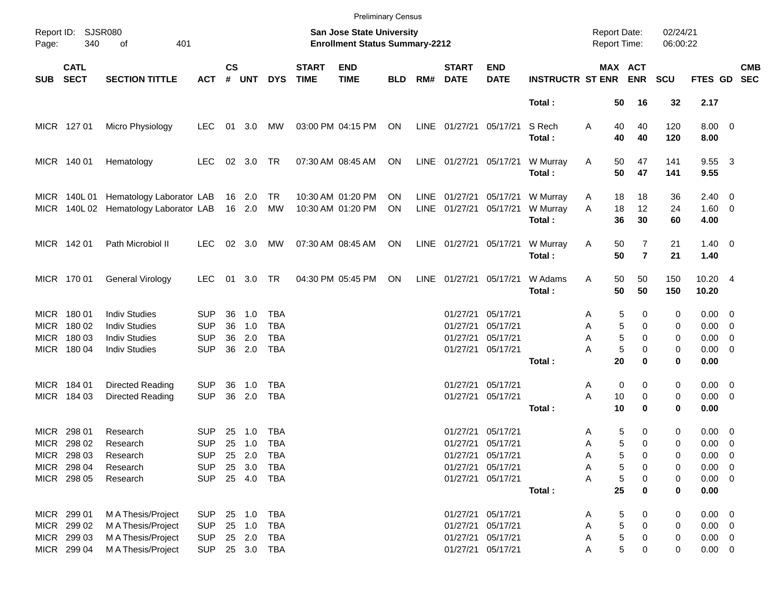|       |                                                          |                                                                                              |                                                      |                      |                                   |                                               |                             |                                                                    | <b>Preliminary Census</b> |      |                                              |                                                                         |                                |                                            |                                             |                      |                                                          |            |
|-------|----------------------------------------------------------|----------------------------------------------------------------------------------------------|------------------------------------------------------|----------------------|-----------------------------------|-----------------------------------------------|-----------------------------|--------------------------------------------------------------------|---------------------------|------|----------------------------------------------|-------------------------------------------------------------------------|--------------------------------|--------------------------------------------|---------------------------------------------|----------------------|----------------------------------------------------------|------------|
| Page: | Report ID: SJSR080<br>340                                | 401<br>of                                                                                    |                                                      |                      |                                   |                                               |                             | San Jose State University<br><b>Enrollment Status Summary-2212</b> |                           |      |                                              |                                                                         |                                | <b>Report Date:</b><br><b>Report Time:</b> |                                             | 02/24/21<br>06:00:22 |                                                          |            |
| SUB   | <b>CATL</b><br><b>SECT</b>                               | <b>SECTION TITTLE</b>                                                                        | <b>ACT</b>                                           | $\mathsf{cs}$<br>#   | <b>UNT</b>                        | <b>DYS</b>                                    | <b>START</b><br><b>TIME</b> | <b>END</b><br><b>TIME</b>                                          | <b>BLD</b>                | RM#  | <b>START</b><br><b>DATE</b>                  | <b>END</b><br><b>DATE</b>                                               | <b>INSTRUCTR ST ENR</b>        |                                            | MAX ACT<br><b>ENR</b>                       | <b>SCU</b>           | FTES GD SEC                                              | <b>CMB</b> |
|       |                                                          |                                                                                              |                                                      |                      |                                   |                                               |                             |                                                                    |                           |      |                                              |                                                                         | Total:                         | 50                                         | 16                                          | 32                   | 2.17                                                     |            |
|       | MICR 127 01                                              | Micro Physiology                                                                             | <b>LEC</b>                                           | 01                   | 3.0                               | MW                                            |                             | 03:00 PM 04:15 PM                                                  | ON                        |      | LINE 01/27/21                                | 05/17/21                                                                | S Rech<br>Total:               | Α<br>40<br>40                              | 40<br>40                                    | 120<br>120           | $8.00 \t 0$<br>8.00                                      |            |
|       | MICR 140 01                                              | Hematology                                                                                   | <b>LEC</b>                                           |                      | 02 3.0 TR                         |                                               |                             | 07:30 AM 08:45 AM                                                  | ON                        |      | LINE 01/27/21                                | 05/17/21                                                                | W Murray<br>Total:             | Α<br>50<br>50                              | 47<br>47                                    | 141<br>141           | 9.55 3<br>9.55                                           |            |
|       | MICR 140L01                                              | Hematology Laborator LAB<br>MICR 140L 02 Hematology Laborator LAB                            |                                                      |                      | 16 2.0<br>16 2.0                  | TR<br>МW                                      |                             | 10:30 AM 01:20 PM<br>10:30 AM 01:20 PM                             | <b>ON</b><br>ON           |      | LINE 01/27/21<br>LINE 01/27/21               | 05/17/21<br>05/17/21                                                    | W Murray<br>W Murray<br>Total: | 18<br>A<br>A<br>18<br>36                   | 18<br>12<br>30                              | 36<br>24<br>60       | $2.40 \quad 0$<br>$1.60 \t 0$<br>4.00                    |            |
|       | MICR 142 01                                              | Path Microbiol II                                                                            | <b>LEC</b>                                           |                      | 02 3.0                            | МW                                            |                             | 07:30 AM 08:45 AM                                                  | ON                        |      | LINE 01/27/21                                | 05/17/21                                                                | W Murray<br>Total:             | Α<br>50<br>50                              | $\overline{7}$<br>$\overline{7}$            | 21<br>21             | $1.40 \ 0$<br>1.40                                       |            |
|       | MICR 170 01                                              | General Virology                                                                             | <b>LEC</b>                                           | 01                   | 3.0                               | <b>TR</b>                                     |                             | 04:30 PM 05:45 PM                                                  | ON                        | LINE | 01/27/21                                     | 05/17/21                                                                | W Adams<br>Total:              | 50<br>Α<br>50                              | 50<br>50                                    | 150<br>150           | 10.20 4<br>10.20                                         |            |
|       | MICR 180 01<br>MICR 180 02<br>MICR 180 03<br>MICR 180 04 | <b>Indiv Studies</b><br><b>Indiv Studies</b><br><b>Indiv Studies</b><br><b>Indiv Studies</b> | <b>SUP</b><br><b>SUP</b><br><b>SUP</b><br><b>SUP</b> | 36<br>36<br>36<br>36 | 1.0<br>1.0<br>2.0<br>2.0          | TBA<br><b>TBA</b><br><b>TBA</b><br><b>TBA</b> |                             |                                                                    |                           |      | 01/27/21<br>01/27/21<br>01/27/21<br>01/27/21 | 05/17/21<br>05/17/21<br>05/17/21<br>05/17/21                            |                                | Α<br>Α<br>A<br>Α                           | 5<br>0<br>5<br>0<br>5<br>$\Omega$<br>5<br>0 | 0<br>0<br>0<br>0     | $0.00 \t 0$<br>$0.00 \t 0$<br>$0.00 \t 0$<br>$0.00 \t 0$ |            |
|       |                                                          |                                                                                              |                                                      |                      |                                   |                                               |                             |                                                                    |                           |      |                                              |                                                                         | Total:                         | 20                                         | 0                                           | 0                    | 0.00                                                     |            |
|       | MICR 184 01<br>MICR 184 03                               | Directed Reading<br>Directed Reading                                                         | <b>SUP</b><br><b>SUP</b>                             | 36<br>36             | 1.0<br>2.0                        | TBA<br><b>TBA</b>                             |                             |                                                                    |                           |      | 01/27/21<br>01/27/21                         | 05/17/21<br>05/17/21                                                    | Total:                         | 0<br>A<br>A<br>10<br>10                    | 0<br>0<br>0                                 | 0<br>0<br>0          | $0.00 \t 0$<br>$0.00 \ 0$<br>0.00                        |            |
| MICR  | 298 01<br>MICR 298 02<br>MICR 298 03<br>MICR 298 04      | Research<br>Research<br>Research<br>Research                                                 | <b>SUP</b><br><b>SUP</b><br><b>SUP</b><br><b>SUP</b> | 25                   | 1.0<br>25 1.0<br>25 2.0<br>25 3.0 | <b>TBA</b><br><b>TBA</b><br>TBA<br>TBA        |                             |                                                                    |                           |      | 01/27/21                                     | 05/17/21<br>01/27/21 05/17/21<br>01/27/21 05/17/21<br>01/27/21 05/17/21 |                                | Α<br>A<br>Α<br>А                           | 5<br>0<br>5<br>0<br>5<br>0<br>5<br>0        | 0<br>0<br>0<br>0     | $0.00 \t 0$<br>$0.00 \t 0$<br>$0.00 \t 0$<br>$0.00 \t 0$ |            |
|       | MICR 298 05                                              | Research                                                                                     | <b>SUP</b>                                           |                      |                                   | 25 4.0 TBA                                    |                             |                                                                    |                           |      |                                              | 01/27/21 05/17/21                                                       | Total:                         | Α<br>25                                    | 5<br>0<br>0                                 | 0<br>0               | $0.00 \t 0$<br>0.00                                      |            |
|       | MICR 299 01<br>MICR 299 02<br>MICR 299 03<br>MICR 299 04 | M A Thesis/Project<br>M A Thesis/Project<br>M A Thesis/Project<br>M A Thesis/Project         | <b>SUP</b><br><b>SUP</b><br><b>SUP</b><br><b>SUP</b> |                      | 25 1.0<br>25 1.0<br>25 2.0        | TBA<br>TBA<br>TBA<br>25 3.0 TBA               |                             |                                                                    |                           |      | 01/27/21<br>01/27/21                         | 01/27/21 05/17/21<br>05/17/21<br>05/17/21<br>01/27/21 05/17/21          |                                | A<br>Α<br>Α<br>Α                           | 5<br>0<br>5<br>0<br>5<br>0<br>5<br>0        | 0<br>0<br>0<br>0     | $0.00 \t 0$<br>$0.00 \t 0$<br>$0.00 \t 0$<br>$0.00 \t 0$ |            |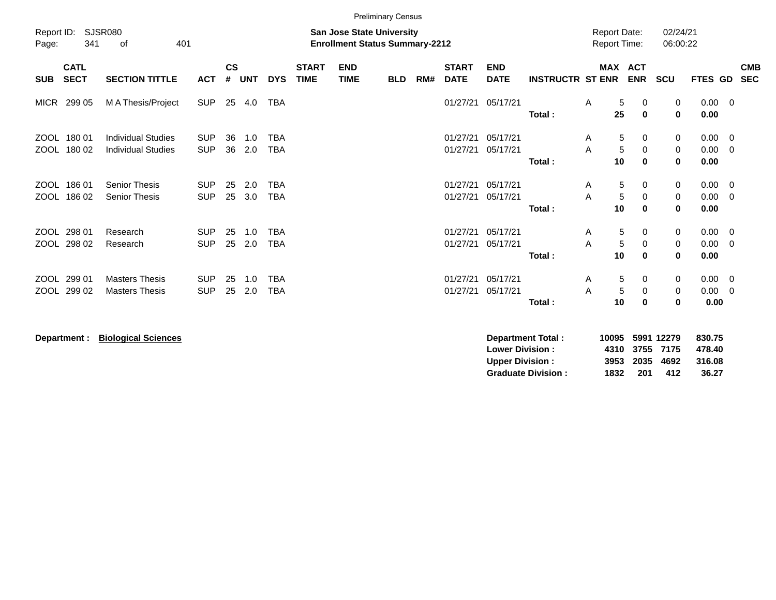|              |                                                                                                                                                                                                                                                                                             |                                                |                          |          |            |                          |  |  | <b>Preliminary Census</b> |  |                      |                      |        |                                     |                                 |                      |                             |                                           |                          |
|--------------|---------------------------------------------------------------------------------------------------------------------------------------------------------------------------------------------------------------------------------------------------------------------------------------------|------------------------------------------------|--------------------------|----------|------------|--------------------------|--|--|---------------------------|--|----------------------|----------------------|--------|-------------------------------------|---------------------------------|----------------------|-----------------------------|-------------------------------------------|--------------------------|
| Page:        | Report ID:<br>SJSR080<br>San Jose State University<br>341<br>401<br><b>Enrollment Status Summary-2212</b><br>of                                                                                                                                                                             |                                                |                          |          |            |                          |  |  |                           |  |                      |                      |        |                                     |                                 | 02/24/21<br>06:00:22 |                             |                                           |                          |
| <b>SUB</b>   | $\mathsf{cs}$<br><b>CATL</b><br><b>START</b><br><b>START</b><br><b>END</b><br><b>END</b><br><b>SECT</b><br>#<br><b>TIME</b><br><b>SECTION TITTLE</b><br><b>UNT</b><br><b>DYS</b><br><b>TIME</b><br>RM#<br><b>DATE</b><br><b>DATE</b><br><b>INSTRUCTR ST ENR</b><br><b>ACT</b><br><b>BLD</b> |                                                |                          |          |            |                          |  |  |                           |  |                      |                      |        |                                     | MAX ACT<br><b>ENR</b>           | <b>SCU</b>           | FTES GD                     |                                           | <b>CMB</b><br><b>SEC</b> |
| MICR         | <b>SUP</b><br>25<br><b>TBA</b><br>01/27/21<br>299 05<br>M A Thesis/Project<br>4.0<br>05/17/21<br>Total:<br>ZOOL 180 01<br><b>Individual Studies</b><br>01/27/21<br>05/17/21                                                                                                                 |                                                |                          |          |            |                          |  |  |                           |  |                      |                      |        |                                     | 5<br>0<br>25<br>$\mathbf 0$     | 0<br>$\mathbf 0$     | $0.00 \t 0$<br>0.00         |                                           |                          |
|              | ZOOL 180 02                                                                                                                                                                                                                                                                                 | <b>Individual Studies</b>                      | <b>SUP</b><br><b>SUP</b> | 36<br>36 | 1.0<br>2.0 | <b>TBA</b><br><b>TBA</b> |  |  |                           |  | 01/27/21             | 05/17/21             | Total: | A<br>5<br>A<br>10                   | 5<br>0<br>$\Omega$<br>0         | 0<br>0<br>$\bf{0}$   | $0.00 \t 0$<br>0.00<br>0.00 | $\overline{0}$                            |                          |
| ZOOL<br>ZOOL | 18601<br>18602                                                                                                                                                                                                                                                                              | <b>Senior Thesis</b><br><b>Senior Thesis</b>   | <b>SUP</b><br><b>SUP</b> | 25<br>25 | 2.0<br>3.0 | <b>TBA</b><br><b>TBA</b> |  |  |                           |  | 01/27/21<br>01/27/21 | 05/17/21<br>05/17/21 | Total: | 5<br>A<br>$\overline{5}$<br>A<br>10 | 0<br>$\pmb{0}$<br>$\bf{0}$      | 0<br>0<br>0          | $0.00 \t 0$<br>0.00<br>0.00 | - 0                                       |                          |
|              | ZOOL 298 01<br>ZOOL 298 02                                                                                                                                                                                                                                                                  | Research<br>Research                           | <b>SUP</b><br><b>SUP</b> | 25<br>25 | 1.0<br>2.0 | <b>TBA</b><br><b>TBA</b> |  |  |                           |  | 01/27/21<br>01/27/21 | 05/17/21<br>05/17/21 | Total: | A<br>A<br>5<br>10                   | 5<br>0<br>$\pmb{0}$<br>$\bf{0}$ | 0<br>0<br>0          | 0.00<br>0.00<br>0.00        | $\overline{\mathbf{0}}$<br>$\overline{0}$ |                          |
| ZOOL<br>ZOOL | 299 01<br>299 02                                                                                                                                                                                                                                                                            | <b>Masters Thesis</b><br><b>Masters Thesis</b> | <b>SUP</b><br><b>SUP</b> | 25<br>25 | 1.0<br>2.0 | <b>TBA</b><br><b>TBA</b> |  |  |                           |  | 01/27/21<br>01/27/21 | 05/17/21<br>05/17/21 | Total: | 5<br>A<br>$\sqrt{5}$<br>A<br>10     | 0<br>0<br>0                     | 0<br>0<br>0          | 0.00<br>0.00<br>0.00        | $\overline{\phantom{0}}$<br>- 0           |                          |

**Department : Biological Sciences** 

| Department Total:         | 10095 5991 12279 |      |                | 830.75 |
|---------------------------|------------------|------|----------------|--------|
| <b>Lower Division :</b>   |                  |      | 4310 3755 7175 | 478.40 |
| <b>Upper Division:</b>    |                  |      | 3953 2035 4692 | 316.08 |
| <b>Graduate Division:</b> | 1832             | -201 | 412            | 36.27  |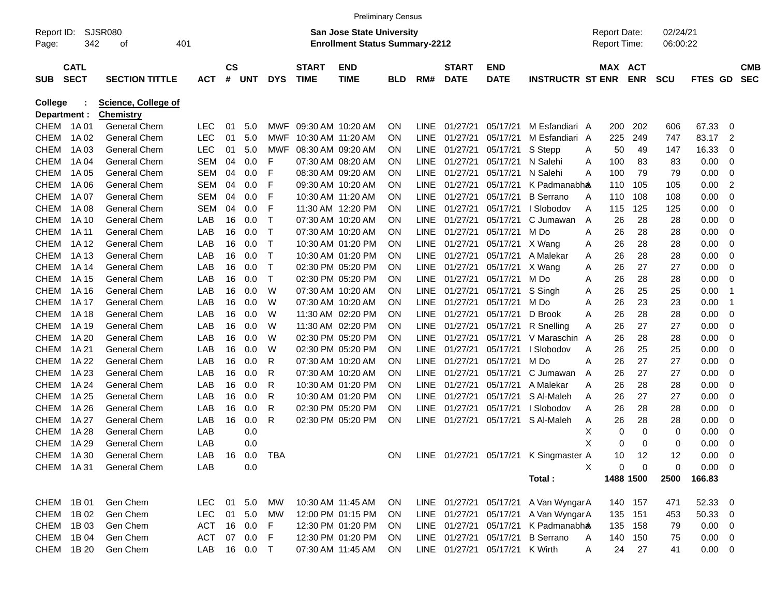|              |             |                            |            |           |            |              |                   | <b>Preliminary Census</b>             |            |             |                        |                        |                                       |   |                     |            |            |             |                          |            |
|--------------|-------------|----------------------------|------------|-----------|------------|--------------|-------------------|---------------------------------------|------------|-------------|------------------------|------------------------|---------------------------------------|---|---------------------|------------|------------|-------------|--------------------------|------------|
| Report ID:   |             | <b>SJSR080</b>             |            |           |            |              |                   | <b>San Jose State University</b>      |            |             |                        |                        |                                       |   | <b>Report Date:</b> |            | 02/24/21   |             |                          |            |
| Page:        | 342         | οf                         | 401        |           |            |              |                   | <b>Enrollment Status Summary-2212</b> |            |             |                        |                        |                                       |   | Report Time:        |            | 06:00:22   |             |                          |            |
|              | <b>CATL</b> |                            |            | <b>CS</b> |            |              | <b>START</b>      | <b>END</b>                            |            |             | <b>START</b>           | <b>END</b>             |                                       |   | MAX ACT             |            |            |             |                          | <b>CMB</b> |
| <b>SUB</b>   | <b>SECT</b> | <b>SECTION TITTLE</b>      | <b>ACT</b> | #         | <b>UNT</b> | <b>DYS</b>   | <b>TIME</b>       | <b>TIME</b>                           | <b>BLD</b> | RM#         | <b>DATE</b>            | <b>DATE</b>            | <b>INSTRUCTR ST ENR</b>               |   |                     | <b>ENR</b> | <b>SCU</b> | FTES<br>GD. |                          | <b>SEC</b> |
| College      |             | <b>Science, College of</b> |            |           |            |              |                   |                                       |            |             |                        |                        |                                       |   |                     |            |            |             |                          |            |
| Department : |             | <b>Chemistry</b>           |            |           |            |              |                   |                                       |            |             |                        |                        |                                       |   |                     |            |            |             |                          |            |
| <b>CHEM</b>  | 1A 01       | <b>General Chem</b>        | <b>LEC</b> | 01        | 5.0        | MWF          | 09:30 AM 10:20 AM |                                       | ΟN         | <b>LINE</b> | 01/27/21               | 05/17/21               | M Esfandiari A                        |   | 200                 | 202        | 606        | 67.33       | 0                        |            |
| <b>CHEM</b>  | 1A 02       | <b>General Chem</b>        | <b>LEC</b> | 01        | 5.0        | MWF          | 10:30 AM 11:20 AM |                                       | ΟN         | <b>LINE</b> | 01/27/21               | 05/17/21               | M Esfandiari A                        |   | 225                 | 249        | 747        | 83.17       | 2                        |            |
| <b>CHEM</b>  | 1A 03       | <b>General Chem</b>        | <b>LEC</b> | 01        | 5.0        | <b>MWF</b>   | 08:30 AM 09:20 AM |                                       | ΟN         | <b>LINE</b> | 01/27/21               | 05/17/21               | S Stepp                               | Α | 50                  | 49         | 147        | 16.33       | 0                        |            |
| <b>CHEM</b>  | 1A 04       | <b>General Chem</b>        | <b>SEM</b> | 04        | 0.0        | F            | 07:30 AM 08:20 AM |                                       | ΟN         | <b>LINE</b> | 01/27/21               | 05/17/21               | N Salehi                              | Α | 100                 | 83         | 83         | 0.00        | 0                        |            |
| <b>CHEM</b>  | 1A 05       | <b>General Chem</b>        | SEM        | 04        | 0.0        | F            | 08:30 AM 09:20 AM |                                       | ΟN         | LINE.       | 01/27/21               | 05/17/21               | N Salehi                              | Α | 100                 | 79         | 79         | 0.00        | 0                        |            |
| <b>CHEM</b>  | 1A 06       | <b>General Chem</b>        | SEM        | 04        | 0.0        | F            | 09:30 AM 10:20 AM |                                       | ΟN         | <b>LINE</b> | 01/27/21               | 05/17/21               | K Padmanabha                          |   | 110                 | 105        | 105        | 0.00        | $\overline{2}$           |            |
| <b>CHEM</b>  | 1A 07       | <b>General Chem</b>        | <b>SEM</b> | 04        | 0.0        | F            | 10:30 AM 11:20 AM |                                       | ΟN         | <b>LINE</b> | 01/27/21               | 05/17/21               | <b>B</b> Serrano                      | A | 110                 | 108        | 108        | 0.00        | 0                        |            |
| <b>CHEM</b>  | 1A 08       | <b>General Chem</b>        | SEM        | 04        | 0.0        | F            | 11:30 AM 12:20 PM |                                       | ΟN         | LINE.       | 01/27/21               | 05/17/21               | I Slobodov                            | A | 115                 | 125        | 125        | 0.00        | 0                        |            |
| <b>CHEM</b>  | 1A 10       | <b>General Chem</b>        | LAB        | 16        | 0.0        | Т            | 07:30 AM 10:20 AM |                                       | ΟN         | <b>LINE</b> | 01/27/21               | 05/17/21               | C Jumawan                             | A | 26                  | 28         | 28         | 0.00        | 0                        |            |
| <b>CHEM</b>  | 1A 11       | <b>General Chem</b>        | LAB        | 16        | 0.0        | Т            | 07:30 AM 10:20 AM |                                       | ΟN         | <b>LINE</b> | 01/27/21               | 05/17/21               | M Do                                  | Α | 26                  | 28         | 28         | 0.00        | 0                        |            |
| <b>CHEM</b>  | 1A 12       | <b>General Chem</b>        | LAB        | 16        | 0.0        | Т            |                   | 10:30 AM 01:20 PM                     | ΟN         | <b>LINE</b> | 01/27/21               | 05/17/21               | X Wang                                | Α | 26                  | 28         | 28         | 0.00        | 0                        |            |
| <b>CHEM</b>  | 1A 13       | <b>General Chem</b>        | LAB        | 16        | 0.0        | Т            |                   | 10:30 AM 01:20 PM                     | ΟN         | <b>LINE</b> | 01/27/21               | 05/17/21               | A Malekar                             | Α | 26                  | 28         | 28         | 0.00        | 0                        |            |
| <b>CHEM</b>  | 1A 14       | <b>General Chem</b>        | LAB        | 16        | 0.0        | Т            | 02:30 PM 05:20 PM |                                       | ΟN         | <b>LINE</b> | 01/27/21               | 05/17/21               | X Wang                                | Α | 26                  | 27         | 27         | 0.00        | 0                        |            |
| <b>CHEM</b>  | 1A 15       | <b>General Chem</b>        | LAB        | 16        | 0.0        | Т            | 02:30 PM 05:20 PM |                                       | ΟN         | <b>LINE</b> | 01/27/21               | 05/17/21               | M Do                                  | Α | 26                  | 28         | 28         | 0.00        | 0                        |            |
| <b>CHEM</b>  | 1A 16       | <b>General Chem</b>        | LAB        | 16        | 0.0        | W            | 07:30 AM 10:20 AM |                                       | ΟN         | <b>LINE</b> | 01/27/21               | 05/17/21               | S Singh                               | Α | 26                  | 25         | 25         | 0.00        | -1                       |            |
| <b>CHEM</b>  | 1A 17       | <b>General Chem</b>        | LAB        | 16        | 0.0        | W            | 07:30 AM 10:20 AM |                                       | ΟN         | <b>LINE</b> | 01/27/21               | 05/17/21               | M Do                                  | Α | 26                  | 23         | 23         | 0.00        | -1                       |            |
| <b>CHEM</b>  | 1A 18       | <b>General Chem</b>        | LAB        | 16        | 0.0        | W            | 11:30 AM 02:20 PM |                                       | ΟN         | <b>LINE</b> | 01/27/21               | 05/17/21               | D Brook                               | Α | 26                  | 28         | 28         | 0.00        | 0                        |            |
| <b>CHEM</b>  | 1A 19       | <b>General Chem</b>        | LAB        | 16        | 0.0        | W            | 11:30 AM 02:20 PM |                                       | ΟN         | <b>LINE</b> | 01/27/21               | 05/17/21               | R Snelling                            | Α | 26                  | 27         | 27         | 0.00        | 0                        |            |
| <b>CHEM</b>  | 1A 20       | <b>General Chem</b>        | LAB        | 16        | 0.0        | W            | 02:30 PM 05:20 PM |                                       | ΟN         | LINE.       | 01/27/21               | 05/17/21               | V Maraschin A                         |   | 26                  | 28         | 28         | 0.00        | 0                        |            |
| <b>CHEM</b>  | 1A 21       | <b>General Chem</b>        | LAB        | 16        | 0.0        | W            | 02:30 PM 05:20 PM |                                       | ΟN         | <b>LINE</b> | 01/27/21               | 05/17/21               | I Slobodov                            | Α | 26                  | 25         | 25         | 0.00        | 0                        |            |
| <b>CHEM</b>  | 1A 22       | <b>General Chem</b>        | LAB        | 16        | 0.0        | R            | 07:30 AM 10:20 AM |                                       | ΟN         | <b>LINE</b> | 01/27/21               | 05/17/21               | M Do                                  | Α | 26                  | 27         | 27         | 0.00        | 0                        |            |
| <b>CHEM</b>  | 1A 23       | <b>General Chem</b>        | LAB        | 16        | 0.0        | R            | 07:30 AM 10:20 AM |                                       | ΟN         | <b>LINE</b> | 01/27/21               | 05/17/21               | C Jumawan                             | Α | 26                  | 27         | 27         | 0.00        | 0                        |            |
| <b>CHEM</b>  | 1A 24       | <b>General Chem</b>        | LAB        | 16        | 0.0        | R            |                   | 10:30 AM 01:20 PM                     | ΟN         | <b>LINE</b> | 01/27/21               | 05/17/21               | A Malekar                             | A | 26                  | 28         | 28         | 0.00        | 0                        |            |
| <b>CHEM</b>  | 1A 25       | <b>General Chem</b>        | LAB        | 16        | 0.0        | R            |                   | 10:30 AM 01:20 PM                     | ΟN         | <b>LINE</b> | 01/27/21               | 05/17/21               | S Al-Maleh                            | A | 26                  | 27         | 27         | 0.00        | 0                        |            |
| <b>CHEM</b>  | 1A 26       | <b>General Chem</b>        | LAB        | 16        | 0.0        | R            | 02:30 PM 05:20 PM |                                       | ΟN         | <b>LINE</b> | 01/27/21               | 05/17/21               | I Slobodov                            | Α | 26                  | 28         | 28         | 0.00        | 0                        |            |
| <b>CHEM</b>  | 1A 27       | <b>General Chem</b>        | LAB        | 16        | 0.0        | R            | 02:30 PM 05:20 PM |                                       | ON         | <b>LINE</b> | 01/27/21               | 05/17/21               | S Al-Maleh                            | Α | 26                  | 28         | 28         | 0.00        | 0                        |            |
| <b>CHEM</b>  | 1A 28       | <b>General Chem</b>        | LAB        |           | 0.0        |              |                   |                                       |            |             |                        |                        |                                       | х | 0                   | 0          | 0          | 0.00        | 0                        |            |
| <b>CHEM</b>  | 1A 29       | <b>General Chem</b>        | LAB        |           | 0.0        |              |                   |                                       |            |             |                        |                        |                                       | х | 0                   | 0          | 0          | 0.00        | 0                        |            |
| CHEM 1A30    |             | <b>General Chem</b>        | LAB        |           |            | 16  0.0  TBA |                   |                                       | ON.        |             |                        |                        | LINE 01/27/21 05/17/21 K Singmaster A |   | 10                  | -12        | 12         | 0.00        | $\overline{\phantom{0}}$ |            |
| CHEM 1A31    |             | <b>General Chem</b>        | LAB        |           | 0.0        |              |                   |                                       |            |             |                        |                        |                                       | X | 0                   | 0          | 0          | $0.00 \t 0$ |                          |            |
|              |             |                            |            |           |            |              |                   |                                       |            |             |                        |                        | Total:                                |   |                     | 1488 1500  | 2500       | 166.83      |                          |            |
| CHEM 1B 01   |             | Gen Chem                   | LEC        |           | 01 5.0     | MW           |                   | 10:30 AM 11:45 AM                     | <b>ON</b>  |             | LINE 01/27/21 05/17/21 |                        | A Van WyngarA                         |   |                     | 140 157    | 471        | 52.33 0     |                          |            |
| CHEM         | 1B 02       | Gen Chem                   | <b>LEC</b> |           | 01 5.0     | MW           |                   | 12:00 PM 01:15 PM                     | <b>ON</b>  |             | LINE 01/27/21 05/17/21 |                        | A Van Wyngar A                        |   |                     | 135 151    | 453        | 50.33 0     |                          |            |
| CHEM         | 1B 03       | Gen Chem                   | <b>ACT</b> |           | 16 0.0     | F            |                   | 12:30 PM 01:20 PM                     | <b>ON</b>  |             | LINE 01/27/21 05/17/21 |                        | K Padmanabha                          |   | 135                 | 158        | 79         | $0.00 \t 0$ |                          |            |
| CHEM         | 1B 04       | Gen Chem                   | ACT        |           | 07 0.0 F   |              |                   | 12:30 PM 01:20 PM                     | ON.        |             | LINE 01/27/21 05/17/21 |                        | <b>B</b> Serrano                      | A | 140                 | 150        | 75         | $0.00 \t 0$ |                          |            |
| CHEM 1B 20   |             | Gen Chem                   | LAB        |           | 16  0.0  T |              |                   | 07:30 AM 11:45 AM                     | ON         |             |                        | LINE 01/27/21 05/17/21 | K Wirth                               | A | 24                  | 27         | 41         | $0.00 \t 0$ |                          |            |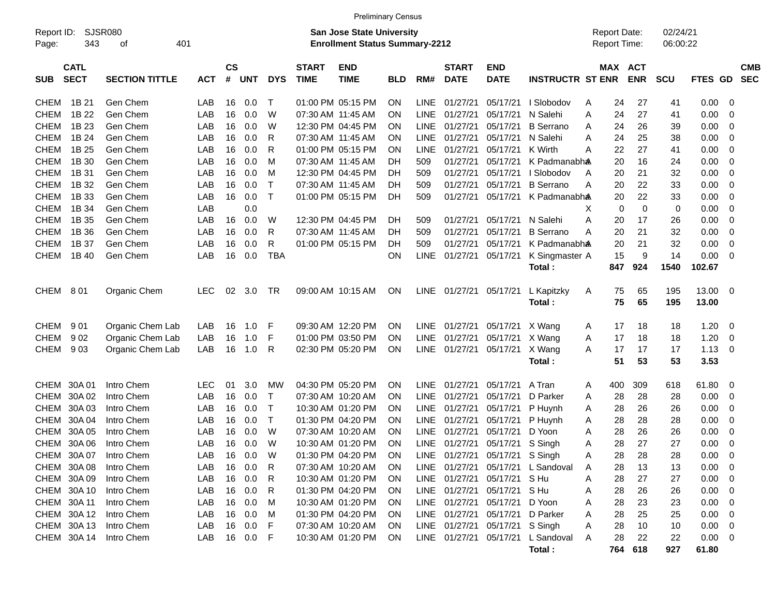|                                                                                                                                        |                            |                       |            |                    |            |             |                             | <b>Preliminary Census</b> |            |             |                             |                                |                                   |   |          |                                     |                      |                |                          |                          |
|----------------------------------------------------------------------------------------------------------------------------------------|----------------------------|-----------------------|------------|--------------------|------------|-------------|-----------------------------|---------------------------|------------|-------------|-----------------------------|--------------------------------|-----------------------------------|---|----------|-------------------------------------|----------------------|----------------|--------------------------|--------------------------|
| <b>SJSR080</b><br><b>San Jose State University</b><br>Report ID:<br>343<br>401<br><b>Enrollment Status Summary-2212</b><br>Page:<br>οf |                            |                       |            |                    |            |             |                             |                           |            |             |                             |                                |                                   |   |          | <b>Report Date:</b><br>Report Time: | 02/24/21<br>06:00:22 |                |                          |                          |
| <b>SUB</b>                                                                                                                             | <b>CATL</b><br><b>SECT</b> | <b>SECTION TITTLE</b> | <b>ACT</b> | $\mathsf{cs}$<br># | <b>UNT</b> | <b>DYS</b>  | <b>START</b><br><b>TIME</b> | <b>END</b><br><b>TIME</b> | <b>BLD</b> | RM#         | <b>START</b><br><b>DATE</b> | <b>END</b><br><b>DATE</b>      | <b>INSTRUCTR ST ENR</b>           |   |          | MAX ACT<br><b>ENR</b>               | <b>SCU</b>           | FTES GD        |                          | <b>CMB</b><br><b>SEC</b> |
| <b>CHEM</b>                                                                                                                            | 1B 21                      | Gen Chem              | LAB        | 16                 | 0.0        | Т           |                             | 01:00 PM 05:15 PM         | <b>ON</b>  | <b>LINE</b> | 01/27/21                    | 05/17/21                       | I Slobodov                        | A | 24       | 27                                  | 41                   | 0.00           | 0                        |                          |
| <b>CHEM</b>                                                                                                                            | 1B 22                      | Gen Chem              | LAB        | 16                 | 0.0        | W           |                             | 07:30 AM 11:45 AM         | ΟN         | <b>LINE</b> | 01/27/21                    | 05/17/21                       | N Salehi                          | A | 24       | 27                                  | 41                   | 0.00           | $\mathbf 0$              |                          |
| <b>CHEM</b>                                                                                                                            | 1B 23                      | Gen Chem              | LAB        | 16                 | 0.0        | W           |                             | 12:30 PM 04:45 PM         | ΟN         | <b>LINE</b> | 01/27/21                    | 05/17/21                       | <b>B</b> Serrano                  | A | 24       | 26                                  | 39                   | 0.00           | $\mathbf 0$              |                          |
| <b>CHEM</b>                                                                                                                            | 1B 24                      | Gen Chem              | LAB        | 16                 | 0.0        | R           |                             | 07:30 AM 11:45 AM         | ΟN         | <b>LINE</b> | 01/27/21                    | 05/17/21                       | N Salehi                          | A | 24       | 25                                  | 38                   | 0.00           | $\mathbf 0$              |                          |
| <b>CHEM</b>                                                                                                                            | 1B 25                      | Gen Chem              | LAB        | 16                 | 0.0        | R           |                             | 01:00 PM 05:15 PM         | ΟN         | <b>LINE</b> | 01/27/21                    | 05/17/21                       | K Wirth                           | Α | 22       | 27                                  | 41                   | 0.00           | $\mathbf 0$              |                          |
| <b>CHEM</b>                                                                                                                            | 1B 30                      | Gen Chem              | LAB        | 16                 | 0.0        | M           |                             | 07:30 AM 11:45 AM         | DН         | 509         | 01/27/21                    | 05/17/21                       | K Padmanabha                      |   | 20       | 16                                  | 24                   | 0.00           | $\mathbf 0$              |                          |
| <b>CHEM</b>                                                                                                                            | 1B 31                      | Gen Chem              | LAB        | 16                 | 0.0        | M           |                             | 12:30 PM 04:45 PM         | DH         | 509         | 01/27/21                    | 05/17/21                       | I Slobodov                        | A | 20       | 21                                  | 32                   | 0.00           | $\mathbf 0$              |                          |
| <b>CHEM</b>                                                                                                                            | 1B 32                      | Gen Chem              | LAB        | 16                 | 0.0        | Т           |                             | 07:30 AM 11:45 AM         | DН         | 509         | 01/27/21                    | 05/17/21                       | <b>B</b> Serrano                  | A | 20       | 22                                  | 33                   | 0.00           | $\mathbf 0$              |                          |
| <b>CHEM</b>                                                                                                                            | 1B 33                      | Gen Chem              | LAB        | 16                 | 0.0        | Τ           |                             | 01:00 PM 05:15 PM         | DH         | 509         | 01/27/21                    | 05/17/21                       | K Padmanabha                      |   | 20       | 22                                  | 33                   | 0.00           | $\mathbf 0$              |                          |
| <b>CHEM</b>                                                                                                                            | 1B 34                      | Gen Chem              | LAB        |                    | 0.0        |             |                             |                           |            |             |                             |                                |                                   | X | 0        | $\mathbf 0$                         | 0                    | 0.00           | $\mathbf 0$              |                          |
| <b>CHEM</b>                                                                                                                            | 1B 35                      | Gen Chem              | LAB        | 16                 | 0.0        | W           |                             | 12:30 PM 04:45 PM         | DH         | 509         | 01/27/21                    | 05/17/21                       | N Salehi                          | A | 20       | 17                                  | 26                   | 0.00           | $\mathbf 0$              |                          |
| <b>CHEM</b>                                                                                                                            | 1B 36                      | Gen Chem              | LAB        | 16                 | 0.0        | R           |                             | 07:30 AM 11:45 AM         | DН         | 509         | 01/27/21                    | 05/17/21                       | <b>B</b> Serrano                  | A | 20       | 21                                  | 32                   | 0.00           | $\mathbf 0$              |                          |
| <b>CHEM</b>                                                                                                                            | 1B 37                      | Gen Chem              | LAB        | 16                 | 0.0        | R           |                             | 01:00 PM 05:15 PM         | DH         | 509         | 01/27/21                    | 05/17/21                       | K Padmanabha                      |   | 20       | 21                                  | 32                   | 0.00           | $\mathbf 0$              |                          |
| <b>CHEM</b>                                                                                                                            | 1B 40                      | Gen Chem              | LAB        | 16                 | 0.0        | <b>TBA</b>  |                             |                           | ON         | <b>LINE</b> | 01/27/21                    | 05/17/21                       | K Singmaster A                    |   | 15       | 9                                   | 14                   | 0.00           | $\mathbf 0$              |                          |
|                                                                                                                                        |                            |                       |            |                    |            |             |                             |                           |            |             |                             |                                | Total:                            |   | 847      | 924                                 | 1540                 | 102.67         |                          |                          |
| CHEM                                                                                                                                   | 801                        | Organic Chem          | <b>LEC</b> | 02                 | 3.0        | TR.         |                             | 09:00 AM 10:15 AM         | <b>ON</b>  |             | LINE 01/27/21               | 05/17/21                       | L Kapitzky<br>Total:              | A | 75<br>75 | 65<br>65                            | 195<br>195           | 13.00<br>13.00 | $\mathbf 0$              |                          |
| CHEM                                                                                                                                   | 901                        | Organic Chem Lab      | LAB        | 16                 | 1.0        | F           |                             | 09:30 AM 12:20 PM         | <b>ON</b>  |             | LINE 01/27/21               | 05/17/21                       | X Wang                            | A | 17       | 18                                  | 18                   | 1.20           | $\mathbf 0$              |                          |
| <b>CHEM</b>                                                                                                                            | 902                        | Organic Chem Lab      | LAB        | 16                 | 1.0        | F           |                             | 01:00 PM 03:50 PM         | <b>ON</b>  | LINE        | 01/27/21                    | 05/17/21                       | X Wang                            | Α | 17       | 18                                  | 18                   | 1.20           | $\mathbf 0$              |                          |
| <b>CHEM</b>                                                                                                                            | 903                        | Organic Chem Lab      | LAB        | 16                 | 1.0        | R           |                             | 02:30 PM 05:20 PM         | ON         |             | LINE 01/27/21               | 05/17/21                       | X Wang                            | A | 17       | 17                                  | 17                   | 1.13           | 0                        |                          |
|                                                                                                                                        |                            |                       |            |                    |            |             |                             |                           |            |             |                             |                                | Total:                            |   | 51       | 53                                  | 53                   | 3.53           |                          |                          |
| CHEM 30A 01                                                                                                                            |                            | Intro Chem            | <b>LEC</b> | 01                 | 3.0        | МW          |                             | 04:30 PM 05:20 PM         | ΟN         | <b>LINE</b> | 01/27/21                    | 05/17/21                       | A Tran                            | Α | 400      | 309                                 | 618                  | 61.80          | 0                        |                          |
| CHEM                                                                                                                                   | 30A 02                     | Intro Chem            | LAB        | 16                 | 0.0        | Т           |                             | 07:30 AM 10:20 AM         | <b>ON</b>  | <b>LINE</b> | 01/27/21                    | 05/17/21                       | D Parker                          | Α | 28       | 28                                  | 28                   | 0.00           | $\mathbf 0$              |                          |
| CHEM                                                                                                                                   | 30A03                      | Intro Chem            | LAB        | 16                 | 0.0        | Т           |                             | 10:30 AM 01:20 PM         | ON         |             | LINE 01/27/21               | 05/17/21                       | P Huynh                           | Α | 28       | 26                                  | 26                   | 0.00           | $\mathbf 0$              |                          |
| CHEM                                                                                                                                   | 30A 04                     | Intro Chem            | LAB        | 16                 | 0.0        | $\mathsf T$ |                             | 01:30 PM 04:20 PM         | ON         | <b>LINE</b> | 01/27/21                    | 05/17/21                       | P Huynh                           | Α | 28       | 28                                  | 28                   | 0.00           | 0                        |                          |
| <b>CHEM</b>                                                                                                                            | 30A 05                     | Intro Chem            | LAB        | 16                 | 0.0        | W           |                             | 07:30 AM 10:20 AM         | ΟN         | <b>LINE</b> | 01/27/21                    | 05/17/21                       | D Yoon                            | A | 28       | 26                                  | 26                   | 0.00           | 0                        |                          |
|                                                                                                                                        | CHEM 30A 06                | Intro Chem            | LAB        | 16                 | 0.0        | W           |                             | 10:30 AM 01:20 PM         | ON         |             | LINE 01/27/21               | 05/17/21                       | S Singh                           | A | 28       | 27                                  | 27                   | 0.00           | 0                        |                          |
|                                                                                                                                        | CHEM 30A07                 | Intro Chem            | LAB        |                    | 16 0.0     | W           |                             | 01:30 PM 04:20 PM         | <b>ON</b>  |             |                             | LINE 01/27/21 05/17/21 S Singh |                                   | A | 28       | 28                                  | 28                   | 0.00           | $\overline{\mathbf{0}}$  |                          |
|                                                                                                                                        | CHEM 30A 08                | Intro Chem            | LAB        |                    | 16 0.0     | R           |                             | 07:30 AM 10:20 AM         | ON.        |             |                             |                                | LINE 01/27/21 05/17/21 L Sandoval | A | 28       | 13                                  | 13                   | 0.00           | $\overline{\mathbf{0}}$  |                          |
|                                                                                                                                        | CHEM 30A 09                | Intro Chem            | LAB        |                    | 16 0.0     | R           |                             | 10:30 AM 01:20 PM         | ON.        |             | LINE 01/27/21 05/17/21      |                                | S Hu                              | A | 28       | 27                                  | 27                   | 0.00           | $\overline{\phantom{0}}$ |                          |
|                                                                                                                                        | CHEM 30A 10                | Intro Chem            | LAB        |                    | 16 0.0     | R           |                             | 01:30 PM 04:20 PM         | ON.        |             | LINE 01/27/21 05/17/21      |                                | S Hu                              | A | 28       | 26                                  | 26                   | 0.00           | - 0                      |                          |
|                                                                                                                                        | CHEM 30A 11                | Intro Chem            | LAB        |                    | 16 0.0     | M           |                             | 10:30 AM 01:20 PM         | ON.        |             | LINE 01/27/21 05/17/21      |                                | D Yoon                            | A | 28       | 23                                  | 23                   | 0.00           | - 0                      |                          |
|                                                                                                                                        | CHEM 30A 12                | Intro Chem            | LAB        |                    | 16 0.0     | M           |                             | 01:30 PM 04:20 PM         | ON.        |             | LINE 01/27/21 05/17/21      |                                | D Parker                          | A | 28       | 25                                  | 25                   | 0.00           | $\overline{\mathbf{0}}$  |                          |
|                                                                                                                                        | CHEM 30A 13                | Intro Chem            | LAB        |                    | 16 0.0     | F           |                             | 07:30 AM 10:20 AM         | ON.        |             |                             | LINE 01/27/21 05/17/21 S Singh |                                   | A | 28       | 10                                  | 10                   | 0.00           | $\overline{\mathbf{0}}$  |                          |
|                                                                                                                                        | CHEM 30A 14                | Intro Chem            | LAB        |                    | 16  0.0  F |             |                             | 10:30 AM 01:20 PM ON      |            |             |                             |                                | LINE 01/27/21 05/17/21 L Sandoval | A | 28       | 22                                  | 22                   | 0.00           | $\overline{\mathbf{0}}$  |                          |
|                                                                                                                                        |                            |                       |            |                    |            |             |                             |                           |            |             |                             |                                | Total:                            |   |          | 764 618                             | 927                  | 61.80          |                          |                          |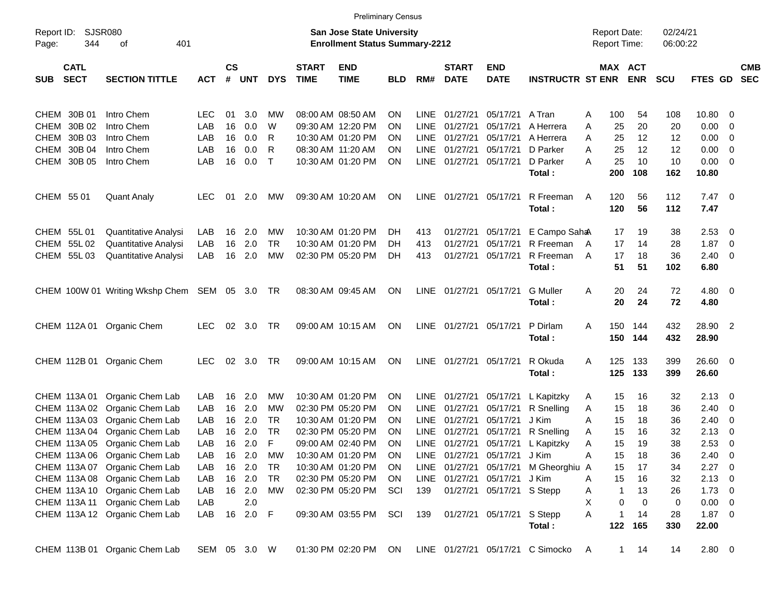|                     |                            |                                               |              |                    |            |              |                             | <b>Preliminary Census</b>                                                 |            |             |                             |                              |                                  |              |                                     |            |                      |                       |                         |            |
|---------------------|----------------------------|-----------------------------------------------|--------------|--------------------|------------|--------------|-----------------------------|---------------------------------------------------------------------------|------------|-------------|-----------------------------|------------------------------|----------------------------------|--------------|-------------------------------------|------------|----------------------|-----------------------|-------------------------|------------|
| Report ID:<br>Page: | <b>SJSR080</b><br>344      | 401<br>οf                                     |              |                    |            |              |                             | <b>San Jose State University</b><br><b>Enrollment Status Summary-2212</b> |            |             |                             |                              |                                  |              | <b>Report Date:</b><br>Report Time: |            | 02/24/21<br>06:00:22 |                       |                         |            |
| SUB                 | <b>CATL</b><br><b>SECT</b> | <b>SECTION TITTLE</b>                         | <b>ACT</b>   | $\mathsf{cs}$<br># | <b>UNT</b> | <b>DYS</b>   | <b>START</b><br><b>TIME</b> | <b>END</b><br><b>TIME</b>                                                 | <b>BLD</b> | RM#         | <b>START</b><br><b>DATE</b> | <b>END</b><br><b>DATE</b>    | <b>INSTRUCTR ST ENR</b>          |              | MAX ACT                             | <b>ENR</b> | <b>SCU</b>           | FTES GD SEC           |                         | <b>CMB</b> |
|                     | CHEM 30B 01                | Intro Chem                                    | LEC          | 01                 | 3.0        | MW           |                             | 08:00 AM 08:50 AM                                                         | ΟN         | <b>LINE</b> | 01/27/21                    | 05/17/21                     | A Tran                           | A            | 100                                 | 54         | 108                  | 10.80                 | 0                       |            |
|                     | CHEM 30B 02                | Intro Chem                                    | LAB          | 16                 | 0.0        | W            |                             | 09:30 AM 12:20 PM                                                         | ON         | LINE        | 01/27/21                    | 05/17/21                     | A Herrera                        | A            | 25                                  | 20         | 20                   | 0.00                  | 0                       |            |
|                     | CHEM 30B 03                | Intro Chem                                    | LAB          | 16                 | 0.0        | R            |                             | 10:30 AM 01:20 PM                                                         | ON         | <b>LINE</b> | 01/27/21                    | 05/17/21                     | A Herrera                        | A            | 25                                  | 12         | 12                   | 0.00                  | $\mathbf 0$             |            |
|                     | CHEM 30B 04                | Intro Chem                                    | LAB          | 16                 | 0.0        | R            |                             | 08:30 AM 11:20 AM                                                         | ΟN         | <b>LINE</b> | 01/27/21                    | 05/17/21                     | D Parker                         | A            | 25                                  | 12         | 12                   | 0.00                  | $\overline{0}$          |            |
|                     | CHEM 30B 05                | Intro Chem                                    | LAB          | 16                 | 0.0        | $\mathsf{T}$ |                             | 10:30 AM 01:20 PM                                                         | ΟN         | LINE        | 01/27/21                    | 05/17/21                     | D Parker<br>Total:               | A            | 25<br>200                           | 10<br>108  | 10<br>162            | 0.00<br>10.80         | $\overline{0}$          |            |
| CHEM 55 01          |                            | <b>Quant Analy</b>                            | <b>LEC</b>   | 01                 | 2.0        | МW           |                             | 09:30 AM 10:20 AM                                                         | <b>ON</b>  | LINE        | 01/27/21                    | 05/17/21                     | R Freeman<br>Total:              | A            | 120<br>120                          | 56<br>56   | 112<br>112           | $7.47\quad 0$<br>7.47 |                         |            |
|                     | CHEM 55L01                 | Quantitative Analysi                          | LAB          | 16                 | 2.0        | MW           |                             | 10:30 AM 01:20 PM                                                         | DH         | 413         | 01/27/21                    | 05/17/21                     | E Campo Saha                     |              | 17                                  | 19         | 38                   | 2.53                  | - 0                     |            |
|                     | CHEM 55L02                 | Quantitative Analysi                          | LAB          | 16                 | 2.0        | TR.          |                             | 10:30 AM 01:20 PM                                                         | DH         | 413         | 01/27/21                    | 05/17/21                     | R Freeman                        | A            | 17                                  | 14         | 28                   | 1.87                  | - 0                     |            |
|                     | CHEM 55L03                 | Quantitative Analysi                          | LAB          | 16                 | 2.0        | <b>MW</b>    |                             | 02:30 PM 05:20 PM                                                         | DH         | 413         | 01/27/21                    | 05/17/21                     | R Freeman                        | A            | 17                                  | 18         | 36                   | 2.40                  | - 0                     |            |
|                     |                            |                                               |              |                    |            |              |                             |                                                                           |            |             |                             |                              | Total:                           |              | 51                                  | 51         | 102                  | 6.80                  |                         |            |
|                     |                            | CHEM 100W 01 Writing Wkshp Chem SEM 05 3.0 TR |              |                    |            |              |                             | 08:30 AM 09:45 AM                                                         | ON         | LINE        | 01/27/21                    | 05/17/21                     | <b>G</b> Muller<br>Total:        | Α            | 20<br>20                            | 24<br>24   | 72<br>72             | $4.80\ 0$<br>4.80     |                         |            |
|                     | CHEM 112A 01               | <b>Organic Chem</b>                           | <b>LEC</b>   | 02                 | 3.0        | <b>TR</b>    |                             | 09:00 AM 10:15 AM                                                         | ON         | LINE        | 01/27/21                    | 05/17/21                     | P Dirlam<br>Total:               | A            | 150<br>150                          | 144<br>144 | 432<br>432           | 28.90 2<br>28.90      |                         |            |
|                     |                            | CHEM 112B 01 Organic Chem                     | <b>LEC</b>   | 02                 | 3.0        | TR.          |                             | 09:00 AM 10:15 AM                                                         | ON         | LINE        | 01/27/21                    | 05/17/21                     | R Okuda<br>Total:                | A            | 125<br>125                          | 133<br>133 | 399<br>399           | 26.60 0<br>26.60      |                         |            |
|                     | CHEM 113A 01               | Organic Chem Lab                              | LAB          | 16                 | 2.0        | MW           |                             | 10:30 AM 01:20 PM                                                         | ON         | <b>LINE</b> | 01/27/21                    | 05/17/21                     | L Kapitzky                       | A            | 15                                  | 16         | 32                   | 2.13                  | - 0                     |            |
|                     | CHEM 113A 02               | Organic Chem Lab                              | LAB          | 16                 | 2.0        | MW           |                             | 02:30 PM 05:20 PM                                                         | ON         | <b>LINE</b> | 01/27/21                    | 05/17/21                     | R Snelling                       | Α            | 15                                  | 18         | 36                   | 2.40                  | 0                       |            |
|                     | CHEM 113A 03               | Organic Chem Lab                              | LAB          | 16                 | 2.0        | TR           |                             | 10:30 AM 01:20 PM                                                         | ON         | <b>LINE</b> | 01/27/21                    | 05/17/21                     | J Kim                            | A            | 15                                  | 18         | 36                   | 2.40                  | 0                       |            |
|                     | CHEM 113A 04               | Organic Chem Lab                              | LAB          | 16                 | 2.0        | <b>TR</b>    |                             | 02:30 PM 05:20 PM                                                         | ΟN         | <b>LINE</b> | 01/27/21                    | 05/17/21                     | R Snelling                       | A            | 15                                  | 16         | 32                   | 2.13                  | 0                       |            |
|                     |                            | CHEM 113A 05 Organic Chem Lab                 | LAB          | 16                 | 2.0        | F            |                             | 09:00 AM 02:40 PM                                                         | ON         |             | LINE 01/27/21               | 05/17/21                     | L Kapitzky                       | Α            | 15                                  | 19         | 38                   | 2.53                  | 0                       |            |
|                     | CHEM 113A 06               | Organic Chem Lab                              | LAB          | 16                 | 2.0        | MW           |                             | 10:30 AM 01:20 PM                                                         | <b>ON</b>  |             |                             | LINE 01/27/21 05/17/21 J Kim |                                  | Α            | 15                                  | 18         | 36                   | 2.40                  | $\overline{\mathbf{0}}$ |            |
|                     | CHEM 113A 07               | Organic Chem Lab                              | LAB          |                    | 16 2.0     | TR           |                             | 10:30 AM 01:20 PM                                                         | ΟN         | LINE        |                             | 01/27/21 05/17/21            | M Gheorghiu A                    |              | 15                                  | 17         | 34                   | $2.27$ 0              |                         |            |
|                     |                            | CHEM 113A 08 Organic Chem Lab                 | LAB          |                    | 16 2.0     | TR           |                             | 02:30 PM 05:20 PM                                                         | ON         |             |                             | LINE 01/27/21 05/17/21 J Kim |                                  | A            | 15                                  | 16         | 32                   | 2.13                  | $\overline{\mathbf{0}}$ |            |
|                     |                            | CHEM 113A 10 Organic Chem Lab                 | LAB          |                    | 16 2.0     | МW           |                             | 02:30 PM 05:20 PM                                                         | SCI        | 139         |                             | 01/27/21 05/17/21 S Stepp    |                                  | Α            | $\mathbf{1}$                        | 13         | 26                   | $1.73 \t 0$           |                         |            |
|                     | CHEM 113A 11               | Organic Chem Lab                              | LAB          |                    | 2.0        |              |                             |                                                                           |            |             |                             |                              |                                  | X            | 0                                   | 0          | 0                    | 0.00                  | $\overline{\mathbf{0}}$ |            |
|                     |                            | CHEM 113A 12 Organic Chem Lab                 | LAB          |                    | 16 2.0 F   |              |                             | 09:30 AM 03:55 PM                                                         | SCI        | 139         |                             | 01/27/21 05/17/21 S Stepp    | Total:                           | Α            | 1<br>122                            | 14<br>165  | 28<br>330            | $1.87 \t 0$<br>22.00  |                         |            |
|                     |                            | CHEM 113B 01 Organic Chem Lab                 | SEM 05 3.0 W |                    |            |              |                             | 01:30 PM 02:20 PM                                                         | ON         |             |                             |                              | LINE 01/27/21 05/17/21 C Simocko | $\mathsf{A}$ | 1                                   | 14         | 14                   | 2.80 0                |                         |            |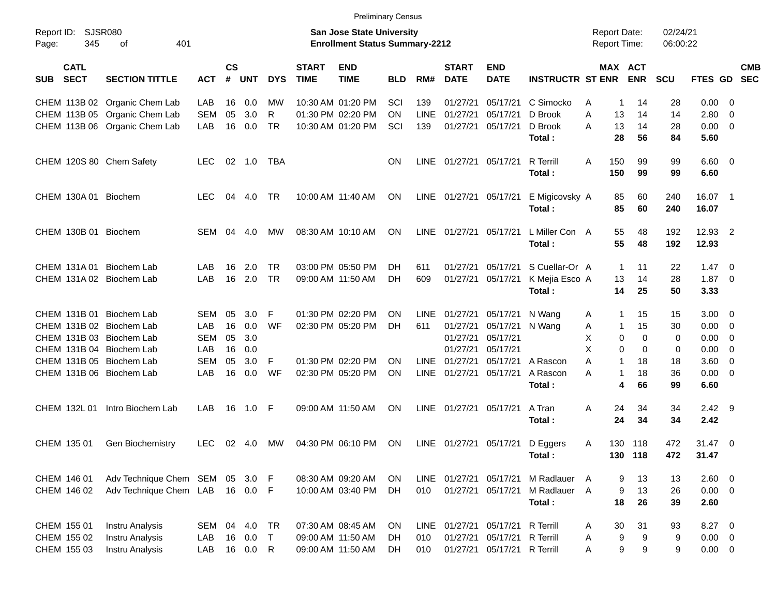|             |                            |                               |            |                    |            |            |                             | <b>Preliminary Census</b>                                          |            |             |                             |                           |                         |                                            |                       |                      |                |                          |                          |
|-------------|----------------------------|-------------------------------|------------|--------------------|------------|------------|-----------------------------|--------------------------------------------------------------------|------------|-------------|-----------------------------|---------------------------|-------------------------|--------------------------------------------|-----------------------|----------------------|----------------|--------------------------|--------------------------|
| Page:       | Report ID: SJSR080<br>345  | 401<br>οf                     |            |                    |            |            |                             | San Jose State University<br><b>Enrollment Status Summary-2212</b> |            |             |                             |                           |                         | <b>Report Date:</b><br><b>Report Time:</b> |                       | 02/24/21<br>06:00:22 |                |                          |                          |
| SUB         | <b>CATL</b><br><b>SECT</b> | <b>SECTION TITTLE</b>         | <b>ACT</b> | $\mathsf{cs}$<br># | <b>UNT</b> | <b>DYS</b> | <b>START</b><br><b>TIME</b> | <b>END</b><br><b>TIME</b>                                          | <b>BLD</b> | RM#         | <b>START</b><br><b>DATE</b> | <b>END</b><br><b>DATE</b> | <b>INSTRUCTR ST ENR</b> |                                            | MAX ACT<br><b>ENR</b> | <b>SCU</b>           | FTES GD        |                          | <b>CMB</b><br><b>SEC</b> |
|             |                            | CHEM 113B 02 Organic Chem Lab | LAB        | 16                 | 0.0        | МW         |                             | 10:30 AM 01:20 PM                                                  | SCI        | 139         | 01/27/21                    | 05/17/21                  | C Simocko               | A<br>1                                     | 14                    | 28                   | $0.00 \ 0$     |                          |                          |
|             |                            | CHEM 113B 05 Organic Chem Lab | <b>SEM</b> | 05                 | 3.0        | R          |                             | 01:30 PM 02:20 PM                                                  | ΟN         | <b>LINE</b> | 01/27/21                    | 05/17/21                  | D Brook                 | A<br>13                                    | 14                    | 14                   | 2.80           | $\overline{\phantom{0}}$ |                          |
|             |                            | CHEM 113B 06 Organic Chem Lab | LAB        | 16                 | 0.0        | <b>TR</b>  |                             | 10:30 AM 01:20 PM                                                  | SCI        | 139         | 01/27/21                    | 05/17/21                  | D Brook                 | 13<br>А                                    | 14                    | 28                   | $0.00 \t 0$    |                          |                          |
|             |                            |                               |            |                    |            |            |                             |                                                                    |            |             |                             |                           | Total:                  | 28                                         | 56                    | 84                   | 5.60           |                          |                          |
|             |                            | CHEM 120S 80 Chem Safety      | <b>LEC</b> |                    | 02 1.0     | TBA        |                             |                                                                    | OΝ         | LINE        | 01/27/21                    | 05/17/21                  | <b>R</b> Terrill        | A<br>150                                   | 99                    | 99                   | $6.60$ 0       |                          |                          |
|             |                            |                               |            |                    |            |            |                             |                                                                    |            |             |                             |                           | Total:                  | 150                                        | 99                    | 99                   | 6.60           |                          |                          |
|             |                            | CHEM 130A 01 Biochem          | LEC.       | 04                 | 4.0        | TR         |                             | 10:00 AM 11:40 AM                                                  | ON         | LINE        | 01/27/21                    | 05/17/21                  | E Migicovsky A          | 85                                         | 60                    | 240                  | 16.07 1        |                          |                          |
|             |                            |                               |            |                    |            |            |                             |                                                                    |            |             |                             |                           | Total:                  | 85                                         | 60                    | 240                  | 16.07          |                          |                          |
|             |                            | CHEM 130B 01 Biochem          | SEM        | 04                 | 4.0        | MW         |                             | 08:30 AM 10:10 AM                                                  | ON         | LINE        | 01/27/21                    | 05/17/21                  | L Miller Con A          | 55                                         | 48                    | 192                  | 12.93 2        |                          |                          |
|             |                            |                               |            |                    |            |            |                             |                                                                    |            |             |                             |                           | Total:                  | 55                                         | 48                    | 192                  | 12.93          |                          |                          |
|             | CHEM 131A 01               | Biochem Lab                   | LAB        | 16                 | 2.0        | <b>TR</b>  |                             | 03:00 PM 05:50 PM                                                  | DН         | 611         | 01/27/21                    | 05/17/21                  | S Cuellar-Or A          | $\mathbf{1}$                               | 11                    | 22                   | $1.47 \quad 0$ |                          |                          |
|             |                            | CHEM 131A 02 Biochem Lab      | LAB        | 16                 | 2.0        | <b>TR</b>  |                             | 09:00 AM 11:50 AM                                                  | DН         | 609         | 01/27/21                    | 05/17/21                  | K Mejia Esco A          | 13                                         | 14                    | 28                   | $1.87 \t 0$    |                          |                          |
|             |                            |                               |            |                    |            |            |                             |                                                                    |            |             |                             |                           | Total:                  | 14                                         | 25                    | 50                   | 3.33           |                          |                          |
|             |                            | CHEM 131B 01 Biochem Lab      | <b>SEM</b> | 05                 | 3.0        | F          |                             | 01:30 PM 02:20 PM                                                  | ΟN         | <b>LINE</b> | 01/27/21                    | 05/17/21                  | N Wang                  | 1<br>A                                     | 15                    | 15                   | $3.00 \ 0$     |                          |                          |
|             |                            | CHEM 131B 02 Biochem Lab      | LAB        | 16                 | 0.0        | WF         |                             | 02:30 PM 05:20 PM                                                  | DН         | 611         | 01/27/21                    | 05/17/21                  | N Wang                  | A                                          | 15<br>1               | 30                   | $0.00 \t 0$    |                          |                          |
|             |                            | CHEM 131B 03 Biochem Lab      | <b>SEM</b> | 05                 | 3.0        |            |                             |                                                                    |            |             | 01/27/21                    | 05/17/21                  |                         | Х                                          | 0<br>0                | 0                    | $0.00 \t 0$    |                          |                          |
|             |                            | CHEM 131B 04 Biochem Lab      | LAB        | 16                 | 0.0        |            |                             |                                                                    |            |             | 01/27/21                    | 05/17/21                  |                         | Х                                          | $\Omega$<br>$\Omega$  | 0                    | 0.00           | $\overline{\phantom{0}}$ |                          |
|             |                            | CHEM 131B 05 Biochem Lab      | SEM        | 05                 | 3.0        | F          |                             | 01:30 PM 02:20 PM                                                  | ΟN         | <b>LINE</b> | 01/27/21                    | 05/17/21                  | A Rascon                | Α<br>1                                     | 18                    | 18                   | $3.60 \quad 0$ |                          |                          |
|             |                            | CHEM 131B 06 Biochem Lab      | LAB        | 16                 | 0.0        | WF         |                             | 02:30 PM 05:20 PM                                                  | ΟN         | LINE        | 01/27/21                    | 05/17/21                  | A Rascon                | А<br>$\mathbf{1}$                          | 18                    | 36                   | $0.00 \t 0$    |                          |                          |
|             |                            |                               |            |                    |            |            |                             |                                                                    |            |             |                             |                           | Total:                  |                                            | 66<br>4               | 99                   | 6.60           |                          |                          |
|             | CHEM 132L 01               | Intro Biochem Lab             | LAB        | 16                 | 1.0 F      |            |                             | 09:00 AM 11:50 AM                                                  | <b>ON</b>  | LINE        | 01/27/21                    | 05/17/21                  | A Tran                  | Α<br>24                                    | 34                    | 34                   | $2.42$ 9       |                          |                          |
|             |                            |                               |            |                    |            |            |                             |                                                                    |            |             |                             |                           | Total:                  | 24                                         | 34                    | 34                   | 2.42           |                          |                          |
| CHEM 135 01 |                            | Gen Biochemistry              | <b>LEC</b> |                    | 02 4.0     | MW         |                             | 04:30 PM 06:10 PM                                                  | ON         |             |                             | LINE 01/27/21 05/17/21    | D Eggers                | A                                          | 130 118               | 472                  | $31.47$ 0      |                          |                          |
|             |                            |                               |            |                    |            |            |                             |                                                                    |            |             |                             |                           | Total:                  |                                            | 130 118               | 472                  | 31.47          |                          |                          |
| CHEM 146 01 |                            | Adv Technique Chem SEM 05     |            |                    | 3.0 F      |            |                             | 08:30 AM 09:20 AM                                                  | ON         | LINE        | 01/27/21                    | 05/17/21                  | M Radlauer A            |                                            | 9<br>13               | 13                   | 2.60 0         |                          |                          |
|             | CHEM 146 02                | Adv Technique Chem LAB        |            |                    | 16  0.0  F |            |                             | 10:00 AM 03:40 PM                                                  | DH         | 010         | 01/27/21                    | 05/17/21                  | M Radlauer A            |                                            | 9<br>13               | 26                   | $0.00 \t 0$    |                          |                          |
|             |                            |                               |            |                    |            |            |                             |                                                                    |            |             |                             |                           | Total:                  | 18                                         | 26                    | 39                   | 2.60           |                          |                          |
| CHEM 155 01 |                            | Instru Analysis               | SEM        | 04                 | 4.0        | TR         |                             | 07:30 AM 08:45 AM                                                  | ON         | LINE        | 01/27/21                    | 05/17/21                  | <b>R</b> Terrill        | 30<br>A                                    | 31                    | 93                   | 8.27 0         |                          |                          |
|             | CHEM 155 02                | Instru Analysis               | LAB        | 16                 | 0.0        | $\top$     |                             | 09:00 AM 11:50 AM                                                  | DH         | 010         | 01/27/21                    | 05/17/21                  | R Terrill               | 9<br>Α                                     | 9                     | 9                    | $0.00 \t 0$    |                          |                          |
|             | CHEM 155 03                | Instru Analysis               | LAB        |                    | 16  0.0  R |            |                             | 09:00 AM 11:50 AM                                                  | DH         | 010         | 01/27/21                    | 05/17/21 R Terrill        |                         | Α                                          | 9<br>9                | 9                    | $0.00 \t 0$    |                          |                          |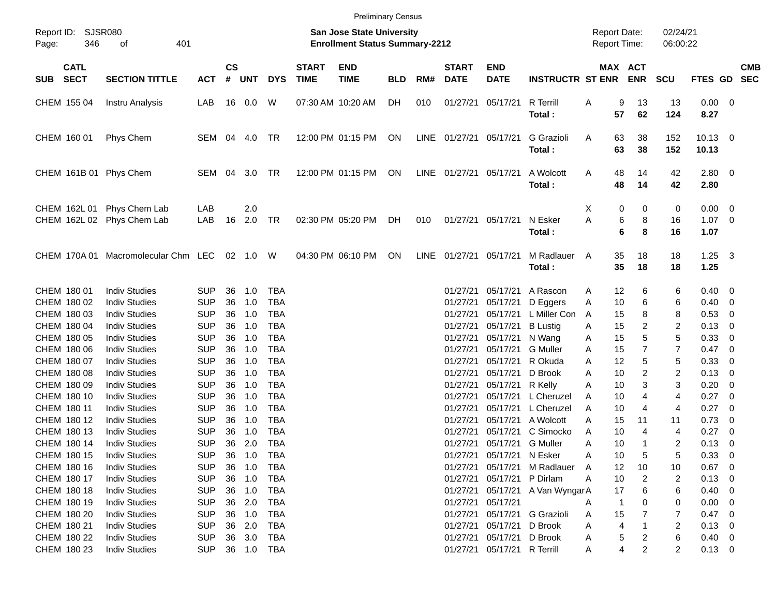|                                          |                                     |            |                |            |            |                             | <b>Preliminary Census</b>                                                 |            |      |                             |                           |                         |                     |             |                       |                      |                        |                          |            |
|------------------------------------------|-------------------------------------|------------|----------------|------------|------------|-----------------------------|---------------------------------------------------------------------------|------------|------|-----------------------------|---------------------------|-------------------------|---------------------|-------------|-----------------------|----------------------|------------------------|--------------------------|------------|
| Report ID:<br>346<br>Page:               | <b>SJSR080</b><br>401<br>οf         |            |                |            |            |                             | <b>San Jose State University</b><br><b>Enrollment Status Summary-2212</b> |            |      |                             |                           |                         | <b>Report Date:</b> |             | Report Time:          | 02/24/21<br>06:00:22 |                        |                          |            |
| <b>CATL</b><br><b>SECT</b><br><b>SUB</b> | <b>SECTION TITTLE</b>               | <b>ACT</b> | <b>CS</b><br># | <b>UNT</b> | <b>DYS</b> | <b>START</b><br><b>TIME</b> | <b>END</b><br><b>TIME</b>                                                 | <b>BLD</b> | RM#  | <b>START</b><br><b>DATE</b> | <b>END</b><br><b>DATE</b> | <b>INSTRUCTR ST ENR</b> |                     |             | MAX ACT<br><b>ENR</b> | <b>SCU</b>           | FTES GD SEC            |                          | <b>CMB</b> |
| CHEM 155 04                              | Instru Analysis                     | LAB        |                | 16  0.0    | W          |                             | 07:30 AM 10:20 AM                                                         | DH         | 010  | 01/27/21                    | 05/17/21                  | R Terrill<br>Total:     | Α                   | 9<br>57     | 13<br>62              | 13<br>124            | $0.00 \t 0$<br>8.27    |                          |            |
| CHEM 160 01                              | Phys Chem                           | SEM 04 4.0 |                |            | TR         |                             | 12:00 PM 01:15 PM                                                         | ON         |      | LINE 01/27/21 05/17/21      |                           | G Grazioli<br>Total:    | A                   | 63<br>63    | 38<br>38              | 152<br>152           | $10.13 \ 0$<br>10.13   |                          |            |
| CHEM 161B 01 Phys Chem                   |                                     | SEM 04     |                | 3.0        | TR         |                             | 12:00 PM 01:15 PM                                                         | ON         |      | LINE 01/27/21 05/17/21      |                           | A Wolcott<br>Total:     | Α                   | 48<br>48    | 14<br>14              | 42<br>42             | 2.80 0<br>2.80         |                          |            |
| CHEM 162L 01<br>CHEM 162L 02             | Phys Chem Lab<br>Phys Chem Lab      | LAB<br>LAB | 16             | 2.0<br>2.0 | TR         |                             | 02:30 PM 05:20 PM                                                         | DH         | 010  | 01/27/21 05/17/21           |                           | N Esker<br>Total:       | X<br>A              | 0<br>6<br>6 | 0<br>8<br>8           | 0<br>16<br>16        | 0.00 0<br>1.07<br>1.07 | $\overline{\phantom{0}}$ |            |
|                                          | CHEM 170A 01 Macromolecular Chm LEC |            |                | 02 1.0 W   |            |                             | 04:30 PM 06:10 PM                                                         | ON         | LINE | 01/27/21 05/17/21           |                           | M Radlauer<br>Total:    | A                   | 35<br>35    | 18<br>18              | 18<br>18             | $1.25 \quad 3$<br>1.25 |                          |            |
| CHEM 180 01                              | <b>Indiv Studies</b>                | <b>SUP</b> | 36             | 1.0        | <b>TBA</b> |                             |                                                                           |            |      | 01/27/21                    | 05/17/21                  | A Rascon                | A                   | 12          | 6                     | 6                    | $0.40 \ 0$             |                          |            |
| CHEM 180 02                              | <b>Indiv Studies</b>                | <b>SUP</b> | 36             | 1.0        | <b>TBA</b> |                             |                                                                           |            |      | 01/27/21                    | 05/17/21                  | D Eggers                | Α                   | 10          | 6                     | 6                    | 0.40                   | $\overline{\mathbf{0}}$  |            |
| CHEM 180 03                              | <b>Indiv Studies</b>                | <b>SUP</b> | 36             | 1.0        | <b>TBA</b> |                             |                                                                           |            |      | 01/27/21                    | 05/17/21                  | L Miller Con            | A                   | 15          | 8                     | 8                    | 0.53                   | 0                        |            |
| CHEM 180 04                              | <b>Indiv Studies</b>                | <b>SUP</b> | 36             | 1.0        | <b>TBA</b> |                             |                                                                           |            |      | 01/27/21                    | 05/17/21                  | <b>B</b> Lustig         | A                   | 15          | 2                     | $\overline{c}$       | 0.13                   | - 0                      |            |
| CHEM 180 05                              | <b>Indiv Studies</b>                | <b>SUP</b> | 36             | 1.0        | <b>TBA</b> |                             |                                                                           |            |      | 01/27/21                    | 05/17/21                  | N Wang                  | A                   | 15          | 5                     | $\mathbf 5$          | 0.33                   | 0                        |            |
| CHEM 180 06                              | <b>Indiv Studies</b>                | <b>SUP</b> | 36             | 1.0        | <b>TBA</b> |                             |                                                                           |            |      | 01/27/21                    | 05/17/21                  | <b>G</b> Muller         | A                   | 15          | 7                     | $\overline{7}$       | 0.47                   | - 0                      |            |
| CHEM 180 07                              | <b>Indiv Studies</b>                | <b>SUP</b> | 36             | 1.0        | <b>TBA</b> |                             |                                                                           |            |      | 01/27/21                    | 05/17/21                  | R Okuda                 | Α                   | 12          | 5                     | $\mathbf 5$          | 0.33                   | 0                        |            |
| CHEM 180 08                              | <b>Indiv Studies</b>                | <b>SUP</b> | 36             | 1.0        | <b>TBA</b> |                             |                                                                           |            |      | 01/27/21                    | 05/17/21                  | D Brook                 | A                   | 10          | 2                     | $\overline{2}$       | 0.13                   | - 0                      |            |
| CHEM 180 09                              | <b>Indiv Studies</b>                | <b>SUP</b> | 36             | 1.0        | <b>TBA</b> |                             |                                                                           |            |      | 01/27/21                    | 05/17/21                  | R Kelly                 | Α                   | 10          | 3                     | 3                    | 0.20                   | 0                        |            |
| CHEM 180 10                              | <b>Indiv Studies</b>                | <b>SUP</b> | 36             | 1.0        | <b>TBA</b> |                             |                                                                           |            |      | 01/27/21                    | 05/17/21                  | L Cheruzel              | A                   | 10          | 4                     | $\overline{4}$       | 0.27                   | 0                        |            |
| CHEM 180 11                              | <b>Indiv Studies</b>                | <b>SUP</b> | 36             | 1.0        | <b>TBA</b> |                             |                                                                           |            |      | 01/27/21                    | 05/17/21                  | L Cheruzel              | Α                   | 10          | 4                     | 4                    | 0.27                   | 0                        |            |
| CHEM 180 12                              | <b>Indiv Studies</b>                | <b>SUP</b> | 36             | 1.0        | <b>TBA</b> |                             |                                                                           |            |      | 01/27/21                    | 05/17/21                  | A Wolcott               | A                   | 15          | 11                    | 11                   | 0.73                   | - 0                      |            |
| CHEM 180 13                              | <b>Indiv Studies</b>                | <b>SUP</b> | 36             | 1.0        | <b>TBA</b> |                             |                                                                           |            |      | 01/27/21                    | 05/17/21                  | C Simocko               | A                   | 10          | 4                     | 4                    | 0.27                   | - 0                      |            |
| CHEM 180 14                              | <b>Indiv Studies</b>                | <b>SUP</b> | 36             | 2.0        | <b>TBA</b> |                             |                                                                           |            |      | 01/27/21                    | 05/17/21                  | <b>G</b> Muller         | A                   | 10          | 1                     | $\overline{c}$       | 0.13                   | - 0                      |            |
| CHEM 180 15                              | <b>Indiv Studies</b>                | <b>SUP</b> | 36             | 1.0        | TBA        |                             |                                                                           |            |      |                             | 01/27/21 05/17/21         | N Esker                 | A                   | 10          | 5                     | 5                    | 0.33                   | - 0                      |            |
| CHEM 180 16                              | <b>Indiv Studies</b>                | <b>SUP</b> | 36             | 1.0        | TBA        |                             |                                                                           |            |      | 01/27/21                    | 05/17/21                  | M Radlauer              | A                   | 12          | 10                    | 10                   | 0.67                   | - 0                      |            |
| CHEM 180 17                              | <b>Indiv Studies</b>                | <b>SUP</b> | 36             | 1.0        | TBA        |                             |                                                                           |            |      | 01/27/21                    | 05/17/21                  | P Dirlam                | A                   | 10          | 2                     | 2                    | 0.13                   | - 0                      |            |
| CHEM 180 18                              | <b>Indiv Studies</b>                | <b>SUP</b> | 36             | 1.0        | TBA        |                             |                                                                           |            |      | 01/27/21                    | 05/17/21                  | A Van Wyngar A          |                     | 17          | 6                     | 6                    | 0.40                   | - 0                      |            |
| CHEM 180 19                              | <b>Indiv Studies</b>                | <b>SUP</b> | 36             | 2.0        | TBA        |                             |                                                                           |            |      | 01/27/21                    | 05/17/21                  |                         | A                   | 1           | 0                     | 0                    | 0.00                   | - 0                      |            |
| CHEM 180 20                              | <b>Indiv Studies</b>                | <b>SUP</b> | 36             | 1.0        | TBA        |                             |                                                                           |            |      | 01/27/21                    | 05/17/21                  | G Grazioli              | A                   | 15          |                       | 7                    | 0.47                   | - 0                      |            |
| CHEM 180 21                              | <b>Indiv Studies</b>                | <b>SUP</b> |                | 36 2.0     | TBA        |                             |                                                                           |            |      | 01/27/21                    | 05/17/21                  | D Brook                 | Α                   | 4           |                       | 2                    | 0.13                   | - 0                      |            |
| CHEM 180 22                              | <b>Indiv Studies</b>                | <b>SUP</b> | 36             | 3.0        | TBA        |                             |                                                                           |            |      | 01/27/21                    | 05/17/21                  | D Brook                 | A                   | 5           |                       | 6                    | $0.40 \quad 0$         |                          |            |
| CHEM 180 23                              | <b>Indiv Studies</b>                | <b>SUP</b> |                |            | 36 1.0 TBA |                             |                                                                           |            |      | 01/27/21                    | 05/17/21                  | R Terrill               | A                   | 4           | 2                     | $\overline{2}$       | $0.13 \ 0$             |                          |            |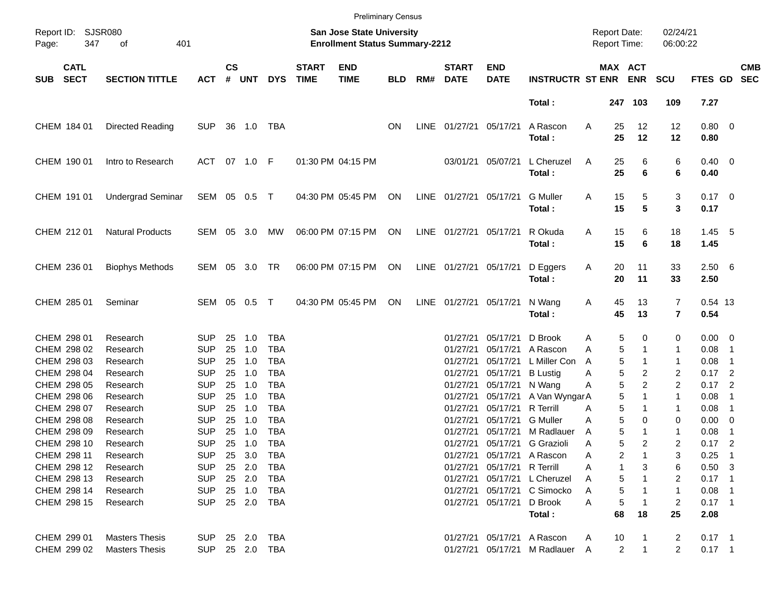|                             |                            |                          |                |                    |            |            |                             |                                                                    | <b>Preliminary Census</b> |             |                             |                             |                                |                                     |                |                      |                              |                        |                          |                          |
|-----------------------------|----------------------------|--------------------------|----------------|--------------------|------------|------------|-----------------------------|--------------------------------------------------------------------|---------------------------|-------------|-----------------------------|-----------------------------|--------------------------------|-------------------------------------|----------------|----------------------|------------------------------|------------------------|--------------------------|--------------------------|
| Report ID: SJSR080<br>Page: | 347                        | 401<br>οf                |                |                    |            |            |                             | San Jose State University<br><b>Enrollment Status Summary-2212</b> |                           |             |                             |                             |                                | <b>Report Date:</b><br>Report Time: |                |                      | 02/24/21<br>06:00:22         |                        |                          |                          |
| <b>SUB</b>                  | <b>CATL</b><br><b>SECT</b> | <b>SECTION TITTLE</b>    | <b>ACT</b>     | $\mathsf{cs}$<br># | <b>UNT</b> | <b>DYS</b> | <b>START</b><br><b>TIME</b> | <b>END</b><br><b>TIME</b>                                          | <b>BLD</b>                | RM#         | <b>START</b><br><b>DATE</b> | <b>END</b><br><b>DATE</b>   | <b>INSTRUCTR ST ENR</b>        | MAX ACT                             |                | <b>ENR</b>           | <b>SCU</b>                   | FTES GD                |                          | <b>CMB</b><br><b>SEC</b> |
|                             |                            |                          |                |                    |            |            |                             |                                                                    |                           |             |                             |                             | Total:                         |                                     |                | 247 103              | 109                          | 7.27                   |                          |                          |
| CHEM 184 01                 |                            | Directed Reading         | <b>SUP</b>     |                    | 36 1.0     | TBA        |                             |                                                                    | ON                        | <b>LINE</b> | 01/27/21 05/17/21           |                             | A Rascon<br>Total:             | Α                                   | 25<br>25       | 12<br>12             | 12<br>12                     | $0.80 \ 0$<br>0.80     |                          |                          |
| CHEM 190 01                 |                            | Intro to Research        | ACT 07 1.0 F   |                    |            |            | 01:30 PM 04:15 PM           |                                                                    |                           |             | 03/01/21                    | 05/07/21                    | L Cheruzel<br>Total:           | Α                                   | 25<br>25       | 6<br>6               | 6<br>6                       | $0.40 \quad 0$<br>0.40 |                          |                          |
| CHEM 191 01                 |                            | <b>Undergrad Seminar</b> | SEM 05 0.5     |                    |            | $\top$     |                             | 04:30 PM 05:45 PM                                                  | ON                        | LINE        | 01/27/21                    | 05/17/21                    | <b>G</b> Muller<br>Total:      | Α                                   | 15<br>15       | 5<br>$5\phantom{.0}$ | 3<br>3                       | $0.17 \ 0$<br>0.17     |                          |                          |
| CHEM 212 01                 |                            | <b>Natural Products</b>  | SEM            | 05                 | 3.0        | МW         |                             | 06:00 PM 07:15 PM                                                  | ON                        |             | LINE 01/27/21               | 05/17/21                    | R Okuda<br>Total:              | Α                                   | 15<br>15       | 6<br>6               | 18<br>18                     | $1.45$ 5<br>1.45       |                          |                          |
| CHEM 236 01                 |                            | <b>Biophys Methods</b>   | SEM            | 05                 | 3.0        | TR         |                             | 06:00 PM 07:15 PM                                                  | ON                        |             | LINE 01/27/21               | 05/17/21                    | D Eggers<br>Total:             | Α                                   | 20<br>20       | 11<br>11             | 33<br>33                     | 2.506<br>2.50          |                          |                          |
| CHEM 285 01                 |                            | Seminar                  | SEM            |                    | 05 0.5     | $\top$     |                             | 04:30 PM 05:45 PM                                                  | ON                        | LINE        | 01/27/21                    | 05/17/21                    | N Wang<br>Total:               | A                                   | 45<br>45       | 13<br>13             | 7<br>$\overline{\mathbf{r}}$ | $0.54$ 13<br>0.54      |                          |                          |
| CHEM 298 01                 |                            | Research                 | <b>SUP</b>     | 25                 | 1.0        | TBA        |                             |                                                                    |                           |             | 01/27/21                    | 05/17/21                    | D Brook                        | Α                                   | 5              | 0                    | 0                            | $0.00 \t 0$            |                          |                          |
| CHEM 298 02                 |                            | Research                 | <b>SUP</b>     | 25                 | 1.0        | <b>TBA</b> |                             |                                                                    |                           |             | 01/27/21                    |                             | 05/17/21 A Rascon              | Α                                   | 5              | 1                    | 1                            | 0.08                   | $\overline{1}$           |                          |
| CHEM 298 03                 |                            | Research                 | <b>SUP</b>     | 25                 | 1.0        | <b>TBA</b> |                             |                                                                    |                           |             | 01/27/21                    | 05/17/21                    | L Miller Con                   | A                                   | 5              | 1                    | 1                            | 0.08                   | -1                       |                          |
| CHEM 298 04                 |                            | Research                 | <b>SUP</b>     | 25                 | 1.0        | <b>TBA</b> |                             |                                                                    |                           |             | 01/27/21                    | 05/17/21                    | <b>B</b> Lustig                | Α                                   | 5              | 2                    | 2                            | $0.17$ 2               |                          |                          |
| CHEM 298 05                 |                            | Research                 | <b>SUP</b>     | 25                 | 1.0        | <b>TBA</b> |                             |                                                                    |                           |             | 01/27/21                    | 05/17/21 N Wang             |                                | Α                                   | 5              | 2                    | 2                            | $0.17$ 2               |                          |                          |
| CHEM 298 06                 |                            | Research                 | <b>SUP</b>     | 25                 | 1.0        | <b>TBA</b> |                             |                                                                    |                           |             | 01/27/21                    | 05/17/21                    | A Van WyngarA                  |                                     | 5              | 1                    | 1                            | 0.08                   | $\overline{1}$           |                          |
| CHEM 298 07                 |                            | Research                 | <b>SUP</b>     | 25                 | 1.0        | <b>TBA</b> |                             |                                                                    |                           |             | 01/27/21                    | 05/17/21 R Terrill          |                                | A                                   | 5              | 1                    | 1                            | 0.08                   | -1                       |                          |
| CHEM 298 08                 |                            | Research                 | <b>SUP</b>     | 25                 | 1.0        | <b>TBA</b> |                             |                                                                    |                           |             | 01/27/21                    | 05/17/21 G Muller           |                                | A                                   | 5              | 0                    | 0                            | $0.00 \t 0$            |                          |                          |
| CHEM 298 09                 |                            | Research                 | <b>SUP</b>     | 25                 | 1.0        | <b>TBA</b> |                             |                                                                    |                           |             | 01/27/21                    |                             | 05/17/21 M Radlauer            | A                                   | 5              | 1                    | 1                            | 0.08                   | $\overline{1}$           |                          |
| CHEM 298 10                 |                            | Research                 | <b>SUP</b>     | 25                 | 1.0        | <b>TBA</b> |                             |                                                                    |                           |             | 01/27/21                    |                             | 05/17/21 G Grazioli            | Α                                   | 5              | 2                    | 2                            | 0.17                   | $\overline{\phantom{0}}$ |                          |
| CHEM 298 11                 |                            | Research                 | <b>SUP</b>     |                    | 25 3.0     | TBA        |                             |                                                                    |                           |             |                             | 01/27/21 05/17/21 A Rascon  |                                | Α                                   | 2              |                      | 3                            | $0.25$ 1               |                          |                          |
| CHEM 298 12                 |                            | Research                 | <b>SUP</b>     |                    | 25 2.0     | TBA        |                             |                                                                    |                           |             |                             | 01/27/21 05/17/21 R Terrill |                                | Α                                   | 1              | 3                    | 6                            | $0.50$ 3               |                          |                          |
| CHEM 298 13                 |                            | Research                 | <b>SUP</b>     |                    | 25 2.0     | TBA        |                             |                                                                    |                           |             |                             |                             | 01/27/21 05/17/21 L Cheruzel   | Α                                   | 5              |                      | 2                            | $0.17$ 1               |                          |                          |
| CHEM 298 14                 |                            | Research                 | <b>SUP</b>     |                    | 25 1.0     | TBA        |                             |                                                                    |                           |             |                             |                             | 01/27/21 05/17/21 C Simocko    | Α                                   | 5              |                      | 1                            | $0.08$ 1               |                          |                          |
| CHEM 298 15                 |                            | Research                 | <b>SUP</b>     |                    |            |            |                             |                                                                    |                           |             |                             | 01/27/21 05/17/21 D Brook   | Total:                         | Α                                   | 5<br>68        | 18                   | 2<br>25                      | $0.17$ 1<br>2.08       |                          |                          |
| CHEM 299 01                 |                            | <b>Masters Thesis</b>    | SUP 25 2.0 TBA |                    |            |            |                             |                                                                    |                           |             |                             |                             | 01/27/21 05/17/21 A Rascon     | Α                                   | 10             |                      | $\overline{c}$               | $0.17$ 1               |                          |                          |
| CHEM 299 02                 |                            | <b>Masters Thesis</b>    | SUP 25 2.0 TBA |                    |            |            |                             |                                                                    |                           |             |                             |                             | 01/27/21 05/17/21 M Radlauer A |                                     | $\overline{2}$ | $\mathbf{1}$         | $\overline{2}$               | $0.17$ 1               |                          |                          |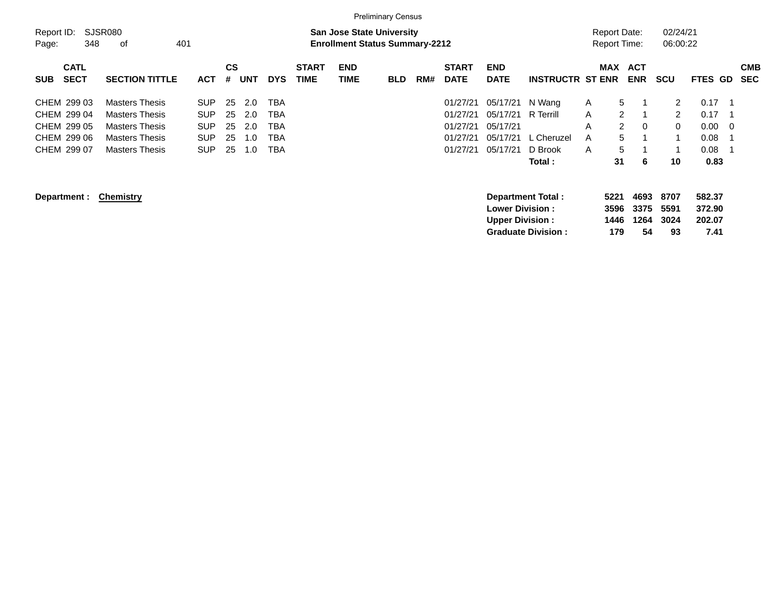|                                                                         |                                                                                                                           |                                                                    |                            |                                 |                                        |                             |                                                                           | <b>Preliminary Census</b> |     |                                                          |                                                          |                                                         |                       |                                                             |                            |                                                                    |                                                  |     |                          |
|-------------------------------------------------------------------------|---------------------------------------------------------------------------------------------------------------------------|--------------------------------------------------------------------|----------------------------|---------------------------------|----------------------------------------|-----------------------------|---------------------------------------------------------------------------|---------------------------|-----|----------------------------------------------------------|----------------------------------------------------------|---------------------------------------------------------|-----------------------|-------------------------------------------------------------|----------------------------|--------------------------------------------------------------------|--------------------------------------------------|-----|--------------------------|
| Report ID:<br>348<br>Page:                                              | SJSR080<br>401<br>0f                                                                                                      |                                                                    |                            |                                 |                                        |                             | <b>San Jose State University</b><br><b>Enrollment Status Summary-2212</b> |                           |     |                                                          |                                                          |                                                         |                       | <b>Report Date:</b><br>Report Time:                         |                            | 02/24/21<br>06:00:22                                               |                                                  |     |                          |
| <b>CATL</b><br><b>SECT</b><br><b>SUB</b>                                | <b>SECTION TITTLE</b>                                                                                                     | <b>ACT</b>                                                         | <b>CS</b><br>#             | <b>UNT</b>                      | <b>DYS</b>                             | <b>START</b><br><b>TIME</b> | <b>END</b><br><b>TIME</b>                                                 | <b>BLD</b>                | RM# | <b>START</b><br><b>DATE</b>                              | <b>END</b><br><b>DATE</b>                                | <b>INSTRUCTR ST ENR</b>                                 |                       | <b>MAX</b>                                                  | <b>ACT</b><br><b>ENR</b>   | <b>SCU</b>                                                         | <b>FTES GD</b>                                   |     | <b>CMB</b><br><b>SEC</b> |
| CHEM 299 03<br>CHEM 299 04<br>CHEM 299 05<br>CHEM 299 06<br>CHEM 299 07 | <b>Masters Thesis</b><br><b>Masters Thesis</b><br><b>Masters Thesis</b><br><b>Masters Thesis</b><br><b>Masters Thesis</b> | <b>SUP</b><br><b>SUP</b><br><b>SUP</b><br><b>SUP</b><br><b>SUP</b> | 25<br>25<br>25<br>25<br>25 | 2.0<br>2.0<br>2.0<br>1.0<br>1.0 | TBA<br>TBA<br>TBA<br><b>TBA</b><br>TBA |                             |                                                                           |                           |     | 01/27/21<br>01/27/21<br>01/27/21<br>01/27/21<br>01/27/21 | 05/17/21<br>05/17/21<br>05/17/21<br>05/17/21<br>05/17/21 | N Wang<br>R Terrill<br>L Cheruzel<br>D Brook<br>Total : | A<br>A<br>A<br>A<br>A | 5<br>$\overline{2}$<br>$\mathbf{2}^{\circ}$<br>5<br>5<br>31 | 0<br>6                     | $\mathbf{2}^{\circ}$<br>$\mathbf{2}^{\circ}$<br>$\mathbf{0}$<br>10 | 0.17<br>0.17<br>$0.00\,$<br>0.08<br>0.08<br>0.83 | - 0 |                          |
| Department :                                                            | <b>Chemistry</b>                                                                                                          |                                                                    |                            |                                 |                                        |                             |                                                                           |                           |     |                                                          | <b>Lower Division :</b><br><b>Upper Division:</b>        | <b>Department Total:</b><br><b>Graduate Division:</b>   |                       | 5221<br>3596<br>1446<br>179                                 | 4693<br>3375<br>1264<br>54 | 8707<br>5591<br>3024<br>93                                         | 582.37<br>372.90<br>202.07<br>7.41               |     |                          |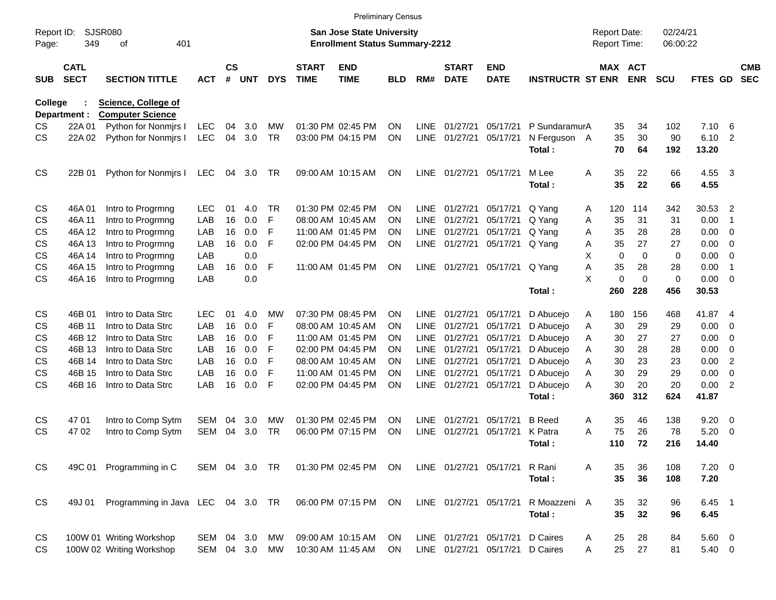|                     |                            |                                   |            |                |            |            |                             | <b>Preliminary Census</b>                                                 |            |             |                             |                           |                         |   |                                     |             |                      |               |                |                          |
|---------------------|----------------------------|-----------------------------------|------------|----------------|------------|------------|-----------------------------|---------------------------------------------------------------------------|------------|-------------|-----------------------------|---------------------------|-------------------------|---|-------------------------------------|-------------|----------------------|---------------|----------------|--------------------------|
| Report ID:<br>Page: | <b>SJSR080</b><br>349      | 401<br>οf                         |            |                |            |            |                             | <b>San Jose State University</b><br><b>Enrollment Status Summary-2212</b> |            |             |                             |                           |                         |   | <b>Report Date:</b><br>Report Time: |             | 02/24/21<br>06:00:22 |               |                |                          |
| <b>SUB</b>          | <b>CATL</b><br><b>SECT</b> | <b>SECTION TITTLE</b>             | <b>ACT</b> | <b>CS</b><br># | <b>UNT</b> | <b>DYS</b> | <b>START</b><br><b>TIME</b> | <b>END</b><br><b>TIME</b>                                                 | <b>BLD</b> | RM#         | <b>START</b><br><b>DATE</b> | <b>END</b><br><b>DATE</b> | <b>INSTRUCTR ST ENR</b> |   | <b>MAX ACT</b>                      | <b>ENR</b>  | <b>SCU</b>           | FTES GD       |                | <b>CMB</b><br><b>SEC</b> |
| <b>College</b>      |                            | <b>Science, College of</b>        |            |                |            |            |                             |                                                                           |            |             |                             |                           |                         |   |                                     |             |                      |               |                |                          |
|                     | Department :               | <b>Computer Science</b>           |            |                |            |            |                             |                                                                           |            |             |                             |                           |                         |   |                                     |             |                      |               |                |                          |
| CS.                 | 22A 01                     | Python for Nonmirs I              | <b>LEC</b> | 04             | 3.0        | MW         |                             | 01:30 PM 02:45 PM                                                         | <b>ON</b>  | <b>LINE</b> | 01/27/21                    | 05/17/21                  | P SundaramurA           |   | 35                                  | 34          | 102                  | 7.10          | - 6            |                          |
| <b>CS</b>           | 22A 02                     | Python for Nonmirs I              | <b>LEC</b> | 04             | 3.0        | <b>TR</b>  |                             | 03:00 PM 04:15 PM                                                         | ON         | <b>LINE</b> | 01/27/21                    | 05/17/21                  | N Ferguson A<br>Total:  |   | 35<br>70                            | 30<br>64    | 90<br>192            | 6.10<br>13.20 | $\overline{2}$ |                          |
| <b>CS</b>           | 22B 01                     | Python for Nonmirs I              | LEC        | 04             | 3.0        | TR         |                             | 09:00 AM 10:15 AM                                                         | <b>ON</b>  | LINE        | 01/27/21                    | 05/17/21                  | M Lee                   | A | 35                                  | 22          | 66                   | 4.55          | - 3            |                          |
|                     |                            |                                   |            |                |            |            |                             |                                                                           |            |             |                             |                           | Total:                  |   | 35                                  | 22          | 66                   | 4.55          |                |                          |
| CS                  | 46A01                      | Intro to Progrmng                 | <b>LEC</b> | 01             | 4.0        | <b>TR</b>  |                             | 01:30 PM 02:45 PM                                                         | <b>ON</b>  | <b>LINE</b> | 01/27/21                    | 05/17/21                  | Q Yang                  | A | 120                                 | 114         | 342                  | 30.53         | $\overline{2}$ |                          |
| CS                  | 46A 11                     | Intro to Progrmng                 | LAB        | 16             | 0.0        | F          |                             | 08:00 AM 10:45 AM                                                         | <b>ON</b>  | <b>LINE</b> | 01/27/21                    | 05/17/21                  | Q Yang                  | A | 35                                  | 31          | 31                   | 0.00          | $\overline{1}$ |                          |
| CS                  | 46A 12                     | Intro to Progrmng                 | LAB        | 16             | 0.0        | F          |                             | 11:00 AM 01:45 PM                                                         | <b>ON</b>  | LINE        | 01/27/21                    | 05/17/21                  | Q Yang                  | A | 35                                  | 28          | 28                   | 0.00          | - 0            |                          |
| CS                  | 46A 13                     | Intro to Progrmng                 | LAB        | 16             | 0.0        | F          |                             | 02:00 PM 04:45 PM                                                         | <b>ON</b>  | LINE        | 01/27/21                    | 05/17/21                  | Q Yang                  | Α | 35                                  | 27          | 27                   | 0.00          | $\overline{0}$ |                          |
| CS                  | 46A 14                     | Intro to Progrmng                 | LAB        |                | 0.0        |            |                             |                                                                           |            |             |                             |                           |                         | X | $\mathbf 0$                         | 0           | 0                    | 0.00          | $\overline{0}$ |                          |
| CS                  | 46A 15                     | Intro to Progrmng                 | LAB        | 16             | 0.0        | F          |                             | 11:00 AM 01:45 PM                                                         | ON         | LINE        | 01/27/21                    | 05/17/21                  | Q Yang                  | Α | 35                                  | 28          | 28                   | 0.00          | $\overline{1}$ |                          |
| <b>CS</b>           | 46A 16                     | Intro to Progrmng                 | LAB        |                | 0.0        |            |                             |                                                                           |            |             |                             |                           |                         | X | 0                                   | $\mathbf 0$ | $\mathbf 0$          | 0.00          | $\overline{0}$ |                          |
|                     |                            |                                   |            |                |            |            |                             |                                                                           |            |             |                             |                           | Total:                  |   | 260                                 | 228         | 456                  | 30.53         |                |                          |
| CS                  | 46B 01                     | Intro to Data Strc                | <b>LEC</b> | 01             | 4.0        | МW         |                             | 07:30 PM 08:45 PM                                                         | <b>ON</b>  | <b>LINE</b> | 01/27/21                    | 05/17/21                  | D Abucejo               | A | 180                                 | 156         | 468                  | 41.87         | - 4            |                          |
| CS                  | 46B 11                     | Intro to Data Strc                | LAB        | 16             | 0.0        | F          |                             | 08:00 AM 10:45 AM                                                         | <b>ON</b>  | LINE        | 01/27/21                    | 05/17/21                  | D Abucejo               | Α | 30                                  | 29          | 29                   | 0.00          | - 0            |                          |
| CS                  | 46B 12                     | Intro to Data Strc                | LAB        | 16             | 0.0        | F          |                             | 11:00 AM 01:45 PM                                                         | <b>ON</b>  | LINE        | 01/27/21                    | 05/17/21                  | D Abucejo               | Α | 30                                  | 27          | 27                   | 0.00          | - 0            |                          |
| CS                  | 46B 13                     | Intro to Data Strc                | LAB        | 16             | 0.0        | F          |                             | 02:00 PM 04:45 PM                                                         | <b>ON</b>  | <b>LINE</b> | 01/27/21                    | 05/17/21                  | D Abucejo               | A | 30                                  | 28          | 28                   | 0.00          | - 0            |                          |
| CS                  | 46B 14                     | Intro to Data Strc                | LAB        | 16             | 0.0        | F          |                             | 08:00 AM 10:45 AM                                                         | <b>ON</b>  | LINE        | 01/27/21                    | 05/17/21                  | D Abucejo               | A | 30                                  | 23          | 23                   | 0.00          | $\overline{2}$ |                          |
| CS                  | 46B 15                     | Intro to Data Strc                | LAB        | 16             | 0.0        | F          |                             | 11:00 AM 01:45 PM                                                         | <b>ON</b>  | <b>LINE</b> | 01/27/21                    | 05/17/21                  | D Abucejo               | A | 30                                  | 29          | 29                   | 0.00          | $\mathbf 0$    |                          |
| <b>CS</b>           | 46B 16                     | Intro to Data Strc                | LAB        | 16             | 0.0        | F          |                             | 02:00 PM 04:45 PM                                                         | ON         | LINE        | 01/27/21                    | 05/17/21                  | D Abucejo               | A | 30                                  | 20          | 20                   | 0.00          | $\overline{2}$ |                          |
|                     |                            |                                   |            |                |            |            |                             |                                                                           |            |             |                             |                           | Total:                  |   | 360                                 | 312         | 624                  | 41.87         |                |                          |
| CS                  | 47 01                      | Intro to Comp Sytm                | <b>SEM</b> | 04             | 3.0        | MW         |                             | 01:30 PM 02:45 PM                                                         | <b>ON</b>  | <b>LINE</b> | 01/27/21                    | 05/17/21                  | <b>B</b> Reed           | A | 35                                  | 46          | 138                  | 9.20          | - 0            |                          |
| CS                  | 47 02                      | Intro to Comp Sytm                | <b>SEM</b> | 04             | 3.0        | <b>TR</b>  |                             | 06:00 PM 07:15 PM                                                         | ON         | <b>LINE</b> | 01/27/21                    | 05/17/21                  | K Patra                 | A | 75                                  | 26          | 78                   | 5.20          | -0             |                          |
|                     |                            |                                   |            |                |            |            |                             |                                                                           |            |             |                             |                           | Total:                  |   | 110                                 | 72          | 216                  | 14.40         |                |                          |
| <b>CS</b>           |                            | 49C 01 Programming in C           | SEM 04 3.0 |                |            | <b>TR</b>  |                             | 01:30 PM 02:45 PM                                                         | <b>ON</b>  |             | LINE 01/27/21 05/17/21      |                           | R Rani                  | A | 35                                  | 36          | 108                  | $7.20 \ 0$    |                |                          |
|                     |                            |                                   |            |                |            |            |                             |                                                                           |            |             |                             |                           | Total:                  |   | 35                                  | 36          | 108                  | 7.20          |                |                          |
| CS                  | 49J 01                     | Programming in Java LEC 04 3.0 TR |            |                |            |            |                             | 06:00 PM 07:15 PM                                                         | ON         |             | LINE 01/27/21 05/17/21      |                           | R Moazzeni A            |   | 35                                  | 32          | 96                   | $6.45$ 1      |                |                          |
|                     |                            |                                   |            |                |            |            |                             |                                                                           |            |             |                             |                           | Total:                  |   | 35                                  | 32          | 96                   | 6.45          |                |                          |
| CS                  |                            | 100W 01 Writing Workshop          | SEM        | 04             | 3.0        | MW         |                             | 09:00 AM 10:15 AM                                                         | ON         |             | LINE 01/27/21               | 05/17/21                  | D Caires                | A | 25                                  | 28          | 84                   | 5.60 0        |                |                          |
| <b>CS</b>           |                            | 100W 02 Writing Workshop          | SEM 04 3.0 |                |            | MW         |                             | 10:30 AM 11:45 AM                                                         | <b>ON</b>  |             | LINE 01/27/21 05/17/21      |                           | D Caires                | A | 25                                  | 27          | 81                   | $5.40\ 0$     |                |                          |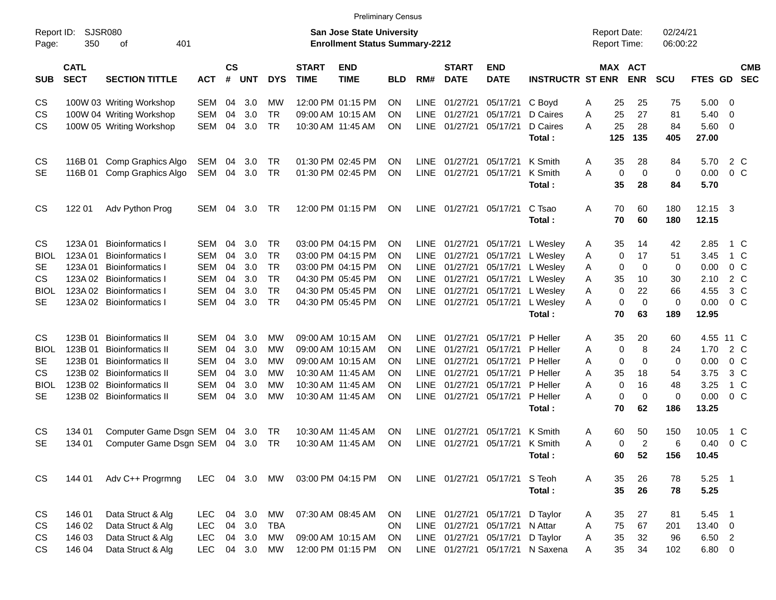|                     |                            |                               |            |                    |            |            |                             |                                                                           | <b>Preliminary Census</b> |             |                             |                           |                         |   |                                     |                |                      |           |                |                          |
|---------------------|----------------------------|-------------------------------|------------|--------------------|------------|------------|-----------------------------|---------------------------------------------------------------------------|---------------------------|-------------|-----------------------------|---------------------------|-------------------------|---|-------------------------------------|----------------|----------------------|-----------|----------------|--------------------------|
| Report ID:<br>Page: | 350                        | <b>SJSR080</b><br>οf<br>401   |            |                    |            |            |                             | <b>San Jose State University</b><br><b>Enrollment Status Summary-2212</b> |                           |             |                             |                           |                         |   | <b>Report Date:</b><br>Report Time: |                | 02/24/21<br>06:00:22 |           |                |                          |
| <b>SUB</b>          | <b>CATL</b><br><b>SECT</b> | <b>SECTION TITTLE</b>         | <b>ACT</b> | $\mathsf{cs}$<br># | <b>UNT</b> | <b>DYS</b> | <b>START</b><br><b>TIME</b> | <b>END</b><br><b>TIME</b>                                                 | BLD                       | RM#         | <b>START</b><br><b>DATE</b> | <b>END</b><br><b>DATE</b> | <b>INSTRUCTR ST ENR</b> |   | MAX ACT                             | <b>ENR</b>     | <b>SCU</b>           | FTES GD   |                | <b>CMB</b><br><b>SEC</b> |
| CS                  |                            | 100W 03 Writing Workshop      | <b>SEM</b> | 04                 | 3.0        | <b>MW</b>  |                             | 12:00 PM 01:15 PM                                                         | <b>ON</b>                 | LINE        | 01/27/21                    | 05/17/21                  | C Boyd                  | Α | 25                                  | 25             | 75                   | 5.00      | $\overline{0}$ |                          |
| CS                  |                            | 100W 04 Writing Workshop      | <b>SEM</b> | 04                 | 3.0        | <b>TR</b>  |                             | 09:00 AM 10:15 AM                                                         | <b>ON</b>                 | <b>LINE</b> | 01/27/21                    | 05/17/21                  | D Caires                | A | 25                                  | 27             | 81                   | 5.40      | $\mathbf 0$    |                          |
| СS                  |                            | 100W 05 Writing Workshop      | SEM        | 04                 | 3.0        | <b>TR</b>  |                             | 10:30 AM 11:45 AM                                                         | ON                        | <b>LINE</b> | 01/27/21                    | 05/17/21                  | D Caires                | A | 25                                  | 28             | 84                   | 5.60      | $\overline{0}$ |                          |
|                     |                            |                               |            |                    |            |            |                             |                                                                           |                           |             |                             |                           | Total:                  |   | 125                                 | 135            | 405                  | 27.00     |                |                          |
| СS                  | 116B 01                    | Comp Graphics Algo            | SEM 04     |                    | 3.0        | TR         |                             | 01:30 PM 02:45 PM                                                         | ON                        | LINE        | 01/27/21                    | 05/17/21                  | K Smith                 | A | 35                                  | 28             | 84                   | 5.70      | 2 C            |                          |
| SE                  | 116B 01                    | Comp Graphics Algo            | SEM 04     |                    | 3.0        | <b>TR</b>  |                             | 01:30 PM 02:45 PM                                                         | ON                        | <b>LINE</b> | 01/27/21                    | 05/17/21                  | K Smith                 | A | $\mathbf 0$                         | $\mathbf 0$    | $\mathbf 0$          | 0.00      | 0 <sup>o</sup> |                          |
|                     |                            |                               |            |                    |            |            |                             |                                                                           |                           |             |                             |                           | Total:                  |   | 35                                  | 28             | 84                   | 5.70      |                |                          |
| CS                  | 122 01                     | Adv Python Prog               | <b>SEM</b> | 04                 | 3.0        | <b>TR</b>  |                             | 12:00 PM 01:15 PM                                                         | <b>ON</b>                 |             | LINE 01/27/21               | 05/17/21                  | C Tsao                  | A | 70                                  | 60             | 180                  | 12.15     | -3             |                          |
|                     |                            |                               |            |                    |            |            |                             |                                                                           |                           |             |                             |                           | Total:                  |   | 70                                  | 60             | 180                  | 12.15     |                |                          |
| CS                  | 123A 01                    | <b>Bioinformatics I</b>       | SEM        | 04                 | 3.0        | <b>TR</b>  |                             | 03:00 PM 04:15 PM                                                         | ON                        | <b>LINE</b> | 01/27/21                    | 05/17/21                  | L Wesley                | A | 35                                  | 14             | 42                   | 2.85      | 1 C            |                          |
| BIOL                | 123A 01                    | <b>Bioinformatics I</b>       | <b>SEM</b> | 04                 | 3.0        | <b>TR</b>  |                             | 03:00 PM 04:15 PM                                                         | <b>ON</b>                 | <b>LINE</b> | 01/27/21                    | 05/17/21                  | L Wesley                | A | $\mathbf 0$                         | 17             | 51                   | 3.45      | 1 C            |                          |
| SE                  | 123A 01                    | <b>Bioinformatics I</b>       | <b>SEM</b> | 04                 | 3.0        | <b>TR</b>  |                             | 03:00 PM 04:15 PM                                                         | <b>ON</b>                 | <b>LINE</b> | 01/27/21                    | 05/17/21                  | L Wesley                | A | $\mathbf 0$                         | $\mathbf 0$    | 0                    | 0.00      | 0 <sup>o</sup> |                          |
| CS                  | 123A 02                    | <b>Bioinformatics I</b>       | <b>SEM</b> | 04                 | 3.0        | <b>TR</b>  |                             | 04:30 PM 05:45 PM                                                         | <b>ON</b>                 | <b>LINE</b> | 01/27/21                    | 05/17/21                  | L Wesley                | A | 35                                  | 10             | 30                   | 2.10      | 2 C            |                          |
| BIOL                | 123A 02                    | <b>Bioinformatics I</b>       | <b>SEM</b> | 04                 | 3.0        | <b>TR</b>  |                             | 04:30 PM 05:45 PM                                                         | <b>ON</b>                 | <b>LINE</b> | 01/27/21                    | 05/17/21                  | L Wesley                | A | 0                                   | 22             | 66                   | 4.55      | 3 <sup>C</sup> |                          |
| <b>SE</b>           |                            | 123A 02 Bioinformatics I      | SEM        | 04                 | 3.0        | <b>TR</b>  |                             | 04:30 PM 05:45 PM                                                         | ON                        | <b>LINE</b> | 01/27/21                    | 05/17/21                  | L Wesley                | A | $\mathbf 0$                         | $\mathbf 0$    | $\mathbf 0$          | 0.00      | $0\,C$         |                          |
|                     |                            |                               |            |                    |            |            |                             |                                                                           |                           |             |                             |                           | Total:                  |   | 70                                  | 63             | 189                  | 12.95     |                |                          |
| CS                  | 123B 01                    | <b>Bioinformatics II</b>      | <b>SEM</b> | 04                 | 3.0        | <b>MW</b>  |                             | 09:00 AM 10:15 AM                                                         | ON                        | <b>LINE</b> | 01/27/21                    | 05/17/21                  | P Heller                | Α | 35                                  | 20             | 60                   | 4.55 11 C |                |                          |
| BIOL                | 123B 01                    | <b>Bioinformatics II</b>      | <b>SEM</b> | 04                 | 3.0        | <b>MW</b>  |                             | 09:00 AM 10:15 AM                                                         | ΟN                        | <b>LINE</b> | 01/27/21                    | 05/17/21                  | P Heller                | A | $\mathbf 0$                         | 8              | 24                   | 1.70      | 2 C            |                          |
| SE                  | 123B 01                    | <b>Bioinformatics II</b>      | SEM        | 04                 | 3.0        | <b>MW</b>  |                             | 09:00 AM 10:15 AM                                                         | ΟN                        | <b>LINE</b> | 01/27/21                    | 05/17/21                  | P Heller                | A | $\mathbf 0$                         | $\mathbf 0$    | $\mathbf 0$          | 0.00      | $0\,C$         |                          |
| СS                  |                            | 123B 02 Bioinformatics II     | SEM        | 04                 | 3.0        | <b>MW</b>  |                             | 10:30 AM 11:45 AM                                                         | ON                        | <b>LINE</b> | 01/27/21                    | 05/17/21                  | P Heller                | A | 35                                  | 18             | 54                   | 3.75      | 3 <sup>C</sup> |                          |
| BIOL                |                            | 123B 02 Bioinformatics II     | <b>SEM</b> | 04                 | 3.0        | <b>MW</b>  |                             | 10:30 AM 11:45 AM                                                         | ΟN                        | <b>LINE</b> | 01/27/21                    | 05/17/21                  | P Heller                | A | $\mathbf 0$                         | 16             | 48                   | 3.25      | 1 C            |                          |
| <b>SE</b>           |                            | 123B 02 Bioinformatics II     | <b>SEM</b> | 04                 | 3.0        | <b>MW</b>  |                             | 10:30 AM 11:45 AM                                                         | ON                        | <b>LINE</b> | 01/27/21                    | 05/17/21                  | P Heller                | A | $\mathbf 0$                         | $\mathbf 0$    | $\mathbf 0$          | 0.00      | 0 <sup>o</sup> |                          |
|                     |                            |                               |            |                    |            |            |                             |                                                                           |                           |             |                             |                           | Total:                  |   | 70                                  | 62             | 186                  | 13.25     |                |                          |
| CS                  | 134 01                     | Computer Game Dsgn SEM        |            | 04                 | 3.0        | <b>TR</b>  |                             | 10:30 AM 11:45 AM                                                         | ΟN                        | LINE        | 01/27/21                    | 05/17/21                  | K Smith                 | Α | 60                                  | 50             | 150                  | 10.05     | $1\,C$         |                          |
| SE                  | 134 01                     | Computer Game Dsgn SEM 04 3.0 |            |                    |            | TR         |                             | 10:30 AM 11:45 AM                                                         | ON                        | LINE        | 01/27/21                    | 05/17/21                  | K Smith                 | A | $\mathbf 0$                         | $\overline{2}$ | 6                    | 0.40      | $0\,C$         |                          |
|                     |                            |                               |            |                    |            |            |                             |                                                                           |                           |             |                             |                           | Total:                  |   | 60                                  | 52             | 156                  | 10.45     |                |                          |

CS 144 01 Adv C++ Progrmng LEC 04 3.0 MW 03:00 PM 04:15 PM ON LINE 01/27/21 05/17/21 S Teoh A 35 26 78 5.25 1 **Total : 35 26 78 5.25** CS 146 01 Data Struct & Alg LEC 04 3.0 MW 07:30 AM 08:45 AM ON LINE 01/27/21 05/17/21 D Taylor A 35 27 81 5.45 1 CS 146 02 Data Struct & Alg LEC 04 3.0 TBA ON LINE 01/27/21 05/17/21 N Attar A 75 67 201 13.40 0 CS 146 03 Data Struct & Alg LEC 04 3.0 MW 09:00 AM 10:15 AM ON LINE 01/27/21 05/17/21 D Taylor A 35 32 96 6.50 2 CS 146 04 Data Struct & Alg LEC 04 3.0 MW 12:00 PM 01:15 PM ON LINE 01/27/21 05/17/21 N Saxena A 35 34 102 6.80 0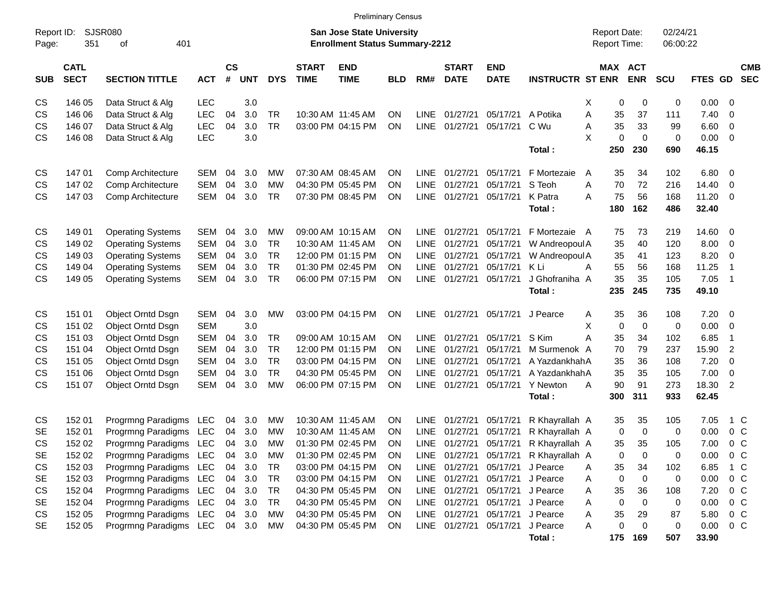| Report ID:<br>Page: | 351                        | SJSR080<br>401<br>οf     |            |                |            |            |                             | , rummary uunuu<br><b>San Jose State University</b><br><b>Enrollment Status Summary-2212</b> |            |             |                             |                           |                         | <b>Report Date:</b><br><b>Report Time:</b> |            | 02/24/21<br>06:00:22 |             |                          |                          |
|---------------------|----------------------------|--------------------------|------------|----------------|------------|------------|-----------------------------|----------------------------------------------------------------------------------------------|------------|-------------|-----------------------------|---------------------------|-------------------------|--------------------------------------------|------------|----------------------|-------------|--------------------------|--------------------------|
| <b>SUB</b>          | <b>CATL</b><br><b>SECT</b> | <b>SECTION TITTLE</b>    | <b>ACT</b> | <b>CS</b><br># | <b>UNT</b> | <b>DYS</b> | <b>START</b><br><b>TIME</b> | <b>END</b><br><b>TIME</b>                                                                    | <b>BLD</b> | RM#         | <b>START</b><br><b>DATE</b> | <b>END</b><br><b>DATE</b> | <b>INSTRUCTR ST ENR</b> | MAX ACT                                    | <b>ENR</b> | <b>SCU</b>           | FTES GD     |                          | <b>CMB</b><br><b>SEC</b> |
| CS                  | 146 05                     | Data Struct & Alg        | LEC        |                | 3.0        |            |                             |                                                                                              |            |             |                             |                           |                         | х<br>0                                     | 0          | 0                    | $0.00 \t 0$ |                          |                          |
| CS                  | 146 06                     | Data Struct & Alg        | LEC        | 04             | 3.0        | TR         |                             | 10:30 AM 11:45 AM                                                                            | <b>ON</b>  | <b>LINE</b> | 01/27/21                    | 05/17/21 A Potika         |                         | Α<br>35                                    | 37         | 111                  | 7.40        | - 0                      |                          |
| CS                  | 146 07                     | Data Struct & Alg        | LEC        | 04             | 3.0        | <b>TR</b>  |                             | 03:00 PM 04:15 PM                                                                            | <b>ON</b>  | <b>LINE</b> | 01/27/21                    | 05/17/21                  | C Wu                    | Α<br>35                                    | 33         | 99                   | 6.60        | $\overline{\mathbf{0}}$  |                          |
| CS                  | 146 08                     | Data Struct & Alg        | LEC        |                | 3.0        |            |                             |                                                                                              |            |             |                             |                           |                         | X<br>0                                     | 0          | 0                    | 0.00        | - 0                      |                          |
|                     |                            |                          |            |                |            |            |                             |                                                                                              |            |             |                             |                           | Total:                  | 250                                        | 230        | 690                  | 46.15       |                          |                          |
| CS                  | 14701                      | Comp Architecture        | SEM        | 04             | 3.0        | МW         |                             | 07:30 AM 08:45 AM                                                                            | ON         | LINE.       | 01/27/21                    | 05/17/21                  | F Mortezaie             | 35<br>A                                    | 34         | 102                  | 6.80        | $\overline{\phantom{0}}$ |                          |
| CS                  | 147 02                     | Comp Architecture        | <b>SEM</b> | 04             | 3.0        | MW         |                             | 04:30 PM 05:45 PM                                                                            | OΝ         | <b>LINE</b> | 01/27/21                    | 05/17/21                  | S Teoh                  | 70<br>A                                    | 72         | 216                  | 14.40       | 0                        |                          |
| CS                  | 147 03                     | Comp Architecture        | <b>SEM</b> | 04             | 3.0        | <b>TR</b>  |                             | 07:30 PM 08:45 PM                                                                            | OΝ         | <b>LINE</b> | 01/27/21                    | 05/17/21 K Patra          |                         | 75<br>A                                    | 56         | 168                  | 11.20       | - 0                      |                          |
|                     |                            |                          |            |                |            |            |                             |                                                                                              |            |             |                             |                           | Total:                  | 180                                        | 162        | 486                  | 32.40       |                          |                          |
| CS                  | 149 01                     | <b>Operating Systems</b> | SEM        | 04             | 3.0        | МW         |                             | 09:00 AM 10:15 AM                                                                            | ON         | LINE        | 01/27/21                    | 05/17/21                  | F Mortezaie A           | 75                                         | 73         | 219                  | 14.60 0     |                          |                          |
| CS                  | 149 02                     | <b>Operating Systems</b> | <b>SEM</b> | 04             | 3.0        | <b>TR</b>  |                             | 10:30 AM 11:45 AM                                                                            | OΝ         | <b>LINE</b> | 01/27/21                    | 05/17/21                  | W Andreopoul A          | 35                                         | 40         | 120                  | 8.00        | $\overline{\mathbf{0}}$  |                          |
| CS                  | 149 03                     | <b>Operating Systems</b> | SEM        | 04             | 3.0        | <b>TR</b>  |                             | 12:00 PM 01:15 PM                                                                            | OΝ         | <b>LINE</b> | 01/27/21                    | 05/17/21                  | W Andreopoul A          | 35                                         | 41         | 123                  | 8.20        | 0                        |                          |
| CS                  | 149 04                     | <b>Operating Systems</b> | SEM        | 04             | 3.0        | <b>TR</b>  |                             | 01:30 PM 02:45 PM                                                                            | OΝ         | LINE        | 01/27/21                    | 05/17/21 KLi              |                         | 55<br>Α                                    | 56         | 168                  | 11.25       | -1                       |                          |
| CS                  | 149 05                     | <b>Operating Systems</b> | <b>SEM</b> | 04             | 3.0        | <b>TR</b>  |                             | 06:00 PM 07:15 PM                                                                            | OΝ         | LINE        | 01/27/21                    | 05/17/21                  | J Ghofraniha A          | 35                                         | 35         | 105                  | 7.05        | $\overline{1}$           |                          |
|                     |                            |                          |            |                |            |            |                             |                                                                                              |            |             |                             |                           | Total:                  | 235                                        | 245        | 735                  | 49.10       |                          |                          |
| CS                  | 151 01                     | Object Orntd Dsgn        | SEM        | 04             | 3.0        | MW         |                             | 03:00 PM 04:15 PM                                                                            | <b>ON</b>  | <b>LINE</b> | 01/27/21                    | 05/17/21                  | J Pearce                | 35<br>Α                                    | 36         | 108                  | 7.20        | $\overline{\mathbf{0}}$  |                          |
| CS                  | 151 02                     | Object Orntd Dsgn        | <b>SEM</b> |                | 3.0        |            |                             |                                                                                              |            |             |                             |                           |                         | X<br>0                                     | 0          | 0                    | 0.00        | $\overline{\mathbf{0}}$  |                          |
| CS                  | 151 03                     | Object Orntd Dsgn        | <b>SEM</b> | 04             | 3.0        | TR         |                             | 09:00 AM 10:15 AM                                                                            | ON         | LINE        | 01/27/21                    | 05/17/21                  | S Kim                   | A<br>35                                    | 34         | 102                  | 6.85        | -1                       |                          |
| CS                  | 151 04                     | Object Orntd Dsgn        | SEM        | 04             | 3.0        | <b>TR</b>  |                             | 12:00 PM 01:15 PM                                                                            | <b>ON</b>  | LINE        | 01/27/21                    | 05/17/21                  | M Surmenok A            | 70                                         | 79         | 237                  | 15.90       | $\overline{c}$           |                          |
| CS                  | 151 05                     | Object Orntd Dsgn        | SEM        | 04             | 3.0        | <b>TR</b>  |                             | 03:00 PM 04:15 PM                                                                            | OΝ         | LINE        | 01/27/21                    | 05/17/21                  | A YazdankhahA           | 35                                         | 36         | 108                  | 7.20        | $\overline{0}$           |                          |
| CS                  | 151 06                     | Object Orntd Dsgn        | SEM        | 04             | 3.0        | <b>TR</b>  |                             | 04:30 PM 05:45 PM                                                                            | OΝ         | LINE        | 01/27/21                    | 05/17/21                  | A YazdankhahA           | 35                                         | 35         | 105                  | 7.00        | 0                        |                          |
| CS                  | 151 07                     | Object Orntd Dsgn        | <b>SEM</b> | 04             | 3.0        | MW         |                             | 06:00 PM 07:15 PM                                                                            | OΝ         | LINE        | 01/27/21                    |                           | 05/17/21 Y Newton       | 90<br>A                                    | 91         | 273                  | 18.30       | 2                        |                          |
|                     |                            |                          |            |                |            |            |                             |                                                                                              |            |             |                             |                           | Total:                  | 300                                        | 311        | 933                  | 62.45       |                          |                          |
| CS                  | 152 01                     | Progrmng Paradigms       | LEC        | 04             | 3.0        | МW         |                             | 10:30 AM 11:45 AM                                                                            | <b>ON</b>  | <b>LINE</b> | 01/27/21                    | 05/17/21                  | R Khayrallah A          | 35                                         | 35         | 105                  | 7.05        | 1 C                      |                          |
| <b>SE</b>           | 152 01                     | Progrmng Paradigms       | LEC        | 04             | 3.0        | МW         | 10:30 AM 11:45 AM           |                                                                                              | OΝ         | <b>LINE</b> | 01/27/21                    | 05/17/21                  | R Khayrallah A          | 0                                          | 0          | 0                    | 0.00        | 0 <sup>o</sup>           |                          |
| CS                  | 152 02                     | Progrmng Paradigms       | LEC        | 04             | 3.0        | MW         |                             | 01:30 PM 02:45 PM                                                                            | OΝ         | <b>LINE</b> | 01/27/21                    | 05/17/21                  | R Khayrallah A          | 35                                         | 35         | 105                  | 7.00        | 0 <sup>o</sup>           |                          |
| <b>SE</b>           | 152 02                     | Progrmng Paradigms LEC   |            | 04             | 3.0        | MW         |                             | 01:30 PM 02:45 PM                                                                            | ON         | LINE        | 01/27/21                    |                           | 05/17/21 R Khayrallah A | 0                                          | 0          | 0                    | 0.00        | $0\,C$                   |                          |
| CS                  | 152 03                     | Progrmng Paradigms LEC   |            | 04             | 3.0        | TR         |                             | 03:00 PM 04:15 PM                                                                            | ON         |             | LINE 01/27/21               | 05/17/21 J Pearce         |                         | 35<br>Α                                    | 34         | 102                  | 6.85        | 1 C                      |                          |
| SE                  | 152 03                     | Progrmng Paradigms LEC   |            | 04             | 3.0        | <b>TR</b>  |                             | 03:00 PM 04:15 PM                                                                            | ON         |             | LINE 01/27/21               |                           | 05/17/21 J Pearce       | 0<br>Α                                     | 0          | 0                    | 0.00        | 0 C                      |                          |
| CS                  | 152 04                     | Progrmng Paradigms LEC   |            |                | 04 3.0     | TR         |                             | 04:30 PM 05:45 PM                                                                            | ON         |             | LINE 01/27/21               |                           | 05/17/21 J Pearce       | 35<br>Α                                    | 36         | 108                  | 7.20        | 0 C                      |                          |
| SE                  | 152 04                     | Progrmng Paradigms LEC   |            | 04             | 3.0        | TR         |                             | 04:30 PM 05:45 PM                                                                            | ON         |             | LINE 01/27/21               |                           | 05/17/21 J Pearce       | 0<br>A                                     | $\Omega$   | 0                    | 0.00        | 0 <sup>o</sup>           |                          |
| CS                  | 152 05                     | Progrmng Paradigms LEC   |            | 04             | 3.0        | MW         |                             | 04:30 PM 05:45 PM                                                                            | ON         |             | LINE 01/27/21               |                           | 05/17/21 J Pearce       | 35<br>A                                    | 29         | 87                   | 5.80        | 0 C                      |                          |
| SE                  | 152 05                     | Progrmng Paradigms LEC   |            |                | 04 3.0     | МW         |                             | 04:30 PM 05:45 PM                                                                            | ON         |             | LINE 01/27/21               |                           | 05/17/21 J Pearce       | 0<br>A                                     | 0          | 0                    | 0.00        | $0\,C$                   |                          |
|                     |                            |                          |            |                |            |            |                             |                                                                                              |            |             |                             |                           | Total:                  |                                            | 175 169    | 507                  | 33.90       |                          |                          |

Preliminary Census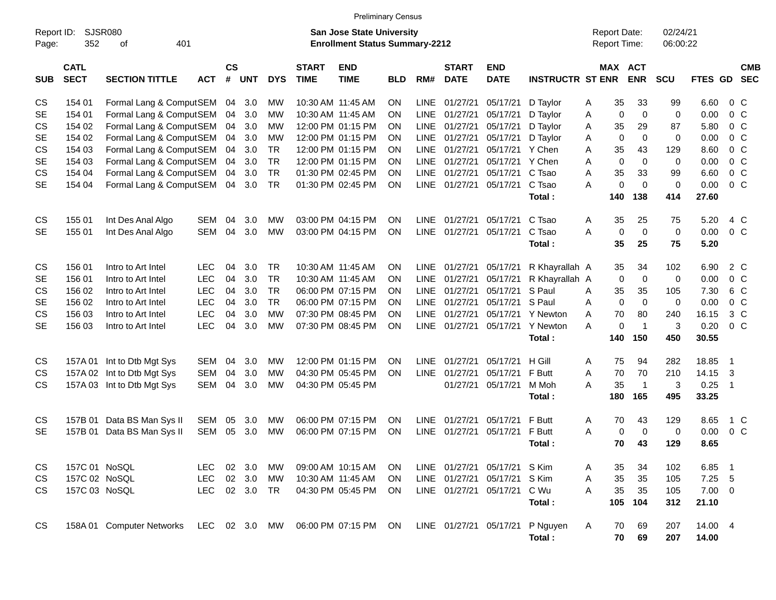|                     |                            |                           |            |                    |            |               |                             | <b>Preliminary Census</b>                                          |            |             |                             |                              |                         |                                            |             |                       |                      |                  |                |                          |
|---------------------|----------------------------|---------------------------|------------|--------------------|------------|---------------|-----------------------------|--------------------------------------------------------------------|------------|-------------|-----------------------------|------------------------------|-------------------------|--------------------------------------------|-------------|-----------------------|----------------------|------------------|----------------|--------------------------|
| Report ID:<br>Page: | 352                        | SJSR080<br>401<br>οf      |            |                    |            |               |                             | San Jose State University<br><b>Enrollment Status Summary-2212</b> |            |             |                             |                              |                         | <b>Report Date:</b><br><b>Report Time:</b> |             |                       | 02/24/21<br>06:00:22 |                  |                |                          |
| <b>SUB</b>          | <b>CATL</b><br><b>SECT</b> | <b>SECTION TITTLE</b>     | <b>ACT</b> | $\mathsf{cs}$<br># | <b>UNT</b> | <b>DYS</b>    | <b>START</b><br><b>TIME</b> | <b>END</b><br><b>TIME</b>                                          | <b>BLD</b> | RM#         | <b>START</b><br><b>DATE</b> | <b>END</b><br><b>DATE</b>    | <b>INSTRUCTR ST ENR</b> |                                            |             | MAX ACT<br><b>ENR</b> | SCU                  | <b>FTES GD</b>   |                | <b>CMB</b><br><b>SEC</b> |
| CS                  | 154 01                     | Formal Lang & ComputSEM   |            |                    | 04 3.0     | MW            |                             | 10:30 AM 11:45 AM                                                  | ON         | <b>LINE</b> | 01/27/21                    | 05/17/21                     | D Taylor                | A                                          | 35          | 33                    | 99                   | 6.60             | $0\,$ C        |                          |
| <b>SE</b>           | 154 01                     | Formal Lang & ComputSEM   |            | 04                 | 3.0        | MW            |                             | 10:30 AM 11:45 AM                                                  | ΟN         | <b>LINE</b> | 01/27/21                    | 05/17/21                     | D Taylor                | Α                                          | 0           | $\mathbf 0$           | $\mathbf 0$          | 0.00             |                | 0 <sup>C</sup>           |
| <b>CS</b>           | 154 02                     | Formal Lang & ComputSEM   |            | 04                 | 3.0        | MW            |                             | 12:00 PM 01:15 PM                                                  | ΟN         | <b>LINE</b> | 01/27/21                    | 05/17/21                     | D Taylor                | Α                                          | 35          | 29                    | 87                   | 5.80             |                | 0 <sup>o</sup>           |
| <b>SE</b>           | 154 02                     | Formal Lang & ComputSEM   |            | 04                 | 3.0        | MW            |                             | 12:00 PM 01:15 PM                                                  | ΟN         | <b>LINE</b> | 01/27/21                    | 05/17/21                     | D Taylor                | Α                                          | 0           | $\mathbf 0$           | 0                    | 0.00             |                | 0 <sup>o</sup>           |
| CS                  | 154 03                     | Formal Lang & ComputSEM   |            | 04                 | 3.0        | TR            |                             | 12:00 PM 01:15 PM                                                  | ΟN         | <b>LINE</b> | 01/27/21                    | 05/17/21                     | Y Chen                  | Α                                          | 35          | 43                    | 129                  | 8.60             |                | 0 <sup>o</sup>           |
| SE                  | 154 03                     | Formal Lang & ComputSEM   |            | 04                 | 3.0        | <b>TR</b>     |                             | 12:00 PM 01:15 PM                                                  | ΟN         | <b>LINE</b> | 01/27/21                    | 05/17/21                     | Y Chen                  | Α                                          | $\mathbf 0$ | $\mathbf 0$           | 0                    | 0.00             |                | 0 <sup>o</sup>           |
| CS                  | 154 04                     | Formal Lang & ComputSEM   |            | 04                 | 3.0        | <b>TR</b>     |                             | 01:30 PM 02:45 PM                                                  | ΟN         | <b>LINE</b> | 01/27/21                    | 05/17/21                     | C Tsao                  | Α                                          | 35          | 33                    | 99                   | 6.60             |                | 0 <sup>o</sup>           |
| <b>SE</b>           | 154 04                     | Formal Lang & ComputSEM   |            | 04                 | 3.0        | <b>TR</b>     |                             | 01:30 PM 02:45 PM                                                  | ON         | <b>LINE</b> | 01/27/21                    | 05/17/21                     | C Tsao                  | A                                          | 0           | $\mathbf 0$           | 0                    | 0.00             | 0 <sup>o</sup> |                          |
|                     |                            |                           |            |                    |            |               |                             |                                                                    |            |             |                             |                              | Total:                  |                                            | 140         | 138                   | 414                  | 27.60            |                |                          |
| CS                  | 155 01                     | Int Des Anal Algo         | <b>SEM</b> | 04                 | 3.0        | MW            |                             | 03:00 PM 04:15 PM                                                  | ΟN         | LINE        | 01/27/21                    | 05/17/21                     | C Tsao                  | A                                          | 35          | 25                    | 75                   | 5.20             |                | 4 C                      |
| <b>SE</b>           | 155 01                     | Int Des Anal Algo         | <b>SEM</b> | 04                 | 3.0        | <b>MW</b>     |                             | 03:00 PM 04:15 PM                                                  | ON         | <b>LINE</b> | 01/27/21                    | 05/17/21                     | C Tsao                  | A                                          | 0           | $\mathbf 0$           | $\mathbf 0$          | 0.00             | 0 <sup>o</sup> |                          |
|                     |                            |                           |            |                    |            |               |                             |                                                                    |            |             |                             |                              | Total:                  |                                            | 35          | 25                    | 75                   | 5.20             |                |                          |
| CS                  | 156 01                     | Intro to Art Intel        | <b>LEC</b> | 04                 | 3.0        | TR            |                             | 10:30 AM 11:45 AM                                                  | ON         | <b>LINE</b> | 01/27/21                    | 05/17/21                     | R Khayrallah A          |                                            | 35          | 34                    | 102                  | 6.90             | 2 C            |                          |
| <b>SE</b>           | 156 01                     | Intro to Art Intel        | <b>LEC</b> | 04                 | 3.0        | <b>TR</b>     |                             | 10:30 AM 11:45 AM                                                  | ΟN         | <b>LINE</b> | 01/27/21                    | 05/17/21                     | R Khayrallah A          |                                            | 0           | $\mathbf 0$           | 0                    | 0.00             | 0 <sup>o</sup> |                          |
| CS                  | 156 02                     | Intro to Art Intel        | <b>LEC</b> | 04                 | 3.0        | <b>TR</b>     |                             | 06:00 PM 07:15 PM                                                  | ΟN         | <b>LINE</b> | 01/27/21                    | 05/17/21                     | S Paul                  | A                                          | 35          | 35                    | 105                  | 7.30             | 6 C            |                          |
| <b>SE</b>           | 156 02                     | Intro to Art Intel        | <b>LEC</b> | 04                 | 3.0        | <b>TR</b>     |                             | 06:00 PM 07:15 PM                                                  | ΟN         | <b>LINE</b> | 01/27/21                    | 05/17/21                     | S Paul                  | Α                                          | 0           | $\mathbf 0$           | 0                    | 0.00             | 0 <sup>o</sup> |                          |
| CS                  | 156 03                     | Intro to Art Intel        | <b>LEC</b> | 04                 | 3.0        | <b>MW</b>     |                             | 07:30 PM 08:45 PM                                                  | ΟN         | <b>LINE</b> | 01/27/21                    | 05/17/21                     | Y Newton                | Α                                          | 70          | 80                    | 240                  | 16.15            |                | $3\,C$                   |
| <b>SE</b>           | 156 03                     | Intro to Art Intel        | <b>LEC</b> | 04                 | 3.0        | MW            |                             | 07:30 PM 08:45 PM                                                  | ON         | LINE        | 01/27/21                    | 05/17/21                     | Y Newton                | A                                          | 0           | $\overline{1}$        | 3                    | 0.20             | 0 <sup>o</sup> |                          |
|                     |                            |                           |            |                    |            |               |                             |                                                                    |            |             |                             |                              | Total:                  |                                            | 140         | 150                   | 450                  | 30.55            |                |                          |
| CS                  | 157A 01                    | Int to Dtb Mgt Sys        | <b>SEM</b> | 04                 | 3.0        | MW            |                             | 12:00 PM 01:15 PM                                                  | ΟN         | LINE        | 01/27/21                    | 05/17/21                     | H Gill                  | Α                                          | 75          | 94                    | 282                  | 18.85            | $\overline{1}$ |                          |
| <b>CS</b>           | 157A 02                    | Int to Dtb Mgt Sys        | <b>SEM</b> | 04                 | 3.0        | MW            |                             | 04:30 PM 05:45 PM                                                  | ΟN         | <b>LINE</b> | 01/27/21                    | 05/17/21                     | F Butt                  | Α                                          | 70          | 70                    | 210                  | 14.15            | 3              |                          |
| <b>CS</b>           | 157A 03                    | Int to Dtb Mgt Sys        | <b>SEM</b> | 04                 | 3.0        | MW            |                             | 04:30 PM 05:45 PM                                                  |            |             | 01/27/21                    | 05/17/21                     | M Moh                   | A                                          | 35          | $\overline{1}$        | 3                    | 0.25             | -1             |                          |
|                     |                            |                           |            |                    |            |               |                             |                                                                    |            |             |                             |                              | Total:                  |                                            | 180         | 165                   | 495                  | 33.25            |                |                          |
| CS                  | 157B 01                    | Data BS Man Sys II        | SEM        | 05                 | 3.0        | MW            |                             | 06:00 PM 07:15 PM                                                  | ON         | LINE        | 01/27/21                    | 05/17/21                     | F Butt                  | A                                          | 70          | 43                    | 129                  | 8.65             |                | 1 C                      |
| <b>SE</b>           | 157B 01                    | Data BS Man Sys II        | <b>SEM</b> | 05                 | 3.0        | MW            |                             | 06:00 PM 07:15 PM                                                  | ON         | LINE        | 01/27/21                    | 05/17/21                     | F Butt                  | A                                          | 0           | $\mathbf 0$           | 0                    | 0.00             |                | 0 <sup>o</sup>           |
|                     |                            |                           |            |                    |            |               |                             |                                                                    |            |             |                             |                              | Total:                  |                                            | 70          | 43                    | 129                  | 8.65             |                |                          |
| CS                  | 157C 01 NoSQL              |                           | <b>LEC</b> |                    | 02 3.0     | МW            |                             | 09:00 AM 10:15 AM                                                  | <b>ON</b>  |             |                             | LINE 01/27/21 05/17/21 S Kim |                         | A                                          | 35          | 34                    | 102                  | 6.85             | - 1            |                          |
| CS                  | 157C 02 NoSQL              |                           | LEC        |                    | 02 3.0     | <b>MW</b>     |                             | 10:30 AM 11:45 AM                                                  | ON.        |             | LINE 01/27/21               | 05/17/21                     | S Kim                   | A                                          | 35          | 35                    | 105                  | $7.25$ 5         |                |                          |
| <b>CS</b>           | 157C 03 NoSQL              |                           | <b>LEC</b> |                    | 02 3.0 TR  |               |                             | 04:30 PM 05:45 PM                                                  | <b>ON</b>  |             | LINE 01/27/21 05/17/21      |                              | C Wu                    | A                                          | 35          | 35                    | 105                  | $7.00 \t 0$      |                |                          |
|                     |                            |                           |            |                    |            |               |                             |                                                                    |            |             |                             |                              | Total:                  |                                            | 105         | 104                   | 312                  | 21.10            |                |                          |
| CS                  |                            | 158A 01 Computer Networks |            |                    |            | LEC 02 3.0 MW |                             | 06:00 PM 07:15 PM ON                                               |            |             |                             | LINE 01/27/21 05/17/21       | P Nguyen<br>Total:      | Α                                          | 70<br>70    | 69<br>69              | 207<br>207           | 14.00 4<br>14.00 |                |                          |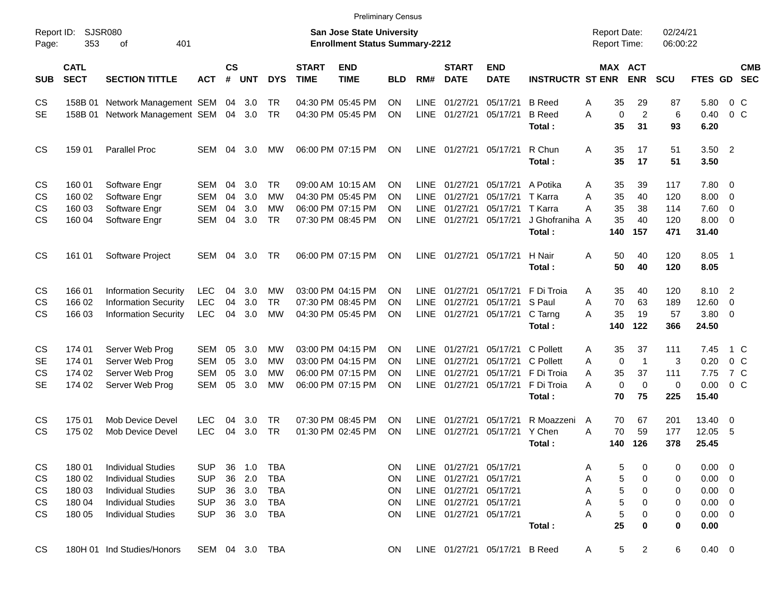|                     |                            |                             |            |                    |            |            |                             | <b>Preliminary Census</b>                                                 |            |             |                             |                           |                          |                                            |                       |                      |                      |                          |                          |
|---------------------|----------------------------|-----------------------------|------------|--------------------|------------|------------|-----------------------------|---------------------------------------------------------------------------|------------|-------------|-----------------------------|---------------------------|--------------------------|--------------------------------------------|-----------------------|----------------------|----------------------|--------------------------|--------------------------|
| Report ID:<br>Page: | 353                        | SJSR080<br>401<br>οf        |            |                    |            |            |                             | <b>San Jose State University</b><br><b>Enrollment Status Summary-2212</b> |            |             |                             |                           |                          | <b>Report Date:</b><br><b>Report Time:</b> |                       | 02/24/21<br>06:00:22 |                      |                          |                          |
| <b>SUB</b>          | <b>CATL</b><br><b>SECT</b> | <b>SECTION TITTLE</b>       | <b>ACT</b> | $\mathsf{cs}$<br># | <b>UNT</b> | <b>DYS</b> | <b>START</b><br><b>TIME</b> | <b>END</b><br><b>TIME</b>                                                 | <b>BLD</b> | RM#         | <b>START</b><br><b>DATE</b> | <b>END</b><br><b>DATE</b> | <b>INSTRUCTR ST ENR</b>  |                                            | MAX ACT<br><b>ENR</b> | <b>SCU</b>           | FTES GD              |                          | <b>CMB</b><br><b>SEC</b> |
| CS                  | 158B 01                    | Network Management SEM      |            | 04                 | 3.0        | TR         |                             | 04:30 PM 05:45 PM                                                         | ON         | <b>LINE</b> | 01/27/21                    | 05/17/21                  | <b>B</b> Reed            | 35<br>Α                                    | 29                    | 87                   | 5.80                 | $0\,$ C                  |                          |
| <b>SE</b>           | 158B 01                    | Network Management SEM      |            | 04                 | 3.0        | <b>TR</b>  |                             | 04:30 PM 05:45 PM                                                         | <b>ON</b>  | LINE        | 01/27/21                    | 05/17/21                  | <b>B</b> Reed<br>Total:  | $\mathbf 0$<br>A<br>35                     | $\overline{c}$<br>31  | 6<br>93              | 0.40<br>6.20         | 0 <sup>o</sup>           |                          |
| CS                  | 159 01                     | <b>Parallel Proc</b>        | SEM        | 04                 | 3.0        | МW         |                             | 06:00 PM 07:15 PM                                                         | <b>ON</b>  | <b>LINE</b> | 01/27/21                    | 05/17/21                  | R Chun<br>Total:         | 35<br>Α<br>35                              | 17<br>17              | 51<br>51             | $3.50$ 2<br>3.50     |                          |                          |
| CS                  | 160 01                     | Software Engr               | SEM        | 04                 | 3.0        | <b>TR</b>  |                             | 09:00 AM 10:15 AM                                                         | ON         | <b>LINE</b> | 01/27/21                    | 05/17/21                  | A Potika                 | 35<br>Α                                    | 39                    | 117                  | 7.80 0               |                          |                          |
| <b>CS</b>           | 160 02                     | Software Engr               | <b>SEM</b> | 04                 | 3.0        | МW         |                             | 04:30 PM 05:45 PM                                                         | ON         | <b>LINE</b> | 01/27/21                    | 05/17/21                  | T Karra                  | 35<br>A                                    | 40                    | 120                  | 8.00                 | $\overline{\mathbf{0}}$  |                          |
| <b>CS</b>           | 160 03                     | Software Engr               | SEM        | 04                 | 3.0        | МW         |                             | 06:00 PM 07:15 PM                                                         | ON         | <b>LINE</b> | 01/27/21                    | 05/17/21                  | T Karra                  | 35<br>Α                                    | 38                    | 114                  | 7.60                 | $\overline{\phantom{0}}$ |                          |
| <b>CS</b>           | 160 04                     | Software Engr               | SEM        | 04                 | 3.0        | <b>TR</b>  |                             | 07:30 PM 08:45 PM                                                         | <b>ON</b>  | <b>LINE</b> | 01/27/21                    | 05/17/21                  | J Ghofraniha A<br>Total: | 35<br>140                                  | 40<br>157             | 120<br>471           | $8.00 \t 0$<br>31.40 |                          |                          |
| <b>CS</b>           | 161 01                     | Software Project            | SEM        | 04                 | 3.0        | TR         |                             | 06:00 PM 07:15 PM                                                         | <b>ON</b>  | <b>LINE</b> | 01/27/21                    | 05/17/21                  | H Nair<br>Total:         | 50<br>A<br>50                              | 40<br>40              | 120<br>120           | 8.05<br>8.05         | $\overline{\phantom{0}}$ |                          |
| CS.                 | 166 01                     | <b>Information Security</b> | <b>LEC</b> | 04                 | 3.0        | МW         |                             | 03:00 PM 04:15 PM                                                         | <b>ON</b>  | <b>LINE</b> | 01/27/21                    | 05/17/21                  | F Di Troia               | 35<br>A                                    | 40                    | 120                  | 8.10 2               |                          |                          |
| <b>CS</b>           | 166 02                     | <b>Information Security</b> | <b>LEC</b> | 04                 | 3.0        | <b>TR</b>  |                             | 07:30 PM 08:45 PM                                                         | <b>ON</b>  | <b>LINE</b> | 01/27/21                    | 05/17/21                  | S Paul                   | A<br>70                                    | 63                    | 189                  | 12.60                | - 0                      |                          |
| <b>CS</b>           | 166 03                     | <b>Information Security</b> | <b>LEC</b> | 04                 | 3.0        | <b>MW</b>  |                             | 04:30 PM 05:45 PM                                                         | <b>ON</b>  |             | LINE 01/27/21               | 05/17/21                  | C Tarng                  | 35<br>A                                    | 19                    | 57                   | 3.80 0               |                          |                          |
|                     |                            |                             |            |                    |            |            |                             |                                                                           |            |             |                             |                           | Total:                   | 140                                        | 122                   | 366                  | 24.50                |                          |                          |
| CS                  | 174 01                     | Server Web Prog             | SEM        | 05                 | 3.0        | МW         |                             | 03:00 PM 04:15 PM                                                         | <b>ON</b>  | <b>LINE</b> | 01/27/21                    | 05/17/21                  | C Pollett                | 35<br>Α                                    | 37                    | 111                  | 7.45                 | 1 C                      |                          |
| <b>SE</b>           | 174 01                     | Server Web Prog             | <b>SEM</b> | 05                 | 3.0        | МW         |                             | 03:00 PM 04:15 PM                                                         | <b>ON</b>  | <b>LINE</b> | 01/27/21                    | 05/17/21                  | C Pollett                | $\mathbf 0$<br>A                           | $\overline{1}$        | 3                    | 0.20                 | 0 <sup>o</sup>           |                          |
| <b>CS</b>           | 174 02                     | Server Web Prog             | <b>SEM</b> | 05                 | 3.0        | МW         |                             | 06:00 PM 07:15 PM                                                         | <b>ON</b>  | <b>LINE</b> | 01/27/21                    | 05/17/21                  | F Di Troia               | 35<br>A                                    | 37                    | 111                  | 7.75                 | 7 C                      |                          |
| <b>SE</b>           | 174 02                     | Server Web Prog             | SEM        | 05                 | 3.0        | MW         |                             | 06:00 PM 07:15 PM                                                         | <b>ON</b>  | <b>LINE</b> | 01/27/21                    | 05/17/21                  | F Di Troia               | $\mathbf 0$<br>A                           | $\mathbf 0$           | 0                    | 0.00                 | $0\,$ C                  |                          |
|                     |                            |                             |            |                    |            |            |                             |                                                                           |            |             |                             |                           | Total:                   | 70                                         | 75                    | 225                  | 15.40                |                          |                          |
| <b>CS</b>           | 175 01                     | Mob Device Devel            | <b>LEC</b> | 04                 | 3.0        | TR         |                             | 07:30 PM 08:45 PM                                                         | <b>ON</b>  | <b>LINE</b> | 01/27/21                    | 05/17/21                  | R Moazzeni               | 70<br>A                                    | 67                    | 201                  | 13.40                | $\overline{\phantom{0}}$ |                          |
| <b>CS</b>           | 175 02                     | Mob Device Devel            | <b>LEC</b> | 04                 | 3.0        | <b>TR</b>  |                             | 01:30 PM 02:45 PM                                                         | ON         | <b>LINE</b> | 01/27/21                    | 05/17/21                  | Y Chen                   | 70<br>Α                                    | 59                    | 177                  | 12.05                | - 5                      |                          |
|                     |                            |                             |            |                    |            |            |                             |                                                                           |            |             |                             |                           | Total :                  | 140                                        | 126                   | 378                  | 25.45                |                          |                          |
| CS                  | 180 01                     | <b>Individual Studies</b>   | <b>SUP</b> | 36                 | 1.0        | TBA        |                             |                                                                           | ON.        |             | LINE 01/27/21               | 05/17/21                  |                          | 5<br>Α                                     | 0                     | 0                    | $0.00 \quad 0$       |                          |                          |
| CS                  | 180 02                     | <b>Individual Studies</b>   | <b>SUP</b> | 36                 | 2.0        | <b>TBA</b> |                             |                                                                           | ON         |             | LINE 01/27/21               | 05/17/21                  |                          | 5<br>Α                                     | 0                     | 0                    | $0.00 \t 0$          |                          |                          |
| CS                  | 180 03                     | <b>Individual Studies</b>   | <b>SUP</b> | 36                 | 3.0        | <b>TBA</b> |                             |                                                                           | ON         |             | LINE 01/27/21               | 05/17/21                  |                          | 5<br>Α                                     | 0                     | 0                    | $0.00 \t 0$          |                          |                          |
| CS                  | 180 04                     | <b>Individual Studies</b>   | <b>SUP</b> | 36                 | 3.0        | <b>TBA</b> |                             |                                                                           | ON         |             | LINE 01/27/21               | 05/17/21                  |                          | 5<br>Α                                     | 0                     | 0                    | $0.00 \t 0$          |                          |                          |
| <b>CS</b>           | 180 05                     | <b>Individual Studies</b>   | <b>SUP</b> | 36                 | 3.0        | TBA        |                             |                                                                           | ON         |             | LINE 01/27/21               | 05/17/21                  |                          | A<br>5                                     | 0                     | 0                    | $0.00 \t 0$          |                          |                          |
|                     |                            |                             |            |                    |            |            |                             |                                                                           |            |             |                             |                           | Total:                   | 25                                         | 0                     | 0                    | 0.00                 |                          |                          |
| CS                  |                            | 180H 01 Ind Studies/Honors  | SEM 04 3.0 |                    |            | TBA        |                             |                                                                           | ON.        |             |                             | LINE 01/27/21 05/17/21    | <b>B</b> Reed            | 5<br>A                                     | 2                     | 6                    | $0.40 \ 0$           |                          |                          |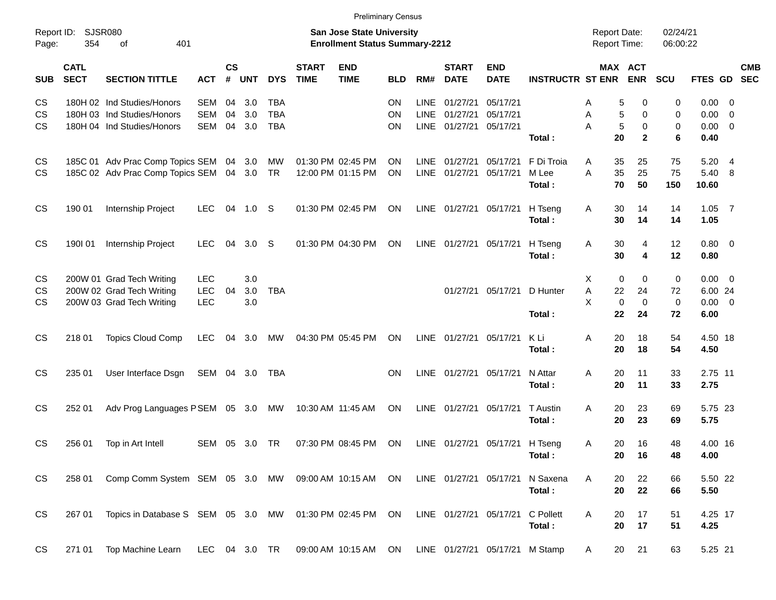| 354                        | 401<br>οf                                |                                                                                                                                                                                                                                            |                                                                                                        |                |                                                                                                                                                    |                                        |                           |                                                                                                                                                 |                                                                                                                                                    |                                                        |                                                                                                                                           |                                                                                                  |                                                                                                            |                                                       |                                                                                                                                                                                                                                                                                                 |                                            |                                                                                                                              |
|----------------------------|------------------------------------------|--------------------------------------------------------------------------------------------------------------------------------------------------------------------------------------------------------------------------------------------|--------------------------------------------------------------------------------------------------------|----------------|----------------------------------------------------------------------------------------------------------------------------------------------------|----------------------------------------|---------------------------|-------------------------------------------------------------------------------------------------------------------------------------------------|----------------------------------------------------------------------------------------------------------------------------------------------------|--------------------------------------------------------|-------------------------------------------------------------------------------------------------------------------------------------------|--------------------------------------------------------------------------------------------------|------------------------------------------------------------------------------------------------------------|-------------------------------------------------------|-------------------------------------------------------------------------------------------------------------------------------------------------------------------------------------------------------------------------------------------------------------------------------------------------|--------------------------------------------|------------------------------------------------------------------------------------------------------------------------------|
| <b>CATL</b><br><b>SECT</b> | <b>SECTION TITTLE</b>                    | <b>ACT</b>                                                                                                                                                                                                                                 | $\mathsf{cs}$<br>#                                                                                     |                | <b>DYS</b>                                                                                                                                         | <b>START</b><br><b>TIME</b>            | <b>END</b><br><b>TIME</b> | <b>BLD</b>                                                                                                                                      | RM#                                                                                                                                                | <b>START</b><br><b>DATE</b>                            | <b>END</b><br><b>DATE</b>                                                                                                                 |                                                                                                  |                                                                                                            | <b>ENR</b>                                            | <b>SCU</b>                                                                                                                                                                                                                                                                                      | FTES GD                                    | <b>CMB</b><br><b>SEC</b>                                                                                                     |
|                            |                                          | <b>SEM</b>                                                                                                                                                                                                                                 | 04                                                                                                     | 3.0            | <b>TBA</b>                                                                                                                                         |                                        |                           | ON                                                                                                                                              | <b>LINE</b>                                                                                                                                        | 01/27/21                                               | 05/17/21                                                                                                                                  |                                                                                                  | A                                                                                                          | 0                                                     | 0                                                                                                                                                                                                                                                                                               | $0.00 \t 0$                                |                                                                                                                              |
|                            |                                          | <b>SEM</b>                                                                                                                                                                                                                                 | 04                                                                                                     | 3.0            | <b>TBA</b>                                                                                                                                         |                                        |                           | ON                                                                                                                                              | <b>LINE</b>                                                                                                                                        | 01/27/21                                               | 05/17/21                                                                                                                                  |                                                                                                  | Α                                                                                                          | 0                                                     | 0                                                                                                                                                                                                                                                                                               | 0.00                                       | $\overline{\phantom{0}}$                                                                                                     |
|                            |                                          | <b>SEM</b>                                                                                                                                                                                                                                 | 04                                                                                                     | 3.0            | <b>TBA</b>                                                                                                                                         |                                        |                           | OΝ                                                                                                                                              |                                                                                                                                                    |                                                        | 05/17/21                                                                                                                                  |                                                                                                  | A                                                                                                          | 0                                                     | 0                                                                                                                                                                                                                                                                                               | 0.00                                       | $\overline{0}$                                                                                                               |
|                            |                                          |                                                                                                                                                                                                                                            |                                                                                                        |                |                                                                                                                                                    |                                        |                           |                                                                                                                                                 |                                                                                                                                                    |                                                        |                                                                                                                                           | Total:                                                                                           |                                                                                                            | $\mathbf{2}$                                          | 6                                                                                                                                                                                                                                                                                               | 0.40                                       |                                                                                                                              |
|                            |                                          |                                                                                                                                                                                                                                            |                                                                                                        |                | МW                                                                                                                                                 |                                        |                           | ON                                                                                                                                              | LINE                                                                                                                                               | 01/27/21                                               | 05/17/21                                                                                                                                  | F Di Troia                                                                                       | Α                                                                                                          | 25                                                    | 75                                                                                                                                                                                                                                                                                              | 5.20                                       | $\overline{4}$                                                                                                               |
|                            |                                          |                                                                                                                                                                                                                                            |                                                                                                        |                | <b>TR</b>                                                                                                                                          |                                        |                           | ON                                                                                                                                              | LINE                                                                                                                                               | 01/27/21                                               | 05/17/21                                                                                                                                  | M Lee                                                                                            | A                                                                                                          | 25                                                    | 75                                                                                                                                                                                                                                                                                              | 5.40                                       | - 8                                                                                                                          |
|                            |                                          |                                                                                                                                                                                                                                            |                                                                                                        |                |                                                                                                                                                    |                                        |                           |                                                                                                                                                 |                                                                                                                                                    |                                                        |                                                                                                                                           | Total:                                                                                           |                                                                                                            | 50                                                    | 150                                                                                                                                                                                                                                                                                             | 10.60                                      |                                                                                                                              |
| 190 01                     | Internship Project                       | <b>LEC</b>                                                                                                                                                                                                                                 | 04                                                                                                     | 1.0            | -S                                                                                                                                                 |                                        |                           | ON                                                                                                                                              | LINE                                                                                                                                               |                                                        | 05/17/21                                                                                                                                  | H Tseng<br>Total:                                                                                | Α                                                                                                          | 14<br>14                                              | 14<br>14                                                                                                                                                                                                                                                                                        | 1.05<br>1.05                               | $\overline{7}$                                                                                                               |
|                            |                                          |                                                                                                                                                                                                                                            |                                                                                                        |                |                                                                                                                                                    |                                        |                           |                                                                                                                                                 |                                                                                                                                                    |                                                        |                                                                                                                                           |                                                                                                  |                                                                                                            |                                                       |                                                                                                                                                                                                                                                                                                 |                                            |                                                                                                                              |
|                            |                                          |                                                                                                                                                                                                                                            |                                                                                                        |                |                                                                                                                                                    |                                        |                           |                                                                                                                                                 |                                                                                                                                                    |                                                        |                                                                                                                                           | Total:                                                                                           |                                                                                                            | 4                                                     | 12                                                                                                                                                                                                                                                                                              | 0.80                                       |                                                                                                                              |
|                            |                                          |                                                                                                                                                                                                                                            |                                                                                                        |                |                                                                                                                                                    |                                        |                           |                                                                                                                                                 |                                                                                                                                                    |                                                        |                                                                                                                                           |                                                                                                  |                                                                                                            |                                                       |                                                                                                                                                                                                                                                                                                 |                                            |                                                                                                                              |
|                            |                                          |                                                                                                                                                                                                                                            |                                                                                                        |                |                                                                                                                                                    |                                        |                           |                                                                                                                                                 |                                                                                                                                                    |                                                        |                                                                                                                                           |                                                                                                  |                                                                                                            |                                                       |                                                                                                                                                                                                                                                                                                 |                                            |                                                                                                                              |
|                            |                                          |                                                                                                                                                                                                                                            |                                                                                                        |                |                                                                                                                                                    |                                        |                           |                                                                                                                                                 |                                                                                                                                                    |                                                        |                                                                                                                                           |                                                                                                  |                                                                                                            |                                                       |                                                                                                                                                                                                                                                                                                 |                                            |                                                                                                                              |
|                            |                                          |                                                                                                                                                                                                                                            |                                                                                                        |                |                                                                                                                                                    |                                        |                           |                                                                                                                                                 |                                                                                                                                                    |                                                        |                                                                                                                                           | Total:                                                                                           |                                                                                                            | 24                                                    | 72                                                                                                                                                                                                                                                                                              | 6.00                                       |                                                                                                                              |
|                            |                                          |                                                                                                                                                                                                                                            |                                                                                                        |                |                                                                                                                                                    |                                        |                           |                                                                                                                                                 |                                                                                                                                                    |                                                        |                                                                                                                                           |                                                                                                  |                                                                                                            |                                                       |                                                                                                                                                                                                                                                                                                 |                                            |                                                                                                                              |
|                            |                                          |                                                                                                                                                                                                                                            |                                                                                                        |                |                                                                                                                                                    |                                        |                           |                                                                                                                                                 |                                                                                                                                                    |                                                        |                                                                                                                                           |                                                                                                  |                                                                                                            |                                                       |                                                                                                                                                                                                                                                                                                 |                                            |                                                                                                                              |
|                            |                                          |                                                                                                                                                                                                                                            |                                                                                                        |                |                                                                                                                                                    |                                        |                           |                                                                                                                                                 |                                                                                                                                                    |                                                        |                                                                                                                                           |                                                                                                  |                                                                                                            |                                                       |                                                                                                                                                                                                                                                                                                 |                                            |                                                                                                                              |
| 235 01                     | User Interface Dsgn                      |                                                                                                                                                                                                                                            |                                                                                                        |                | TBA                                                                                                                                                |                                        |                           | <b>ON</b>                                                                                                                                       |                                                                                                                                                    |                                                        | 05/17/21                                                                                                                                  | N Attar                                                                                          | Α                                                                                                          | 11                                                    | 33                                                                                                                                                                                                                                                                                              | 2.75 11                                    |                                                                                                                              |
|                            |                                          |                                                                                                                                                                                                                                            |                                                                                                        |                |                                                                                                                                                    |                                        |                           |                                                                                                                                                 |                                                                                                                                                    |                                                        |                                                                                                                                           |                                                                                                  |                                                                                                            |                                                       |                                                                                                                                                                                                                                                                                                 |                                            |                                                                                                                              |
| 252 01                     |                                          |                                                                                                                                                                                                                                            |                                                                                                        |                | МW                                                                                                                                                 |                                        |                           | ON                                                                                                                                              |                                                                                                                                                    |                                                        | 05/17/21                                                                                                                                  | T Austin                                                                                         | Α                                                                                                          | 23                                                    | 69                                                                                                                                                                                                                                                                                              | 5.75 23                                    |                                                                                                                              |
|                            |                                          |                                                                                                                                                                                                                                            |                                                                                                        |                |                                                                                                                                                    |                                        |                           |                                                                                                                                                 |                                                                                                                                                    |                                                        |                                                                                                                                           | Total:                                                                                           |                                                                                                            | 23                                                    | 69                                                                                                                                                                                                                                                                                              | 5.75                                       |                                                                                                                              |
| 256 01                     | Top in Art Intell                        | SEM                                                                                                                                                                                                                                        | 05                                                                                                     | 3.0            | TR                                                                                                                                                 |                                        |                           | ON                                                                                                                                              | LINE                                                                                                                                               | 01/27/21                                               | 05/17/21                                                                                                                                  | H Tseng                                                                                          | A                                                                                                          | 16                                                    | 48                                                                                                                                                                                                                                                                                              | 4.00 16                                    |                                                                                                                              |
|                            |                                          |                                                                                                                                                                                                                                            |                                                                                                        |                |                                                                                                                                                    |                                        |                           |                                                                                                                                                 |                                                                                                                                                    |                                                        |                                                                                                                                           | Total:                                                                                           |                                                                                                            | 16                                                    | 48                                                                                                                                                                                                                                                                                              | 4.00                                       |                                                                                                                              |
| 258 01                     |                                          |                                                                                                                                                                                                                                            |                                                                                                        |                |                                                                                                                                                    |                                        |                           |                                                                                                                                                 |                                                                                                                                                    |                                                        |                                                                                                                                           |                                                                                                  | A                                                                                                          |                                                       | 66                                                                                                                                                                                                                                                                                              |                                            |                                                                                                                              |
|                            |                                          |                                                                                                                                                                                                                                            |                                                                                                        |                |                                                                                                                                                    |                                        |                           |                                                                                                                                                 |                                                                                                                                                    |                                                        |                                                                                                                                           | Total:                                                                                           |                                                                                                            | 22                                                    | 66                                                                                                                                                                                                                                                                                              | 5.50                                       |                                                                                                                              |
|                            |                                          |                                                                                                                                                                                                                                            |                                                                                                        |                |                                                                                                                                                    |                                        |                           |                                                                                                                                                 |                                                                                                                                                    |                                                        |                                                                                                                                           |                                                                                                  |                                                                                                            |                                                       |                                                                                                                                                                                                                                                                                                 |                                            |                                                                                                                              |
|                            |                                          |                                                                                                                                                                                                                                            |                                                                                                        |                |                                                                                                                                                    |                                        |                           |                                                                                                                                                 |                                                                                                                                                    |                                                        |                                                                                                                                           | Total:                                                                                           |                                                                                                            | 17                                                    | 51                                                                                                                                                                                                                                                                                              | 4.25                                       |                                                                                                                              |
| 271 01                     | Top Machine Learn                        |                                                                                                                                                                                                                                            |                                                                                                        |                |                                                                                                                                                    |                                        |                           |                                                                                                                                                 |                                                                                                                                                    |                                                        |                                                                                                                                           |                                                                                                  | A                                                                                                          | 21                                                    | 63                                                                                                                                                                                                                                                                                              | 5.25 21                                    |                                                                                                                              |
|                            | Report ID:<br>190101<br>218 01<br>267 01 | SJSR080<br>180H 02 Ind Studies/Honors<br>180H 03 Ind Studies/Honors<br>180H 04 Ind Studies/Honors<br>Internship Project<br>200W 01 Grad Tech Writing<br>200W 02 Grad Tech Writing<br>200W 03 Grad Tech Writing<br><b>Topics Cloud Comp</b> | 185C 01 Adv Prac Comp Topics SEM<br><b>LEC</b><br><b>LEC</b><br><b>LEC</b><br><b>LEC</b><br><b>LEC</b> | 04<br>04<br>04 | <b>UNT</b><br>04 3.0<br>185C 02 Adv Prac Comp Topics SEM 04 3.0<br>3.0<br>3.0<br>3.0<br>3.0<br>3.0<br>SEM 04 3.0<br>Adv Prog Languages PSEM 05 3.0 | S<br><b>TBA</b><br>МW<br>LEC 04 3.0 TR |                           | 01:30 PM 02:45 PM<br>12:00 PM 01:15 PM<br>01:30 PM 02:45 PM<br>01:30 PM 04:30 PM<br>04:30 PM 05:45 PM<br>10:30 AM 11:45 AM<br>07:30 PM 08:45 PM | ON<br>ON<br>Comp Comm System SEM 05 3.0 MW 09:00 AM 10:15 AM ON<br>Topics in Database S SEM 05 3.0 MW 01:30 PM 02:45 PM ON<br>09:00 AM 10:15 AM ON | <b>Preliminary Census</b><br>San Jose State University | <b>Enrollment Status Summary-2212</b><br>LINE 01/27/21<br>01/27/21<br>01/27/21<br>LINE<br>LINE 01/27/21<br>LINE 01/27/21<br>LINE 01/27/21 | 05/17/21<br>01/27/21<br>05/17/21<br>05/17/21<br>LINE 01/27/21 05/17/21<br>LINE 01/27/21 05/17/21 | H Tseng<br>D Hunter<br>K Li<br>Total:<br>Total:<br>N Saxena<br>C Pollett<br>LINE 01/27/21 05/17/21 M Stamp | <b>INSTRUCTR ST ENR</b><br>Α<br>X<br>Α<br>X<br>Α<br>A | <b>Report Date:</b><br><b>Report Time:</b><br>MAX ACT<br>5<br>5<br>5<br>20<br>35<br>35<br>70<br>30<br>30<br>4<br>30<br>30<br>0<br>0<br>22<br>24<br>$\mathbf 0$<br>$\mathbf 0$<br>22<br>20<br>18<br>20<br>18<br>20<br>20<br>11<br>20<br>20<br>20<br>20<br>20<br>22<br>20<br>20<br>17<br>20<br>20 | 12<br>0<br>72<br>0<br>54<br>54<br>33<br>51 | 02/24/21<br>06:00:22<br>$0.80 \ 0$<br>$0.00 \t 0$<br>6.00 24<br>$0.00 \t 0$<br>4.50 18<br>4.50<br>2.75<br>5.50 22<br>4.25 17 |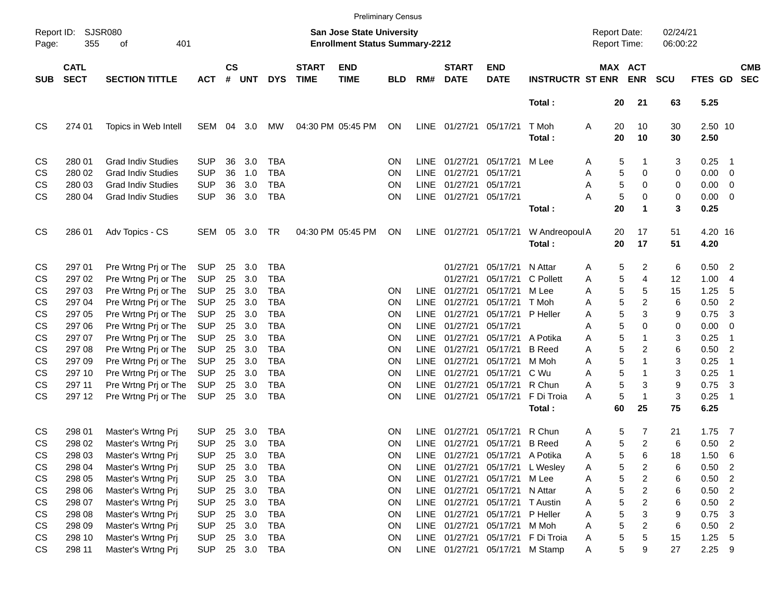| <b>SJSR080</b><br>02/24/21<br>Report ID:<br>San Jose State University<br><b>Report Date:</b><br>401<br><b>Enrollment Status Summary-2212</b><br>Report Time:<br>06:00:22<br>355<br>Page:<br>οf<br>$\mathsf{cs}$<br><b>CATL</b><br><b>START</b><br><b>END</b><br><b>START</b><br><b>END</b><br>MAX ACT<br><b>CMB</b><br><b>SECT</b><br>#<br><b>DYS</b><br><b>SECTION TITTLE</b><br><b>UNT</b><br><b>TIME</b><br><b>TIME</b><br><b>BLD</b><br>RM#<br><b>DATE</b><br><b>DATE</b><br><b>INSTRUCTR ST ENR</b><br><b>ENR</b><br><b>SCU</b><br><b>FTES GD</b><br><b>SEC</b><br><b>SUB</b><br><b>ACT</b><br>Total:<br>21<br>63<br>5.25<br>20<br>04:30 PM 05:45 PM<br>LINE<br>2.50 10<br>274 01<br>Topics in Web Intell<br>SEM<br>04<br>3.0<br>МW<br>ON<br>01/27/21<br>T Moh<br>Α<br>20<br>10<br>30<br>05/17/21<br>20<br>10<br>30<br>2.50<br>Total:<br><b>Grad Indiv Studies</b><br><b>SUP</b><br>36<br>3.0<br><b>TBA</b><br>01/27/21<br>05/17/21<br>0.25<br>CS<br>280 01<br>ΟN<br><b>LINE</b><br>M Lee<br>5<br>3<br>Α<br>1<br>- 1<br>5<br>280 02<br><b>Grad Indiv Studies</b><br><b>SUP</b><br>36<br>1.0<br><b>TBA</b><br><b>LINE</b><br>01/27/21<br>05/17/21<br>0<br>0.00<br>CS<br>ΟN<br>Α<br>0<br>$\overline{\mathbf{0}}$<br>5<br><b>SUP</b><br>36<br>3.0<br><b>TBA</b><br><b>LINE</b><br>01/27/21<br>05/17/21<br>$\Omega$<br>0.00<br><b>CS</b><br>280 03<br><b>Grad Indiv Studies</b><br>ΟN<br>Α<br>0<br>0<br>5<br><b>CS</b><br>280 04<br><b>SUP</b><br>36<br>3.0<br><b>TBA</b><br>LINE<br>0<br>0<br>0.00<br><b>Grad Indiv Studies</b><br>ON<br>01/27/21<br>05/17/21<br>А<br>$\overline{\mathbf{0}}$<br>20<br>3<br>0.25<br>Total:<br>1<br>04:30 PM 05:45 PM<br>LINE<br>17<br>4.20 16<br>286 01<br>Adv Topics - CS<br><b>SEM</b><br>05<br>3.0<br>TR<br>ON<br>01/27/21<br>05/17/21<br>W Andreopoul A<br>20<br>51<br>17<br>20<br>51<br>4.20<br>Total:<br>297 01<br>3.0<br>05/17/21<br>N Attar<br>5<br>2<br>6<br>0.50<br>$\overline{\phantom{0}}$<br>CS<br>Pre Wrtng Prj or The<br><b>SUP</b><br>25<br>TBA<br>01/27/21<br>Α<br>3.0<br>5<br>297 02<br><b>SUP</b><br>25<br><b>TBA</b><br>05/17/21<br>C Pollett<br>4<br>1.00<br>CS<br>Pre Wrtng Prj or The<br>01/27/21<br>Α<br>12<br>-4<br>3.0<br>5<br>Pre Wrtng Prj or The<br><b>SUP</b><br>25<br><b>TBA</b><br>01/27/21<br>05/17/21<br>5<br>15<br>1.25<br>5<br>CS<br>297 03<br>ΟN<br><b>LINE</b><br>M Lee<br>Α<br>5<br>3.0<br>2<br>297 04<br><b>SUP</b><br>25<br><b>TBA</b><br><b>LINE</b><br>01/27/21<br>05/17/21<br>6<br>0.50<br>$\overline{2}$<br><b>CS</b><br>Pre Wrtng Prj or The<br>ΟN<br>T Moh<br>Α<br>3.0<br>5<br>CS<br>Pre Wrtng Prj or The<br><b>SUP</b><br>25<br><b>TBA</b><br><b>LINE</b><br>01/27/21<br>05/17/21<br>3<br>0.75<br>3<br>297 05<br>ΟN<br>P Heller<br>Α<br>9<br>3.0<br>5<br>CS<br><b>SUP</b><br>25<br><b>TBA</b><br><b>LINE</b><br>01/27/21<br>05/17/21<br>0<br>0.00<br>297 06<br>Pre Wrtng Prj or The<br>ΟN<br>Α<br>0<br>0<br>5<br>3.0<br>CS<br><b>SUP</b><br>25<br><b>TBA</b><br><b>LINE</b><br>01/27/21<br>05/17/21<br>A Potika<br>3<br>0.25<br>297 07<br>Pre Wrtng Prj or The<br>ΟN<br>Α<br>-1<br>5<br>3.0<br><b>CS</b><br><b>SUP</b><br>25<br><b>TBA</b><br><b>LINE</b><br>01/27/21<br>05/17/21<br><b>B</b> Reed<br>A<br>2<br>6<br>0.50<br>$\overline{2}$<br>297 08<br>Pre Wrtng Prj or The<br>ΟN<br>3.0<br>5<br>CS<br>Pre Wrtng Prj or The<br><b>SUP</b><br>25<br><b>TBA</b><br><b>LINE</b><br>01/27/21<br>05/17/21<br>3<br>0.25<br>297 09<br>ΟN<br>M Moh<br>Α<br>1<br>-1<br>5<br>3.0<br>297 10<br><b>SUP</b><br>25<br><b>TBA</b><br><b>LINE</b><br>01/27/21<br>05/17/21<br>C Wu<br>3<br>0.25<br>CS<br>Pre Wrtng Prj or The<br>ΟN<br>Α<br>-1<br>5<br>297 11<br>Pre Wrtng Prj or The<br><b>SUP</b><br>25<br>3.0<br><b>TBA</b><br><b>LINE</b><br>01/27/21<br>05/17/21<br>R Chun<br>3<br>9<br>0.75<br>3<br><b>CS</b><br>ΟN<br>Α<br>5<br>3<br><b>CS</b><br>297 12<br><b>SUP</b><br>25<br>3.0<br><b>TBA</b><br><b>LINE</b><br>01/27/21<br>F Di Troia<br>$\mathbf{1}$<br>0.25<br>Pre Wrtng Prj or The<br>ΟN<br>05/17/21<br>A<br>-1<br>60<br>75<br>25<br>6.25<br>Total:<br>R Chun<br>CS<br>298 01<br>Master's Wrtng Prj<br><b>SUP</b><br>25<br>3.0<br><b>TBA</b><br>ΟN<br><b>LINE</b><br>01/27/21<br>05/17/21<br>5<br>7<br>21<br>1.75<br>$\overline{7}$<br>A<br>5<br>CS<br><b>SUP</b><br>25<br>3.0<br>01/27/21<br><b>B</b> Reed<br>2<br>6<br>0.50<br>$\overline{2}$<br>298 02<br>Master's Wrtng Prj<br>TBA<br>ΟN<br><b>LINE</b><br>05/17/21<br>Α<br>CS<br>298 03<br>Master's Wrtng Prj<br><b>SUP</b><br>25<br>3.0<br><b>TBA</b><br>ON<br>LINE 01/27/21 05/17/21<br>A Potika<br>5<br>6<br>1.50<br>- 6<br>A<br>18<br>5<br>298 04<br>Master's Wrtng Prj<br><b>SUP</b><br>25<br>3.0<br><b>TBA</b><br>LINE 01/27/21<br>05/17/21<br>2<br>0.50<br>$\overline{\phantom{0}}$<br>CS<br>ON<br>L Wesley<br>6<br>Α<br>3.0<br>5<br>$\overline{a}$<br>$\overline{\phantom{a}}$<br>298 05<br>Master's Wrtng Pri<br><b>SUP</b><br>25<br><b>TBA</b><br>LINE 01/27/21<br>05/17/21<br>M Lee<br>0.50<br>CS<br>ON<br>6<br>A<br>5<br>3.0<br>$\overline{\mathbf{c}}$<br>$\overline{2}$<br>298 06<br>Master's Wrtng Prj<br><b>SUP</b><br>25<br>LINE 01/27/21<br>05/17/21<br>N Attar<br>0.50<br>CS<br>TBA<br>ON<br>Α<br>6<br>5<br>3.0<br>$\overline{\mathbf{c}}$<br>$\overline{\phantom{0}}$<br>298 07<br>Master's Wrtng Prj<br><b>SUP</b><br>25<br><b>TBA</b><br>LINE 01/27/21<br>05/17/21<br><b>T</b> Austin<br>6<br>0.50<br>CS<br>ON<br>Α<br>5<br>3.0<br>CS<br>298 08<br>Master's Wrtng Prj<br><b>SUP</b><br>25<br><b>TBA</b><br>LINE 01/27/21<br>05/17/21<br>P Heller<br>3<br>9<br>0.75<br>3<br>ON<br>Α<br>5<br>2<br>298 09<br>Master's Wrtng Prj<br><b>SUP</b><br>25 3.0<br>LINE 01/27/21<br>05/17/21<br>M Moh<br>6<br>$0.50$ 2<br>CS<br>TBA<br>ON<br>Α<br>25 3.0<br>5<br>298 10<br>Master's Wrtng Pri<br><b>SUP</b><br>LINE 01/27/21 05/17/21<br>F Di Troia<br>5<br>15<br>$1.25$ 5<br>CS<br>TBA<br>ON<br>Α<br>5<br>CS<br>298 11<br>Master's Wrtng Prj<br><b>SUP</b><br>25 3.0 TBA<br>ON<br>LINE 01/27/21 05/17/21<br>M Stamp<br>9<br>27<br>$2.25$ 9<br>A |           |  |  |  |  | <b>Preliminary Census</b> |  |  |  |  |  |
|----------------------------------------------------------------------------------------------------------------------------------------------------------------------------------------------------------------------------------------------------------------------------------------------------------------------------------------------------------------------------------------------------------------------------------------------------------------------------------------------------------------------------------------------------------------------------------------------------------------------------------------------------------------------------------------------------------------------------------------------------------------------------------------------------------------------------------------------------------------------------------------------------------------------------------------------------------------------------------------------------------------------------------------------------------------------------------------------------------------------------------------------------------------------------------------------------------------------------------------------------------------------------------------------------------------------------------------------------------------------------------------------------------------------------------------------------------------------------------------------------------------------------------------------------------------------------------------------------------------------------------------------------------------------------------------------------------------------------------------------------------------------------------------------------------------------------------------------------------------------------------------------------------------------------------------------------------------------------------------------------------------------------------------------------------------------------------------------------------------------------------------------------------------------------------------------------------------------------------------------------------------------------------------------------------------------------------------------------------------------------------------------------------------------------------------------------------------------------------------------------------------------------------------------------------------------------------------------------------------------------------------------------------------------------------------------------------------------------------------------------------------------------------------------------------------------------------------------------------------------------------------------------------------------------------------------------------------------------------------------------------------------------------------------------------------------------------------------------------------------------------------------------------------------------------------------------------------------------------------------------------------------------------------------------------------------------------------------------------------------------------------------------------------------------------------------------------------------------------------------------------------------------------------------------------------------------------------------------------------------------------------------------------------------------------------------------------------------------------------------------------------------------------------------------------------------------------------------------------------------------------------------------------------------------------------------------------------------------------------------------------------------------------------------------------------------------------------------------------------------------------------------------------------------------------------------------------------------------------------------------------------------------------------------------------------------------------------------------------------------------------------------------------------------------------------------------------------------------------------------------------------------------------------------------------------------------------------------------------------------------------------------------------------------------------------------------------------------------------------------------------------------------------------------------------------------------------------------------------------------------------------------------------------------------------------------------------------------------------------------------------------------------------------------------------------------------------------------------------------------------------------------------------------------------------------------------------------------------------------------------------------------------------------------------------------------------------------------------------------------------------------------------------------------------------------------------------------------------------------------------------------------------------------------------------------------------------------------------------------------------------------------------------------------------------------------------------------------------------------------------------------------------------------------------------------------------------------------------------------------------------------------------------------------------------------------------------------------------------------------------|-----------|--|--|--|--|---------------------------|--|--|--|--|--|
|                                                                                                                                                                                                                                                                                                                                                                                                                                                                                                                                                                                                                                                                                                                                                                                                                                                                                                                                                                                                                                                                                                                                                                                                                                                                                                                                                                                                                                                                                                                                                                                                                                                                                                                                                                                                                                                                                                                                                                                                                                                                                                                                                                                                                                                                                                                                                                                                                                                                                                                                                                                                                                                                                                                                                                                                                                                                                                                                                                                                                                                                                                                                                                                                                                                                                                                                                                                                                                                                                                                                                                                                                                                                                                                                                                                                                                                                                                                                                                                                                                                                                                                                                                                                                                                                                                                                                                                                                                                                                                                                                                                                                                                                                                                                                                                                                                                                                                                                                                                                                                                                                                                                                                                                                                                                                                                                                                                                                                                                                                                                                                                                                                                                                                                                                                                                                                                                                                                                                                                                    |           |  |  |  |  |                           |  |  |  |  |  |
|                                                                                                                                                                                                                                                                                                                                                                                                                                                                                                                                                                                                                                                                                                                                                                                                                                                                                                                                                                                                                                                                                                                                                                                                                                                                                                                                                                                                                                                                                                                                                                                                                                                                                                                                                                                                                                                                                                                                                                                                                                                                                                                                                                                                                                                                                                                                                                                                                                                                                                                                                                                                                                                                                                                                                                                                                                                                                                                                                                                                                                                                                                                                                                                                                                                                                                                                                                                                                                                                                                                                                                                                                                                                                                                                                                                                                                                                                                                                                                                                                                                                                                                                                                                                                                                                                                                                                                                                                                                                                                                                                                                                                                                                                                                                                                                                                                                                                                                                                                                                                                                                                                                                                                                                                                                                                                                                                                                                                                                                                                                                                                                                                                                                                                                                                                                                                                                                                                                                                                                                    |           |  |  |  |  |                           |  |  |  |  |  |
|                                                                                                                                                                                                                                                                                                                                                                                                                                                                                                                                                                                                                                                                                                                                                                                                                                                                                                                                                                                                                                                                                                                                                                                                                                                                                                                                                                                                                                                                                                                                                                                                                                                                                                                                                                                                                                                                                                                                                                                                                                                                                                                                                                                                                                                                                                                                                                                                                                                                                                                                                                                                                                                                                                                                                                                                                                                                                                                                                                                                                                                                                                                                                                                                                                                                                                                                                                                                                                                                                                                                                                                                                                                                                                                                                                                                                                                                                                                                                                                                                                                                                                                                                                                                                                                                                                                                                                                                                                                                                                                                                                                                                                                                                                                                                                                                                                                                                                                                                                                                                                                                                                                                                                                                                                                                                                                                                                                                                                                                                                                                                                                                                                                                                                                                                                                                                                                                                                                                                                                                    |           |  |  |  |  |                           |  |  |  |  |  |
|                                                                                                                                                                                                                                                                                                                                                                                                                                                                                                                                                                                                                                                                                                                                                                                                                                                                                                                                                                                                                                                                                                                                                                                                                                                                                                                                                                                                                                                                                                                                                                                                                                                                                                                                                                                                                                                                                                                                                                                                                                                                                                                                                                                                                                                                                                                                                                                                                                                                                                                                                                                                                                                                                                                                                                                                                                                                                                                                                                                                                                                                                                                                                                                                                                                                                                                                                                                                                                                                                                                                                                                                                                                                                                                                                                                                                                                                                                                                                                                                                                                                                                                                                                                                                                                                                                                                                                                                                                                                                                                                                                                                                                                                                                                                                                                                                                                                                                                                                                                                                                                                                                                                                                                                                                                                                                                                                                                                                                                                                                                                                                                                                                                                                                                                                                                                                                                                                                                                                                                                    | <b>CS</b> |  |  |  |  |                           |  |  |  |  |  |
|                                                                                                                                                                                                                                                                                                                                                                                                                                                                                                                                                                                                                                                                                                                                                                                                                                                                                                                                                                                                                                                                                                                                                                                                                                                                                                                                                                                                                                                                                                                                                                                                                                                                                                                                                                                                                                                                                                                                                                                                                                                                                                                                                                                                                                                                                                                                                                                                                                                                                                                                                                                                                                                                                                                                                                                                                                                                                                                                                                                                                                                                                                                                                                                                                                                                                                                                                                                                                                                                                                                                                                                                                                                                                                                                                                                                                                                                                                                                                                                                                                                                                                                                                                                                                                                                                                                                                                                                                                                                                                                                                                                                                                                                                                                                                                                                                                                                                                                                                                                                                                                                                                                                                                                                                                                                                                                                                                                                                                                                                                                                                                                                                                                                                                                                                                                                                                                                                                                                                                                                    |           |  |  |  |  |                           |  |  |  |  |  |
|                                                                                                                                                                                                                                                                                                                                                                                                                                                                                                                                                                                                                                                                                                                                                                                                                                                                                                                                                                                                                                                                                                                                                                                                                                                                                                                                                                                                                                                                                                                                                                                                                                                                                                                                                                                                                                                                                                                                                                                                                                                                                                                                                                                                                                                                                                                                                                                                                                                                                                                                                                                                                                                                                                                                                                                                                                                                                                                                                                                                                                                                                                                                                                                                                                                                                                                                                                                                                                                                                                                                                                                                                                                                                                                                                                                                                                                                                                                                                                                                                                                                                                                                                                                                                                                                                                                                                                                                                                                                                                                                                                                                                                                                                                                                                                                                                                                                                                                                                                                                                                                                                                                                                                                                                                                                                                                                                                                                                                                                                                                                                                                                                                                                                                                                                                                                                                                                                                                                                                                                    |           |  |  |  |  |                           |  |  |  |  |  |
|                                                                                                                                                                                                                                                                                                                                                                                                                                                                                                                                                                                                                                                                                                                                                                                                                                                                                                                                                                                                                                                                                                                                                                                                                                                                                                                                                                                                                                                                                                                                                                                                                                                                                                                                                                                                                                                                                                                                                                                                                                                                                                                                                                                                                                                                                                                                                                                                                                                                                                                                                                                                                                                                                                                                                                                                                                                                                                                                                                                                                                                                                                                                                                                                                                                                                                                                                                                                                                                                                                                                                                                                                                                                                                                                                                                                                                                                                                                                                                                                                                                                                                                                                                                                                                                                                                                                                                                                                                                                                                                                                                                                                                                                                                                                                                                                                                                                                                                                                                                                                                                                                                                                                                                                                                                                                                                                                                                                                                                                                                                                                                                                                                                                                                                                                                                                                                                                                                                                                                                                    |           |  |  |  |  |                           |  |  |  |  |  |
|                                                                                                                                                                                                                                                                                                                                                                                                                                                                                                                                                                                                                                                                                                                                                                                                                                                                                                                                                                                                                                                                                                                                                                                                                                                                                                                                                                                                                                                                                                                                                                                                                                                                                                                                                                                                                                                                                                                                                                                                                                                                                                                                                                                                                                                                                                                                                                                                                                                                                                                                                                                                                                                                                                                                                                                                                                                                                                                                                                                                                                                                                                                                                                                                                                                                                                                                                                                                                                                                                                                                                                                                                                                                                                                                                                                                                                                                                                                                                                                                                                                                                                                                                                                                                                                                                                                                                                                                                                                                                                                                                                                                                                                                                                                                                                                                                                                                                                                                                                                                                                                                                                                                                                                                                                                                                                                                                                                                                                                                                                                                                                                                                                                                                                                                                                                                                                                                                                                                                                                                    |           |  |  |  |  |                           |  |  |  |  |  |
|                                                                                                                                                                                                                                                                                                                                                                                                                                                                                                                                                                                                                                                                                                                                                                                                                                                                                                                                                                                                                                                                                                                                                                                                                                                                                                                                                                                                                                                                                                                                                                                                                                                                                                                                                                                                                                                                                                                                                                                                                                                                                                                                                                                                                                                                                                                                                                                                                                                                                                                                                                                                                                                                                                                                                                                                                                                                                                                                                                                                                                                                                                                                                                                                                                                                                                                                                                                                                                                                                                                                                                                                                                                                                                                                                                                                                                                                                                                                                                                                                                                                                                                                                                                                                                                                                                                                                                                                                                                                                                                                                                                                                                                                                                                                                                                                                                                                                                                                                                                                                                                                                                                                                                                                                                                                                                                                                                                                                                                                                                                                                                                                                                                                                                                                                                                                                                                                                                                                                                                                    |           |  |  |  |  |                           |  |  |  |  |  |
|                                                                                                                                                                                                                                                                                                                                                                                                                                                                                                                                                                                                                                                                                                                                                                                                                                                                                                                                                                                                                                                                                                                                                                                                                                                                                                                                                                                                                                                                                                                                                                                                                                                                                                                                                                                                                                                                                                                                                                                                                                                                                                                                                                                                                                                                                                                                                                                                                                                                                                                                                                                                                                                                                                                                                                                                                                                                                                                                                                                                                                                                                                                                                                                                                                                                                                                                                                                                                                                                                                                                                                                                                                                                                                                                                                                                                                                                                                                                                                                                                                                                                                                                                                                                                                                                                                                                                                                                                                                                                                                                                                                                                                                                                                                                                                                                                                                                                                                                                                                                                                                                                                                                                                                                                                                                                                                                                                                                                                                                                                                                                                                                                                                                                                                                                                                                                                                                                                                                                                                                    | CS        |  |  |  |  |                           |  |  |  |  |  |
|                                                                                                                                                                                                                                                                                                                                                                                                                                                                                                                                                                                                                                                                                                                                                                                                                                                                                                                                                                                                                                                                                                                                                                                                                                                                                                                                                                                                                                                                                                                                                                                                                                                                                                                                                                                                                                                                                                                                                                                                                                                                                                                                                                                                                                                                                                                                                                                                                                                                                                                                                                                                                                                                                                                                                                                                                                                                                                                                                                                                                                                                                                                                                                                                                                                                                                                                                                                                                                                                                                                                                                                                                                                                                                                                                                                                                                                                                                                                                                                                                                                                                                                                                                                                                                                                                                                                                                                                                                                                                                                                                                                                                                                                                                                                                                                                                                                                                                                                                                                                                                                                                                                                                                                                                                                                                                                                                                                                                                                                                                                                                                                                                                                                                                                                                                                                                                                                                                                                                                                                    |           |  |  |  |  |                           |  |  |  |  |  |
|                                                                                                                                                                                                                                                                                                                                                                                                                                                                                                                                                                                                                                                                                                                                                                                                                                                                                                                                                                                                                                                                                                                                                                                                                                                                                                                                                                                                                                                                                                                                                                                                                                                                                                                                                                                                                                                                                                                                                                                                                                                                                                                                                                                                                                                                                                                                                                                                                                                                                                                                                                                                                                                                                                                                                                                                                                                                                                                                                                                                                                                                                                                                                                                                                                                                                                                                                                                                                                                                                                                                                                                                                                                                                                                                                                                                                                                                                                                                                                                                                                                                                                                                                                                                                                                                                                                                                                                                                                                                                                                                                                                                                                                                                                                                                                                                                                                                                                                                                                                                                                                                                                                                                                                                                                                                                                                                                                                                                                                                                                                                                                                                                                                                                                                                                                                                                                                                                                                                                                                                    |           |  |  |  |  |                           |  |  |  |  |  |
|                                                                                                                                                                                                                                                                                                                                                                                                                                                                                                                                                                                                                                                                                                                                                                                                                                                                                                                                                                                                                                                                                                                                                                                                                                                                                                                                                                                                                                                                                                                                                                                                                                                                                                                                                                                                                                                                                                                                                                                                                                                                                                                                                                                                                                                                                                                                                                                                                                                                                                                                                                                                                                                                                                                                                                                                                                                                                                                                                                                                                                                                                                                                                                                                                                                                                                                                                                                                                                                                                                                                                                                                                                                                                                                                                                                                                                                                                                                                                                                                                                                                                                                                                                                                                                                                                                                                                                                                                                                                                                                                                                                                                                                                                                                                                                                                                                                                                                                                                                                                                                                                                                                                                                                                                                                                                                                                                                                                                                                                                                                                                                                                                                                                                                                                                                                                                                                                                                                                                                                                    |           |  |  |  |  |                           |  |  |  |  |  |
|                                                                                                                                                                                                                                                                                                                                                                                                                                                                                                                                                                                                                                                                                                                                                                                                                                                                                                                                                                                                                                                                                                                                                                                                                                                                                                                                                                                                                                                                                                                                                                                                                                                                                                                                                                                                                                                                                                                                                                                                                                                                                                                                                                                                                                                                                                                                                                                                                                                                                                                                                                                                                                                                                                                                                                                                                                                                                                                                                                                                                                                                                                                                                                                                                                                                                                                                                                                                                                                                                                                                                                                                                                                                                                                                                                                                                                                                                                                                                                                                                                                                                                                                                                                                                                                                                                                                                                                                                                                                                                                                                                                                                                                                                                                                                                                                                                                                                                                                                                                                                                                                                                                                                                                                                                                                                                                                                                                                                                                                                                                                                                                                                                                                                                                                                                                                                                                                                                                                                                                                    |           |  |  |  |  |                           |  |  |  |  |  |
|                                                                                                                                                                                                                                                                                                                                                                                                                                                                                                                                                                                                                                                                                                                                                                                                                                                                                                                                                                                                                                                                                                                                                                                                                                                                                                                                                                                                                                                                                                                                                                                                                                                                                                                                                                                                                                                                                                                                                                                                                                                                                                                                                                                                                                                                                                                                                                                                                                                                                                                                                                                                                                                                                                                                                                                                                                                                                                                                                                                                                                                                                                                                                                                                                                                                                                                                                                                                                                                                                                                                                                                                                                                                                                                                                                                                                                                                                                                                                                                                                                                                                                                                                                                                                                                                                                                                                                                                                                                                                                                                                                                                                                                                                                                                                                                                                                                                                                                                                                                                                                                                                                                                                                                                                                                                                                                                                                                                                                                                                                                                                                                                                                                                                                                                                                                                                                                                                                                                                                                                    |           |  |  |  |  |                           |  |  |  |  |  |
|                                                                                                                                                                                                                                                                                                                                                                                                                                                                                                                                                                                                                                                                                                                                                                                                                                                                                                                                                                                                                                                                                                                                                                                                                                                                                                                                                                                                                                                                                                                                                                                                                                                                                                                                                                                                                                                                                                                                                                                                                                                                                                                                                                                                                                                                                                                                                                                                                                                                                                                                                                                                                                                                                                                                                                                                                                                                                                                                                                                                                                                                                                                                                                                                                                                                                                                                                                                                                                                                                                                                                                                                                                                                                                                                                                                                                                                                                                                                                                                                                                                                                                                                                                                                                                                                                                                                                                                                                                                                                                                                                                                                                                                                                                                                                                                                                                                                                                                                                                                                                                                                                                                                                                                                                                                                                                                                                                                                                                                                                                                                                                                                                                                                                                                                                                                                                                                                                                                                                                                                    |           |  |  |  |  |                           |  |  |  |  |  |
|                                                                                                                                                                                                                                                                                                                                                                                                                                                                                                                                                                                                                                                                                                                                                                                                                                                                                                                                                                                                                                                                                                                                                                                                                                                                                                                                                                                                                                                                                                                                                                                                                                                                                                                                                                                                                                                                                                                                                                                                                                                                                                                                                                                                                                                                                                                                                                                                                                                                                                                                                                                                                                                                                                                                                                                                                                                                                                                                                                                                                                                                                                                                                                                                                                                                                                                                                                                                                                                                                                                                                                                                                                                                                                                                                                                                                                                                                                                                                                                                                                                                                                                                                                                                                                                                                                                                                                                                                                                                                                                                                                                                                                                                                                                                                                                                                                                                                                                                                                                                                                                                                                                                                                                                                                                                                                                                                                                                                                                                                                                                                                                                                                                                                                                                                                                                                                                                                                                                                                                                    |           |  |  |  |  |                           |  |  |  |  |  |
|                                                                                                                                                                                                                                                                                                                                                                                                                                                                                                                                                                                                                                                                                                                                                                                                                                                                                                                                                                                                                                                                                                                                                                                                                                                                                                                                                                                                                                                                                                                                                                                                                                                                                                                                                                                                                                                                                                                                                                                                                                                                                                                                                                                                                                                                                                                                                                                                                                                                                                                                                                                                                                                                                                                                                                                                                                                                                                                                                                                                                                                                                                                                                                                                                                                                                                                                                                                                                                                                                                                                                                                                                                                                                                                                                                                                                                                                                                                                                                                                                                                                                                                                                                                                                                                                                                                                                                                                                                                                                                                                                                                                                                                                                                                                                                                                                                                                                                                                                                                                                                                                                                                                                                                                                                                                                                                                                                                                                                                                                                                                                                                                                                                                                                                                                                                                                                                                                                                                                                                                    |           |  |  |  |  |                           |  |  |  |  |  |
|                                                                                                                                                                                                                                                                                                                                                                                                                                                                                                                                                                                                                                                                                                                                                                                                                                                                                                                                                                                                                                                                                                                                                                                                                                                                                                                                                                                                                                                                                                                                                                                                                                                                                                                                                                                                                                                                                                                                                                                                                                                                                                                                                                                                                                                                                                                                                                                                                                                                                                                                                                                                                                                                                                                                                                                                                                                                                                                                                                                                                                                                                                                                                                                                                                                                                                                                                                                                                                                                                                                                                                                                                                                                                                                                                                                                                                                                                                                                                                                                                                                                                                                                                                                                                                                                                                                                                                                                                                                                                                                                                                                                                                                                                                                                                                                                                                                                                                                                                                                                                                                                                                                                                                                                                                                                                                                                                                                                                                                                                                                                                                                                                                                                                                                                                                                                                                                                                                                                                                                                    |           |  |  |  |  |                           |  |  |  |  |  |
|                                                                                                                                                                                                                                                                                                                                                                                                                                                                                                                                                                                                                                                                                                                                                                                                                                                                                                                                                                                                                                                                                                                                                                                                                                                                                                                                                                                                                                                                                                                                                                                                                                                                                                                                                                                                                                                                                                                                                                                                                                                                                                                                                                                                                                                                                                                                                                                                                                                                                                                                                                                                                                                                                                                                                                                                                                                                                                                                                                                                                                                                                                                                                                                                                                                                                                                                                                                                                                                                                                                                                                                                                                                                                                                                                                                                                                                                                                                                                                                                                                                                                                                                                                                                                                                                                                                                                                                                                                                                                                                                                                                                                                                                                                                                                                                                                                                                                                                                                                                                                                                                                                                                                                                                                                                                                                                                                                                                                                                                                                                                                                                                                                                                                                                                                                                                                                                                                                                                                                                                    |           |  |  |  |  |                           |  |  |  |  |  |
|                                                                                                                                                                                                                                                                                                                                                                                                                                                                                                                                                                                                                                                                                                                                                                                                                                                                                                                                                                                                                                                                                                                                                                                                                                                                                                                                                                                                                                                                                                                                                                                                                                                                                                                                                                                                                                                                                                                                                                                                                                                                                                                                                                                                                                                                                                                                                                                                                                                                                                                                                                                                                                                                                                                                                                                                                                                                                                                                                                                                                                                                                                                                                                                                                                                                                                                                                                                                                                                                                                                                                                                                                                                                                                                                                                                                                                                                                                                                                                                                                                                                                                                                                                                                                                                                                                                                                                                                                                                                                                                                                                                                                                                                                                                                                                                                                                                                                                                                                                                                                                                                                                                                                                                                                                                                                                                                                                                                                                                                                                                                                                                                                                                                                                                                                                                                                                                                                                                                                                                                    |           |  |  |  |  |                           |  |  |  |  |  |
|                                                                                                                                                                                                                                                                                                                                                                                                                                                                                                                                                                                                                                                                                                                                                                                                                                                                                                                                                                                                                                                                                                                                                                                                                                                                                                                                                                                                                                                                                                                                                                                                                                                                                                                                                                                                                                                                                                                                                                                                                                                                                                                                                                                                                                                                                                                                                                                                                                                                                                                                                                                                                                                                                                                                                                                                                                                                                                                                                                                                                                                                                                                                                                                                                                                                                                                                                                                                                                                                                                                                                                                                                                                                                                                                                                                                                                                                                                                                                                                                                                                                                                                                                                                                                                                                                                                                                                                                                                                                                                                                                                                                                                                                                                                                                                                                                                                                                                                                                                                                                                                                                                                                                                                                                                                                                                                                                                                                                                                                                                                                                                                                                                                                                                                                                                                                                                                                                                                                                                                                    |           |  |  |  |  |                           |  |  |  |  |  |
|                                                                                                                                                                                                                                                                                                                                                                                                                                                                                                                                                                                                                                                                                                                                                                                                                                                                                                                                                                                                                                                                                                                                                                                                                                                                                                                                                                                                                                                                                                                                                                                                                                                                                                                                                                                                                                                                                                                                                                                                                                                                                                                                                                                                                                                                                                                                                                                                                                                                                                                                                                                                                                                                                                                                                                                                                                                                                                                                                                                                                                                                                                                                                                                                                                                                                                                                                                                                                                                                                                                                                                                                                                                                                                                                                                                                                                                                                                                                                                                                                                                                                                                                                                                                                                                                                                                                                                                                                                                                                                                                                                                                                                                                                                                                                                                                                                                                                                                                                                                                                                                                                                                                                                                                                                                                                                                                                                                                                                                                                                                                                                                                                                                                                                                                                                                                                                                                                                                                                                                                    |           |  |  |  |  |                           |  |  |  |  |  |
|                                                                                                                                                                                                                                                                                                                                                                                                                                                                                                                                                                                                                                                                                                                                                                                                                                                                                                                                                                                                                                                                                                                                                                                                                                                                                                                                                                                                                                                                                                                                                                                                                                                                                                                                                                                                                                                                                                                                                                                                                                                                                                                                                                                                                                                                                                                                                                                                                                                                                                                                                                                                                                                                                                                                                                                                                                                                                                                                                                                                                                                                                                                                                                                                                                                                                                                                                                                                                                                                                                                                                                                                                                                                                                                                                                                                                                                                                                                                                                                                                                                                                                                                                                                                                                                                                                                                                                                                                                                                                                                                                                                                                                                                                                                                                                                                                                                                                                                                                                                                                                                                                                                                                                                                                                                                                                                                                                                                                                                                                                                                                                                                                                                                                                                                                                                                                                                                                                                                                                                                    |           |  |  |  |  |                           |  |  |  |  |  |
|                                                                                                                                                                                                                                                                                                                                                                                                                                                                                                                                                                                                                                                                                                                                                                                                                                                                                                                                                                                                                                                                                                                                                                                                                                                                                                                                                                                                                                                                                                                                                                                                                                                                                                                                                                                                                                                                                                                                                                                                                                                                                                                                                                                                                                                                                                                                                                                                                                                                                                                                                                                                                                                                                                                                                                                                                                                                                                                                                                                                                                                                                                                                                                                                                                                                                                                                                                                                                                                                                                                                                                                                                                                                                                                                                                                                                                                                                                                                                                                                                                                                                                                                                                                                                                                                                                                                                                                                                                                                                                                                                                                                                                                                                                                                                                                                                                                                                                                                                                                                                                                                                                                                                                                                                                                                                                                                                                                                                                                                                                                                                                                                                                                                                                                                                                                                                                                                                                                                                                                                    |           |  |  |  |  |                           |  |  |  |  |  |
|                                                                                                                                                                                                                                                                                                                                                                                                                                                                                                                                                                                                                                                                                                                                                                                                                                                                                                                                                                                                                                                                                                                                                                                                                                                                                                                                                                                                                                                                                                                                                                                                                                                                                                                                                                                                                                                                                                                                                                                                                                                                                                                                                                                                                                                                                                                                                                                                                                                                                                                                                                                                                                                                                                                                                                                                                                                                                                                                                                                                                                                                                                                                                                                                                                                                                                                                                                                                                                                                                                                                                                                                                                                                                                                                                                                                                                                                                                                                                                                                                                                                                                                                                                                                                                                                                                                                                                                                                                                                                                                                                                                                                                                                                                                                                                                                                                                                                                                                                                                                                                                                                                                                                                                                                                                                                                                                                                                                                                                                                                                                                                                                                                                                                                                                                                                                                                                                                                                                                                                                    |           |  |  |  |  |                           |  |  |  |  |  |
|                                                                                                                                                                                                                                                                                                                                                                                                                                                                                                                                                                                                                                                                                                                                                                                                                                                                                                                                                                                                                                                                                                                                                                                                                                                                                                                                                                                                                                                                                                                                                                                                                                                                                                                                                                                                                                                                                                                                                                                                                                                                                                                                                                                                                                                                                                                                                                                                                                                                                                                                                                                                                                                                                                                                                                                                                                                                                                                                                                                                                                                                                                                                                                                                                                                                                                                                                                                                                                                                                                                                                                                                                                                                                                                                                                                                                                                                                                                                                                                                                                                                                                                                                                                                                                                                                                                                                                                                                                                                                                                                                                                                                                                                                                                                                                                                                                                                                                                                                                                                                                                                                                                                                                                                                                                                                                                                                                                                                                                                                                                                                                                                                                                                                                                                                                                                                                                                                                                                                                                                    |           |  |  |  |  |                           |  |  |  |  |  |
|                                                                                                                                                                                                                                                                                                                                                                                                                                                                                                                                                                                                                                                                                                                                                                                                                                                                                                                                                                                                                                                                                                                                                                                                                                                                                                                                                                                                                                                                                                                                                                                                                                                                                                                                                                                                                                                                                                                                                                                                                                                                                                                                                                                                                                                                                                                                                                                                                                                                                                                                                                                                                                                                                                                                                                                                                                                                                                                                                                                                                                                                                                                                                                                                                                                                                                                                                                                                                                                                                                                                                                                                                                                                                                                                                                                                                                                                                                                                                                                                                                                                                                                                                                                                                                                                                                                                                                                                                                                                                                                                                                                                                                                                                                                                                                                                                                                                                                                                                                                                                                                                                                                                                                                                                                                                                                                                                                                                                                                                                                                                                                                                                                                                                                                                                                                                                                                                                                                                                                                                    |           |  |  |  |  |                           |  |  |  |  |  |
|                                                                                                                                                                                                                                                                                                                                                                                                                                                                                                                                                                                                                                                                                                                                                                                                                                                                                                                                                                                                                                                                                                                                                                                                                                                                                                                                                                                                                                                                                                                                                                                                                                                                                                                                                                                                                                                                                                                                                                                                                                                                                                                                                                                                                                                                                                                                                                                                                                                                                                                                                                                                                                                                                                                                                                                                                                                                                                                                                                                                                                                                                                                                                                                                                                                                                                                                                                                                                                                                                                                                                                                                                                                                                                                                                                                                                                                                                                                                                                                                                                                                                                                                                                                                                                                                                                                                                                                                                                                                                                                                                                                                                                                                                                                                                                                                                                                                                                                                                                                                                                                                                                                                                                                                                                                                                                                                                                                                                                                                                                                                                                                                                                                                                                                                                                                                                                                                                                                                                                                                    |           |  |  |  |  |                           |  |  |  |  |  |
|                                                                                                                                                                                                                                                                                                                                                                                                                                                                                                                                                                                                                                                                                                                                                                                                                                                                                                                                                                                                                                                                                                                                                                                                                                                                                                                                                                                                                                                                                                                                                                                                                                                                                                                                                                                                                                                                                                                                                                                                                                                                                                                                                                                                                                                                                                                                                                                                                                                                                                                                                                                                                                                                                                                                                                                                                                                                                                                                                                                                                                                                                                                                                                                                                                                                                                                                                                                                                                                                                                                                                                                                                                                                                                                                                                                                                                                                                                                                                                                                                                                                                                                                                                                                                                                                                                                                                                                                                                                                                                                                                                                                                                                                                                                                                                                                                                                                                                                                                                                                                                                                                                                                                                                                                                                                                                                                                                                                                                                                                                                                                                                                                                                                                                                                                                                                                                                                                                                                                                                                    |           |  |  |  |  |                           |  |  |  |  |  |
|                                                                                                                                                                                                                                                                                                                                                                                                                                                                                                                                                                                                                                                                                                                                                                                                                                                                                                                                                                                                                                                                                                                                                                                                                                                                                                                                                                                                                                                                                                                                                                                                                                                                                                                                                                                                                                                                                                                                                                                                                                                                                                                                                                                                                                                                                                                                                                                                                                                                                                                                                                                                                                                                                                                                                                                                                                                                                                                                                                                                                                                                                                                                                                                                                                                                                                                                                                                                                                                                                                                                                                                                                                                                                                                                                                                                                                                                                                                                                                                                                                                                                                                                                                                                                                                                                                                                                                                                                                                                                                                                                                                                                                                                                                                                                                                                                                                                                                                                                                                                                                                                                                                                                                                                                                                                                                                                                                                                                                                                                                                                                                                                                                                                                                                                                                                                                                                                                                                                                                                                    |           |  |  |  |  |                           |  |  |  |  |  |
|                                                                                                                                                                                                                                                                                                                                                                                                                                                                                                                                                                                                                                                                                                                                                                                                                                                                                                                                                                                                                                                                                                                                                                                                                                                                                                                                                                                                                                                                                                                                                                                                                                                                                                                                                                                                                                                                                                                                                                                                                                                                                                                                                                                                                                                                                                                                                                                                                                                                                                                                                                                                                                                                                                                                                                                                                                                                                                                                                                                                                                                                                                                                                                                                                                                                                                                                                                                                                                                                                                                                                                                                                                                                                                                                                                                                                                                                                                                                                                                                                                                                                                                                                                                                                                                                                                                                                                                                                                                                                                                                                                                                                                                                                                                                                                                                                                                                                                                                                                                                                                                                                                                                                                                                                                                                                                                                                                                                                                                                                                                                                                                                                                                                                                                                                                                                                                                                                                                                                                                                    |           |  |  |  |  |                           |  |  |  |  |  |
|                                                                                                                                                                                                                                                                                                                                                                                                                                                                                                                                                                                                                                                                                                                                                                                                                                                                                                                                                                                                                                                                                                                                                                                                                                                                                                                                                                                                                                                                                                                                                                                                                                                                                                                                                                                                                                                                                                                                                                                                                                                                                                                                                                                                                                                                                                                                                                                                                                                                                                                                                                                                                                                                                                                                                                                                                                                                                                                                                                                                                                                                                                                                                                                                                                                                                                                                                                                                                                                                                                                                                                                                                                                                                                                                                                                                                                                                                                                                                                                                                                                                                                                                                                                                                                                                                                                                                                                                                                                                                                                                                                                                                                                                                                                                                                                                                                                                                                                                                                                                                                                                                                                                                                                                                                                                                                                                                                                                                                                                                                                                                                                                                                                                                                                                                                                                                                                                                                                                                                                                    |           |  |  |  |  |                           |  |  |  |  |  |
|                                                                                                                                                                                                                                                                                                                                                                                                                                                                                                                                                                                                                                                                                                                                                                                                                                                                                                                                                                                                                                                                                                                                                                                                                                                                                                                                                                                                                                                                                                                                                                                                                                                                                                                                                                                                                                                                                                                                                                                                                                                                                                                                                                                                                                                                                                                                                                                                                                                                                                                                                                                                                                                                                                                                                                                                                                                                                                                                                                                                                                                                                                                                                                                                                                                                                                                                                                                                                                                                                                                                                                                                                                                                                                                                                                                                                                                                                                                                                                                                                                                                                                                                                                                                                                                                                                                                                                                                                                                                                                                                                                                                                                                                                                                                                                                                                                                                                                                                                                                                                                                                                                                                                                                                                                                                                                                                                                                                                                                                                                                                                                                                                                                                                                                                                                                                                                                                                                                                                                                                    |           |  |  |  |  |                           |  |  |  |  |  |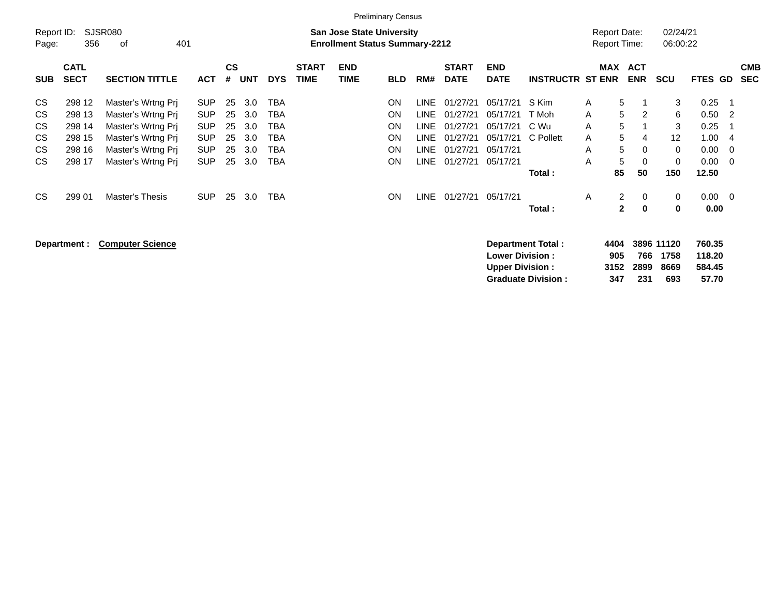|                                  |                                                          |                                                                                                                                  |                                                                                  |                                  |                                        |                                               |                             |                                                                           | <b>Preliminary Census</b>                                                  |                                                                   |                                                                      |                                                                      |                                               |                                            |                                                             |                                                                 |                                                       |                                       |                          |
|----------------------------------|----------------------------------------------------------|----------------------------------------------------------------------------------------------------------------------------------|----------------------------------------------------------------------------------|----------------------------------|----------------------------------------|-----------------------------------------------|-----------------------------|---------------------------------------------------------------------------|----------------------------------------------------------------------------|-------------------------------------------------------------------|----------------------------------------------------------------------|----------------------------------------------------------------------|-----------------------------------------------|--------------------------------------------|-------------------------------------------------------------|-----------------------------------------------------------------|-------------------------------------------------------|---------------------------------------|--------------------------|
| Report ID:<br>Page:              | 356                                                      | SJSR080<br>of<br>401                                                                                                             |                                                                                  |                                  |                                        |                                               |                             | <b>San Jose State University</b><br><b>Enrollment Status Summary-2212</b> |                                                                            |                                                                   |                                                                      |                                                                      |                                               | <b>Report Date:</b><br><b>Report Time:</b> |                                                             | 02/24/21<br>06:00:22                                            |                                                       |                                       |                          |
| <b>SUB</b>                       | <b>CATL</b><br><b>SECT</b>                               | <b>SECTION TITTLE</b>                                                                                                            | <b>ACT</b>                                                                       | <b>CS</b><br>#                   | UNT                                    | <b>DYS</b>                                    | <b>START</b><br><b>TIME</b> | <b>END</b><br>TIME                                                        | <b>BLD</b>                                                                 | RM#                                                               | <b>START</b><br><b>DATE</b>                                          | <b>END</b><br><b>DATE</b>                                            | <b>INSTRUCTR ST ENR</b>                       | <b>MAX</b>                                 | <b>ACT</b><br><b>ENR</b>                                    | <b>SCU</b>                                                      | <b>FTES GD</b>                                        |                                       | <b>CMB</b><br><b>SEC</b> |
| CS<br>CS<br>CS<br>CS<br>CS<br>CS | 298 12<br>298 13<br>298 14<br>298 15<br>298 16<br>298 17 | Master's Wrtng Pri<br>Master's Wrtng Pri<br>Master's Wrtng Prj<br>Master's Wrtng Prj<br>Master's Wrtng Prj<br>Master's Wrtng Pri | <b>SUP</b><br><b>SUP</b><br><b>SUP</b><br><b>SUP</b><br><b>SUP</b><br><b>SUP</b> | 25<br>25<br>25<br>25<br>25<br>25 | 3.0<br>3.0<br>3.0<br>3.0<br>3.0<br>3.0 | <b>TBA</b><br>TBA<br>TBA<br>ТВА<br>ТВА<br>TBA |                             |                                                                           | <b>ON</b><br><b>ON</b><br><b>ON</b><br><b>ON</b><br><b>ON</b><br><b>ON</b> | LINE<br>LINE<br>LINE<br><b>LINE</b><br><b>LINE</b><br><b>LINE</b> | 01/27/21<br>01/27/21<br>01/27/21<br>01/27/21<br>01/27/21<br>01/27/21 | 05/17/21<br>05/17/21<br>05/17/21<br>05/17/21<br>05/17/21<br>05/17/21 | S Kim<br>T Moh<br>C Wu<br>C Pollett<br>Total: | A<br>A<br>A<br>A<br>A<br>A<br>85           | 5<br>5<br>2<br>5<br>5<br>4<br>5<br>$\Omega$<br>5<br>0<br>50 | 3<br>6<br>3<br>$12 \overline{ }$<br>$\Omega$<br>$\Omega$<br>150 | 0.25<br>0.50<br>0.25<br>1.00<br>0.00<br>0.00<br>12.50 | -2<br>$\overline{4}$<br>0<br>$\Omega$ |                          |
| CS                               | 299 01                                                   | <b>Master's Thesis</b>                                                                                                           | <b>SUP</b>                                                                       | 25                               | 3.0                                    | TBA                                           |                             |                                                                           | <b>ON</b>                                                                  | LINE                                                              | 01/27/21                                                             | 05/17/21                                                             | Total :                                       | A                                          | $\overline{2}$<br>0<br>$\bf{0}$<br>$\mathbf{2}$             | $\mathbf 0$<br>$\bf{0}$                                         | 0.00<br>0.00                                          | $\overline{0}$                        |                          |

| Department: Computer Science | Department Total:         | 4404 |      | 3896 11120 | 760.35 |
|------------------------------|---------------------------|------|------|------------|--------|
|                              | <b>Lower Division:</b>    | 905  | 766  | 1758       | 118.20 |
|                              | <b>Upper Division:</b>    | 3152 | 2899 | 8669       | 584.45 |
|                              | <b>Graduate Division:</b> | 347  | 231  | 693        | 57.70  |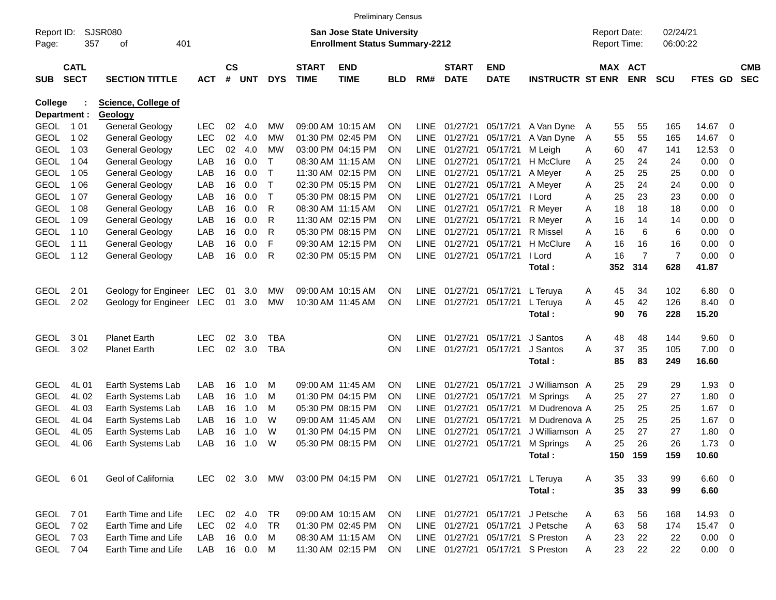|                     |                            |                            |            |                    |            |            |                             | <b>Preliminary Census</b>                                                 |            |             |                             |                           |                                  |                                     |     |                       |                      |                |                          |                          |
|---------------------|----------------------------|----------------------------|------------|--------------------|------------|------------|-----------------------------|---------------------------------------------------------------------------|------------|-------------|-----------------------------|---------------------------|----------------------------------|-------------------------------------|-----|-----------------------|----------------------|----------------|--------------------------|--------------------------|
| Report ID:<br>Page: | 357                        | SJSR080<br>401<br>οf       |            |                    |            |            |                             | <b>San Jose State University</b><br><b>Enrollment Status Summary-2212</b> |            |             |                             |                           |                                  | <b>Report Date:</b><br>Report Time: |     |                       | 02/24/21<br>06:00:22 |                |                          |                          |
| <b>SUB</b>          | <b>CATL</b><br><b>SECT</b> | <b>SECTION TITTLE</b>      | <b>ACT</b> | $\mathsf{cs}$<br># | <b>UNT</b> | <b>DYS</b> | <b>START</b><br><b>TIME</b> | <b>END</b><br><b>TIME</b>                                                 | <b>BLD</b> | RM#         | <b>START</b><br><b>DATE</b> | <b>END</b><br><b>DATE</b> | <b>INSTRUCTR ST ENR</b>          |                                     |     | MAX ACT<br><b>ENR</b> | <b>SCU</b>           | <b>FTES GD</b> |                          | <b>CMB</b><br><b>SEC</b> |
| College             |                            | <b>Science, College of</b> |            |                    |            |            |                             |                                                                           |            |             |                             |                           |                                  |                                     |     |                       |                      |                |                          |                          |
|                     | Department :               | Geology                    |            |                    |            |            |                             |                                                                           |            |             |                             |                           |                                  |                                     |     |                       |                      |                |                          |                          |
| <b>GEOL</b>         | 1 01                       | General Geology            | <b>LEC</b> | 02                 | 4.0        | МW         |                             | 09:00 AM 10:15 AM                                                         | <b>ON</b>  | <b>LINE</b> | 01/27/21                    | 05/17/21                  | A Van Dyne                       | A                                   | 55  | 55                    | 165                  | 14.67          | 0                        |                          |
| <b>GEOL</b>         | 1 0 2                      | <b>General Geology</b>     | <b>LEC</b> | 02                 | 4.0        | МW         |                             | 01:30 PM 02:45 PM                                                         | <b>ON</b>  | <b>LINE</b> | 01/27/21                    | 05/17/21                  | A Van Dyne                       | A                                   | 55  | 55                    | 165                  | 14.67          | 0                        |                          |
| <b>GEOL</b>         | 1 0 3                      | <b>General Geology</b>     | <b>LEC</b> | 02                 | 4.0        | МW         |                             | 03:00 PM 04:15 PM                                                         | <b>ON</b>  | <b>LINE</b> | 01/27/21                    | 05/17/21                  | M Leigh                          | A                                   | 60  | 47                    | 141                  | 12.53          | 0                        |                          |
| <b>GEOL</b>         | 1 0 4                      | <b>General Geology</b>     | LAB        | 16                 | 0.0        | т          |                             | 08:30 AM 11:15 AM                                                         | <b>ON</b>  | <b>LINE</b> | 01/27/21                    | 05/17/21                  | H McClure                        | Α                                   | 25  | 24                    | 24                   | 0.00           | 0                        |                          |
| <b>GEOL</b>         | 1 0 5                      | <b>General Geology</b>     | LAB        | 16                 | 0.0        |            |                             | 11:30 AM 02:15 PM                                                         | <b>ON</b>  | <b>LINE</b> | 01/27/21                    | 05/17/21                  | A Meyer                          | Α                                   | 25  | 25                    | 25                   | 0.00           | 0                        |                          |
| <b>GEOL</b>         | 1 0 6                      | <b>General Geology</b>     | LAB        | 16                 | 0.0        | Т          |                             | 02:30 PM 05:15 PM                                                         | <b>ON</b>  | <b>LINE</b> | 01/27/21                    | 05/17/21                  | A Meyer                          | Α                                   | 25  | 24                    | 24                   | 0.00           | 0                        |                          |
| <b>GEOL</b>         | 1 0 7                      | <b>General Geology</b>     | LAB        | 16                 | 0.0        | т          |                             | 05:30 PM 08:15 PM                                                         | <b>ON</b>  | <b>LINE</b> | 01/27/21                    | 05/17/21                  | l Lord                           | А                                   | 25  | 23                    | 23                   | 0.00           | 0                        |                          |
| <b>GEOL</b>         | 1 0 8                      | <b>General Geology</b>     | LAB        | 16                 | 0.0        | R          |                             | 08:30 AM 11:15 AM                                                         | <b>ON</b>  | <b>LINE</b> | 01/27/21                    | 05/17/21                  | R Meyer                          | Α                                   | 18  | 18                    | 18                   | 0.00           | 0                        |                          |
| <b>GEOL</b>         | 1 0 9                      | <b>General Geology</b>     | LAB        | 16                 | 0.0        | R          |                             | 11:30 AM 02:15 PM                                                         | <b>ON</b>  | <b>LINE</b> | 01/27/21                    | 05/17/21                  | R Meyer                          | Α                                   | 16  | 14                    | 14                   | 0.00           | 0                        |                          |
| <b>GEOL</b>         | 1 1 0                      | <b>General Geology</b>     | LAB        | 16                 | 0.0        | R          |                             | 05:30 PM 08:15 PM                                                         | <b>ON</b>  | <b>LINE</b> | 01/27/21                    | 05/17/21                  | R Missel                         | A                                   | 16  | 6                     | 6                    | 0.00           | 0                        |                          |
| <b>GEOL</b>         | 1 1 1                      | <b>General Geology</b>     | LAB        | 16                 | 0.0        | F          |                             | 09:30 AM 12:15 PM                                                         | <b>ON</b>  | <b>LINE</b> | 01/27/21                    | 05/17/21                  | H McClure                        | A                                   | 16  | 16                    | 16                   | 0.00           | 0                        |                          |
| <b>GEOL</b>         | 1 1 2                      | General Geology            | LAB        | 16                 | 0.0        | R          |                             | 02:30 PM 05:15 PM                                                         | ON         | <b>LINE</b> | 01/27/21                    | 05/17/21                  | l Lord                           | А                                   | 16  | $\overline{7}$        | $\overline{7}$       | 0.00           | $\overline{\mathbf{0}}$  |                          |
|                     |                            |                            |            |                    |            |            |                             |                                                                           |            |             |                             |                           | Total:                           |                                     | 352 | 314                   | 628                  | 41.87          |                          |                          |
| <b>GEOL</b>         | 2 0 1                      | Geology for Engineer LEC   |            | 01                 | 3.0        | MW         |                             | 09:00 AM 10:15 AM                                                         | <b>ON</b>  | <b>LINE</b> | 01/27/21                    | 05/17/21                  | L Teruya                         | A                                   | 45  | 34                    | 102                  | 6.80           | $\overline{\mathbf{0}}$  |                          |
| <b>GEOL</b>         | 2 0 2                      | Geology for Engineer       | LEC        | 01                 | 3.0        | <b>MW</b>  |                             | 10:30 AM 11:45 AM                                                         | ON         | <b>LINE</b> | 01/27/21                    | 05/17/21                  | L Teruya                         | A                                   | 45  | 42                    | 126                  | 8.40           | $\overline{\mathbf{0}}$  |                          |
|                     |                            |                            |            |                    |            |            |                             |                                                                           |            |             |                             |                           | Total:                           |                                     | 90  | 76                    | 228                  | 15.20          |                          |                          |
| <b>GEOL</b>         | 301                        | <b>Planet Earth</b>        | LEC        | 02                 | 3.0        | TBA        |                             |                                                                           | <b>ON</b>  | LINE        | 01/27/21                    | 05/17/21                  | J Santos                         | Α                                   | 48  | 48                    | 144                  | 9.60           | $\overline{\phantom{0}}$ |                          |
| <b>GEOL</b>         | 302                        | <b>Planet Earth</b>        | <b>LEC</b> | 02                 | 3.0        | <b>TBA</b> |                             |                                                                           | ON         | <b>LINE</b> | 01/27/21                    | 05/17/21                  | J Santos                         | A                                   | 37  | 35                    | 105                  | 7.00           | - 0                      |                          |
|                     |                            |                            |            |                    |            |            |                             |                                                                           |            |             |                             |                           | Total:                           |                                     | 85  | 83                    | 249                  | 16.60          |                          |                          |
|                     |                            |                            |            |                    |            |            |                             |                                                                           |            |             |                             |                           |                                  |                                     |     |                       |                      |                |                          |                          |
| <b>GEOL</b>         | 4L 01                      | Earth Systems Lab          | LAB        | 16                 | 1.0        | м          |                             | 09:00 AM 11:45 AM                                                         | <b>ON</b>  | LINE        | 01/27/21                    | 05/17/21                  | J Williamson A                   |                                     | 25  | 29                    | 29                   | 1.93           | $\overline{\mathbf{0}}$  |                          |
| <b>GEOL</b>         | 4L02                       | Earth Systems Lab          | LAB        | 16                 | 1.0        | M          |                             | 01:30 PM 04:15 PM                                                         | <b>ON</b>  | <b>LINE</b> | 01/27/21                    | 05/17/21                  | M Springs                        | A                                   | 25  | 27                    | 27                   | 1.80           | $\overline{\mathbf{0}}$  |                          |
| <b>GEOL</b>         | 4L03                       | Earth Systems Lab          | LAB        | 16                 | 1.0        | M          |                             | 05:30 PM 08:15 PM                                                         | <b>ON</b>  | <b>LINE</b> | 01/27/21                    | 05/17/21                  | M Dudrenova A                    |                                     | 25  | 25                    | 25                   | 1.67           | 0                        |                          |
| <b>GEOL</b>         | 4L04                       | Earth Systems Lab          | LAB        | 16                 | 1.0        | W          |                             | 09:00 AM 11:45 AM                                                         | <b>ON</b>  | <b>LINE</b> | 01/27/21                    | 05/17/21                  | M Dudrenova A                    |                                     | 25  | 25                    | 25                   | 1.67           | 0                        |                          |
| <b>GEOL</b>         | 4L05                       | Earth Systems Lab          | LAB        | 16                 | 1.0        | W          |                             | 01:30 PM 04:15 PM                                                         | <b>ON</b>  | <b>LINE</b> | 01/27/21                    | 05/17/21                  | J Williamson A                   |                                     | 25  | 27                    | 27                   | 1.80           | 0                        |                          |
| <b>GEOL</b>         | 4L06                       | Earth Systems Lab          | LAB        | 16                 | 1.0        | W          |                             | 05:30 PM 08:15 PM                                                         | ON         | <b>LINE</b> | 01/27/21                    | 05/17/21                  | M Springs<br>Total:              | A                                   | 25  | 26<br>150 159         | 26<br>159            | 1.73<br>10.60  | 0                        |                          |
|                     |                            |                            |            |                    |            |            |                             |                                                                           |            |             |                             |                           |                                  |                                     |     |                       |                      |                |                          |                          |
| GEOL 601            |                            | Geol of California         | LEC 02 3.0 |                    |            | MW         |                             | 03:00 PM 04:15 PM                                                         | ON         |             |                             | LINE 01/27/21 05/17/21    | L Teruya                         | A                                   | 35  | 33                    | 99                   | $6.60$ 0       |                          |                          |
|                     |                            |                            |            |                    |            |            |                             |                                                                           |            |             |                             |                           | Total:                           |                                     | 35  | 33                    | 99                   | 6.60           |                          |                          |
| GEOL 701            |                            | Earth Time and Life        | LEC.       |                    | 02 4.0     | TR         |                             | 09:00 AM 10:15 AM                                                         | <b>ON</b>  |             | LINE 01/27/21               |                           | 05/17/21 J Petsche               | A                                   | 63  | 56                    | 168                  | 14.93 0        |                          |                          |
|                     | GEOL 702                   | Earth Time and Life        | LEC.       |                    | 02 4.0     | TR         |                             | 01:30 PM 02:45 PM                                                         | <b>ON</b>  |             | LINE 01/27/21               |                           | 05/17/21 J Petsche               | A                                   | 63  | 58                    | 174                  | 15.47 0        |                          |                          |
|                     | GEOL 703                   | Earth Time and Life        | LAB        |                    | 16 0.0     | M          |                             | 08:30 AM 11:15 AM                                                         | <b>ON</b>  |             | LINE 01/27/21               |                           | 05/17/21 S Preston               | A                                   | 23  | 22                    | 22                   | $0.00 \t 0$    |                          |                          |
|                     | GEOL 704                   | Earth Time and Life        | LAB        |                    | 16 0.0     | M          |                             | 11:30 AM 02:15 PM                                                         | ON         |             |                             |                           | LINE 01/27/21 05/17/21 S Preston | A                                   | 23  | 22                    | 22                   | $0.00 \t 0$    |                          |                          |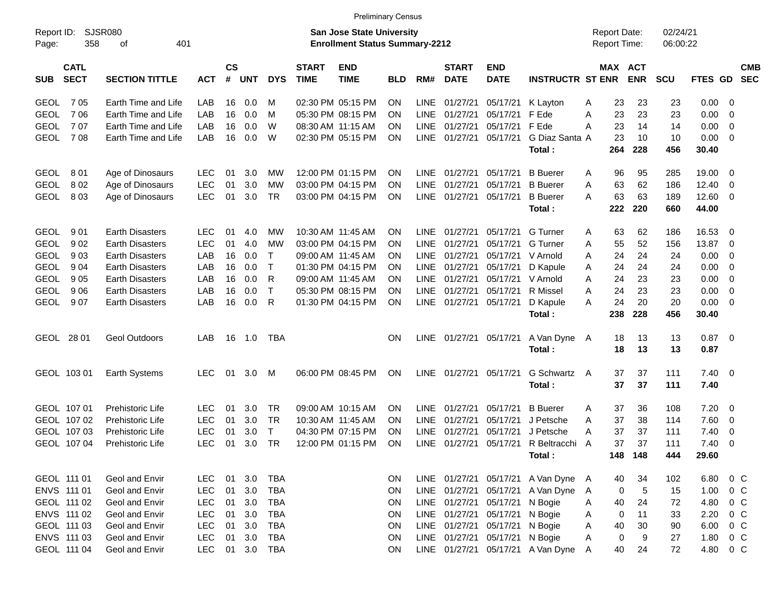| <b>SJSR080</b><br>02/24/21<br>Report ID:<br><b>San Jose State University</b><br><b>Report Date:</b><br>358<br>401<br><b>Enrollment Status Summary-2212</b><br>Report Time:<br>06:00:22<br>Page:<br>οf<br>$\mathsf{cs}$<br>MAX ACT<br><b>CATL</b><br><b>START</b><br><b>END</b><br><b>START</b><br><b>END</b><br><b>CMB</b><br><b>SECT</b><br><b>ENR</b><br><b>SECTION TITTLE</b><br>#<br><b>UNT</b><br><b>DYS</b><br><b>TIME</b><br>RM#<br><b>DATE</b><br><b>DATE</b><br><b>INSTRUCTR ST ENR</b><br><b>SCU</b><br><b>FTES GD</b><br><b>SEC</b><br><b>SUB</b><br><b>ACT</b><br><b>TIME</b><br><b>BLD</b><br>705<br><b>LINE</b><br>01/27/21<br>23<br>0.00<br><b>GEOL</b><br>Earth Time and Life<br>LAB<br>16<br>0.0<br>02:30 PM 05:15 PM<br><b>ON</b><br>05/17/21<br>K Layton<br>23<br>23<br>0<br>м<br>Α<br>706<br><b>GEOL</b><br>Earth Time and Life<br>05:30 PM 08:15 PM<br><b>LINE</b><br>01/27/21<br>F Ede<br>A<br>23<br>23<br>23<br>0.00<br>LAB<br>16<br>0.0<br>м<br>ON.<br>05/17/21<br>0<br><b>GEOL</b><br>707<br>Earth Time and Life<br>W<br><b>LINE</b><br>01/27/21<br>05/17/21<br>F Ede<br>23<br>0.00<br>LAB<br>16<br>0.0<br>08:30 AM 11:15 AM<br>ON.<br>Α<br>14<br>14<br>0<br><b>GEOL</b><br>708<br>0.0<br>W<br><b>LINE</b><br>01/27/21<br>23<br>10<br>0.00<br>Earth Time and Life<br>LAB<br>16<br>02:30 PM 05:15 PM<br>ON.<br>05/17/21<br>G Diaz Santa A<br>10<br>0<br>264<br>228<br>456<br>30.40<br>Total:<br>801<br>3.0<br>12:00 PM 01:15 PM<br><b>LINE</b><br>01/27/21<br><b>B</b> Buerer<br>19.00<br><b>GEOL</b><br>Age of Dinosaurs<br><b>LEC</b><br>01<br>МW<br><b>ON</b><br>05/17/21<br>96<br>95<br>285<br>$\mathbf 0$<br>Α<br><b>GEOL</b><br>8 0 2<br><b>LEC</b><br>3.0<br>03:00 PM 04:15 PM<br><b>LINE</b><br>01/27/21<br>05/17/21<br><b>B</b> Buerer<br>63<br>62<br>12.40<br>Age of Dinosaurs<br>01<br>МW<br>ON.<br>Α<br>186<br>0<br>803<br><b>LEC</b><br><b>TR</b><br><b>LINE</b><br>01/27/21<br>63<br>63<br>12.60<br><b>GEOL</b><br>Age of Dinosaurs<br>01<br>3.0<br>03:00 PM 04:15 PM<br>ON.<br>05/17/21<br><b>B</b> Buerer<br>A<br>189<br>0<br>222<br>220<br>660<br>44.00<br>Total: |
|------------------------------------------------------------------------------------------------------------------------------------------------------------------------------------------------------------------------------------------------------------------------------------------------------------------------------------------------------------------------------------------------------------------------------------------------------------------------------------------------------------------------------------------------------------------------------------------------------------------------------------------------------------------------------------------------------------------------------------------------------------------------------------------------------------------------------------------------------------------------------------------------------------------------------------------------------------------------------------------------------------------------------------------------------------------------------------------------------------------------------------------------------------------------------------------------------------------------------------------------------------------------------------------------------------------------------------------------------------------------------------------------------------------------------------------------------------------------------------------------------------------------------------------------------------------------------------------------------------------------------------------------------------------------------------------------------------------------------------------------------------------------------------------------------------------------------------------------------------------------------------------------------------------------------------------------------------------------------------------------------------------------------------------------------------------------------------------------------------|
|                                                                                                                                                                                                                                                                                                                                                                                                                                                                                                                                                                                                                                                                                                                                                                                                                                                                                                                                                                                                                                                                                                                                                                                                                                                                                                                                                                                                                                                                                                                                                                                                                                                                                                                                                                                                                                                                                                                                                                                                                                                                                                            |
|                                                                                                                                                                                                                                                                                                                                                                                                                                                                                                                                                                                                                                                                                                                                                                                                                                                                                                                                                                                                                                                                                                                                                                                                                                                                                                                                                                                                                                                                                                                                                                                                                                                                                                                                                                                                                                                                                                                                                                                                                                                                                                            |
|                                                                                                                                                                                                                                                                                                                                                                                                                                                                                                                                                                                                                                                                                                                                                                                                                                                                                                                                                                                                                                                                                                                                                                                                                                                                                                                                                                                                                                                                                                                                                                                                                                                                                                                                                                                                                                                                                                                                                                                                                                                                                                            |
|                                                                                                                                                                                                                                                                                                                                                                                                                                                                                                                                                                                                                                                                                                                                                                                                                                                                                                                                                                                                                                                                                                                                                                                                                                                                                                                                                                                                                                                                                                                                                                                                                                                                                                                                                                                                                                                                                                                                                                                                                                                                                                            |
|                                                                                                                                                                                                                                                                                                                                                                                                                                                                                                                                                                                                                                                                                                                                                                                                                                                                                                                                                                                                                                                                                                                                                                                                                                                                                                                                                                                                                                                                                                                                                                                                                                                                                                                                                                                                                                                                                                                                                                                                                                                                                                            |
|                                                                                                                                                                                                                                                                                                                                                                                                                                                                                                                                                                                                                                                                                                                                                                                                                                                                                                                                                                                                                                                                                                                                                                                                                                                                                                                                                                                                                                                                                                                                                                                                                                                                                                                                                                                                                                                                                                                                                                                                                                                                                                            |
|                                                                                                                                                                                                                                                                                                                                                                                                                                                                                                                                                                                                                                                                                                                                                                                                                                                                                                                                                                                                                                                                                                                                                                                                                                                                                                                                                                                                                                                                                                                                                                                                                                                                                                                                                                                                                                                                                                                                                                                                                                                                                                            |
|                                                                                                                                                                                                                                                                                                                                                                                                                                                                                                                                                                                                                                                                                                                                                                                                                                                                                                                                                                                                                                                                                                                                                                                                                                                                                                                                                                                                                                                                                                                                                                                                                                                                                                                                                                                                                                                                                                                                                                                                                                                                                                            |
|                                                                                                                                                                                                                                                                                                                                                                                                                                                                                                                                                                                                                                                                                                                                                                                                                                                                                                                                                                                                                                                                                                                                                                                                                                                                                                                                                                                                                                                                                                                                                                                                                                                                                                                                                                                                                                                                                                                                                                                                                                                                                                            |
|                                                                                                                                                                                                                                                                                                                                                                                                                                                                                                                                                                                                                                                                                                                                                                                                                                                                                                                                                                                                                                                                                                                                                                                                                                                                                                                                                                                                                                                                                                                                                                                                                                                                                                                                                                                                                                                                                                                                                                                                                                                                                                            |
|                                                                                                                                                                                                                                                                                                                                                                                                                                                                                                                                                                                                                                                                                                                                                                                                                                                                                                                                                                                                                                                                                                                                                                                                                                                                                                                                                                                                                                                                                                                                                                                                                                                                                                                                                                                                                                                                                                                                                                                                                                                                                                            |
|                                                                                                                                                                                                                                                                                                                                                                                                                                                                                                                                                                                                                                                                                                                                                                                                                                                                                                                                                                                                                                                                                                                                                                                                                                                                                                                                                                                                                                                                                                                                                                                                                                                                                                                                                                                                                                                                                                                                                                                                                                                                                                            |
| 901<br><b>Earth Disasters</b><br><b>LINE</b><br>01/27/21<br>62<br>16.53<br><b>GEOL</b><br><b>LEC</b><br>01<br>4.0<br>МW<br>10:30 AM 11:45 AM<br>ON.<br>05/17/21<br>G Turner<br>63<br>186<br>0<br>Α                                                                                                                                                                                                                                                                                                                                                                                                                                                                                                                                                                                                                                                                                                                                                                                                                                                                                                                                                                                                                                                                                                                                                                                                                                                                                                                                                                                                                                                                                                                                                                                                                                                                                                                                                                                                                                                                                                         |
| <b>GEOL</b><br>902<br><b>Earth Disasters</b><br><b>LEC</b><br>4.0<br>03:00 PM 04:15 PM<br><b>LINE</b><br>01/27/21<br>52<br>13.87<br>01<br>MW<br>ON.<br>05/17/21<br><b>G</b> Turner<br>55<br>156<br>0<br>A                                                                                                                                                                                                                                                                                                                                                                                                                                                                                                                                                                                                                                                                                                                                                                                                                                                                                                                                                                                                                                                                                                                                                                                                                                                                                                                                                                                                                                                                                                                                                                                                                                                                                                                                                                                                                                                                                                  |
| <b>GEOL</b><br>903<br>$\mathsf{T}$<br><b>LINE</b><br>01/27/21<br>0.00<br><b>Earth Disasters</b><br>LAB<br>16<br>0.0<br>09:00 AM 11:45 AM<br>ON.<br>05/17/21<br>V Arnold<br>24<br>24<br>24<br>0<br>A                                                                                                                                                                                                                                                                                                                                                                                                                                                                                                                                                                                                                                                                                                                                                                                                                                                                                                                                                                                                                                                                                                                                                                                                                                                                                                                                                                                                                                                                                                                                                                                                                                                                                                                                                                                                                                                                                                        |
| <b>GEOL</b><br>904<br>0.0<br>$\top$<br>01:30 PM 04:15 PM<br><b>LINE</b><br>01/27/21<br>0.00<br><b>Earth Disasters</b><br>LAB<br>16<br>ON.<br>05/17/21<br>D Kapule<br>24<br>24<br>24<br>0<br>Α                                                                                                                                                                                                                                                                                                                                                                                                                                                                                                                                                                                                                                                                                                                                                                                                                                                                                                                                                                                                                                                                                                                                                                                                                                                                                                                                                                                                                                                                                                                                                                                                                                                                                                                                                                                                                                                                                                              |
| <b>GEOL</b><br>905<br>0.0<br>R<br><b>LINE</b><br>01/27/21<br>24<br>23<br>0.00<br><b>Earth Disasters</b><br>LAB<br>16<br>09:00 AM 11:45 AM<br>ON.<br>05/17/21<br>V Arnold<br>Α<br>23<br>0                                                                                                                                                                                                                                                                                                                                                                                                                                                                                                                                                                                                                                                                                                                                                                                                                                                                                                                                                                                                                                                                                                                                                                                                                                                                                                                                                                                                                                                                                                                                                                                                                                                                                                                                                                                                                                                                                                                   |
| $\top$<br><b>GEOL</b><br>906<br>05:30 PM 08:15 PM<br><b>LINE</b><br>01/27/21<br>24<br>23<br>23<br>0.00<br><b>Earth Disasters</b><br>LAB<br>16<br>0.0<br>ON.<br>05/17/21<br>R Missel<br>Α<br>0                                                                                                                                                                                                                                                                                                                                                                                                                                                                                                                                                                                                                                                                                                                                                                                                                                                                                                                                                                                                                                                                                                                                                                                                                                                                                                                                                                                                                                                                                                                                                                                                                                                                                                                                                                                                                                                                                                              |
| <b>GEOL</b><br>907<br>0.0<br>R<br><b>LINE</b><br>01/27/21<br>24<br>20<br>20<br>0.00<br><b>Earth Disasters</b><br>LAB<br>16<br>01:30 PM 04:15 PM<br>ON.<br>05/17/21<br>D Kapule<br>Α<br>0                                                                                                                                                                                                                                                                                                                                                                                                                                                                                                                                                                                                                                                                                                                                                                                                                                                                                                                                                                                                                                                                                                                                                                                                                                                                                                                                                                                                                                                                                                                                                                                                                                                                                                                                                                                                                                                                                                                   |
| 238<br>228<br>456<br>30.40<br>Total:                                                                                                                                                                                                                                                                                                                                                                                                                                                                                                                                                                                                                                                                                                                                                                                                                                                                                                                                                                                                                                                                                                                                                                                                                                                                                                                                                                                                                                                                                                                                                                                                                                                                                                                                                                                                                                                                                                                                                                                                                                                                       |
| GEOL 28 01<br><b>LINE</b><br>01/27/21<br>13<br>$0.87$ 0<br><b>Geol Outdoors</b><br>LAB<br>16<br>1.0<br>TBA<br>ON.<br>05/17/21<br>A Van Dyne<br>18<br>13<br>A                                                                                                                                                                                                                                                                                                                                                                                                                                                                                                                                                                                                                                                                                                                                                                                                                                                                                                                                                                                                                                                                                                                                                                                                                                                                                                                                                                                                                                                                                                                                                                                                                                                                                                                                                                                                                                                                                                                                               |
| 18<br>13<br>0.87<br>Total:<br>13                                                                                                                                                                                                                                                                                                                                                                                                                                                                                                                                                                                                                                                                                                                                                                                                                                                                                                                                                                                                                                                                                                                                                                                                                                                                                                                                                                                                                                                                                                                                                                                                                                                                                                                                                                                                                                                                                                                                                                                                                                                                           |
|                                                                                                                                                                                                                                                                                                                                                                                                                                                                                                                                                                                                                                                                                                                                                                                                                                                                                                                                                                                                                                                                                                                                                                                                                                                                                                                                                                                                                                                                                                                                                                                                                                                                                                                                                                                                                                                                                                                                                                                                                                                                                                            |
| 06:00 PM 08:45 PM<br><b>LINE</b><br>01/27/21<br><b>G Schwartz</b><br>37<br>$7.40 \quad 0$<br>GEOL 103 01<br><b>Earth Systems</b><br><b>LEC</b><br>01<br>3.0<br>M<br>ON.<br>05/17/21<br>37<br>111<br>A                                                                                                                                                                                                                                                                                                                                                                                                                                                                                                                                                                                                                                                                                                                                                                                                                                                                                                                                                                                                                                                                                                                                                                                                                                                                                                                                                                                                                                                                                                                                                                                                                                                                                                                                                                                                                                                                                                      |
| 37<br>37<br>111<br>7.40<br>Total:                                                                                                                                                                                                                                                                                                                                                                                                                                                                                                                                                                                                                                                                                                                                                                                                                                                                                                                                                                                                                                                                                                                                                                                                                                                                                                                                                                                                                                                                                                                                                                                                                                                                                                                                                                                                                                                                                                                                                                                                                                                                          |
| 3.0<br>01/27/21<br><b>B</b> Buerer<br>36<br>7.20<br>GEOL 107 01<br><b>Prehistoric Life</b><br><b>LEC</b><br>01<br>TR<br>09:00 AM 10:15 AM<br><b>ON</b><br><b>LINE</b><br>05/17/21<br>37<br>108<br>0<br>Α                                                                                                                                                                                                                                                                                                                                                                                                                                                                                                                                                                                                                                                                                                                                                                                                                                                                                                                                                                                                                                                                                                                                                                                                                                                                                                                                                                                                                                                                                                                                                                                                                                                                                                                                                                                                                                                                                                   |
| <b>LEC</b><br>3.0<br><b>TR</b><br><b>LINE</b><br>01/27/21<br>J Petsche<br>38<br>7.60<br>GEOL 107 02<br>Prehistoric Life<br>01<br>10:30 AM 11:45 AM<br>ON.<br>05/17/21<br>37<br>114<br>0<br>A                                                                                                                                                                                                                                                                                                                                                                                                                                                                                                                                                                                                                                                                                                                                                                                                                                                                                                                                                                                                                                                                                                                                                                                                                                                                                                                                                                                                                                                                                                                                                                                                                                                                                                                                                                                                                                                                                                               |
| $\mathsf{T}$<br><b>LINE</b><br>01/27/21<br>37<br>GEOL 107 03<br>Prehistoric Life<br>LEC<br>3.0<br>04:30 PM 07:15 PM<br>ON.<br>05/17/21<br>J Petsche<br>37<br>111<br>7.40<br>0<br>01<br>Α                                                                                                                                                                                                                                                                                                                                                                                                                                                                                                                                                                                                                                                                                                                                                                                                                                                                                                                                                                                                                                                                                                                                                                                                                                                                                                                                                                                                                                                                                                                                                                                                                                                                                                                                                                                                                                                                                                                   |
| <b>TR</b><br><b>LINE</b><br>37<br>37<br>GEOL 107 04<br><b>LEC</b><br>01<br>3.0<br>12:00 PM 01:15 PM<br>ON.<br>01/27/21<br>05/17/21<br>R Beltracchi<br>111<br>7.40<br>0<br><b>Prehistoric Life</b><br>A                                                                                                                                                                                                                                                                                                                                                                                                                                                                                                                                                                                                                                                                                                                                                                                                                                                                                                                                                                                                                                                                                                                                                                                                                                                                                                                                                                                                                                                                                                                                                                                                                                                                                                                                                                                                                                                                                                     |
| Total:<br>148 148<br>444<br>29.60                                                                                                                                                                                                                                                                                                                                                                                                                                                                                                                                                                                                                                                                                                                                                                                                                                                                                                                                                                                                                                                                                                                                                                                                                                                                                                                                                                                                                                                                                                                                                                                                                                                                                                                                                                                                                                                                                                                                                                                                                                                                          |
| GEOL 111 01<br>Geol and Envir<br>3.0<br><b>TBA</b><br>05/17/21 A Van Dyne<br>6.80<br><b>LEC</b><br>01<br>ON<br>LINE 01/27/21<br>40<br>34<br>102<br>0 <sup>o</sup>                                                                                                                                                                                                                                                                                                                                                                                                                                                                                                                                                                                                                                                                                                                                                                                                                                                                                                                                                                                                                                                                                                                                                                                                                                                                                                                                                                                                                                                                                                                                                                                                                                                                                                                                                                                                                                                                                                                                          |
| A<br>3.0<br>ENVS 111 01<br>Geol and Envir<br><b>LEC</b><br><b>TBA</b><br>LINE 01/27/21<br>05/17/21<br>5<br>1.00<br>0 <sup>o</sup><br>01<br>ON<br>A Van Dyne<br>0<br>15<br>A                                                                                                                                                                                                                                                                                                                                                                                                                                                                                                                                                                                                                                                                                                                                                                                                                                                                                                                                                                                                                                                                                                                                                                                                                                                                                                                                                                                                                                                                                                                                                                                                                                                                                                                                                                                                                                                                                                                                |
| GEOL 111 02<br>Geol and Envir<br><b>LEC</b><br>3.0<br><b>TBA</b><br>LINE 01/27/21<br>05/17/21<br>N Bogie<br>4.80<br>01<br>ON<br>40<br>24<br>72<br>0 <sup>o</sup><br>A                                                                                                                                                                                                                                                                                                                                                                                                                                                                                                                                                                                                                                                                                                                                                                                                                                                                                                                                                                                                                                                                                                                                                                                                                                                                                                                                                                                                                                                                                                                                                                                                                                                                                                                                                                                                                                                                                                                                      |
| ENVS 111 02<br>Geol and Envir<br><b>LEC</b><br>3.0<br><b>TBA</b><br>LINE 01/27/21<br>05/17/21<br>N Bogie<br>0<br>11<br>2.20<br>01<br>ON<br>33<br>0 <sup>o</sup><br>A                                                                                                                                                                                                                                                                                                                                                                                                                                                                                                                                                                                                                                                                                                                                                                                                                                                                                                                                                                                                                                                                                                                                                                                                                                                                                                                                                                                                                                                                                                                                                                                                                                                                                                                                                                                                                                                                                                                                       |
| GEOL 111 03<br>Geol and Envir<br><b>LEC</b><br>3.0<br><b>TBA</b><br>LINE 01/27/21<br>05/17/21<br>N Bogie<br>40<br>30<br>6.00<br>0 <sup>o</sup><br>01<br>ON<br>Α<br>90                                                                                                                                                                                                                                                                                                                                                                                                                                                                                                                                                                                                                                                                                                                                                                                                                                                                                                                                                                                                                                                                                                                                                                                                                                                                                                                                                                                                                                                                                                                                                                                                                                                                                                                                                                                                                                                                                                                                      |
| ENVS 111 03<br>Geol and Envir<br>LEC<br>3.0<br><b>TBA</b><br>LINE 01/27/21<br>05/17/21<br>N Bogie<br>$\mathbf 0$<br>9<br>1.80<br>0 <sup>o</sup><br>01<br>ON<br>27<br>A                                                                                                                                                                                                                                                                                                                                                                                                                                                                                                                                                                                                                                                                                                                                                                                                                                                                                                                                                                                                                                                                                                                                                                                                                                                                                                                                                                                                                                                                                                                                                                                                                                                                                                                                                                                                                                                                                                                                     |
| GEOL 111 04<br>Geol and Envir<br><b>LEC</b><br>3.0<br><b>TBA</b><br>ON<br>LINE 01/27/21 05/17/21<br>A Van Dyne<br>40<br>24<br>72<br>4.80<br>$0\,C$<br>01<br>Α                                                                                                                                                                                                                                                                                                                                                                                                                                                                                                                                                                                                                                                                                                                                                                                                                                                                                                                                                                                                                                                                                                                                                                                                                                                                                                                                                                                                                                                                                                                                                                                                                                                                                                                                                                                                                                                                                                                                              |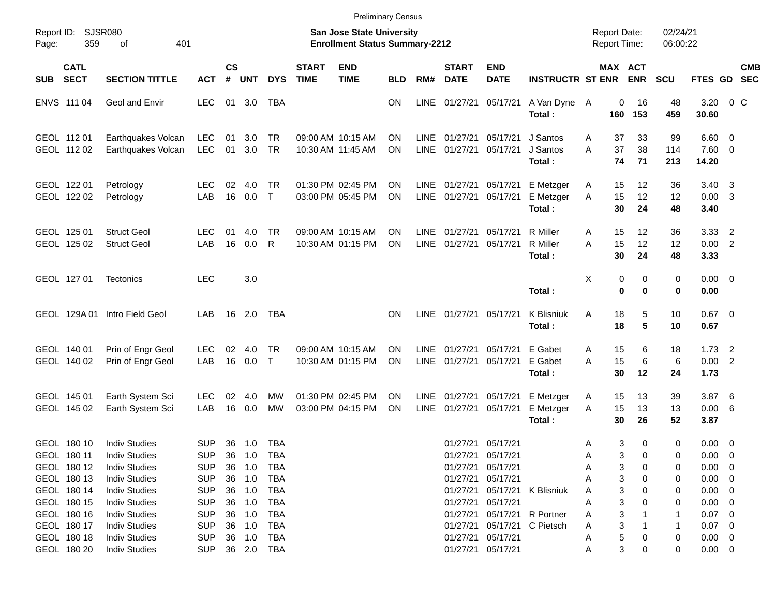|                     |                                                          |                                                                                              |                                                      |                |                             |                                                      |                             | <b>Preliminary Census</b>                                                 |                        |                            |                                                    |                                              |                                  |                  |                  |                                     |                      |                                                          |                                                     |                          |
|---------------------|----------------------------------------------------------|----------------------------------------------------------------------------------------------|------------------------------------------------------|----------------|-----------------------------|------------------------------------------------------|-----------------------------|---------------------------------------------------------------------------|------------------------|----------------------------|----------------------------------------------------|----------------------------------------------|----------------------------------|------------------|------------------|-------------------------------------|----------------------|----------------------------------------------------------|-----------------------------------------------------|--------------------------|
| Report ID:<br>Page: | 359                                                      | <b>SJSR080</b><br>401<br>оf                                                                  |                                                      |                |                             |                                                      |                             | <b>San Jose State University</b><br><b>Enrollment Status Summary-2212</b> |                        |                            |                                                    |                                              |                                  |                  |                  | <b>Report Date:</b><br>Report Time: | 02/24/21<br>06:00:22 |                                                          |                                                     |                          |
| <b>SUB</b>          | <b>CATL</b><br><b>SECT</b>                               | <b>SECTION TITTLE</b>                                                                        | <b>ACT</b>                                           | <b>CS</b><br># | <b>UNT</b>                  | <b>DYS</b>                                           | <b>START</b><br><b>TIME</b> | <b>END</b><br><b>TIME</b>                                                 | <b>BLD</b>             | RM#                        | <b>START</b><br><b>DATE</b>                        | <b>END</b><br><b>DATE</b>                    | <b>INSTRUCTR ST ENR</b>          |                  |                  | MAX ACT<br><b>ENR</b>               | <b>SCU</b>           | FTES GD                                                  |                                                     | <b>CMB</b><br><b>SEC</b> |
|                     | ENVS 111 04                                              | Geol and Envir                                                                               | <b>LEC</b>                                           | 01             | 3.0                         | TBA                                                  |                             |                                                                           | <b>ON</b>              | LINE                       | 01/27/21                                           | 05/17/21                                     | A Van Dyne A<br>Total:           |                  | 0<br>160         | 16<br>153                           | 48<br>459            | 3.20<br>30.60                                            | $0\,C$                                              |                          |
|                     | GEOL 112 01<br>GEOL 112 02                               | Earthquakes Volcan<br>Earthquakes Volcan                                                     | <b>LEC</b><br><b>LEC</b>                             | 01<br>01       | 3.0<br>3.0                  | <b>TR</b><br><b>TR</b>                               |                             | 09:00 AM 10:15 AM<br>10:30 AM 11:45 AM                                    | <b>ON</b><br><b>ON</b> | <b>LINE</b><br><b>LINE</b> | 01/27/21<br>01/27/21                               | 05/17/21<br>05/17/21                         | J Santos<br>J Santos<br>Total:   | A<br>A           | 37<br>37<br>74   | 33<br>38<br>71                      | 99<br>114<br>213     | 6.60<br>7.60<br>14.20                                    | $\overline{\mathbf{0}}$<br>$\overline{0}$           |                          |
|                     | GEOL 122 01<br>GEOL 122 02                               | Petrology<br>Petrology                                                                       | LEC<br>LAB                                           | 02<br>16       | 4.0<br>0.0                  | <b>TR</b><br>$\mathsf{T}$                            |                             | 01:30 PM 02:45 PM<br>03:00 PM 05:45 PM                                    | <b>ON</b><br><b>ON</b> | LINE<br><b>LINE</b>        | 01/27/21<br>01/27/21                               | 05/17/21<br>05/17/21                         | E Metzger<br>E Metzger<br>Total: | A<br>A           | 15<br>15<br>30   | 12<br>12<br>24                      | 36<br>12<br>48       | 3.40<br>0.00<br>3.40                                     | - 3<br>-3                                           |                          |
|                     | GEOL 125 01<br>GEOL 125 02                               | <b>Struct Geol</b><br><b>Struct Geol</b>                                                     | <b>LEC</b><br>LAB                                    | 01<br>16       | 4.0<br>0.0                  | <b>TR</b><br>R                                       |                             | 09:00 AM 10:15 AM<br>10:30 AM 01:15 PM                                    | <b>ON</b><br>ON        | <b>LINE</b><br><b>LINE</b> | 01/27/21<br>01/27/21                               | 05/17/21<br>05/17/21                         | R Miller<br>R Miller<br>Total:   | A<br>A           | 15<br>15<br>30   | 12<br>12<br>24                      | 36<br>12<br>48       | 3.33<br>0.00<br>3.33                                     | $\overline{2}$<br>$\overline{2}$                    |                          |
|                     | GEOL 127 01                                              | <b>Tectonics</b>                                                                             | <b>LEC</b>                                           |                | 3.0                         |                                                      |                             |                                                                           |                        |                            |                                                    |                                              | Total:                           | X                | 0<br>$\mathbf 0$ | 0<br>0                              | 0<br>0               | 0.00<br>0.00                                             | $\overline{\mathbf{0}}$                             |                          |
|                     |                                                          | GEOL 129A 01 Intro Field Geol                                                                | LAB                                                  | 16             | 2.0                         | <b>TBA</b>                                           |                             |                                                                           | <b>ON</b>              | LINE                       | 01/27/21                                           | 05/17/21                                     | <b>K</b> Blisniuk<br>Total:      | A                | 18<br>18         | 5<br>5                              | 10<br>10             | 0.67<br>0.67                                             | $\overline{\mathbf{0}}$                             |                          |
|                     | GEOL 140 01<br>GEOL 140 02                               | Prin of Engr Geol<br>Prin of Engr Geol                                                       | <b>LEC</b><br>LAB                                    | 02<br>16       | 4.0<br>0.0                  | <b>TR</b><br>$\mathsf{T}$                            |                             | 09:00 AM 10:15 AM<br>10:30 AM 01:15 PM                                    | <b>ON</b><br>ON        | <b>LINE</b><br><b>LINE</b> | 01/27/21<br>01/27/21                               | 05/17/21<br>05/17/21                         | E Gabet<br>E Gabet<br>Total:     | A<br>A           | 15<br>15<br>30   | 6<br>6<br>12                        | 18<br>6<br>24        | 1.73<br>0.00<br>1.73                                     | $\overline{2}$<br>$\overline{2}$                    |                          |
|                     | GEOL 145 01<br>GEOL 145 02                               | Earth System Sci<br>Earth System Sci                                                         | <b>LEC</b><br>LAB                                    | 02<br>16       | 4.0<br>0.0                  | MW<br>MW                                             |                             | 01:30 PM 02:45 PM<br>03:00 PM 04:15 PM                                    | <b>ON</b><br><b>ON</b> | LINE<br><b>LINE</b>        | 01/27/21<br>01/27/21                               | 05/17/21<br>05/17/21                         | E Metzger<br>E Metzger<br>Total: | A<br>A           | 15<br>15<br>30   | 13<br>13<br>26                      | 39<br>13<br>52       | 3.87<br>0.00<br>3.87                                     | - 6<br>6                                            |                          |
|                     | GEOL 180 10<br>GEOL 180 11<br>GEOL 180 12                | <b>Indiv Studies</b><br><b>Indiv Studies</b><br><b>Indiv Studies</b>                         | <b>SUP</b><br><b>SUP</b><br><b>SUP</b>               | 36<br>36       | 36 1.0<br>1.0<br>1.0        | <b>TBA</b><br>TBA<br><b>TBA</b>                      |                             |                                                                           |                        |                            | 01/27/21 05/17/21<br>01/27/21 05/17/21<br>01/27/21 | 05/17/21                                     |                                  | Α<br>Α<br>Α      | 3<br>3<br>3      | 0<br>0<br>0                         | 0<br>0<br>0          | 0.00<br>$0.00 \t 0$<br>0.00                              | $\overline{\mathbf{0}}$<br>$\overline{\phantom{0}}$ |                          |
|                     | GEOL 180 13<br>GEOL 180 14<br>GEOL 180 15<br>GEOL 180 16 | <b>Indiv Studies</b><br><b>Indiv Studies</b><br><b>Indiv Studies</b><br><b>Indiv Studies</b> | <b>SUP</b><br><b>SUP</b><br><b>SUP</b><br><b>SUP</b> | 36<br>36<br>36 | 36 1.0<br>1.0<br>1.0<br>1.0 | <b>TBA</b><br><b>TBA</b><br><b>TBA</b><br><b>TBA</b> |                             |                                                                           |                        |                            | 01/27/21<br>01/27/21<br>01/27/21<br>01/27/21       | 05/17/21<br>05/17/21<br>05/17/21<br>05/17/21 | K Blisniuk<br>R Portner          | Α<br>Α<br>A<br>Α | 3<br>3<br>3<br>3 | 0<br>0<br>0                         | 0<br>0<br>0<br>-1    | $0.00 \t 0$<br>$0.00 \t 0$<br>$0.00 \t 0$<br>$0.07 \t 0$ |                                                     |                          |
|                     | GEOL 180 17<br>GEOL 180 18<br>GEOL 180 20                | <b>Indiv Studies</b><br><b>Indiv Studies</b><br><b>Indiv Studies</b>                         | <b>SUP</b><br><b>SUP</b><br><b>SUP</b>               | 36<br>36       | 1.0<br>1.0<br>36 2.0        | <b>TBA</b><br><b>TBA</b><br><b>TBA</b>               |                             |                                                                           |                        |                            | 01/27/21<br>01/27/21<br>01/27/21                   | 05/17/21<br>05/17/21<br>05/17/21             | C Pietsch                        | Α<br>A<br>A      | 3<br>5<br>3      | 0<br>0                              | -1<br>0<br>0         | $0.07 \t 0$<br>$0.00 \t 0$<br>$0.00 \t 0$                |                                                     |                          |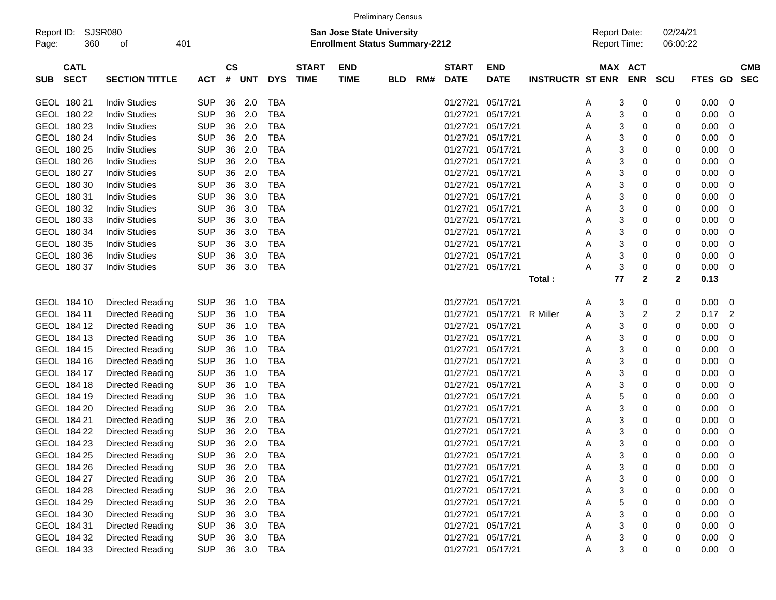|                     |                            |                       |            |                |            |            |                             |                                                                    | <b>Preliminary Census</b> |     |                             |                           |                         |                                            |                       |                      |                |   |                          |
|---------------------|----------------------------|-----------------------|------------|----------------|------------|------------|-----------------------------|--------------------------------------------------------------------|---------------------------|-----|-----------------------------|---------------------------|-------------------------|--------------------------------------------|-----------------------|----------------------|----------------|---|--------------------------|
| Report ID:<br>Page: | 360                        | SJSR080<br>οf         | 401        |                |            |            |                             | San Jose State University<br><b>Enrollment Status Summary-2212</b> |                           |     |                             |                           |                         | <b>Report Date:</b><br><b>Report Time:</b> |                       | 02/24/21<br>06:00:22 |                |   |                          |
| <b>SUB</b>          | <b>CATL</b><br><b>SECT</b> | <b>SECTION TITTLE</b> | <b>ACT</b> | <b>CS</b><br># | <b>UNT</b> | <b>DYS</b> | <b>START</b><br><b>TIME</b> | <b>END</b><br><b>TIME</b>                                          | <b>BLD</b>                | RM# | <b>START</b><br><b>DATE</b> | <b>END</b><br><b>DATE</b> | <b>INSTRUCTR ST ENR</b> |                                            | MAX ACT<br><b>ENR</b> | <b>SCU</b>           | <b>FTES GD</b> |   | <b>CMB</b><br><b>SEC</b> |
|                     | GEOL 180 21                | <b>Indiv Studies</b>  | <b>SUP</b> | 36             | 2.0        | <b>TBA</b> |                             |                                                                    |                           |     | 01/27/21                    | 05/17/21                  |                         | 3<br>A                                     | 0                     | 0                    | 0.00           | 0 |                          |
|                     | GEOL 180 22                | <b>Indiv Studies</b>  | <b>SUP</b> | 36             | 2.0        | <b>TBA</b> |                             |                                                                    |                           |     | 01/27/21                    | 05/17/21                  |                         | 3<br>Α                                     | 0                     | 0                    | 0.00           | 0 |                          |
|                     | GEOL 180 23                | <b>Indiv Studies</b>  | <b>SUP</b> | 36             | 2.0        | <b>TBA</b> |                             |                                                                    |                           |     | 01/27/21                    | 05/17/21                  |                         | 3<br>Α                                     | 0                     | 0                    | 0.00           | 0 |                          |
|                     | GEOL 180 24                | <b>Indiv Studies</b>  | <b>SUP</b> | 36             | 2.0        | <b>TBA</b> |                             |                                                                    |                           |     | 01/27/21                    | 05/17/21                  |                         | 3<br>Α                                     | 0                     | 0                    | 0.00           | 0 |                          |
|                     | GEOL 180 25                | <b>Indiv Studies</b>  | <b>SUP</b> | 36             | 2.0        | <b>TBA</b> |                             |                                                                    |                           |     | 01/27/21                    | 05/17/21                  |                         | 3<br>Α                                     | 0                     | 0                    | 0.00           | 0 |                          |
|                     | GEOL 180 26                | <b>Indiv Studies</b>  | <b>SUP</b> | 36             | 2.0        | <b>TBA</b> |                             |                                                                    |                           |     | 01/27/21                    | 05/17/21                  |                         | 3<br>Α                                     | 0                     | 0                    | 0.00           | 0 |                          |
|                     | GEOL 180 27                | <b>Indiv Studies</b>  | <b>SUP</b> | 36             | 2.0        | <b>TBA</b> |                             |                                                                    |                           |     | 01/27/21                    | 05/17/21                  |                         | 3<br>Α                                     | 0                     | 0                    | 0.00           | 0 |                          |
|                     | GEOL 180 30                | <b>Indiv Studies</b>  | <b>SUP</b> | 36             | 3.0        | <b>TBA</b> |                             |                                                                    |                           |     | 01/27/21                    | 05/17/21                  |                         | 3<br>Α                                     | 0                     | 0                    | 0.00           | 0 |                          |
|                     | GEOL 180 31                | <b>Indiv Studies</b>  | <b>SUP</b> | 36             | 3.0        | <b>TBA</b> |                             |                                                                    |                           |     | 01/27/21                    | 05/17/21                  |                         | 3<br>Α                                     | 0                     | 0                    | 0.00           | 0 |                          |
|                     | GEOL 180 32                | <b>Indiv Studies</b>  | <b>SUP</b> | 36             | 3.0        | <b>TBA</b> |                             |                                                                    |                           |     | 01/27/21                    | 05/17/21                  |                         | 3<br>Α                                     | 0                     | 0                    | 0.00           | 0 |                          |
|                     | GEOL 180 33                | <b>Indiv Studies</b>  | <b>SUP</b> | 36             | 3.0        | <b>TBA</b> |                             |                                                                    |                           |     | 01/27/21                    | 05/17/21                  |                         | 3<br>Α                                     | 0                     | 0                    | 0.00           | 0 |                          |
|                     | GEOL 180 34                | <b>Indiv Studies</b>  | <b>SUP</b> | 36             | 3.0        | <b>TBA</b> |                             |                                                                    |                           |     | 01/27/21                    | 05/17/21                  |                         | 3<br>Α                                     | 0                     | 0                    | 0.00           | 0 |                          |
|                     | GEOL 180 35                | <b>Indiv Studies</b>  | <b>SUP</b> | 36             | 3.0        | <b>TBA</b> |                             |                                                                    |                           |     | 01/27/21                    | 05/17/21                  |                         | 3<br>Α                                     | 0                     | 0                    | 0.00           | 0 |                          |
|                     | GEOL 180 36                | <b>Indiv Studies</b>  | <b>SUP</b> | 36             | 3.0        | <b>TBA</b> |                             |                                                                    |                           |     | 01/27/21                    | 05/17/21                  |                         | 3<br>А                                     | 0                     | 0                    | 0.00           | 0 |                          |
|                     | GEOL 180 37                | <b>Indiv Studies</b>  | <b>SUP</b> | 36             | 3.0        | TBA        |                             |                                                                    |                           |     | 01/27/21 05/17/21           |                           |                         | 3<br>А                                     | 0                     | 0                    | 0.00           | 0 |                          |
|                     |                            |                       |            |                |            |            |                             |                                                                    |                           |     |                             |                           | Total:                  | 77                                         | $\mathbf{2}$          | $\mathbf{2}$         | 0.13           |   |                          |
|                     | GEOL 184 10                | Directed Reading      | <b>SUP</b> | 36             | 1.0        | <b>TBA</b> |                             |                                                                    |                           |     | 01/27/21                    | 05/17/21                  |                         | 3<br>A                                     | 0                     | 0                    | 0.00           | 0 |                          |
|                     | GEOL 184 11                | Directed Reading      | <b>SUP</b> | 36             | 1.0        | <b>TBA</b> |                             |                                                                    |                           |     | 01/27/21                    | 05/17/21                  | R Miller                | 3<br>A                                     | 2                     | 2                    | 0.17           | 2 |                          |
|                     | GEOL 184 12                | Directed Reading      | <b>SUP</b> | 36             | 1.0        | <b>TBA</b> |                             |                                                                    |                           |     | 01/27/21                    | 05/17/21                  |                         | 3<br>Α                                     | 0                     | 0                    | 0.00           | 0 |                          |
|                     | GEOL 184 13                | Directed Reading      | <b>SUP</b> | 36             | 1.0        | <b>TBA</b> |                             |                                                                    |                           |     | 01/27/21                    | 05/17/21                  |                         | 3<br>Α                                     | 0                     | 0                    | 0.00           | 0 |                          |
|                     | GEOL 184 15                | Directed Reading      | <b>SUP</b> | 36             | 1.0        | <b>TBA</b> |                             |                                                                    |                           |     | 01/27/21                    | 05/17/21                  |                         | 3<br>Α                                     | 0                     | 0                    | 0.00           | 0 |                          |
|                     | GEOL 184 16                | Directed Reading      | <b>SUP</b> | 36             | 1.0        | <b>TBA</b> |                             |                                                                    |                           |     | 01/27/21 05/17/21           |                           |                         | 3<br>Α                                     | 0                     | 0                    | 0.00           | 0 |                          |
|                     | GEOL 184 17                | Directed Reading      | <b>SUP</b> | 36             | 1.0        | <b>TBA</b> |                             |                                                                    |                           |     | 01/27/21                    | 05/17/21                  |                         | 3<br>Α                                     | 0                     | 0                    | 0.00           | 0 |                          |
|                     | GEOL 184 18                | Directed Reading      | <b>SUP</b> | 36             | 1.0        | <b>TBA</b> |                             |                                                                    |                           |     | 01/27/21                    | 05/17/21                  |                         | 3<br>Α                                     | 0                     | 0                    | 0.00           | 0 |                          |
|                     | GEOL 184 19                | Directed Reading      | <b>SUP</b> | 36             | 1.0        | <b>TBA</b> |                             |                                                                    |                           |     | 01/27/21                    | 05/17/21                  |                         | 5<br>Α                                     | 0                     | 0                    | 0.00           | 0 |                          |
|                     | GEOL 184 20                | Directed Reading      | <b>SUP</b> | 36             | 2.0        | <b>TBA</b> |                             |                                                                    |                           |     | 01/27/21                    | 05/17/21                  |                         | 3<br>Α                                     | 0                     | 0                    | 0.00           | 0 |                          |
|                     | GEOL 184 21                | Directed Reading      | <b>SUP</b> | 36             | 2.0        | <b>TBA</b> |                             |                                                                    |                           |     | 01/27/21 05/17/21           |                           |                         | 3<br>Α                                     | 0                     | 0                    | 0.00           | 0 |                          |
|                     | GEOL 184 22                | Directed Reading      | <b>SUP</b> | 36             | 2.0        | <b>TBA</b> |                             |                                                                    |                           |     | 01/27/21                    | 05/17/21                  |                         | 3<br>Α                                     | 0                     | 0                    | 0.00           | 0 |                          |
|                     | GEOL 184 23                | Directed Reading      | <b>SUP</b> | 36             | 2.0        | <b>TBA</b> |                             |                                                                    |                           |     | 01/27/21 05/17/21           |                           |                         | 3<br>Α                                     | $\Omega$              | 0                    | 0.00           | 0 |                          |
|                     | GEOL 184 25                | Directed Reading      | <b>SUP</b> |                | 36 2.0     | TBA        |                             |                                                                    |                           |     | 01/27/21 05/17/21           |                           |                         | 3<br>A                                     | 0                     | 0                    | 0.00           | 0 |                          |
|                     | GEOL 184 26                | Directed Reading      | <b>SUP</b> |                | 36 2.0     | TBA        |                             |                                                                    |                           |     | 01/27/21 05/17/21           |                           |                         | 3<br>А                                     | 0                     | 0                    | 0.00           | 0 |                          |
|                     | GEOL 184 27                | Directed Reading      | <b>SUP</b> |                | 36 2.0     | <b>TBA</b> |                             |                                                                    |                           |     | 01/27/21 05/17/21           |                           |                         | 3<br>А                                     | 0                     | 0                    | 0.00           | 0 |                          |
|                     | GEOL 184 28                | Directed Reading      | <b>SUP</b> |                | 36 2.0     | <b>TBA</b> |                             |                                                                    |                           |     | 01/27/21 05/17/21           |                           |                         | 3<br>А                                     | 0                     | 0                    | 0.00           | 0 |                          |
|                     | GEOL 184 29                | Directed Reading      | <b>SUP</b> |                | 36 2.0     | TBA        |                             |                                                                    |                           |     | 01/27/21 05/17/21           |                           |                         | 5<br>А                                     | 0                     | 0                    | 0.00           | 0 |                          |
|                     | GEOL 184 30                | Directed Reading      | <b>SUP</b> |                | 36 3.0     | TBA        |                             |                                                                    |                           |     | 01/27/21 05/17/21           |                           |                         | 3<br>А                                     | 0                     | 0                    | 0.00           | 0 |                          |
|                     | GEOL 184 31                | Directed Reading      | <b>SUP</b> |                | 36 3.0     | TBA        |                             |                                                                    |                           |     | 01/27/21 05/17/21           |                           |                         | 3<br>А                                     | 0                     | 0                    | 0.00           | 0 |                          |
|                     | GEOL 184 32                | Directed Reading      | <b>SUP</b> |                | 36 3.0     | TBA        |                             |                                                                    |                           |     | 01/27/21 05/17/21           |                           |                         | 3<br>A                                     | 0                     | 0                    | 0.00           | 0 |                          |
|                     | GEOL 184 33                | Directed Reading      | <b>SUP</b> |                | 36 3.0     | TBA        |                             |                                                                    |                           |     | 01/27/21 05/17/21           |                           |                         | 3<br>Α                                     | 0                     | 0                    | 0.00           | 0 |                          |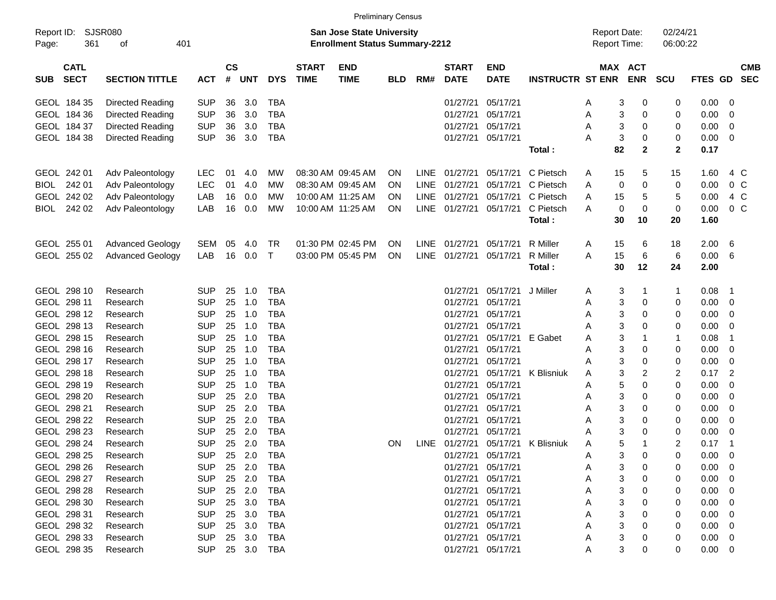|                     |                            |                         |            |                    |        |            |                             |                                                                    | <b>Preliminary Census</b> |             |                             |                           |                         |                                            |            |                      |             |                          |
|---------------------|----------------------------|-------------------------|------------|--------------------|--------|------------|-----------------------------|--------------------------------------------------------------------|---------------------------|-------------|-----------------------------|---------------------------|-------------------------|--------------------------------------------|------------|----------------------|-------------|--------------------------|
| Report ID:<br>Page: | 361                        | SJSR080<br>401<br>οf    |            |                    |        |            |                             | San Jose State University<br><b>Enrollment Status Summary-2212</b> |                           |             |                             |                           |                         | <b>Report Date:</b><br><b>Report Time:</b> |            | 02/24/21<br>06:00:22 |             |                          |
| <b>SUB</b>          | <b>CATL</b><br><b>SECT</b> | <b>SECTION TITTLE</b>   | <b>ACT</b> | $\mathsf{cs}$<br># | UNT    | <b>DYS</b> | <b>START</b><br><b>TIME</b> | <b>END</b><br><b>TIME</b>                                          | <b>BLD</b>                | RM#         | <b>START</b><br><b>DATE</b> | <b>END</b><br><b>DATE</b> | <b>INSTRUCTR ST ENR</b> | MAX ACT                                    | <b>ENR</b> | <b>SCU</b>           | FTES GD     | <b>CMB</b><br><b>SEC</b> |
|                     | GEOL 184 35                | Directed Reading        | <b>SUP</b> | 36                 | 3.0    | TBA        |                             |                                                                    |                           |             | 01/27/21                    | 05/17/21                  |                         | 3<br>A                                     | 0          | 0                    | 0.00        | 0                        |
|                     | GEOL 184 36                | Directed Reading        | <b>SUP</b> | 36                 | 3.0    | TBA        |                             |                                                                    |                           |             | 01/27/21                    | 05/17/21                  |                         | 3<br>Α                                     | 0          | 0                    | 0.00        | 0                        |
|                     | GEOL 184 37                | Directed Reading        | <b>SUP</b> | 36                 | 3.0    | TBA        |                             |                                                                    |                           |             | 01/27/21                    | 05/17/21                  |                         | 3<br>Α                                     | 0          | 0                    | 0.00        | 0                        |
|                     | GEOL 184 38                | Directed Reading        | <b>SUP</b> | 36                 | 3.0    | TBA        |                             |                                                                    |                           |             | 01/27/21                    | 05/17/21                  |                         | $\mathsf 3$<br>Α                           | 0          | 0                    | 0.00        | 0                        |
|                     |                            |                         |            |                    |        |            |                             |                                                                    |                           |             |                             |                           | Total:                  | 82                                         | 2          | $\mathbf{2}$         | 0.17        |                          |
|                     | GEOL 242 01                | Adv Paleontology        | <b>LEC</b> | 01                 | 4.0    | МW         |                             | 08:30 AM 09:45 AM                                                  | ON                        | LINE        | 01/27/21                    | 05/17/21                  | C Pietsch               | 15<br>A                                    | 5          | 15                   | 1.60        | 4 C                      |
| BIOL                | 242 01                     | Adv Paleontology        | <b>LEC</b> | 01                 | 4.0    | МW         |                             | 08:30 AM 09:45 AM                                                  | ΟN                        | LINE        | 01/27/21                    | 05/17/21                  | C Pietsch               | 0<br>Α                                     | 0          | 0                    | 0.00        | 0 <sup>o</sup>           |
|                     | GEOL 242 02                | Adv Paleontology        | LAB        | 16                 | 0.0    | МW         |                             | 10:00 AM 11:25 AM                                                  | ΟN                        | <b>LINE</b> | 01/27/21                    | 05/17/21                  | C Pietsch               | 15<br>Α                                    | 5          | 5                    | 0.00        | 4 C                      |
|                     | BIOL 242 02                | Adv Paleontology        | LAB        | 16                 | 0.0    | MW         |                             | 10:00 AM 11:25 AM                                                  | 0N                        | LINE        | 01/27/21                    | 05/17/21                  | C Pietsch               | 0<br>A                                     | 0          | 0                    | 0.00        | 0 <sup>o</sup>           |
|                     |                            |                         |            |                    |        |            |                             |                                                                    |                           |             |                             |                           | Total:                  | 30                                         | 10         | 20                   | 1.60        |                          |
|                     | GEOL 255 01                | <b>Advanced Geology</b> | SEM        | 05                 | 4.0    | TR         |                             | 01:30 PM 02:45 PM                                                  | ON                        | <b>LINE</b> | 01/27/21                    | 05/17/21                  | R Miller                | 15<br>A                                    | 6          | 18                   | 2.00        | 6                        |
|                     | GEOL 255 02                | <b>Advanced Geology</b> | LAB        | 16                 | 0.0    | $\top$     |                             | 03:00 PM 05:45 PM                                                  | ON                        | <b>LINE</b> | 01/27/21                    | 05/17/21                  | <b>R</b> Miller         | 15<br>Α                                    | 6          | 6                    | 0.00        | 6                        |
|                     |                            |                         |            |                    |        |            |                             |                                                                    |                           |             |                             |                           | Total:                  | 30                                         | 12         | 24                   | 2.00        |                          |
|                     | GEOL 298 10                | Research                | SUP        | 25                 | 1.0    | TBA        |                             |                                                                    |                           |             | 01/27/21                    | 05/17/21                  | J Miller                | 3<br>A                                     | 1          |                      | 0.08        | $\mathbf 1$              |
|                     | GEOL 298 11                | Research                | <b>SUP</b> | 25                 | 1.0    | <b>TBA</b> |                             |                                                                    |                           |             | 01/27/21                    | 05/17/21                  |                         | 3<br>A                                     | 0          | 0                    | 0.00        | 0                        |
|                     | GEOL 298 12                | Research                | <b>SUP</b> | 25                 | 1.0    | <b>TBA</b> |                             |                                                                    |                           |             | 01/27/21                    | 05/17/21                  |                         | 3<br>A                                     | 0          | 0                    | 0.00        | 0                        |
|                     | GEOL 298 13                | Research                | <b>SUP</b> | 25                 | 1.0    | <b>TBA</b> |                             |                                                                    |                           |             | 01/27/21                    | 05/17/21                  |                         | 3<br>A                                     | 0          | 0                    | 0.00        | 0                        |
|                     | GEOL 298 15                | Research                | <b>SUP</b> | 25                 | 1.0    | <b>TBA</b> |                             |                                                                    |                           |             | 01/27/21                    | 05/17/21                  | E Gabet                 | 3<br>Α                                     | 1          | -1                   | 0.08        | 1                        |
|                     | GEOL 298 16                | Research                | <b>SUP</b> | 25                 | 1.0    | <b>TBA</b> |                             |                                                                    |                           |             | 01/27/21                    | 05/17/21                  |                         | 3<br>Α                                     | 0          | 0                    | 0.00        | 0                        |
|                     | GEOL 298 17                | Research                | <b>SUP</b> | 25                 | 1.0    | <b>TBA</b> |                             |                                                                    |                           |             | 01/27/21                    | 05/17/21                  |                         | 3<br>A                                     | 0          | 0                    | 0.00        | 0                        |
|                     | GEOL 298 18                | Research                | <b>SUP</b> | 25                 | 1.0    | <b>TBA</b> |                             |                                                                    |                           |             | 01/27/21                    | 05/17/21                  | K Blisniuk              | 3<br>A                                     | 2          | 2                    | 0.17        | 2                        |
|                     | GEOL 298 19                | Research                | <b>SUP</b> | 25                 | 1.0    | <b>TBA</b> |                             |                                                                    |                           |             | 01/27/21                    | 05/17/21                  |                         | 5<br>Α                                     | 0          | 0                    | 0.00        | 0                        |
|                     | GEOL 298 20                | Research                | <b>SUP</b> | 25                 | 2.0    | <b>TBA</b> |                             |                                                                    |                           |             | 01/27/21                    | 05/17/21                  |                         | 3<br>Α                                     | 0          | 0                    | 0.00        | 0                        |
|                     | GEOL 298 21                | Research                | <b>SUP</b> | 25                 | 2.0    | <b>TBA</b> |                             |                                                                    |                           |             | 01/27/21                    | 05/17/21                  |                         | 3<br>Α                                     | 0          | 0                    | 0.00        | 0                        |
|                     | GEOL 298 22                | Research                | <b>SUP</b> | 25                 | 2.0    | <b>TBA</b> |                             |                                                                    |                           |             | 01/27/21                    | 05/17/21                  |                         | 3<br>A                                     | 0          | 0                    | 0.00        | 0                        |
|                     | GEOL 298 23                | Research                | <b>SUP</b> | 25                 | 2.0    | TBA        |                             |                                                                    |                           |             | 01/27/21                    | 05/17/21                  |                         | $\mathsf 3$<br>A                           | 0          | 0                    | 0.00        | 0                        |
|                     | GEOL 298 24                | Research                | <b>SUP</b> | 25                 | 2.0    | <b>TBA</b> |                             |                                                                    | ON                        | <b>LINE</b> | 01/27/21                    | 05/17/21                  | K Blisniuk              | 5<br>A                                     | 1          | 2                    | 0.17        | -1                       |
|                     | GEOL 298 25                | Research                | <b>SUP</b> |                    | 25 2.0 | TBA        |                             |                                                                    |                           |             |                             | 01/27/21 05/17/21         |                         | 3<br>A                                     | 0          |                      | $0.00 \t 0$ |                          |
|                     | GEOL 298 26                | Research                | <b>SUP</b> |                    | 25 2.0 | TBA        |                             |                                                                    |                           |             |                             | 01/27/21 05/17/21         |                         | 3<br>Α                                     | 0          |                      | 0.00        | - 0                      |
|                     | GEOL 298 27                | Research                | <b>SUP</b> |                    | 25 2.0 | TBA        |                             |                                                                    |                           |             |                             | 01/27/21 05/17/21         |                         | 3<br>Α                                     | 0          | 0                    | 0.00        | - 0                      |
|                     | GEOL 298 28                | Research                | <b>SUP</b> |                    | 25 2.0 | TBA        |                             |                                                                    |                           |             |                             | 01/27/21 05/17/21         |                         | 3<br>Α                                     | 0          | 0                    | 0.00        | 0                        |
|                     | GEOL 298 30                | Research                | <b>SUP</b> |                    | 25 3.0 | TBA        |                             |                                                                    |                           |             |                             | 01/27/21 05/17/21         |                         | 3<br>Α                                     | 0          | 0                    | 0.00        | 0                        |
|                     | GEOL 298 31                | Research                | <b>SUP</b> |                    | 25 3.0 | TBA        |                             |                                                                    |                           |             |                             | 01/27/21 05/17/21         |                         | 3<br>Α                                     | 0          | 0                    | 0.00        | 0                        |
|                     | GEOL 298 32                | Research                | <b>SUP</b> |                    | 25 3.0 | TBA        |                             |                                                                    |                           |             |                             | 01/27/21 05/17/21         |                         | 3<br>A                                     | 0          | 0                    | 0.00        | 0                        |
|                     | GEOL 298 33                | Research                | <b>SUP</b> |                    | 25 3.0 | TBA        |                             |                                                                    |                           |             |                             | 01/27/21 05/17/21         |                         | 3                                          | 0          | 0                    | 0.00        | - 0                      |
|                     | GEOL 298 35                | Research                | <b>SUP</b> |                    |        | 25 3.0 TBA |                             |                                                                    |                           |             |                             | 01/27/21 05/17/21         |                         | Α                                          | 3<br>0     | 0                    | $0.00 \t 0$ |                          |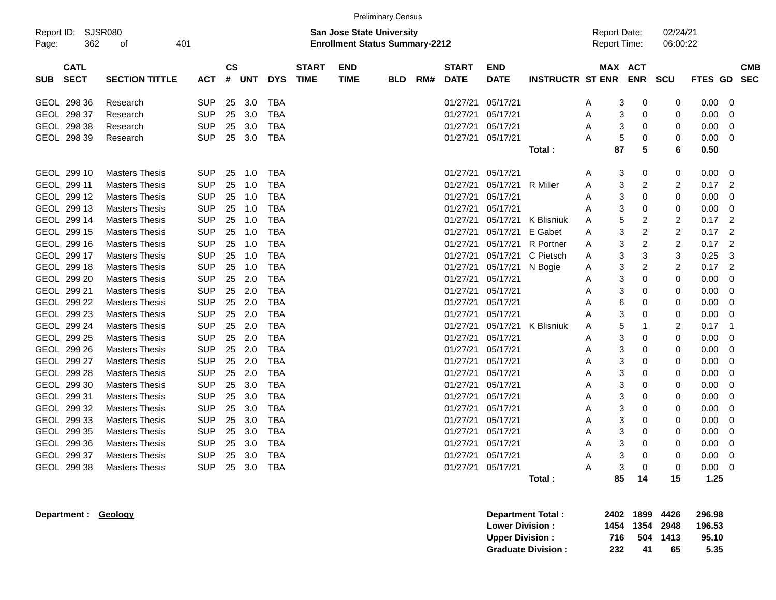|            |                                                                                                                     |                       |            |                    |            |            |                             | <b>Preliminary Census</b> |            |     |                             |                           |                         |                                            |                       |                      |             |             |
|------------|---------------------------------------------------------------------------------------------------------------------|-----------------------|------------|--------------------|------------|------------|-----------------------------|---------------------------|------------|-----|-----------------------------|---------------------------|-------------------------|--------------------------------------------|-----------------------|----------------------|-------------|-------------|
| Page:      | Report ID: SJSR080<br><b>San Jose State University</b><br>362<br>401<br><b>Enrollment Status Summary-2212</b><br>οf |                       |            |                    |            |            |                             |                           |            |     |                             |                           |                         | <b>Report Date:</b><br><b>Report Time:</b> |                       | 02/24/21<br>06:00:22 |             |             |
| <b>SUB</b> | <b>CATL</b><br><b>SECT</b>                                                                                          | <b>SECTION TITTLE</b> | АСТ        | $\mathsf{cs}$<br># | <b>UNT</b> | <b>DYS</b> | <b>START</b><br><b>TIME</b> | <b>END</b><br><b>TIME</b> | <b>BLD</b> | RM# | <b>START</b><br><b>DATE</b> | <b>END</b><br><b>DATE</b> | <b>INSTRUCTR ST ENR</b> |                                            | MAX ACT<br><b>ENR</b> | <b>SCU</b>           | FTES GD SEC | <b>CMB</b>  |
|            | GEOL 298 36                                                                                                         | Research              | <b>SUP</b> | 25                 | 3.0        | <b>TBA</b> |                             |                           |            |     | 01/27/21                    | 05/17/21                  |                         | Α                                          | 3<br>0                | 0                    | 0.00        | 0           |
|            | GEOL 298 37                                                                                                         | Research              | <b>SUP</b> | 25                 | 3.0        | <b>TBA</b> |                             |                           |            |     | 01/27/21                    | 05/17/21                  |                         | Α                                          | 3<br>0                | 0                    | 0.00        | 0           |
|            | GEOL 298 38                                                                                                         | Research              | <b>SUP</b> | 25                 | 3.0        | <b>TBA</b> |                             |                           |            |     | 01/27/21                    | 05/17/21                  |                         | Α                                          | 3<br>0                | 0                    | 0.00        | 0           |
|            | GEOL 298 39                                                                                                         | Research              | <b>SUP</b> | 25                 | 3.0        | <b>TBA</b> |                             |                           |            |     | 01/27/21                    | 05/17/21                  |                         | Α                                          | 5<br>0                | 0                    | 0.00        | 0           |
|            |                                                                                                                     |                       |            |                    |            |            |                             |                           |            |     |                             |                           | Total:                  |                                            | 87<br>5               | 6                    | 0.50        |             |
|            | GEOL 299 10                                                                                                         | <b>Masters Thesis</b> | <b>SUP</b> | 25                 | 1.0        | <b>TBA</b> |                             |                           |            |     | 01/27/21                    | 05/17/21                  |                         | Α                                          | 3<br>0                | 0                    | 0.00        | 0           |
|            | GEOL 299 11                                                                                                         | <b>Masters Thesis</b> | <b>SUP</b> | 25                 | 1.0        | <b>TBA</b> |                             |                           |            |     | 01/27/21                    | 05/17/21                  | <b>R</b> Miller         | Α                                          | 3<br>$\overline{2}$   | 2                    | 0.17        | 2           |
|            | GEOL 299 12                                                                                                         | <b>Masters Thesis</b> | <b>SUP</b> | 25                 | 1.0        | <b>TBA</b> |                             |                           |            |     | 01/27/21                    | 05/17/21                  |                         | Α                                          | 3<br>0                | 0                    | 0.00        | 0           |
|            | GEOL 299 13                                                                                                         | <b>Masters Thesis</b> | <b>SUP</b> | 25                 | 1.0        | <b>TBA</b> |                             |                           |            |     | 01/27/21                    | 05/17/21                  |                         | Α                                          | 3<br>0                | 0                    | 0.00        | 0           |
|            | GEOL 299 14                                                                                                         | <b>Masters Thesis</b> | <b>SUP</b> | 25                 | 1.0        | <b>TBA</b> |                             |                           |            |     | 01/27/21                    | 05/17/21                  | K Blisniuk              | Α                                          | 5<br>$\overline{c}$   | $\overline{c}$       | 0.17        | 2           |
|            | GEOL 299 15                                                                                                         | <b>Masters Thesis</b> | <b>SUP</b> | 25                 | 1.0        | <b>TBA</b> |                             |                           |            |     | 01/27/21                    | 05/17/21                  | E Gabet                 | A                                          | 3<br>$\overline{c}$   | $\overline{c}$       | 0.17        | 2           |
|            | GEOL 299 16                                                                                                         | <b>Masters Thesis</b> | <b>SUP</b> | 25                 | 1.0        | <b>TBA</b> |                             |                           |            |     | 01/27/21                    | 05/17/21                  | <b>R</b> Portner        | Α                                          | 3<br>$\overline{2}$   | 2                    | 0.17        | 2           |
|            | GEOL 299 17                                                                                                         | <b>Masters Thesis</b> | <b>SUP</b> | 25                 | 1.0        | <b>TBA</b> |                             |                           |            |     | 01/27/21                    | 05/17/21                  | C Pietsch               | Α                                          | 3<br>3                | 3                    | 0.25        | 3           |
|            | GEOL 299 18                                                                                                         | <b>Masters Thesis</b> | <b>SUP</b> | 25                 | 1.0        | <b>TBA</b> |                             |                           |            |     | 01/27/21                    | 05/17/21                  | N Bogie                 | A                                          | 3<br>$\overline{2}$   | $\overline{c}$       | 0.17        | 2           |
|            | GEOL 299 20                                                                                                         | <b>Masters Thesis</b> | <b>SUP</b> | 25                 | 2.0        | <b>TBA</b> |                             |                           |            |     | 01/27/21                    | 05/17/21                  |                         | Α                                          | 3<br>$\mathbf 0$      | 0                    | 0.00        | 0           |
|            | GEOL 299 21                                                                                                         | <b>Masters Thesis</b> | <b>SUP</b> | 25                 | 2.0        | <b>TBA</b> |                             |                           |            |     | 01/27/21                    | 05/17/21                  |                         | Α                                          | 3<br>0                | 0                    | 0.00        | $\mathbf 0$ |
|            | GEOL 299 22                                                                                                         | <b>Masters Thesis</b> | <b>SUP</b> | 25                 | 2.0        | <b>TBA</b> |                             |                           |            |     | 01/27/21                    | 05/17/21                  |                         | Α                                          | 6<br>0                | 0                    | 0.00        | 0           |
|            | GEOL 299 23                                                                                                         | <b>Masters Thesis</b> | <b>SUP</b> | 25                 | 2.0        | <b>TBA</b> |                             |                           |            |     | 01/27/21                    | 05/17/21                  |                         | Α                                          | 3<br>0                | 0                    | 0.00        | $\mathbf 0$ |
|            | GEOL 299 24                                                                                                         | <b>Masters Thesis</b> | <b>SUP</b> | 25                 | 2.0        | <b>TBA</b> |                             |                           |            |     | 01/27/21                    | 05/17/21                  | K Blisniuk              | Α                                          | 5<br>1                | 2                    | 0.17        | -1          |
|            | GEOL 299 25                                                                                                         | <b>Masters Thesis</b> | <b>SUP</b> | 25                 | 2.0        | <b>TBA</b> |                             |                           |            |     | 01/27/21                    | 05/17/21                  |                         | A                                          | 3<br>0                | 0                    | 0.00        | 0           |
|            | GEOL 299 26                                                                                                         | <b>Masters Thesis</b> | <b>SUP</b> | 25                 | 2.0        | <b>TBA</b> |                             |                           |            |     | 01/27/21                    | 05/17/21                  |                         | Α                                          | 3<br>0                | $\mathbf 0$          | 0.00        | 0           |
|            | GEOL 299 27                                                                                                         | <b>Masters Thesis</b> | <b>SUP</b> | 25                 | 2.0        | <b>TBA</b> |                             |                           |            |     | 01/27/21                    | 05/17/21                  |                         | Α                                          | 3<br>0                | 0                    | 0.00        | 0           |
|            | GEOL 299 28                                                                                                         | <b>Masters Thesis</b> | <b>SUP</b> | 25                 | 2.0        | <b>TBA</b> |                             |                           |            |     | 01/27/21                    | 05/17/21                  |                         | Α                                          | 3<br>0                | 0                    | 0.00        | 0           |
|            | GEOL 299 30                                                                                                         | <b>Masters Thesis</b> | <b>SUP</b> | 25                 | 3.0        | <b>TBA</b> |                             |                           |            |     | 01/27/21                    | 05/17/21                  |                         | Α                                          | 3<br>0                | 0                    | 0.00        | 0           |
|            | GEOL 299 31                                                                                                         | <b>Masters Thesis</b> | <b>SUP</b> | 25                 | 3.0        | <b>TBA</b> |                             |                           |            |     | 01/27/21                    | 05/17/21                  |                         | Α                                          | 3<br>0                | 0                    | 0.00        | 0           |
|            | GEOL 299 32                                                                                                         | <b>Masters Thesis</b> | <b>SUP</b> | 25                 | 3.0        | <b>TBA</b> |                             |                           |            |     | 01/27/21                    | 05/17/21                  |                         | A                                          | 3<br>0                | 0                    | 0.00        | 0           |
|            | GEOL 299 33                                                                                                         | <b>Masters Thesis</b> | <b>SUP</b> | 25                 | 3.0        | <b>TBA</b> |                             |                           |            |     | 01/27/21                    | 05/17/21                  |                         | Α                                          | 3<br>0                | 0                    | 0.00        | 0           |
|            | GEOL 299 35                                                                                                         | <b>Masters Thesis</b> | <b>SUP</b> | 25                 | 3.0        | <b>TBA</b> |                             |                           |            |     | 01/27/21                    | 05/17/21                  |                         | Α                                          | 3<br>0                | 0                    | 0.00        | 0           |
|            | GEOL 299 36                                                                                                         | <b>Masters Thesis</b> | <b>SUP</b> | 25                 | 3.0        | <b>TBA</b> |                             |                           |            |     | 01/27/21                    | 05/17/21                  |                         | Α                                          | 3<br>0                | 0                    | 0.00        | 0           |
|            | GEOL 299 37                                                                                                         | <b>Masters Thesis</b> | <b>SUP</b> | 25                 | 3.0        | <b>TBA</b> |                             |                           |            |     | 01/27/21                    | 05/17/21                  |                         | Α                                          | 3<br>0                | 0                    | 0.00        | 0           |
|            | GEOL 299 38                                                                                                         | <b>Masters Thesis</b> | <b>SUP</b> | 25                 | 3.0        | <b>TBA</b> |                             |                           |            |     | 01/27/21                    | 05/17/21                  |                         | А                                          | 3<br>$\Omega$         | 0                    | 0.00        | 0           |
|            |                                                                                                                     |                       |            |                    |            |            |                             |                           |            |     |                             |                           | Total :                 |                                            | 85<br>14              | 15                   | 1.25        |             |

**Department : Geology Department Total : 2402 1899 4426 296.98 Lower Division : 1454 1354 2948 196.53 Upper Division : 716 504 1413 95.10<br>
Graduate Division : 232 41 65 5.35 Graduate Division : 232 41 65 5.35**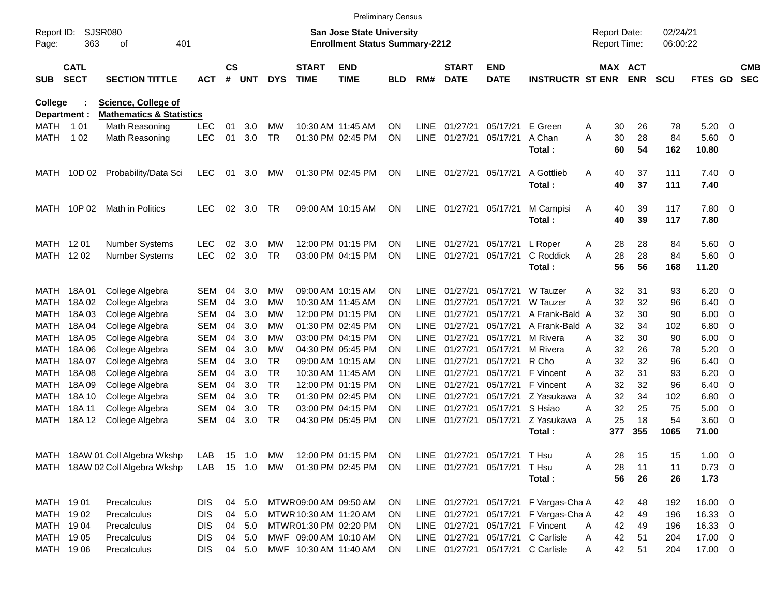|                     |                            |                                     |            |                    |            |            |                             |                                                                    | <b>Preliminary Census</b> |             |                             |                              |                                       |                                     |            |                      |               |                          |                          |
|---------------------|----------------------------|-------------------------------------|------------|--------------------|------------|------------|-----------------------------|--------------------------------------------------------------------|---------------------------|-------------|-----------------------------|------------------------------|---------------------------------------|-------------------------------------|------------|----------------------|---------------|--------------------------|--------------------------|
| Report ID:<br>Page: | 363                        | <b>SJSR080</b><br>401<br>οf         |            |                    |            |            |                             | San Jose State University<br><b>Enrollment Status Summary-2212</b> |                           |             |                             |                              |                                       | <b>Report Date:</b><br>Report Time: |            | 02/24/21<br>06:00:22 |               |                          |                          |
| <b>SUB</b>          | <b>CATL</b><br><b>SECT</b> | <b>SECTION TITTLE</b>               | ACT        | $\mathsf{cs}$<br># | <b>UNT</b> | <b>DYS</b> | <b>START</b><br><b>TIME</b> | <b>END</b><br><b>TIME</b>                                          | <b>BLD</b>                | RM#         | <b>START</b><br><b>DATE</b> | <b>END</b><br><b>DATE</b>    | <b>INSTRUCTR ST ENR</b>               | MAX ACT                             | <b>ENR</b> | <b>SCU</b>           | FTES GD       |                          | <b>CMB</b><br><b>SEC</b> |
| <b>College</b>      |                            | <b>Science, College of</b>          |            |                    |            |            |                             |                                                                    |                           |             |                             |                              |                                       |                                     |            |                      |               |                          |                          |
| Department :        |                            | <b>Mathematics &amp; Statistics</b> |            |                    |            |            |                             |                                                                    |                           |             |                             |                              |                                       |                                     |            |                      |               |                          |                          |
| MATH                | 1 0 1                      | Math Reasoning                      | <b>LEC</b> | 01                 | 3.0        | МW         |                             | 10:30 AM 11:45 AM                                                  | ΟN                        | <b>LINE</b> | 01/27/21                    | 05/17/21                     | E Green                               | 30<br>Α                             | 26         | 78                   | 5.20          | - 0                      |                          |
| MATH                | 1 0 2                      | Math Reasoning                      | <b>LEC</b> | 01                 | 3.0        | <b>TR</b>  |                             | 01:30 PM 02:45 PM                                                  | ON                        | <b>LINE</b> | 01/27/21                    | 05/17/21                     | A Chan<br>Total:                      | 30<br>A<br>60                       | 28<br>54   | 84<br>162            | 5.60<br>10.80 | $\overline{\phantom{0}}$ |                          |
| MATH                | 10D 02                     | Probability/Data Sci                | <b>LEC</b> | 01                 | 3.0        | MW         |                             | 01:30 PM 02:45 PM                                                  | ON                        | LINE        | 01/27/21                    | 05/17/21                     | A Gottlieb                            | A<br>40                             | 37         | 111                  | $7.40 \ 0$    |                          |                          |
|                     |                            |                                     |            |                    |            |            |                             |                                                                    |                           |             |                             |                              | Total:                                | 40                                  | 37         | 111                  | 7.40          |                          |                          |
| MATH                | 10P 02                     | Math in Politics                    | <b>LEC</b> | 02                 | 3.0        | TR.        |                             | 09:00 AM 10:15 AM                                                  | <b>ON</b>                 | LINE        | 01/27/21                    | 05/17/21                     | M Campisi                             | 40<br>A                             | 39         | 117                  | 7.80 0        |                          |                          |
|                     |                            |                                     |            |                    |            |            |                             |                                                                    |                           |             |                             |                              | Total:                                | 40                                  | 39         | 117                  | 7.80          |                          |                          |
| MATH 1201           |                            | <b>Number Systems</b>               | <b>LEC</b> | 02                 | 3.0        | МW         |                             | 12:00 PM 01:15 PM                                                  | ΟN                        | <b>LINE</b> | 01/27/21                    | 05/17/21                     | L Roper                               | 28<br>A                             | 28         | 84                   | 5.60 0        |                          |                          |
| MATH 12 02          |                            | <b>Number Systems</b>               | <b>LEC</b> | 02                 | 3.0        | <b>TR</b>  |                             | 03:00 PM 04:15 PM                                                  | ΟN                        | <b>LINE</b> | 01/27/21                    | 05/17/21                     | C Roddick                             | 28<br>A                             | 28         | 84                   | 5.60 0        |                          |                          |
|                     |                            |                                     |            |                    |            |            |                             |                                                                    |                           |             |                             |                              | Total:                                | 56                                  | 56         | 168                  | 11.20         |                          |                          |
| MATH                | 18A01                      | College Algebra                     | SEM        | 04                 | 3.0        | МW         |                             | 09:00 AM 10:15 AM                                                  | ON                        | <b>LINE</b> | 01/27/21                    | 05/17/21                     | W Tauzer                              | 32<br>Α                             | 31         | 93                   | 6.20          | - 0                      |                          |
| MATH                | 18A 02                     | College Algebra                     | SEM        | 04                 | 3.0        | МW         |                             | 10:30 AM 11:45 AM                                                  | ON                        | <b>LINE</b> | 01/27/21                    | 05/17/21                     | W Tauzer                              | А<br>32                             | 32         | 96                   | 6.40          | - 0                      |                          |
| MATH                | 18A03                      | College Algebra                     | SEM        | 04                 | 3.0        | МW         |                             | 12:00 PM 01:15 PM                                                  | ON                        | LINE        | 01/27/21                    | 05/17/21                     | A Frank-Bald A                        | 32                                  | 30         | 90                   | 6.00          | 0                        |                          |
| <b>MATH</b>         | 18A 04                     | College Algebra                     | SEM        | 04                 | 3.0        | МW         |                             | 01:30 PM 02:45 PM                                                  | ON                        | LINE        | 01/27/21                    | 05/17/21                     | A Frank-Bald A                        | 32                                  | 34         | 102                  | 6.80          | 0                        |                          |
| <b>MATH</b>         | 18A 05                     | College Algebra                     | SEM        | 04                 | 3.0        | МW         |                             | 03:00 PM 04:15 PM                                                  | ON                        | LINE        | 01/27/21                    | 05/17/21                     | M Rivera                              | 32<br>А                             | 30         | 90                   | 6.00          | $\overline{0}$           |                          |
| <b>MATH</b>         | 18A 06                     | College Algebra                     | SEM        | 04                 | 3.0        | МW         |                             | 04:30 PM 05:45 PM                                                  | ON                        | LINE        | 01/27/21                    | 05/17/21                     | M Rivera                              | 32<br>A                             | 26         | 78                   | 5.20          | 0                        |                          |
| <b>MATH</b>         | 18A 07                     | College Algebra                     | <b>SEM</b> | 04                 | 3.0        | TR.        |                             | 09:00 AM 10:15 AM                                                  | ON                        | LINE        | 01/27/21                    | 05/17/21                     | R Cho                                 | 32<br>A                             | 32         | 96                   | 6.40          | $\overline{0}$           |                          |
| <b>MATH</b>         | 18A08                      | College Algebra                     | SEM        | 04                 | 3.0        | <b>TR</b>  |                             | 10:30 AM 11:45 AM                                                  | ON                        | LINE        | 01/27/21                    | 05/17/21                     | F Vincent                             | 32<br>A                             | 31         | 93                   | 6.20          | 0                        |                          |
| <b>MATH</b>         | 18A09                      | College Algebra                     | <b>SEM</b> | 04                 | 3.0        | <b>TR</b>  |                             | 12:00 PM 01:15 PM                                                  | ON                        | LINE        | 01/27/21                    | 05/17/21                     | F Vincent                             | 32<br>А                             | 32         | 96                   | 6.40          | 0                        |                          |
| <b>MATH</b>         | 18A 10                     | College Algebra                     | <b>SEM</b> | 04                 | 3.0        | <b>TR</b>  |                             | 01:30 PM 02:45 PM                                                  | ON                        | LINE        | 01/27/21                    | 05/17/21                     | Z Yasukawa                            | 32<br>A                             | 34         | 102                  | 6.80          | 0                        |                          |
| <b>MATH</b>         | 18A 11                     | College Algebra                     | <b>SEM</b> | 04                 | 3.0        | <b>TR</b>  |                             | 03:00 PM 04:15 PM                                                  | ON                        | <b>LINE</b> | 01/27/21                    | 05/17/21                     | S Hsiao                               | 32<br>Α                             | 25         | 75                   | 5.00          | 0                        |                          |
| MATH                | 18A 12                     | College Algebra                     | <b>SEM</b> | 04                 | 3.0        | <b>TR</b>  |                             | 04:30 PM 05:45 PM                                                  | ΟN                        | <b>LINE</b> | 01/27/21                    | 05/17/21                     | Z Yasukawa<br>Total:                  | 25<br>A<br>377                      | 18<br>355  | 54<br>1065           | 3.60<br>71.00 | $\overline{\phantom{0}}$ |                          |
|                     |                            |                                     |            |                    |            |            |                             |                                                                    |                           |             |                             |                              |                                       |                                     |            |                      |               |                          |                          |
|                     |                            | MATH 18AW 01 Coll Algebra Wkshp     | LAB        |                    | 15 1.0     | MW         |                             | 12:00 PM 01:15 PM                                                  | ON                        |             |                             | LINE 01/27/21 05/17/21       | T Hsu                                 | 28<br>Α                             | 15         | 15                   | $1.00 \t 0$   |                          |                          |
|                     |                            | MATH 18AW 02 Coll Algebra Wkshp     | LAB        |                    | 15 1.0     | MW         |                             | 01:30 PM 02:45 PM                                                  | ON.                       |             |                             | LINE 01/27/21 05/17/21 T Hsu |                                       | Α<br>28                             | 11         | 11                   | $0.73 \ 0$    |                          |                          |
|                     |                            |                                     |            |                    |            |            |                             |                                                                    |                           |             |                             |                              | Total:                                | 56                                  | 26         | 26                   | 1.73          |                          |                          |
| MATH 1901           |                            | Precalculus                         | <b>DIS</b> |                    | 04 5.0     |            | MTWR 09:00 AM 09:50 AM      |                                                                    | <b>ON</b>                 |             |                             |                              | LINE 01/27/21 05/17/21 F Vargas-Cha A | 42                                  | 48         | 192                  | $16.00 \t 0$  |                          |                          |
| MATH 1902           |                            | Precalculus                         | <b>DIS</b> | 04                 | 5.0        |            | MTWR 10:30 AM 11:20 AM      |                                                                    | <b>ON</b>                 |             |                             |                              | LINE 01/27/21 05/17/21 F Vargas-Cha A | 42                                  | 49         | 196                  | 16.33 0       |                          |                          |
| MATH 1904           |                            | Precalculus                         | <b>DIS</b> | 04                 | 5.0        |            | MTWR01:30 PM 02:20 PM       |                                                                    | <b>ON</b>                 |             |                             |                              | LINE 01/27/21 05/17/21 F Vincent      | 42<br>A                             | 49         | 196                  | 16.33 0       |                          |                          |
| MATH 1905           |                            | Precalculus                         | <b>DIS</b> | 04                 | 5.0        |            | MWF 09:00 AM 10:10 AM       |                                                                    | <b>ON</b>                 |             |                             | LINE 01/27/21 05/17/21       | C Carlisle                            | 42<br>A                             | 51         | 204                  | 17.00 0       |                          |                          |
| MATH 19 06          |                            | Precalculus                         | <b>DIS</b> |                    | 04 5.0     |            | MWF 10:30 AM 11:40 AM       |                                                                    | ON                        |             |                             |                              | LINE 01/27/21 05/17/21 C Carlisle     | 42<br>Α                             | 51         | 204                  | 17.00 0       |                          |                          |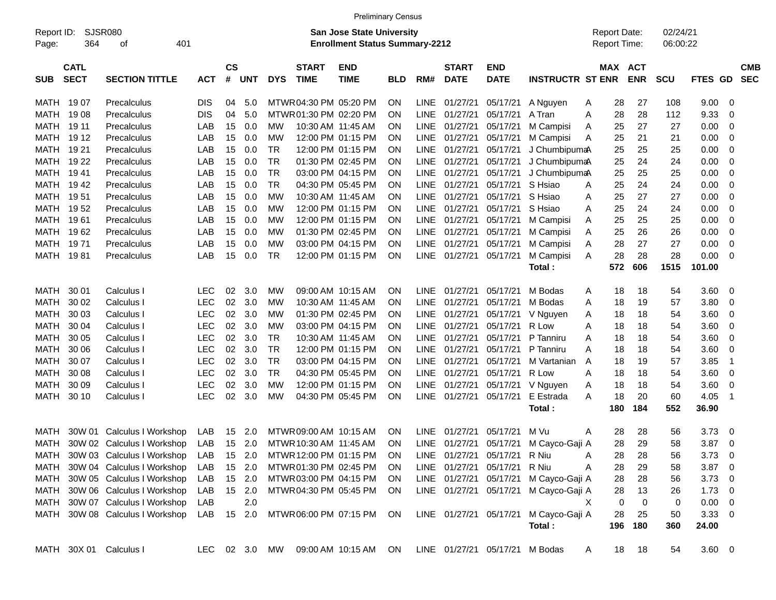|            |             |                                                                                      |               |           |            |            |                        | <b>Preliminary Census</b> |            |             |                        |                        |                         |              |                     |            |             |     |            |
|------------|-------------|--------------------------------------------------------------------------------------|---------------|-----------|------------|------------|------------------------|---------------------------|------------|-------------|------------------------|------------------------|-------------------------|--------------|---------------------|------------|-------------|-----|------------|
| Report ID: |             | <b>SJSR080</b><br>San Jose State University<br><b>Enrollment Status Summary-2212</b> |               |           |            |            |                        |                           |            |             |                        |                        |                         |              | <b>Report Date:</b> | 02/24/21   |             |     |            |
| Page:      | 364         | 401<br>οf                                                                            |               |           |            |            |                        |                           |            |             |                        |                        |                         | Report Time: |                     | 06:00:22   |             |     |            |
|            |             |                                                                                      |               |           |            |            |                        |                           |            |             |                        |                        |                         |              |                     |            |             |     |            |
|            | <b>CATL</b> |                                                                                      |               | <b>CS</b> |            |            | <b>START</b>           | <b>END</b>                |            |             | <b>START</b>           | <b>END</b>             |                         |              | MAX ACT             |            |             |     | <b>CMB</b> |
| <b>SUB</b> | <b>SECT</b> | <b>SECTION TITTLE</b>                                                                | <b>ACT</b>    | #         | <b>UNT</b> | <b>DYS</b> | <b>TIME</b>            | <b>TIME</b>               | <b>BLD</b> | RM#         | <b>DATE</b>            | <b>DATE</b>            | <b>INSTRUCTR ST ENR</b> |              | <b>ENR</b>          | <b>SCU</b> | FTES GD     |     | <b>SEC</b> |
|            |             |                                                                                      |               |           |            |            |                        |                           |            |             |                        |                        |                         |              |                     |            |             |     |            |
| MATH 1907  |             | Precalculus                                                                          | <b>DIS</b>    | 04        | 5.0        |            | MTWR04:30 PM 05:20 PM  |                           | <b>ON</b>  | <b>LINE</b> | 01/27/21               | 05/17/21               | A Nguyen                | Α            | 28<br>27            | 108        | 9.00        | 0   |            |
| MATH       | 1908        | Precalculus                                                                          | <b>DIS</b>    | 04        | 5.0        |            | MTWR 01:30 PM 02:20 PM |                           | <b>ON</b>  | <b>LINE</b> | 01/27/21               | 05/17/21               | A Tran                  | Α            | 28<br>28            | 112        | 9.33        | 0   |            |
| MATH       | 19 11       | Precalculus                                                                          | LAB           | 15        | 0.0        | MW         |                        | 10:30 AM 11:45 AM         | ON         | <b>LINE</b> | 01/27/21               | 05/17/21               | M Campisi               | A            | 25<br>27            | 27         | 0.00        | 0   |            |
| MATH       | 19 12       | Precalculus                                                                          | LAB           | 15        | 0.0        | МW         |                        | 12:00 PM 01:15 PM         | <b>ON</b>  | <b>LINE</b> | 01/27/21               | 05/17/21               | M Campisi               | A            | 25<br>21            | 21         | 0.00        | 0   |            |
| MATH       | 19 21       | Precalculus                                                                          | LAB           | 15        | 0.0        | TR         |                        | 12:00 PM 01:15 PM         | <b>ON</b>  | <b>LINE</b> | 01/27/21               | 05/17/21               | J ChumbipumaA           |              | 25<br>25            | 25         | 0.00        | 0   |            |
| MATH 19 22 |             | Precalculus                                                                          | LAB           | 15        | 0.0        | <b>TR</b>  |                        | 01:30 PM 02:45 PM         | <b>ON</b>  | <b>LINE</b> | 01/27/21               | 05/17/21               | J ChumbipumaA           |              | 25<br>24            | 24         | 0.00        | 0   |            |
| MATH       | 19 41       | Precalculus                                                                          | LAB           | 15        | 0.0        | <b>TR</b>  |                        | 03:00 PM 04:15 PM         | <b>ON</b>  | <b>LINE</b> | 01/27/21               | 05/17/21               | J ChumbipumaA           |              | 25<br>25            | 25         | 0.00        | 0   |            |
| MATH       | 1942        | Precalculus                                                                          | LAB           | 15        | 0.0        | <b>TR</b>  |                        | 04:30 PM 05:45 PM         | ΟN         | <b>LINE</b> | 01/27/21               | 05/17/21               | S Hsiao                 | A            | 25<br>24            | 24         | 0.00        | 0   |            |
| MATH       | 1951        | Precalculus                                                                          | LAB           | 15        | 0.0        | МW         |                        | 10:30 AM 11:45 AM         | ON         | <b>LINE</b> | 01/27/21               | 05/17/21               | S Hsiao                 | Α            | 25<br>27            | 27         | 0.00        | 0   |            |
| MATH       | 1952        | Precalculus                                                                          | LAB           | 15        | 0.0        | МW         |                        | 12:00 PM 01:15 PM         | <b>ON</b>  | <b>LINE</b> | 01/27/21               | 05/17/21               | S Hsiao                 | Α            | 25<br>24            | 24         | 0.00        | 0   |            |
| MATH       | 1961        | Precalculus                                                                          | LAB           | 15        | 0.0        | МW         |                        | 12:00 PM 01:15 PM         | <b>ON</b>  | <b>LINE</b> | 01/27/21               | 05/17/21               | M Campisi               | Α            | 25<br>25            | 25         | 0.00        | 0   |            |
| MATH       | 1962        | Precalculus                                                                          | LAB           | 15        | 0.0        | МW         |                        | 01:30 PM 02:45 PM         | <b>ON</b>  | <b>LINE</b> | 01/27/21               | 05/17/21               | M Campisi               | A            | 25<br>26            | 26         | 0.00        | 0   |            |
| MATH 1971  |             | Precalculus                                                                          | LAB           | 15        | 0.0        | МW         |                        | 03:00 PM 04:15 PM         | ON         | <b>LINE</b> | 01/27/21               | 05/17/21               | M Campisi               | A            | 28<br>27            | 27         | 0.00        | 0   |            |
| MATH 1981  |             | Precalculus                                                                          | LAB           | 15        | 0.0        | TR         |                        | 12:00 PM 01:15 PM         | ON         |             | LINE 01/27/21          | 05/17/21               | M Campisi               | Α            | 28<br>28            | 28         | 0.00        | 0   |            |
|            |             |                                                                                      |               |           |            |            |                        |                           |            |             |                        |                        | Total:                  | 572          | 606                 | 1515       | 101.00      |     |            |
|            |             |                                                                                      |               |           |            |            |                        |                           |            |             |                        |                        |                         |              |                     |            |             |     |            |
| MATH       | 30 01       | Calculus I                                                                           | LEC           | 02        | 3.0        | MW         |                        | 09:00 AM 10:15 AM         | <b>ON</b>  | LINE.       | 01/27/21               | 05/17/21               | M Bodas                 | A            | 18<br>18            | 54         | 3.60        | 0   |            |
| MATH       | 30 02       | Calculus I                                                                           | <b>LEC</b>    | 02        | 3.0        | МW         |                        | 10:30 AM 11:45 AM         | <b>ON</b>  | LINE        | 01/27/21               | 05/17/21               | M Bodas                 | Α            | 18<br>19            | 57         | 3.80        | 0   |            |
| MATH       | 30 03       | Calculus I                                                                           | <b>LEC</b>    | 02        | 3.0        | МW         |                        | 01:30 PM 02:45 PM         | <b>ON</b>  | <b>LINE</b> | 01/27/21               | 05/17/21               | V Nguyen                | Α            | 18<br>18            | 54         | 3.60        | 0   |            |
| MATH       | 30 04       | Calculus I                                                                           | <b>LEC</b>    | 02        | 3.0        | МW         |                        | 03:00 PM 04:15 PM         | ON         | LINE        | 01/27/21               | 05/17/21               | R Low                   | Α            | 18<br>18            | 54         | 3.60        | 0   |            |
| MATH       | 30 05       | Calculus I                                                                           | <b>LEC</b>    | 02        | 3.0        | TR         |                        | 10:30 AM 11:45 AM         | ON         | <b>LINE</b> | 01/27/21               | 05/17/21               | P Tanniru               | Α            | 18<br>18            | 54         | 3.60        | 0   |            |
| MATH       | 30 06       | Calculus I                                                                           | <b>LEC</b>    | 02        | 3.0        | <b>TR</b>  |                        | 12:00 PM 01:15 PM         | <b>ON</b>  | <b>LINE</b> | 01/27/21               | 05/17/21               | P Tanniru               | A            | 18<br>18            | 54         | 3.60        | 0   |            |
| MATH       | 30 07       | Calculus I                                                                           | <b>LEC</b>    | 02        | 3.0        | <b>TR</b>  |                        | 03:00 PM 04:15 PM         | ΟN         | <b>LINE</b> | 01/27/21               | 05/17/21               | M Vartanian             | A            | 18<br>19            | 57         | 3.85        | -1  |            |
| MATH       | 30 08       | Calculus I                                                                           | <b>LEC</b>    | 02        | 3.0        | <b>TR</b>  |                        | 04:30 PM 05:45 PM         | ON         | <b>LINE</b> | 01/27/21               | 05/17/21               | R Low                   | A            | 18<br>18            | 54         | 3.60        | 0   |            |
| MATH       | 30 09       | Calculus I                                                                           | LEC           | 02        | 3.0        | МW         |                        | 12:00 PM 01:15 PM         | 0N         | <b>LINE</b> | 01/27/21               | 05/17/21               | V Nguyen                | Α            | 18<br>18            | 54         | 3.60        | 0   |            |
| MATH       | 30 10       | Calculus                                                                             | <b>LEC</b>    | 02        | 3.0        | MW         |                        | 04:30 PM 05:45 PM         | ON         |             | LINE 01/27/21          | 05/17/21               | E Estrada               | A            | 18<br>20            | 60         | 4.05        | -1  |            |
|            |             |                                                                                      |               |           |            |            |                        |                           |            |             |                        |                        | Total:                  | 180          | 184                 | 552        | 36.90       |     |            |
|            |             |                                                                                      |               |           |            |            |                        |                           |            |             |                        |                        |                         |              |                     |            |             |     |            |
| MATH       |             | 30W 01 Calculus I Workshop                                                           | LAB           | 15        | 2.0        |            | MTWR 09:00 AM 10:15 AM |                           | <b>ON</b>  | LINE        | 01/27/21               | 05/17/21               | M Vu                    | A            | 28<br>28            | 56         | 3.73        | 0   |            |
| MATH       |             | 30W 02 Calculus I Workshop                                                           | LAB           |           | 15 2.0     |            | MTWR 10:30 AM 11:45 AM |                           | <b>ON</b>  |             | LINE 01/27/21          | 05/17/21               | M Cayco-Gaji A          |              | 28<br>29            | 58         | 3.87        | 0   |            |
|            |             | MATH 30W 03 Calculus I Workshop                                                      | LAB           |           | 15 2.0     |            | MTWR 12:00 PM 01:15 PM |                           | ON         |             | LINE 01/27/21 05/17/21 |                        | R Niu                   | Α            | 28<br>28            | 56         | $3.73$ 0    |     |            |
| MATH       |             | 30W 04 Calculus I Workshop                                                           | LAB           |           | 15 2.0     |            | MTWR01:30 PM 02:45 PM  |                           | <b>ON</b>  |             | LINE 01/27/21 05/17/21 |                        | R Niu                   | Α            | 28<br>29            | 58         | $3.87$ 0    |     |            |
| MATH       |             | 30W 05 Calculus I Workshop                                                           | LAB           |           | 15 2.0     |            |                        | MTWR 03:00 PM 04:15 PM    | <b>ON</b>  |             | LINE 01/27/21 05/17/21 |                        | M Cayco-Gaji A          |              | 28<br>28            | 56         | $3.73 \ 0$  |     |            |
| MATH       |             | 30W 06 Calculus I Workshop                                                           | LAB           |           | 15 2.0     |            |                        | MTWR 04:30 PM 05:45 PM    | <b>ON</b>  |             | LINE 01/27/21 05/17/21 |                        | M Cayco-Gaji A          |              | 28<br>13            | 26         | $1.73 \t 0$ |     |            |
| MATH       |             | 30W 07 Calculus I Workshop                                                           | LAB           |           | 2.0        |            |                        |                           |            |             |                        |                        |                         | X            | 0<br>$\mathbf 0$    | 0          | $0.00 \t 0$ |     |            |
| MATH       |             | 30W 08 Calculus I Workshop                                                           | LAB           |           | 15 2.0     |            |                        | MTWR06:00 PM 07:15 PM     | - ON       |             | LINE 01/27/21 05/17/21 |                        | M Cayco-Gaji A          |              | 28<br>25            | 50         | 3.33        | - 0 |            |
|            |             |                                                                                      |               |           |            |            |                        |                           |            |             |                        |                        | Total:                  | 196          | 180                 | 360        | 24.00       |     |            |
|            |             |                                                                                      |               |           |            |            |                        |                           |            |             |                        |                        |                         |              |                     |            |             |     |            |
|            |             | MATH 30X 01 Calculus I                                                               | LEC 02 3.0 MW |           |            |            |                        | 09:00 AM 10:15 AM ON      |            |             |                        | LINE 01/27/21 05/17/21 | M Bodas                 | A            | 18<br>18            | 54         | $3.60 \ 0$  |     |            |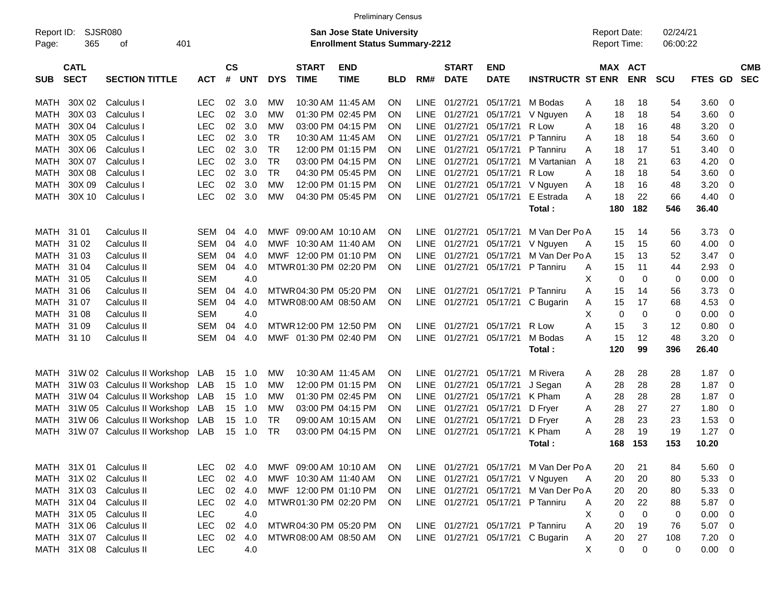| Report ID:<br>Page: | <b>SJSR080</b><br><b>San Jose State University</b><br>365<br>401<br><b>Enrollment Status Summary-2212</b><br>οf |                             |            |                   |            |            |                             |                           |            |             |                             |                           |                                  |     | <b>Report Date:</b><br>Report Time: | 02/24/21<br>06:00:22 |             |                |                          |
|---------------------|-----------------------------------------------------------------------------------------------------------------|-----------------------------|------------|-------------------|------------|------------|-----------------------------|---------------------------|------------|-------------|-----------------------------|---------------------------|----------------------------------|-----|-------------------------------------|----------------------|-------------|----------------|--------------------------|
| <b>SUB</b>          | <b>CATL</b><br><b>SECT</b>                                                                                      | <b>SECTION TITTLE</b>       | <b>ACT</b> | <b>CS</b><br>$\#$ | <b>UNT</b> | <b>DYS</b> | <b>START</b><br><b>TIME</b> | <b>END</b><br><b>TIME</b> | <b>BLD</b> | RM#         | <b>START</b><br><b>DATE</b> | <b>END</b><br><b>DATE</b> | <b>INSTRUCTR ST ENR</b>          |     | MAX ACT<br><b>ENR</b>               | <b>SCU</b>           | FTES GD     |                | <b>CMB</b><br><b>SEC</b> |
| MATH                | 30X 02                                                                                                          | Calculus I                  | <b>LEC</b> | 02                | 3.0        | MW         |                             | 10:30 AM 11:45 AM         | <b>ON</b>  | <b>LINE</b> | 01/27/21                    | 05/17/21                  | M Bodas                          | Α   | 18<br>18                            | 54                   | 3.60        | 0              |                          |
| MATH                | 30X 03                                                                                                          | Calculus I                  | <b>LEC</b> | 02                | 3.0        | МW         |                             | 01:30 PM 02:45 PM         | <b>ON</b>  | <b>LINE</b> | 01/27/21                    | 05/17/21                  | V Nguyen                         | Α   | 18<br>18                            | 54                   | 3.60        | 0              |                          |
| MATH                | 30X 04                                                                                                          | Calculus I                  | <b>LEC</b> | 02                | 3.0        | МW         |                             | 03:00 PM 04:15 PM         | <b>ON</b>  | <b>LINE</b> | 01/27/21                    | 05/17/21                  | R Low                            | A   | 16<br>18                            | 48                   | 3.20        | $\mathbf 0$    |                          |
| MATH                | 30X 05                                                                                                          | Calculus I                  | <b>LEC</b> | 02                | 3.0        | <b>TR</b>  |                             | 10:30 AM 11:45 AM         | <b>ON</b>  | <b>LINE</b> | 01/27/21                    | 05/17/21                  | P Tanniru                        | A   | 18<br>18                            | 54                   | 3.60        | $\mathbf 0$    |                          |
| MATH                | 30X 06                                                                                                          | Calculus I                  | <b>LEC</b> | 02                | 3.0        | <b>TR</b>  |                             | 12:00 PM 01:15 PM         | <b>ON</b>  | <b>LINE</b> | 01/27/21                    | 05/17/21                  | P Tanniru                        | A   | 17<br>18                            | 51                   | 3.40        | 0              |                          |
| MATH                | 30X 07                                                                                                          | Calculus I                  | <b>LEC</b> | 02                | 3.0        | <b>TR</b>  |                             | 03:00 PM 04:15 PM         | <b>ON</b>  | <b>LINE</b> | 01/27/21                    | 05/17/21                  | M Vartanian                      | A   | 18<br>21                            | 63                   | 4.20        | 0              |                          |
| MATH                | 30X 08                                                                                                          | Calculus I                  | <b>LEC</b> | 02                | 3.0        | <b>TR</b>  |                             | 04:30 PM 05:45 PM         | <b>ON</b>  | <b>LINE</b> | 01/27/21                    | 05/17/21                  | R Low                            | A   | 18<br>18                            | 54                   | 3.60        | $\mathbf 0$    |                          |
| MATH                | 30X 09                                                                                                          | Calculus I                  | <b>LEC</b> | 02                | 3.0        | МW         |                             | 12:00 PM 01:15 PM         | <b>ON</b>  | <b>LINE</b> | 01/27/21                    | 05/17/21                  | V Nguyen                         | Α   | 18<br>16                            | 48                   | 3.20        | $\mathbf 0$    |                          |
| MATH                | 30X 10                                                                                                          | Calculus I                  | <b>LEC</b> | 02                | 3.0        | МW         |                             | 04:30 PM 05:45 PM         | <b>ON</b>  |             | LINE 01/27/21               | 05/17/21                  | E Estrada                        | A   | 18<br>22                            | 66                   | 4.40        | $\mathbf 0$    |                          |
|                     |                                                                                                                 |                             |            |                   |            |            |                             |                           |            |             |                             |                           | Total:                           | 180 | 182                                 | 546                  | 36.40       |                |                          |
| MATH 31 01          |                                                                                                                 | Calculus II                 | <b>SEM</b> | 04                | 4.0        | <b>MWF</b> |                             | 09:00 AM 10:10 AM         | <b>ON</b>  |             | LINE 01/27/21               | 05/17/21                  | M Van Der Po A                   |     | 15<br>14                            | 56                   | 3.73        | 0              |                          |
| MATH                | 31 02                                                                                                           | Calculus II                 | <b>SEM</b> | 04                | 4.0        | MWF        | 10:30 AM 11:40 AM           |                           | <b>ON</b>  | <b>LINE</b> | 01/27/21                    | 05/17/21                  | V Nguyen                         | A   | 15<br>15                            | 60                   | 4.00        | 0              |                          |
| MATH                | 31 03                                                                                                           | Calculus II                 | <b>SEM</b> | 04                | 4.0        |            | MWF 12:00 PM 01:10 PM       |                           | <b>ON</b>  | <b>LINE</b> | 01/27/21                    | 05/17/21                  | M Van Der Po A                   |     | 15<br>13                            | 52                   | 3.47        | 0              |                          |
| MATH                | 31 04                                                                                                           | Calculus II                 | <b>SEM</b> | 04                | 4.0        |            | MTWR 01:30 PM 02:20 PM      |                           | ON         | <b>LINE</b> | 01/27/21                    | 05/17/21                  | P Tanniru                        | A   | 11<br>15                            | 44                   | 2.93        | 0              |                          |
| MATH                | 31 05                                                                                                           | Calculus II                 | <b>SEM</b> |                   | 4.0        |            |                             |                           |            |             |                             |                           |                                  | X   | $\mathbf 0$<br>0                    | 0                    | 0.00        | $\mathbf 0$    |                          |
| MATH                | 31 06                                                                                                           | Calculus II                 | <b>SEM</b> | 04                | 4.0        |            | MTWR04:30 PM 05:20 PM       |                           | <b>ON</b>  | <b>LINE</b> | 01/27/21                    | 05/17/21                  | P Tanniru                        | A   | 15<br>14                            | 56                   | 3.73        | $\mathbf 0$    |                          |
| MATH                | 31 07                                                                                                           | Calculus II                 | <b>SEM</b> | 04                | 4.0        |            | MTWR 08:00 AM 08:50 AM      |                           | ON         | <b>LINE</b> | 01/27/21                    | 05/17/21                  | C Bugarin                        | Α   | 15<br>17                            | 68                   | 4.53        | 0              |                          |
| MATH                | 31 08                                                                                                           | Calculus II                 | <b>SEM</b> |                   | 4.0        |            |                             |                           |            |             |                             |                           |                                  | X   | 0                                   | $\mathbf 0$<br>0     | 0.00        | 0              |                          |
| MATH                | 31 09                                                                                                           | Calculus II                 | <b>SEM</b> | 04                | 4.0        |            | MTWR 12:00 PM 12:50 PM      |                           | <b>ON</b>  | <b>LINE</b> | 01/27/21                    | 05/17/21                  | R Low                            | A   | 15                                  | 3<br>12              | 0.80        | $\mathbf 0$    |                          |
| MATH                | 31 10                                                                                                           | Calculus II                 | <b>SEM</b> | 04                | 4.0        | <b>MWF</b> | 01:30 PM 02:40 PM           |                           | <b>ON</b>  | LINE        | 01/27/21                    | 05/17/21                  | M Bodas                          | A   | 12<br>15                            | 48                   | 3.20        | $\mathbf 0$    |                          |
|                     |                                                                                                                 |                             |            |                   |            |            |                             |                           |            |             |                             |                           | Total:                           | 120 | 99                                  | 396                  | 26.40       |                |                          |
| MATH                |                                                                                                                 | 31W 02 Calculus II Workshop | LAB        | 15                | 1.0        | MW         |                             | 10:30 AM 11:45 AM         | <b>ON</b>  | LINE.       | 01/27/21                    | 05/17/21                  | M Rivera                         | Α   | 28<br>28                            | 28                   | 1.87        | $\mathbf 0$    |                          |
| <b>MATH</b>         |                                                                                                                 | 31W 03 Calculus II Workshop | LAB        | 15                | 1.0        | МW         |                             | 12:00 PM 01:15 PM         | <b>ON</b>  | <b>LINE</b> | 01/27/21                    | 05/17/21                  | J Segan                          | Α   | 28<br>28                            | 28                   | 1.87        | 0              |                          |
| MATH                |                                                                                                                 | 31W 04 Calculus II Workshop | LAB        | 15                | 1.0        | МW         |                             | 01:30 PM 02:45 PM         | <b>ON</b>  | <b>LINE</b> | 01/27/21                    | 05/17/21                  | K Pham                           | A   | 28<br>28                            | 28                   | 1.87        | 0              |                          |
| MATH                |                                                                                                                 | 31W 05 Calculus II Workshop | LAB        | 15                | 1.0        | МW         |                             | 03:00 PM 04:15 PM         | <b>ON</b>  | <b>LINE</b> | 01/27/21                    | 05/17/21                  | D Fryer                          | A   | 28<br>27                            | 27                   | 1.80        | $\mathbf 0$    |                          |
| MATH                |                                                                                                                 | 31W 06 Calculus II Workshop | LAB        | 15                | 1.0        | <b>TR</b>  |                             | 09:00 AM 10:15 AM         | ON         | <b>LINE</b> | 01/27/21                    | 05/17/21                  | D Fryer                          | Α   | 28<br>23                            | 23                   | 1.53        | 0              |                          |
| MATH                |                                                                                                                 | 31W 07 Calculus II Workshop | LAB        | 15                | 1.0        | <b>TR</b>  |                             | 03:00 PM 04:15 PM         | <b>ON</b>  | <b>LINE</b> | 01/27/21                    | 05/17/21                  | K Pham                           | A   | 28<br>19                            | 19                   | 1.27        | $\mathbf 0$    |                          |
|                     |                                                                                                                 |                             |            |                   |            |            |                             |                           |            |             |                             |                           | Total:                           | 168 | 153                                 | 153                  | 10.20       |                |                          |
|                     |                                                                                                                 |                             |            |                   |            |            |                             |                           |            |             |                             |                           |                                  |     |                                     |                      |             |                |                          |
|                     |                                                                                                                 | MATH 31X 01 Calculus II     | <b>LEC</b> | 02                | 4.0        |            |                             | MWF 09:00 AM 10:10 AM     | <b>ON</b>  |             | LINE 01/27/21               | 05/17/21                  | M Van Der Po A                   |     | 20<br>21                            | 84                   | 5.60        | 0              |                          |
|                     |                                                                                                                 | MATH 31X 02 Calculus II     | <b>LEC</b> |                   | 02 4.0     |            | MWF 10:30 AM 11:40 AM       |                           | <b>ON</b>  |             | LINE 01/27/21               | 05/17/21                  | V Nguyen                         | A   | 20<br>20                            | 80                   | 5.33        | $\overline{0}$ |                          |
|                     |                                                                                                                 | MATH 31X 03 Calculus II     | <b>LEC</b> |                   | 02 4.0     |            |                             | MWF 12:00 PM 01:10 PM     | - ON       |             | LINE 01/27/21 05/17/21      |                           | M Van Der Po A                   |     | 20<br>20                            | 80                   | 5.33        | 0              |                          |
|                     |                                                                                                                 | MATH 31X 04 Calculus II     | <b>LEC</b> |                   | 02 4.0     |            |                             | MTWR01:30 PM 02:20 PM     | <b>ON</b>  |             | LINE 01/27/21 05/17/21      |                           | P Tanniru                        | A   | 20<br>22                            | 88                   | 5.87        | $\overline{0}$ |                          |
|                     |                                                                                                                 | MATH 31X 05 Calculus II     | <b>LEC</b> |                   | 4.0        |            |                             |                           |            |             |                             |                           |                                  | X   | $\mathbf 0$<br>0                    | 0                    | 0.00        | $\overline{0}$ |                          |
|                     |                                                                                                                 | MATH 31X 06 Calculus II     | <b>LEC</b> | 02                | 4.0        |            |                             | MTWR 04:30 PM 05:20 PM    | ON         |             | LINE 01/27/21 05/17/21      |                           | P Tanniru                        | A   | 20<br>19                            | 76                   | 5.07        | $\overline{0}$ |                          |
|                     |                                                                                                                 | MATH 31X 07 Calculus II     | <b>LEC</b> | 02                | 4.0        |            |                             | MTWR 08:00 AM 08:50 AM    | -ON        |             |                             |                           | LINE 01/27/21 05/17/21 C Bugarin | A   | 20<br>27                            | 108                  | 7.20        | $\overline{0}$ |                          |
|                     |                                                                                                                 | MATH 31X 08 Calculus II     | <b>LEC</b> |                   | 4.0        |            |                             |                           |            |             |                             |                           |                                  | X   | 0<br>$\mathbf 0$                    | 0                    | $0.00 \t 0$ |                |                          |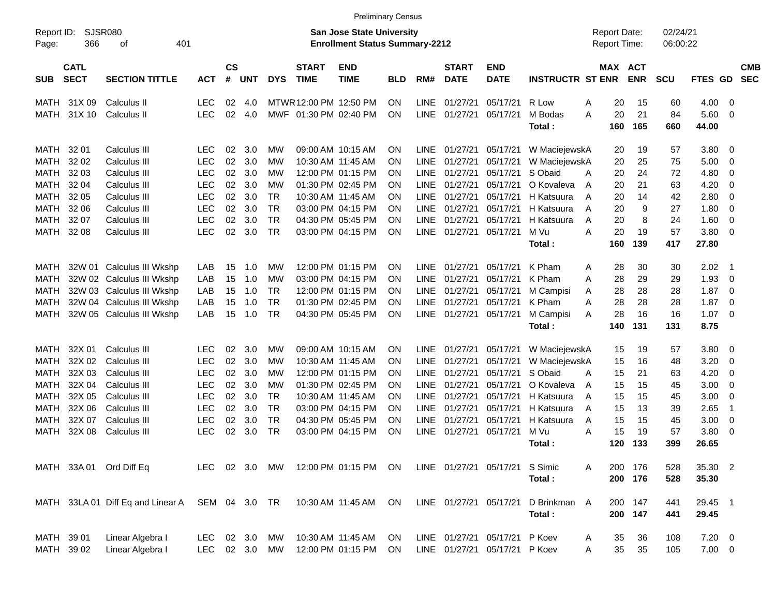|                     |                            |                                                        |               |                    |            |            |                             | <b>Preliminary Census</b>                                                 |            |             |                             |                                |                         |                                            |            |                      |             |                          |                          |
|---------------------|----------------------------|--------------------------------------------------------|---------------|--------------------|------------|------------|-----------------------------|---------------------------------------------------------------------------|------------|-------------|-----------------------------|--------------------------------|-------------------------|--------------------------------------------|------------|----------------------|-------------|--------------------------|--------------------------|
| Report ID:<br>Page: | 366                        | <b>SJSR080</b><br>401<br>οf                            |               |                    |            |            |                             | <b>San Jose State University</b><br><b>Enrollment Status Summary-2212</b> |            |             |                             |                                |                         | <b>Report Date:</b><br><b>Report Time:</b> |            | 02/24/21<br>06:00:22 |             |                          |                          |
| <b>SUB</b>          | <b>CATL</b><br><b>SECT</b> | <b>SECTION TITTLE</b>                                  | <b>ACT</b>    | $\mathsf{cs}$<br># | <b>UNT</b> | <b>DYS</b> | <b>START</b><br><b>TIME</b> | <b>END</b><br><b>TIME</b>                                                 | <b>BLD</b> | RM#         | <b>START</b><br><b>DATE</b> | <b>END</b><br><b>DATE</b>      | <b>INSTRUCTR ST ENR</b> | MAX ACT                                    | <b>ENR</b> | <b>SCU</b>           | FTES GD     |                          | <b>CMB</b><br><b>SEC</b> |
| MATH                | 31X 09                     | Calculus II                                            | <b>LEC</b>    | 02                 | 4.0        |            | MTWR 12:00 PM 12:50 PM      |                                                                           | <b>ON</b>  | LINE        | 01/27/21                    | 05/17/21                       | R Low                   | 20<br>Α                                    | 15         | 60                   | 4.00        | - 0                      |                          |
| MATH                | 31X 10                     | Calculus II                                            | <b>LEC</b>    | 02                 | 4.0        |            | MWF 01:30 PM 02:40 PM       |                                                                           | <b>ON</b>  | <b>LINE</b> | 01/27/21                    | 05/17/21                       | M Bodas                 | A<br>20                                    | 21         | 84                   | $5.60$ 0    |                          |                          |
|                     |                            |                                                        |               |                    |            |            |                             |                                                                           |            |             |                             |                                | Total:                  | 160                                        | 165        | 660                  | 44.00       |                          |                          |
| MATH                | 32 01                      | Calculus III                                           | LEC           | 02                 | 3.0        | МW         |                             | 09:00 AM 10:15 AM                                                         | <b>ON</b>  | <b>LINE</b> | 01/27/21                    | 05/17/21                       | W MaciejewskA           | 20                                         | 19         | 57                   | 3.80        | $\overline{\phantom{0}}$ |                          |
| MATH                | 32 02                      | Calculus III                                           | <b>LEC</b>    | 02                 | 3.0        | МW         |                             | 10:30 AM 11:45 AM                                                         | ΟN         | <b>LINE</b> | 01/27/21                    | 05/17/21                       | W MaciejewskA           | 20                                         | 25         | 75                   | 5.00        | $\overline{\phantom{0}}$ |                          |
| <b>MATH</b>         | 32 03                      | Calculus III                                           | <b>LEC</b>    | 02                 | 3.0        | МW         |                             | 12:00 PM 01:15 PM                                                         | ΟN         | LINE.       | 01/27/21                    | 05/17/21                       | S Obaid                 | 20<br>A                                    | 24         | 72                   | 4.80        | 0                        |                          |
| <b>MATH</b>         | 32 04                      | Calculus III                                           | <b>LEC</b>    | 02                 | 3.0        | МW         |                             | 01:30 PM 02:45 PM                                                         | ΟN         | LINE.       | 01/27/21                    | 05/17/21                       | O Kovaleva              | 20<br>Α                                    | 21         | 63                   | 4.20        | - 0                      |                          |
| <b>MATH</b>         | 32 05                      | Calculus III                                           | <b>LEC</b>    | 02                 | 3.0        | <b>TR</b>  |                             | 10:30 AM 11:45 AM                                                         | ΟN         | LINE.       | 01/27/21                    | 05/17/21                       | H Katsuura              | 20<br>Α                                    | 14         | 42                   | 2.80        | - 0                      |                          |
| <b>MATH</b>         | 32 06                      | Calculus III                                           | <b>LEC</b>    | 02                 | 3.0        | <b>TR</b>  |                             | 03:00 PM 04:15 PM                                                         | ΟN         | LINE.       | 01/27/21                    | 05/17/21                       | H Katsuura              | 20<br>A                                    | 9          | 27                   | 1.80        | - 0                      |                          |
| <b>MATH</b>         | 32 07                      | Calculus III                                           | <b>LEC</b>    | 02                 | 3.0        | <b>TR</b>  |                             | 04:30 PM 05:45 PM                                                         | ΟN         | LINE.       | 01/27/21                    | 05/17/21                       | H Katsuura              | 20<br>A                                    | 8          | 24                   | 1.60        | $\overline{0}$           |                          |
| <b>MATH</b>         | 32 08                      | Calculus III                                           | <b>LEC</b>    | 02                 | 3.0        | <b>TR</b>  |                             | 03:00 PM 04:15 PM                                                         | ΟN         | <b>LINE</b> | 01/27/21                    | 05/17/21                       | M Vu                    | A<br>20                                    | 19         | 57                   | 3.80 0      |                          |                          |
|                     |                            |                                                        |               |                    |            |            |                             |                                                                           |            |             |                             |                                | Total:                  | 160                                        | 139        | 417                  | 27.80       |                          |                          |
|                     |                            |                                                        | LAB           | 15                 | 1.0        | МW         |                             | 12:00 PM 01:15 PM                                                         | ON         | <b>LINE</b> | 01/27/21                    | 05/17/21                       | K Pham                  | 28                                         | 30         | 30                   | 2.02        | $\blacksquare$ 1         |                          |
| MATH<br>MATH        |                            | 32W 01 Calculus III Wkshp<br>32W 02 Calculus III Wkshp | LAB           | 15                 | 1.0        | МW         |                             | 03:00 PM 04:15 PM                                                         | ΟN         | <b>LINE</b> | 01/27/21                    | 05/17/21                       | K Pham                  | Α<br>Α<br>28                               | 29         | 29                   | 1.93        | $\overline{\mathbf{0}}$  |                          |
| MATH                |                            | 32W 03 Calculus III Wkshp                              | LAB           | 15                 | 1.0        | <b>TR</b>  |                             | 12:00 PM 01:15 PM                                                         | ΟN         | <b>LINE</b> | 01/27/21                    | 05/17/21                       | M Campisi               | 28<br>A                                    | 28         | 28                   | 1.87        | $\overline{\mathbf{0}}$  |                          |
| MATH                |                            | 32W 04 Calculus III Wkshp                              | LAB           | 15                 | 1.0        | <b>TR</b>  |                             | 01:30 PM 02:45 PM                                                         | ΟN         | LINE.       | 01/27/21                    | 05/17/21                       | K Pham                  | 28<br>A                                    | 28         | 28                   | 1.87        | - 0                      |                          |
| MATH                |                            | 32W 05 Calculus III Wkshp                              | LAB           | 15                 | 1.0        | <b>TR</b>  |                             | 04:30 PM 05:45 PM                                                         | ΟN         | LINE        | 01/27/21                    | 05/17/21                       | M Campisi               | 28<br>A                                    | 16         | 16                   | $1.07 \t 0$ |                          |                          |
|                     |                            |                                                        |               |                    |            |            |                             |                                                                           |            |             |                             |                                | Total:                  | 140                                        | 131        | 131                  | 8.75        |                          |                          |
|                     |                            |                                                        |               |                    |            |            |                             |                                                                           |            |             |                             |                                |                         |                                            |            |                      |             |                          |                          |
| MATH                | 32X 01                     | Calculus III                                           | LEC           | 02                 | 3.0        | МW         |                             | 09:00 AM 10:15 AM                                                         | <b>ON</b>  | <b>LINE</b> | 01/27/21                    | 05/17/21                       | W MaciejewskA           | 15                                         | 19         | 57                   | 3.80 0      |                          |                          |
| MATH                | 32X 02                     | Calculus III                                           | <b>LEC</b>    | 02                 | 3.0        | МW         |                             | 10:30 AM 11:45 AM                                                         | ΟN         | <b>LINE</b> | 01/27/21                    | 05/17/21                       | W MaciejewskA           | 15                                         | 16         | 48                   | 3.20        | 0                        |                          |
| MATH                | 32X 03                     | Calculus III                                           | <b>LEC</b>    | 02                 | 3.0        | МW         |                             | 12:00 PM 01:15 PM                                                         | ΟN         | LINE.       | 01/27/21                    | 05/17/21                       | S Obaid                 | 15<br>A                                    | 21         | 63                   | 4.20        | 0                        |                          |
| MATH                | 32X 04                     | Calculus III                                           | <b>LEC</b>    | 02                 | 3.0        | МW         |                             | 01:30 PM 02:45 PM                                                         | ΟN         | LINE.       | 01/27/21                    | 05/17/21                       | O Kovaleva              | 15<br>A                                    | 15         | 45                   | 3.00        | - 0                      |                          |
| <b>MATH</b>         | 32X 05                     | Calculus III                                           | <b>LEC</b>    | 02                 | 3.0        | <b>TR</b>  |                             | 10:30 AM 11:45 AM                                                         | ΟN         | LINE.       | 01/27/21                    | 05/17/21                       | H Katsuura              | 15<br>A                                    | 15         | 45                   | 3.00        | $\overline{\mathbf{0}}$  |                          |
| MATH                | 32X 06                     | Calculus III                                           | <b>LEC</b>    | 02                 | 3.0        | <b>TR</b>  |                             | 03:00 PM 04:15 PM                                                         | ΟN         | LINE.       | 01/27/21                    | 05/17/21                       | H Katsuura              | 15<br>A                                    | 13         | 39                   | 2.65        | $\overline{1}$           |                          |
| MATH                | 32X 07                     | Calculus III                                           | <b>LEC</b>    | 02                 | 3.0        | <b>TR</b>  |                             | 04:30 PM 05:45 PM                                                         | ΟN         | <b>LINE</b> | 01/27/21                    | 05/17/21                       | H Katsuura              | 15<br>A                                    | 15         | 45                   | 3.00        | 0                        |                          |
| <b>MATH</b>         | 32X 08                     | <b>Calculus III</b>                                    | <b>LEC</b>    | 02                 | 3.0        | <b>TR</b>  |                             | 03:00 PM 04:15 PM                                                         | ΟN         | LINE        | 01/27/21                    | 05/17/21                       | M Vu                    | 15<br>A                                    | 19         | 57                   | 3.80        | - 0                      |                          |
|                     |                            |                                                        |               |                    |            |            |                             |                                                                           |            |             |                             |                                | Total :                 | 120                                        | 133        | 399                  | 26.65       |                          |                          |
|                     |                            | MATH 33A 01 Ord Diff Eq                                |               |                    |            |            |                             | LEC 02 3.0 MW 12:00 PM 01:15 PM ON                                        |            |             |                             | LINE 01/27/21 05/17/21 S Simic |                         | A                                          | 200 176    | 528                  | 35.30 2     |                          |                          |
|                     |                            |                                                        |               |                    |            |            |                             |                                                                           |            |             |                             |                                | Total:                  |                                            | 200 176    | 528                  | 35.30       |                          |                          |
|                     |                            |                                                        |               |                    |            |            |                             |                                                                           |            |             |                             |                                |                         |                                            |            |                      |             |                          |                          |
|                     |                            | MATH 33LA 01 Diff Eq and Linear A SEM 04 3.0 TR        |               |                    |            |            |                             | 10:30 AM 11:45 AM ON                                                      |            |             |                             | LINE 01/27/21 05/17/21         | D Brinkman A            |                                            | 200 147    | 441                  | 29.45 1     |                          |                          |
|                     |                            |                                                        |               |                    |            |            |                             |                                                                           |            |             |                             |                                | Total:                  |                                            | 200 147    | 441                  | 29.45       |                          |                          |
|                     |                            |                                                        |               |                    |            |            |                             |                                                                           |            |             |                             |                                |                         |                                            |            |                      |             |                          |                          |
| MATH 39 01          |                            | Linear Algebra I                                       | <b>LEC</b>    |                    | 02 3.0     | МW         |                             | 10:30 AM 11:45 AM                                                         | ON.        |             |                             | LINE 01/27/21 05/17/21 P Koev  |                         | 35<br>A                                    | 36         | 108                  | $7.20 \t 0$ |                          |                          |
|                     | MATH 39 02                 | Linear Algebra I                                       | LEC 02 3.0 MW |                    |            |            |                             | 12:00 PM 01:15 PM                                                         | ON         |             |                             | LINE 01/27/21 05/17/21 P Koev  |                         | 35<br>Α                                    | 35         | 105                  | $7.00 \t 0$ |                          |                          |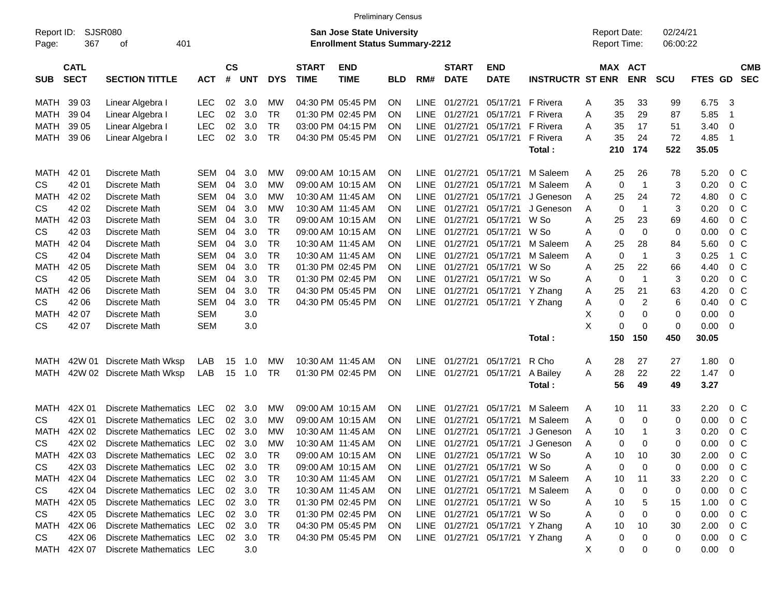|                                                                                                                                 |                            |                             |            |                    |            |            |                             | <b>Preliminary Census</b> |            |             |                             |                                     |                         |   |                      |                              |            |             |                                       |
|---------------------------------------------------------------------------------------------------------------------------------|----------------------------|-----------------------------|------------|--------------------|------------|------------|-----------------------------|---------------------------|------------|-------------|-----------------------------|-------------------------------------|-------------------------|---|----------------------|------------------------------|------------|-------------|---------------------------------------|
| <b>SJSR080</b><br>San Jose State University<br>Report ID:<br>367<br>401<br><b>Enrollment Status Summary-2212</b><br>Page:<br>οf |                            |                             |            |                    |            |            |                             |                           |            |             |                             | <b>Report Date:</b><br>Report Time: |                         |   | 02/24/21<br>06:00:22 |                              |            |             |                                       |
| <b>SUB</b>                                                                                                                      | <b>CATL</b><br><b>SECT</b> | <b>SECTION TITTLE</b>       | <b>ACT</b> | $\mathsf{cs}$<br># | <b>UNT</b> | <b>DYS</b> | <b>START</b><br><b>TIME</b> | <b>END</b><br><b>TIME</b> | <b>BLD</b> | RM#         | <b>START</b><br><b>DATE</b> | <b>END</b><br><b>DATE</b>           | <b>INSTRUCTR ST ENR</b> |   |                      | <b>MAX ACT</b><br><b>ENR</b> | <b>SCU</b> | <b>FTES</b> | <b>CMB</b><br><b>SEC</b><br><b>GD</b> |
| MATH                                                                                                                            | 39 03                      | Linear Algebra I            | <b>LEC</b> | 02                 | 3.0        | МW         |                             | 04:30 PM 05:45 PM         | <b>ON</b>  | <b>LINE</b> | 01/27/21                    | 05/17/21                            | <b>F</b> Rivera         | A | 35                   | 33                           | 99         | 6.75        | 3                                     |
| MATH                                                                                                                            | 39 04                      | Linear Algebra I            | <b>LEC</b> | 02                 | 3.0        | <b>TR</b>  |                             | 01:30 PM 02:45 PM         | ΟN         | <b>LINE</b> | 01/27/21                    | 05/17/21                            | F Rivera                | A | 35                   | 29                           | 87         | 5.85        | $\overline{\mathbf{1}}$               |
| MATH                                                                                                                            | 39 05                      | Linear Algebra I            | <b>LEC</b> | 02                 | 3.0        | <b>TR</b>  |                             | 03:00 PM 04:15 PM         | ON         | <b>LINE</b> | 01/27/21                    | 05/17/21                            | F Rivera                | A | 35                   | 17                           | 51         | 3.40        | 0                                     |
| MATH                                                                                                                            | 39 06                      | Linear Algebra I            | <b>LEC</b> | 02                 | 3.0        | <b>TR</b>  |                             | 04:30 PM 05:45 PM         | ΟN         | <b>LINE</b> | 01/27/21                    | 05/17/21                            | F Rivera                | Α | 35                   | 24                           | 72         | 4.85        | -1                                    |
|                                                                                                                                 |                            |                             |            |                    |            |            |                             |                           |            |             |                             |                                     | Total:                  |   | 210                  | 174                          | 522        | 35.05       |                                       |
| <b>MATH</b>                                                                                                                     | 42 01                      | Discrete Math               | <b>SEM</b> | 04                 | 3.0        | МW         |                             | 09:00 AM 10:15 AM         | <b>ON</b>  | <b>LINE</b> | 01/27/21                    | 05/17/21                            | M Saleem                | Α | 25                   | 26                           | 78         | 5.20        | $0\,C$                                |
| <b>CS</b>                                                                                                                       | 42 01                      | Discrete Math               | <b>SEM</b> | 04                 | 3.0        | МW         |                             | 09:00 AM 10:15 AM         | ΟN         | <b>LINE</b> | 01/27/21                    | 05/17/21                            | M Saleem                | A | 0                    | $\overline{1}$               | 3          | 0.20        | 0 <sup>C</sup>                        |
| <b>MATH</b>                                                                                                                     | 42 02                      | Discrete Math               | <b>SEM</b> | 04                 | 3.0        | МW         |                             | 10:30 AM 11:45 AM         | ON         | <b>LINE</b> | 01/27/21                    | 05/17/21                            | J Geneson               | A | 25                   | 24                           | 72         | 4.80        | 0 <sup>C</sup>                        |
| <b>CS</b>                                                                                                                       | 42 02                      | Discrete Math               | <b>SEM</b> | 04                 | 3.0        | МW         |                             | 10:30 AM 11:45 AM         | ΟN         | <b>LINE</b> | 01/27/21                    | 05/17/21                            | J Geneson               | A | 0                    | $\overline{1}$               | 3          | 0.20        | 0 <sup>C</sup>                        |
| <b>MATH</b>                                                                                                                     | 42 03                      | Discrete Math               | <b>SEM</b> | 04                 | 3.0        | <b>TR</b>  |                             | 09:00 AM 10:15 AM         | ΟN         | <b>LINE</b> | 01/27/21                    | 05/17/21                            | W So                    | A | 25                   | 23                           | 69         | 4.60        | 0 <sup>C</sup>                        |
| <b>CS</b>                                                                                                                       | 42 03                      | Discrete Math               | <b>SEM</b> | 04                 | 3.0        | <b>TR</b>  |                             | 09:00 AM 10:15 AM         | ΟN         | <b>LINE</b> | 01/27/21                    | 05/17/21                            | W So                    | A | 0                    | 0                            | 0          | 0.00        | 0 <sup>o</sup>                        |
| <b>MATH</b>                                                                                                                     | 42 04                      | Discrete Math               | <b>SEM</b> | 04                 | 3.0        | <b>TR</b>  |                             | 10:30 AM 11:45 AM         | ΟN         | <b>LINE</b> | 01/27/21                    | 05/17/21                            | M Saleem                | A | 25                   | 28                           | 84         | 5.60        | 0 <sup>o</sup>                        |
| <b>CS</b>                                                                                                                       | 42 04                      | Discrete Math               | <b>SEM</b> | 04                 | 3.0        | <b>TR</b>  |                             | 10:30 AM 11:45 AM         | ΟN         | <b>LINE</b> | 01/27/21                    | 05/17/21                            | M Saleem                | A | 0                    | $\overline{1}$               | 3          | 0.25        | 1 C                                   |
| <b>MATH</b>                                                                                                                     | 42 05                      | Discrete Math               | <b>SEM</b> | 04                 | 3.0        | <b>TR</b>  |                             | 01:30 PM 02:45 PM         | ΟN         | <b>LINE</b> | 01/27/21                    | 05/17/21                            | W So                    | A | 25                   | 22                           | 66         | 4.40        | 0 <sup>o</sup>                        |
| <b>CS</b>                                                                                                                       | 42 05                      | Discrete Math               | <b>SEM</b> | 04                 | 3.0        | <b>TR</b>  |                             | 01:30 PM 02:45 PM         | ΟN         | <b>LINE</b> | 01/27/21                    | 05/17/21                            | W So                    | Α | 0                    | $\overline{1}$               | 3          | 0.20        | $0\,C$                                |
| <b>MATH</b>                                                                                                                     | 42 06                      | Discrete Math               | <b>SEM</b> | 04                 | 3.0        | <b>TR</b>  |                             | 04:30 PM 05:45 PM         | ON         | <b>LINE</b> | 01/27/21                    | 05/17/21                            | Y Zhang                 | Α | 25                   | 21                           | 63         | 4.20        | 0 <sup>o</sup>                        |
| <b>CS</b>                                                                                                                       | 42 06                      | Discrete Math               | <b>SEM</b> | 04                 | 3.0        | <b>TR</b>  |                             | 04:30 PM 05:45 PM         | ON         | <b>LINE</b> | 01/27/21                    | 05/17/21                            | Y Zhang                 | Α | 0                    | $\overline{c}$               | 6          | 0.40        | $0\,C$                                |
| <b>MATH</b>                                                                                                                     | 42 07                      | Discrete Math               | <b>SEM</b> |                    | 3.0        |            |                             |                           |            |             |                             |                                     |                         | X | 0                    | 0                            | 0          | 0.00        | 0                                     |
| <b>CS</b>                                                                                                                       | 42 07                      | Discrete Math               | <b>SEM</b> |                    | 3.0        |            |                             |                           |            |             |                             |                                     |                         | X | 0                    | 0                            | 0          | 0.00        | 0                                     |
|                                                                                                                                 |                            |                             |            |                    |            |            |                             |                           |            |             |                             |                                     | Total:                  |   | 150                  | 150                          | 450        | 30.05       |                                       |
| MATH                                                                                                                            | 42W 01                     | Discrete Math Wksp          | LAB        | 15                 | 1.0        | MW         |                             | 10:30 AM 11:45 AM         | <b>ON</b>  | <b>LINE</b> | 01/27/21                    | 05/17/21                            | R Cho                   | A | 28                   | 27                           | 27         | 1.80        | 0                                     |
| MATH                                                                                                                            |                            | 42W 02 Discrete Math Wksp   | LAB        | 15                 | 1.0        | <b>TR</b>  |                             | 01:30 PM 02:45 PM         | ON         | <b>LINE</b> | 01/27/21                    | 05/17/21                            | A Bailey                | Α | 28                   | 22                           | 22         | 1.47        | 0                                     |
|                                                                                                                                 |                            |                             |            |                    |            |            |                             |                           |            |             |                             |                                     | Total:                  |   | 56                   | 49                           | 49         | 3.27        |                                       |
| <b>MATH</b>                                                                                                                     | 42X 01                     | <b>Discrete Mathematics</b> | LEC        | 02                 | 3.0        | МW         |                             | 09:00 AM 10:15 AM         | <b>ON</b>  | <b>LINE</b> | 01/27/21                    | 05/17/21                            | M Saleem                | A | 10                   | 11                           | 33         | 2.20        | 0 <sup>C</sup>                        |
| <b>CS</b>                                                                                                                       | 42X 01                     | Discrete Mathematics        | LEC        | 02                 | 3.0        | МW         |                             | 09:00 AM 10:15 AM         | <b>ON</b>  | <b>LINE</b> | 01/27/21                    | 05/17/21                            | M Saleem                | A | 0                    | 0                            | 0          | 0.00        | 0 <sup>C</sup>                        |
| <b>MATH</b>                                                                                                                     | 42X 02                     | Discrete Mathematics        | <b>LEC</b> | 02                 | 3.0        | МW         |                             | 10:30 AM 11:45 AM         | ON         | <b>LINE</b> | 01/27/21                    | 05/17/21                            | J Geneson               | A | 10                   | -1                           | 3          | 0.20        | 0 <sup>C</sup>                        |
| <b>CS</b>                                                                                                                       | 42X 02                     | Discrete Mathematics LEC    |            | 02                 | 3.0        | МW         |                             | 10:30 AM 11:45 AM         | <b>ON</b>  | <b>LINE</b> | 01/27/21                    | 05/17/21                            | J Geneson               | A | 0                    | 0                            | 0          | 0.00        | 0 <sup>o</sup>                        |
|                                                                                                                                 | MATH 42X 03                | Discrete Mathematics LEC    |            | 02                 | 3.0        | TR         |                             | 09:00 AM 10:15 AM         | <b>ON</b>  |             | LINE 01/27/21               | 05/17/21                            | W So                    | Α | 10                   | 10                           | 30         | 2.00        | $0\,C$                                |
| CS                                                                                                                              | 42X 03                     | Discrete Mathematics LEC    |            | 02                 | 3.0        | <b>TR</b>  |                             | 09:00 AM 10:15 AM         | <b>ON</b>  |             | LINE 01/27/21               | 05/17/21                            | W So                    | Α | 0                    | 0                            | 0          | 0.00        | 0 <sup>C</sup>                        |
| MATH                                                                                                                            | 42X 04                     | Discrete Mathematics LEC    |            |                    | 02 3.0     | <b>TR</b>  |                             | 10:30 AM 11:45 AM         | ON.        |             | LINE 01/27/21               | 05/17/21                            | M Saleem                | Α | 10                   | 11                           | 33         | 2.20        | 0 C                                   |
| CS                                                                                                                              | 42X 04                     | Discrete Mathematics LEC    |            |                    | 02 3.0     | <b>TR</b>  |                             | 10:30 AM 11:45 AM         | <b>ON</b>  |             | LINE 01/27/21               | 05/17/21                            | M Saleem                | Α | 0                    | 0                            | 0          | 0.00        | 0 C                                   |
| MATH                                                                                                                            | 42X 05                     | Discrete Mathematics LEC    |            |                    | 02 3.0     | <b>TR</b>  |                             | 01:30 PM 02:45 PM         | <b>ON</b>  |             | LINE 01/27/21               | 05/17/21                            | W So                    | Α | 10                   | 5                            | 15         | 1.00        | 0 C                                   |
| CS                                                                                                                              | 42X 05                     | Discrete Mathematics LEC    |            |                    | 02 3.0     | <b>TR</b>  |                             | 01:30 PM 02:45 PM         | <b>ON</b>  |             | LINE 01/27/21               | 05/17/21                            | W So                    | Α | 0                    | 0                            | 0          | 0.00        | 0 C                                   |
| MATH                                                                                                                            | 42X 06                     | Discrete Mathematics LEC    |            | 02                 | 3.0        | <b>TR</b>  |                             | 04:30 PM 05:45 PM         | ON.        |             |                             | LINE 01/27/21 05/17/21 Y Zhang      |                         | Α | 10                   | 10                           | 30         | 2.00        | 0 <sup>C</sup>                        |
| CS.                                                                                                                             | 42X 06                     | Discrete Mathematics LEC    |            | 02                 | 3.0        | TR         |                             | 04:30 PM 05:45 PM         | ON.        |             |                             | LINE 01/27/21 05/17/21 Y Zhang      |                         | A | 0                    | 0                            | 0          | 0.00        | 0 C                                   |
| MATH                                                                                                                            | 42X 07                     | Discrete Mathematics LEC    |            |                    | 3.0        |            |                             |                           |            |             |                             |                                     |                         | X | 0                    | 0                            | 0          | 0.00        | 0                                     |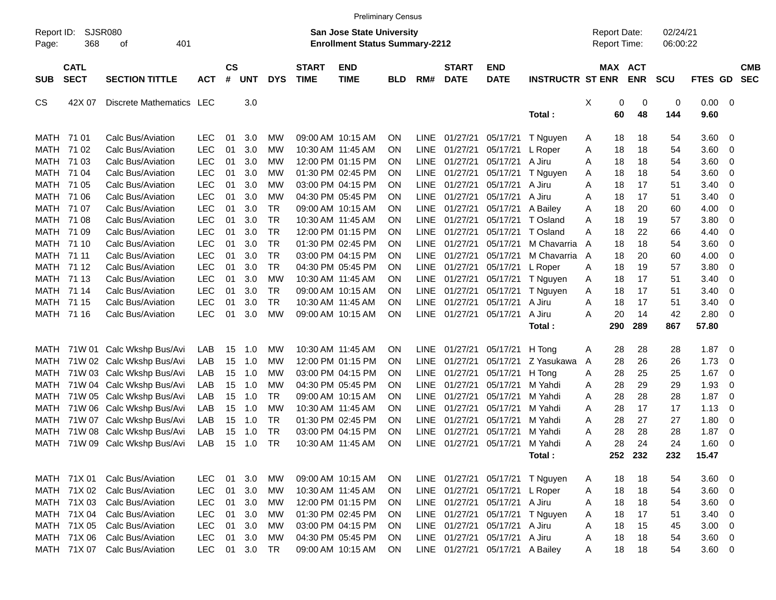|                             |                                           |                                                                              |                                        |                    |                   |                                     |                             | <b>Preliminary Census</b>                                                 |                                     |                                           |                                                 |                                             |                                    |             |                                     |                       |                      |                                                    |                                   |                          |
|-----------------------------|-------------------------------------------|------------------------------------------------------------------------------|----------------------------------------|--------------------|-------------------|-------------------------------------|-----------------------------|---------------------------------------------------------------------------|-------------------------------------|-------------------------------------------|-------------------------------------------------|---------------------------------------------|------------------------------------|-------------|-------------------------------------|-----------------------|----------------------|----------------------------------------------------|-----------------------------------|--------------------------|
| Report ID:<br>Page:         | SJSR080<br>368                            | 401<br>οf                                                                    |                                        |                    |                   |                                     |                             | <b>San Jose State University</b><br><b>Enrollment Status Summary-2212</b> |                                     |                                           |                                                 |                                             |                                    |             | <b>Report Date:</b><br>Report Time: |                       | 02/24/21<br>06:00:22 |                                                    |                                   |                          |
| <b>SUB</b>                  | <b>CATL</b><br><b>SECT</b>                | <b>SECTION TITTLE</b>                                                        | <b>ACT</b>                             | $\mathsf{cs}$<br># | <b>UNT</b>        | <b>DYS</b>                          | <b>START</b><br><b>TIME</b> | <b>END</b><br><b>TIME</b>                                                 | <b>BLD</b>                          | RM#                                       | <b>START</b><br><b>DATE</b>                     | <b>END</b><br><b>DATE</b>                   | <b>INSTRUCTR ST ENR</b>            |             |                                     | MAX ACT<br><b>ENR</b> | <b>SCU</b>           | FTES GD                                            |                                   | <b>CMB</b><br><b>SEC</b> |
| <b>CS</b>                   | 42X 07                                    | Discrete Mathematics LEC                                                     |                                        |                    | 3.0               |                                     |                             |                                                                           |                                     |                                           |                                                 |                                             | Total:                             | X           | 0<br>60                             | 0<br>48               | 0<br>144             | 0.00<br>9.60                                       | $\overline{\mathbf{0}}$           |                          |
| <b>MATH</b>                 | MATH 71 01<br>71 02                       | Calc Bus/Aviation<br>Calc Bus/Aviation                                       | <b>LEC</b><br><b>LEC</b>               | 01<br>01           | 3.0<br>3.0        | MW<br>MW                            |                             | 09:00 AM 10:15 AM<br>10:30 AM 11:45 AM                                    | ΟN<br>ON                            | <b>LINE</b><br><b>LINE</b>                | 01/27/21<br>01/27/21                            | 05/17/21<br>05/17/21                        | T Nguyen<br>L Roper                | A<br>Α      | 18<br>18                            | 18<br>18              | 54<br>54             | 3.60<br>3.60                                       | - 0<br>0                          |                          |
| <b>MATH</b><br>MATH<br>MATH | 71 03<br>71 04<br>71 05                   | Calc Bus/Aviation<br>Calc Bus/Aviation<br>Calc Bus/Aviation                  | <b>LEC</b><br><b>LEC</b><br><b>LEC</b> | 01<br>01<br>01     | 3.0<br>3.0<br>3.0 | MW<br><b>MW</b><br><b>MW</b>        |                             | 12:00 PM 01:15 PM<br>01:30 PM 02:45 PM<br>03:00 PM 04:15 PM               | OΝ<br>OΝ<br>ΟN                      | <b>LINE</b><br><b>LINE</b><br><b>LINE</b> | 01/27/21<br>01/27/21<br>01/27/21                | 05/17/21<br>05/17/21<br>05/17/21            | A Jiru<br>T Nguyen<br>A Jiru       | Α<br>A<br>Α | 18<br>18<br>18                      | 18<br>18<br>17        | 54<br>54<br>51       | 3.60<br>3.60<br>3.40                               | 0<br>0<br>0                       |                          |
| MATH<br>MATH<br>MATH        | 71 06<br>71 07<br>71 08                   | Calc Bus/Aviation<br>Calc Bus/Aviation<br>Calc Bus/Aviation                  | <b>LEC</b><br><b>LEC</b><br><b>LEC</b> | 01<br>01<br>01     | 3.0<br>3.0<br>3.0 | <b>MW</b><br><b>TR</b><br><b>TR</b> |                             | 04:30 PM 05:45 PM<br>09:00 AM 10:15 AM<br>10:30 AM 11:45 AM               | ΟN<br>ΟN<br>ΟN                      | <b>LINE</b><br><b>LINE</b><br><b>LINE</b> | 01/27/21<br>01/27/21<br>01/27/21                | 05/17/21<br>05/17/21<br>05/17/21            | A Jiru<br>A Bailey<br>T Osland     | Α<br>Α<br>Α | 18<br>18<br>18                      | 17<br>20<br>19        | 51<br>60<br>57       | 3.40<br>4.00<br>3.80                               | 0<br>0<br>0                       |                          |
| MATH<br>MATH                | 71 09<br>71 10                            | Calc Bus/Aviation<br>Calc Bus/Aviation                                       | <b>LEC</b><br><b>LEC</b>               | 01<br>01           | 3.0<br>3.0        | <b>TR</b><br><b>TR</b>              |                             | 12:00 PM 01:15 PM<br>01:30 PM 02:45 PM                                    | ΟN<br>ΟN                            | <b>LINE</b><br><b>LINE</b>                | 01/27/21<br>01/27/21                            | 05/17/21<br>05/17/21                        | T Osland<br>M Chavarria            | Α<br>A      | 18<br>18                            | 22<br>18              | 66<br>54             | 4.40<br>3.60                                       | 0<br>0                            |                          |
| MATH<br>MATH<br>MATH        | 71 11<br>71 12<br>71 13                   | Calc Bus/Aviation<br>Calc Bus/Aviation<br>Calc Bus/Aviation                  | <b>LEC</b><br><b>LEC</b><br><b>LEC</b> | 01<br>01<br>01     | 3.0<br>3.0<br>3.0 | <b>TR</b><br><b>TR</b><br><b>MW</b> |                             | 03:00 PM 04:15 PM<br>04:30 PM 05:45 PM<br>10:30 AM 11:45 AM               | ΟN<br>ΟN<br>ΟN                      | <b>LINE</b><br><b>LINE</b><br><b>LINE</b> | 01/27/21<br>01/27/21<br>01/27/21                | 05/17/21<br>05/17/21<br>05/17/21            | M Chavarria<br>L Roper<br>T Nguyen | A<br>Α<br>Α | 18<br>18<br>18                      | 20<br>19<br>17        | 60<br>57<br>51       | 4.00<br>3.80<br>3.40                               | 0<br>0<br>0                       |                          |
| MATH<br><b>MATH</b><br>MATH | 71 14<br>71 15<br>71 16                   | Calc Bus/Aviation<br>Calc Bus/Aviation<br>Calc Bus/Aviation                  | <b>LEC</b><br><b>LEC</b><br><b>LEC</b> | 01<br>01<br>01     | 3.0<br>3.0<br>3.0 | <b>TR</b><br><b>TR</b><br><b>MW</b> |                             | 09:00 AM 10:15 AM<br>10:30 AM 11:45 AM<br>09:00 AM 10:15 AM               | ΟN<br>ON<br>ON                      | <b>LINE</b><br><b>LINE</b><br><b>LINE</b> | 01/27/21<br>01/27/21<br>01/27/21                | 05/17/21<br>05/17/21<br>05/17/21            | T Nguyen<br>A Jiru<br>A Jiru       | Α<br>Α<br>Α | 18<br>18<br>20                      | 17<br>17<br>14        | 51<br>51<br>42       | 3.40<br>3.40<br>2.80                               | 0<br>0<br>0                       |                          |
|                             |                                           |                                                                              |                                        |                    |                   |                                     |                             |                                                                           |                                     |                                           |                                                 |                                             | Total:                             |             | 290                                 | 289                   | 867                  | 57.80                                              |                                   |                          |
| MATH<br>MATH<br>MATH        | 71W 01                                    | Calc Wkshp Bus/Avi<br>71W 02 Calc Wkshp Bus/Avi<br>71W 03 Calc Wkshp Bus/Avi | LAB<br>LAB<br>LAB                      | 15<br>15<br>15     | 1.0<br>1.0<br>1.0 | MW<br>MW<br>MW                      |                             | 10:30 AM 11:45 AM<br>12:00 PM 01:15 PM<br>03:00 PM 04:15 PM               | ΟN<br>ON<br>OΝ                      | <b>LINE</b><br><b>LINE</b><br><b>LINE</b> | 01/27/21<br>01/27/21<br>01/27/21                | 05/17/21<br>05/17/21<br>05/17/21            | H Tong<br>Z Yasukawa<br>H Tong     | A<br>A<br>Α | 28<br>28<br>28                      | 28<br>26<br>25        | 28<br>26<br>25       | 1.87<br>1.73<br>1.67                               | $\overline{\mathbf{0}}$<br>0<br>0 |                          |
| MATH<br>MATH                |                                           | 71W 04 Calc Wkshp Bus/Avi<br>71W 05 Calc Wkshp Bus/Avi                       | LAB<br>LAB                             | 15<br>15           | 1.0<br>1.0        | MW<br><b>TR</b>                     |                             | 04:30 PM 05:45 PM<br>09:00 AM 10:15 AM                                    | OΝ<br>OΝ                            | <b>LINE</b><br><b>LINE</b>                | 01/27/21<br>01/27/21                            | 05/17/21<br>05/17/21                        | M Yahdi<br>M Yahdi                 | Α<br>Α      | 28<br>28                            | 29<br>28              | 29<br>28             | 1.93<br>1.87                                       | $\mathbf 0$<br>0                  |                          |
| <b>MATH</b><br>MATH<br>MATH | 71W 07                                    | 71W 06 Calc Wkshp Bus/Avi<br>Calc Wkshp Bus/Avi<br>71W 08 Calc Wkshp Bus/Avi | LAB<br>LAB<br>LAB                      | 15<br>15<br>15     | 1.0<br>1.0<br>1.0 | <b>MW</b><br><b>TR</b><br><b>TR</b> |                             | 10:30 AM 11:45 AM<br>01:30 PM 02:45 PM<br>03:00 PM 04:15 PM               | OΝ<br>OΝ<br>ΟN                      | <b>LINE</b><br><b>LINE</b><br><b>LINE</b> | 01/27/21<br>01/27/21<br>01/27/21                | 05/17/21<br>05/17/21<br>05/17/21            | M Yahdi<br>M Yahdi<br>M Yahdi      | Α<br>Α<br>Α | 28<br>28<br>28                      | 17<br>27<br>28        | 17<br>27<br>28       | 1.13<br>1.80<br>1.87                               | 0<br>0<br>$\mathbf 0$             |                          |
| MATH                        |                                           | 71W 09 Calc Wkshp Bus/Avi                                                    | LAB                                    | 15                 | 1.0               | <b>TR</b>                           |                             | 10:30 AM 11:45 AM                                                         | ΟN                                  | <b>LINE</b>                               | 01/27/21                                        | 05/17/21                                    | M Yahdi<br>Total:                  | Α           | 28                                  | 24<br>252 232         | 24<br>232            | 1.60<br>15.47                                      | $\mathbf 0$                       |                          |
|                             | MATH 71X 01<br>MATH 71X 02<br>MATH 71X 03 | Calc Bus/Aviation<br>Calc Bus/Aviation<br>Calc Bus/Aviation                  | <b>LEC</b><br><b>LEC</b><br><b>LEC</b> | 01<br>01<br>01     | 3.0<br>3.0<br>3.0 | <b>MW</b><br>МW<br>МW               |                             | 09:00 AM 10:15 AM<br>10:30 AM 11:45 AM<br>12:00 PM 01:15 PM               | <b>ON</b><br><b>ON</b><br><b>ON</b> |                                           | LINE 01/27/21<br>LINE 01/27/21<br>LINE 01/27/21 | 05/17/21<br>05/17/21<br>05/17/21            | T Nguyen<br>L Roper<br>A Jiru      | A<br>A<br>Α | 18<br>18<br>18                      | 18<br>18<br>18        | 54<br>54<br>54       | $3.60 \quad 0$<br>$3.60 \quad 0$<br>$3.60 \quad 0$ |                                   |                          |
|                             | MATH 71X 04<br>MATH 71X 05                | Calc Bus/Aviation<br>Calc Bus/Aviation                                       | <b>LEC</b><br><b>LEC</b>               | 01<br>01           | 3.0<br>3.0        | MW<br>MW                            |                             | 01:30 PM 02:45 PM<br>03:00 PM 04:15 PM                                    | <b>ON</b><br><b>ON</b>              |                                           | LINE 01/27/21<br>LINE 01/27/21                  | 05/17/21<br>05/17/21                        | T Nguyen<br>A Jiru                 | Α<br>Α      | 18<br>18                            | 17<br>15              | 51<br>45             | $3.40 \quad 0$<br>$3.00 \ 0$                       |                                   |                          |
|                             | MATH 71X 06<br>MATH 71X 07                | Calc Bus/Aviation<br>Calc Bus/Aviation                                       | <b>LEC</b><br><b>LEC</b>               | 01                 | 3.0<br>01 3.0     | <b>MW</b><br>TR                     |                             | 04:30 PM 05:45 PM<br>09:00 AM 10:15 AM                                    | <b>ON</b><br>ON                     |                                           | LINE 01/27/21                                   | 05/17/21<br>LINE 01/27/21 05/17/21 A Bailey | A Jiru                             | Α<br>Α      | 18<br>18                            | 18<br>18              | 54<br>54             | $3.60 \ 0$<br>$3.60 \t 0$                          |                                   |                          |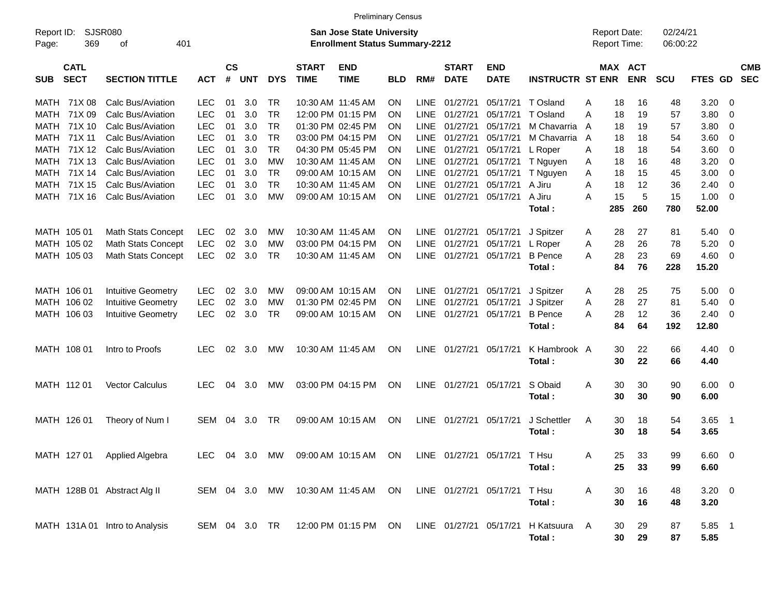|                     |                            |                                                                                                          |               |                |            |            |                             | <b>Preliminary Census</b> |            |             |                             |                              |                         |   |                                            |                       |                      |            |             |                          |
|---------------------|----------------------------|----------------------------------------------------------------------------------------------------------|---------------|----------------|------------|------------|-----------------------------|---------------------------|------------|-------------|-----------------------------|------------------------------|-------------------------|---|--------------------------------------------|-----------------------|----------------------|------------|-------------|--------------------------|
| Report ID:<br>Page: | 369                        | <b>SJSR080</b><br><b>San Jose State University</b><br>401<br><b>Enrollment Status Summary-2212</b><br>οf |               |                |            |            |                             |                           |            |             |                             |                              |                         |   | <b>Report Date:</b><br><b>Report Time:</b> |                       | 02/24/21<br>06:00:22 |            |             |                          |
| <b>SUB</b>          | <b>CATL</b><br><b>SECT</b> | <b>SECTION TITTLE</b>                                                                                    | <b>ACT</b>    | <b>CS</b><br># | <b>UNT</b> | <b>DYS</b> | <b>START</b><br><b>TIME</b> | <b>END</b><br><b>TIME</b> | <b>BLD</b> | RM#         | <b>START</b><br><b>DATE</b> | <b>END</b><br><b>DATE</b>    | <b>INSTRUCTR ST ENR</b> |   |                                            | MAX ACT<br><b>ENR</b> | SCU                  | FTES GD    |             | <b>CMB</b><br><b>SEC</b> |
| MATH                | 71X 08                     | Calc Bus/Aviation                                                                                        | <b>LEC</b>    | 01             | 3.0        | <b>TR</b>  |                             | 10:30 AM 11:45 AM         | <b>ON</b>  | <b>LINE</b> | 01/27/21                    | 05/17/21                     | T Osland                | A | 18                                         | 16                    | 48                   | 3.20       | - 0         |                          |
| MATH                | 71X 09                     | Calc Bus/Aviation                                                                                        | <b>LEC</b>    | 01             | 3.0        | <b>TR</b>  |                             | 12:00 PM 01:15 PM         | <b>ON</b>  | <b>LINE</b> | 01/27/21                    | 05/17/21                     | T Osland                | Α | 18                                         | 19                    | 57                   | 3.80       | 0           |                          |
| MATH                | 71X 10                     | Calc Bus/Aviation                                                                                        | <b>LEC</b>    | 01             | 3.0        | <b>TR</b>  |                             | 01:30 PM 02:45 PM         | <b>ON</b>  | <b>LINE</b> | 01/27/21                    | 05/17/21                     | M Chavarria             | A | 18                                         | 19                    | 57                   | 3.80       | 0           |                          |
| MATH                | 71X 11                     | Calc Bus/Aviation                                                                                        | <b>LEC</b>    | 01             | 3.0        | <b>TR</b>  |                             | 03:00 PM 04:15 PM         | <b>ON</b>  | <b>LINE</b> | 01/27/21                    | 05/17/21                     | M Chavarria A           |   | 18                                         | 18                    | 54                   | 3.60       | 0           |                          |
| MATH                | 71X 12                     | Calc Bus/Aviation                                                                                        | <b>LEC</b>    | 01             | 3.0        | <b>TR</b>  |                             | 04:30 PM 05:45 PM         | <b>ON</b>  | LINE        | 01/27/21                    | 05/17/21                     | L Roper                 | A | 18                                         | 18                    | 54                   | 3.60       | 0           |                          |
| MATH                | 71X 13                     | Calc Bus/Aviation                                                                                        | <b>LEC</b>    | 01             | 3.0        | МW         |                             | 10:30 AM 11:45 AM         | <b>ON</b>  | LINE        | 01/27/21                    | 05/17/21                     | T Nguyen                | A | 18                                         | 16                    | 48                   | 3.20       | $\mathbf 0$ |                          |
| MATH                | 71X 14                     | Calc Bus/Aviation                                                                                        | <b>LEC</b>    | 01             | 3.0        | <b>TR</b>  |                             | 09:00 AM 10:15 AM         | <b>ON</b>  | LINE        | 01/27/21                    | 05/17/21                     | T Nguyen                | A | 18                                         | 15                    | 45                   | 3.00       | $\mathbf 0$ |                          |
| MATH                | 71X 15                     | Calc Bus/Aviation                                                                                        | <b>LEC</b>    | 01             | 3.0        | <b>TR</b>  |                             | 10:30 AM 11:45 AM         | <b>ON</b>  | LINE        | 01/27/21                    | 05/17/21                     | A Jiru                  | A | 18                                         | 12                    | 36                   | 2.40       | $\mathbf 0$ |                          |
| MATH                | 71X 16                     | Calc Bus/Aviation                                                                                        | <b>LEC</b>    | 01             | 3.0        | МW         |                             | 09:00 AM 10:15 AM         | <b>ON</b>  |             | LINE 01/27/21               | 05/17/21                     | A Jiru                  | Α | 15                                         | 5                     | 15                   | 1.00       | - 0         |                          |
|                     |                            |                                                                                                          |               |                |            |            |                             |                           |            |             |                             |                              | Total:                  |   | 285                                        | 260                   | 780                  | 52.00      |             |                          |
|                     |                            |                                                                                                          |               |                |            |            |                             |                           |            |             |                             |                              |                         |   |                                            |                       |                      |            |             |                          |
| MATH 105 01         |                            | <b>Math Stats Concept</b>                                                                                | <b>LEC</b>    | 02             | 3.0        | МW         |                             | 10:30 AM 11:45 AM         | <b>ON</b>  | LINE        | 01/27/21                    | 05/17/21                     | J Spitzer               | A | 28                                         | 27                    | 81                   | 5.40       | - 0         |                          |
|                     | MATH 105 02                | <b>Math Stats Concept</b>                                                                                | <b>LEC</b>    | 02             | 3.0        | МW         |                             | 03:00 PM 04:15 PM         | <b>ON</b>  | <b>LINE</b> | 01/27/21                    | 05/17/21                     | L Roper                 | A | 28                                         | 26                    | 78                   | 5.20       | 0           |                          |
|                     | MATH 105 03                | <b>Math Stats Concept</b>                                                                                | <b>LEC</b>    | 02             | 3.0        | <b>TR</b>  |                             | 10:30 AM 11:45 AM         | <b>ON</b>  | LINE        | 01/27/21                    | 05/17/21                     | <b>B</b> Pence          | A | 28                                         | 23                    | 69                   | 4.60       | - 0         |                          |
|                     |                            |                                                                                                          |               |                |            |            |                             |                           |            |             |                             |                              | Total:                  |   | 84                                         | 76                    | 228                  | 15.20      |             |                          |
| MATH 106 01         |                            | <b>Intuitive Geometry</b>                                                                                | <b>LEC</b>    | 02             | 3.0        | МW         |                             | 09:00 AM 10:15 AM         | <b>ON</b>  | LINE        | 01/27/21                    | 05/17/21                     | J Spitzer               | A | 28                                         | 25                    | 75                   | 5.00       | - 0         |                          |
|                     | MATH 106 02                | <b>Intuitive Geometry</b>                                                                                | <b>LEC</b>    | 02             | 3.0        | МW         |                             | 01:30 PM 02:45 PM         | <b>ON</b>  | <b>LINE</b> | 01/27/21                    | 05/17/21                     | J Spitzer               | A | 28                                         | 27                    | 81                   | 5.40       | 0           |                          |
|                     | MATH 106 03                | <b>Intuitive Geometry</b>                                                                                | <b>LEC</b>    | 02             | 3.0        | <b>TR</b>  |                             | 09:00 AM 10:15 AM         | <b>ON</b>  |             | LINE 01/27/21               | 05/17/21                     | <b>B</b> Pence          | A | 28                                         | 12                    | 36                   | 2.40       | - 0         |                          |
|                     |                            |                                                                                                          |               |                |            |            |                             |                           |            |             |                             |                              | Total:                  |   | 84                                         | 64                    | 192                  | 12.80      |             |                          |
|                     |                            |                                                                                                          |               |                |            |            |                             |                           |            |             |                             |                              |                         |   |                                            |                       |                      |            |             |                          |
|                     | MATH 108 01                | Intro to Proofs                                                                                          | <b>LEC</b>    | 02             | 3.0        | MW         |                             | 10:30 AM 11:45 AM         | <b>ON</b>  | <b>LINE</b> | 01/27/21                    | 05/17/21                     | K Hambrook A            |   | 30                                         | 22                    | 66                   | 4.40       | - 0         |                          |
|                     |                            |                                                                                                          |               |                |            |            |                             |                           |            |             |                             |                              | Total:                  |   | 30                                         | 22                    | 66                   | 4.40       |             |                          |
|                     |                            |                                                                                                          |               |                |            |            |                             |                           |            |             |                             |                              |                         |   |                                            |                       |                      |            |             |                          |
|                     | MATH 112 01                | Vector Calculus                                                                                          | <b>LEC</b>    | 04             | 3.0        | MW         |                             | 03:00 PM 04:15 PM         | <b>ON</b>  | LINE        | 01/27/21                    | 05/17/21                     | S Obaid                 | A | 30                                         | 30                    | 90                   | 6.00       | - 0         |                          |
|                     |                            |                                                                                                          |               |                |            |            |                             |                           |            |             |                             |                              | Total:                  |   | 30                                         | 30                    | 90                   | 6.00       |             |                          |
|                     | MATH 126 01                | Theory of Num I                                                                                          | <b>SEM</b>    | 04             | 3.0        | TR         |                             | 09:00 AM 10:15 AM         | <b>ON</b>  | <b>LINE</b> | 01/27/21                    | 05/17/21                     | J Schettler             | A | 30                                         | 18                    | 54                   | 3.65       | - 1         |                          |
|                     |                            |                                                                                                          |               |                |            |            |                             |                           |            |             |                             |                              | Total:                  |   | 30                                         | 18                    | 54                   | 3.65       |             |                          |
|                     |                            |                                                                                                          |               |                |            |            |                             |                           |            |             |                             |                              |                         |   |                                            |                       |                      |            |             |                          |
|                     |                            | MATH 127 01 Applied Algebra                                                                              | LEC.          |                | 04 3.0     | <b>MW</b>  |                             | 09:00 AM 10:15 AM ON      |            |             |                             | LINE 01/27/21 05/17/21 T Hsu |                         | Α | 25                                         | 33                    | 99                   | 6.60 0     |             |                          |
|                     |                            |                                                                                                          |               |                |            |            |                             |                           |            |             |                             |                              | Total:                  |   | 25                                         | 33                    | 99                   | 6.60       |             |                          |
|                     |                            |                                                                                                          |               |                |            |            |                             |                           |            |             |                             |                              |                         |   |                                            |                       |                      |            |             |                          |
|                     |                            | MATH 128B 01 Abstract Alg II                                                                             | SEM 04 3.0 MW |                |            |            |                             | 10:30 AM 11:45 AM ON      |            |             | LINE 01/27/21 05/17/21      |                              | T Hsu                   | A | 30                                         | 16                    | 48                   | $3.20 \ 0$ |             |                          |
|                     |                            |                                                                                                          |               |                |            |            |                             |                           |            |             |                             |                              | Total:                  |   | 30                                         | 16                    | 48                   | 3.20       |             |                          |
|                     |                            |                                                                                                          |               |                |            |            |                             |                           |            |             |                             |                              |                         |   |                                            |                       |                      |            |             |                          |
|                     |                            | MATH 131A 01 Intro to Analysis                                                                           | SEM 04 3.0 TR |                |            |            |                             | 12:00 PM 01:15 PM ON      |            |             | LINE 01/27/21 05/17/21      |                              | H Katsuura              | A | 30                                         | 29                    | 87                   | 5.85 1     |             |                          |
|                     |                            |                                                                                                          |               |                |            |            |                             |                           |            |             |                             |                              | Total:                  |   | 30                                         | 29                    | 87                   | 5.85       |             |                          |
|                     |                            |                                                                                                          |               |                |            |            |                             |                           |            |             |                             |                              |                         |   |                                            |                       |                      |            |             |                          |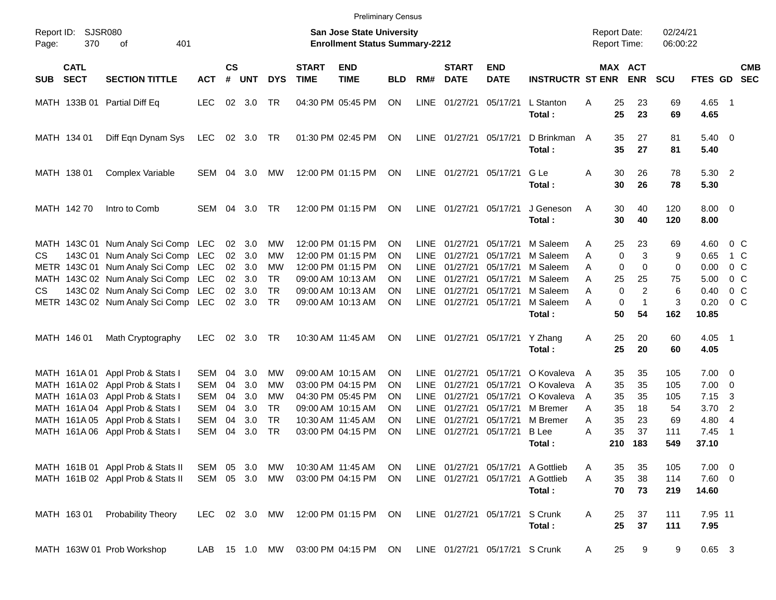|                     |                            |                                                                                                                                                                                                                                                                                                                                                       |                                                      |                                                          |                                                                    |                                                                               |                             | <b>Preliminary Census</b>                                                                                                                                                                                      |                                                          |                                                                                                                                      |                                                                                                          |                                                                                                                               |                                                                                                                                               |                                                |                                                                  |                                                                                          |                                                                                |                                                                                                      |                                                                                                                                          |                          |
|---------------------|----------------------------|-------------------------------------------------------------------------------------------------------------------------------------------------------------------------------------------------------------------------------------------------------------------------------------------------------------------------------------------------------|------------------------------------------------------|----------------------------------------------------------|--------------------------------------------------------------------|-------------------------------------------------------------------------------|-----------------------------|----------------------------------------------------------------------------------------------------------------------------------------------------------------------------------------------------------------|----------------------------------------------------------|--------------------------------------------------------------------------------------------------------------------------------------|----------------------------------------------------------------------------------------------------------|-------------------------------------------------------------------------------------------------------------------------------|-----------------------------------------------------------------------------------------------------------------------------------------------|------------------------------------------------|------------------------------------------------------------------|------------------------------------------------------------------------------------------|--------------------------------------------------------------------------------|------------------------------------------------------------------------------------------------------|------------------------------------------------------------------------------------------------------------------------------------------|--------------------------|
| Report ID:<br>Page: | 370                        | SJSR080<br>401<br>оf                                                                                                                                                                                                                                                                                                                                  |                                                      |                                                          |                                                                    |                                                                               |                             | <b>San Jose State University</b><br><b>Enrollment Status Summary-2212</b>                                                                                                                                      |                                                          |                                                                                                                                      |                                                                                                          |                                                                                                                               |                                                                                                                                               | <b>Report Date:</b><br><b>Report Time:</b>     |                                                                  |                                                                                          | 02/24/21<br>06:00:22                                                           |                                                                                                      |                                                                                                                                          |                          |
| <b>SUB</b>          | <b>CATL</b><br><b>SECT</b> | <b>SECTION TITTLE</b>                                                                                                                                                                                                                                                                                                                                 | <b>ACT</b>                                           | <b>CS</b><br>$\#$                                        | <b>UNT</b>                                                         | <b>DYS</b>                                                                    | <b>START</b><br><b>TIME</b> | <b>END</b><br><b>TIME</b>                                                                                                                                                                                      | <b>BLD</b>                                               | RM#                                                                                                                                  | <b>START</b><br><b>DATE</b>                                                                              | <b>END</b><br><b>DATE</b>                                                                                                     | <b>INSTRUCTR ST ENR</b>                                                                                                                       |                                                |                                                                  | MAX ACT<br><b>ENR</b>                                                                    | <b>SCU</b>                                                                     | FTES GD                                                                                              |                                                                                                                                          | <b>CMB</b><br><b>SEC</b> |
|                     |                            | MATH 133B 01 Partial Diff Eq                                                                                                                                                                                                                                                                                                                          | <b>LEC</b>                                           | 02                                                       | 3.0                                                                | TR                                                                            |                             | 04:30 PM 05:45 PM                                                                                                                                                                                              | <b>ON</b>                                                | <b>LINE</b>                                                                                                                          | 01/27/21                                                                                                 | 05/17/21                                                                                                                      | L Stanton<br>Total:                                                                                                                           | Α                                              | 25<br>25                                                         | 23<br>23                                                                                 | 69<br>69                                                                       | $4.65$ 1<br>4.65                                                                                     |                                                                                                                                          |                          |
|                     | MATH 134 01                | Diff Eqn Dynam Sys                                                                                                                                                                                                                                                                                                                                    | LEC                                                  |                                                          | 02 3.0 TR                                                          |                                                                               |                             | 01:30 PM 02:45 PM                                                                                                                                                                                              | ON                                                       |                                                                                                                                      | LINE 01/27/21 05/17/21                                                                                   |                                                                                                                               | D Brinkman A<br>Total:                                                                                                                        |                                                | 35<br>35                                                         | 27<br>27                                                                                 | 81<br>81                                                                       | $5.40 \ 0$<br>5.40                                                                                   |                                                                                                                                          |                          |
|                     | MATH 138 01                | Complex Variable                                                                                                                                                                                                                                                                                                                                      | SEM                                                  | 04                                                       | 3.0                                                                | МW                                                                            |                             | 12:00 PM 01:15 PM                                                                                                                                                                                              | <b>ON</b>                                                |                                                                                                                                      | LINE 01/27/21 05/17/21                                                                                   |                                                                                                                               | G Le<br>Total :                                                                                                                               | A                                              | 30<br>30                                                         | 26<br>26                                                                                 | 78<br>78                                                                       | 5.30 2<br>5.30                                                                                       |                                                                                                                                          |                          |
|                     | MATH 142 70                | Intro to Comb                                                                                                                                                                                                                                                                                                                                         | <b>SEM</b>                                           | 04                                                       | 3.0                                                                | <b>TR</b>                                                                     |                             | 12:00 PM 01:15 PM                                                                                                                                                                                              | <b>ON</b>                                                |                                                                                                                                      | LINE 01/27/21 05/17/21                                                                                   |                                                                                                                               | J Geneson<br>Total:                                                                                                                           | A                                              | 30<br>30                                                         | 40<br>40                                                                                 | 120<br>120                                                                     | $8.00 \t 0$<br>8.00                                                                                  |                                                                                                                                          |                          |
| CS.<br>CS.          | MATH 146 01                | MATH 143C 01 Num Analy Sci Comp LEC<br>143C 01 Num Analy Sci Comp<br>METR 143C 01 Num Analy Sci Comp LEC<br>MATH 143C 02 Num Analy Sci Comp LEC<br>143C 02 Num Analy Sci Comp LEC<br>METR 143C 02 Num Analy Sci Comp<br>Math Cryptography<br>MATH 161A 01 Appl Prob & Stats I<br>MATH 161A 02 Appl Prob & Stats I<br>MATH 161A 03 Appl Prob & Stats I | LEC<br>LEC<br><b>LEC</b><br>SEM<br>SEM<br><b>SEM</b> | 02<br>02<br>02<br>02<br>02<br>02<br>02<br>04<br>04<br>04 | 3.0<br>3.0<br>3.0<br>3.0<br>3.0<br>3.0<br>3.0<br>3.0<br>3.0<br>3.0 | МW<br>MW<br>MW<br><b>TR</b><br><b>TR</b><br><b>TR</b><br>TR<br>МW<br>MW<br>МW |                             | 12:00 PM 01:15 PM<br>12:00 PM 01:15 PM<br>12:00 PM 01:15 PM<br>09:00 AM 10:13 AM<br>09:00 AM 10:13 AM<br>09:00 AM 10:13 AM<br>10:30 AM 11:45 AM<br>09:00 AM 10:15 AM<br>03:00 PM 04:15 PM<br>04:30 PM 05:45 PM | ΟN<br>ΟN<br>ΟN<br>ΟN<br>ΟN<br>ΟN<br>ΟN<br>ΟN<br>ΟN<br>ΟN | <b>LINE</b><br><b>LINE</b><br><b>LINE</b><br><b>LINE</b><br><b>LINE</b><br>LINE<br>LINE<br><b>LINE</b><br><b>LINE</b><br><b>LINE</b> | 01/27/21<br>01/27/21<br>01/27/21<br>01/27/21<br>01/27/21<br>01/27/21<br>01/27/21<br>01/27/21<br>01/27/21 | 05/17/21<br>05/17/21<br>05/17/21<br>05/17/21<br>05/17/21<br>05/17/21<br>01/27/21 05/17/21<br>05/17/21<br>05/17/21<br>05/17/21 | M Saleem<br>M Saleem<br>M Saleem<br>M Saleem<br>M Saleem<br>M Saleem<br>Total:<br>Y Zhang<br>Total:<br>O Kovaleva<br>O Kovaleva<br>O Kovaleva | Α<br>Α<br>Α<br>Α<br>Α<br>A<br>Α<br>A<br>A<br>A | 25<br>0<br>0<br>25<br>0<br>0<br>50<br>25<br>25<br>35<br>35<br>35 | 23<br>3<br>0<br>25<br>$\overline{c}$<br>$\mathbf{1}$<br>54<br>20<br>20<br>35<br>35<br>35 | 69<br>9<br>$\mathbf 0$<br>75<br>6<br>3<br>162<br>60<br>60<br>105<br>105<br>105 | 4.60<br>0.65<br>0.00<br>5.00<br>0.40<br>0.20<br>10.85<br>4.05<br>4.05<br>$7.00 \t 0$<br>7.00<br>7.15 | 0 C<br>1 C<br>0 <sup>o</sup><br>$0\,$ C<br>0 <sup>o</sup><br>0 <sup>o</sup><br>$\overline{\phantom{1}}$<br>$\overline{\mathbf{0}}$<br>-3 |                          |
|                     |                            | MATH 161A 04 Appl Prob & Stats I<br>MATH 161A 05 Appl Prob & Stats I<br>MATH 161A 06 Appl Prob & Stats I                                                                                                                                                                                                                                              | SEM<br>SEM<br><b>SEM</b>                             | 04<br>04<br>04                                           | 3.0<br>3.0<br>3.0                                                  | <b>TR</b><br><b>TR</b><br><b>TR</b>                                           |                             | 09:00 AM 10:15 AM<br>10:30 AM 11:45 AM<br>03:00 PM 04:15 PM                                                                                                                                                    | ΟN<br>ΟN<br>ON                                           | <b>LINE</b><br><b>LINE</b><br><b>LINE</b>                                                                                            | 01/27/21<br>01/27/21<br>01/27/21                                                                         | 05/17/21<br>05/17/21<br>05/17/21                                                                                              | M Bremer<br>M Bremer<br><b>B</b> Lee<br>Total :                                                                                               | Α<br>Α<br>Α                                    | 35<br>35<br>35<br>210                                            | 18<br>23<br>37<br>183                                                                    | 54<br>69<br>111<br>549                                                         | 3.70<br>4.80<br>7.45<br>37.10                                                                        | 2<br>$\overline{4}$<br>$\overline{1}$                                                                                                    |                          |
|                     |                            | MATH 161B 01 Appl Prob & Stats II<br>MATH 161B 02 Appl Prob & Stats II                                                                                                                                                                                                                                                                                | SEM<br>SEM 05 3.0 MW                                 | 05                                                       | 3.0                                                                | МW                                                                            |                             | 10:30 AM 11:45 AM<br>03:00 PM 04:15 PM                                                                                                                                                                         | <b>ON</b><br>ON.                                         | <b>LINE</b>                                                                                                                          | 01/27/21<br>LINE 01/27/21                                                                                |                                                                                                                               | 05/17/21 A Gottlieb<br>05/17/21 A Gottlieb<br>Total:                                                                                          | A<br>A                                         | 35<br>35<br>70                                                   | 35<br>38<br>73                                                                           | 105<br>114<br>219                                                              | $7.00 \t 0$<br>$7.60$ 0<br>14.60                                                                     |                                                                                                                                          |                          |
|                     | MATH 163 01                | <b>Probability Theory</b>                                                                                                                                                                                                                                                                                                                             | <b>LEC</b>                                           |                                                          | 02 3.0 MW                                                          |                                                                               |                             | 12:00 PM 01:15 PM                                                                                                                                                                                              | ON                                                       |                                                                                                                                      |                                                                                                          | LINE 01/27/21 05/17/21                                                                                                        | S Crunk<br>Total:                                                                                                                             | Α                                              | 25<br>25                                                         | 37<br>37                                                                                 | 111<br>111                                                                     | 7.95 11<br>7.95                                                                                      |                                                                                                                                          |                          |
|                     |                            | MATH 163W 01 Prob Workshop                                                                                                                                                                                                                                                                                                                            | LAB                                                  |                                                          | 15  1.0  MW                                                        |                                                                               |                             | 03:00 PM 04:15 PM ON                                                                                                                                                                                           |                                                          |                                                                                                                                      |                                                                                                          | LINE 01/27/21 05/17/21 S Crunk                                                                                                |                                                                                                                                               | A                                              | 25                                                               | 9                                                                                        | $9\,$                                                                          | $0.65$ 3                                                                                             |                                                                                                                                          |                          |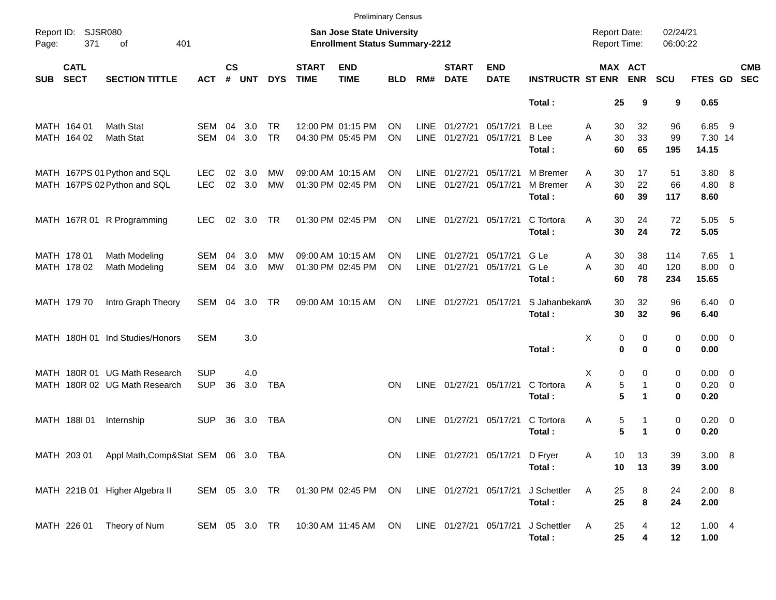|                     |                            |                                                                |                          |                |            |                        |                             | <b>Preliminary Census</b>                                                 |                        |                            |                             |                                |                                        |                                            |                                  |                      |                                   |                          |                          |
|---------------------|----------------------------|----------------------------------------------------------------|--------------------------|----------------|------------|------------------------|-----------------------------|---------------------------------------------------------------------------|------------------------|----------------------------|-----------------------------|--------------------------------|----------------------------------------|--------------------------------------------|----------------------------------|----------------------|-----------------------------------|--------------------------|--------------------------|
| Report ID:<br>Page: | <b>SJSR080</b><br>371      | 401<br>of                                                      |                          |                |            |                        |                             | <b>San Jose State University</b><br><b>Enrollment Status Summary-2212</b> |                        |                            |                             |                                |                                        | <b>Report Date:</b><br><b>Report Time:</b> |                                  | 02/24/21<br>06:00:22 |                                   |                          |                          |
| <b>SUB</b>          | <b>CATL</b><br><b>SECT</b> | <b>SECTION TITTLE</b>                                          | <b>ACT</b>               | <b>CS</b><br># | <b>UNT</b> | <b>DYS</b>             | <b>START</b><br><b>TIME</b> | <b>END</b><br><b>TIME</b>                                                 | <b>BLD</b>             | RM#                        | <b>START</b><br><b>DATE</b> | <b>END</b><br><b>DATE</b>      | <b>INSTRUCTR ST ENR</b>                | MAX ACT                                    | <b>ENR</b>                       | SCU                  | FTES GD                           |                          | <b>CMB</b><br><b>SEC</b> |
|                     |                            |                                                                |                          |                |            |                        |                             |                                                                           |                        |                            |                             |                                | Total:                                 | 25                                         | 9                                | 9                    | 0.65                              |                          |                          |
|                     | MATH 164 01<br>MATH 164 02 | Math Stat<br>Math Stat                                         | <b>SEM</b><br><b>SEM</b> | 04<br>04       | 3.0<br>3.0 | <b>TR</b><br><b>TR</b> |                             | 12:00 PM 01:15 PM<br>04:30 PM 05:45 PM                                    | <b>ON</b><br><b>ON</b> | <b>LINE</b><br><b>LINE</b> | 01/27/21<br>01/27/21        | 05/17/21<br>05/17/21           | <b>B</b> Lee<br><b>B</b> Lee<br>Total: | A<br>30<br>30<br>A<br>60                   | 32<br>33<br>65                   | 96<br>99<br>195      | 6.85<br>7.30 14<br>14.15          | - 9                      |                          |
|                     |                            | MATH 167PS 01 Python and SQL<br>MATH 167PS 02 Python and SQL   | <b>LEC</b><br><b>LEC</b> | 02<br>02       | 3.0<br>3.0 | <b>MW</b><br><b>MW</b> |                             | 09:00 AM 10:15 AM<br>01:30 PM 02:45 PM                                    | ΟN<br>ON               | <b>LINE</b><br><b>LINE</b> | 01/27/21<br>01/27/21        | 05/17/21<br>05/17/21           | M Bremer<br>M Bremer<br>Total:         | A<br>30<br>30<br>A<br>60                   | 17<br>22<br>39                   | 51<br>66<br>117      | 3.80<br>4.80<br>8.60              | - 8<br>-8                |                          |
|                     |                            | MATH 167R 01 R Programming                                     | <b>LEC</b>               | 02             | 3.0        | TR                     |                             | 01:30 PM 02:45 PM                                                         | <b>ON</b>              | <b>LINE</b>                | 01/27/21                    | 05/17/21                       | C Tortora<br>Total:                    | 30<br>A<br>30                              | 24<br>24                         | 72<br>72             | 5.05<br>5.05                      | - 5                      |                          |
|                     | MATH 178 01<br>MATH 178 02 | Math Modeling<br>Math Modeling                                 | <b>SEM</b><br><b>SEM</b> | 04<br>04       | 3.0<br>3.0 | МW<br><b>MW</b>        |                             | 09:00 AM 10:15 AM<br>01:30 PM 02:45 PM                                    | ΟN<br>ΟN               | <b>LINE</b><br><b>LINE</b> | 01/27/21<br>01/27/21        | 05/17/21<br>05/17/21           | G Le<br>G Le<br>Total:                 | 30<br>Α<br>A<br>30<br>60                   | 38<br>40<br>78                   | 114<br>120<br>234    | 7.65<br>$8.00 \t 0$<br>15.65      | $\overline{\phantom{1}}$ |                          |
|                     | MATH 179 70                | Intro Graph Theory                                             | SEM                      | 04             | 3.0        | TR                     |                             | 09:00 AM 10:15 AM                                                         | <b>ON</b>              | <b>LINE</b>                | 01/27/21 05/17/21           |                                | S JahanbekamA<br>Total:                | 30<br>30                                   | 32<br>32                         | 96<br>96             | $6.40 \quad 0$<br>6.40            |                          |                          |
|                     |                            | MATH 180H 01 Ind Studies/Honors                                | <b>SEM</b>               |                | 3.0        |                        |                             |                                                                           |                        |                            |                             |                                | Total:                                 | X<br>0<br>0                                | 0<br>0                           | 0<br>0               | $0.00 \quad 0$<br>0.00            |                          |                          |
|                     |                            | MATH 180R 01 UG Math Research<br>MATH 180R 02 UG Math Research | <b>SUP</b><br><b>SUP</b> | 36             | 4.0<br>3.0 | <b>TBA</b>             |                             |                                                                           | <b>ON</b>              | <b>LINE</b>                | 01/27/21 05/17/21           |                                | C Tortora<br>Total:                    | X<br>0<br>A<br>5<br>5                      | 0<br>$\mathbf{1}$<br>$\mathbf 1$ | 0<br>0<br>$\bf{0}$   | $0.00 \t 0$<br>$0.20 \ 0$<br>0.20 |                          |                          |
|                     | MATH 188101                | Internship                                                     | <b>SUP</b>               | 36             | 3.0        | TBA                    |                             |                                                                           | <b>ON</b>              | LINE                       | 01/27/21 05/17/21           |                                | C Tortora<br>Total:                    | 5<br>Α<br>5                                | 1<br>1                           | 0<br>$\bf{0}$        | $0.20 \ 0$<br>0.20                |                          |                          |
|                     |                            | MATH 203 01 Appl Math, Comp&Stat SEM 06 3.0 TBA                |                          |                |            |                        |                             |                                                                           | ON                     |                            |                             | LINE 01/27/21 05/17/21 D Fryer | Total:                                 | 10<br>Α<br>10                              | 13<br>13                         | 39<br>39             | 3.00 8<br>3.00                    |                          |                          |
|                     |                            | MATH 221B 01 Higher Algebra II                                 | SEM 05 3.0 TR            |                |            |                        |                             | 01:30 PM 02:45 PM ON                                                      |                        |                            | LINE 01/27/21 05/17/21      |                                | J Schettler<br>Total:                  | A<br>25<br>25                              | 8<br>8                           | 24<br>24             | 2.00 8<br>2.00                    |                          |                          |
|                     | MATH 226 01                | Theory of Num                                                  | SEM 05 3.0 TR            |                |            |                        |                             | 10:30 AM 11:45 AM ON                                                      |                        |                            | LINE 01/27/21 05/17/21      |                                | J Schettler<br>Total:                  | A<br>25<br>25                              | 4<br>4                           | 12<br>12             | 1.004<br>1.00                     |                          |                          |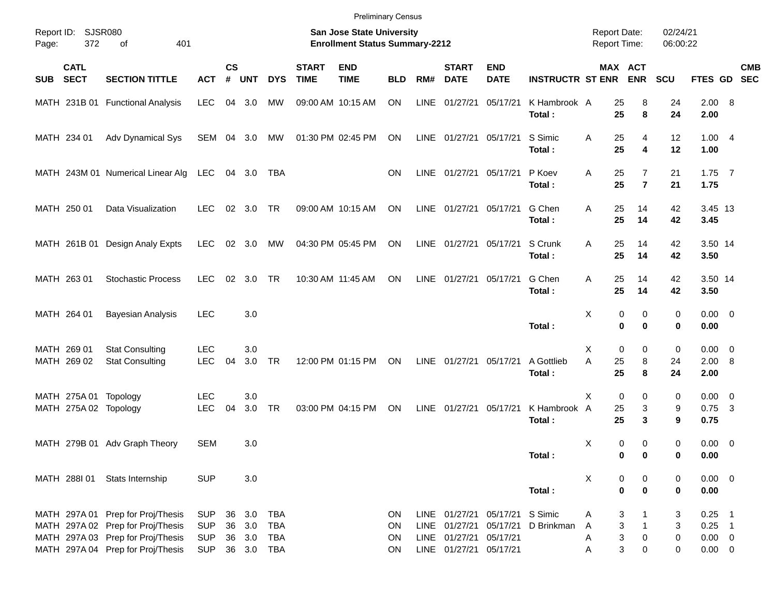|                                                |                                                                                                                                                  |                                                      |                    |                   |                                                      |                             |                                                                    | <b>Preliminary Census</b> |                     |                                                                 |                              |                         |                                            |                                            |                      |                                                    |            |
|------------------------------------------------|--------------------------------------------------------------------------------------------------------------------------------------------------|------------------------------------------------------|--------------------|-------------------|------------------------------------------------------|-----------------------------|--------------------------------------------------------------------|---------------------------|---------------------|-----------------------------------------------------------------|------------------------------|-------------------------|--------------------------------------------|--------------------------------------------|----------------------|----------------------------------------------------|------------|
| Report ID:<br>372<br>Page:                     | SJSR080<br>401<br>οf                                                                                                                             |                                                      |                    |                   |                                                      |                             | San Jose State University<br><b>Enrollment Status Summary-2212</b> |                           |                     |                                                                 |                              |                         | <b>Report Date:</b><br><b>Report Time:</b> |                                            | 02/24/21<br>06:00:22 |                                                    |            |
| <b>CATL</b><br><b>SECT</b><br><b>SUB</b>       | <b>SECTION TITTLE</b>                                                                                                                            | <b>ACT</b>                                           | $\mathsf{cs}$<br># | <b>UNT</b>        | <b>DYS</b>                                           | <b>START</b><br><b>TIME</b> | <b>END</b><br><b>TIME</b>                                          | <b>BLD</b>                | RM#                 | <b>START</b><br><b>DATE</b>                                     | <b>END</b><br><b>DATE</b>    | <b>INSTRUCTR ST ENR</b> |                                            | MAX ACT<br><b>ENR</b>                      | <b>SCU</b>           | FTES GD SEC                                        | <b>CMB</b> |
|                                                | MATH 231B 01 Functional Analysis                                                                                                                 | <b>LEC</b>                                           | 04                 | 3.0               | MW                                                   |                             | 09:00 AM 10:15 AM                                                  | ON                        | <b>LINE</b>         | 01/27/21                                                        | 05/17/21                     | K Hambrook A<br>Total:  | 25<br>25                                   | 8<br>8                                     | 24<br>24             | 2.00 8<br>2.00                                     |            |
| MATH 234 01                                    | Adv Dynamical Sys                                                                                                                                | SEM                                                  |                    | 04 3.0            | МW                                                   |                             | 01:30 PM 02:45 PM                                                  | ON                        |                     | LINE 01/27/21                                                   | 05/17/21                     | S Simic<br>Total:       | 25<br>Α<br>25                              | 4<br>4                                     | 12<br>12             | 1.004<br>1.00                                      |            |
|                                                | MATH 243M 01 Numerical Linear Alg                                                                                                                | LEC                                                  |                    | 04 3.0            | TBA                                                  |                             |                                                                    | <b>ON</b>                 | LINE                |                                                                 | 01/27/21 05/17/21            | P Koev<br>Total:        | 25<br>Α<br>25                              | 7<br>$\overline{7}$                        | 21<br>21             | $1.75$ 7<br>1.75                                   |            |
| MATH 250 01                                    | Data Visualization                                                                                                                               | <b>LEC</b>                                           |                    | $02 \quad 3.0$    | <b>TR</b>                                            |                             | 09:00 AM 10:15 AM                                                  | ON                        |                     | LINE 01/27/21                                                   | 05/17/21                     | G Chen<br>Total:        | Α<br>25<br>25                              | 14<br>14                                   | 42<br>42             | 3.45 13<br>3.45                                    |            |
|                                                | MATH 261B 01 Design Analy Expts                                                                                                                  | <b>LEC</b>                                           |                    | $02 \quad 3.0$    | МW                                                   |                             | 04:30 PM 05:45 PM                                                  | ON                        |                     | LINE 01/27/21                                                   | 05/17/21                     | S Crunk<br>Total:       | 25<br>A<br>25                              | 14<br>14                                   | 42<br>42             | 3.50 14<br>3.50                                    |            |
| MATH 263 01                                    | <b>Stochastic Process</b>                                                                                                                        | <b>LEC</b>                                           |                    | 02 3.0            | <b>TR</b>                                            |                             | 10:30 AM 11:45 AM                                                  | ON                        | LINE                | 01/27/21                                                        | 05/17/21                     | G Chen<br>Total:        | Α<br>25<br>25                              | 14<br>14                                   | 42<br>42             | 3.50 14<br>3.50                                    |            |
| MATH 264 01                                    | <b>Bayesian Analysis</b>                                                                                                                         | <b>LEC</b>                                           |                    | 3.0               |                                                      |                             |                                                                    |                           |                     |                                                                 |                              | Total:                  | X                                          | 0<br>0<br>$\bf{0}$<br>$\bf{0}$             | 0<br>0               | $0.00 \t 0$<br>0.00                                |            |
| MATH 269 01<br>MATH 269 02                     | <b>Stat Consulting</b><br><b>Stat Consulting</b>                                                                                                 | <b>LEC</b><br><b>LEC</b>                             | 04                 | 3.0<br>3.0        | <b>TR</b>                                            |                             | 12:00 PM 01:15 PM                                                  | ON                        |                     | LINE 01/27/21                                                   | 05/17/21                     | A Gottlieb<br>Total:    | Х<br>A<br>25<br>25                         | 0<br>0<br>8<br>8                           | 0<br>24<br>24        | $0.00 \t 0$<br>2.00 8<br>2.00                      |            |
| MATH 275A 01 Topology<br>MATH 275A 02 Topology |                                                                                                                                                  | <b>LEC</b><br><b>LEC</b>                             | 04                 | 3.0<br>3.0        | <b>TR</b>                                            |                             | 03:00 PM 04:15 PM                                                  | ON                        | LINE                | 01/27/21                                                        | 05/17/21                     | K Hambrook A<br>Total:  | X<br>25<br>25                              | 0<br>0<br>3<br>3                           | 0<br>9<br>9          | $0.00 \t 0$<br>$0.75$ 3<br>0.75                    |            |
|                                                | MATH 279B 01 Adv Graph Theory                                                                                                                    | SEM                                                  |                    | 3.0               |                                                      |                             |                                                                    |                           |                     |                                                                 |                              | Total:                  | х                                          | 0<br>0<br>0<br>0                           | 0<br>0               | $0.00 \t 0$<br>0.00                                |            |
|                                                | MATH 288I 01 Stats Internship                                                                                                                    | <b>SUP</b>                                           |                    | 3.0               |                                                      |                             |                                                                    |                           |                     |                                                                 |                              | Total:                  | Х                                          | 0<br>0<br>$\pmb{0}$<br>$\bf{0}$            | 0<br>0               | $0.00 \t 0$<br>0.00                                |            |
|                                                | MATH 297A 01 Prep for Proj/Thesis<br>MATH 297A 02 Prep for Proj/Thesis<br>MATH 297A 03 Prep for Proj/Thesis<br>MATH 297A 04 Prep for Proj/Thesis | <b>SUP</b><br><b>SUP</b><br><b>SUP</b><br><b>SUP</b> | 36<br>36<br>36     | 3.0<br>3.0<br>3.0 | <b>TBA</b><br><b>TBA</b><br><b>TBA</b><br>36 3.0 TBA |                             |                                                                    | ON<br>ON<br>ON<br>ON      | LINE<br><b>LINE</b> | 01/27/21<br>01/27/21<br>LINE 01/27/21<br>LINE 01/27/21 05/17/21 | 05/17/21 S Simic<br>05/17/21 | 05/17/21 D Brinkman     | A<br>A<br>A<br>Α                           | 3<br>3<br>$\mathbf{1}$<br>3<br>0<br>3<br>0 | 3<br>3<br>0<br>0     | $0.25$ 1<br>$0.25$ 1<br>$0.00 \t 0$<br>$0.00 \t 0$ |            |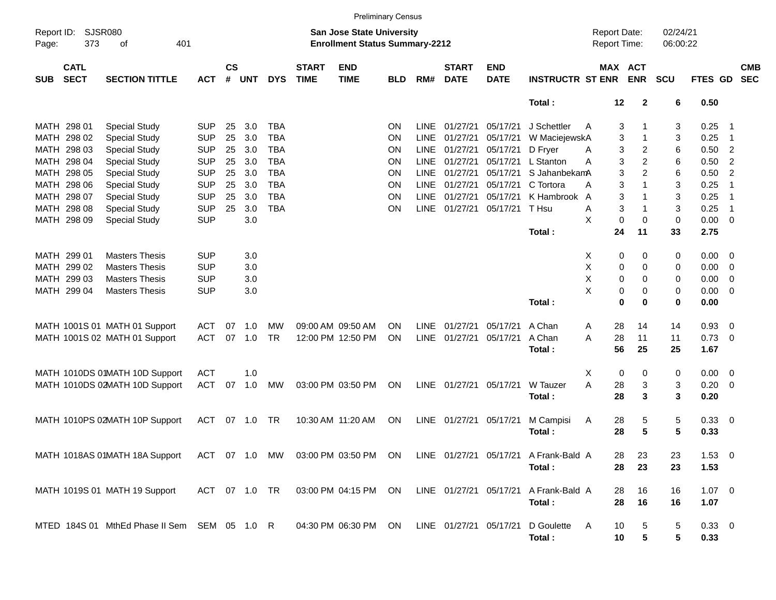|                     |                            |                                                                                                         |            |                    |            |            |                             |                                                                           | <b>Preliminary Census</b> |             |                             |                           |                         |                                     |                |                      |                        |                          |
|---------------------|----------------------------|---------------------------------------------------------------------------------------------------------|------------|--------------------|------------|------------|-----------------------------|---------------------------------------------------------------------------|---------------------------|-------------|-----------------------------|---------------------------|-------------------------|-------------------------------------|----------------|----------------------|------------------------|--------------------------|
| Report ID:<br>Page: | 373                        | SJSR080<br>401<br>оf                                                                                    |            |                    |            |            |                             | <b>San Jose State University</b><br><b>Enrollment Status Summary-2212</b> |                           |             |                             |                           |                         | <b>Report Date:</b><br>Report Time: |                | 02/24/21<br>06:00:22 |                        |                          |
| <b>SUB</b>          | <b>CATL</b><br><b>SECT</b> | <b>SECTION TITTLE</b>                                                                                   | <b>ACT</b> | $\mathsf{cs}$<br># | <b>UNT</b> | <b>DYS</b> | <b>START</b><br><b>TIME</b> | <b>END</b><br><b>TIME</b>                                                 | <b>BLD</b>                | RM#         | <b>START</b><br><b>DATE</b> | <b>END</b><br><b>DATE</b> | <b>INSTRUCTR ST ENR</b> | <b>MAX ACT</b>                      | <b>ENR</b>     | <b>SCU</b>           | <b>FTES GD</b>         | <b>CMB</b><br><b>SEC</b> |
|                     |                            |                                                                                                         |            |                    |            |            |                             |                                                                           |                           |             |                             |                           | Total:                  | 12                                  | $\mathbf{2}$   | 6                    | 0.50                   |                          |
|                     | MATH 298 01                | <b>Special Study</b>                                                                                    | <b>SUP</b> | 25                 | 3.0        | <b>TBA</b> |                             |                                                                           | ON                        | <b>LINE</b> | 01/27/21                    | 05/17/21                  | J Schettler             | 3<br>A                              |                | 3                    | 0.25                   | - 1                      |
|                     | MATH 298 02                | <b>Special Study</b>                                                                                    | <b>SUP</b> | 25                 | 3.0        | <b>TBA</b> |                             |                                                                           | ON                        | LINE        | 01/27/21                    | 05/17/21                  | W MaciejewskA           | 3                                   | $\mathbf{1}$   | 3                    | 0.25                   | - 1                      |
|                     | MATH 298 03                | <b>Special Study</b>                                                                                    | <b>SUP</b> | 25                 | 3.0        | <b>TBA</b> |                             |                                                                           | ON                        | <b>LINE</b> | 01/27/21                    | 05/17/21                  | D Fryer                 | 3<br>A                              | $\overline{c}$ | 6                    | 0.50                   | $\overline{2}$           |
|                     | MATH 298 04                | <b>Special Study</b>                                                                                    | <b>SUP</b> | 25                 | 3.0        | <b>TBA</b> |                             |                                                                           | ON                        | <b>LINE</b> | 01/27/21                    | 05/17/21                  | L Stanton               | 3<br>Α                              | $\overline{c}$ | 6                    | 0.50                   | $\overline{2}$           |
|                     | MATH 298 05                | <b>Special Study</b>                                                                                    | <b>SUP</b> | 25                 | 3.0        | <b>TBA</b> |                             |                                                                           | ON                        | <b>LINE</b> | 01/27/21                    | 05/17/21                  | S JahanbekamA           | 3                                   | $\overline{c}$ | 6                    | 0.50                   | $\overline{2}$           |
|                     | MATH 298 06                | <b>Special Study</b>                                                                                    | <b>SUP</b> | 25                 | 3.0        | <b>TBA</b> |                             |                                                                           | ON                        | <b>LINE</b> | 01/27/21                    | 05/17/21                  | C Tortora               | 3<br>Α                              | $\mathbf{1}$   | 3                    | 0.25                   | -1                       |
|                     | MATH 298 07                | <b>Special Study</b>                                                                                    | <b>SUP</b> | 25                 | 3.0        | <b>TBA</b> |                             |                                                                           | ON                        | LINE        | 01/27/21                    | 05/17/21                  | K Hambrook              | 3<br>A                              | 1              | 3                    | 0.25                   | $\overline{1}$           |
|                     | MATH 298 08                | <b>Special Study</b>                                                                                    | <b>SUP</b> | 25                 | 3.0        | <b>TBA</b> |                             |                                                                           | ON                        | <b>LINE</b> | 01/27/21                    | 05/17/21                  | T Hsu                   | 3<br>Α                              | $\mathbf{1}$   | 3                    | 0.25                   | $\overline{1}$           |
|                     | MATH 298 09                | <b>Special Study</b>                                                                                    | <b>SUP</b> |                    | 3.0        |            |                             |                                                                           |                           |             |                             |                           |                         | X<br>$\mathbf 0$                    | 0              | 0                    | 0.00                   | $\overline{\phantom{0}}$ |
|                     |                            |                                                                                                         |            |                    |            |            |                             |                                                                           |                           |             |                             |                           | Total:                  | 24                                  | 11             | 33                   | 2.75                   |                          |
|                     | MATH 299 01                | <b>Masters Thesis</b>                                                                                   | <b>SUP</b> |                    | 3.0        |            |                             |                                                                           |                           |             |                             |                           |                         | X<br>0                              | 0              | 0                    | $0.00 \t 0$            |                          |
|                     | MATH 299 02                | <b>Masters Thesis</b>                                                                                   | <b>SUP</b> |                    | 3.0        |            |                             |                                                                           |                           |             |                             |                           |                         | Χ<br>0                              | 0              | 0                    | 0.00                   | $\overline{\phantom{0}}$ |
|                     | MATH 299 03                | <b>Masters Thesis</b>                                                                                   | <b>SUP</b> |                    | 3.0        |            |                             |                                                                           |                           |             |                             |                           |                         | Χ<br>0                              | 0              | 0                    | 0.00                   | $\overline{\mathbf{0}}$  |
|                     | MATH 299 04                | <b>Masters Thesis</b>                                                                                   | <b>SUP</b> |                    | 3.0        |            |                             |                                                                           |                           |             |                             |                           |                         | X<br>0                              | 0              | 0                    | 0.00                   | $\overline{\phantom{0}}$ |
|                     |                            |                                                                                                         |            |                    |            |            |                             |                                                                           |                           |             |                             |                           | Total:                  | 0                                   | $\bf{0}$       | 0                    | 0.00                   |                          |
|                     |                            |                                                                                                         |            |                    |            |            |                             |                                                                           |                           |             |                             |                           |                         |                                     |                |                      |                        |                          |
|                     |                            | MATH 1001S 01 MATH 01 Support                                                                           | ACT        | 07                 | 1.0        | МW         |                             | 09:00 AM 09:50 AM                                                         | <b>ON</b>                 | <b>LINE</b> | 01/27/21                    | 05/17/21                  | A Chan                  | 28<br>A                             | 14             | 14                   | 0.93                   | $\overline{\mathbf{0}}$  |
|                     |                            | MATH 1001S 02 MATH 01 Support                                                                           | <b>ACT</b> | 07                 | 1.0        | <b>TR</b>  |                             | 12:00 PM 12:50 PM                                                         | ON                        |             | LINE 01/27/21               | 05/17/21                  | A Chan<br>Total:        | 28<br>A<br>56                       | 11<br>25       | 11<br>25             | $0.73 \quad 0$<br>1.67 |                          |
|                     |                            |                                                                                                         |            |                    |            |            |                             |                                                                           |                           |             |                             |                           |                         |                                     |                |                      |                        |                          |
|                     |                            | MATH 1010DS 01MATH 10D Support                                                                          | ACT        |                    | 1.0        |            |                             |                                                                           |                           |             |                             |                           |                         | X<br>0                              | 0              | 0                    | $0.00 \t 0$            |                          |
|                     |                            | MATH 1010DS 02MATH 10D Support                                                                          | ACT        | 07                 | 1.0        | МW         |                             | 03:00 PM 03:50 PM                                                         | ON                        | LINE        | 01/27/21                    | 05/17/21                  | W Tauzer                | A<br>28                             | 3              | 3                    | $0.20 \ 0$             |                          |
|                     |                            |                                                                                                         |            |                    |            |            |                             |                                                                           |                           |             |                             |                           | Total:                  | 28                                  | 3              | 3                    | 0.20                   |                          |
|                     |                            | MATH 1010PS 02MATH 10P Support                                                                          | ACT        |                    | 07 1.0     | TR         |                             | 10:30 AM 11:20 AM                                                         | ON                        | LINE        | 01/27/21                    | 05/17/21                  | M Campisi               | 28<br>A                             | 5              | 5                    | 0.33 0                 |                          |
|                     |                            |                                                                                                         |            |                    |            |            |                             |                                                                           |                           |             |                             |                           | Total:                  | 28                                  | 5              | 5                    | 0.33                   |                          |
|                     |                            |                                                                                                         |            |                    |            |            |                             |                                                                           |                           |             |                             |                           |                         |                                     |                |                      |                        |                          |
|                     |                            | MATH 1018AS 01MATH 18A Support ACT 07 1.0 MW 03:00 PM 03:50 PM ON LINE 01/27/21 05/17/21 A Frank-Bald A |            |                    |            |            |                             |                                                                           |                           |             |                             |                           |                         | 28                                  | 23             | 23                   | $1.53 \t 0$            |                          |
|                     |                            |                                                                                                         |            |                    |            |            |                             |                                                                           |                           |             |                             |                           | Total:                  | 28                                  | 23             | 23                   | 1.53                   |                          |
|                     |                            |                                                                                                         |            |                    |            |            |                             |                                                                           |                           |             |                             |                           |                         |                                     |                |                      |                        |                          |
|                     |                            | MATH 1019S 01 MATH 19 Support                                                                           |            |                    |            |            |                             | ACT 07 1.0 TR 03:00 PM 04:15 PM ON                                        |                           |             | LINE 01/27/21 05/17/21      |                           | A Frank-Bald A          | 28                                  | 16             | 16                   | $1.07 \t 0$            |                          |
|                     |                            |                                                                                                         |            |                    |            |            |                             |                                                                           |                           |             |                             |                           | Total:                  | 28                                  | 16             | 16                   | 1.07                   |                          |
|                     |                            |                                                                                                         |            |                    |            |            |                             |                                                                           |                           |             |                             |                           |                         |                                     |                |                      |                        |                          |
|                     |                            | MTED 184S 01 MthEd Phase II Sem SEM 05 1.0 R                                                            |            |                    |            |            |                             | 04:30 PM 06:30 PM ON                                                      |                           |             | LINE 01/27/21 05/17/21      |                           | D Goulette              | A<br>10                             | 5              | 5                    | $0.33 \ 0$             |                          |
|                     |                            |                                                                                                         |            |                    |            |            |                             |                                                                           |                           |             |                             |                           | Total:                  | 10                                  | ${\bf 5}$      | 5                    | 0.33                   |                          |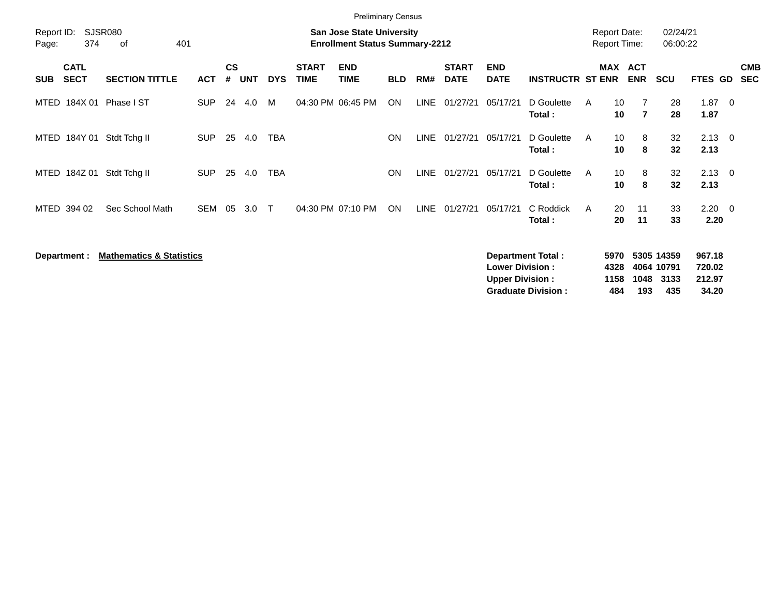| <b>SJSR080</b><br>Report ID:<br><b>San Jose State University</b><br>374<br>401<br><b>Enrollment Status Summary-2212</b><br>οf<br><b>CATL</b> |                                         |                                     |     |            |                             |                           |                                        |             |                             |                           |                      |                                                                                                           |                                                      |                                                                                                                          |                                                              |                      |                                                                                                                  |
|----------------------------------------------------------------------------------------------------------------------------------------------|-----------------------------------------|-------------------------------------|-----|------------|-----------------------------|---------------------------|----------------------------------------|-------------|-----------------------------|---------------------------|----------------------|-----------------------------------------------------------------------------------------------------------|------------------------------------------------------|--------------------------------------------------------------------------------------------------------------------------|--------------------------------------------------------------|----------------------|------------------------------------------------------------------------------------------------------------------|
| <b>SECTION TITTLE</b>                                                                                                                        | <b>ACT</b>                              | $\mathsf{cs}$<br>#                  |     | <b>DYS</b> | <b>START</b><br><b>TIME</b> | <b>END</b><br><b>TIME</b> | <b>BLD</b>                             | RM#         | <b>START</b><br><b>DATE</b> | <b>END</b><br><b>DATE</b> |                      |                                                                                                           | <b>ENR</b>                                           |                                                                                                                          |                                                              |                      | <b>CMB</b><br><b>SEC</b>                                                                                         |
| Phase I ST                                                                                                                                   | <b>SUP</b>                              | 24                                  | 4.0 | M          |                             |                           | ON                                     |             |                             | 05/17/21                  | D Goulette<br>Total: | A                                                                                                         | 7<br>$\overline{7}$                                  | 28<br>28                                                                                                                 | 1.87<br>1.87                                                 | - 0                  |                                                                                                                  |
| Stdt Tchg II                                                                                                                                 | <b>SUP</b>                              | 25                                  |     | <b>TBA</b> |                             |                           | <b>ON</b>                              | <b>LINE</b> | 01/27/21                    | 05/17/21                  | D Goulette<br>Total: | A                                                                                                         | 8<br>8                                               | 32<br>32                                                                                                                 | 2.13                                                         |                      |                                                                                                                  |
| Stdt Tchg II                                                                                                                                 | <b>SUP</b>                              | 25                                  | 4.0 | TBA        |                             |                           | <b>ON</b>                              | <b>LINE</b> | 01/27/21                    | 05/17/21                  | D Goulette<br>Total: | Α                                                                                                         | 8<br>8                                               | 32<br>32                                                                                                                 | 2.13                                                         |                      |                                                                                                                  |
| Sec School Math                                                                                                                              | SEM                                     | 05                                  | 3.0 | $\top$     |                             |                           | ON                                     | <b>LINE</b> | 01/27/21                    | 05/17/21                  | C Roddick<br>Total:  | A                                                                                                         | 11<br>11                                             | 33<br>33                                                                                                                 |                                                              |                      |                                                                                                                  |
|                                                                                                                                              |                                         |                                     |     |            |                             |                           |                                        |             |                             |                           |                      |                                                                                                           |                                                      | 3133                                                                                                                     |                                                              |                      |                                                                                                                  |
|                                                                                                                                              | MTED 184X 01<br>MTED 184Y 01<br>184Z 01 | <b>Mathematics &amp; Statistics</b> |     | UNT<br>4.0 |                             |                           | 04:30 PM 06:45 PM<br>04:30 PM 07:10 PM |             | <b>Preliminary Census</b>   | LINE 01/27/21             |                      | <b>Department Total:</b><br><b>Lower Division:</b><br><b>Upper Division:</b><br><b>Graduate Division:</b> | <b>MAX</b><br><b>INSTRUCTR ST ENR</b><br>4328<br>484 | <b>Report Date:</b><br><b>Report Time:</b><br><b>ACT</b><br>10<br>10<br>10<br>10<br>10<br>10<br>20<br>20<br>5970<br>1158 | <b>SCU</b><br>5305 14359<br>4064 10791<br>1048<br>435<br>193 | 02/24/21<br>06:00:22 | <b>FTES GD</b><br>$2.13 \quad 0$<br>$2.13 \quad 0$<br>$2.20 \t 0$<br>2.20<br>967.18<br>720.02<br>212.97<br>34.20 |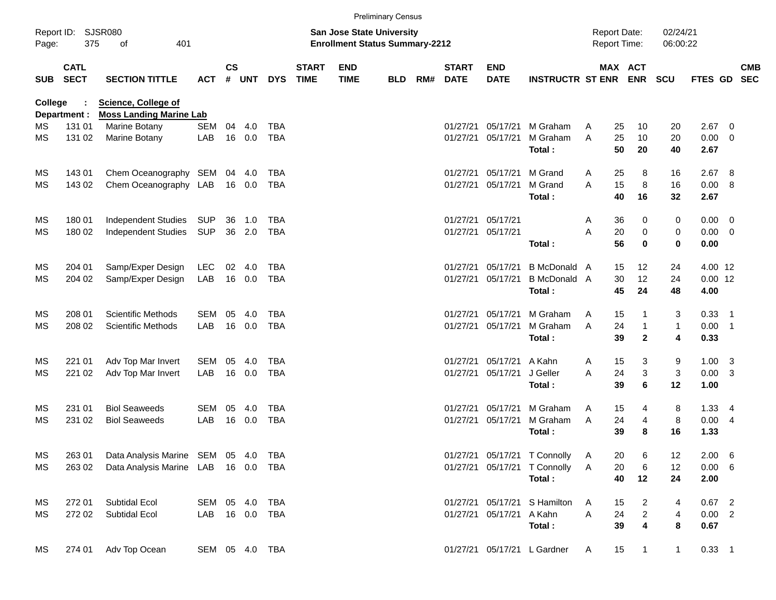|            |                            |                                                              |                |                    |            |              |                             |                                                                           | <b>Preliminary Census</b> |     |                             |                           |                              |                                     |          |                           |                           |                |                          |            |
|------------|----------------------------|--------------------------------------------------------------|----------------|--------------------|------------|--------------|-----------------------------|---------------------------------------------------------------------------|---------------------------|-----|-----------------------------|---------------------------|------------------------------|-------------------------------------|----------|---------------------------|---------------------------|----------------|--------------------------|------------|
| Page:      | Report ID: SJSR080<br>375  | 401<br>of                                                    |                |                    |            |              |                             | <b>San Jose State University</b><br><b>Enrollment Status Summary-2212</b> |                           |     |                             |                           |                              | <b>Report Date:</b><br>Report Time: |          |                           | 02/24/21<br>06:00:22      |                |                          |            |
| <b>SUB</b> | <b>CATL</b><br><b>SECT</b> | <b>SECTION TITTLE</b>                                        | <b>ACT</b>     | $\mathsf{cs}$<br># | <b>UNT</b> | <b>DYS</b>   | <b>START</b><br><b>TIME</b> | <b>END</b><br><b>TIME</b>                                                 | <b>BLD</b>                | RM# | <b>START</b><br><b>DATE</b> | <b>END</b><br><b>DATE</b> | <b>INSTRUCTR ST ENR</b>      |                                     |          | MAX ACT<br><b>ENR</b>     | <b>SCU</b>                | FTES GD SEC    |                          | <b>CMB</b> |
| College    | Department :               | <b>Science, College of</b><br><b>Moss Landing Marine Lab</b> |                |                    |            |              |                             |                                                                           |                           |     |                             |                           |                              |                                     |          |                           |                           |                |                          |            |
| МS         | 131 01                     | Marine Botany                                                | <b>SEM</b>     | 04                 | 4.0        | <b>TBA</b>   |                             |                                                                           |                           |     | 01/27/21                    | 05/17/21                  | M Graham                     | A                                   | 25       | 10                        | 20                        | 2.67           | - 0                      |            |
| MS         | 131 02                     | Marine Botany                                                | LAB            |                    | 16 0.0     | <b>TBA</b>   |                             |                                                                           |                           |     | 01/27/21                    | 05/17/21                  | M Graham<br>Total:           | A                                   | 25<br>50 | 10<br>20                  | 20<br>40                  | 0.00<br>2.67   | $\overline{\phantom{0}}$ |            |
| MS         | 14301                      | Chem Oceanography SEM                                        |                |                    | 04 4.0     | <b>TBA</b>   |                             |                                                                           |                           |     | 01/27/21                    | 05/17/21                  | M Grand                      | A                                   | 25       | 8                         | 16                        | 2.67           | - 8                      |            |
| MS         | 143 02                     | Chem Oceanography LAB                                        |                |                    | 16 0.0     | <b>TBA</b>   |                             |                                                                           |                           |     | 01/27/21                    | 05/17/21                  | M Grand<br>Total:            | A                                   | 15<br>40 | $\,8\,$<br>16             | 16<br>32                  | 0.00 8<br>2.67 |                          |            |
| MS         | 180 01                     | Independent Studies                                          | SUP            | 36                 | 1.0        | TBA          |                             |                                                                           |                           |     | 01/27/21                    | 05/17/21                  |                              | A                                   | 36       | 0                         | 0                         | $0.00 \t 0$    |                          |            |
| MS         | 180 02                     | Independent Studies                                          | SUP            |                    | 36 2.0     | <b>TBA</b>   |                             |                                                                           |                           |     | 01/27/21                    | 05/17/21                  |                              | A                                   | 20       | 0                         | $\mathbf 0$               | $0.00 \t 0$    |                          |            |
|            |                            |                                                              |                |                    |            |              |                             |                                                                           |                           |     |                             |                           | Total:                       |                                     | 56       | $\bf{0}$                  | $\bf{0}$                  | 0.00           |                          |            |
| ΜS         | 204 01                     | Samp/Exper Design                                            | LEC            | 02                 | -4.0       | <b>TBA</b>   |                             |                                                                           |                           |     | 01/27/21                    | 05/17/21                  | <b>B</b> McDonald A          |                                     | 15       | 12                        | 24                        | 4.00 12        |                          |            |
| MS         | 204 02                     | Samp/Exper Design                                            | LAB            |                    | 16 0.0     | <b>TBA</b>   |                             |                                                                           |                           |     | 01/27/21                    | 05/17/21                  | B McDonald A                 |                                     | 30       | 12                        | 24                        | $0.00$ 12      |                          |            |
|            |                            |                                                              |                |                    |            |              |                             |                                                                           |                           |     |                             |                           | Total:                       |                                     | 45       | 24                        | 48                        | 4.00           |                          |            |
| MS         | 208 01                     | <b>Scientific Methods</b>                                    | <b>SEM</b>     | 05                 | 4.0        | <b>TBA</b>   |                             |                                                                           |                           |     | 01/27/21                    | 05/17/21                  | M Graham                     | A                                   | 15       | $\mathbf{1}$              | 3                         | $0.33$ 1       |                          |            |
| MS         | 208 02                     | <b>Scientific Methods</b>                                    | LAB            |                    | 16 0.0     | <b>TBA</b>   |                             |                                                                           |                           |     | 01/27/21                    | 05/17/21                  | M Graham                     | A                                   | 24       | $\mathbf{1}$              | $\mathbf{1}$              | $0.00$ 1       |                          |            |
|            |                            |                                                              |                |                    |            |              |                             |                                                                           |                           |     |                             |                           | Total:                       |                                     | 39       | $\overline{\mathbf{2}}$   | $\overline{\mathbf{4}}$   | 0.33           |                          |            |
| MS         | 221 01                     | Adv Top Mar Invert                                           | <b>SEM</b>     | 05                 | 4.0        | TBA          |                             |                                                                           |                           |     | 01/27/21                    | 05/17/21                  | A Kahn                       | A                                   | 15       | 3                         | 9                         | $1.00 \quad 3$ |                          |            |
| MS         | 221 02                     | Adv Top Mar Invert                                           | LAB            |                    | 16 0.0     | <b>TBA</b>   |                             |                                                                           |                           |     | 01/27/21                    | 05/17/21                  | J Geller                     | A                                   | 24       | $\ensuremath{\mathsf{3}}$ | $\ensuremath{\mathsf{3}}$ | $0.00 \quad 3$ |                          |            |
|            |                            |                                                              |                |                    |            |              |                             |                                                                           |                           |     |                             |                           | Total:                       |                                     | 39       | 6                         | 12                        | 1.00           |                          |            |
| МS         | 231 01                     | <b>Biol Seaweeds</b>                                         | <b>SEM</b>     | 05                 | 4.0        | <b>TBA</b>   |                             |                                                                           |                           |     | 01/27/21                    | 05/17/21                  | M Graham                     | A                                   | 15       | 4                         | 8                         | $1.33 \quad 4$ |                          |            |
| MS         | 231 02                     | <b>Biol Seaweeds</b>                                         | LAB            |                    | 16 0.0     | <b>TBA</b>   |                             |                                                                           |                           |     | 01/27/21                    | 05/17/21                  | M Graham                     | A                                   | 24       | 4                         | 8                         | 0.004          |                          |            |
|            |                            |                                                              |                |                    |            |              |                             |                                                                           |                           |     |                             |                           | Total:                       |                                     | 39       | 8                         | 16                        | 1.33           |                          |            |
| MS         | 263 01                     | Data Analysis Marine SEM 05 4.0                              |                |                    |            | TBA          |                             |                                                                           |                           |     |                             |                           | 01/27/21 05/17/21 T Connolly | Α                                   | 20       | 6                         | 12                        | $2.00\quad 6$  |                          |            |
| ΜS         | 263 02                     | Data Analysis Marine LAB 16 0.0 TBA                          |                |                    |            |              |                             |                                                                           |                           |     |                             |                           | 01/27/21 05/17/21 T Connolly | Α                                   | 20       | 6                         | 12                        | $0.00\quad 6$  |                          |            |
|            |                            |                                                              |                |                    |            |              |                             |                                                                           |                           |     |                             |                           | Total:                       |                                     | 40       | 12                        | 24                        | 2.00           |                          |            |
| MS         | 272 01                     | Subtidal Ecol                                                | SEM 05 4.0     |                    |            | TBA          |                             |                                                                           |                           |     |                             |                           | 01/27/21 05/17/21 S Hamilton | A                                   | 15       | $\overline{a}$            | 4                         | $0.67$ 2       |                          |            |
| ΜS         | 272 02                     | Subtidal Ecol                                                | LAB            |                    |            | 16  0.0  TBA |                             |                                                                           |                           |     |                             | 01/27/21 05/17/21 A Kahn  |                              | A                                   | 24       | $\overline{a}$            | $\overline{\mathbf{4}}$   | $0.00$ 2       |                          |            |
|            |                            |                                                              |                |                    |            |              |                             |                                                                           |                           |     |                             |                           | Total:                       |                                     | 39       | 4                         | 8                         | 0.67           |                          |            |
| МS         | 274 01                     | Adv Top Ocean                                                | SEM 05 4.0 TBA |                    |            |              |                             |                                                                           |                           |     |                             |                           | 01/27/21 05/17/21 L Gardner  | A                                   | 15       | $\mathbf{1}$              | $\mathbf{1}$              | $0.33$ 1       |                          |            |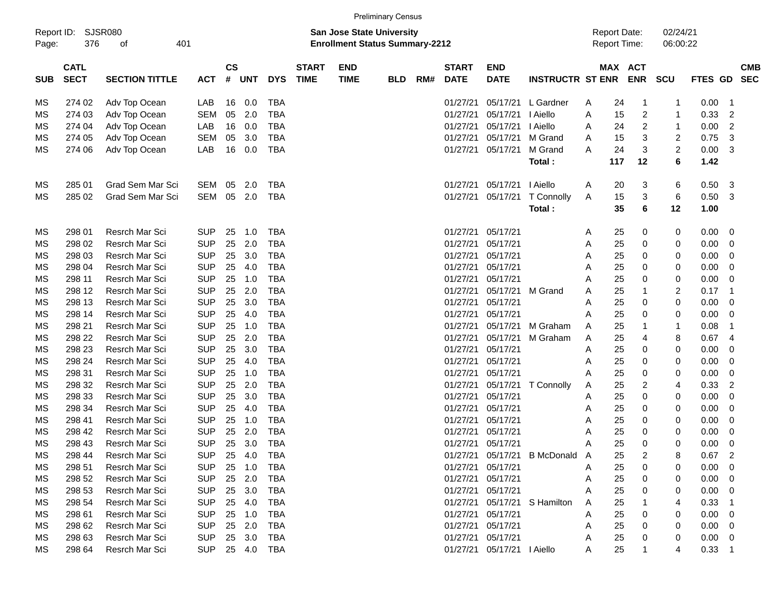|                     |                            |                       |            |                    |            |                |                             |                                                                    | <b>Preliminary Census</b> |     |                             |                            |                         |   |     |                                     |                      |             |                            |                          |
|---------------------|----------------------------|-----------------------|------------|--------------------|------------|----------------|-----------------------------|--------------------------------------------------------------------|---------------------------|-----|-----------------------------|----------------------------|-------------------------|---|-----|-------------------------------------|----------------------|-------------|----------------------------|--------------------------|
| Report ID:<br>Page: | 376                        | SJSR080<br>of         | 401        |                    |            |                |                             | San Jose State University<br><b>Enrollment Status Summary-2212</b> |                           |     |                             |                            |                         |   |     | <b>Report Date:</b><br>Report Time: | 02/24/21<br>06:00:22 |             |                            |                          |
| <b>SUB</b>          | <b>CATL</b><br><b>SECT</b> | <b>SECTION TITTLE</b> | <b>ACT</b> | $\mathsf{cs}$<br># | <b>UNT</b> | <b>DYS</b>     | <b>START</b><br><b>TIME</b> | <b>END</b><br><b>TIME</b>                                          | <b>BLD</b>                | RM# | <b>START</b><br><b>DATE</b> | <b>END</b><br><b>DATE</b>  | <b>INSTRUCTR ST ENR</b> |   |     | MAX ACT<br><b>ENR</b>               | <b>SCU</b>           | FTES GD     |                            | <b>CMB</b><br><b>SEC</b> |
| МS                  | 274 02                     | Adv Top Ocean         | LAB        | 16                 | 0.0        | <b>TBA</b>     |                             |                                                                    |                           |     | 01/27/21                    | 05/17/21                   | L Gardner               | A | 24  | -1                                  | -1                   | 0.00        | $\overline{\phantom{0}}$ 1 |                          |
| МS                  | 274 03                     | Adv Top Ocean         | <b>SEM</b> | 05                 | 2.0        | <b>TBA</b>     |                             |                                                                    |                           |     | 01/27/21                    | 05/17/21                   | I Aiello                | Α | 15  | $\overline{c}$                      | 1                    | 0.33        | $\overline{c}$             |                          |
| МS                  | 274 04                     | Adv Top Ocean         | LAB        | 16                 | 0.0        | <b>TBA</b>     |                             |                                                                    |                           |     | 01/27/21                    | 05/17/21                   | I Aiello                | A | 24  | 2                                   | $\mathbf{1}$         | 0.00        | $\overline{2}$             |                          |
| МS                  | 274 05                     | Adv Top Ocean         | <b>SEM</b> | 05                 | 3.0        | <b>TBA</b>     |                             |                                                                    |                           |     | 01/27/21                    | 05/17/21                   | M Grand                 | A | 15  | 3                                   | 2                    | 0.75        | 3                          |                          |
| МS                  | 274 06                     | Adv Top Ocean         | LAB        | 16                 | 0.0        | <b>TBA</b>     |                             |                                                                    |                           |     | 01/27/21                    | 05/17/21                   | M Grand                 | Α | 24  | 3                                   | $\overline{c}$       | 0.00        | 3                          |                          |
|                     |                            |                       |            |                    |            |                |                             |                                                                    |                           |     |                             |                            | Total:                  |   | 117 | 12                                  | 6                    | 1.42        |                            |                          |
| МS                  | 285 01                     | Grad Sem Mar Sci      | SEM        | 05                 | 2.0        | <b>TBA</b>     |                             |                                                                    |                           |     | 01/27/21                    | 05/17/21                   | I Aiello                | A | 20  | 3                                   | 6                    | 0.50 3      |                            |                          |
| MS                  | 285 02                     | Grad Sem Mar Sci      | SEM        | 05                 | 2.0        | <b>TBA</b>     |                             |                                                                    |                           |     | 01/27/21                    | 05/17/21                   | T Connolly              | A | 15  | 3                                   | 6                    | 0.50        | -3                         |                          |
|                     |                            |                       |            |                    |            |                |                             |                                                                    |                           |     |                             |                            | Total:                  |   | 35  | 6                                   | 12                   | 1.00        |                            |                          |
| МS                  | 298 01                     | <b>Resrch Mar Sci</b> | <b>SUP</b> | 25                 | 1.0        | <b>TBA</b>     |                             |                                                                    |                           |     | 01/27/21                    | 05/17/21                   |                         | Α | 25  | 0                                   | 0                    | 0.00 0      |                            |                          |
| МS                  | 298 02                     | Resrch Mar Sci        | <b>SUP</b> | 25                 | 2.0        | <b>TBA</b>     |                             |                                                                    |                           |     | 01/27/21                    | 05/17/21                   |                         | Α | 25  | 0                                   | 0                    | 0.00        | $\overline{\phantom{0}}$   |                          |
| МS                  | 298 03                     | Resrch Mar Sci        | <b>SUP</b> | 25                 | 3.0        | <b>TBA</b>     |                             |                                                                    |                           |     | 01/27/21                    | 05/17/21                   |                         | Α | 25  | 0                                   | 0                    | 0.00        | $\overline{\phantom{0}}$   |                          |
| МS                  | 298 04                     | Resrch Mar Sci        | <b>SUP</b> | 25                 | 4.0        | <b>TBA</b>     |                             |                                                                    |                           |     | 01/27/21                    | 05/17/21                   |                         | A | 25  | 0                                   | 0                    | 0.00        | $\overline{\phantom{0}}$   |                          |
| МS                  | 298 11                     | Resrch Mar Sci        | <b>SUP</b> | 25                 | 1.0        | <b>TBA</b>     |                             |                                                                    |                           |     | 01/27/21                    | 05/17/21                   |                         | Α | 25  | 0                                   | 0                    | 0.00        | $\overline{\phantom{0}}$   |                          |
| МS                  | 298 12                     | Resrch Mar Sci        | <b>SUP</b> | 25                 | 2.0        | <b>TBA</b>     |                             |                                                                    |                           |     | 01/27/21                    | 05/17/21                   | M Grand                 | A | 25  |                                     | 2                    | 0.17        | - 1                        |                          |
| МS                  | 298 13                     | Resrch Mar Sci        | <b>SUP</b> | 25                 | 3.0        | <b>TBA</b>     |                             |                                                                    |                           |     | 01/27/21                    | 05/17/21                   |                         | Α | 25  | 0                                   | 0                    | 0.00        | $\overline{\mathbf{0}}$    |                          |
| МS                  | 298 14                     | Resrch Mar Sci        | <b>SUP</b> | 25                 | 4.0        | <b>TBA</b>     |                             |                                                                    |                           |     | 01/27/21                    | 05/17/21                   |                         | A | 25  | 0                                   | 0                    | 0.00        | $\overline{\phantom{0}}$   |                          |
| МS                  | 298 21                     | Resrch Mar Sci        | <b>SUP</b> | 25                 | 1.0        | <b>TBA</b>     |                             |                                                                    |                           |     | 01/27/21                    | 05/17/21                   | M Graham                | A | 25  |                                     | 1                    | 0.08        | -1                         |                          |
| МS                  | 298 22                     | Resrch Mar Sci        | <b>SUP</b> | 25                 | 2.0        | <b>TBA</b>     |                             |                                                                    |                           |     | 01/27/21                    | 05/17/21                   | M Graham                | Α | 25  | 4                                   | 8                    | 0.67        | -4                         |                          |
| МS                  | 298 23                     | Resrch Mar Sci        | <b>SUP</b> | 25                 | 3.0        | <b>TBA</b>     |                             |                                                                    |                           |     | 01/27/21                    | 05/17/21                   |                         | Α | 25  | 0                                   | 0                    | 0.00        | $\overline{\mathbf{0}}$    |                          |
| МS                  | 298 24                     | Resrch Mar Sci        | <b>SUP</b> | 25                 | 4.0        | <b>TBA</b>     |                             |                                                                    |                           |     | 01/27/21                    | 05/17/21                   |                         | Α | 25  | 0                                   | 0                    | 0.00        | $\overline{\mathbf{0}}$    |                          |
| МS                  | 298 31                     | Resrch Mar Sci        | <b>SUP</b> | 25                 | 1.0        | <b>TBA</b>     |                             |                                                                    |                           |     | 01/27/21                    | 05/17/21                   |                         | A | 25  | 0                                   | 0                    | 0.00        | $\overline{\mathbf{0}}$    |                          |
| МS                  | 298 32                     | Resrch Mar Sci        | <b>SUP</b> | 25                 | 2.0        | <b>TBA</b>     |                             |                                                                    |                           |     | 01/27/21                    | 05/17/21                   | T Connolly              | A | 25  | 2                                   | 4                    | 0.33        | $\overline{c}$             |                          |
| МS                  | 298 33                     | Resrch Mar Sci        | <b>SUP</b> | 25                 | 3.0        | <b>TBA</b>     |                             |                                                                    |                           |     | 01/27/21                    | 05/17/21                   |                         | Α | 25  | 0                                   | 0                    | 0.00        | 0                          |                          |
| МS                  | 298 34                     | Resrch Mar Sci        | <b>SUP</b> | 25                 | 4.0        | <b>TBA</b>     |                             |                                                                    |                           |     | 01/27/21                    | 05/17/21                   |                         | Α | 25  | 0                                   | 0                    | 0.00        | $\overline{\phantom{0}}$   |                          |
| МS                  | 298 41                     | Resrch Mar Sci        | <b>SUP</b> | 25                 | 1.0        | <b>TBA</b>     |                             |                                                                    |                           |     | 01/27/21                    | 05/17/21                   |                         | Α | 25  | 0                                   | 0                    | 0.00        | $\overline{\phantom{0}}$   |                          |
| МS                  | 298 42                     | <b>Resrch Mar Sci</b> | <b>SUP</b> | 25                 | 2.0        | <b>TBA</b>     |                             |                                                                    |                           |     | 01/27/21                    | 05/17/21                   |                         | Α | 25  | 0                                   | 0                    | 0.00        | $\overline{\mathbf{0}}$    |                          |
| MS                  | 298 43                     | <b>Resrch Mar Sci</b> | <b>SUP</b> | 25                 | 3.0        | <b>TBA</b>     |                             |                                                                    |                           |     | 01/27/21                    | 05/17/21                   |                         | Α | 25  | 0                                   | 0                    | 0.00        | $\overline{\phantom{0}}$   |                          |
| МS                  | 298 44                     | Resrch Mar Sci        | <b>SUP</b> |                    | 25 4.0     | TBA            |                             |                                                                    |                           |     |                             | 01/27/21 05/17/21          | B McDonald A            |   | 25  | 2                                   | 8                    | $0.67$ 2    |                            |                          |
| МS                  | 298 51                     | Resrch Mar Sci        | <b>SUP</b> |                    | 25 1.0     | TBA            |                             |                                                                    |                           |     |                             | 01/27/21 05/17/21          |                         | Α | 25  | 0                                   | 0                    | $0.00 \ 0$  |                            |                          |
| МS                  | 298 52                     | Resrch Mar Sci        | <b>SUP</b> |                    | 25 2.0     | TBA            |                             |                                                                    |                           |     |                             | 01/27/21 05/17/21          |                         | Α | 25  | 0                                   | 0                    | $0.00 \t 0$ |                            |                          |
| МS                  | 298 53                     | Resrch Mar Sci        | <b>SUP</b> |                    | 25 3.0     | TBA            |                             |                                                                    |                           |     | 01/27/21                    | 05/17/21                   |                         | Α | 25  | 0                                   | 0                    | $0.00 \t 0$ |                            |                          |
| МS                  | 298 54                     | Resrch Mar Sci        | <b>SUP</b> |                    | 25 4.0     | TBA            |                             |                                                                    |                           |     | 01/27/21                    |                            | 05/17/21 S Hamilton     | A | 25  |                                     | 4                    | $0.33$ 1    |                            |                          |
| МS                  | 298 61                     | Resrch Mar Sci        | <b>SUP</b> |                    | 25 1.0     | TBA            |                             |                                                                    |                           |     | 01/27/21                    | 05/17/21                   |                         | Α | 25  | 0                                   | 0                    | $0.00 \t 0$ |                            |                          |
| МS                  | 298 62                     | Resrch Mar Sci        | <b>SUP</b> |                    | 25 2.0     | TBA            |                             |                                                                    |                           |     | 01/27/21                    | 05/17/21                   |                         | Α | 25  | 0                                   | 0                    | $0.00 \t 0$ |                            |                          |
| МS                  | 298 63                     | Resrch Mar Sci        | <b>SUP</b> |                    | 25 3.0     | TBA            |                             |                                                                    |                           |     | 01/27/21                    | 05/17/21                   |                         | Α | 25  | 0                                   | 0                    | $0.00 \t 0$ |                            |                          |
| ΜS                  | 298 64                     | Resrch Mar Sci        |            |                    |            | SUP 25 4.0 TBA |                             |                                                                    |                           |     |                             | 01/27/21 05/17/21   Aiello |                         | A | 25  |                                     | 4                    | $0.33$ 1    |                            |                          |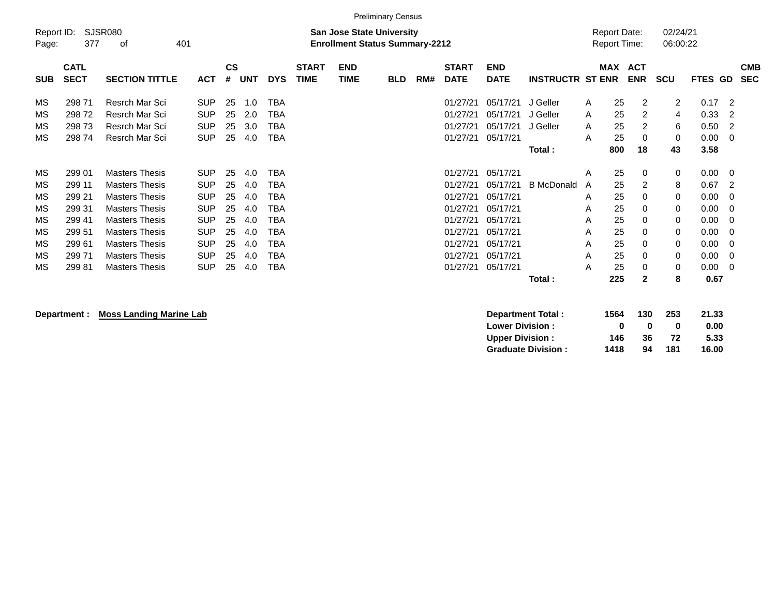|                     |                                                                                                                 |                       |            |                |     |            |                             |                           | <b>Preliminary Census</b> |     |                             |                           |                         |                                            |                          |                |                |                          |                          |
|---------------------|-----------------------------------------------------------------------------------------------------------------|-----------------------|------------|----------------|-----|------------|-----------------------------|---------------------------|---------------------------|-----|-----------------------------|---------------------------|-------------------------|--------------------------------------------|--------------------------|----------------|----------------|--------------------------|--------------------------|
| Report ID:<br>Page: | <b>SJSR080</b><br><b>San Jose State University</b><br>377<br><b>Enrollment Status Summary-2212</b><br>401<br>οf |                       |            |                |     |            |                             |                           |                           |     |                             |                           |                         | <b>Report Date:</b><br><b>Report Time:</b> | 02/24/21<br>06:00:22     |                |                |                          |                          |
| <b>SUB</b>          | <b>CATL</b><br><b>SECT</b>                                                                                      | <b>SECTION TITTLE</b> | <b>ACT</b> | <b>CS</b><br># | UNT | <b>DYS</b> | <b>START</b><br><b>TIME</b> | <b>END</b><br><b>TIME</b> | <b>BLD</b>                | RM# | <b>START</b><br><b>DATE</b> | <b>END</b><br><b>DATE</b> | <b>INSTRUCTR ST ENR</b> | <b>MAX</b>                                 | <b>ACT</b><br><b>ENR</b> | <b>SCU</b>     | <b>FTES GD</b> |                          | <b>CMB</b><br><b>SEC</b> |
| MS                  | 298 71                                                                                                          | Resrch Mar Sci        | <b>SUP</b> | 25             | 1.0 | TBA        |                             |                           |                           |     | 01/27/21                    | 05/17/21                  | J Geller                | A                                          | 25<br>$\overline{2}$     | $\overline{2}$ | 0.17           | $\overline{2}$           |                          |
| MS                  | 29872                                                                                                           | Resrch Mar Sci        | <b>SUP</b> | 25             | 2.0 | TBA        |                             |                           |                           |     | 01/27/21                    | 05/17/21                  | J Geller                | A                                          | 25<br>$\overline{2}$     | 4              | 0.33           | -2                       |                          |
| MS                  | 29873                                                                                                           | Resrch Mar Sci        | <b>SUP</b> | 25             | 3.0 | TBA        |                             |                           |                           |     | 01/27/21                    | 05/17/21                  | J Geller                | A                                          | 25<br>$\overline{2}$     | 6              | 0.50           | -2                       |                          |
| MS                  | 29874                                                                                                           | Resrch Mar Sci        | <b>SUP</b> | 25             | 4.0 | <b>TBA</b> |                             |                           |                           |     | 01/27/21                    | 05/17/21                  |                         | A                                          | 25<br>0                  | 0              | 0.00           | - 0                      |                          |
|                     |                                                                                                                 |                       |            |                |     |            |                             |                           |                           |     |                             |                           | Total:                  | 800                                        | 18                       | 43             | 3.58           |                          |                          |
| MS                  | 299 01                                                                                                          | <b>Masters Thesis</b> | <b>SUP</b> | 25             | 4.0 | TBA        |                             |                           |                           |     | 01/27/21                    | 05/17/21                  |                         | A                                          | 25<br>0                  | 0              | $0.00 \t 0$    |                          |                          |
| MS                  | 299 11                                                                                                          | <b>Masters Thesis</b> | <b>SUP</b> | 25             | 4.0 | TBA        |                             |                           |                           |     | 01/27/21                    | 05/17/21                  | <b>B</b> McDonald       | A                                          | 25<br>$\overline{2}$     | 8              | 0.67           | $\overline{2}$           |                          |
| MS                  | 299 21                                                                                                          | <b>Masters Thesis</b> | <b>SUP</b> | 25             | 4.0 | TBA        |                             |                           |                           |     | 01/27/21                    | 05/17/21                  |                         | A                                          | 25<br>0                  | 0              | 0.00           | - 0                      |                          |
| MS                  | 299 31                                                                                                          | <b>Masters Thesis</b> | <b>SUP</b> | 25             | 4.0 | TBA        |                             |                           |                           |     | 01/27/21                    | 05/17/21                  |                         | A                                          | 25<br>0                  | 0              | 0.00           | $\overline{\phantom{0}}$ |                          |
| MS                  | 299 41                                                                                                          | <b>Masters Thesis</b> | <b>SUP</b> | 25             | 4.0 | TBA        |                             |                           |                           |     | 01/27/21                    | 05/17/21                  |                         | Α                                          | 25<br>0                  | 0              | 0.00           | - 0                      |                          |
| MS                  | 299 51                                                                                                          | <b>Masters Thesis</b> | <b>SUP</b> | 25             | 4.0 | TBA        |                             |                           |                           |     | 01/27/21                    | 05/17/21                  |                         | Α                                          | 25<br>0                  | 0              | 0.00           | $\overline{0}$           |                          |
| MS                  | 29961                                                                                                           | <b>Masters Thesis</b> | <b>SUP</b> | 25             | 4.0 | TBA        |                             |                           |                           |     | 01/27/21                    | 05/17/21                  |                         | A                                          | 25<br>$\Omega$           | $\mathbf 0$    | 0.00           | $\overline{0}$           |                          |
| MS                  | 29971                                                                                                           | <b>Masters Thesis</b> | <b>SUP</b> | 25             | 4.0 | TBA        |                             |                           |                           |     | 01/27/21                    | 05/17/21                  |                         | A                                          | 25<br>$\Omega$           | 0              | $0.00 \t 0$    |                          |                          |
| MS                  | 29981                                                                                                           | <b>Masters Thesis</b> | <b>SUP</b> | 25             | 4.0 | TBA        |                             |                           |                           |     | 01/27/21                    | 05/17/21                  |                         | A                                          | 25<br>0                  | 0              | $0.00 \t 0$    |                          |                          |
|                     |                                                                                                                 |                       |            |                |     |            |                             |                           |                           |     |                             |                           | Total:                  | 225                                        | $\mathbf{2}$             | 8              | 0.67           |                          |                          |
|                     |                                                                                                                 |                       |            |                |     |            |                             |                           |                           |     |                             |                           |                         |                                            |                          |                |                |                          |                          |

## **Department : Moss Landing Marine Lab**

| Department Total:         | 1564 | 130 | 253 | 21.33 |
|---------------------------|------|-----|-----|-------|
| <b>Lower Division:</b>    | o    | o   | o   | 0.00  |
| <b>Upper Division:</b>    | 146  | 36. | 72  | 5.33  |
| <b>Graduate Division:</b> | 1418 | 94  | 181 | 16.00 |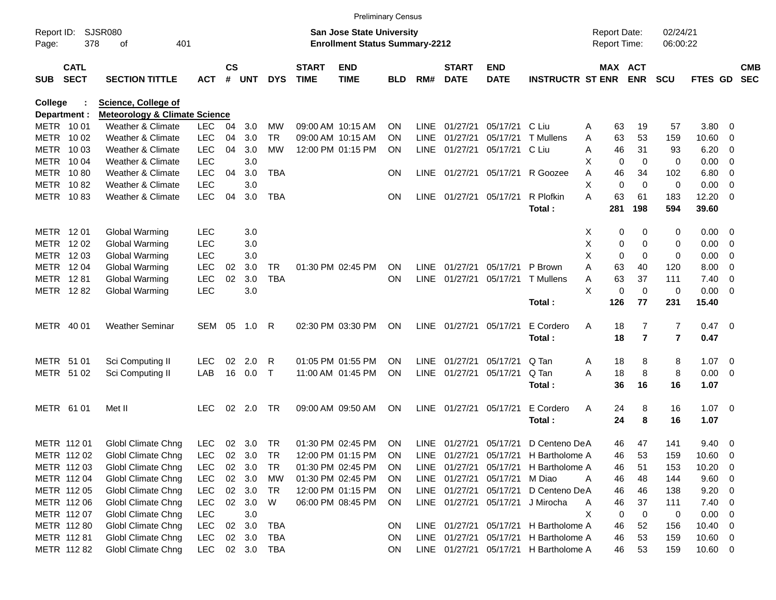|                          |                            |                                          |                   |                    |            |                  |                             | <b>Preliminary Census</b>                                                 |                 |                            |                             |                           |                         |        |                                     |                |                      |              |                                                      |                          |
|--------------------------|----------------------------|------------------------------------------|-------------------|--------------------|------------|------------------|-----------------------------|---------------------------------------------------------------------------|-----------------|----------------------------|-----------------------------|---------------------------|-------------------------|--------|-------------------------------------|----------------|----------------------|--------------|------------------------------------------------------|--------------------------|
| Report ID:<br>Page:      | 378                        | <b>SJSR080</b><br>401<br>οf              |                   |                    |            |                  |                             | <b>San Jose State University</b><br><b>Enrollment Status Summary-2212</b> |                 |                            |                             |                           |                         |        | <b>Report Date:</b><br>Report Time: |                | 02/24/21<br>06:00:22 |              |                                                      |                          |
| <b>SUB</b>               | <b>CATL</b><br><b>SECT</b> | <b>SECTION TITTLE</b>                    | <b>ACT</b>        | $\mathsf{cs}$<br># | <b>UNT</b> | <b>DYS</b>       | <b>START</b><br><b>TIME</b> | <b>END</b><br><b>TIME</b>                                                 | <b>BLD</b>      | RM#                        | <b>START</b><br><b>DATE</b> | <b>END</b><br><b>DATE</b> | <b>INSTRUCTR ST ENR</b> |        | MAX ACT                             | <b>ENR</b>     | <b>SCU</b>           | FTES GD      |                                                      | <b>CMB</b><br><b>SEC</b> |
| <b>College</b>           |                            | <b>Science, College of</b>               |                   |                    |            |                  |                             |                                                                           |                 |                            |                             |                           |                         |        |                                     |                |                      |              |                                                      |                          |
| Department :             |                            | <b>Meteorology &amp; Climate Science</b> |                   |                    |            |                  |                             |                                                                           |                 |                            |                             |                           |                         |        |                                     |                |                      |              |                                                      |                          |
| METR 1001                |                            | Weather & Climate                        | <b>LEC</b>        | 04                 | 3.0        | МW               |                             | 09:00 AM 10:15 AM                                                         | <b>ON</b>       | LINE.                      | 01/27/21                    | 05/17/21                  | C Liu                   | A      | 63                                  | 19             | 57                   | 3.80         | - 0                                                  |                          |
| METR                     | 10 02                      | Weather & Climate                        | <b>LEC</b>        | 04                 | 3.0        | <b>TR</b>        | 09:00 AM 10:15 AM           |                                                                           | <b>ON</b>       | LINE.                      | 01/27/21                    | 05/17/21                  | T Mullens               | A      | 63                                  | 53             | 159                  | 10.60        | 0                                                    |                          |
| METR                     | 10 03                      | Weather & Climate                        | <b>LEC</b>        | 04                 | 3.0        | <b>MW</b>        |                             | 12:00 PM 01:15 PM                                                         | <b>ON</b>       | LINE                       | 01/27/21                    | 05/17/21 C Liu            |                         | Α      | 46                                  | 31             | 93                   | 6.20         | 0                                                    |                          |
| METR                     | 10 04                      | Weather & Climate                        | <b>LEC</b>        |                    | 3.0        |                  |                             |                                                                           |                 |                            |                             |                           |                         | X      | 0                                   | $\mathbf 0$    | 0                    | 0.00         | 0                                                    |                          |
| METR                     | 1080                       | Weather & Climate                        | <b>LEC</b>        | 04                 | 3.0        | <b>TBA</b>       |                             |                                                                           | <b>ON</b>       | <b>LINE</b>                | 01/27/21                    |                           | 05/17/21 R Goozee       | A      | 46                                  | 34             | 102                  | 6.80         | 0                                                    |                          |
| METR                     | 1082                       | Weather & Climate                        | <b>LEC</b>        |                    | 3.0        |                  |                             |                                                                           |                 |                            |                             |                           |                         | х      | $\mathbf 0$                         | $\mathbf 0$    | $\mathbf 0$          | 0.00         | 0                                                    |                          |
| METR 1083                |                            | Weather & Climate                        | <b>LEC</b>        | 04                 | 3.0        | <b>TBA</b>       |                             |                                                                           | ON              |                            | LINE 01/27/21               | 05/17/21                  | R Plofkin               | A      | 63                                  | 61             | 183                  | 12.20        | - 0                                                  |                          |
|                          |                            |                                          |                   |                    |            |                  |                             |                                                                           |                 |                            |                             |                           | Total:                  |        | 281                                 | 198            | 594                  | 39.60        |                                                      |                          |
| METR 1201                |                            | Global Warming                           | <b>LEC</b>        |                    | 3.0        |                  |                             |                                                                           |                 |                            |                             |                           |                         | X      | 0                                   | 0              | 0                    | 0.00         | $\overline{\phantom{0}}$                             |                          |
| METR                     | 12 02                      | Global Warming                           | <b>LEC</b>        |                    | 3.0        |                  |                             |                                                                           |                 |                            |                             |                           |                         | Χ      | 0                                   | 0              | 0                    | 0.00         | 0                                                    |                          |
| METR                     | 12 03                      | Global Warming                           | <b>LEC</b>        |                    | 3.0        |                  |                             |                                                                           |                 |                            |                             |                           |                         | X      | 0                                   | $\mathbf 0$    | 0                    | 0.00         | 0                                                    |                          |
| METR                     | 12 04                      | Global Warming                           | <b>LEC</b>        | 02                 | 3.0        | TR               |                             | 01:30 PM 02:45 PM                                                         | <b>ON</b>       | LINE.                      | 01/27/21                    | 05/17/21                  | P Brown                 | A      | 63                                  | 40             | 120                  | 8.00         | 0                                                    |                          |
| METR                     | 1281                       | Global Warming                           | <b>LEC</b>        | 02                 | 3.0        | <b>TBA</b>       |                             |                                                                           | <b>ON</b>       | <b>LINE</b>                | 01/27/21                    | 05/17/21                  | T Mullens               | A      | 63                                  | 37             | 111                  | 7.40         | - 0                                                  |                          |
| METR 1282                |                            | Global Warming                           | LEC               |                    | 3.0        |                  |                             |                                                                           |                 |                            |                             |                           |                         | X      | $\mathbf 0$                         | $\mathbf 0$    | 0                    | 0.00         | - 0                                                  |                          |
|                          |                            |                                          |                   |                    |            |                  |                             |                                                                           |                 |                            |                             |                           | Total:                  |        | 126                                 | 77             | 231                  | 15.40        |                                                      |                          |
| METR 40 01               |                            | <b>Weather Seminar</b>                   | SEM               | 05                 | 1.0        | R                |                             | 02:30 PM 03:30 PM                                                         | <b>ON</b>       |                            | LINE 01/27/21               | 05/17/21                  | E Cordero               | Α      | 18                                  | 7              | 7                    | 0.47         | $\overline{\phantom{0}}$                             |                          |
|                          |                            |                                          |                   |                    |            |                  |                             |                                                                           |                 |                            |                             |                           | Total:                  |        | 18                                  | $\overline{7}$ | $\overline{7}$       | 0.47         |                                                      |                          |
|                          |                            |                                          |                   |                    |            |                  |                             |                                                                           |                 |                            | 01/27/21                    | 05/17/21                  | Q Tan                   |        |                                     |                |                      |              |                                                      |                          |
| METR 51 01<br>METR 51 02 |                            | Sci Computing II<br>Sci Computing II     | <b>LEC</b><br>LAB | 02<br>16           | 2.0<br>0.0 | R<br>$\mathsf T$ |                             | 01:05 PM 01:55 PM<br>11:00 AM 01:45 PM                                    | <b>ON</b><br>ON | <b>LINE</b><br><b>LINE</b> | 01/27/21                    | 05/17/21                  | Q Tan                   | A<br>A | 18<br>18                            | 8<br>8         | 8<br>8               | 1.07<br>0.00 | $\overline{\phantom{0}}$<br>$\overline{\phantom{0}}$ |                          |
|                          |                            |                                          |                   |                    |            |                  |                             |                                                                           |                 |                            |                             |                           | Total:                  |        | 36                                  | 16             | 16                   | 1.07         |                                                      |                          |
|                          |                            |                                          |                   |                    |            |                  |                             |                                                                           |                 |                            |                             |                           |                         |        |                                     |                |                      |              |                                                      |                          |
| METR 61 01               |                            | Met II                                   | <b>LEC</b>        | 02                 | 2.0        | TR               |                             | 09:00 AM 09:50 AM                                                         | ON              | LINE.                      | 01/27/21                    | 05/17/21                  | E Cordero               | Α      | 24                                  | 8              | 16                   | $1.07 \t 0$  |                                                      |                          |
|                          |                            |                                          |                   |                    |            |                  |                             |                                                                           |                 |                            |                             |                           | Total:                  |        | 24                                  | 8              | 16                   | 1.07         |                                                      |                          |
|                          | METR 112 01                | Globl Climate Chng                       | <b>LEC</b>        |                    | 02 3.0     | TR               |                             | 01:30 PM 02:45 PM                                                         | ON              |                            | LINE 01/27/21               | 05/17/21                  | D Centeno DeA           |        | 46                                  | 47             | 141                  | 9.40         | $\overline{\mathbf{0}}$                              |                          |
|                          | METR 112 02                | Globl Climate Chng                       | <b>LEC</b>        | 02                 | 3.0        | <b>TR</b>        |                             | 12:00 PM 01:15 PM                                                         | ON              |                            | LINE 01/27/21               |                           | 05/17/21 H Bartholome A |        | 46                                  | 53             | 159                  | 10.60        | 0                                                    |                          |
|                          | METR 112 03                | Globl Climate Chng                       | <b>LEC</b>        |                    | 02 3.0     | TR               |                             | 01:30 PM 02:45 PM                                                         | <b>ON</b>       |                            | LINE 01/27/21               |                           | 05/17/21 H Bartholome A |        | 46                                  | 51             | 153                  | 10.20        | - 0                                                  |                          |
|                          | METR 112 04                | Globl Climate Chng                       | <b>LEC</b>        |                    | 02 3.0     | МW               |                             | 01:30 PM 02:45 PM                                                         | <b>ON</b>       |                            | LINE 01/27/21               | 05/17/21 M Diao           |                         | A      | 46                                  | 48             | 144                  | 9.60         | $\overline{\phantom{0}}$                             |                          |
|                          | METR 112 05                | Globl Climate Chng                       | <b>LEC</b>        |                    | 02 3.0     | TR               |                             | 12:00 PM 01:15 PM                                                         | <b>ON</b>       |                            | LINE 01/27/21               | 05/17/21                  | D Centeno DeA           |        | 46                                  | 46             | 138                  | 9.20         | - 0                                                  |                          |
|                          | METR 112 06                | Globl Climate Chng                       | LEC               |                    | 02 3.0     | W                |                             | 06:00 PM 08:45 PM                                                         | <b>ON</b>       |                            | LINE 01/27/21               |                           | 05/17/21 J Mirocha      | A      | 46                                  | 37             | 111                  | 7.40         | $\overline{\mathbf{0}}$                              |                          |
|                          | METR 112 07                | Globl Climate Chng                       | LEC               |                    | 3.0        |                  |                             |                                                                           |                 |                            |                             |                           |                         | Χ      | 0                                   | 0              | 0                    | 0.00         | - 0                                                  |                          |
|                          | METR 112 80                | Globl Climate Chng                       | LEC               |                    | 02 3.0     | <b>TBA</b>       |                             |                                                                           | ON              |                            | LINE 01/27/21               |                           | 05/17/21 H Bartholome A |        | 46                                  | 52             | 156                  | 10.40        | $\overline{\mathbf{0}}$                              |                          |
|                          | METR 112 81                | Globl Climate Chng                       | LEC               |                    | 02 3.0     | TBA              |                             |                                                                           | ON              |                            | LINE 01/27/21               |                           | 05/17/21 H Bartholome A |        | 46                                  | 53             | 159                  | 10.60 0      |                                                      |                          |
|                          | METR 112 82                | Globl Climate Chng                       | <b>LEC</b>        |                    | 02 3.0     | TBA              |                             |                                                                           | ON              |                            | LINE 01/27/21               |                           | 05/17/21 H Bartholome A |        | 46                                  | 53             | 159                  | 10.60 0      |                                                      |                          |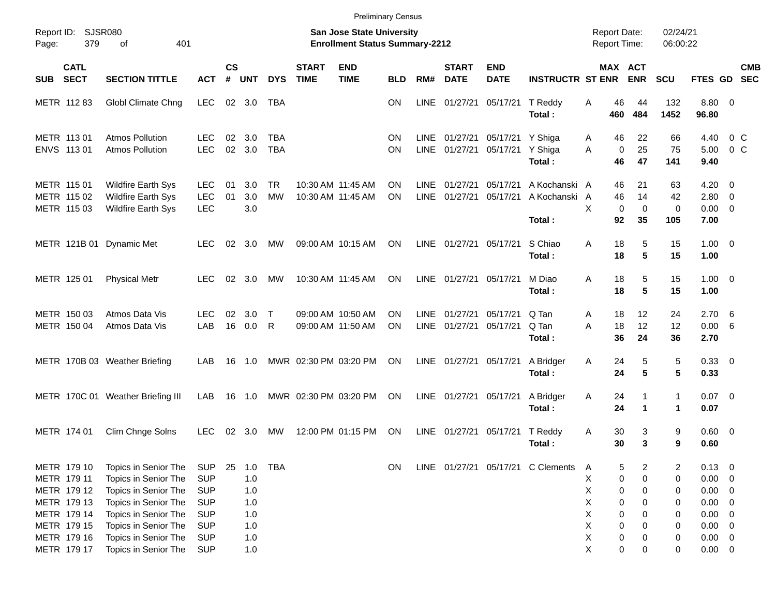|                     |                                                                         |                                                                                                                      |                                                                    |                             |                                 |                        |                             | <b>Preliminary Census</b>                                                 |                        |                            |                             |                           |                                          |                                            |                       |                                    |                                             |                                                                        |                          |            |
|---------------------|-------------------------------------------------------------------------|----------------------------------------------------------------------------------------------------------------------|--------------------------------------------------------------------|-----------------------------|---------------------------------|------------------------|-----------------------------|---------------------------------------------------------------------------|------------------------|----------------------------|-----------------------------|---------------------------|------------------------------------------|--------------------------------------------|-----------------------|------------------------------------|---------------------------------------------|------------------------------------------------------------------------|--------------------------|------------|
| Report ID:<br>Page: | <b>SJSR080</b><br>379                                                   | 401<br>of                                                                                                            |                                                                    |                             |                                 |                        |                             | <b>San Jose State University</b><br><b>Enrollment Status Summary-2212</b> |                        |                            |                             |                           |                                          | <b>Report Date:</b><br><b>Report Time:</b> |                       |                                    | 02/24/21<br>06:00:22                        |                                                                        |                          |            |
| <b>SUB</b>          | <b>CATL</b><br><b>SECT</b>                                              | <b>SECTION TITTLE</b>                                                                                                | <b>ACT</b>                                                         | $\mathsf{cs}$<br>$\pmb{\#}$ | <b>UNT</b>                      | <b>DYS</b>             | <b>START</b><br><b>TIME</b> | <b>END</b><br><b>TIME</b>                                                 | <b>BLD</b>             | RM#                        | <b>START</b><br><b>DATE</b> | <b>END</b><br><b>DATE</b> | <b>INSTRUCTR ST ENR</b>                  |                                            |                       | MAX ACT<br><b>ENR</b>              | SCU                                         | FTES GD SEC                                                            |                          | <b>CMB</b> |
|                     | METR 112 83                                                             | Globl Climate Chng                                                                                                   | <b>LEC</b>                                                         | 02                          | 3.0                             | TBA                    |                             |                                                                           | <b>ON</b>              | LINE                       | 01/27/21                    | 05/17/21                  | T Reddy<br>Total:                        | Α                                          | 46<br>460             | 44<br>484                          | 132<br>1452                                 | 8.80 0<br>96.80                                                        |                          |            |
|                     | METR 113 01<br>ENVS 11301                                               | <b>Atmos Pollution</b><br><b>Atmos Pollution</b>                                                                     | <b>LEC</b><br><b>LEC</b>                                           | 02<br>02                    | 3.0<br>3.0                      | TBA<br><b>TBA</b>      |                             |                                                                           | <b>ON</b><br>ON        | LINE<br><b>LINE</b>        | 01/27/21<br>01/27/21        | 05/17/21<br>05/17/21      | Y Shiga<br>Y Shiga<br>Total:             | A<br>A                                     | 46<br>0<br>46         | 22<br>25<br>47                     | 66<br>75<br>141                             | 4.40<br>5.00<br>9.40                                                   | $0\,C$<br>0 <sup>o</sup> |            |
|                     | METR 115 01<br>METR 115 02<br>METR 115 03                               | <b>Wildfire Earth Sys</b><br>Wildfire Earth Sys<br><b>Wildfire Earth Sys</b>                                         | <b>LEC</b><br><b>LEC</b><br><b>LEC</b>                             | 01<br>01                    | 3.0<br>3.0<br>3.0               | <b>TR</b><br><b>MW</b> |                             | 10:30 AM 11:45 AM<br>10:30 AM 11:45 AM                                    | <b>ON</b><br><b>ON</b> | LINE<br><b>LINE</b>        | 01/27/21<br>01/27/21        | 05/17/21<br>05/17/21      | A Kochanski A<br>A Kochanski A<br>Total: | X                                          | 46<br>46<br>0<br>92   | 21<br>14<br>$\mathbf 0$<br>35      | 63<br>42<br>$\mathbf 0$<br>105              | $4.20 \ 0$<br>2.80 0<br>$0.00 \t 0$<br>7.00                            |                          |            |
|                     |                                                                         | METR 121B 01 Dynamic Met                                                                                             | LEC.                                                               | 02                          | 3.0                             | MW                     |                             | 09:00 AM 10:15 AM                                                         | <b>ON</b>              | <b>LINE</b>                | 01/27/21 05/17/21           |                           | S Chiao<br>Total:                        | A                                          | 18<br>18              | 5<br>$5\phantom{1}$                | 15<br>15                                    | $1.00 \t 0$<br>1.00                                                    |                          |            |
|                     | METR 125 01                                                             | <b>Physical Metr</b>                                                                                                 | <b>LEC</b>                                                         | 02                          | 3.0                             | MW                     |                             | 10:30 AM 11:45 AM                                                         | <b>ON</b>              |                            | LINE 01/27/21 05/17/21      |                           | M Diao<br>Total:                         | A                                          | 18<br>18              | 5<br>$5\phantom{1}$                | 15<br>15                                    | $1.00 \t 0$<br>1.00                                                    |                          |            |
|                     | METR 150 03<br>METR 150 04                                              | Atmos Data Vis<br>Atmos Data Vis                                                                                     | LEC.<br>LAB                                                        | 02<br>16                    | 3.0<br>0.0                      | $\top$<br>R            |                             | 09:00 AM 10:50 AM<br>09:00 AM 11:50 AM                                    | ΟN<br>ΟN               | <b>LINE</b><br><b>LINE</b> | 01/27/21<br>01/27/21        | 05/17/21<br>05/17/21      | Q Tan<br>Q Tan<br>Total:                 | Α<br>A                                     | 18<br>18<br>36        | 12<br>12<br>24                     | 24<br>12<br>36                              | 2.706<br>0.00 6<br>2.70                                                |                          |            |
|                     |                                                                         | METR 170B 03 Weather Briefing                                                                                        | LAB                                                                | 16                          | 1.0                             |                        | MWR 02:30 PM 03:20 PM       |                                                                           | ON                     | LINE                       | 01/27/21 05/17/21           |                           | A Bridger<br>Total:                      | Α                                          | 24<br>24              | 5<br>$5\phantom{1}$                | 5<br>5                                      | 0.33 0<br>0.33                                                         |                          |            |
|                     |                                                                         | METR 170C 01 Weather Briefing III                                                                                    | LAB                                                                | 16                          | 1.0                             |                        |                             | MWR 02:30 PM 03:20 PM                                                     | ON                     | LINE                       | 01/27/21                    | 05/17/21                  | A Bridger<br>Total:                      | Α                                          | 24<br>24              | $\mathbf{1}$<br>$\mathbf{1}$       | $\mathbf{1}$<br>$\mathbf 1$                 | $0.07$ 0<br>0.07                                                       |                          |            |
|                     | METR 174 01                                                             | Clim Chnge Solns                                                                                                     | <b>LEC</b>                                                         | 02                          | 3.0                             | MW                     |                             | 12:00 PM 01:15 PM                                                         | ON                     | <b>LINE</b>                | 01/27/21                    | 05/17/21                  | T Reddy<br>Total:                        | Α                                          | 30<br>30              | 3<br>3                             | 9<br>9                                      | 0.60 0<br>0.60                                                         |                          |            |
|                     | METR 179 10<br>METR 179 11<br>METR 179 12<br>METR 179 13<br>METR 179 14 | Topics in Senior The<br>Topics in Senior The<br>Topics in Senior The<br>Topics in Senior The<br>Topics in Senior The | <b>SUP</b><br><b>SUP</b><br><b>SUP</b><br><b>SUP</b><br><b>SUP</b> | 25                          | 1.0<br>1.0<br>1.0<br>1.0<br>1.0 | <b>TBA</b>             |                             |                                                                           | ON                     |                            |                             |                           | LINE 01/27/21 05/17/21 C Clements        | A<br>X<br>Χ<br>Χ<br>Χ                      | 5<br>0<br>0<br>0<br>0 | $\overline{2}$<br>0<br>0<br>0<br>0 | $\overline{\mathbf{c}}$<br>0<br>0<br>0<br>0 | $0.13 \ 0$<br>$0.00 \t 0$<br>$0.00 \t 0$<br>$0.00 \t 0$<br>$0.00 \t 0$ |                          |            |
|                     | METR 179 15<br>METR 179 16<br>METR 179 17                               | Topics in Senior The<br>Topics in Senior The<br>Topics in Senior The                                                 | <b>SUP</b><br><b>SUP</b><br><b>SUP</b>                             |                             | 1.0<br>1.0<br>1.0               |                        |                             |                                                                           |                        |                            |                             |                           |                                          | Χ<br>Χ<br>Χ                                | 0<br>0<br>0           | 0<br>0<br>0                        | 0<br>0<br>0                                 | $0.00 \t 0$<br>$0.00 \t 0$<br>$0.00 \t 0$                              |                          |            |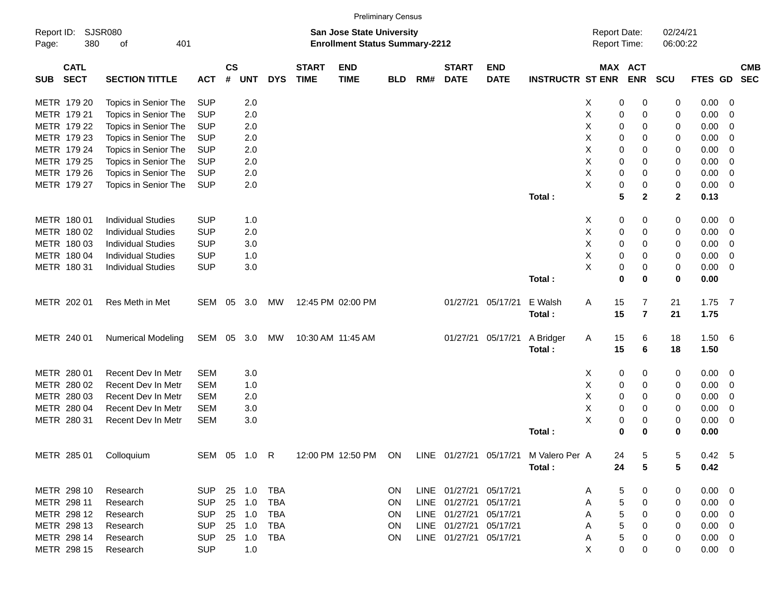|                                          |                |                       |            |         |                  |            |                             |                           | <b>Preliminary Census</b>                                                 |     |                             |                           |                         |   |                                            |                      |             |             |            |
|------------------------------------------|----------------|-----------------------|------------|---------|------------------|------------|-----------------------------|---------------------------|---------------------------------------------------------------------------|-----|-----------------------------|---------------------------|-------------------------|---|--------------------------------------------|----------------------|-------------|-------------|------------|
| Report ID:<br>Page:                      | SJSR080<br>380 | of                    | 401        |         |                  |            |                             |                           | <b>San Jose State University</b><br><b>Enrollment Status Summary-2212</b> |     |                             |                           |                         |   | <b>Report Date:</b><br><b>Report Time:</b> | 02/24/21<br>06:00:22 |             |             |            |
| <b>CATL</b><br><b>SECT</b><br><b>SUB</b> |                | <b>SECTION TITTLE</b> |            | $ACT$ # | СS<br><b>UNT</b> | <b>DYS</b> | <b>START</b><br><b>TIME</b> | <b>END</b><br><b>TIME</b> | <b>BLD</b>                                                                | RM# | <b>START</b><br><b>DATE</b> | <b>END</b><br><b>DATE</b> | <b>INSTRUCTR ST ENR</b> |   | MAX ACT<br><b>ENR</b>                      | <b>SCU</b>           | FTES GD SEC |             | <b>CMB</b> |
| METR 179 20                              |                | Topics in Senior The  | <b>SUP</b> |         | 2.0              |            |                             |                           |                                                                           |     |                             |                           |                         | 0 |                                            | 0                    |             | $0.00 \t 0$ |            |

| METR 179 21 | Topics in Senior The      | <b>SUP</b> |    | 2.0 |            |                   |    |             |                        |                   |                | Х | 0           | 0              | 0                | 0.00     | 0              |  |
|-------------|---------------------------|------------|----|-----|------------|-------------------|----|-------------|------------------------|-------------------|----------------|---|-------------|----------------|------------------|----------|----------------|--|
| METR 179 22 | Topics in Senior The      | <b>SUP</b> |    | 2.0 |            |                   |    |             |                        |                   |                | Χ | 0           | 0              | 0                | 0.00     | 0              |  |
| METR 179 23 | Topics in Senior The      | <b>SUP</b> |    | 2.0 |            |                   |    |             |                        |                   |                | X | 0           | 0              | 0                | 0.00     | 0              |  |
| METR 179 24 | Topics in Senior The      | <b>SUP</b> |    | 2.0 |            |                   |    |             |                        |                   |                | X | 0           | 0              | 0                | 0.00     | 0              |  |
| METR 179 25 | Topics in Senior The      | <b>SUP</b> |    | 2.0 |            |                   |    |             |                        |                   |                | Χ | 0           | 0              | 0                | 0.00     | 0              |  |
| METR 179 26 | Topics in Senior The      | <b>SUP</b> |    | 2.0 |            |                   |    |             |                        |                   |                | X | 0           | 0              | 0                | 0.00     | 0              |  |
| METR 179 27 | Topics in Senior The      | <b>SUP</b> |    | 2.0 |            |                   |    |             |                        |                   |                | X | 0           | 0              | 0                | 0.00     | $\overline{0}$ |  |
|             |                           |            |    |     |            |                   |    |             |                        |                   | Total:         |   | 5           | $\mathbf 2$    | $\mathbf{2}$     | 0.13     |                |  |
|             |                           |            |    |     |            |                   |    |             |                        |                   |                |   |             |                |                  |          |                |  |
| METR 180 01 | <b>Individual Studies</b> | <b>SUP</b> |    | 1.0 |            |                   |    |             |                        |                   |                | х | 0           | 0              | 0                | 0.00     | 0              |  |
| METR 180 02 | <b>Individual Studies</b> | <b>SUP</b> |    | 2.0 |            |                   |    |             |                        |                   |                | X | $\pmb{0}$   | 0              | 0                | 0.00     | 0              |  |
| METR 180 03 | <b>Individual Studies</b> | <b>SUP</b> |    | 3.0 |            |                   |    |             |                        |                   |                | X | 0           | 0              | 0                | 0.00     | 0              |  |
| METR 180 04 | <b>Individual Studies</b> | <b>SUP</b> |    | 1.0 |            |                   |    |             |                        |                   |                | X | 0           | 0              | 0                | 0.00     | 0              |  |
| METR 180 31 | <b>Individual Studies</b> | <b>SUP</b> |    | 3.0 |            |                   |    |             |                        |                   |                | X | 0           | 0              | 0                | 0.00     | 0              |  |
|             |                           |            |    |     |            |                   |    |             |                        |                   | Total:         |   | 0           | 0              | 0                | 0.00     |                |  |
|             |                           |            |    |     |            |                   |    |             |                        |                   |                |   |             |                |                  |          |                |  |
| METR 202 01 | Res Meth in Met           | SEM        | 05 | 3.0 | MW         | 12:45 PM 02:00 PM |    |             |                        | 01/27/21 05/17/21 | E Walsh        | Α | 15          | $\overline{7}$ | 21               | $1.75$ 7 |                |  |
|             |                           |            |    |     |            |                   |    |             |                        |                   | Total:         |   | 15          | $\overline{7}$ | 21               | 1.75     |                |  |
|             |                           |            |    |     |            |                   |    |             |                        |                   |                |   |             |                |                  |          |                |  |
| METR 240 01 | <b>Numerical Modeling</b> | SEM 05     |    | 3.0 | MW         | 10:30 AM 11:45 AM |    |             |                        | 01/27/21 05/17/21 | A Bridger      | Α | 15          | 6              | 18               | 1.50 6   |                |  |
|             |                           |            |    |     |            |                   |    |             |                        |                   | Total:         |   | 15          | 6              | 18               | 1.50     |                |  |
|             |                           |            |    |     |            |                   |    |             |                        |                   |                |   |             |                |                  |          |                |  |
| METR 280 01 | Recent Dev In Metr        | <b>SEM</b> |    | 3.0 |            |                   |    |             |                        |                   |                | Χ | 0           | 0              | $\boldsymbol{0}$ | 0.00     | 0              |  |
| METR 280 02 | Recent Dev In Metr        | <b>SEM</b> |    | 1.0 |            |                   |    |             |                        |                   |                | X | 0           | 0              | 0                | 0.00     | 0              |  |
| METR 280 03 | Recent Dev In Metr        | <b>SEM</b> |    | 2.0 |            |                   |    |             |                        |                   |                | X | 0           | 0              | 0                | 0.00     | 0              |  |
| METR 280 04 | Recent Dev In Metr        | <b>SEM</b> |    | 3.0 |            |                   |    |             |                        |                   |                | X | 0           | 0              | 0                | 0.00     | 0              |  |
| METR 280 31 | Recent Dev In Metr        | <b>SEM</b> |    | 3.0 |            |                   |    |             |                        |                   |                | X | 0           | 0              | 0                | 0.00     | 0              |  |
|             |                           |            |    |     |            |                   |    |             |                        |                   | Total:         |   | $\mathbf 0$ | $\bf{0}$       | 0                | 0.00     |                |  |
|             |                           |            |    |     |            |                   |    |             |                        |                   |                |   |             |                |                  |          |                |  |
| METR 285 01 | Colloquium                | SEM 05     |    | 1.0 | R          | 12:00 PM 12:50 PM | ON |             | LINE 01/27/21 05/17/21 |                   | M Valero Per A |   | 24          | 5              | 5                | 0.42     | 5              |  |
|             |                           |            |    |     |            |                   |    |             |                        |                   | Total:         |   | 24          | 5              | 5                | 0.42     |                |  |
|             |                           |            |    |     |            |                   |    |             |                        |                   |                |   |             |                |                  |          |                |  |
| METR 298 10 | Research                  | <b>SUP</b> | 25 | 1.0 | <b>TBA</b> |                   | ON | <b>LINE</b> | 01/27/21               | 05/17/21          |                | A | 5           | 0              | 0                | 0.00     | $\overline{0}$ |  |
| METR 298 11 | Research                  | <b>SUP</b> | 25 | 1.0 | <b>TBA</b> |                   | ON | <b>LINE</b> | 01/27/21               | 05/17/21          |                | Α | 5           | 0              | 0                | 0.00     | $\mathbf 0$    |  |
| METR 298 12 | Research                  | <b>SUP</b> | 25 | 1.0 | <b>TBA</b> |                   | ON | <b>LINE</b> | 01/27/21               | 05/17/21          |                | Α | 5           | 0              | 0                | 0.00     | $\mathbf 0$    |  |
| METR 298 13 | Research                  | <b>SUP</b> | 25 | 1.0 | <b>TBA</b> |                   | ON | <b>LINE</b> | 01/27/21 05/17/21      |                   |                | Α | 5           | 0              | 0                | 0.00     | 0              |  |
| METR 298 14 | Research                  | <b>SUP</b> | 25 | 1.0 | <b>TBA</b> |                   | ON | <b>LINE</b> | 01/27/21               | 05/17/21          |                | Α | 5           | 0              | 0                | 0.00     | 0              |  |
| METR 298 15 | Research                  | <b>SUP</b> |    | 1.0 |            |                   |    |             |                        |                   |                | X | $\Omega$    | 0              | $\Omega$         | 0.00     | 0              |  |
|             |                           |            |    |     |            |                   |    |             |                        |                   |                |   |             |                |                  |          |                |  |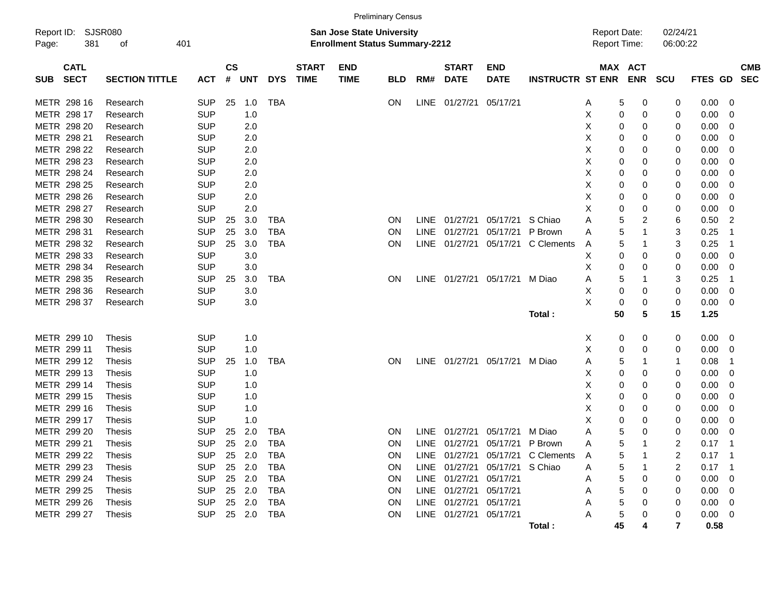|             |                                        |                       |            |                    |            |            |                             |                                                                           | <b>Preliminary Census</b> |             |                             |                           |                         |                                     |                       |                         |         |                         |                          |
|-------------|----------------------------------------|-----------------------|------------|--------------------|------------|------------|-----------------------------|---------------------------------------------------------------------------|---------------------------|-------------|-----------------------------|---------------------------|-------------------------|-------------------------------------|-----------------------|-------------------------|---------|-------------------------|--------------------------|
| Page:       | Report ID: SJSR080<br>401<br>381<br>οf |                       |            |                    |            |            |                             | <b>San Jose State University</b><br><b>Enrollment Status Summary-2212</b> |                           |             |                             |                           |                         | <b>Report Date:</b><br>Report Time: |                       | 02/24/21<br>06:00:22    |         |                         |                          |
| <b>SUB</b>  | <b>CATL</b><br><b>SECT</b>             | <b>SECTION TITTLE</b> | ACT        | $\mathsf{cs}$<br># | <b>UNT</b> | <b>DYS</b> | <b>START</b><br><b>TIME</b> | <b>END</b><br><b>TIME</b>                                                 | <b>BLD</b>                | RM#         | <b>START</b><br><b>DATE</b> | <b>END</b><br><b>DATE</b> | <b>INSTRUCTR ST ENR</b> |                                     | MAX ACT<br><b>ENR</b> | <b>SCU</b>              | FTES GD |                         | <b>CMB</b><br><b>SEC</b> |
| METR 298 16 |                                        | Research              | <b>SUP</b> | 25                 | 1.0        | <b>TBA</b> |                             |                                                                           | ON                        |             | LINE 01/27/21               | 05/17/21                  |                         | 5<br>Α                              | 0                     | 0                       | 0.00    | $\overline{0}$          |                          |
| METR 298 17 |                                        | Research              | <b>SUP</b> |                    | 1.0        |            |                             |                                                                           |                           |             |                             |                           |                         | X                                   | 0<br>0                | 0                       | 0.00    | $\overline{0}$          |                          |
| METR 298 20 |                                        | Research              | <b>SUP</b> |                    | 2.0        |            |                             |                                                                           |                           |             |                             |                           |                         | X                                   | 0<br>0                | 0                       | 0.00    | $\mathbf 0$             |                          |
| METR 298 21 |                                        | Research              | <b>SUP</b> |                    | 2.0        |            |                             |                                                                           |                           |             |                             |                           |                         | X<br>0                              | 0                     | 0                       | 0.00    | $\overline{0}$          |                          |
| METR 298 22 |                                        | Research              | <b>SUP</b> |                    | 2.0        |            |                             |                                                                           |                           |             |                             |                           |                         | X<br>0                              | 0                     | 0                       | 0.00    | $\overline{0}$          |                          |
| METR 298 23 |                                        | Research              | <b>SUP</b> |                    | 2.0        |            |                             |                                                                           |                           |             |                             |                           |                         | Χ                                   | 0<br>$\mathbf 0$      | 0                       | 0.00    | $\overline{0}$          |                          |
| METR 298 24 |                                        | Research              | <b>SUP</b> |                    | 2.0        |            |                             |                                                                           |                           |             |                             |                           |                         | X                                   | 0<br>0                | 0                       | 0.00    | 0                       |                          |
| METR 298 25 |                                        | Research              | <b>SUP</b> |                    | 2.0        |            |                             |                                                                           |                           |             |                             |                           |                         | Χ                                   | 0<br>$\mathbf 0$      | 0                       | 0.00    | 0                       |                          |
| METR 298 26 |                                        | Research              | <b>SUP</b> |                    | 2.0        |            |                             |                                                                           |                           |             |                             |                           |                         | X<br>0                              | $\mathbf 0$           | 0                       | 0.00    | $\overline{0}$          |                          |
| METR 298 27 |                                        | Research              | <b>SUP</b> |                    | 2.0        |            |                             |                                                                           |                           |             |                             |                           |                         | Χ                                   | 0<br>0                | 0                       | 0.00    | $\mathbf 0$             |                          |
| METR 298 30 |                                        | Research              | <b>SUP</b> | 25                 | 3.0        | <b>TBA</b> |                             |                                                                           | <b>ON</b>                 | LINE        | 01/27/21                    | 05/17/21                  | S Chiao                 | Α                                   | 5<br>$\overline{c}$   | 6                       | 0.50    | $\boldsymbol{2}$        |                          |
| METR 298 31 |                                        | Research              | <b>SUP</b> | 25                 | 3.0        | TBA        |                             |                                                                           | ON.                       | <b>LINE</b> | 01/27/21                    | 05/17/21                  | P Brown                 | A                                   | 5                     | 3                       | 0.25    | -1                      |                          |
| METR 298 32 |                                        | Research              | <b>SUP</b> | 25                 | 3.0        | TBA        |                             |                                                                           | <b>ON</b>                 | LINE        | 01/27/21                    | 05/17/21                  | C Clements              | A                                   | 5<br>-1               | 3                       | 0.25    | $\overline{1}$          |                          |
| METR 298 33 |                                        | Research              | <b>SUP</b> |                    | 3.0        |            |                             |                                                                           |                           |             |                             |                           |                         | Χ                                   | 0<br>$\Omega$         | 0                       | 0.00    | $\mathbf 0$             |                          |
| METR 298 34 |                                        | Research              | <b>SUP</b> |                    | 3.0        |            |                             |                                                                           |                           |             |                             |                           |                         | Χ<br>0                              | 0                     | 0                       | 0.00    | $\mathbf 0$             |                          |
| METR 298 35 |                                        | Research              | <b>SUP</b> | 25                 | 3.0        | <b>TBA</b> |                             |                                                                           | <b>ON</b>                 | LINE.       |                             | 01/27/21 05/17/21         | M Diao                  | Α                                   | 5                     | 3                       | 0.25    | -1                      |                          |
| METR 298 36 |                                        | Research              | <b>SUP</b> |                    | 3.0        |            |                             |                                                                           |                           |             |                             |                           |                         | X<br>0                              | 0                     | 0                       | 0.00    | $\overline{0}$          |                          |
| METR 298 37 |                                        | Research              | <b>SUP</b> |                    | 3.0        |            |                             |                                                                           |                           |             |                             |                           |                         | X<br>0                              | 0                     | 0                       | 0.00    | $\overline{0}$          |                          |
|             |                                        |                       |            |                    |            |            |                             |                                                                           |                           |             |                             |                           | Total:                  | 50                                  | 5                     | 15                      | 1.25    |                         |                          |
| METR 299 10 |                                        | <b>Thesis</b>         | <b>SUP</b> |                    | 1.0        |            |                             |                                                                           |                           |             |                             |                           |                         | Χ<br>0                              | 0                     | 0                       | 0.00    | $\overline{\mathbf{0}}$ |                          |
| METR 299 11 |                                        | <b>Thesis</b>         | <b>SUP</b> |                    | 1.0        |            |                             |                                                                           |                           |             |                             |                           |                         | X                                   | 0<br>0                | 0                       | 0.00    | $\mathbf 0$             |                          |
| METR 299 12 |                                        | Thesis                | <b>SUP</b> | 25                 | 1.0        | <b>TBA</b> |                             |                                                                           | <b>ON</b>                 |             |                             | LINE 01/27/21 05/17/21    | M Diao                  | Α                                   | 5<br>1                | $\mathbf{1}$            | 0.08    | $\overline{1}$          |                          |
| METR 299 13 |                                        | Thesis                | <b>SUP</b> |                    | 1.0        |            |                             |                                                                           |                           |             |                             |                           |                         | х<br>0                              | 0                     | 0                       | 0.00    | - 0                     |                          |
| METR 299 14 |                                        | Thesis                | <b>SUP</b> |                    | 1.0        |            |                             |                                                                           |                           |             |                             |                           |                         | х<br>0                              | $\mathbf 0$           | 0                       | 0.00    | $\overline{\mathbf{0}}$ |                          |
| METR 299 15 |                                        | Thesis                | <b>SUP</b> |                    | 1.0        |            |                             |                                                                           |                           |             |                             |                           |                         | X                                   | 0<br>0                | 0                       | 0.00    | $\mathbf 0$             |                          |
| METR 299 16 |                                        | Thesis                | <b>SUP</b> |                    | 1.0        |            |                             |                                                                           |                           |             |                             |                           |                         | Χ                                   | 0<br>$\Omega$         | 0                       | 0.00    | $\mathbf 0$             |                          |
| METR 299 17 |                                        | Thesis                | <b>SUP</b> |                    | 1.0        |            |                             |                                                                           |                           |             |                             |                           |                         | Χ                                   | 0<br>$\mathbf 0$      | 0                       | 0.00    | $\mathbf 0$             |                          |
| METR 299 20 |                                        | Thesis                | <b>SUP</b> | 25                 | 2.0        | TBA        |                             |                                                                           | <b>ON</b>                 | LINE        | 01/27/21                    | 05/17/21                  | M Diao                  | Α                                   | 5<br>$\Omega$         | 0                       | 0.00    | 0                       |                          |
| METR 299 21 |                                        | Thesis                | <b>SUP</b> | 25                 | 2.0        | <b>TBA</b> |                             |                                                                           | <b>ON</b>                 | <b>LINE</b> | 01/27/21                    | 05/17/21                  | P Brown                 | Α                                   | 5                     | 2                       | 0.17    | -1                      |                          |
| METR 299 22 |                                        | Thesis                | <b>SUP</b> | 25                 | 2.0        | TBA        |                             |                                                                           | ON                        | <b>LINE</b> | 01/27/21                    | 05/17/21                  | C Clements              | Α                                   | 5                     | $\overline{\mathbf{c}}$ | 0.17    | - 1                     |                          |
| METR 299 23 |                                        | <b>Thesis</b>         | <b>SUP</b> | 25                 | 2.0        | <b>TBA</b> |                             |                                                                           | <b>ON</b>                 | <b>LINE</b> | 01/27/21                    | 05/17/21                  | S Chiao                 | 5<br>Α                              | -1                    | $\overline{\mathbf{c}}$ | 0.17    | - 1                     |                          |
| METR        | 299 24                                 | Thesis                | <b>SUP</b> | 25                 | 2.0        | <b>TBA</b> |                             |                                                                           | ON                        | <b>LINE</b> | 01/27/21                    | 05/17/21                  |                         | Α                                   | 5<br>0                | 0                       | 0.00    | $\overline{0}$          |                          |
| METR 299 25 |                                        | Thesis                | <b>SUP</b> | 25                 | 2.0        | <b>TBA</b> |                             |                                                                           | <b>ON</b>                 | LINE        | 01/27/21                    | 05/17/21                  |                         | Α                                   | 5<br>0                | 0                       | 0.00    | $\mathbf 0$             |                          |
| METR 299 26 |                                        | <b>Thesis</b>         | <b>SUP</b> | 25                 | 2.0        | <b>TBA</b> |                             |                                                                           | <b>ON</b>                 | LINE        | 01/27/21                    | 05/17/21                  |                         | Α                                   | 5<br>$\Omega$         | 0                       | 0.00    | $\mathbf 0$             |                          |
| METR 299 27 |                                        | <b>Thesis</b>         | <b>SUP</b> | 25                 | 2.0        | <b>TBA</b> |                             |                                                                           | <b>ON</b>                 | <b>LINE</b> | 01/27/21                    | 05/17/21                  |                         | A                                   | 5<br>$\Omega$         | 0                       | 0.00    | $\overline{0}$          |                          |

- **Total : 45 4 7 0.58**
	-
	-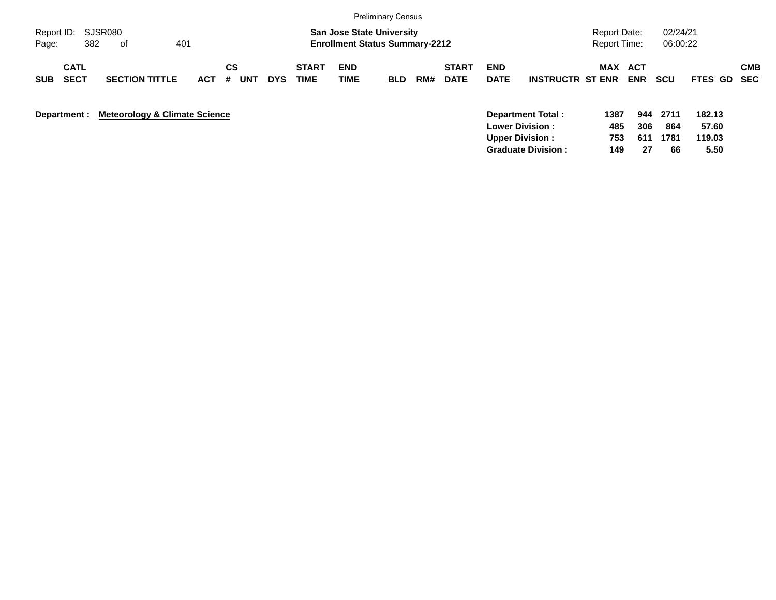|                                          |                                          |                              |            |            |                      |                                                                           | <b>Preliminary Census</b> |     |                             |                                                  |                         |                                            |                          |                      |                           |                          |
|------------------------------------------|------------------------------------------|------------------------------|------------|------------|----------------------|---------------------------------------------------------------------------|---------------------------|-----|-----------------------------|--------------------------------------------------|-------------------------|--------------------------------------------|--------------------------|----------------------|---------------------------|--------------------------|
| SJSR080<br>Report ID:<br>382<br>Page:    | 401<br>of                                |                              |            |            |                      | <b>San Jose State University</b><br><b>Enrollment Status Summary-2212</b> |                           |     |                             |                                                  |                         | <b>Report Date:</b><br><b>Report Time:</b> |                          | 02/24/21<br>06:00:22 |                           |                          |
| <b>CATL</b><br><b>SECT</b><br><b>SUB</b> | <b>SECTION TITTLE</b>                    | <b>CS</b><br><b>ACT</b><br># | <b>UNT</b> | <b>DYS</b> | <b>START</b><br>TIME | <b>END</b><br><b>TIME</b>                                                 | <b>BLD</b>                | RM# | <b>START</b><br><b>DATE</b> | <b>END</b><br><b>DATE</b>                        | <b>INSTRUCTR ST ENR</b> | <b>MAX</b>                                 | <b>ACT</b><br><b>ENR</b> | <b>SCU</b>           | <b>FTES GD</b>            | <b>CMB</b><br><b>SEC</b> |
| Department :                             | <b>Meteorology &amp; Climate Science</b> |                              |            |            |                      |                                                                           |                           |     |                             | <b>Lower Division:</b><br><b>Upper Division:</b> | Department Total:       | 1387<br>485<br>753                         | 944<br>306<br>611        | 2711<br>864<br>1781  | 182.13<br>57.60<br>119.03 |                          |

**Graduate Division : 149 27 66 5.50**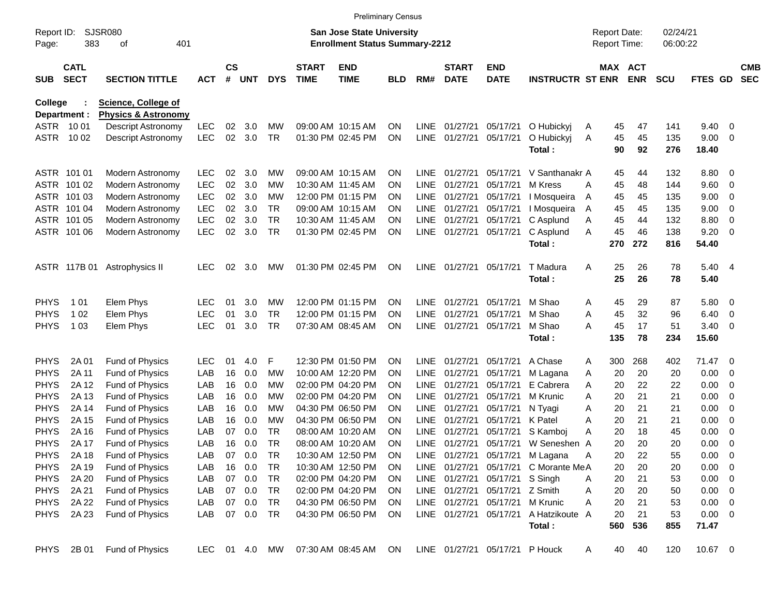|                            |                            |                                           |            |                    |            |            |                             | <b>Preliminary Census</b>                                                 |                        |                     |                             |                                |                                      |                                     |            |                      |                |                          |                          |
|----------------------------|----------------------------|-------------------------------------------|------------|--------------------|------------|------------|-----------------------------|---------------------------------------------------------------------------|------------------------|---------------------|-----------------------------|--------------------------------|--------------------------------------|-------------------------------------|------------|----------------------|----------------|--------------------------|--------------------------|
| Report ID:<br>Page:        | 383                        | <b>SJSR080</b><br>401<br>οf               |            |                    |            |            |                             | <b>San Jose State University</b><br><b>Enrollment Status Summary-2212</b> |                        |                     |                             |                                |                                      | <b>Report Date:</b><br>Report Time: |            | 02/24/21<br>06:00:22 |                |                          |                          |
| <b>SUB</b>                 | <b>CATL</b><br><b>SECT</b> | <b>SECTION TITTLE</b>                     | <b>ACT</b> | $\mathsf{cs}$<br># | <b>UNT</b> | <b>DYS</b> | <b>START</b><br><b>TIME</b> | <b>END</b><br><b>TIME</b>                                                 | <b>BLD</b>             | RM#                 | <b>START</b><br><b>DATE</b> | <b>END</b><br><b>DATE</b>      | <b>INSTRUCTR ST ENR</b>              | MAX ACT                             | <b>ENR</b> | <b>SCU</b>           | <b>FTES GD</b> |                          | <b>CMB</b><br><b>SEC</b> |
| College                    |                            | <b>Science, College of</b>                |            |                    |            |            |                             |                                                                           |                        |                     |                             |                                |                                      |                                     |            |                      |                |                          |                          |
| Department :               |                            | <b>Physics &amp; Astronomy</b>            |            |                    |            |            |                             |                                                                           |                        |                     |                             |                                |                                      |                                     |            |                      |                |                          |                          |
| ASTR 1001                  |                            | <b>Descript Astronomy</b>                 | <b>LEC</b> | 02                 | 3.0        | МW         |                             | 09:00 AM 10:15 AM                                                         | <b>ON</b>              | <b>LINE</b>         | 01/27/21                    | 05/17/21                       | O Hubickyj                           | 45<br>Α                             | 47         | 141                  | 9.40           | 0                        |                          |
| ASTR                       | 10 02                      | Descript Astronomy                        | LEC        | 02                 | 3.0        | <b>TR</b>  |                             | 01:30 PM 02:45 PM                                                         | <b>ON</b>              | LINE                | 01/27/21                    | 05/17/21                       | O Hubickyj<br>Total:                 | 45<br>Α<br>90                       | 45<br>92   | 135<br>276           | 9.00<br>18.40  | - 0                      |                          |
|                            | ASTR 101 01                | Modern Astronomy                          | <b>LEC</b> | 02                 | 3.0        | MW         |                             | 09:00 AM 10:15 AM                                                         | <b>ON</b>              | LINE.               | 01/27/21                    | 05/17/21                       | V Santhanakr A                       | 45                                  | 44         | 132                  | 8.80           | $\overline{\mathbf{0}}$  |                          |
|                            | ASTR 101 02                | Modern Astronomy                          | <b>LEC</b> | 02                 | 3.0        | МW         |                             | 10:30 AM 11:45 AM                                                         | <b>ON</b>              | <b>LINE</b>         | 01/27/21                    | 05/17/21                       | M Kress                              | 45<br>A                             | 48         | 144                  | 9.60           | $\overline{\mathbf{0}}$  |                          |
|                            | ASTR 101 03                | Modern Astronomy                          | <b>LEC</b> | 02                 | 3.0        | МW         |                             | 12:00 PM 01:15 PM                                                         | <b>ON</b>              | <b>LINE</b>         | 01/27/21                    | 05/17/21                       | I Mosqueira                          | 45<br>A                             | 45         | 135                  | 9.00           | 0                        |                          |
|                            | ASTR 101 04                | Modern Astronomy                          | <b>LEC</b> | 02                 | 3.0        | TR.        |                             | 09:00 AM 10:15 AM                                                         | <b>ON</b>              | <b>LINE</b>         | 01/27/21                    | 05/17/21                       | I Mosqueira                          | 45<br>A                             | 45         | 135                  | 9.00           | 0                        |                          |
|                            | ASTR 101 05                | Modern Astronomy                          | <b>LEC</b> | 02                 | 3.0        | <b>TR</b>  |                             | 10:30 AM 11:45 AM                                                         | <b>ON</b>              | <b>LINE</b>         | 01/27/21                    | 05/17/21                       | C Asplund                            | 45<br>Α                             | 44         | 132                  | 8.80           | 0                        |                          |
|                            | ASTR 101 06                | Modern Astronomy                          | <b>LEC</b> | 02                 | 3.0        | <b>TR</b>  |                             | 01:30 PM 02:45 PM                                                         | <b>ON</b>              | <b>LINE</b>         | 01/27/21                    | 05/17/21                       | C Asplund                            | 45<br>A                             | 46         | 138                  | 9.20           | 0                        |                          |
|                            |                            |                                           |            |                    |            |            |                             |                                                                           |                        |                     |                             |                                | Total:                               | 270                                 | 272        | 816                  | 54.40          |                          |                          |
|                            | ASTR 117B 01               | Astrophysics II                           | <b>LEC</b> | 02                 | 3.0        | MW         |                             | 01:30 PM 02:45 PM                                                         | ON                     | LINE                | 01/27/21                    | 05/17/21                       | T Madura                             | Α<br>25                             | 26         | 78                   | 5.40           | - 4                      |                          |
|                            |                            |                                           |            |                    |            |            |                             |                                                                           |                        |                     |                             |                                | Total:                               | 25                                  | 26         | 78                   | 5.40           |                          |                          |
| <b>PHYS</b>                | 1 0 1                      | Elem Phys                                 | LEC        | 01                 | 3.0        | <b>MW</b>  |                             | 12:00 PM 01:15 PM                                                         | <b>ON</b>              | LINE.               | 01/27/21                    | 05/17/21                       | M Shao                               | 45<br>A                             | 29         | 87                   | 5.80           | - 0                      |                          |
| <b>PHYS</b>                | 1 0 2                      | Elem Phys                                 | <b>LEC</b> | 01                 | 3.0        | TR.        |                             | 12:00 PM 01:15 PM                                                         | <b>ON</b>              | <b>LINE</b>         | 01/27/21                    | 05/17/21                       | M Shao                               | 45<br>Α                             | 32         | 96                   | 6.40           | $\overline{\mathbf{0}}$  |                          |
| <b>PHYS</b>                | 1 0 3                      | Elem Phys                                 | <b>LEC</b> | 01                 | 3.0        | <b>TR</b>  |                             | 07:30 AM 08:45 AM                                                         | <b>ON</b>              | <b>LINE</b>         | 01/27/21                    | 05/17/21                       | M Shao<br>Total:                     | А<br>45<br>135                      | 17<br>78   | 51<br>234            | 3.40<br>15.60  | - 0                      |                          |
|                            |                            |                                           |            |                    |            |            |                             |                                                                           |                        |                     |                             |                                |                                      |                                     |            |                      |                |                          |                          |
| <b>PHYS</b>                | 2A 01                      | Fund of Physics                           | LEC        | 01                 | 4.0        | F          |                             | 12:30 PM 01:50 PM                                                         | <b>ON</b>              | LINE                | 01/27/21                    | 05/17/21                       | A Chase                              | 300<br>A                            | 268        | 402                  | 71.47          | $\overline{\phantom{0}}$ |                          |
| <b>PHYS</b>                | 2A 11                      | Fund of Physics                           | LAB        | 16                 | 0.0        | МW         |                             | 10:00 AM 12:20 PM                                                         | <b>ON</b>              | <b>LINE</b>         | 01/27/21                    | 05/17/21                       | M Lagana                             | 20<br>Α                             | 20         | 20                   | 0.00           | $\overline{0}$           |                          |
| <b>PHYS</b>                | 2A 12                      | Fund of Physics                           | LAB        | 16                 | 0.0        | МW         |                             | 02:00 PM 04:20 PM<br>02:00 PM 04:20 PM                                    | <b>ON</b>              | <b>LINE</b>         | 01/27/21                    | 05/17/21<br>05/17/21           | E Cabrera                            | 20<br>Α                             | 22         | 22                   | 0.00           | 0                        |                          |
| <b>PHYS</b><br><b>PHYS</b> | 2A 13<br>2A 14             | <b>Fund of Physics</b><br>Fund of Physics | LAB<br>LAB | 16<br>16           | 0.0<br>0.0 | МW<br>МW   |                             | 04:30 PM 06:50 PM                                                         | <b>ON</b><br><b>ON</b> | <b>LINE</b><br>LINE | 01/27/21<br>01/27/21        | 05/17/21                       | M Krunic<br>N Tyagi                  | 20<br>A<br>20<br>Α                  | 21<br>21   | 21<br>21             | 0.00<br>0.00   | 0<br>0                   |                          |
| <b>PHYS</b>                | 2A 15                      | Fund of Physics                           | LAB        | 16                 | 0.0        | МW         |                             | 04:30 PM 06:50 PM                                                         | <b>ON</b>              | <b>LINE</b>         | 01/27/21                    | 05/17/21                       | K Patel                              | 20<br>A                             | 21         | 21                   | 0.00           | 0                        |                          |
| <b>PHYS</b>                | 2A 16                      | Fund of Physics                           | LAB        | 07                 | 0.0        | TR         |                             | 08:00 AM 10:20 AM                                                         | <b>ON</b>              | LINE                | 01/27/21                    | 05/17/21                       | S Kamboj                             | 20<br>A                             | 18         | 45                   | 0.00           | 0                        |                          |
| <b>PHYS</b>                | 2A 17                      | Fund of Physics                           | LAB        | 16                 | 0.0        | TR         |                             | 08:00 AM 10:20 AM                                                         | <b>ON</b>              | <b>LINE</b>         | 01/27/21                    | 05/17/21                       | W Seneshen A                         | 20                                  | 20         | 20                   | 0.00           | 0                        |                          |
| <b>PHYS</b>                | 2A 18                      | Fund of Physics                           | LAB        | 07                 | 0.0        | TR         |                             | 10:30 AM 12:50 PM                                                         | ON                     |                     |                             |                                | LINE 01/27/21 05/17/21 M Lagana      | 20<br>Α                             | 22         | 55                   | 0.00           | $\overline{\mathbf{0}}$  |                          |
| <b>PHYS</b>                | 2A 19                      | Fund of Physics                           | LAB        |                    | 16 0.0     | TR         |                             | 10:30 AM 12:50 PM                                                         | <b>ON</b>              |                     |                             |                                | LINE 01/27/21 05/17/21 C Morante MeA | 20                                  | 20         | 20                   | 0.00           | $\overline{\phantom{0}}$ |                          |
| <b>PHYS</b>                | 2A 20                      | Fund of Physics                           | LAB        |                    | 07 0.0     | TR         |                             | 02:00 PM 04:20 PM                                                         | <b>ON</b>              |                     |                             | LINE 01/27/21 05/17/21 S Singh |                                      | 20<br>A                             | 21         | 53                   | 0.00           | $\overline{\phantom{0}}$ |                          |
| <b>PHYS</b>                | 2A 21                      | Fund of Physics                           | LAB        |                    | 07 0.0     | TR         |                             | 02:00 PM 04:20 PM                                                         | <b>ON</b>              |                     | LINE 01/27/21               | 05/17/21 Z Smith               |                                      | 20<br>Α                             | 20         | 50                   | 0.00           | $\overline{\phantom{0}}$ |                          |
| <b>PHYS</b>                | 2A 22                      | Fund of Physics                           | LAB        | 07                 | 0.0        | TR         |                             | 04:30 PM 06:50 PM                                                         | <b>ON</b>              |                     | LINE 01/27/21               | 05/17/21                       | M Krunic                             | 20<br>A                             | 21         | 53                   | 0.00           | $\overline{\phantom{0}}$ |                          |
| <b>PHYS</b>                | 2A 23                      | <b>Fund of Physics</b>                    | LAB        |                    | 07 0.0     | <b>TR</b>  |                             | 04:30 PM 06:50 PM                                                         | <b>ON</b>              |                     | LINE 01/27/21               | 05/17/21                       | A Hatzikoute A                       | 20                                  | 21         | 53                   | $0.00 \t 0$    |                          |                          |
|                            |                            |                                           |            |                    |            |            |                             |                                                                           |                        |                     |                             |                                | Total:                               | 560                                 | 536        | 855                  | 71.47          |                          |                          |
| <b>PHYS</b>                | 2B 01                      | Fund of Physics                           | LEC.       |                    | 01 4.0     | MW         |                             | 07:30 AM 08:45 AM                                                         | ON.                    |                     |                             | LINE 01/27/21 05/17/21 P Houck |                                      | 40<br>A                             | 40         | 120                  | 10.67 0        |                          |                          |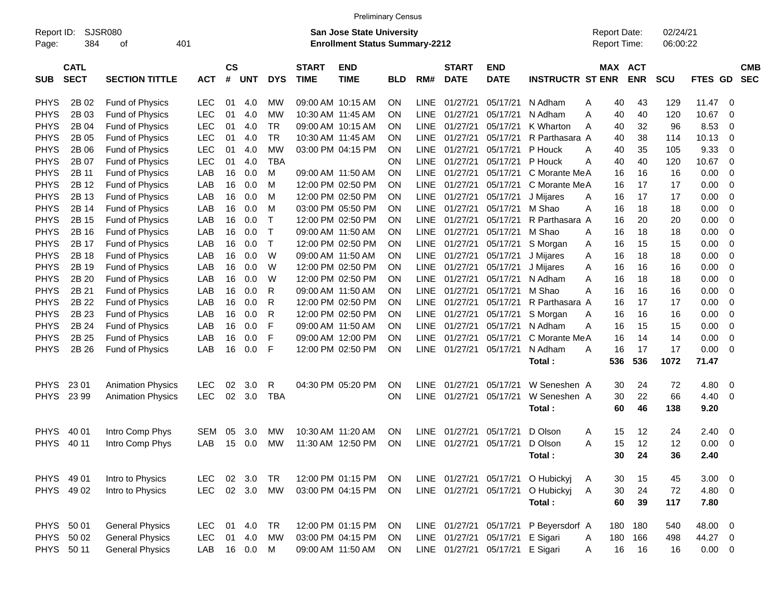|                     |                            |                          |              |                    |            |              |                             | <b>Preliminary Census</b>                                                 |            |             |                             |                                 |                         |              |                                     |            |                      |             |                |                          |
|---------------------|----------------------------|--------------------------|--------------|--------------------|------------|--------------|-----------------------------|---------------------------------------------------------------------------|------------|-------------|-----------------------------|---------------------------------|-------------------------|--------------|-------------------------------------|------------|----------------------|-------------|----------------|--------------------------|
| Report ID:<br>Page: | 384                        | SJSR080<br>401<br>οf     |              |                    |            |              |                             | <b>San Jose State University</b><br><b>Enrollment Status Summary-2212</b> |            |             |                             |                                 |                         |              | <b>Report Date:</b><br>Report Time: |            | 02/24/21<br>06:00:22 |             |                |                          |
| <b>SUB</b>          | <b>CATL</b><br><b>SECT</b> | <b>SECTION TITTLE</b>    | <b>ACT</b>   | $\mathsf{cs}$<br># | <b>UNT</b> | <b>DYS</b>   | <b>START</b><br><b>TIME</b> | <b>END</b><br><b>TIME</b>                                                 | <b>BLD</b> | RM#         | <b>START</b><br><b>DATE</b> | <b>END</b><br><b>DATE</b>       | <b>INSTRUCTR ST ENR</b> |              | MAX ACT                             | <b>ENR</b> | SCU                  | FTES GD     |                | <b>CMB</b><br><b>SEC</b> |
| <b>PHYS</b>         | 2B 02                      | Fund of Physics          | <b>LEC</b>   | 01                 | 4.0        | МW           |                             | 09:00 AM 10:15 AM                                                         | ΟN         | <b>LINE</b> | 01/27/21                    | 05/17/21                        | N Adham                 | A            | 40                                  | 43         | 129                  | 11.47       | - 0            |                          |
| <b>PHYS</b>         | 2B 03                      | Fund of Physics          | <b>LEC</b>   | 01                 | 4.0        | <b>MW</b>    |                             | 10:30 AM 11:45 AM                                                         | ΟN         | <b>LINE</b> | 01/27/21                    | 05/17/21                        | N Adham                 | Α            | 40                                  | 40         | 120                  | 10.67       | $\mathbf 0$    |                          |
| <b>PHYS</b>         | 2B 04                      | Fund of Physics          | <b>LEC</b>   | 01                 | 4.0        | <b>TR</b>    |                             | 09:00 AM 10:15 AM                                                         | ΟN         | LINE        | 01/27/21                    | 05/17/21                        | K Wharton               | A            | 40                                  | 32         | 96                   | 8.53        | $\mathbf 0$    |                          |
| <b>PHYS</b>         | 2B 05                      | Fund of Physics          | <b>LEC</b>   | 01                 | 4.0        | <b>TR</b>    |                             | 10:30 AM 11:45 AM                                                         | ΟN         | <b>LINE</b> | 01/27/21                    | 05/17/21                        | R Parthasara A          |              | 40                                  | 38         | 114                  | 10.13       | $\mathbf 0$    |                          |
| <b>PHYS</b>         | 2B 06                      | Fund of Physics          | <b>LEC</b>   | 01                 | 4.0        | <b>MW</b>    |                             | 03:00 PM 04:15 PM                                                         | ΟN         | <b>LINE</b> | 01/27/21                    | 05/17/21                        | P Houck                 | Α            | 40                                  | 35         | 105                  | 9.33        | $\mathbf 0$    |                          |
| <b>PHYS</b>         | 2B 07                      | Fund of Physics          | <b>LEC</b>   | 01                 | 4.0        | <b>TBA</b>   |                             |                                                                           | ON         | <b>LINE</b> | 01/27/21                    | 05/17/21                        | P Houck                 | Α            | 40                                  | 40         | 120                  | 10.67       | $\mathbf 0$    |                          |
| <b>PHYS</b>         | 2B 11                      | Fund of Physics          | LAB          | 16                 | 0.0        | M            |                             | 09:00 AM 11:50 AM                                                         | ΟN         | <b>LINE</b> | 01/27/21                    | 05/17/21                        | C Morante MeA           |              | 16                                  | 16         | 16                   | 0.00        | $\mathbf 0$    |                          |
| <b>PHYS</b>         | 2B 12                      | Fund of Physics          | LAB          | 16                 | 0.0        | M            |                             | 12:00 PM 02:50 PM                                                         | ΟN         | <b>LINE</b> | 01/27/21                    | 05/17/21                        | C Morante MeA           |              | 16                                  | 17         | 17                   | 0.00        | $\overline{0}$ |                          |
| <b>PHYS</b>         | 2B 13                      | Fund of Physics          | LAB          | 16                 | 0.0        | M            |                             | 12:00 PM 02:50 PM                                                         | ΟN         | <b>LINE</b> | 01/27/21                    | 05/17/21                        | J Mijares               | A            | 16                                  | 17         | 17                   | 0.00        | $\mathbf 0$    |                          |
| <b>PHYS</b>         | 2B 14                      | Fund of Physics          | LAB          | 16                 | 0.0        | M            |                             | 03:00 PM 05:50 PM                                                         | ΟN         | LINE        | 01/27/21                    | 05/17/21                        | M Shao                  | Α            | 16                                  | 18         | 18                   | 0.00        | $\mathbf 0$    |                          |
| <b>PHYS</b>         | 2B 15                      | Fund of Physics          | LAB          | 16                 | 0.0        | $\mathsf{T}$ |                             | 12:00 PM 02:50 PM                                                         | ΟN         | <b>LINE</b> | 01/27/21                    | 05/17/21                        | R Parthasara A          |              | 16                                  | 20         | 20                   | 0.00        | $\mathbf 0$    |                          |
| <b>PHYS</b>         | 2B 16                      | Fund of Physics          | LAB          | 16                 | 0.0        | $\mathsf{T}$ |                             | 09:00 AM 11:50 AM                                                         | ΟN         | <b>LINE</b> | 01/27/21                    | 05/17/21                        | M Shao                  | A            | 16                                  | 18         | 18                   | 0.00        | $\mathbf 0$    |                          |
| <b>PHYS</b>         | 2B 17                      | Fund of Physics          | LAB          | 16                 | 0.0        | $\top$       |                             | 12:00 PM 02:50 PM                                                         | ΟN         | LINE        | 01/27/21                    | 05/17/21                        | S Morgan                | Α            | 16                                  | 15         | 15                   | 0.00        | $\mathbf 0$    |                          |
| <b>PHYS</b>         | 2B 18                      | Fund of Physics          | LAB          | 16                 | 0.0        | W            |                             | 09:00 AM 11:50 AM                                                         | ΟN         | LINE        | 01/27/21                    | 05/17/21                        | J Mijares               | Α            | 16                                  | 18         | 18                   | 0.00        | $\mathbf 0$    |                          |
| <b>PHYS</b>         | 2B 19                      | Fund of Physics          | LAB          | 16                 | 0.0        | W            |                             | 12:00 PM 02:50 PM                                                         | ΟN         | <b>LINE</b> | 01/27/21                    | 05/17/21                        | J Mijares               | Α            | 16                                  | 16         | 16                   | 0.00        | $\mathbf 0$    |                          |
| <b>PHYS</b>         | 2B 20                      | Fund of Physics          | LAB          | 16                 | 0.0        | W            |                             | 12:00 PM 02:50 PM                                                         | ΟN         | <b>LINE</b> | 01/27/21                    | 05/17/21                        | N Adham                 | Α            | 16                                  | 18         | 18                   | 0.00        | $\mathbf 0$    |                          |
| <b>PHYS</b>         | 2B 21                      | Fund of Physics          | LAB          | 16                 | 0.0        | R            |                             | 09:00 AM 11:50 AM                                                         | ΟN         | <b>LINE</b> | 01/27/21                    | 05/17/21                        | M Shao                  | Α            | 16                                  | 16         | 16                   | 0.00        | $\mathbf 0$    |                          |
| <b>PHYS</b>         | 2B 22                      | Fund of Physics          | LAB          | 16                 | 0.0        | R            |                             | 12:00 PM 02:50 PM                                                         | ΟN         | <b>LINE</b> | 01/27/21                    | 05/17/21                        | R Parthasara A          |              | 16                                  | 17         | 17                   | 0.00        | $\mathbf 0$    |                          |
| <b>PHYS</b>         | 2B 23                      | Fund of Physics          | LAB          | 16                 | 0.0        | R            |                             | 12:00 PM 02:50 PM                                                         | ΟN         | <b>LINE</b> | 01/27/21                    | 05/17/21                        | S Morgan                | Α            | 16                                  | 16         | 16                   | 0.00        | $\mathbf 0$    |                          |
| <b>PHYS</b>         | 2B 24                      | Fund of Physics          | LAB          | 16                 | 0.0        | F            |                             | 09:00 AM 11:50 AM                                                         | ΟN         | LINE        | 01/27/21                    | 05/17/21                        | N Adham                 | Α            | 16                                  | 15         | 15                   | 0.00        | $\mathbf 0$    |                          |
| <b>PHYS</b>         | 2B 25                      | Fund of Physics          | LAB          | 16                 | 0.0        | F            |                             | 09:00 AM 12:00 PM                                                         | ΟN         | <b>LINE</b> | 01/27/21                    | 05/17/21                        | C Morante MeA           |              | 16                                  | 14         | 14                   | 0.00        | 0              |                          |
| <b>PHYS</b>         | 2B 26                      | <b>Fund of Physics</b>   | LAB          | 16                 | 0.0        | F            |                             | 12:00 PM 02:50 PM                                                         | ON         | <b>LINE</b> | 01/27/21                    | 05/17/21                        | N Adham                 | Α            | 16                                  | 17         | 17                   | 0.00        | $\overline{0}$ |                          |
|                     |                            |                          |              |                    |            |              |                             |                                                                           |            |             |                             |                                 | Total:                  |              | 536                                 | 536        | 1072                 | 71.47       |                |                          |
| <b>PHYS</b>         | 23 01                      | <b>Animation Physics</b> | <b>LEC</b>   | 02                 | 3.0        | R            |                             | 04:30 PM 05:20 PM                                                         | ΟN         | <b>LINE</b> | 01/27/21                    | 05/17/21                        | W Seneshen A            |              | 30                                  | 24         | 72                   | 4.80        | 0              |                          |
| <b>PHYS</b>         | 23 99                      | <b>Animation Physics</b> | <b>LEC</b>   | 02                 | 3.0        | <b>TBA</b>   |                             |                                                                           | ON         | <b>LINE</b> | 01/27/21                    | 05/17/21                        | W Seneshen A            |              | 30                                  | 22         | 66                   | 4.40        | - 0            |                          |
|                     |                            |                          |              |                    |            |              |                             |                                                                           |            |             |                             |                                 | Total:                  |              | 60                                  | 46         | 138                  | 9.20        |                |                          |
| <b>PHYS</b>         | 40 01                      | Intro Comp Phys          | <b>SEM</b>   | 05                 | 3.0        | МW           |                             | 10:30 AM 11:20 AM                                                         | ΟN         | <b>LINE</b> | 01/27/21                    | 05/17/21                        | D Olson                 | A            | 15                                  | 12         | 24                   | 2.40        | - 0            |                          |
| <b>PHYS</b>         | 40 11                      | Intro Comp Phys          | LAB          | 15                 | 0.0        | <b>MW</b>    |                             | 11:30 AM 12:50 PM                                                         | ΟN         | <b>LINE</b> | 01/27/21                    | 05/17/21                        | D Olson                 | Α            | 15                                  | 12         | 12                   | 0.00        | 0              |                          |
|                     |                            |                          |              |                    |            |              |                             |                                                                           |            |             |                             |                                 | Total:                  |              | 30                                  | 24         | 36                   | 2.40        |                |                          |
| PHYS 49 01          |                            | Intro to Physics         | LEC.         | 02                 | 3.0        | <b>TR</b>    |                             | 12:00 PM 01:15 PM                                                         | ON         |             | LINE 01/27/21 05/17/21      |                                 | O Hubickyj              | A            | 30                                  | 15         | 45                   | $3.00 \ 0$  |                |                          |
|                     | PHYS 49 02                 | Intro to Physics         | <b>LEC</b>   |                    | 02 3.0     | <b>MW</b>    |                             | 03:00 PM 04:15 PM                                                         | ON         |             | LINE 01/27/21 05/17/21      |                                 | O Hubickyj              | A            | 30                                  | 24         | 72                   | 4.80 0      |                |                          |
|                     |                            |                          |              |                    |            |              |                             |                                                                           |            |             |                             |                                 | Total:                  |              | 60                                  | 39         | 117                  | 7.80        |                |                          |
| PHYS 50 01          |                            | <b>General Physics</b>   | <b>LEC</b>   | 01                 | 4.0        | <b>TR</b>    |                             | 12:00 PM 01:15 PM                                                         | ON         |             |                             | LINE 01/27/21 05/17/21          | P Beyersdorf A          |              | 180                                 | 180        | 540                  | 48.00 0     |                |                          |
|                     | PHYS 50 02                 | <b>General Physics</b>   | <b>LEC</b>   |                    | 01 4.0     | <b>MW</b>    |                             | 03:00 PM 04:15 PM                                                         | ON         |             |                             | LINE 01/27/21 05/17/21          | E Sigari                | A            | 180                                 | 166        | 498                  | 44.27 0     |                |                          |
| PHYS 50 11          |                            | <b>General Physics</b>   | LAB 16 0.0 M |                    |            |              |                             | 09:00 AM 11:50 AM                                                         | ON         |             |                             | LINE 01/27/21 05/17/21 E Sigari |                         | $\mathsf{A}$ | 16                                  | 16         | 16                   | $0.00 \t 0$ |                |                          |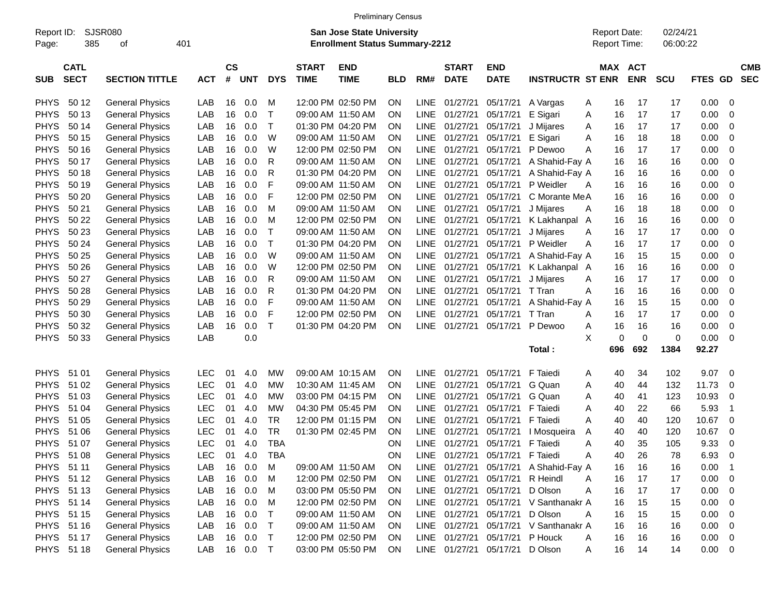| <b>SJSR080</b><br>02/24/21<br>Report ID:<br>San Jose State University<br><b>Report Date:</b><br>385<br>401<br><b>Enrollment Status Summary-2212</b><br>Report Time:<br>06:00:22<br>Page:<br>οf<br><b>CS</b><br><b>CATL</b><br><b>START</b><br><b>END</b><br><b>START</b><br><b>END</b><br>MAX ACT<br><b>CMB</b><br>#<br><b>SECT</b><br><b>SECTION TITTLE</b><br><b>DYS</b><br><b>TIME</b><br><b>DATE</b><br><b>DATE</b><br><b>INSTRUCTR ST ENR</b><br><b>ENR</b><br><b>SCU</b><br>FTES GD<br><b>SEC</b><br><b>SUB</b><br><b>ACT</b><br><b>UNT</b><br><b>TIME</b><br><b>BLD</b><br>RM#<br>0.0<br>01/27/21<br>0.00<br><b>PHYS</b><br>50 12<br><b>General Physics</b><br>LAB<br>16<br>M<br>12:00 PM 02:50 PM<br>ON<br><b>LINE</b><br>05/17/21<br>17<br>17<br>0<br>A Vargas<br>A<br>16<br><b>PHYS</b><br>50 13<br><b>General Physics</b><br>16<br>0.0<br>$\mathsf T$<br>17<br>17<br>0.00<br>LAB<br>09:00 AM 11:50 AM<br><b>LINE</b><br>01/27/21<br>05/17/21<br>E Sigari<br>Α<br>16<br>0<br>ON<br>$\mathsf{T}$<br><b>PHYS</b><br><b>General Physics</b><br>50 14<br>LAB<br>16<br>0.0<br>01:30 PM 04:20 PM<br><b>LINE</b><br>01/27/21<br>05/17/21<br>17<br>17<br>0.00<br>0<br>ON<br>J Mijares<br>16<br>A<br><b>PHYS</b><br>W<br>50 15<br><b>General Physics</b><br>LAB<br>16<br>0.0<br>09:00 AM 11:50 AM<br><b>LINE</b><br>01/27/21<br>05/17/21<br>E Sigari<br>18<br>18<br>0.00<br>0<br>ON<br>Α<br>16<br><b>PHYS</b><br>16<br>0.0<br>W<br>12:00 PM 02:50 PM<br>01/27/21<br>50 16<br><b>General Physics</b><br>LAB<br>ΟN<br>LINE.<br>05/17/21<br>16<br>17<br>17<br>0.00<br>0<br>P Dewoo<br>Α<br><b>PHYS</b><br>16<br>0.0<br>R<br>50 17<br><b>General Physics</b><br>LAB<br>09:00 AM 11:50 AM<br><b>LINE</b><br>01/27/21<br>05/17/21<br>A Shahid-Fay A<br>16<br>16<br>16<br>0.00<br>0<br>0N<br><b>PHYS</b><br>16<br>0.0<br>R<br>01:30 PM 04:20 PM<br>50 18<br><b>General Physics</b><br>LAB<br>ΟN<br><b>LINE</b><br>01/27/21<br>05/17/21<br>A Shahid-Fay A<br>16<br>16<br>16<br>0.00<br>0<br><b>PHYS</b><br>16<br>0.0<br>F<br>01/27/21<br>50 19<br><b>General Physics</b><br>LAB<br>09:00 AM 11:50 AM<br>ΟN<br>LINE.<br>05/17/21<br>P Weidler<br>16<br>16<br>16<br>0.00<br>0<br>A<br><b>PHYS</b><br>16<br>F<br>12:00 PM 02:50 PM<br>0.00<br>50 20<br><b>General Physics</b><br>LAB<br>0.0<br>ΟN<br>LINE.<br>01/27/21<br>05/17/21<br>C Morante MeA<br>16<br>16<br>16<br>0<br><b>PHYS</b><br>50 21<br>16<br>0.00<br><b>General Physics</b><br>LAB<br>0.0<br>M<br>09:00 AM 11:50 AM<br>ON<br><b>LINE</b><br>01/27/21<br>05/17/21<br>16<br>18<br>18<br>0<br>J Mijares<br>A<br><b>PHYS</b><br>50 22<br>16<br>12:00 PM 02:50 PM<br>16<br>0.00<br><b>General Physics</b><br>LAB<br>0.0<br>M<br>ΟN<br><b>LINE</b><br>01/27/21<br>05/17/21<br>16<br>16<br>0<br>K Lakhanpal A<br><b>PHYS</b><br>50 23<br>16<br>Т<br>0.00<br><b>General Physics</b><br>LAB<br>0.0<br>09:00 AM 11:50 AM<br><b>LINE</b><br>01/27/21<br>05/17/21<br>J Mijares<br>16<br>17<br>17<br>0<br>0N<br>Α<br>$\mathsf{T}$<br><b>PHYS</b><br>50 24<br>01:30 PM 04:20 PM<br><b>General Physics</b><br>LAB<br>16<br>0.0<br>ΟN<br>LINE.<br>01/27/21<br>05/17/21<br>P Weidler<br>16<br>17<br>17<br>0.00<br>0<br>A<br><b>PHYS</b><br>50 25<br>0.0<br>W<br><b>General Physics</b><br>LAB<br>16<br>09:00 AM 11:50 AM<br><b>LINE</b><br>01/27/21<br>05/17/21<br>A Shahid-Fay A<br>16<br>15<br>15<br>0.00<br>0<br>0N<br><b>PHYS</b><br>50 26<br>16<br>0.0<br>W<br>12:00 PM 02:50 PM<br>0.00<br><b>General Physics</b><br>LAB<br>ΟN<br><b>LINE</b><br>01/27/21<br>05/17/21<br>16<br>16<br>16<br>0<br>K Lakhanpal A<br><b>PHYS</b><br>50 27<br>16<br>0.0<br>R<br>0.00<br><b>General Physics</b><br>LAB<br>09:00 AM 11:50 AM<br><b>LINE</b><br>01/27/21<br>05/17/21<br>J Mijares<br>16<br>17<br>17<br>0<br>ON<br>Α<br><b>PHYS</b><br>16<br>0.0<br>R<br>01:30 PM 04:20 PM<br>0.00<br>50 28<br><b>General Physics</b><br>LAB<br>ΟN<br>LINE.<br>01/27/21<br>05/17/21<br>T Tran<br>16<br>16<br>16<br>0<br>Α<br><b>PHYS</b><br>16<br>F<br>A Shahid-Fay A<br>50 29<br><b>General Physics</b><br>LAB<br>0.0<br>09:00 AM 11:50 AM<br><b>LINE</b><br>01/27/21<br>05/17/21<br>16<br>15<br>15<br>0.00<br>0<br>ON<br><b>PHYS</b><br>F<br>0.00<br>50 30<br><b>General Physics</b><br>LAB<br>16<br>0.0<br>12:00 PM 02:50 PM<br>ΟN<br>LINE.<br>01/27/21<br>05/17/21<br>T Tran<br>16<br>17<br>17<br>0<br>Α<br>$\mathsf{T}$<br><b>PHYS</b><br>0.00<br>50 32<br><b>General Physics</b><br>LAB<br>16<br>0.0<br>01:30 PM 04:20 PM<br>ON<br><b>LINE</b><br>01/27/21<br>05/17/21<br>P Dewoo<br>16<br>16<br>16<br>0<br>A<br><b>PHYS</b><br>50 33<br>LAB<br>0.0<br>X<br>0<br>$\mathbf 0$<br>0<br>0.00<br>$\mathbf 0$<br><b>General Physics</b><br>696<br>692<br>1384<br>92.27<br>Total:<br><b>PHYS</b><br>9.07<br>51 01<br><b>General Physics</b><br>LEC<br>01<br>4.0<br>MW<br>09:00 AM 10:15 AM<br>ON.<br>LINE.<br>01/27/21<br>05/17/21<br>F Taiedi<br>40<br>34<br>102<br>0<br>A<br><b>PHYS</b><br>51 02<br><b>LEC</b><br>01<br>11.73<br><b>General Physics</b><br>4.0<br>MW<br>10:30 AM 11:45 AM<br>LINE.<br>01/27/21<br>05/17/21<br>G Quan<br>40<br>44<br>132<br>0<br>ON<br>Α<br><b>PHYS</b><br>51 03<br><b>LEC</b><br>03:00 PM 04:15 PM<br>10.93<br><b>General Physics</b><br>01<br>4.0<br>МW<br><b>LINE</b><br>01/27/21<br>05/17/21<br>G Quan<br>40<br>41<br>123<br>0<br>ON<br>Α<br><b>PHYS</b><br><b>LEC</b><br>04:30 PM 05:45 PM<br>22<br>66<br>5.93<br>51 04<br><b>General Physics</b><br>01<br>4.0<br>МW<br><b>LINE</b><br>01/27/21<br>05/17/21<br>F Taiedi<br>40<br>ON<br>Α<br>-1<br><b>PHYS</b><br><b>LEC</b><br>12:00 PM 01:15 PM<br>10.67<br>51 05<br><b>General Physics</b><br>01<br>4.0<br>TR<br><b>LINE</b><br>01/27/21<br>05/17/21<br>F Taiedi<br>40<br>40<br>120<br>0<br>ON<br>A<br><b>PHYS</b><br><b>LEC</b><br>01:30 PM 02:45 PM<br>10.67<br>51 06<br><b>General Physics</b><br>01<br>4.0<br>TR<br>ON<br><b>LINE</b><br>01/27/21<br>05/17/21<br>40<br>40<br>120<br>0<br>I Mosqueira<br>Α<br><b>LEC</b><br>35<br>105<br>9.33<br>PHYS 51 07<br><b>General Physics</b><br>01<br>4.0<br><b>TBA</b><br>ON<br>LINE.<br>01/27/21<br>05/17/21<br><b>F</b> Taiedi<br>40<br>0<br>Α<br>PHYS 51 08<br><b>General Physics</b><br>LEC<br>01<br>4.0<br>TBA<br><b>ON</b><br>LINE 01/27/21 05/17/21<br>F Taiedi<br>40<br>26<br>78<br>6.93<br>0<br>Α<br>PHYS 51 11<br>16<br>0.0<br>16<br>0.00<br><b>General Physics</b><br>LAB<br>M<br>09:00 AM 11:50 AM<br>LINE 01/27/21<br>05/17/21<br>A Shahid-Fay A<br>16<br>16<br><b>ON</b><br>-1<br>PHYS 51 12<br><b>General Physics</b><br>16<br>0.0<br>LINE 01/27/21 05/17/21<br>R Heindl<br>17<br>0.00<br>LAB<br>M<br>12:00 PM 02:50 PM<br>16<br>17<br>0<br><b>ON</b><br>Α<br>PHYS 51 13<br><b>General Physics</b><br>16<br>0.0<br>03:00 PM 05:50 PM<br>LINE 01/27/21 05/17/21<br>D Olson<br>17<br>0.00<br>LAB<br>M<br>Α<br>16<br>17<br>0<br><b>ON</b><br>PHYS 51 14<br><b>General Physics</b><br>16<br>0.0<br>12:00 PM 02:50 PM<br>LINE 01/27/21 05/17/21<br>V Santhanakr A<br>15<br>15<br>0.00<br>LAB<br>м<br>16<br>0<br><b>ON</b><br>PHYS 51 15<br><b>General Physics</b><br>16<br>0.0<br>$\top$<br>09:00 AM 11:50 AM<br>LINE 01/27/21 05/17/21<br>D Olson<br>15<br>0.00<br>LAB<br>Α<br>16<br>15<br>0<br><b>ON</b><br>PHYS 51 16<br><b>General Physics</b><br>16<br>0.0<br>$\top$<br>09:00 AM 11:50 AM<br>LINE 01/27/21 05/17/21<br>V Santhanakr A<br>16<br>0.00<br>LAB<br>16<br>16<br>0<br><b>ON</b> |            |                        |     |    |     |        | <b>Preliminary Census</b> |           |  |         |   |    |    |      |   |
|----------------------------------------------------------------------------------------------------------------------------------------------------------------------------------------------------------------------------------------------------------------------------------------------------------------------------------------------------------------------------------------------------------------------------------------------------------------------------------------------------------------------------------------------------------------------------------------------------------------------------------------------------------------------------------------------------------------------------------------------------------------------------------------------------------------------------------------------------------------------------------------------------------------------------------------------------------------------------------------------------------------------------------------------------------------------------------------------------------------------------------------------------------------------------------------------------------------------------------------------------------------------------------------------------------------------------------------------------------------------------------------------------------------------------------------------------------------------------------------------------------------------------------------------------------------------------------------------------------------------------------------------------------------------------------------------------------------------------------------------------------------------------------------------------------------------------------------------------------------------------------------------------------------------------------------------------------------------------------------------------------------------------------------------------------------------------------------------------------------------------------------------------------------------------------------------------------------------------------------------------------------------------------------------------------------------------------------------------------------------------------------------------------------------------------------------------------------------------------------------------------------------------------------------------------------------------------------------------------------------------------------------------------------------------------------------------------------------------------------------------------------------------------------------------------------------------------------------------------------------------------------------------------------------------------------------------------------------------------------------------------------------------------------------------------------------------------------------------------------------------------------------------------------------------------------------------------------------------------------------------------------------------------------------------------------------------------------------------------------------------------------------------------------------------------------------------------------------------------------------------------------------------------------------------------------------------------------------------------------------------------------------------------------------------------------------------------------------------------------------------------------------------------------------------------------------------------------------------------------------------------------------------------------------------------------------------------------------------------------------------------------------------------------------------------------------------------------------------------------------------------------------------------------------------------------------------------------------------------------------------------------------------------------------------------------------------------------------------------------------------------------------------------------------------------------------------------------------------------------------------------------------------------------------------------------------------------------------------------------------------------------------------------------------------------------------------------------------------------------------------------------------------------------------------------------------------------------------------------------------------------------------------------------------------------------------------------------------------------------------------------------------------------------------------------------------------------------------------------------------------------------------------------------------------------------------------------------------------------------------------------------------------------------------------------------------------------------------------------------------------------------------------------------------------------------------------------------------------------------------------------------------------------------------------------------------------------------------------------------------------------------------------------------------------------------------------------------------------------------------------------------------------------------------------------------------------------------------------------------------------------------------------------------------------------------------------------------------------------------------------------------------------------------------------------------------------------------------------------------------------------------------------------------------------------------------------------------------------------------------------------------------------------------------------------------------------------------------------------------------------------------------------------------------------------------------------------------------------------------------------------------------------------------------------------------------------------------------------------------------------------------------------------------------------------------------------------------------------------------------------------------------------------------------------------------------------------------------------------------------------------------------------------------------------------------------------------------------------------------------------------------------------------------------------------------------------------------------------------------------------------------------------------------------------------------------------------------------------------------------------------------------------------------------------------------------------------------------------------------|------------|------------------------|-----|----|-----|--------|---------------------------|-----------|--|---------|---|----|----|------|---|
|                                                                                                                                                                                                                                                                                                                                                                                                                                                                                                                                                                                                                                                                                                                                                                                                                                                                                                                                                                                                                                                                                                                                                                                                                                                                                                                                                                                                                                                                                                                                                                                                                                                                                                                                                                                                                                                                                                                                                                                                                                                                                                                                                                                                                                                                                                                                                                                                                                                                                                                                                                                                                                                                                                                                                                                                                                                                                                                                                                                                                                                                                                                                                                                                                                                                                                                                                                                                                                                                                                                                                                                                                                                                                                                                                                                                                                                                                                                                                                                                                                                                                                                                                                                                                                                                                                                                                                                                                                                                                                                                                                                                                                                                                                                                                                                                                                                                                                                                                                                                                                                                                                                                                                                                                                                                                                                                                                                                                                                                                                                                                                                                                                                                                                                                                                                                                                                                                                                                                                                                                                                                                                                                                                                                                                                                                                                                                                                                                                                                                                                                                                                                                                                                                                                                                                                                                                                                                                                                                                                                                                                                                                                                                                                                                                                                                                                                                                |            |                        |     |    |     |        |                           |           |  |         |   |    |    |      |   |
|                                                                                                                                                                                                                                                                                                                                                                                                                                                                                                                                                                                                                                                                                                                                                                                                                                                                                                                                                                                                                                                                                                                                                                                                                                                                                                                                                                                                                                                                                                                                                                                                                                                                                                                                                                                                                                                                                                                                                                                                                                                                                                                                                                                                                                                                                                                                                                                                                                                                                                                                                                                                                                                                                                                                                                                                                                                                                                                                                                                                                                                                                                                                                                                                                                                                                                                                                                                                                                                                                                                                                                                                                                                                                                                                                                                                                                                                                                                                                                                                                                                                                                                                                                                                                                                                                                                                                                                                                                                                                                                                                                                                                                                                                                                                                                                                                                                                                                                                                                                                                                                                                                                                                                                                                                                                                                                                                                                                                                                                                                                                                                                                                                                                                                                                                                                                                                                                                                                                                                                                                                                                                                                                                                                                                                                                                                                                                                                                                                                                                                                                                                                                                                                                                                                                                                                                                                                                                                                                                                                                                                                                                                                                                                                                                                                                                                                                                                |            |                        |     |    |     |        |                           |           |  |         |   |    |    |      |   |
|                                                                                                                                                                                                                                                                                                                                                                                                                                                                                                                                                                                                                                                                                                                                                                                                                                                                                                                                                                                                                                                                                                                                                                                                                                                                                                                                                                                                                                                                                                                                                                                                                                                                                                                                                                                                                                                                                                                                                                                                                                                                                                                                                                                                                                                                                                                                                                                                                                                                                                                                                                                                                                                                                                                                                                                                                                                                                                                                                                                                                                                                                                                                                                                                                                                                                                                                                                                                                                                                                                                                                                                                                                                                                                                                                                                                                                                                                                                                                                                                                                                                                                                                                                                                                                                                                                                                                                                                                                                                                                                                                                                                                                                                                                                                                                                                                                                                                                                                                                                                                                                                                                                                                                                                                                                                                                                                                                                                                                                                                                                                                                                                                                                                                                                                                                                                                                                                                                                                                                                                                                                                                                                                                                                                                                                                                                                                                                                                                                                                                                                                                                                                                                                                                                                                                                                                                                                                                                                                                                                                                                                                                                                                                                                                                                                                                                                                                                |            |                        |     |    |     |        |                           |           |  |         |   |    |    |      |   |
|                                                                                                                                                                                                                                                                                                                                                                                                                                                                                                                                                                                                                                                                                                                                                                                                                                                                                                                                                                                                                                                                                                                                                                                                                                                                                                                                                                                                                                                                                                                                                                                                                                                                                                                                                                                                                                                                                                                                                                                                                                                                                                                                                                                                                                                                                                                                                                                                                                                                                                                                                                                                                                                                                                                                                                                                                                                                                                                                                                                                                                                                                                                                                                                                                                                                                                                                                                                                                                                                                                                                                                                                                                                                                                                                                                                                                                                                                                                                                                                                                                                                                                                                                                                                                                                                                                                                                                                                                                                                                                                                                                                                                                                                                                                                                                                                                                                                                                                                                                                                                                                                                                                                                                                                                                                                                                                                                                                                                                                                                                                                                                                                                                                                                                                                                                                                                                                                                                                                                                                                                                                                                                                                                                                                                                                                                                                                                                                                                                                                                                                                                                                                                                                                                                                                                                                                                                                                                                                                                                                                                                                                                                                                                                                                                                                                                                                                                                |            |                        |     |    |     |        |                           |           |  |         |   |    |    |      |   |
|                                                                                                                                                                                                                                                                                                                                                                                                                                                                                                                                                                                                                                                                                                                                                                                                                                                                                                                                                                                                                                                                                                                                                                                                                                                                                                                                                                                                                                                                                                                                                                                                                                                                                                                                                                                                                                                                                                                                                                                                                                                                                                                                                                                                                                                                                                                                                                                                                                                                                                                                                                                                                                                                                                                                                                                                                                                                                                                                                                                                                                                                                                                                                                                                                                                                                                                                                                                                                                                                                                                                                                                                                                                                                                                                                                                                                                                                                                                                                                                                                                                                                                                                                                                                                                                                                                                                                                                                                                                                                                                                                                                                                                                                                                                                                                                                                                                                                                                                                                                                                                                                                                                                                                                                                                                                                                                                                                                                                                                                                                                                                                                                                                                                                                                                                                                                                                                                                                                                                                                                                                                                                                                                                                                                                                                                                                                                                                                                                                                                                                                                                                                                                                                                                                                                                                                                                                                                                                                                                                                                                                                                                                                                                                                                                                                                                                                                                                |            |                        |     |    |     |        |                           |           |  |         |   |    |    |      |   |
|                                                                                                                                                                                                                                                                                                                                                                                                                                                                                                                                                                                                                                                                                                                                                                                                                                                                                                                                                                                                                                                                                                                                                                                                                                                                                                                                                                                                                                                                                                                                                                                                                                                                                                                                                                                                                                                                                                                                                                                                                                                                                                                                                                                                                                                                                                                                                                                                                                                                                                                                                                                                                                                                                                                                                                                                                                                                                                                                                                                                                                                                                                                                                                                                                                                                                                                                                                                                                                                                                                                                                                                                                                                                                                                                                                                                                                                                                                                                                                                                                                                                                                                                                                                                                                                                                                                                                                                                                                                                                                                                                                                                                                                                                                                                                                                                                                                                                                                                                                                                                                                                                                                                                                                                                                                                                                                                                                                                                                                                                                                                                                                                                                                                                                                                                                                                                                                                                                                                                                                                                                                                                                                                                                                                                                                                                                                                                                                                                                                                                                                                                                                                                                                                                                                                                                                                                                                                                                                                                                                                                                                                                                                                                                                                                                                                                                                                                                |            |                        |     |    |     |        |                           |           |  |         |   |    |    |      |   |
|                                                                                                                                                                                                                                                                                                                                                                                                                                                                                                                                                                                                                                                                                                                                                                                                                                                                                                                                                                                                                                                                                                                                                                                                                                                                                                                                                                                                                                                                                                                                                                                                                                                                                                                                                                                                                                                                                                                                                                                                                                                                                                                                                                                                                                                                                                                                                                                                                                                                                                                                                                                                                                                                                                                                                                                                                                                                                                                                                                                                                                                                                                                                                                                                                                                                                                                                                                                                                                                                                                                                                                                                                                                                                                                                                                                                                                                                                                                                                                                                                                                                                                                                                                                                                                                                                                                                                                                                                                                                                                                                                                                                                                                                                                                                                                                                                                                                                                                                                                                                                                                                                                                                                                                                                                                                                                                                                                                                                                                                                                                                                                                                                                                                                                                                                                                                                                                                                                                                                                                                                                                                                                                                                                                                                                                                                                                                                                                                                                                                                                                                                                                                                                                                                                                                                                                                                                                                                                                                                                                                                                                                                                                                                                                                                                                                                                                                                                |            |                        |     |    |     |        |                           |           |  |         |   |    |    |      |   |
|                                                                                                                                                                                                                                                                                                                                                                                                                                                                                                                                                                                                                                                                                                                                                                                                                                                                                                                                                                                                                                                                                                                                                                                                                                                                                                                                                                                                                                                                                                                                                                                                                                                                                                                                                                                                                                                                                                                                                                                                                                                                                                                                                                                                                                                                                                                                                                                                                                                                                                                                                                                                                                                                                                                                                                                                                                                                                                                                                                                                                                                                                                                                                                                                                                                                                                                                                                                                                                                                                                                                                                                                                                                                                                                                                                                                                                                                                                                                                                                                                                                                                                                                                                                                                                                                                                                                                                                                                                                                                                                                                                                                                                                                                                                                                                                                                                                                                                                                                                                                                                                                                                                                                                                                                                                                                                                                                                                                                                                                                                                                                                                                                                                                                                                                                                                                                                                                                                                                                                                                                                                                                                                                                                                                                                                                                                                                                                                                                                                                                                                                                                                                                                                                                                                                                                                                                                                                                                                                                                                                                                                                                                                                                                                                                                                                                                                                                                |            |                        |     |    |     |        |                           |           |  |         |   |    |    |      |   |
|                                                                                                                                                                                                                                                                                                                                                                                                                                                                                                                                                                                                                                                                                                                                                                                                                                                                                                                                                                                                                                                                                                                                                                                                                                                                                                                                                                                                                                                                                                                                                                                                                                                                                                                                                                                                                                                                                                                                                                                                                                                                                                                                                                                                                                                                                                                                                                                                                                                                                                                                                                                                                                                                                                                                                                                                                                                                                                                                                                                                                                                                                                                                                                                                                                                                                                                                                                                                                                                                                                                                                                                                                                                                                                                                                                                                                                                                                                                                                                                                                                                                                                                                                                                                                                                                                                                                                                                                                                                                                                                                                                                                                                                                                                                                                                                                                                                                                                                                                                                                                                                                                                                                                                                                                                                                                                                                                                                                                                                                                                                                                                                                                                                                                                                                                                                                                                                                                                                                                                                                                                                                                                                                                                                                                                                                                                                                                                                                                                                                                                                                                                                                                                                                                                                                                                                                                                                                                                                                                                                                                                                                                                                                                                                                                                                                                                                                                                |            |                        |     |    |     |        |                           |           |  |         |   |    |    |      |   |
|                                                                                                                                                                                                                                                                                                                                                                                                                                                                                                                                                                                                                                                                                                                                                                                                                                                                                                                                                                                                                                                                                                                                                                                                                                                                                                                                                                                                                                                                                                                                                                                                                                                                                                                                                                                                                                                                                                                                                                                                                                                                                                                                                                                                                                                                                                                                                                                                                                                                                                                                                                                                                                                                                                                                                                                                                                                                                                                                                                                                                                                                                                                                                                                                                                                                                                                                                                                                                                                                                                                                                                                                                                                                                                                                                                                                                                                                                                                                                                                                                                                                                                                                                                                                                                                                                                                                                                                                                                                                                                                                                                                                                                                                                                                                                                                                                                                                                                                                                                                                                                                                                                                                                                                                                                                                                                                                                                                                                                                                                                                                                                                                                                                                                                                                                                                                                                                                                                                                                                                                                                                                                                                                                                                                                                                                                                                                                                                                                                                                                                                                                                                                                                                                                                                                                                                                                                                                                                                                                                                                                                                                                                                                                                                                                                                                                                                                                                |            |                        |     |    |     |        |                           |           |  |         |   |    |    |      |   |
|                                                                                                                                                                                                                                                                                                                                                                                                                                                                                                                                                                                                                                                                                                                                                                                                                                                                                                                                                                                                                                                                                                                                                                                                                                                                                                                                                                                                                                                                                                                                                                                                                                                                                                                                                                                                                                                                                                                                                                                                                                                                                                                                                                                                                                                                                                                                                                                                                                                                                                                                                                                                                                                                                                                                                                                                                                                                                                                                                                                                                                                                                                                                                                                                                                                                                                                                                                                                                                                                                                                                                                                                                                                                                                                                                                                                                                                                                                                                                                                                                                                                                                                                                                                                                                                                                                                                                                                                                                                                                                                                                                                                                                                                                                                                                                                                                                                                                                                                                                                                                                                                                                                                                                                                                                                                                                                                                                                                                                                                                                                                                                                                                                                                                                                                                                                                                                                                                                                                                                                                                                                                                                                                                                                                                                                                                                                                                                                                                                                                                                                                                                                                                                                                                                                                                                                                                                                                                                                                                                                                                                                                                                                                                                                                                                                                                                                                                                |            |                        |     |    |     |        |                           |           |  |         |   |    |    |      |   |
|                                                                                                                                                                                                                                                                                                                                                                                                                                                                                                                                                                                                                                                                                                                                                                                                                                                                                                                                                                                                                                                                                                                                                                                                                                                                                                                                                                                                                                                                                                                                                                                                                                                                                                                                                                                                                                                                                                                                                                                                                                                                                                                                                                                                                                                                                                                                                                                                                                                                                                                                                                                                                                                                                                                                                                                                                                                                                                                                                                                                                                                                                                                                                                                                                                                                                                                                                                                                                                                                                                                                                                                                                                                                                                                                                                                                                                                                                                                                                                                                                                                                                                                                                                                                                                                                                                                                                                                                                                                                                                                                                                                                                                                                                                                                                                                                                                                                                                                                                                                                                                                                                                                                                                                                                                                                                                                                                                                                                                                                                                                                                                                                                                                                                                                                                                                                                                                                                                                                                                                                                                                                                                                                                                                                                                                                                                                                                                                                                                                                                                                                                                                                                                                                                                                                                                                                                                                                                                                                                                                                                                                                                                                                                                                                                                                                                                                                                                |            |                        |     |    |     |        |                           |           |  |         |   |    |    |      |   |
|                                                                                                                                                                                                                                                                                                                                                                                                                                                                                                                                                                                                                                                                                                                                                                                                                                                                                                                                                                                                                                                                                                                                                                                                                                                                                                                                                                                                                                                                                                                                                                                                                                                                                                                                                                                                                                                                                                                                                                                                                                                                                                                                                                                                                                                                                                                                                                                                                                                                                                                                                                                                                                                                                                                                                                                                                                                                                                                                                                                                                                                                                                                                                                                                                                                                                                                                                                                                                                                                                                                                                                                                                                                                                                                                                                                                                                                                                                                                                                                                                                                                                                                                                                                                                                                                                                                                                                                                                                                                                                                                                                                                                                                                                                                                                                                                                                                                                                                                                                                                                                                                                                                                                                                                                                                                                                                                                                                                                                                                                                                                                                                                                                                                                                                                                                                                                                                                                                                                                                                                                                                                                                                                                                                                                                                                                                                                                                                                                                                                                                                                                                                                                                                                                                                                                                                                                                                                                                                                                                                                                                                                                                                                                                                                                                                                                                                                                                |            |                        |     |    |     |        |                           |           |  |         |   |    |    |      |   |
|                                                                                                                                                                                                                                                                                                                                                                                                                                                                                                                                                                                                                                                                                                                                                                                                                                                                                                                                                                                                                                                                                                                                                                                                                                                                                                                                                                                                                                                                                                                                                                                                                                                                                                                                                                                                                                                                                                                                                                                                                                                                                                                                                                                                                                                                                                                                                                                                                                                                                                                                                                                                                                                                                                                                                                                                                                                                                                                                                                                                                                                                                                                                                                                                                                                                                                                                                                                                                                                                                                                                                                                                                                                                                                                                                                                                                                                                                                                                                                                                                                                                                                                                                                                                                                                                                                                                                                                                                                                                                                                                                                                                                                                                                                                                                                                                                                                                                                                                                                                                                                                                                                                                                                                                                                                                                                                                                                                                                                                                                                                                                                                                                                                                                                                                                                                                                                                                                                                                                                                                                                                                                                                                                                                                                                                                                                                                                                                                                                                                                                                                                                                                                                                                                                                                                                                                                                                                                                                                                                                                                                                                                                                                                                                                                                                                                                                                                                |            |                        |     |    |     |        |                           |           |  |         |   |    |    |      |   |
|                                                                                                                                                                                                                                                                                                                                                                                                                                                                                                                                                                                                                                                                                                                                                                                                                                                                                                                                                                                                                                                                                                                                                                                                                                                                                                                                                                                                                                                                                                                                                                                                                                                                                                                                                                                                                                                                                                                                                                                                                                                                                                                                                                                                                                                                                                                                                                                                                                                                                                                                                                                                                                                                                                                                                                                                                                                                                                                                                                                                                                                                                                                                                                                                                                                                                                                                                                                                                                                                                                                                                                                                                                                                                                                                                                                                                                                                                                                                                                                                                                                                                                                                                                                                                                                                                                                                                                                                                                                                                                                                                                                                                                                                                                                                                                                                                                                                                                                                                                                                                                                                                                                                                                                                                                                                                                                                                                                                                                                                                                                                                                                                                                                                                                                                                                                                                                                                                                                                                                                                                                                                                                                                                                                                                                                                                                                                                                                                                                                                                                                                                                                                                                                                                                                                                                                                                                                                                                                                                                                                                                                                                                                                                                                                                                                                                                                                                                |            |                        |     |    |     |        |                           |           |  |         |   |    |    |      |   |
|                                                                                                                                                                                                                                                                                                                                                                                                                                                                                                                                                                                                                                                                                                                                                                                                                                                                                                                                                                                                                                                                                                                                                                                                                                                                                                                                                                                                                                                                                                                                                                                                                                                                                                                                                                                                                                                                                                                                                                                                                                                                                                                                                                                                                                                                                                                                                                                                                                                                                                                                                                                                                                                                                                                                                                                                                                                                                                                                                                                                                                                                                                                                                                                                                                                                                                                                                                                                                                                                                                                                                                                                                                                                                                                                                                                                                                                                                                                                                                                                                                                                                                                                                                                                                                                                                                                                                                                                                                                                                                                                                                                                                                                                                                                                                                                                                                                                                                                                                                                                                                                                                                                                                                                                                                                                                                                                                                                                                                                                                                                                                                                                                                                                                                                                                                                                                                                                                                                                                                                                                                                                                                                                                                                                                                                                                                                                                                                                                                                                                                                                                                                                                                                                                                                                                                                                                                                                                                                                                                                                                                                                                                                                                                                                                                                                                                                                                                |            |                        |     |    |     |        |                           |           |  |         |   |    |    |      |   |
|                                                                                                                                                                                                                                                                                                                                                                                                                                                                                                                                                                                                                                                                                                                                                                                                                                                                                                                                                                                                                                                                                                                                                                                                                                                                                                                                                                                                                                                                                                                                                                                                                                                                                                                                                                                                                                                                                                                                                                                                                                                                                                                                                                                                                                                                                                                                                                                                                                                                                                                                                                                                                                                                                                                                                                                                                                                                                                                                                                                                                                                                                                                                                                                                                                                                                                                                                                                                                                                                                                                                                                                                                                                                                                                                                                                                                                                                                                                                                                                                                                                                                                                                                                                                                                                                                                                                                                                                                                                                                                                                                                                                                                                                                                                                                                                                                                                                                                                                                                                                                                                                                                                                                                                                                                                                                                                                                                                                                                                                                                                                                                                                                                                                                                                                                                                                                                                                                                                                                                                                                                                                                                                                                                                                                                                                                                                                                                                                                                                                                                                                                                                                                                                                                                                                                                                                                                                                                                                                                                                                                                                                                                                                                                                                                                                                                                                                                                |            |                        |     |    |     |        |                           |           |  |         |   |    |    |      |   |
|                                                                                                                                                                                                                                                                                                                                                                                                                                                                                                                                                                                                                                                                                                                                                                                                                                                                                                                                                                                                                                                                                                                                                                                                                                                                                                                                                                                                                                                                                                                                                                                                                                                                                                                                                                                                                                                                                                                                                                                                                                                                                                                                                                                                                                                                                                                                                                                                                                                                                                                                                                                                                                                                                                                                                                                                                                                                                                                                                                                                                                                                                                                                                                                                                                                                                                                                                                                                                                                                                                                                                                                                                                                                                                                                                                                                                                                                                                                                                                                                                                                                                                                                                                                                                                                                                                                                                                                                                                                                                                                                                                                                                                                                                                                                                                                                                                                                                                                                                                                                                                                                                                                                                                                                                                                                                                                                                                                                                                                                                                                                                                                                                                                                                                                                                                                                                                                                                                                                                                                                                                                                                                                                                                                                                                                                                                                                                                                                                                                                                                                                                                                                                                                                                                                                                                                                                                                                                                                                                                                                                                                                                                                                                                                                                                                                                                                                                                |            |                        |     |    |     |        |                           |           |  |         |   |    |    |      |   |
|                                                                                                                                                                                                                                                                                                                                                                                                                                                                                                                                                                                                                                                                                                                                                                                                                                                                                                                                                                                                                                                                                                                                                                                                                                                                                                                                                                                                                                                                                                                                                                                                                                                                                                                                                                                                                                                                                                                                                                                                                                                                                                                                                                                                                                                                                                                                                                                                                                                                                                                                                                                                                                                                                                                                                                                                                                                                                                                                                                                                                                                                                                                                                                                                                                                                                                                                                                                                                                                                                                                                                                                                                                                                                                                                                                                                                                                                                                                                                                                                                                                                                                                                                                                                                                                                                                                                                                                                                                                                                                                                                                                                                                                                                                                                                                                                                                                                                                                                                                                                                                                                                                                                                                                                                                                                                                                                                                                                                                                                                                                                                                                                                                                                                                                                                                                                                                                                                                                                                                                                                                                                                                                                                                                                                                                                                                                                                                                                                                                                                                                                                                                                                                                                                                                                                                                                                                                                                                                                                                                                                                                                                                                                                                                                                                                                                                                                                                |            |                        |     |    |     |        |                           |           |  |         |   |    |    |      |   |
|                                                                                                                                                                                                                                                                                                                                                                                                                                                                                                                                                                                                                                                                                                                                                                                                                                                                                                                                                                                                                                                                                                                                                                                                                                                                                                                                                                                                                                                                                                                                                                                                                                                                                                                                                                                                                                                                                                                                                                                                                                                                                                                                                                                                                                                                                                                                                                                                                                                                                                                                                                                                                                                                                                                                                                                                                                                                                                                                                                                                                                                                                                                                                                                                                                                                                                                                                                                                                                                                                                                                                                                                                                                                                                                                                                                                                                                                                                                                                                                                                                                                                                                                                                                                                                                                                                                                                                                                                                                                                                                                                                                                                                                                                                                                                                                                                                                                                                                                                                                                                                                                                                                                                                                                                                                                                                                                                                                                                                                                                                                                                                                                                                                                                                                                                                                                                                                                                                                                                                                                                                                                                                                                                                                                                                                                                                                                                                                                                                                                                                                                                                                                                                                                                                                                                                                                                                                                                                                                                                                                                                                                                                                                                                                                                                                                                                                                                                |            |                        |     |    |     |        |                           |           |  |         |   |    |    |      |   |
|                                                                                                                                                                                                                                                                                                                                                                                                                                                                                                                                                                                                                                                                                                                                                                                                                                                                                                                                                                                                                                                                                                                                                                                                                                                                                                                                                                                                                                                                                                                                                                                                                                                                                                                                                                                                                                                                                                                                                                                                                                                                                                                                                                                                                                                                                                                                                                                                                                                                                                                                                                                                                                                                                                                                                                                                                                                                                                                                                                                                                                                                                                                                                                                                                                                                                                                                                                                                                                                                                                                                                                                                                                                                                                                                                                                                                                                                                                                                                                                                                                                                                                                                                                                                                                                                                                                                                                                                                                                                                                                                                                                                                                                                                                                                                                                                                                                                                                                                                                                                                                                                                                                                                                                                                                                                                                                                                                                                                                                                                                                                                                                                                                                                                                                                                                                                                                                                                                                                                                                                                                                                                                                                                                                                                                                                                                                                                                                                                                                                                                                                                                                                                                                                                                                                                                                                                                                                                                                                                                                                                                                                                                                                                                                                                                                                                                                                                                |            |                        |     |    |     |        |                           |           |  |         |   |    |    |      |   |
|                                                                                                                                                                                                                                                                                                                                                                                                                                                                                                                                                                                                                                                                                                                                                                                                                                                                                                                                                                                                                                                                                                                                                                                                                                                                                                                                                                                                                                                                                                                                                                                                                                                                                                                                                                                                                                                                                                                                                                                                                                                                                                                                                                                                                                                                                                                                                                                                                                                                                                                                                                                                                                                                                                                                                                                                                                                                                                                                                                                                                                                                                                                                                                                                                                                                                                                                                                                                                                                                                                                                                                                                                                                                                                                                                                                                                                                                                                                                                                                                                                                                                                                                                                                                                                                                                                                                                                                                                                                                                                                                                                                                                                                                                                                                                                                                                                                                                                                                                                                                                                                                                                                                                                                                                                                                                                                                                                                                                                                                                                                                                                                                                                                                                                                                                                                                                                                                                                                                                                                                                                                                                                                                                                                                                                                                                                                                                                                                                                                                                                                                                                                                                                                                                                                                                                                                                                                                                                                                                                                                                                                                                                                                                                                                                                                                                                                                                                |            |                        |     |    |     |        |                           |           |  |         |   |    |    |      |   |
|                                                                                                                                                                                                                                                                                                                                                                                                                                                                                                                                                                                                                                                                                                                                                                                                                                                                                                                                                                                                                                                                                                                                                                                                                                                                                                                                                                                                                                                                                                                                                                                                                                                                                                                                                                                                                                                                                                                                                                                                                                                                                                                                                                                                                                                                                                                                                                                                                                                                                                                                                                                                                                                                                                                                                                                                                                                                                                                                                                                                                                                                                                                                                                                                                                                                                                                                                                                                                                                                                                                                                                                                                                                                                                                                                                                                                                                                                                                                                                                                                                                                                                                                                                                                                                                                                                                                                                                                                                                                                                                                                                                                                                                                                                                                                                                                                                                                                                                                                                                                                                                                                                                                                                                                                                                                                                                                                                                                                                                                                                                                                                                                                                                                                                                                                                                                                                                                                                                                                                                                                                                                                                                                                                                                                                                                                                                                                                                                                                                                                                                                                                                                                                                                                                                                                                                                                                                                                                                                                                                                                                                                                                                                                                                                                                                                                                                                                                |            |                        |     |    |     |        |                           |           |  |         |   |    |    |      |   |
|                                                                                                                                                                                                                                                                                                                                                                                                                                                                                                                                                                                                                                                                                                                                                                                                                                                                                                                                                                                                                                                                                                                                                                                                                                                                                                                                                                                                                                                                                                                                                                                                                                                                                                                                                                                                                                                                                                                                                                                                                                                                                                                                                                                                                                                                                                                                                                                                                                                                                                                                                                                                                                                                                                                                                                                                                                                                                                                                                                                                                                                                                                                                                                                                                                                                                                                                                                                                                                                                                                                                                                                                                                                                                                                                                                                                                                                                                                                                                                                                                                                                                                                                                                                                                                                                                                                                                                                                                                                                                                                                                                                                                                                                                                                                                                                                                                                                                                                                                                                                                                                                                                                                                                                                                                                                                                                                                                                                                                                                                                                                                                                                                                                                                                                                                                                                                                                                                                                                                                                                                                                                                                                                                                                                                                                                                                                                                                                                                                                                                                                                                                                                                                                                                                                                                                                                                                                                                                                                                                                                                                                                                                                                                                                                                                                                                                                                                                |            |                        |     |    |     |        |                           |           |  |         |   |    |    |      |   |
|                                                                                                                                                                                                                                                                                                                                                                                                                                                                                                                                                                                                                                                                                                                                                                                                                                                                                                                                                                                                                                                                                                                                                                                                                                                                                                                                                                                                                                                                                                                                                                                                                                                                                                                                                                                                                                                                                                                                                                                                                                                                                                                                                                                                                                                                                                                                                                                                                                                                                                                                                                                                                                                                                                                                                                                                                                                                                                                                                                                                                                                                                                                                                                                                                                                                                                                                                                                                                                                                                                                                                                                                                                                                                                                                                                                                                                                                                                                                                                                                                                                                                                                                                                                                                                                                                                                                                                                                                                                                                                                                                                                                                                                                                                                                                                                                                                                                                                                                                                                                                                                                                                                                                                                                                                                                                                                                                                                                                                                                                                                                                                                                                                                                                                                                                                                                                                                                                                                                                                                                                                                                                                                                                                                                                                                                                                                                                                                                                                                                                                                                                                                                                                                                                                                                                                                                                                                                                                                                                                                                                                                                                                                                                                                                                                                                                                                                                                |            |                        |     |    |     |        |                           |           |  |         |   |    |    |      |   |
|                                                                                                                                                                                                                                                                                                                                                                                                                                                                                                                                                                                                                                                                                                                                                                                                                                                                                                                                                                                                                                                                                                                                                                                                                                                                                                                                                                                                                                                                                                                                                                                                                                                                                                                                                                                                                                                                                                                                                                                                                                                                                                                                                                                                                                                                                                                                                                                                                                                                                                                                                                                                                                                                                                                                                                                                                                                                                                                                                                                                                                                                                                                                                                                                                                                                                                                                                                                                                                                                                                                                                                                                                                                                                                                                                                                                                                                                                                                                                                                                                                                                                                                                                                                                                                                                                                                                                                                                                                                                                                                                                                                                                                                                                                                                                                                                                                                                                                                                                                                                                                                                                                                                                                                                                                                                                                                                                                                                                                                                                                                                                                                                                                                                                                                                                                                                                                                                                                                                                                                                                                                                                                                                                                                                                                                                                                                                                                                                                                                                                                                                                                                                                                                                                                                                                                                                                                                                                                                                                                                                                                                                                                                                                                                                                                                                                                                                                                |            |                        |     |    |     |        |                           |           |  |         |   |    |    |      |   |
|                                                                                                                                                                                                                                                                                                                                                                                                                                                                                                                                                                                                                                                                                                                                                                                                                                                                                                                                                                                                                                                                                                                                                                                                                                                                                                                                                                                                                                                                                                                                                                                                                                                                                                                                                                                                                                                                                                                                                                                                                                                                                                                                                                                                                                                                                                                                                                                                                                                                                                                                                                                                                                                                                                                                                                                                                                                                                                                                                                                                                                                                                                                                                                                                                                                                                                                                                                                                                                                                                                                                                                                                                                                                                                                                                                                                                                                                                                                                                                                                                                                                                                                                                                                                                                                                                                                                                                                                                                                                                                                                                                                                                                                                                                                                                                                                                                                                                                                                                                                                                                                                                                                                                                                                                                                                                                                                                                                                                                                                                                                                                                                                                                                                                                                                                                                                                                                                                                                                                                                                                                                                                                                                                                                                                                                                                                                                                                                                                                                                                                                                                                                                                                                                                                                                                                                                                                                                                                                                                                                                                                                                                                                                                                                                                                                                                                                                                                |            |                        |     |    |     |        |                           |           |  |         |   |    |    |      |   |
|                                                                                                                                                                                                                                                                                                                                                                                                                                                                                                                                                                                                                                                                                                                                                                                                                                                                                                                                                                                                                                                                                                                                                                                                                                                                                                                                                                                                                                                                                                                                                                                                                                                                                                                                                                                                                                                                                                                                                                                                                                                                                                                                                                                                                                                                                                                                                                                                                                                                                                                                                                                                                                                                                                                                                                                                                                                                                                                                                                                                                                                                                                                                                                                                                                                                                                                                                                                                                                                                                                                                                                                                                                                                                                                                                                                                                                                                                                                                                                                                                                                                                                                                                                                                                                                                                                                                                                                                                                                                                                                                                                                                                                                                                                                                                                                                                                                                                                                                                                                                                                                                                                                                                                                                                                                                                                                                                                                                                                                                                                                                                                                                                                                                                                                                                                                                                                                                                                                                                                                                                                                                                                                                                                                                                                                                                                                                                                                                                                                                                                                                                                                                                                                                                                                                                                                                                                                                                                                                                                                                                                                                                                                                                                                                                                                                                                                                                                |            |                        |     |    |     |        |                           |           |  |         |   |    |    |      |   |
|                                                                                                                                                                                                                                                                                                                                                                                                                                                                                                                                                                                                                                                                                                                                                                                                                                                                                                                                                                                                                                                                                                                                                                                                                                                                                                                                                                                                                                                                                                                                                                                                                                                                                                                                                                                                                                                                                                                                                                                                                                                                                                                                                                                                                                                                                                                                                                                                                                                                                                                                                                                                                                                                                                                                                                                                                                                                                                                                                                                                                                                                                                                                                                                                                                                                                                                                                                                                                                                                                                                                                                                                                                                                                                                                                                                                                                                                                                                                                                                                                                                                                                                                                                                                                                                                                                                                                                                                                                                                                                                                                                                                                                                                                                                                                                                                                                                                                                                                                                                                                                                                                                                                                                                                                                                                                                                                                                                                                                                                                                                                                                                                                                                                                                                                                                                                                                                                                                                                                                                                                                                                                                                                                                                                                                                                                                                                                                                                                                                                                                                                                                                                                                                                                                                                                                                                                                                                                                                                                                                                                                                                                                                                                                                                                                                                                                                                                                |            |                        |     |    |     |        |                           |           |  |         |   |    |    |      |   |
|                                                                                                                                                                                                                                                                                                                                                                                                                                                                                                                                                                                                                                                                                                                                                                                                                                                                                                                                                                                                                                                                                                                                                                                                                                                                                                                                                                                                                                                                                                                                                                                                                                                                                                                                                                                                                                                                                                                                                                                                                                                                                                                                                                                                                                                                                                                                                                                                                                                                                                                                                                                                                                                                                                                                                                                                                                                                                                                                                                                                                                                                                                                                                                                                                                                                                                                                                                                                                                                                                                                                                                                                                                                                                                                                                                                                                                                                                                                                                                                                                                                                                                                                                                                                                                                                                                                                                                                                                                                                                                                                                                                                                                                                                                                                                                                                                                                                                                                                                                                                                                                                                                                                                                                                                                                                                                                                                                                                                                                                                                                                                                                                                                                                                                                                                                                                                                                                                                                                                                                                                                                                                                                                                                                                                                                                                                                                                                                                                                                                                                                                                                                                                                                                                                                                                                                                                                                                                                                                                                                                                                                                                                                                                                                                                                                                                                                                                                |            |                        |     |    |     |        |                           |           |  |         |   |    |    |      |   |
|                                                                                                                                                                                                                                                                                                                                                                                                                                                                                                                                                                                                                                                                                                                                                                                                                                                                                                                                                                                                                                                                                                                                                                                                                                                                                                                                                                                                                                                                                                                                                                                                                                                                                                                                                                                                                                                                                                                                                                                                                                                                                                                                                                                                                                                                                                                                                                                                                                                                                                                                                                                                                                                                                                                                                                                                                                                                                                                                                                                                                                                                                                                                                                                                                                                                                                                                                                                                                                                                                                                                                                                                                                                                                                                                                                                                                                                                                                                                                                                                                                                                                                                                                                                                                                                                                                                                                                                                                                                                                                                                                                                                                                                                                                                                                                                                                                                                                                                                                                                                                                                                                                                                                                                                                                                                                                                                                                                                                                                                                                                                                                                                                                                                                                                                                                                                                                                                                                                                                                                                                                                                                                                                                                                                                                                                                                                                                                                                                                                                                                                                                                                                                                                                                                                                                                                                                                                                                                                                                                                                                                                                                                                                                                                                                                                                                                                                                                |            |                        |     |    |     |        |                           |           |  |         |   |    |    |      |   |
|                                                                                                                                                                                                                                                                                                                                                                                                                                                                                                                                                                                                                                                                                                                                                                                                                                                                                                                                                                                                                                                                                                                                                                                                                                                                                                                                                                                                                                                                                                                                                                                                                                                                                                                                                                                                                                                                                                                                                                                                                                                                                                                                                                                                                                                                                                                                                                                                                                                                                                                                                                                                                                                                                                                                                                                                                                                                                                                                                                                                                                                                                                                                                                                                                                                                                                                                                                                                                                                                                                                                                                                                                                                                                                                                                                                                                                                                                                                                                                                                                                                                                                                                                                                                                                                                                                                                                                                                                                                                                                                                                                                                                                                                                                                                                                                                                                                                                                                                                                                                                                                                                                                                                                                                                                                                                                                                                                                                                                                                                                                                                                                                                                                                                                                                                                                                                                                                                                                                                                                                                                                                                                                                                                                                                                                                                                                                                                                                                                                                                                                                                                                                                                                                                                                                                                                                                                                                                                                                                                                                                                                                                                                                                                                                                                                                                                                                                                |            |                        |     |    |     |        |                           |           |  |         |   |    |    |      |   |
|                                                                                                                                                                                                                                                                                                                                                                                                                                                                                                                                                                                                                                                                                                                                                                                                                                                                                                                                                                                                                                                                                                                                                                                                                                                                                                                                                                                                                                                                                                                                                                                                                                                                                                                                                                                                                                                                                                                                                                                                                                                                                                                                                                                                                                                                                                                                                                                                                                                                                                                                                                                                                                                                                                                                                                                                                                                                                                                                                                                                                                                                                                                                                                                                                                                                                                                                                                                                                                                                                                                                                                                                                                                                                                                                                                                                                                                                                                                                                                                                                                                                                                                                                                                                                                                                                                                                                                                                                                                                                                                                                                                                                                                                                                                                                                                                                                                                                                                                                                                                                                                                                                                                                                                                                                                                                                                                                                                                                                                                                                                                                                                                                                                                                                                                                                                                                                                                                                                                                                                                                                                                                                                                                                                                                                                                                                                                                                                                                                                                                                                                                                                                                                                                                                                                                                                                                                                                                                                                                                                                                                                                                                                                                                                                                                                                                                                                                                |            |                        |     |    |     |        |                           |           |  |         |   |    |    |      |   |
|                                                                                                                                                                                                                                                                                                                                                                                                                                                                                                                                                                                                                                                                                                                                                                                                                                                                                                                                                                                                                                                                                                                                                                                                                                                                                                                                                                                                                                                                                                                                                                                                                                                                                                                                                                                                                                                                                                                                                                                                                                                                                                                                                                                                                                                                                                                                                                                                                                                                                                                                                                                                                                                                                                                                                                                                                                                                                                                                                                                                                                                                                                                                                                                                                                                                                                                                                                                                                                                                                                                                                                                                                                                                                                                                                                                                                                                                                                                                                                                                                                                                                                                                                                                                                                                                                                                                                                                                                                                                                                                                                                                                                                                                                                                                                                                                                                                                                                                                                                                                                                                                                                                                                                                                                                                                                                                                                                                                                                                                                                                                                                                                                                                                                                                                                                                                                                                                                                                                                                                                                                                                                                                                                                                                                                                                                                                                                                                                                                                                                                                                                                                                                                                                                                                                                                                                                                                                                                                                                                                                                                                                                                                                                                                                                                                                                                                                                                |            |                        |     |    |     |        |                           |           |  |         |   |    |    |      |   |
|                                                                                                                                                                                                                                                                                                                                                                                                                                                                                                                                                                                                                                                                                                                                                                                                                                                                                                                                                                                                                                                                                                                                                                                                                                                                                                                                                                                                                                                                                                                                                                                                                                                                                                                                                                                                                                                                                                                                                                                                                                                                                                                                                                                                                                                                                                                                                                                                                                                                                                                                                                                                                                                                                                                                                                                                                                                                                                                                                                                                                                                                                                                                                                                                                                                                                                                                                                                                                                                                                                                                                                                                                                                                                                                                                                                                                                                                                                                                                                                                                                                                                                                                                                                                                                                                                                                                                                                                                                                                                                                                                                                                                                                                                                                                                                                                                                                                                                                                                                                                                                                                                                                                                                                                                                                                                                                                                                                                                                                                                                                                                                                                                                                                                                                                                                                                                                                                                                                                                                                                                                                                                                                                                                                                                                                                                                                                                                                                                                                                                                                                                                                                                                                                                                                                                                                                                                                                                                                                                                                                                                                                                                                                                                                                                                                                                                                                                                |            |                        |     |    |     |        |                           |           |  |         |   |    |    |      |   |
|                                                                                                                                                                                                                                                                                                                                                                                                                                                                                                                                                                                                                                                                                                                                                                                                                                                                                                                                                                                                                                                                                                                                                                                                                                                                                                                                                                                                                                                                                                                                                                                                                                                                                                                                                                                                                                                                                                                                                                                                                                                                                                                                                                                                                                                                                                                                                                                                                                                                                                                                                                                                                                                                                                                                                                                                                                                                                                                                                                                                                                                                                                                                                                                                                                                                                                                                                                                                                                                                                                                                                                                                                                                                                                                                                                                                                                                                                                                                                                                                                                                                                                                                                                                                                                                                                                                                                                                                                                                                                                                                                                                                                                                                                                                                                                                                                                                                                                                                                                                                                                                                                                                                                                                                                                                                                                                                                                                                                                                                                                                                                                                                                                                                                                                                                                                                                                                                                                                                                                                                                                                                                                                                                                                                                                                                                                                                                                                                                                                                                                                                                                                                                                                                                                                                                                                                                                                                                                                                                                                                                                                                                                                                                                                                                                                                                                                                                                |            |                        |     |    |     |        |                           |           |  |         |   |    |    |      |   |
|                                                                                                                                                                                                                                                                                                                                                                                                                                                                                                                                                                                                                                                                                                                                                                                                                                                                                                                                                                                                                                                                                                                                                                                                                                                                                                                                                                                                                                                                                                                                                                                                                                                                                                                                                                                                                                                                                                                                                                                                                                                                                                                                                                                                                                                                                                                                                                                                                                                                                                                                                                                                                                                                                                                                                                                                                                                                                                                                                                                                                                                                                                                                                                                                                                                                                                                                                                                                                                                                                                                                                                                                                                                                                                                                                                                                                                                                                                                                                                                                                                                                                                                                                                                                                                                                                                                                                                                                                                                                                                                                                                                                                                                                                                                                                                                                                                                                                                                                                                                                                                                                                                                                                                                                                                                                                                                                                                                                                                                                                                                                                                                                                                                                                                                                                                                                                                                                                                                                                                                                                                                                                                                                                                                                                                                                                                                                                                                                                                                                                                                                                                                                                                                                                                                                                                                                                                                                                                                                                                                                                                                                                                                                                                                                                                                                                                                                                                |            |                        |     |    |     |        |                           |           |  |         |   |    |    |      |   |
|                                                                                                                                                                                                                                                                                                                                                                                                                                                                                                                                                                                                                                                                                                                                                                                                                                                                                                                                                                                                                                                                                                                                                                                                                                                                                                                                                                                                                                                                                                                                                                                                                                                                                                                                                                                                                                                                                                                                                                                                                                                                                                                                                                                                                                                                                                                                                                                                                                                                                                                                                                                                                                                                                                                                                                                                                                                                                                                                                                                                                                                                                                                                                                                                                                                                                                                                                                                                                                                                                                                                                                                                                                                                                                                                                                                                                                                                                                                                                                                                                                                                                                                                                                                                                                                                                                                                                                                                                                                                                                                                                                                                                                                                                                                                                                                                                                                                                                                                                                                                                                                                                                                                                                                                                                                                                                                                                                                                                                                                                                                                                                                                                                                                                                                                                                                                                                                                                                                                                                                                                                                                                                                                                                                                                                                                                                                                                                                                                                                                                                                                                                                                                                                                                                                                                                                                                                                                                                                                                                                                                                                                                                                                                                                                                                                                                                                                                                |            |                        |     |    |     |        |                           |           |  |         |   |    |    |      |   |
|                                                                                                                                                                                                                                                                                                                                                                                                                                                                                                                                                                                                                                                                                                                                                                                                                                                                                                                                                                                                                                                                                                                                                                                                                                                                                                                                                                                                                                                                                                                                                                                                                                                                                                                                                                                                                                                                                                                                                                                                                                                                                                                                                                                                                                                                                                                                                                                                                                                                                                                                                                                                                                                                                                                                                                                                                                                                                                                                                                                                                                                                                                                                                                                                                                                                                                                                                                                                                                                                                                                                                                                                                                                                                                                                                                                                                                                                                                                                                                                                                                                                                                                                                                                                                                                                                                                                                                                                                                                                                                                                                                                                                                                                                                                                                                                                                                                                                                                                                                                                                                                                                                                                                                                                                                                                                                                                                                                                                                                                                                                                                                                                                                                                                                                                                                                                                                                                                                                                                                                                                                                                                                                                                                                                                                                                                                                                                                                                                                                                                                                                                                                                                                                                                                                                                                                                                                                                                                                                                                                                                                                                                                                                                                                                                                                                                                                                                                |            |                        |     |    |     |        |                           |           |  |         |   |    |    |      |   |
|                                                                                                                                                                                                                                                                                                                                                                                                                                                                                                                                                                                                                                                                                                                                                                                                                                                                                                                                                                                                                                                                                                                                                                                                                                                                                                                                                                                                                                                                                                                                                                                                                                                                                                                                                                                                                                                                                                                                                                                                                                                                                                                                                                                                                                                                                                                                                                                                                                                                                                                                                                                                                                                                                                                                                                                                                                                                                                                                                                                                                                                                                                                                                                                                                                                                                                                                                                                                                                                                                                                                                                                                                                                                                                                                                                                                                                                                                                                                                                                                                                                                                                                                                                                                                                                                                                                                                                                                                                                                                                                                                                                                                                                                                                                                                                                                                                                                                                                                                                                                                                                                                                                                                                                                                                                                                                                                                                                                                                                                                                                                                                                                                                                                                                                                                                                                                                                                                                                                                                                                                                                                                                                                                                                                                                                                                                                                                                                                                                                                                                                                                                                                                                                                                                                                                                                                                                                                                                                                                                                                                                                                                                                                                                                                                                                                                                                                                                |            |                        |     |    |     |        |                           |           |  |         |   |    |    |      |   |
|                                                                                                                                                                                                                                                                                                                                                                                                                                                                                                                                                                                                                                                                                                                                                                                                                                                                                                                                                                                                                                                                                                                                                                                                                                                                                                                                                                                                                                                                                                                                                                                                                                                                                                                                                                                                                                                                                                                                                                                                                                                                                                                                                                                                                                                                                                                                                                                                                                                                                                                                                                                                                                                                                                                                                                                                                                                                                                                                                                                                                                                                                                                                                                                                                                                                                                                                                                                                                                                                                                                                                                                                                                                                                                                                                                                                                                                                                                                                                                                                                                                                                                                                                                                                                                                                                                                                                                                                                                                                                                                                                                                                                                                                                                                                                                                                                                                                                                                                                                                                                                                                                                                                                                                                                                                                                                                                                                                                                                                                                                                                                                                                                                                                                                                                                                                                                                                                                                                                                                                                                                                                                                                                                                                                                                                                                                                                                                                                                                                                                                                                                                                                                                                                                                                                                                                                                                                                                                                                                                                                                                                                                                                                                                                                                                                                                                                                                                |            |                        |     |    |     |        |                           |           |  |         |   |    |    |      |   |
|                                                                                                                                                                                                                                                                                                                                                                                                                                                                                                                                                                                                                                                                                                                                                                                                                                                                                                                                                                                                                                                                                                                                                                                                                                                                                                                                                                                                                                                                                                                                                                                                                                                                                                                                                                                                                                                                                                                                                                                                                                                                                                                                                                                                                                                                                                                                                                                                                                                                                                                                                                                                                                                                                                                                                                                                                                                                                                                                                                                                                                                                                                                                                                                                                                                                                                                                                                                                                                                                                                                                                                                                                                                                                                                                                                                                                                                                                                                                                                                                                                                                                                                                                                                                                                                                                                                                                                                                                                                                                                                                                                                                                                                                                                                                                                                                                                                                                                                                                                                                                                                                                                                                                                                                                                                                                                                                                                                                                                                                                                                                                                                                                                                                                                                                                                                                                                                                                                                                                                                                                                                                                                                                                                                                                                                                                                                                                                                                                                                                                                                                                                                                                                                                                                                                                                                                                                                                                                                                                                                                                                                                                                                                                                                                                                                                                                                                                                |            |                        |     |    |     |        |                           |           |  |         |   |    |    |      |   |
|                                                                                                                                                                                                                                                                                                                                                                                                                                                                                                                                                                                                                                                                                                                                                                                                                                                                                                                                                                                                                                                                                                                                                                                                                                                                                                                                                                                                                                                                                                                                                                                                                                                                                                                                                                                                                                                                                                                                                                                                                                                                                                                                                                                                                                                                                                                                                                                                                                                                                                                                                                                                                                                                                                                                                                                                                                                                                                                                                                                                                                                                                                                                                                                                                                                                                                                                                                                                                                                                                                                                                                                                                                                                                                                                                                                                                                                                                                                                                                                                                                                                                                                                                                                                                                                                                                                                                                                                                                                                                                                                                                                                                                                                                                                                                                                                                                                                                                                                                                                                                                                                                                                                                                                                                                                                                                                                                                                                                                                                                                                                                                                                                                                                                                                                                                                                                                                                                                                                                                                                                                                                                                                                                                                                                                                                                                                                                                                                                                                                                                                                                                                                                                                                                                                                                                                                                                                                                                                                                                                                                                                                                                                                                                                                                                                                                                                                                                |            |                        |     |    |     |        |                           |           |  |         |   |    |    |      |   |
| 12:00 PM 02:50 PM<br>LINE 01/27/21 05/17/21<br>16                                                                                                                                                                                                                                                                                                                                                                                                                                                                                                                                                                                                                                                                                                                                                                                                                                                                                                                                                                                                                                                                                                                                                                                                                                                                                                                                                                                                                                                                                                                                                                                                                                                                                                                                                                                                                                                                                                                                                                                                                                                                                                                                                                                                                                                                                                                                                                                                                                                                                                                                                                                                                                                                                                                                                                                                                                                                                                                                                                                                                                                                                                                                                                                                                                                                                                                                                                                                                                                                                                                                                                                                                                                                                                                                                                                                                                                                                                                                                                                                                                                                                                                                                                                                                                                                                                                                                                                                                                                                                                                                                                                                                                                                                                                                                                                                                                                                                                                                                                                                                                                                                                                                                                                                                                                                                                                                                                                                                                                                                                                                                                                                                                                                                                                                                                                                                                                                                                                                                                                                                                                                                                                                                                                                                                                                                                                                                                                                                                                                                                                                                                                                                                                                                                                                                                                                                                                                                                                                                                                                                                                                                                                                                                                                                                                                                                              | PHYS 51 17 | <b>General Physics</b> | LAB | 16 | 0.0 | $\top$ |                           | <b>ON</b> |  | P Houck | A | 16 | 16 | 0.00 | 0 |
| PHYS 51 18<br><b>General Physics</b><br>LAB<br>16  0.0  T<br>03:00 PM 05:50 PM<br>LINE 01/27/21 05/17/21<br>D Olson<br>16<br>14<br>14<br>$0.00 \t 0$<br>ON<br>A                                                                                                                                                                                                                                                                                                                                                                                                                                                                                                                                                                                                                                                                                                                                                                                                                                                                                                                                                                                                                                                                                                                                                                                                                                                                                                                                                                                                                                                                                                                                                                                                                                                                                                                                                                                                                                                                                                                                                                                                                                                                                                                                                                                                                                                                                                                                                                                                                                                                                                                                                                                                                                                                                                                                                                                                                                                                                                                                                                                                                                                                                                                                                                                                                                                                                                                                                                                                                                                                                                                                                                                                                                                                                                                                                                                                                                                                                                                                                                                                                                                                                                                                                                                                                                                                                                                                                                                                                                                                                                                                                                                                                                                                                                                                                                                                                                                                                                                                                                                                                                                                                                                                                                                                                                                                                                                                                                                                                                                                                                                                                                                                                                                                                                                                                                                                                                                                                                                                                                                                                                                                                                                                                                                                                                                                                                                                                                                                                                                                                                                                                                                                                                                                                                                                                                                                                                                                                                                                                                                                                                                                                                                                                                                                |            |                        |     |    |     |        |                           |           |  |         |   |    |    |      |   |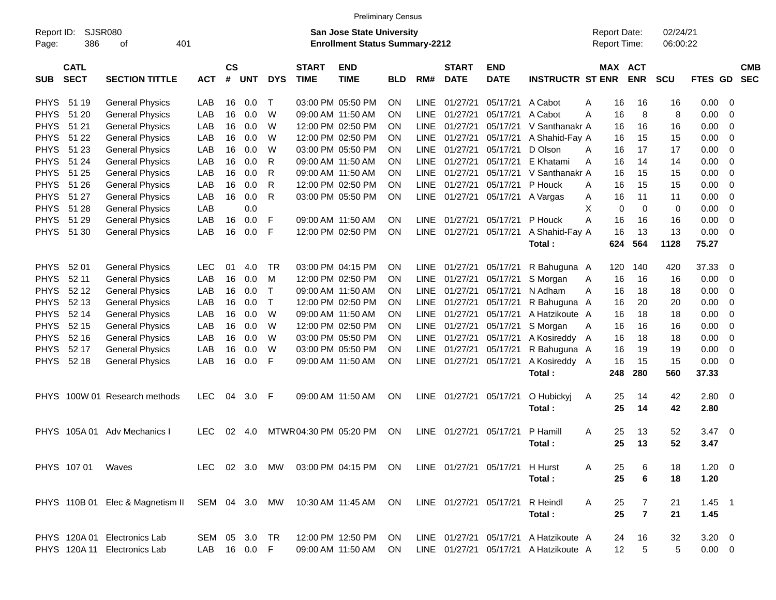|                     |                            |                                                                     |               |                             |            |            |                             | <b>Preliminary Census</b>                                                 |            |             |                             |                                |                                       |   |                                     |                |                      |             |           |                          |
|---------------------|----------------------------|---------------------------------------------------------------------|---------------|-----------------------------|------------|------------|-----------------------------|---------------------------------------------------------------------------|------------|-------------|-----------------------------|--------------------------------|---------------------------------------|---|-------------------------------------|----------------|----------------------|-------------|-----------|--------------------------|
| Report ID:<br>Page: | 386                        | <b>SJSR080</b><br>οf                                                | 401           |                             |            |            |                             | <b>San Jose State University</b><br><b>Enrollment Status Summary-2212</b> |            |             |                             |                                |                                       |   | <b>Report Date:</b><br>Report Time: |                | 02/24/21<br>06:00:22 |             |           |                          |
| <b>SUB</b>          | <b>CATL</b><br><b>SECT</b> | <b>SECTION TITTLE</b>                                               | <b>ACT</b>    | $\mathsf{cs}$<br>$\pmb{\#}$ | <b>UNT</b> | <b>DYS</b> | <b>START</b><br><b>TIME</b> | <b>END</b><br><b>TIME</b>                                                 | <b>BLD</b> | RM#         | <b>START</b><br><b>DATE</b> | <b>END</b><br><b>DATE</b>      | <b>INSTRUCTR ST ENR</b>               |   | <b>MAX ACT</b>                      | <b>ENR</b>     | <b>SCU</b>           | <b>FTES</b> | <b>GD</b> | <b>CMB</b><br><b>SEC</b> |
| <b>PHYS</b>         | 51 19                      | <b>General Physics</b>                                              | LAB           | 16                          | 0.0        | т          |                             | 03:00 PM 05:50 PM                                                         | <b>ON</b>  | LINE        | 01/27/21                    | 05/17/21                       | A Cabot                               | Α | 16                                  | 16             | 16                   | 0.00        | - 0       |                          |
| <b>PHYS</b>         | 51 20                      | <b>General Physics</b>                                              | LAB           | 16                          | 0.0        | W          |                             | 09:00 AM 11:50 AM                                                         | <b>ON</b>  | <b>LINE</b> | 01/27/21                    | 05/17/21                       | A Cabot                               | А | 16                                  | 8              | 8                    | 0.00        | 0         |                          |
| <b>PHYS</b>         | 51 21                      | <b>General Physics</b>                                              | LAB           | 16                          | 0.0        | W          |                             | 12:00 PM 02:50 PM                                                         | ON.        | LINE        | 01/27/21                    | 05/17/21                       | V Santhanakr A                        |   | 16                                  | 16             | 16                   | 0.00        | 0         |                          |
| <b>PHYS</b>         | 51 22                      | <b>General Physics</b>                                              | LAB           | 16                          | 0.0        | W          |                             | 12:00 PM 02:50 PM                                                         | ON.        | LINE        | 01/27/21                    | 05/17/21                       | A Shahid-Fay A                        |   | 16                                  | 15             | 15                   | 0.00        | 0         |                          |
| <b>PHYS</b>         | 51 23                      | <b>General Physics</b>                                              | LAB           | 16                          | 0.0        | W          |                             | 03:00 PM 05:50 PM                                                         | ON.        | LINE        | 01/27/21                    | 05/17/21                       | D Olson                               | A | 16                                  | 17             | 17                   | 0.00        | 0         |                          |
| <b>PHYS</b>         | 51 24                      | <b>General Physics</b>                                              | LAB           | 16                          | 0.0        | R          |                             | 09:00 AM 11:50 AM                                                         | ON.        | LINE        | 01/27/21                    | 05/17/21                       | E Khatami                             | A | 16                                  | 14             | 14                   | 0.00        | 0         |                          |
| <b>PHYS</b>         | 51 25                      | <b>General Physics</b>                                              | LAB           | 16                          | 0.0        | R          |                             | 09:00 AM 11:50 AM                                                         | ON.        | LINE        | 01/27/21                    | 05/17/21                       | V Santhanakr A                        |   | 16                                  | 15             | 15                   | 0.00        | 0         |                          |
| <b>PHYS</b>         | 51 26                      | <b>General Physics</b>                                              | LAB           | 16                          | 0.0        | R          |                             | 12:00 PM 02:50 PM                                                         | <b>ON</b>  | LINE        | 01/27/21                    | 05/17/21                       | P Houck                               | A | 16                                  | 15             | 15                   | 0.00        | 0         |                          |
| <b>PHYS</b>         | 51 27                      | <b>General Physics</b>                                              | LAB           | 16                          | 0.0        | R          |                             | 03:00 PM 05:50 PM                                                         | ON         |             | LINE 01/27/21               | 05/17/21                       | A Vargas                              | A | 16                                  | 11             | 11                   | 0.00        | 0         |                          |
| <b>PHYS</b>         | 51 28                      | <b>General Physics</b>                                              | LAB           |                             | 0.0        |            |                             |                                                                           |            |             |                             |                                |                                       | X | 0                                   | $\Omega$       | 0                    | 0.00        | 0         |                          |
| <b>PHYS</b>         | 51 29                      | <b>General Physics</b>                                              | LAB           | 16                          | 0.0        | F          |                             | 09:00 AM 11:50 AM                                                         | <b>ON</b>  |             | LINE 01/27/21               | 05/17/21                       | P Houck                               | A | 16                                  | 16             | 16                   | 0.00        | 0         |                          |
| <b>PHYS</b>         | 51 30                      | <b>General Physics</b>                                              | LAB           | 16                          | 0.0        | F          |                             | 12:00 PM 02:50 PM                                                         | <b>ON</b>  |             | LINE 01/27/21               | 05/17/21                       | A Shahid-Fay A                        |   | 16                                  | 13             | 13                   | 0.00        | $\Omega$  |                          |
|                     |                            |                                                                     |               |                             |            |            |                             |                                                                           |            |             |                             |                                | Total:                                |   | 624                                 | 564            | 1128                 | 75.27       |           |                          |
|                     |                            |                                                                     |               |                             |            |            |                             |                                                                           |            |             |                             |                                |                                       |   |                                     |                |                      |             |           |                          |
| <b>PHYS</b>         | 52 01                      | <b>General Physics</b>                                              | <b>LEC</b>    | 01                          | 4.0        | <b>TR</b>  |                             | 03:00 PM 04:15 PM                                                         | <b>ON</b>  |             | LINE 01/27/21               | 05/17/21                       | R Bahuguna A                          |   | 120                                 | 140            | 420                  | 37.33       | 0         |                          |
| <b>PHYS</b>         | 52 11                      | <b>General Physics</b>                                              | LAB           | 16                          | 0.0        | M          |                             | 12:00 PM 02:50 PM                                                         | <b>ON</b>  | <b>LINE</b> | 01/27/21                    | 05/17/21                       | S Morgan                              | A | 16                                  | 16             | 16                   | 0.00        | 0         |                          |
| <b>PHYS</b>         | 52 12                      | <b>General Physics</b>                                              | LAB           | 16                          | 0.0        | Τ          |                             | 09:00 AM 11:50 AM                                                         | ON.        | LINE        | 01/27/21                    | 05/17/21                       | N Adham                               | A | 16                                  | 18             | 18                   | 0.00        | 0         |                          |
| <b>PHYS</b>         | 52 13                      | <b>General Physics</b>                                              | LAB           | 16                          | 0.0        | т          |                             | 12:00 PM 02:50 PM                                                         | ON.        | LINE        | 01/27/21                    | 05/17/21                       | R Bahuguna A                          |   | 16                                  | 20             | 20                   | 0.00        | 0         |                          |
| <b>PHYS</b>         | 52 14                      | <b>General Physics</b>                                              | LAB           | 16                          | 0.0        | W          |                             | 09:00 AM 11:50 AM                                                         | ON.        | LINE.       | 01/27/21                    | 05/17/21                       | A Hatzikoute A                        |   | 16                                  | 18             | 18                   | 0.00        | 0         |                          |
| <b>PHYS</b>         | 52 15                      | <b>General Physics</b>                                              | LAB           | 16                          | 0.0        | W          |                             | 12:00 PM 02:50 PM                                                         | ON.        | LINE        | 01/27/21                    | 05/17/21                       | S Morgan                              | A | 16                                  | 16             | 16                   | 0.00        | 0         |                          |
| <b>PHYS</b>         | 52 16                      | <b>General Physics</b>                                              | LAB           | 16                          | 0.0        | W          |                             | 03:00 PM 05:50 PM                                                         | ON.        | LINE        | 01/27/21                    | 05/17/21                       | A Kosireddy                           | A | 16                                  | 18             | 18                   | 0.00        | 0         |                          |
| <b>PHYS</b>         | 52 17                      | <b>General Physics</b>                                              | LAB           | 16                          | 0.0        | W          |                             | 03:00 PM 05:50 PM                                                         | ON.        | LINE        | 01/27/21                    | 05/17/21                       | R Bahuguna A                          |   | 16                                  | 19             | 19                   | 0.00        | 0         |                          |
| <b>PHYS</b>         | 52 18                      | <b>General Physics</b>                                              | LAB           | 16                          | 0.0        | F          |                             | 09:00 AM 11:50 AM                                                         | ON         |             | LINE 01/27/21               | 05/17/21                       | A Kosireddy A                         |   | 16                                  | 15             | 15                   | 0.00        | 0         |                          |
|                     |                            |                                                                     |               |                             |            |            |                             |                                                                           |            |             |                             |                                | Total:                                |   | 248                                 | 280            | 560                  | 37.33       |           |                          |
|                     |                            |                                                                     |               |                             |            |            |                             |                                                                           |            |             |                             |                                |                                       |   |                                     |                |                      |             |           |                          |
|                     |                            | PHYS 100W 01 Research methods                                       | <b>LEC</b>    | 04                          | 3.0        | -F         |                             | 09:00 AM 11:50 AM                                                         | ON         |             | LINE 01/27/21               | 05/17/21                       | O Hubickyj                            | A | 25                                  | 14             | 42                   | 2.80        | - 0       |                          |
|                     |                            |                                                                     |               |                             |            |            |                             |                                                                           |            |             |                             |                                | Total:                                |   | 25                                  | 14             | 42                   | 2.80        |           |                          |
|                     |                            |                                                                     |               |                             |            |            |                             |                                                                           |            |             |                             |                                |                                       |   |                                     |                |                      |             |           |                          |
|                     | PHYS 105A01                | Adv Mechanics I                                                     | <b>LEC</b>    | 02                          | 4.0        |            | MTWR 04:30 PM 05:20 PM      |                                                                           | <b>ON</b>  |             | LINE 01/27/21               | 05/17/21                       | P Hamill                              | A | 25                                  | 13             | 52                   | 3.47        | - 0       |                          |
|                     |                            |                                                                     |               |                             |            |            |                             |                                                                           |            |             |                             |                                | Total:                                |   | 25                                  | 13             | 52                   | 3.47        |           |                          |
|                     |                            |                                                                     |               |                             |            |            |                             |                                                                           |            |             |                             |                                |                                       |   |                                     |                |                      |             |           |                          |
|                     | PHYS 107 01 Waves          |                                                                     |               |                             |            |            |                             | LEC 02 3.0 MW 03:00 PM 04:15 PM ON                                        |            |             |                             | LINE 01/27/21 05/17/21 H Hurst |                                       | A | 25                                  | 6              | 18                   | $1.20 \t 0$ |           |                          |
|                     |                            |                                                                     |               |                             |            |            |                             |                                                                           |            |             |                             |                                | Total:                                |   | 25                                  | 6              | 18                   | 1.20        |           |                          |
|                     |                            |                                                                     |               |                             |            |            |                             |                                                                           |            |             |                             |                                |                                       |   |                                     |                |                      |             |           |                          |
|                     |                            | PHYS 110B 01 Elec & Magnetism II SEM 04 3.0 MW 10:30 AM 11:45 AM ON |               |                             |            |            |                             |                                                                           |            |             |                             | LINE 01/27/21 05/17/21         | R Heindl                              | A | 25                                  | 7              | 21                   | $1.45$ 1    |           |                          |
|                     |                            |                                                                     |               |                             |            |            |                             |                                                                           |            |             |                             |                                | Total:                                |   | 25                                  | $\overline{7}$ | 21                   | 1.45        |           |                          |
|                     |                            |                                                                     |               |                             |            |            |                             |                                                                           |            |             |                             |                                |                                       |   |                                     |                |                      |             |           |                          |
|                     |                            | PHYS 120A 01 Electronics Lab                                        | SEM 05 3.0 TR |                             |            |            |                             | 12:00 PM 12:50 PM ON                                                      |            |             |                             |                                | LINE 01/27/21 05/17/21 A Hatzikoute A |   | 24                                  | 16             | 32                   | $3.20 \ 0$  |           |                          |
|                     |                            | PHYS 120A 11 Electronics Lab                                        | LAB 16 0.0 F  |                             |            |            |                             | 09:00 AM 11:50 AM ON                                                      |            |             |                             |                                | LINE 01/27/21 05/17/21 A Hatzikoute A |   | 12 <sub>2</sub>                     | 5              | 5                    | $0.00 \t 0$ |           |                          |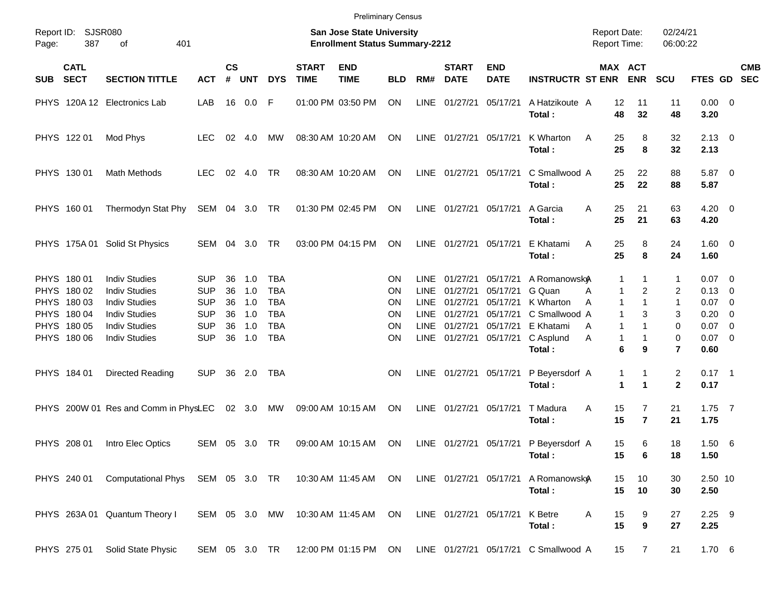|       |                                           |                                                                      |                                        |                             |                   |                                        |                             | <b>Preliminary Census</b>                                          |                 |                                    |                                  |                                  |                                      |                                            |                                                                          |                                |                                    |            |
|-------|-------------------------------------------|----------------------------------------------------------------------|----------------------------------------|-----------------------------|-------------------|----------------------------------------|-----------------------------|--------------------------------------------------------------------|-----------------|------------------------------------|----------------------------------|----------------------------------|--------------------------------------|--------------------------------------------|--------------------------------------------------------------------------|--------------------------------|------------------------------------|------------|
| Page: | Report ID: SJSR080<br>387                 | 401<br>of                                                            |                                        |                             |                   |                                        |                             | San Jose State University<br><b>Enrollment Status Summary-2212</b> |                 |                                    |                                  |                                  |                                      | <b>Report Date:</b><br><b>Report Time:</b> |                                                                          | 02/24/21<br>06:00:22           |                                    |            |
| SUB   | <b>CATL</b><br><b>SECT</b>                | <b>SECTION TITTLE</b>                                                | <b>ACT</b>                             | $\mathsf{cs}$<br>$\pmb{\#}$ | <b>UNT</b>        | <b>DYS</b>                             | <b>START</b><br><b>TIME</b> | <b>END</b><br><b>TIME</b>                                          | <b>BLD</b>      | RM#                                | <b>START</b><br><b>DATE</b>      | <b>END</b><br><b>DATE</b>        | <b>INSTRUCTR ST ENR</b>              |                                            | <b>MAX ACT</b><br><b>ENR</b>                                             | <b>SCU</b>                     | FTES GD SEC                        | <b>CMB</b> |
|       |                                           | PHYS 120A 12 Electronics Lab                                         | LAB                                    |                             | 16 0.0            | -F                                     |                             | 01:00 PM 03:50 PM                                                  | ON              | LINE                               | 01/27/21                         | 05/17/21                         | A Hatzikoute A<br>Total:             | 12<br>48                                   | 11<br>32                                                                 | 11<br>48                       | $0.00 \t 0$<br>3.20                |            |
|       | PHYS 122 01                               | Mod Phys                                                             | <b>LEC</b>                             |                             | 02 4.0            | МW                                     |                             | 08:30 AM 10:20 AM                                                  | ON              |                                    | LINE 01/27/21                    | 05/17/21                         | K Wharton<br>Total:                  | 25<br>A<br>25                              | 8<br>8                                                                   | 32<br>32                       | $2.13 \quad 0$<br>2.13             |            |
|       | PHYS 130 01                               | Math Methods                                                         | <b>LEC</b>                             | 02                          | 4.0               | TR                                     |                             | 08:30 AM 10:20 AM                                                  | ON              |                                    | LINE 01/27/21                    | 05/17/21                         | C Smallwood A<br>Total:              | 25<br>25                                   | 22<br>22                                                                 | 88<br>88                       | 5.87 0<br>5.87                     |            |
|       | PHYS 160 01                               | Thermodyn Stat Phy                                                   | SEM 04 3.0 TR                          |                             |                   |                                        |                             | 01:30 PM 02:45 PM                                                  | ON              |                                    | LINE 01/27/21                    | 05/17/21                         | A Garcia<br>Total:                   | 25<br>A<br>25                              | 21<br>21                                                                 | 63<br>63                       | $4.20 \ 0$<br>4.20                 |            |
|       |                                           | PHYS 175A 01 Solid St Physics                                        | SEM 04 3.0                             |                             |                   | <b>TR</b>                              |                             | 03:00 PM 04:15 PM                                                  | ON              |                                    | LINE 01/27/21                    | 05/17/21                         | E Khatami<br>Total:                  | 25<br>Α<br>25                              | 8<br>8                                                                   | 24<br>24                       | $1.60 \t 0$<br>1.60                |            |
|       | PHYS 180 01<br>PHYS 180 02                | <b>Indiv Studies</b><br><b>Indiv Studies</b>                         | <b>SUP</b><br><b>SUP</b>               | 36<br>36                    | 1.0<br>1.0        | <b>TBA</b><br><b>TBA</b><br><b>TBA</b> |                             |                                                                    | <b>ON</b><br>ON | <b>LINE</b><br><b>LINE</b>         | 01/27/21<br>01/27/21<br>01/27/21 | 05/17/21<br>05/17/21<br>05/17/21 | A Romanowsky<br>G Quan<br>K Wharton  | A                                          | 1<br>1<br>$\overline{2}$<br>$\mathbf{1}$<br>$\mathbf{1}$<br>$\mathbf{1}$ | 1<br>2                         | $0.07$ 0<br>$0.13 \quad 0$         |            |
|       | PHYS 180 03<br>PHYS 180 04<br>PHYS 180 05 | <b>Indiv Studies</b><br><b>Indiv Studies</b><br><b>Indiv Studies</b> | <b>SUP</b><br><b>SUP</b><br><b>SUP</b> | 36<br>36<br>36              | 1.0<br>1.0<br>1.0 | <b>TBA</b><br><b>TBA</b>               |                             |                                                                    | ΟN<br>ΟN<br>ΟN  | <b>LINE</b><br>LINE<br><b>LINE</b> | 01/27/21<br>01/27/21             | 05/17/21<br>05/17/21             | C Smallwood A<br>E Khatami           | A<br>A                                     | $\mathbf{1}$<br>3<br>$\mathbf{1}$<br>$\mathbf{1}$                        | 1<br>3<br>0                    | $0.07$ 0<br>$0.20 \ 0$<br>$0.07$ 0 |            |
|       | PHYS 180 06                               | <b>Indiv Studies</b>                                                 | <b>SUP</b>                             | 36                          | 1.0               | <b>TBA</b>                             |                             |                                                                    | ON              |                                    | LINE 01/27/21                    | 05/17/21                         | C Asplund<br>Total:                  | Α                                          | $\mathbf{1}$<br>1<br>6<br>9                                              | 0<br>$\overline{7}$            | $0.07$ 0<br>0.60                   |            |
|       | PHYS 184 01                               | Directed Reading                                                     | <b>SUP</b>                             |                             | 36 2.0            | TBA                                    |                             |                                                                    | <b>ON</b>       |                                    | LINE 01/27/21 05/17/21           |                                  | P Beyersdorf A<br>Total:             |                                            | 1<br>1<br>1<br>1                                                         | $\overline{c}$<br>$\mathbf{2}$ | $0.17$ 1<br>0.17                   |            |
|       |                                           | PHYS 200W 01 Res and Comm in PhysLEC                                 |                                        |                             | 02 3.0            | MW                                     |                             | 09:00 AM 10:15 AM                                                  | ON              | LINE                               | 01/27/21                         | 05/17/21                         | T Madura<br>Total:                   | Α<br>15<br>15                              | $\overline{7}$<br>$\overline{\mathbf{r}}$                                | 21<br>21                       | $1.75$ 7<br>1.75                   |            |
|       | PHYS 208 01                               | Intro Elec Optics                                                    | SEM 05 3.0 TR                          |                             |                   |                                        |                             | 09:00 AM 10:15 AM                                                  | ON              |                                    |                                  | LINE 01/27/21 05/17/21           | P Beyersdorf A<br>Total:             | 15<br>15                                   | 6<br>6                                                                   | 18<br>18                       | 1.506<br>1.50                      |            |
|       |                                           | PHYS 240 01 Computational Phys SEM 05 3.0 TR 10:30 AM 11:45 AM ON    |                                        |                             |                   |                                        |                             |                                                                    |                 |                                    | LINE 01/27/21 05/17/21           |                                  | A Romanowsky<br>Total:               | 15<br>15                                   | 10<br>10                                                                 | 30<br>30                       | 2.50 10<br>2.50                    |            |
|       |                                           | PHYS 263A 01 Quantum Theory I                                        | SEM 05 3.0 MW                          |                             |                   |                                        |                             | 10:30 AM 11:45 AM                                                  | ON              |                                    | LINE 01/27/21 05/17/21           |                                  | K Betre<br>Total:                    | Α<br>15<br>15                              | 9<br>$\boldsymbol{9}$                                                    | 27<br>27                       | $2.25$ 9<br>2.25                   |            |
|       | PHYS 275 01                               | Solid State Physic                                                   | SEM 05 3.0 TR                          |                             |                   |                                        |                             | 12:00 PM 01:15 PM ON                                               |                 |                                    |                                  |                                  | LINE 01/27/21 05/17/21 C Smallwood A | 15                                         | $\overline{7}$                                                           | 21                             | 1.706                              |            |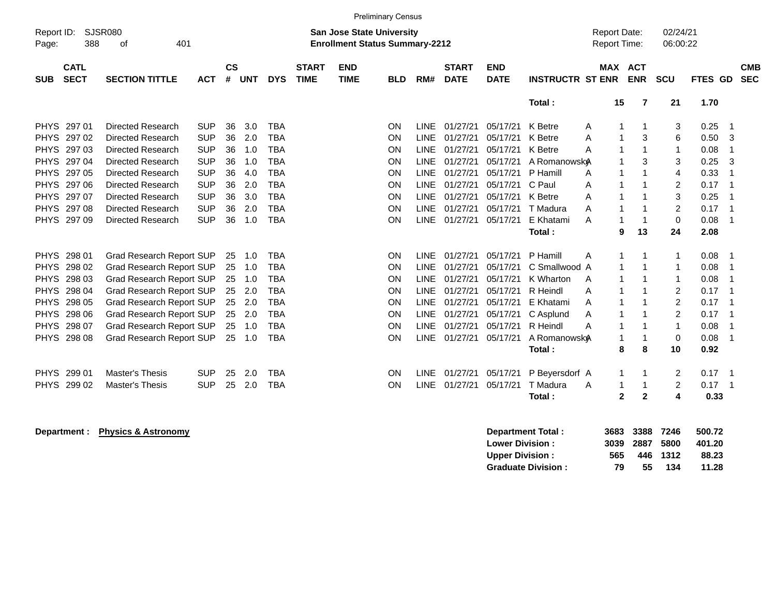|                     |                            |                                 |            |                    |            |            |                             |                                                                           | <b>Preliminary Census</b> |             |                             |                           |                          |                                            |              |                      |                                  |            |
|---------------------|----------------------------|---------------------------------|------------|--------------------|------------|------------|-----------------------------|---------------------------------------------------------------------------|---------------------------|-------------|-----------------------------|---------------------------|--------------------------|--------------------------------------------|--------------|----------------------|----------------------------------|------------|
| Report ID:<br>Page: | 388                        | <b>SJSR080</b><br>401<br>οf     |            |                    |            |            |                             | <b>San Jose State University</b><br><b>Enrollment Status Summary-2212</b> |                           |             |                             |                           |                          | <b>Report Date:</b><br><b>Report Time:</b> |              | 02/24/21<br>06:00:22 |                                  |            |
| <b>SUB</b>          | <b>CATL</b><br><b>SECT</b> | <b>SECTION TITTLE</b>           | <b>ACT</b> | $\mathsf{cs}$<br># | <b>UNT</b> | <b>DYS</b> | <b>START</b><br><b>TIME</b> | <b>END</b><br><b>TIME</b>                                                 | <b>BLD</b>                | RM#         | <b>START</b><br><b>DATE</b> | <b>END</b><br><b>DATE</b> | <b>INSTRUCTR ST ENR</b>  | MAX ACT                                    | <b>ENR</b>   | <b>SCU</b>           | FTES GD SEC                      | <b>CMB</b> |
|                     |                            |                                 |            |                    |            |            |                             |                                                                           |                           |             |                             |                           | Total:                   | 15                                         | 7            | 21                   | 1.70                             |            |
| <b>PHYS</b>         | 297 01                     | <b>Directed Research</b>        | <b>SUP</b> | 36                 | 3.0        | <b>TBA</b> |                             |                                                                           | <b>ON</b>                 | <b>LINE</b> | 01/27/21                    | 05/17/21                  | K Betre                  | Α                                          |              | 3                    | 0.25<br>-1                       |            |
|                     | PHYS 297 02                | Directed Research               | <b>SUP</b> | 36                 | 2.0        | <b>TBA</b> |                             |                                                                           | <b>ON</b>                 | <b>LINE</b> | 01/27/21                    | 05/17/21                  | K Betre                  | A                                          | 3            | 6                    | 0.50<br>3                        |            |
| <b>PHYS</b>         | 297 03                     | Directed Research               | <b>SUP</b> | 36                 | 1.0        | <b>TBA</b> |                             |                                                                           | ON                        | <b>LINE</b> | 01/27/21                    | 05/17/21                  | K Betre                  | A                                          |              |                      | 0.08                             |            |
| <b>PHYS</b>         | 297 04                     | <b>Directed Research</b>        | <b>SUP</b> | 36                 | 1.0        | <b>TBA</b> |                             |                                                                           | <b>ON</b>                 | <b>LINE</b> | 01/27/21                    | 05/17/21                  | A Romanowsky             |                                            | 3            | 3                    | 0.25<br>3                        |            |
| <b>PHYS</b>         | 297 05                     | Directed Research               | <b>SUP</b> | 36                 | 4.0        | <b>TBA</b> |                             |                                                                           | <b>ON</b>                 | <b>LINE</b> | 01/27/21                    | 05/17/21                  | P Hamill                 | A                                          |              | 4                    | 0.33<br>$\overline{\phantom{a}}$ |            |
|                     | PHYS 297 06                | Directed Research               | <b>SUP</b> | 36                 | 2.0        | <b>TBA</b> |                             |                                                                           | ON                        | <b>LINE</b> | 01/27/21                    | 05/17/21                  | C Paul                   | 1<br>A                                     |              | $\overline{2}$       | 0.17<br>$\overline{1}$           |            |
|                     | PHYS 297 07                | Directed Research               | <b>SUP</b> | 36                 | 3.0        | <b>TBA</b> |                             |                                                                           | ON                        | <b>LINE</b> | 01/27/21                    | 05/17/21                  | K Betre                  | A                                          |              | 3                    | 0.25                             |            |
| <b>PHYS</b>         | 297 08                     | <b>Directed Research</b>        | <b>SUP</b> | 36                 | 2.0        | <b>TBA</b> |                             |                                                                           | ON                        | <b>LINE</b> | 01/27/21                    | 05/17/21                  | T Madura                 | A                                          |              | $\overline{2}$       | 0.17<br>$\overline{\phantom{a}}$ |            |
| <b>PHYS</b>         | 29709                      | <b>Directed Research</b>        | <b>SUP</b> | 36                 | 1.0        | <b>TBA</b> |                             |                                                                           | <b>ON</b>                 | <b>LINE</b> | 01/27/21                    | 05/17/21                  | E Khatami                | A<br>1                                     |              | $\mathbf 0$          | 0.08<br>1                        |            |
|                     |                            |                                 |            |                    |            |            |                             |                                                                           |                           |             |                             |                           | Total:                   | 9                                          | 13           | 24                   | 2.08                             |            |
| <b>PHYS</b>         | 298 01                     | Grad Research Report SUP        |            | 25                 | 1.0        | <b>TBA</b> |                             |                                                                           | <b>ON</b>                 | <b>LINE</b> | 01/27/21                    | 05/17/21                  | P Hamill                 | A                                          |              |                      | 0.08<br>-1                       |            |
| <b>PHYS</b>         | 298 02                     | <b>Grad Research Report SUP</b> |            | 25                 | 1.0        | <b>TBA</b> |                             |                                                                           | <b>ON</b>                 | LINE        | 01/27/21                    | 05/17/21                  | C Smallwood A            |                                            |              | -1                   | 0.08                             |            |
|                     | PHYS 298 03                | Grad Research Report SUP        |            | 25                 | 1.0        | <b>TBA</b> |                             |                                                                           | ON                        | <b>LINE</b> | 01/27/21                    | 05/17/21                  | K Wharton                | A<br>1                                     |              | -1                   | 0.08                             |            |
| <b>PHYS</b>         | 298 04                     | <b>Grad Research Report SUP</b> |            | 25                 | 2.0        | <b>TBA</b> |                             |                                                                           | ON                        | <b>LINE</b> | 01/27/21                    | 05/17/21                  | R Heindl                 | A<br>1                                     |              | 2                    | 0.17<br>-1                       |            |
| <b>PHYS</b>         | 298 05                     | Grad Research Report SUP        |            | 25                 | 2.0        | <b>TBA</b> |                             |                                                                           | ON                        | <b>LINE</b> | 01/27/21                    | 05/17/21                  | E Khatami                | A                                          |              | $\overline{c}$       | 0.17<br>-1                       |            |
| <b>PHYS</b>         | 298 06                     | Grad Research Report SUP        |            | 25                 | 2.0        | <b>TBA</b> |                             |                                                                           | ON                        | <b>LINE</b> | 01/27/21                    | 05/17/21                  | C Asplund                | A                                          |              | $\overline{2}$       | 0.17<br>$\overline{\phantom{a}}$ |            |
|                     | PHYS 298 07                | Grad Research Report SUP        |            | 25                 | 1.0        | <b>TBA</b> |                             |                                                                           | <b>ON</b>                 | <b>LINE</b> | 01/27/21                    | 05/17/21                  | R Heindl                 | A<br>1                                     |              | -1                   | 0.08                             |            |
| <b>PHYS</b>         | 298 08                     | Grad Research Report SUP        |            |                    | 25 1.0     | <b>TBA</b> |                             |                                                                           | ON                        | <b>LINE</b> | 01/27/21                    | 05/17/21                  | A Romanowsk <sub>A</sub> | 1                                          | -1           | 0                    | 0.08                             |            |
|                     |                            |                                 |            |                    |            |            |                             |                                                                           |                           |             |                             |                           | Total:                   | 8                                          | 8            | 10                   | 0.92                             |            |
|                     | PHYS 299 01                | <b>Master's Thesis</b>          | <b>SUP</b> | 25                 | 2.0        | <b>TBA</b> |                             |                                                                           | <b>ON</b>                 | <b>LINE</b> | 01/27/21                    | 05/17/21                  | P Beyersdorf A           | 1                                          |              | 2                    | 0.17<br>-1                       |            |
| <b>PHYS</b>         | 299 02                     | <b>Master's Thesis</b>          | <b>SUP</b> | 25                 | 2.0        | <b>TBA</b> |                             |                                                                           | ON                        | <b>LINE</b> | 01/27/21                    | 05/17/21                  | T Madura                 | A<br>1                                     |              | 2                    | 0.17<br>-1                       |            |
|                     |                            |                                 |            |                    |            |            |                             |                                                                           |                           |             |                             |                           | Total:                   | $\mathbf{2}$                               | $\mathbf{2}$ | 4                    | 0.33                             |            |

**Department : Physics & Astronomy Department Total : 3683 3388 7246 500.72 Lower Division : 3039 2887 5800 401.20 Upper Division : 565 446 1312 88.23<br>
Graduate Division : 79 55 134 11.28 Graduate Division : 79 55 134 11.28**